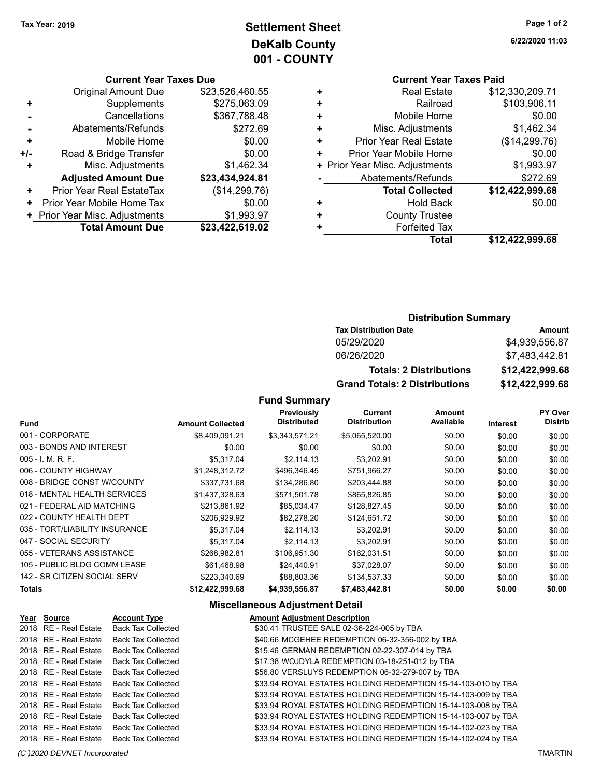### **Settlement Sheet Tax Year: 2019 Page 1 of 2 DeKalb County 001 - COUNTY**

#### **Current Year Taxes Due**

|       | <b>Original Amount Due</b>     | \$23,526,460.55 |
|-------|--------------------------------|-----------------|
| ÷     | Supplements                    | \$275,063.09    |
|       | Cancellations                  | \$367,788.48    |
|       | Abatements/Refunds             | \$272.69        |
| ٠     | Mobile Home                    | \$0.00          |
| $+/-$ | Road & Bridge Transfer         | \$0.00          |
|       | Misc. Adjustments              | \$1,462.34      |
|       | <b>Adjusted Amount Due</b>     | \$23,434,924.81 |
| ÷     | Prior Year Real EstateTax      | (\$14,299.76)   |
|       | Prior Year Mobile Home Tax     | \$0.00          |
|       | + Prior Year Misc. Adjustments | \$1,993.97      |
|       | <b>Total Amount Due</b>        | \$23,422,619.02 |

**6/22/2020 11:03**

## **Current Year Taxes Paid**

|   | Total                          | \$12,422,999.68 |
|---|--------------------------------|-----------------|
| ٠ | <b>Forfeited Tax</b>           |                 |
| ٠ | <b>County Trustee</b>          |                 |
| ٠ | <b>Hold Back</b>               | \$0.00          |
|   | <b>Total Collected</b>         | \$12,422,999.68 |
|   | Abatements/Refunds             | \$272.69        |
|   | + Prior Year Misc. Adjustments | \$1,993.97      |
| ٠ | Prior Year Mobile Home         | \$0.00          |
| ٠ | <b>Prior Year Real Estate</b>  | (\$14,299.76)   |
| ٠ | Misc. Adjustments              | \$1,462.34      |
| ٠ | Mobile Home                    | \$0.00          |
| ٠ | Railroad                       | \$103,906.11    |
| ٠ | <b>Real Estate</b>             | \$12,330,209.71 |

#### **Distribution Summary**

| <b>Tax Distribution Date</b>         | Amount          |  |  |  |
|--------------------------------------|-----------------|--|--|--|
| 05/29/2020                           | \$4.939.556.87  |  |  |  |
| 06/26/2020                           | \$7.483.442.81  |  |  |  |
| <b>Totals: 2 Distributions</b>       | \$12,422,999.68 |  |  |  |
| <b>Grand Totals: 2 Distributions</b> | \$12,422,999.68 |  |  |  |

### **Fund Summary**

| <b>Fund</b>                    | <b>Amount Collected</b> | Previously<br><b>Distributed</b> | <b>Current</b><br><b>Distribution</b> | <b>Amount</b><br>Available | <b>Interest</b> | <b>PY Over</b><br><b>Distrib</b> |
|--------------------------------|-------------------------|----------------------------------|---------------------------------------|----------------------------|-----------------|----------------------------------|
| 001 - CORPORATE                | \$8,409,091.21          | \$3,343,571.21                   | \$5,065,520.00                        | \$0.00                     | \$0.00          | \$0.00                           |
| 003 - BONDS AND INTEREST       | \$0.00                  | \$0.00                           | \$0.00                                | \$0.00                     | \$0.00          | \$0.00                           |
| $005 - I. M. R. F.$            | \$5,317.04              | \$2.114.13                       | \$3,202.91                            | \$0.00                     | \$0.00          | \$0.00                           |
| 006 - COUNTY HIGHWAY           | \$1.248.312.72          | \$496,346.45                     | \$751,966.27                          | \$0.00                     | \$0.00          | \$0.00                           |
| 008 - BRIDGE CONST W/COUNTY    | \$337,731.68            | \$134,286.80                     | \$203,444.88                          | \$0.00                     | \$0.00          | \$0.00                           |
| 018 - MENTAL HEALTH SERVICES   | \$1,437,328.63          | \$571,501.78                     | \$865,826.85                          | \$0.00                     | \$0.00          | \$0.00                           |
| 021 - FEDERAL AID MATCHING     | \$213,861.92            | \$85,034.47                      | \$128,827.45                          | \$0.00                     | \$0.00          | \$0.00                           |
| 022 - COUNTY HEALTH DEPT       | \$206.929.92            | \$82,278,20                      | \$124,651.72                          | \$0.00                     | \$0.00          | \$0.00                           |
| 035 - TORT/LIABILITY INSURANCE | \$5,317.04              | \$2,114.13                       | \$3,202.91                            | \$0.00                     | \$0.00          | \$0.00                           |
| 047 - SOCIAL SECURITY          | \$5,317.04              | \$2.114.13                       | \$3,202.91                            | \$0.00                     | \$0.00          | \$0.00                           |
| 055 - VETERANS ASSISTANCE      | \$268.982.81            | \$106.951.30                     | \$162,031.51                          | \$0.00                     | \$0.00          | \$0.00                           |
| 105 - PUBLIC BLDG COMM LEASE   | \$61.468.98             | \$24,440.91                      | \$37,028.07                           | \$0.00                     | \$0.00          | \$0.00                           |
| 142 - SR CITIZEN SOCIAL SERV   | \$223,340.69            | \$88,803.36                      | \$134,537.33                          | \$0.00                     | \$0.00          | \$0.00                           |
| <b>Totals</b>                  | \$12,422,999.68         | \$4,939,556.87                   | \$7,483,442.81                        | \$0.00                     | \$0.00          | \$0.00                           |

#### **Miscellaneous Adjustment Detail**

| Year Source           | <b>Account Type</b>       | <b>Amount Adjustment Description</b>                          |
|-----------------------|---------------------------|---------------------------------------------------------------|
| 2018 RE - Real Estate | <b>Back Tax Collected</b> | \$30.41 TRUSTEE SALE 02-36-224-005 by TBA                     |
| 2018 RE - Real Estate | <b>Back Tax Collected</b> | \$40.66 MCGEHEE REDEMPTION 06-32-356-002 by TBA               |
| 2018 RE - Real Estate | <b>Back Tax Collected</b> | \$15.46 GERMAN REDEMPTION 02-22-307-014 by TBA                |
| 2018 RE - Real Estate | <b>Back Tax Collected</b> | \$17.38 WOJDYLA REDEMPTION 03-18-251-012 by TBA               |
| 2018 RE - Real Estate | <b>Back Tax Collected</b> | \$56.80 VERSLUYS REDEMPTION 06-32-279-007 by TBA              |
| 2018 RE - Real Estate | <b>Back Tax Collected</b> | \$33.94 ROYAL ESTATES HOLDING REDEMPTION 15-14-103-010 by TBA |
| 2018 RE - Real Estate | <b>Back Tax Collected</b> | \$33.94 ROYAL ESTATES HOLDING REDEMPTION 15-14-103-009 by TBA |
| 2018 RE - Real Estate | <b>Back Tax Collected</b> | \$33.94 ROYAL ESTATES HOLDING REDEMPTION 15-14-103-008 by TBA |
| 2018 RE - Real Estate | <b>Back Tax Collected</b> | \$33.94 ROYAL ESTATES HOLDING REDEMPTION 15-14-103-007 by TBA |
| 2018 RE - Real Estate | <b>Back Tax Collected</b> | \$33.94 ROYAL ESTATES HOLDING REDEMPTION 15-14-102-023 by TBA |
| 2018 RE - Real Estate | <b>Back Tax Collected</b> | \$33.94 ROYAL ESTATES HOLDING REDEMPTION 15-14-102-024 by TBA |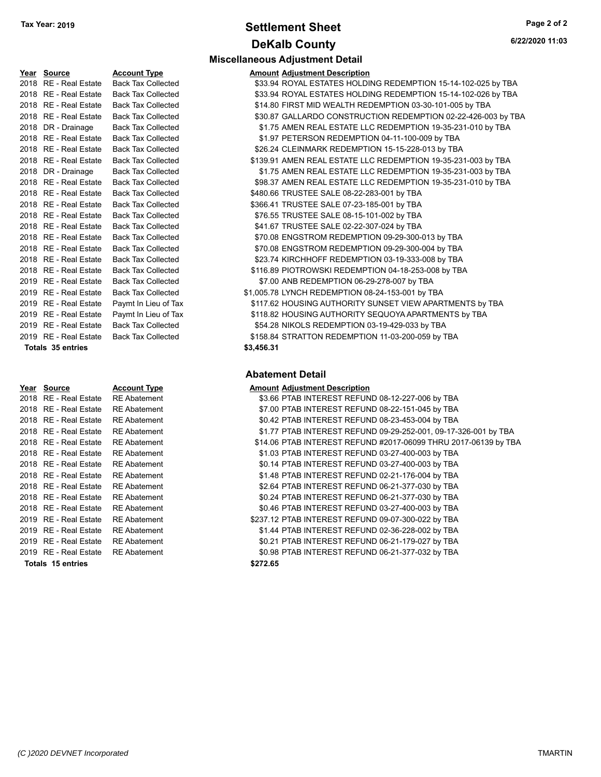### **Settlement Sheet Tax Year: 2019 Page 2 of 2 DeKalb County**

| Year | Source                  | Account Type              |
|------|-------------------------|---------------------------|
| 2018 | RF - Real Estate        | <b>Back Tax Collected</b> |
| 2018 | RF - Real Estate        | <b>Back Tax Collected</b> |
| 2018 | <b>RE</b> - Real Estate | <b>Back Tax Collected</b> |
| 2018 | RF - Real Estate        | <b>Back Tax Collected</b> |
| 2018 | DR - Drainage           | <b>Back Tax Collected</b> |
| 2018 | <b>RE</b> - Real Estate | <b>Back Tax Collected</b> |
| 2018 | RF - Real Estate        | <b>Back Tax Collected</b> |
| 2018 | <b>RE</b> - Real Estate | <b>Back Tax Collected</b> |
| 2018 | DR - Drainage           | <b>Back Tax Collected</b> |
| 2018 | <b>RE</b> - Real Estate | <b>Back Tax Collected</b> |
| 2018 | <b>RE</b> - Real Estate | <b>Back Tax Collected</b> |
| 2018 | RF - Real Estate        | <b>Back Tax Collected</b> |
| 2018 | RF - Real Estate        | <b>Back Tax Collected</b> |
| 2018 | RF - Real Estate        | <b>Back Tax Collected</b> |
| 2018 | RF - Real Estate        | <b>Back Tax Collected</b> |
| 2018 | RF - Real Estate        | <b>Back Tax Collected</b> |
| 2018 | RF - Real Estate        | <b>Back Tax Collected</b> |
| 2018 | <b>RE</b> - Real Estate | <b>Back Tax Collected</b> |
| 2019 | <b>RE</b> - Real Estate | <b>Back Tax Collected</b> |
| 2019 | <b>RE</b> - Real Estate | <b>Back Tax Collected</b> |
| 2019 | <b>RE</b> - Real Estate | Paymt In Lieu of Tax      |
| 2019 | RF - Real Estate        | Paymt In Lieu of Tax      |
| 2019 | <b>RE</b> - Real Estate | <b>Back Tax Collected</b> |
| 2019 | <b>RE</b> - Real Estate | <b>Back Tax Collected</b> |
|      | Totals 35 entries       |                           |

| Year | Source                  | <b>Account Type</b> | A  |
|------|-------------------------|---------------------|----|
| 2018 | <b>RE</b> - Real Estate | <b>RE</b> Abatement |    |
|      | 2018 RE - Real Estate   | <b>RE</b> Abatement |    |
|      | 2018 RE - Real Estate   | <b>RE</b> Abatement |    |
|      | 2018 RE - Real Estate   | RE Abatement        |    |
|      | 2018 RE - Real Estate   | <b>RE</b> Abatement |    |
|      | 2018 RE - Real Estate   | RE Abatement        |    |
|      | 2018 RE - Real Estate   | <b>RE</b> Abatement |    |
|      | 2018 RE - Real Estate   | <b>RE</b> Abatement |    |
|      | 2018 RE - Real Estate   | <b>RE</b> Abatement |    |
|      | 2018 RE - Real Estate   | <b>RE</b> Abatement |    |
|      | 2018 RE - Real Estate   | <b>RE</b> Abatement |    |
|      | 2019 RE - Real Estate   | <b>RE</b> Abatement | \$ |
|      | 2019 RE - Real Estate   | <b>RE</b> Abatement |    |
|      | 2019 RE - Real Estate   | <b>RE</b> Abatement |    |
|      | 2019 RE - Real Estate   | <b>RE</b> Abatement |    |
|      | Totals 15 entries       |                     | \$ |

### **Miscellaneous Adjustment Detail**

| Year Source              | <b>Account Type</b>       | Amount Adjustment Description                                 |
|--------------------------|---------------------------|---------------------------------------------------------------|
| 2018 RE - Real Estate    | <b>Back Tax Collected</b> | \$33.94 ROYAL ESTATES HOLDING REDEMPTION 15-14-102-025 by TBA |
| 2018 RE - Real Estate    | <b>Back Tax Collected</b> | \$33.94 ROYAL ESTATES HOLDING REDEMPTION 15-14-102-026 by TBA |
| 2018 RE - Real Estate    | <b>Back Tax Collected</b> | \$14.80 FIRST MID WEALTH REDEMPTION 03-30-101-005 by TBA      |
| 2018 RE - Real Estate    | <b>Back Tax Collected</b> | \$30.87 GALLARDO CONSTRUCTION REDEMPTION 02-22-426-003 by TBA |
| 2018 DR - Drainage       | <b>Back Tax Collected</b> | \$1.75 AMEN REAL ESTATE LLC REDEMPTION 19-35-231-010 by TBA   |
| 2018 RE - Real Estate    | <b>Back Tax Collected</b> | \$1.97 PETERSON REDEMPTION 04-11-100-009 by TBA               |
| 2018 RE - Real Estate    | <b>Back Tax Collected</b> | \$26.24 CLEINMARK REDEMPTION 15-15-228-013 by TBA             |
| 2018 RE - Real Estate    | <b>Back Tax Collected</b> | \$139.91 AMEN REAL ESTATE LLC REDEMPTION 19-35-231-003 by TBA |
| 2018 DR - Drainage       | <b>Back Tax Collected</b> | \$1.75 AMEN REAL ESTATE LLC REDEMPTION 19-35-231-003 by TBA   |
| 2018 RE - Real Estate    | <b>Back Tax Collected</b> | \$98.37 AMEN REAL ESTATE LLC REDEMPTION 19-35-231-010 by TBA  |
| 2018 RE - Real Estate    | <b>Back Tax Collected</b> | \$480.66 TRUSTEE SALE 08-22-283-001 by TBA                    |
| 2018 RE - Real Estate    | <b>Back Tax Collected</b> | \$366.41 TRUSTEE SALE 07-23-185-001 by TBA                    |
| 2018 RE - Real Estate    | <b>Back Tax Collected</b> | \$76.55 TRUSTEE SALE 08-15-101-002 by TBA                     |
| 2018 RE - Real Estate    | <b>Back Tax Collected</b> | \$41.67 TRUSTEE SALE 02-22-307-024 by TBA                     |
| 2018 RE - Real Estate    | <b>Back Tax Collected</b> | \$70.08 ENGSTROM REDEMPTION 09-29-300-013 by TBA              |
| 2018 RE - Real Estate    | <b>Back Tax Collected</b> | \$70.08 ENGSTROM REDEMPTION 09-29-300-004 by TBA              |
| 2018 RE - Real Estate    | <b>Back Tax Collected</b> | \$23.74 KIRCHHOFF REDEMPTION 03-19-333-008 by TBA             |
| 2018 RE - Real Estate    | <b>Back Tax Collected</b> | \$116.89 PIOTROWSKI REDEMPTION 04-18-253-008 by TBA           |
| 2019 RE - Real Estate    | <b>Back Tax Collected</b> | \$7.00 ANB REDEMPTION 06-29-278-007 by TBA                    |
| 2019 RE - Real Estate    | <b>Back Tax Collected</b> | \$1,005.78 LYNCH REDEMPTION 08-24-153-001 by TBA              |
| 2019 RE - Real Estate    | Paymt In Lieu of Tax      | \$117.62 HOUSING AUTHORITY SUNSET VIEW APARTMENTS by TBA      |
| 2019 RE - Real Estate    | Paymt In Lieu of Tax      | \$118.82 HOUSING AUTHORITY SEQUOYA APARTMENTS by TBA          |
| 2019 RE - Real Estate    | <b>Back Tax Collected</b> | \$54.28 NIKOLS REDEMPTION 03-19-429-033 by TBA                |
| 2019 RE - Real Estate    | <b>Back Tax Collected</b> | \$158.84 STRATTON REDEMPTION 11-03-200-059 by TBA             |
| <b>Totals 35 entries</b> |                           | \$3,456.31                                                    |
|                          |                           |                                                               |

#### **Abatement Detail**

| Year Source             | <b>Account Type</b> | <b>Amount Adjustment Description</b>                            |
|-------------------------|---------------------|-----------------------------------------------------------------|
| 2018 RE - Real Estate   | <b>RE Abatement</b> | \$3.66 PTAB INTEREST REFUND 08-12-227-006 by TBA                |
| 2018   RE - Real Estate | <b>RE</b> Abatement | \$7.00 PTAB INTEREST REFUND 08-22-151-045 by TBA                |
| 2018 RE - Real Estate   | <b>RE</b> Abatement | \$0.42 PTAB INTEREST REFUND 08-23-453-004 by TBA                |
| 2018   RE - Real Estate | <b>RE</b> Abatement | \$1.77 PTAB INTEREST REFUND 09-29-252-001, 09-17-326-001 by TBA |
| 2018 RE - Real Estate   | <b>RE</b> Abatement | \$14.06 PTAB INTEREST REFUND #2017-06099 THRU 2017-06139 by TBA |
| 2018 RE - Real Estate   | <b>RE</b> Abatement | \$1.03 PTAB INTEREST REFUND 03-27-400-003 by TBA                |
| 2018 RE - Real Estate   | <b>RE</b> Abatement | \$0.14 PTAB INTEREST REFUND 03-27-400-003 by TBA                |
| 2018   RE - Real Estate | <b>RE</b> Abatement | \$1.48 PTAB INTEREST REFUND 02-21-176-004 by TBA                |
| 2018   RE - Real Estate | <b>RE Abatement</b> | \$2.64 PTAB INTEREST REFUND 06-21-377-030 by TBA                |
| 2018   RE - Real Estate | <b>RE</b> Abatement | \$0.24 PTAB INTEREST REFUND 06-21-377-030 by TBA                |
| 2018   RE - Real Estate | <b>RE</b> Abatement | \$0.46 PTAB INTEREST REFUND 03-27-400-003 by TBA                |
| 2019 RE - Real Estate   | <b>RE</b> Abatement | \$237.12 PTAB INTEREST REFUND 09-07-300-022 by TBA              |
| 2019 RE - Real Estate   | <b>RE</b> Abatement | \$1.44 PTAB INTEREST REFUND 02-36-228-002 by TBA                |
| 2019   RE - Real Estate | <b>RE</b> Abatement | \$0.21 PTAB INTEREST REFUND 06-21-179-027 by TBA                |
| 2019   RE - Real Estate | <b>RE Abatement</b> | \$0.98 PTAB INTEREST REFUND 06-21-377-032 by TBA                |
| Totals 15 entries       |                     | \$272.65                                                        |
|                         |                     |                                                                 |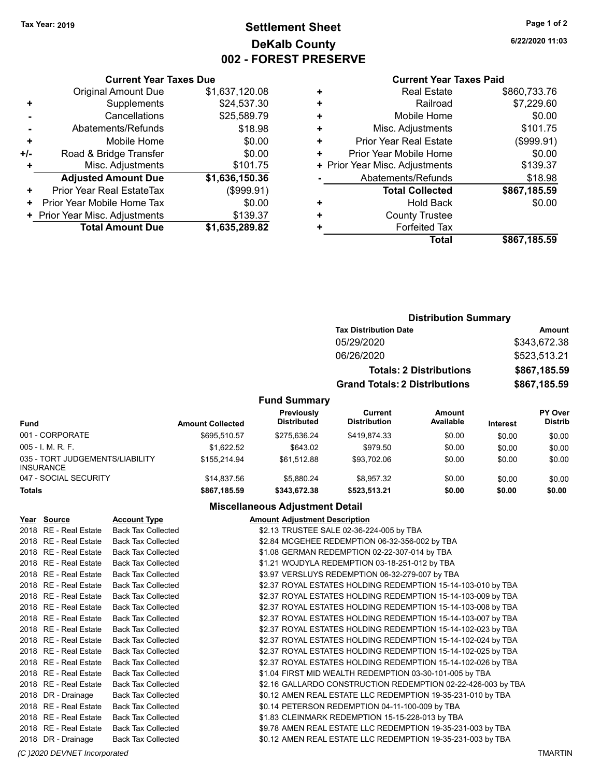### **Settlement Sheet Tax Year: 2019 Page 1 of 2 DeKalb County 002 - FOREST PRESERVE**

**6/22/2020 11:03**

#### **Current Year Taxes Paid**

|     | <b>Current Year Taxes Due</b>  |                |
|-----|--------------------------------|----------------|
|     | <b>Original Amount Due</b>     | \$1,637,120.08 |
| ٠   | Supplements                    | \$24,537.30    |
|     | Cancellations                  | \$25,589.79    |
|     | Abatements/Refunds             | \$18.98        |
| ٠   | Mobile Home                    | \$0.00         |
| +/- | Road & Bridge Transfer         | \$0.00         |
| ٠   | Misc. Adjustments              | \$101.75       |
|     | <b>Adjusted Amount Due</b>     | \$1,636,150.36 |
| ÷   | Prior Year Real EstateTax      | (\$999.91)     |
| ٠   | Prior Year Mobile Home Tax     | \$0.00         |
|     | + Prior Year Misc. Adjustments | \$139.37       |
|     | <b>Total Amount Due</b>        | \$1,635,289.82 |
|     |                                |                |

|   | <b>Real Estate</b>             | \$860,733.76 |
|---|--------------------------------|--------------|
| ٠ | Railroad                       | \$7,229.60   |
| ٠ | Mobile Home                    | \$0.00       |
| ٠ | Misc. Adjustments              | \$101.75     |
| ٠ | <b>Prior Year Real Estate</b>  | (\$999.91)   |
| ٠ | Prior Year Mobile Home         | \$0.00       |
|   | + Prior Year Misc. Adjustments | \$139.37     |
|   | Abatements/Refunds             | \$18.98      |
|   | <b>Total Collected</b>         | \$867,185.59 |
| ٠ | <b>Hold Back</b>               | \$0.00       |
| ٠ | <b>County Trustee</b>          |              |
| ٠ | <b>Forfeited Tax</b>           |              |
|   | Total                          | \$867,185.59 |
|   |                                |              |

|                                                     | <b>Distribution Summary</b> |                                         |                                      |                                |          |                                  |  |
|-----------------------------------------------------|-----------------------------|-----------------------------------------|--------------------------------------|--------------------------------|----------|----------------------------------|--|
|                                                     |                             |                                         | <b>Tax Distribution Date</b>         |                                |          | <b>Amount</b>                    |  |
|                                                     |                             |                                         | 05/29/2020                           |                                |          | \$343,672.38                     |  |
|                                                     |                             |                                         | 06/26/2020                           |                                |          | \$523,513.21                     |  |
|                                                     |                             |                                         |                                      | <b>Totals: 2 Distributions</b> |          | \$867,185.59                     |  |
|                                                     |                             |                                         | <b>Grand Totals: 2 Distributions</b> |                                |          | \$867,185.59                     |  |
|                                                     |                             | <b>Fund Summary</b>                     |                                      |                                |          |                                  |  |
| <b>Fund</b>                                         | <b>Amount Collected</b>     | <b>Previously</b><br><b>Distributed</b> | Current<br><b>Distribution</b>       | Amount<br>Available            | Interest | <b>PY Over</b><br><b>Distrib</b> |  |
| 001 - CORPORATE                                     | \$695,510.57                | \$275,636.24                            | \$419.874.33                         | \$0.00                         | \$0.00   | \$0.00                           |  |
| $005 - 1$ , M, R, F,                                | \$1,622.52                  | \$643.02                                | \$979.50                             | \$0.00                         | \$0.00   | \$0.00                           |  |
| 035 - TORT JUDGEMENTS/LIABILITY<br><b>INSURANCE</b> | \$155.214.94                | \$61.512.88                             | \$93.702.06                          | \$0.00                         | \$0.00   | \$0.00                           |  |
| 047 - SOCIAL SECURITY                               | \$14.837.56                 | \$5.880.24                              | \$8,957.32                           | \$0.00                         | \$0.00   | \$0.00                           |  |

#### **Miscellaneous Adjustment Detail**

**Totals \$867,185.59 \$343,672.38 \$523,513.21 \$0.00 \$0.00 \$0.00**

| Year Source           | <b>Account Type</b>       | <b>Amount Adjustment Description</b>                         |
|-----------------------|---------------------------|--------------------------------------------------------------|
| 2018 RE - Real Estate | <b>Back Tax Collected</b> | \$2.13 TRUSTEE SALE 02-36-224-005 by TBA                     |
| 2018 RE - Real Estate | <b>Back Tax Collected</b> | \$2.84 MCGEHEE REDEMPTION 06-32-356-002 by TBA               |
| 2018 RE - Real Estate | <b>Back Tax Collected</b> | \$1.08 GERMAN REDEMPTION 02-22-307-014 by TBA                |
| 2018 RE - Real Estate | <b>Back Tax Collected</b> | \$1.21 WOJDYLA REDEMPTION 03-18-251-012 by TBA               |
| 2018 RE - Real Estate | <b>Back Tax Collected</b> | \$3.97 VERSLUYS REDEMPTION 06-32-279-007 by TBA              |
| 2018 RE - Real Estate | <b>Back Tax Collected</b> | \$2.37 ROYAL ESTATES HOLDING REDEMPTION 15-14-103-010 by TBA |
| 2018 RE - Real Estate | <b>Back Tax Collected</b> | \$2.37 ROYAL ESTATES HOLDING REDEMPTION 15-14-103-009 by TBA |
| 2018 RE - Real Estate | <b>Back Tax Collected</b> | \$2.37 ROYAL ESTATES HOLDING REDEMPTION 15-14-103-008 by TBA |
| 2018 RE - Real Estate | <b>Back Tax Collected</b> | \$2.37 ROYAL ESTATES HOLDING REDEMPTION 15-14-103-007 by TBA |
| 2018 RE - Real Estate | <b>Back Tax Collected</b> | \$2.37 ROYAL ESTATES HOLDING REDEMPTION 15-14-102-023 by TBA |
| 2018 RE - Real Estate | <b>Back Tax Collected</b> | \$2.37 ROYAL ESTATES HOLDING REDEMPTION 15-14-102-024 by TBA |
| 2018 RE - Real Estate | <b>Back Tax Collected</b> | \$2.37 ROYAL ESTATES HOLDING REDEMPTION 15-14-102-025 by TBA |
| 2018 RE - Real Estate | <b>Back Tax Collected</b> | \$2.37 ROYAL ESTATES HOLDING REDEMPTION 15-14-102-026 by TBA |
| 2018 RE - Real Estate | <b>Back Tax Collected</b> | \$1.04 FIRST MID WEALTH REDEMPTION 03-30-101-005 by TBA      |
| 2018 RE - Real Estate | <b>Back Tax Collected</b> | \$2.16 GALLARDO CONSTRUCTION REDEMPTION 02-22-426-003 by TBA |
| 2018 DR - Drainage    | <b>Back Tax Collected</b> | \$0.12 AMEN REAL ESTATE LLC REDEMPTION 19-35-231-010 by TBA  |
| 2018 RE - Real Estate | <b>Back Tax Collected</b> | \$0.14 PETERSON REDEMPTION 04-11-100-009 by TBA              |
| 2018 RE - Real Estate | <b>Back Tax Collected</b> | \$1.83 CLEINMARK REDEMPTION 15-15-228-013 by TBA             |
| 2018 RE - Real Estate | <b>Back Tax Collected</b> | \$9.78 AMEN REAL ESTATE LLC REDEMPTION 19-35-231-003 by TBA  |
| 2018 DR - Drainage    | <b>Back Tax Collected</b> | \$0.12 AMEN REAL ESTATE LLC REDEMPTION 19-35-231-003 by TBA  |

*(C )2020 DEVNET Incorporated* TMARTIN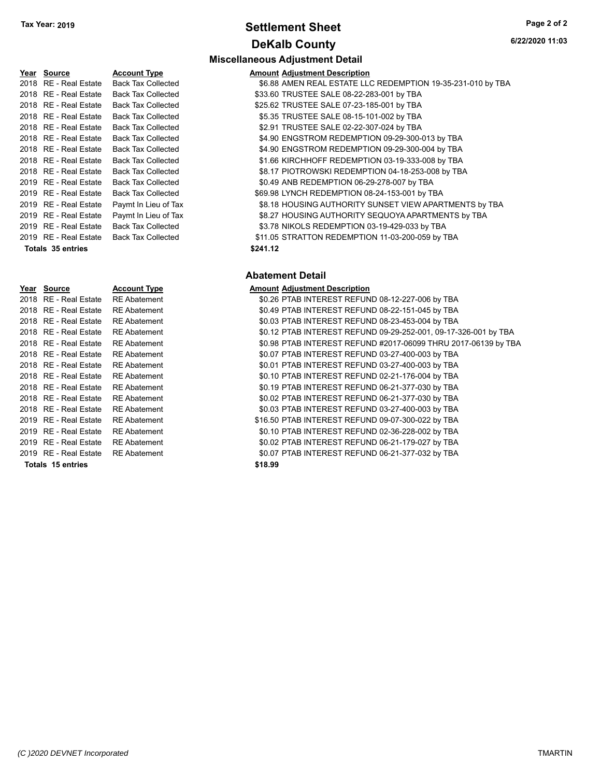### **Settlement Sheet Tax Year: 2019 Page 2 of 2 DeKalb County**

| 2018<br><b>RE - Real Estate</b><br>2018<br>RE - Real Estate<br>2018<br><b>RE</b> - Real Estate<br>2018<br><b>RE</b> - Real Estate<br>2018<br><b>RE</b> - Real Estate<br>2018<br><b>RE</b> - Real Estate<br>2018<br>RE - Real Estate<br>2018<br><b>RE</b> - Real Estate<br>2018<br><b>RE</b> - Real Estate<br>2019<br><b>RE</b> - Real Estate<br>2019<br><b>RE</b> - Real Estate<br>2019<br>RE - Real Estate<br>2019<br><b>RE</b> - Real Estate<br>2019<br><b>RE</b> - Real Estate<br>2019<br><b>RE</b> - Real Estate | Accou  |  |  |  |
|----------------------------------------------------------------------------------------------------------------------------------------------------------------------------------------------------------------------------------------------------------------------------------------------------------------------------------------------------------------------------------------------------------------------------------------------------------------------------------------------------------------------|--------|--|--|--|
|                                                                                                                                                                                                                                                                                                                                                                                                                                                                                                                      | Back T |  |  |  |
|                                                                                                                                                                                                                                                                                                                                                                                                                                                                                                                      | Back T |  |  |  |
|                                                                                                                                                                                                                                                                                                                                                                                                                                                                                                                      | Back T |  |  |  |
|                                                                                                                                                                                                                                                                                                                                                                                                                                                                                                                      | Back T |  |  |  |
|                                                                                                                                                                                                                                                                                                                                                                                                                                                                                                                      | Back T |  |  |  |
|                                                                                                                                                                                                                                                                                                                                                                                                                                                                                                                      | Back T |  |  |  |
|                                                                                                                                                                                                                                                                                                                                                                                                                                                                                                                      | Back T |  |  |  |
|                                                                                                                                                                                                                                                                                                                                                                                                                                                                                                                      | Back T |  |  |  |
|                                                                                                                                                                                                                                                                                                                                                                                                                                                                                                                      | Back T |  |  |  |
|                                                                                                                                                                                                                                                                                                                                                                                                                                                                                                                      | Back T |  |  |  |
|                                                                                                                                                                                                                                                                                                                                                                                                                                                                                                                      | Back T |  |  |  |
|                                                                                                                                                                                                                                                                                                                                                                                                                                                                                                                      | Paymt  |  |  |  |
|                                                                                                                                                                                                                                                                                                                                                                                                                                                                                                                      | Paymt  |  |  |  |
|                                                                                                                                                                                                                                                                                                                                                                                                                                                                                                                      | Back T |  |  |  |
|                                                                                                                                                                                                                                                                                                                                                                                                                                                                                                                      | Back T |  |  |  |
| Totals 35 entries                                                                                                                                                                                                                                                                                                                                                                                                                                                                                                    |        |  |  |  |

| Year Source             | <b>Account Type</b> | <b>Amount Adjustment Description</b> |
|-------------------------|---------------------|--------------------------------------|
| 2018   RE - Real Estate | <b>RE</b> Abatement | \$0.26 PTAB INTEREST REFUN           |
| 2018   RE - Real Estate | <b>RE</b> Abatement | \$0.49 PTAB INTEREST REFUN           |
| 2018   RE - Real Estate | <b>RE</b> Abatement | \$0.03 PTAB INTEREST REFUN           |
| 2018   RE - Real Estate | <b>RE</b> Abatement | \$0.12 PTAB INTEREST REFUN           |
| 2018   RE - Real Estate | <b>RE</b> Abatement | \$0.98 PTAB INTEREST REFUN           |
| 2018   RE - Real Estate | <b>RE</b> Abatement | \$0.07 PTAB INTEREST REFUN           |
| 2018   RE - Real Estate | <b>RE</b> Abatement | \$0.01 PTAB INTEREST REFUN           |
| 2018   RE - Real Estate | <b>RE</b> Abatement | \$0.10 PTAB INTEREST REFUN           |
| 2018   RE - Real Estate | <b>RE</b> Abatement | \$0.19 PTAB INTEREST REFUN           |
| 2018   RE - Real Estate | <b>RE</b> Abatement | \$0.02 PTAB INTEREST REFUN           |
| 2018   RE - Real Estate | <b>RE Abatement</b> | \$0.03 PTAB INTEREST REFUN           |
| 2019   RE - Real Estate | <b>RE</b> Abatement | \$16.50 PTAB INTEREST REFUN          |
| 2019   RE - Real Estate | <b>RE</b> Abatement | \$0.10 PTAB INTEREST REFUN           |
| 2019   RE - Real Estate | <b>RE</b> Abatement | \$0.02 PTAB INTEREST REFUN           |
| 2019   RE - Real Estate | <b>RE</b> Abatement | \$0.07 PTAB INTEREST REFUN           |
| Totals 15 entries       |                     | \$18.99                              |

#### **Miscellaneous Adjustment Detail PERETTE ACCOUNTED MELTICON CONTRACTED ACCOUNT ADDETENT ACCOUNT ACCOUNT ACCOUNT ACCOUNT ACCOUNT ACCOUNT ACCOUNT** <sup>2</sup> ax Collected **2018 REAL ESTATE LLC REDEMPTION 19-35-231-010 by TBA** <sup>2</sup> Fax Collected **Estate SALE 08-22-283-001** by TBA Tax Collected **2018 S25.62 TRUSTEE SALE 07-23-185-001 by TBA**

- 2018 ax Collected **2018 REAL ESTATE SALE 08-15-101-002 by TBA**
- <sup>2</sup> ax Collected **Estate SALE 02-22-307-024 by TBA**
- <sup>2</sup> Fax Collected **Extracate SA.90 ENGSTROM REDEMPTION 09-29-300-013 by TBA**
- <sup>2</sup> Tax Collected **Extracate ACCED** S4.90 ENGSTROM REDEMPTION 09-29-300-004 by TBA <sup>2</sup> ax Collected **Estate Act Collected** \$1.66 KIRCHHOFF REDEMPTION 03-19-333-008 by TBA
- 2018 Tax Collected **Estate State State State State State State Tax Collected With State State State State State State State State State State State State State State State State State State State State State State State St**
- <sup>2</sup> ax Collected **ANB REDEMPTION 06-29-278-007** by TBA
- <sup>2</sup> Fax Collected **Estate State State State State \$69.98 LYNCH REDEMPTION 08-24-153-001 by TBA**
- In Lieu of Tax  $$8.18$  HOUSING AUTHORITY SUNSET VIEW APARTMENTS by TBA
- In Lieu of Tax  $$8.27$  HOUSING AUTHORITY SEQUOYA APARTMENTS by TBA
- <sup>2</sup> ax Collected **Estate REDEMPTION 03-19-429-033 by TBA**
- <sup>2</sup> ax Collected **Estate State Strate Struck Collected** Strategies STRATTON REDEMPTION 11-03-200-059 by TBA

#### **Totals \$241.12 35 entries**

#### **Abatement Detail**

| Year Source             | <b>Account Type</b> | <b>Amount Adjustment Description</b>                            |
|-------------------------|---------------------|-----------------------------------------------------------------|
| 2018 RE - Real Estate   | <b>RE</b> Abatement | \$0.26 PTAB INTEREST REFUND 08-12-227-006 by TBA                |
| 2018 RE - Real Estate   | <b>RE</b> Abatement | \$0.49 PTAB INTEREST REFUND 08-22-151-045 by TBA                |
| 2018   RE - Real Estate | <b>RE</b> Abatement | \$0.03 PTAB INTEREST REFUND 08-23-453-004 by TBA                |
| 2018 RE - Real Estate   | <b>RE</b> Abatement | \$0.12 PTAB INTEREST REFUND 09-29-252-001, 09-17-326-001 by TBA |
| 2018 RE - Real Estate   | <b>RE</b> Abatement | \$0.98 PTAB INTEREST REFUND #2017-06099 THRU 2017-06139 by TBA  |
| 2018 RE - Real Estate   | <b>RE</b> Abatement | \$0.07 PTAB INTEREST REFUND 03-27-400-003 by TBA                |
| 2018   RE - Real Estate | <b>RE</b> Abatement | \$0.01 PTAB INTEREST REFUND 03-27-400-003 by TBA                |
| 2018 RE - Real Estate   | <b>RE</b> Abatement | \$0.10 PTAB INTEREST REFUND 02-21-176-004 by TBA                |
| 2018 RE - Real Estate   | <b>RE</b> Abatement | \$0.19 PTAB INTEREST REFUND 06-21-377-030 by TBA                |
| 2018 RE - Real Estate   | <b>RE</b> Abatement | \$0.02 PTAB INTEREST REFUND 06-21-377-030 by TBA                |
| 2018 RE - Real Estate   | <b>RE</b> Abatement | \$0.03 PTAB INTEREST REFUND 03-27-400-003 by TBA                |
| 2019 RE - Real Estate   | <b>RE</b> Abatement | \$16.50 PTAB INTEREST REFUND 09-07-300-022 by TBA               |
| 2019 RE - Real Estate   | <b>RE</b> Abatement | \$0.10 PTAB INTEREST REFUND 02-36-228-002 by TBA                |
| 2019 RE - Real Estate   | <b>RE</b> Abatement | \$0.02 PTAB INTEREST REFUND 06-21-179-027 by TBA                |
| 2019   RE - Real Estate | <b>RE</b> Abatement | \$0.07 PTAB INTEREST REFUND 06-21-377-032 by TBA                |
| Totals, 15 entries      |                     | \$18.99                                                         |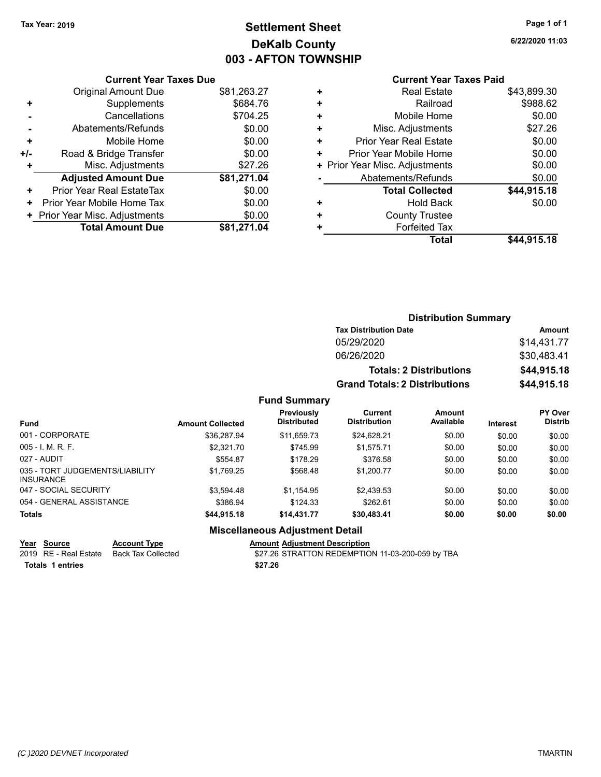### **Settlement Sheet Tax Year: 2019 Page 1 of 1 DeKalb County 003 - AFTON TOWNSHIP**

**6/22/2020 11:03**

|     | <b>Current Year Taxes Due</b>  |             |
|-----|--------------------------------|-------------|
|     | <b>Original Amount Due</b>     | \$81,263.27 |
| ÷   | Supplements                    | \$684.76    |
|     | Cancellations                  | \$704.25    |
|     | Abatements/Refunds             | \$0.00      |
| ٠   | Mobile Home                    | \$0.00      |
| +/- | Road & Bridge Transfer         | \$0.00      |
| ÷   | Misc. Adjustments              | \$27.26     |
|     | <b>Adjusted Amount Due</b>     | \$81,271.04 |
| ٠   | Prior Year Real EstateTax      | \$0.00      |
|     | Prior Year Mobile Home Tax     | \$0.00      |
|     | + Prior Year Misc. Adjustments | \$0.00      |
|     | <b>Total Amount Due</b>        | \$81,271.04 |
|     |                                |             |

### **Current Year Taxes Paid**

| ٠ | <b>Real Estate</b>             | \$43,899.30 |
|---|--------------------------------|-------------|
| ٠ | Railroad                       | \$988.62    |
| ٠ | Mobile Home                    | \$0.00      |
| ٠ | Misc. Adjustments              | \$27.26     |
| ٠ | <b>Prior Year Real Estate</b>  | \$0.00      |
| ٠ | Prior Year Mobile Home         | \$0.00      |
|   | + Prior Year Misc. Adjustments | \$0.00      |
|   | Abatements/Refunds             | \$0.00      |
|   | <b>Total Collected</b>         | \$44,915.18 |
| ٠ | <b>Hold Back</b>               | \$0.00      |
| ٠ | <b>County Trustee</b>          |             |
| ٠ | <b>Forfeited Tax</b>           |             |
|   | Total                          | \$44,915.18 |
|   |                                |             |

### **Distribution Summary Tax Distribution Date Amount** 05/29/2020 \$14,431.77 06/26/2020 \$30,483.41 **Totals: 2 Distributions \$44,915.18 Grand Totals: 2 Distributions \$44,915.18**

#### **Fund Summary**

| <b>Fund</b>                                         | <b>Amount Collected</b> | <b>Previously</b><br><b>Distributed</b> | Current<br><b>Distribution</b> | <b>Amount</b><br>Available | <b>Interest</b> | PY Over<br><b>Distrib</b> |
|-----------------------------------------------------|-------------------------|-----------------------------------------|--------------------------------|----------------------------|-----------------|---------------------------|
| 001 - CORPORATE                                     | \$36,287.94             | \$11.659.73                             | \$24.628.21                    | \$0.00                     | \$0.00          | \$0.00                    |
| $005 - 1$ , M, R, F,                                | \$2,321.70              | \$745.99                                | \$1,575.71                     | \$0.00                     | \$0.00          | \$0.00                    |
| 027 - AUDIT                                         | \$554.87                | \$178.29                                | \$376.58                       | \$0.00                     | \$0.00          | \$0.00                    |
| 035 - TORT JUDGEMENTS/LIABILITY<br><b>INSURANCE</b> | \$1.769.25              | \$568.48                                | \$1.200.77                     | \$0.00                     | \$0.00          | \$0.00                    |
| 047 - SOCIAL SECURITY                               | \$3.594.48              | \$1.154.95                              | \$2.439.53                     | \$0.00                     | \$0.00          | \$0.00                    |
| 054 - GENERAL ASSISTANCE                            | \$386.94                | \$124.33                                | \$262.61                       | \$0.00                     | \$0.00          | \$0.00                    |
| <b>Totals</b>                                       | \$44,915.18             | \$14,431.77                             | \$30,483.41                    | \$0.00                     | \$0.00          | \$0.00                    |

#### **Miscellaneous Adjustment Detail**

#### **Year Source Account Type AMOU AMOUSE AMOUSE Adjustment Description**

**Totals \$27.26 1 entries**

2019 RE - Real Estate Back Tax Collected \$27.26 STRATTON REDEMPTION 11-03-200-059 by TBA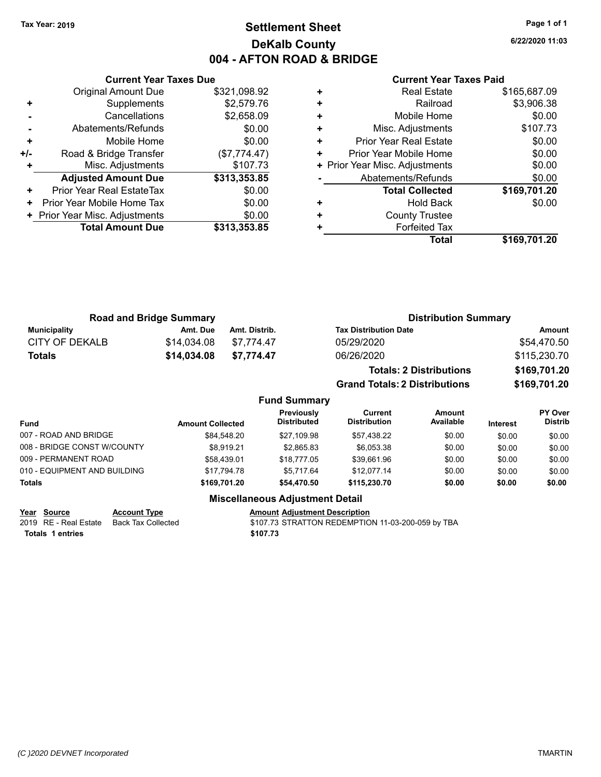### **Settlement Sheet Tax Year: 2019 Page 1 of 1 DeKalb County 004 - AFTON ROAD & BRIDGE**

**6/22/2020 11:03**

#### **Current Year Taxes Paid**

|       | <b>Original Amount Due</b>     | \$321,098.92 |
|-------|--------------------------------|--------------|
| ٠     | Supplements                    | \$2,579.76   |
|       | Cancellations                  | \$2,658.09   |
|       | Abatements/Refunds             | \$0.00       |
| ٠     | Mobile Home                    | \$0.00       |
| $+/-$ | Road & Bridge Transfer         | (\$7,774.47) |
|       | Misc. Adjustments              | \$107.73     |
|       | <b>Adjusted Amount Due</b>     | \$313,353.85 |
| ÷     | Prior Year Real EstateTax      | \$0.00       |
| ٠     | Prior Year Mobile Home Tax     | \$0.00       |
|       | + Prior Year Misc. Adjustments | \$0.00       |
|       | <b>Total Amount Due</b>        | \$313,353.85 |
|       |                                |              |

**Current Year Taxes Due**

| <b>Real Estate</b>             | \$165,687.09 |
|--------------------------------|--------------|
| Railroad                       | \$3,906.38   |
| Mobile Home                    | \$0.00       |
| Misc. Adjustments              | \$107.73     |
| <b>Prior Year Real Estate</b>  | \$0.00       |
| Prior Year Mobile Home         | \$0.00       |
| + Prior Year Misc. Adjustments | \$0.00       |
| Abatements/Refunds             | \$0.00       |
| <b>Total Collected</b>         | \$169,701.20 |
| <b>Hold Back</b>               | \$0.00       |
| <b>County Trustee</b>          |              |
| <b>Forfeited Tax</b>           |              |
| Total                          | \$169,701.20 |
|                                |              |

| <b>Road and Bridge Summary</b> |             |               | <b>Distribution Summary</b>    |              |  |
|--------------------------------|-------------|---------------|--------------------------------|--------------|--|
| <b>Municipality</b>            | Amt. Due    | Amt. Distrib. | <b>Tax Distribution Date</b>   | Amount       |  |
| CITY OF DEKALB                 | \$14.034.08 | \$7.774.47    | 05/29/2020                     | \$54,470.50  |  |
| Totals                         | \$14.034.08 | \$7.774.47    | 06/26/2020                     | \$115,230.70 |  |
|                                |             |               | <b>Totals: 2 Distributions</b> | \$169,701.20 |  |

|                              |                         |                                         | <b>Grand Totals: 2 Distributions</b> |                            |                 | \$169,701.20                     |
|------------------------------|-------------------------|-----------------------------------------|--------------------------------------|----------------------------|-----------------|----------------------------------|
|                              |                         | <b>Fund Summary</b>                     |                                      |                            |                 |                                  |
| <b>Fund</b>                  | <b>Amount Collected</b> | <b>Previously</b><br><b>Distributed</b> | Current<br><b>Distribution</b>       | <b>Amount</b><br>Available | <b>Interest</b> | <b>PY Over</b><br><b>Distrib</b> |
| 007 - ROAD AND BRIDGE        | \$84.548.20             | \$27,109.98                             | \$57,438.22                          | \$0.00                     | \$0.00          | \$0.00                           |
| 008 - BRIDGE CONST W/COUNTY  | \$8.919.21              | \$2,865.83                              | \$6.053.38                           | \$0.00                     | \$0.00          | \$0.00                           |
| 009 - PERMANENT ROAD         | \$58.439.01             | \$18,777.05                             | \$39.661.96                          | \$0.00                     | \$0.00          | \$0.00                           |
| 010 - EQUIPMENT AND BUILDING | \$17.794.78             | \$5.717.64                              | \$12.077.14                          | \$0.00                     | \$0.00          | \$0.00                           |
| <b>Totals</b>                | \$169,701.20            | \$54,470.50                             | \$115,230.70                         | \$0.00                     | \$0.00          | \$0.00                           |
|                              |                         | Missellanessen Adioatorist Datall       |                                      |                            |                 |                                  |

#### **Miscellaneous Adjustment Detail**

**Year Source Account Type Account Type Amount Adjustment Description**<br>2019 RE - Real Estate Back Tax Collected \$107.73 STRATTON REDEMPTIO **Totals 1 entries** \$107.73

\$107.73 STRATTON REDEMPTION 11-03-200-059 by TBA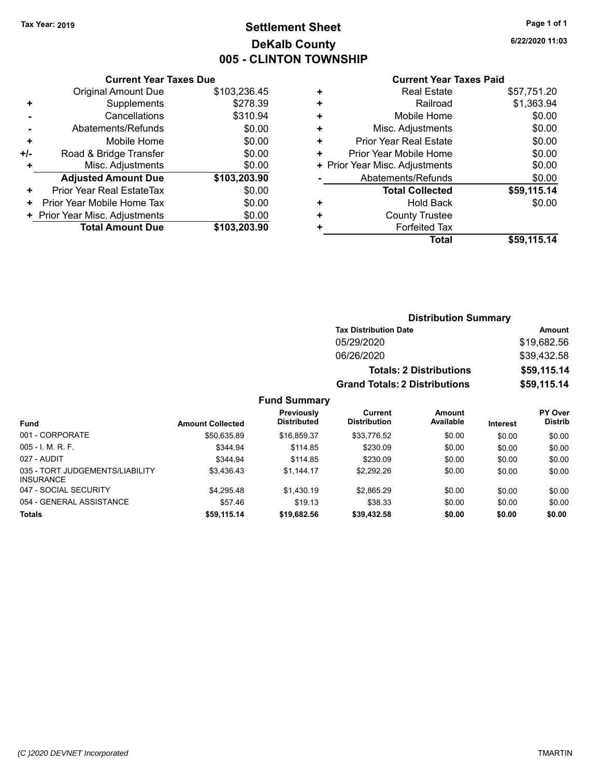### **Settlement Sheet Tax Year: 2019 Page 1 of 1 DeKalb County 005 - CLINTON TOWNSHIP**

**6/22/2020 11:03**

#### **Current Year Taxes Paid**

|       | <b>Current Year Taxes Due</b>  |              |
|-------|--------------------------------|--------------|
|       | <b>Original Amount Due</b>     | \$103,236.45 |
| ٠     | Supplements                    | \$278.39     |
|       | Cancellations                  | \$310.94     |
|       | Abatements/Refunds             | \$0.00       |
| ٠     | Mobile Home                    | \$0.00       |
| $+/-$ | Road & Bridge Transfer         | \$0.00       |
| ٠     | Misc. Adjustments              | \$0.00       |
|       | <b>Adjusted Amount Due</b>     | \$103,203.90 |
| ÷     | Prior Year Real EstateTax      | \$0.00       |
| ٠     | Prior Year Mobile Home Tax     | \$0.00       |
|       | + Prior Year Misc. Adjustments | \$0.00       |
|       | <b>Total Amount Due</b>        | \$103,203.90 |
|       |                                |              |

| \$1,363.94<br>Railroad<br>٠              |  |
|------------------------------------------|--|
|                                          |  |
| \$0.00<br>Mobile Home<br>٠               |  |
| \$0.00<br>Misc. Adjustments<br>٠         |  |
| \$0.00<br>Prior Year Real Estate<br>٠    |  |
| \$0.00<br>Prior Year Mobile Home<br>٠    |  |
| \$0.00<br>+ Prior Year Misc. Adjustments |  |
| \$0.00<br>Abatements/Refunds             |  |
| \$59,115.14<br><b>Total Collected</b>    |  |
| \$0.00<br><b>Hold Back</b><br>٠          |  |
| <b>County Trustee</b><br>٠               |  |
| <b>Forfeited Tax</b><br>٠                |  |
| \$59,115.14<br>Total                     |  |

### **Distribution Summary Tax Distribution Date Amount** 05/29/2020 \$19,682.56 06/26/2020 \$39,432.58 **Totals: 2 Distributions \$59,115.14 Grand Totals: 2 Distributions \$59,115.14**

#### **Fund Summary**

| <b>Fund</b>                                         | <b>Amount Collected</b> | Previously<br><b>Distributed</b> | Current<br><b>Distribution</b> | Amount<br>Available | <b>Interest</b> | PY Over<br><b>Distrib</b> |
|-----------------------------------------------------|-------------------------|----------------------------------|--------------------------------|---------------------|-----------------|---------------------------|
| 001 - CORPORATE                                     | \$50.635.89             | \$16,859.37                      | \$33.776.52                    | \$0.00              | \$0.00          | \$0.00                    |
| $005 - I. M. R. F.$                                 | \$344.94                | \$114.85                         | \$230.09                       | \$0.00              | \$0.00          | \$0.00                    |
| 027 - AUDIT                                         | \$344.94                | \$114.85                         | \$230.09                       | \$0.00              | \$0.00          | \$0.00                    |
| 035 - TORT JUDGEMENTS/LIABILITY<br><b>INSURANCE</b> | \$3.436.43              | \$1.144.17                       | \$2,292.26                     | \$0.00              | \$0.00          | \$0.00                    |
| 047 - SOCIAL SECURITY                               | \$4.295.48              | \$1.430.19                       | \$2.865.29                     | \$0.00              | \$0.00          | \$0.00                    |
| 054 - GENERAL ASSISTANCE                            | \$57.46                 | \$19.13                          | \$38.33                        | \$0.00              | \$0.00          | \$0.00                    |
| <b>Totals</b>                                       | \$59,115.14             | \$19,682.56                      | \$39,432.58                    | \$0.00              | \$0.00          | \$0.00                    |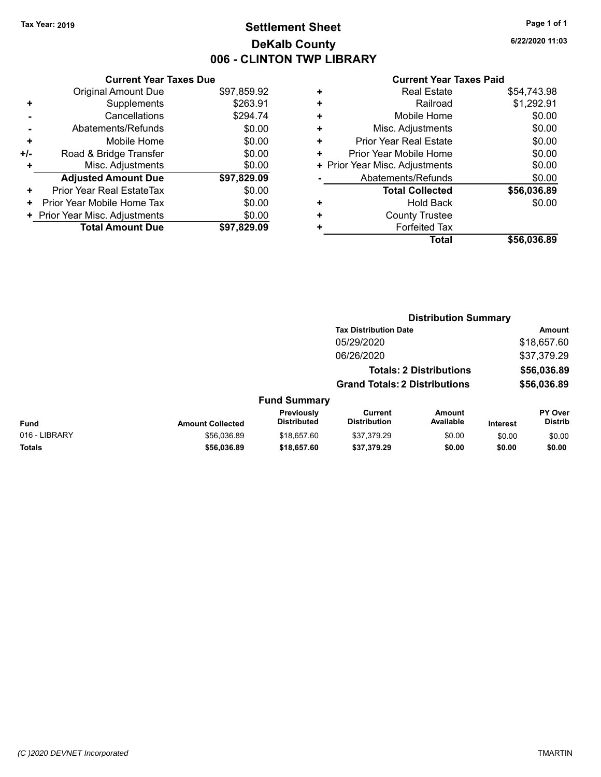### **Settlement Sheet Tax Year: 2019 Page 1 of 1 DeKalb County 006 - CLINTON TWP LIBRARY**

**6/22/2020 11:03**

|     | <b>Current Year Taxes Due</b>  |             |
|-----|--------------------------------|-------------|
|     | <b>Original Amount Due</b>     | \$97,859.92 |
| ٠   | Supplements                    | \$263.91    |
|     | Cancellations                  | \$294.74    |
|     | Abatements/Refunds             | \$0.00      |
| ٠   | Mobile Home                    | \$0.00      |
| +/- | Road & Bridge Transfer         | \$0.00      |
| ٠   | Misc. Adjustments              | \$0.00      |
|     | <b>Adjusted Amount Due</b>     | \$97,829.09 |
| ÷   | Prior Year Real EstateTax      | \$0.00      |
| ٠   | Prior Year Mobile Home Tax     | \$0.00      |
|     | + Prior Year Misc. Adjustments | \$0.00      |
|     | <b>Total Amount Due</b>        | \$97,829.09 |
|     |                                |             |

| ٠ | <b>Real Estate</b>             | \$54,743.98 |
|---|--------------------------------|-------------|
| ٠ | Railroad                       | \$1,292.91  |
| ٠ | Mobile Home                    | \$0.00      |
| ٠ | Misc. Adjustments              | \$0.00      |
| ÷ | <b>Prior Year Real Estate</b>  | \$0.00      |
| ٠ | Prior Year Mobile Home         | \$0.00      |
|   | + Prior Year Misc. Adjustments | \$0.00      |
|   | Abatements/Refunds             | \$0.00      |
|   | <b>Total Collected</b>         | \$56,036.89 |
| ٠ | <b>Hold Back</b>               | \$0.00      |
| + | <b>County Trustee</b>          |             |
| ٠ | <b>Forfeited Tax</b>           |             |
|   | Total                          | \$56,036.89 |

|               |                         |                                  | <b>Distribution Summary</b>           |                                |                 |                           |
|---------------|-------------------------|----------------------------------|---------------------------------------|--------------------------------|-----------------|---------------------------|
|               |                         |                                  | <b>Tax Distribution Date</b>          |                                |                 | <b>Amount</b>             |
|               |                         |                                  | 05/29/2020                            |                                |                 | \$18,657.60               |
|               |                         |                                  | 06/26/2020                            |                                |                 | \$37,379.29               |
|               |                         |                                  |                                       | <b>Totals: 2 Distributions</b> |                 | \$56,036.89               |
|               |                         |                                  | <b>Grand Totals: 2 Distributions</b>  |                                |                 | \$56,036.89               |
|               |                         | <b>Fund Summary</b>              |                                       |                                |                 |                           |
| <b>Fund</b>   | <b>Amount Collected</b> | Previously<br><b>Distributed</b> | <b>Current</b><br><b>Distribution</b> | <b>Amount</b><br>Available     | <b>Interest</b> | PY Over<br><b>Distrib</b> |
| 016 - LIBRARY | \$56,036.89             | \$18,657.60                      | \$37,379.29                           | \$0.00                         | \$0.00          | \$0.00                    |
| <b>Totals</b> | \$56,036.89             | \$18,657.60                      | \$37,379.29                           | \$0.00                         | \$0.00          | \$0.00                    |
|               |                         |                                  |                                       |                                |                 |                           |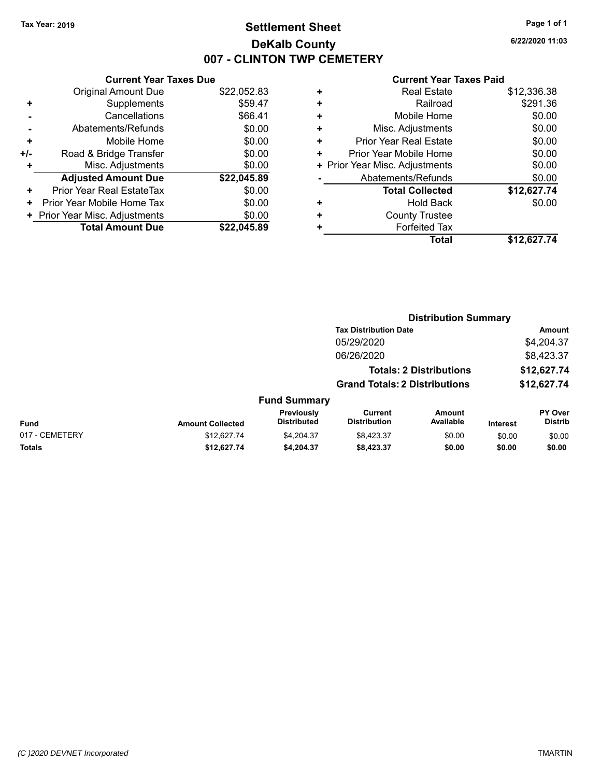### **Settlement Sheet Tax Year: 2019 Page 1 of 1 DeKalb County 007 - CLINTON TWP CEMETERY**

**6/22/2020 11:03**

| <b>Original Amount Due</b> | \$22,052.83                                                     |
|----------------------------|-----------------------------------------------------------------|
| Supplements                | \$59.47                                                         |
| Cancellations              | \$66.41                                                         |
| Abatements/Refunds         | \$0.00                                                          |
| Mobile Home                | \$0.00                                                          |
| Road & Bridge Transfer     | \$0.00                                                          |
| Misc. Adjustments          | \$0.00                                                          |
| <b>Adjusted Amount Due</b> | \$22,045.89                                                     |
| Prior Year Real EstateTax  | \$0.00                                                          |
| Prior Year Mobile Home Tax | \$0.00                                                          |
|                            | \$0.00                                                          |
| <b>Total Amount Due</b>    |                                                                 |
|                            | <b>Current Year Taxes Due</b><br>+ Prior Year Misc. Adjustments |

|   | <b>Real Estate</b>             | \$12,336.38 |
|---|--------------------------------|-------------|
| ÷ | Railroad                       | \$291.36    |
| ٠ | Mobile Home                    | \$0.00      |
| ٠ | Misc. Adjustments              | \$0.00      |
| ٠ | <b>Prior Year Real Estate</b>  | \$0.00      |
| ٠ | Prior Year Mobile Home         | \$0.00      |
|   | + Prior Year Misc. Adjustments | \$0.00      |
|   | Abatements/Refunds             | \$0.00      |
|   | <b>Total Collected</b>         | \$12,627.74 |
| ٠ | <b>Hold Back</b>               | \$0.00      |
| ٠ | <b>County Trustee</b>          |             |
| ٠ | <b>Forfeited Tax</b>           |             |
|   | Total                          | \$12,627.74 |
|   |                                |             |

|                |                         |                                  | <b>Distribution Summary</b>           |                                |                 |                           |
|----------------|-------------------------|----------------------------------|---------------------------------------|--------------------------------|-----------------|---------------------------|
|                |                         |                                  | <b>Tax Distribution Date</b>          |                                |                 | <b>Amount</b>             |
|                |                         |                                  | 05/29/2020                            |                                |                 | \$4,204.37                |
|                |                         |                                  | 06/26/2020                            |                                |                 | \$8,423.37                |
|                |                         |                                  |                                       | <b>Totals: 2 Distributions</b> |                 | \$12,627.74               |
|                |                         |                                  | <b>Grand Totals: 2 Distributions</b>  |                                |                 | \$12,627.74               |
|                |                         | <b>Fund Summary</b>              |                                       |                                |                 |                           |
| <b>Fund</b>    | <b>Amount Collected</b> | Previously<br><b>Distributed</b> | <b>Current</b><br><b>Distribution</b> | Amount<br>Available            | <b>Interest</b> | PY Over<br><b>Distrib</b> |
| 017 - CEMETERY | \$12.627.74             | \$4.204.37                       | \$8.423.37                            | \$0.00                         | \$0.00          | \$0.00                    |
| <b>Totals</b>  | \$12,627.74             | \$4,204.37                       | \$8,423.37                            | \$0.00                         | \$0.00          | \$0.00                    |
|                |                         |                                  |                                       |                                |                 |                           |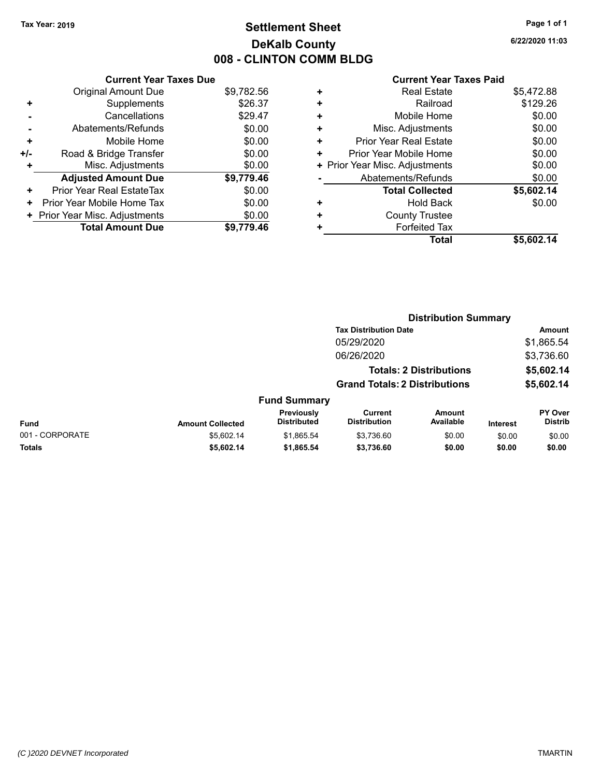### **Settlement Sheet Tax Year: 2019 Page 1 of 1 DeKalb County 008 - CLINTON COMM BLDG**

**6/22/2020 11:03**

|     | <b>Current Year Taxes Due</b>  |            |
|-----|--------------------------------|------------|
|     | <b>Original Amount Due</b>     | \$9,782.56 |
| ٠   | Supplements                    | \$26.37    |
|     | Cancellations                  | \$29.47    |
|     | Abatements/Refunds             | \$0.00     |
| ٠   | Mobile Home                    | \$0.00     |
| +/- | Road & Bridge Transfer         | \$0.00     |
| ٠   | Misc. Adjustments              | \$0.00     |
|     | <b>Adjusted Amount Due</b>     | \$9,779.46 |
| ٠   | Prior Year Real EstateTax      | \$0.00     |
| ٠   | Prior Year Mobile Home Tax     | \$0.00     |
|     | + Prior Year Misc. Adjustments | \$0.00     |
|     | <b>Total Amount Due</b>        | \$9,779.46 |

| ٠ | <b>Real Estate</b>             | \$5,472.88 |
|---|--------------------------------|------------|
| ٠ | Railroad                       | \$129.26   |
| ÷ | Mobile Home                    | \$0.00     |
| ٠ | Misc. Adjustments              | \$0.00     |
| ٠ | <b>Prior Year Real Estate</b>  | \$0.00     |
| ٠ | Prior Year Mobile Home         | \$0.00     |
|   | + Prior Year Misc. Adjustments | \$0.00     |
|   | Abatements/Refunds             | \$0.00     |
|   | <b>Total Collected</b>         | \$5,602.14 |
| ٠ | Hold Back                      | \$0.00     |
| ٠ | <b>County Trustee</b>          |            |
| ٠ | <b>Forfeited Tax</b>           |            |
|   | Total                          | \$5,602.14 |
|   |                                |            |

|                 |                         |                                  | <b>Distribution Summary</b>           |                                |                 |                           |  |
|-----------------|-------------------------|----------------------------------|---------------------------------------|--------------------------------|-----------------|---------------------------|--|
|                 |                         |                                  | <b>Tax Distribution Date</b>          |                                |                 | <b>Amount</b>             |  |
|                 |                         |                                  | 05/29/2020                            |                                |                 | \$1,865.54                |  |
|                 |                         |                                  | 06/26/2020                            |                                |                 | \$3,736.60                |  |
|                 |                         |                                  |                                       | <b>Totals: 2 Distributions</b> |                 | \$5,602.14                |  |
|                 |                         |                                  | <b>Grand Totals: 2 Distributions</b>  |                                |                 | \$5,602.14                |  |
|                 |                         | <b>Fund Summary</b>              |                                       |                                |                 |                           |  |
| <b>Fund</b>     | <b>Amount Collected</b> | Previously<br><b>Distributed</b> | <b>Current</b><br><b>Distribution</b> | Amount<br>Available            | <b>Interest</b> | PY Over<br><b>Distrib</b> |  |
| 001 - CORPORATE | \$5.602.14              | \$1,865.54                       | \$3.736.60                            | \$0.00                         | \$0.00          | \$0.00                    |  |
| <b>Totals</b>   | \$5,602.14              | \$1,865.54                       | \$3,736.60                            | \$0.00                         | \$0.00          | \$0.00                    |  |
|                 |                         |                                  |                                       |                                |                 |                           |  |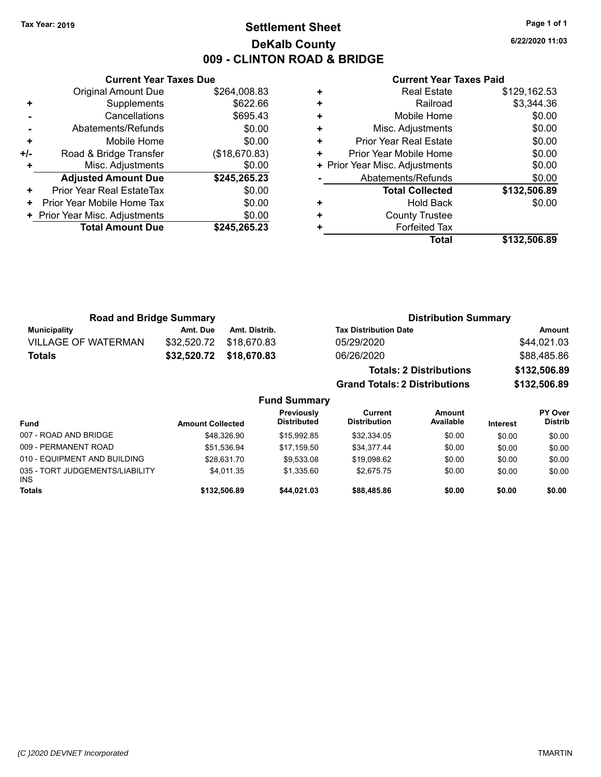### **Settlement Sheet Tax Year: 2019 Page 1 of 1 DeKalb County 009 - CLINTON ROAD & BRIDGE**

**6/22/2020 11:03**

|     | <b>Current Year Taxes Due</b> |               |
|-----|-------------------------------|---------------|
|     | <b>Original Amount Due</b>    | \$264,008.83  |
| ٠   | Supplements                   | \$622.66      |
|     | Cancellations                 | \$695.43      |
|     | Abatements/Refunds            | \$0.00        |
| ٠   | Mobile Home                   | \$0.00        |
| +/- | Road & Bridge Transfer        | (\$18,670.83) |
|     | Misc. Adjustments             | \$0.00        |
|     | <b>Adjusted Amount Due</b>    | \$245,265.23  |
| ٠   | Prior Year Real EstateTax     | \$0.00        |
| ٠   | Prior Year Mobile Home Tax    | \$0.00        |
|     | Prior Year Misc. Adjustments  | \$0.00        |
|     | <b>Total Amount Due</b>       | \$245.265.23  |
|     |                               |               |

|   | <b>Real Estate</b>             | \$129,162.53 |
|---|--------------------------------|--------------|
| ÷ | Railroad                       | \$3,344.36   |
| ٠ | Mobile Home                    | \$0.00       |
| ٠ | Misc. Adjustments              | \$0.00       |
| ٠ | <b>Prior Year Real Estate</b>  | \$0.00       |
| ٠ | Prior Year Mobile Home         | \$0.00       |
|   | + Prior Year Misc. Adjustments | \$0.00       |
|   | Abatements/Refunds             | \$0.00       |
|   | <b>Total Collected</b>         | \$132,506.89 |
| ٠ | <b>Hold Back</b>               | \$0.00       |
| ٠ | <b>County Trustee</b>          |              |
| ٠ | <b>Forfeited Tax</b>           |              |
|   | <b>Total</b>                   | \$132,506.89 |

| <b>Road and Bridge Summary</b> |             |                     | <b>Distribution Summary</b>          |              |
|--------------------------------|-------------|---------------------|--------------------------------------|--------------|
| <b>Municipality</b>            | Amt. Due    | Amt. Distrib.       | <b>Tax Distribution Date</b>         | Amount       |
| <b>VILLAGE OF WATERMAN</b>     | \$32,520.72 | \$18.670.83         | 05/29/2020                           | \$44,021.03  |
| Totals                         | \$32,520.72 | \$18,670.83         | 06/26/2020                           | \$88,485.86  |
|                                |             |                     | <b>Totals: 2 Distributions</b>       | \$132,506.89 |
|                                |             |                     | <b>Grand Totals: 2 Distributions</b> | \$132,506.89 |
|                                |             | <b>Fund Summary</b> |                                      |              |
|                                |             |                     |                                      |              |

| Fund                                          | <b>Amount Collected</b> | Previously<br><b>Distributed</b> | Current<br><b>Distribution</b> | Amount<br>Available | Interest | <b>PY Over</b><br><b>Distrib</b> |
|-----------------------------------------------|-------------------------|----------------------------------|--------------------------------|---------------------|----------|----------------------------------|
| 007 - ROAD AND BRIDGE                         | \$48,326.90             | \$15.992.85                      | \$32,334.05                    | \$0.00              | \$0.00   | \$0.00                           |
| 009 - PERMANENT ROAD                          | \$51.536.94             | \$17.159.50                      | \$34.377.44                    | \$0.00              | \$0.00   | \$0.00                           |
| 010 - EQUIPMENT AND BUILDING                  | \$28.631.70             | \$9.533.08                       | \$19,098.62                    | \$0.00              | \$0.00   | \$0.00                           |
| 035 - TORT JUDGEMENTS/LIABILITY<br><b>INS</b> | \$4.011.35              | \$1.335.60                       | \$2.675.75                     | \$0.00              | \$0.00   | \$0.00                           |
| <b>Totals</b>                                 | \$132,506.89            | \$44.021.03                      | \$88,485.86                    | \$0.00              | \$0.00   | \$0.00                           |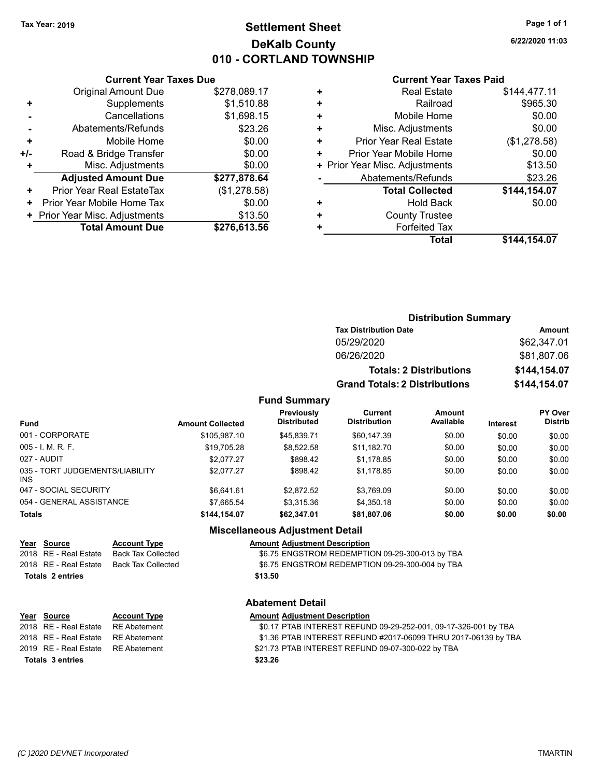### **Settlement Sheet Tax Year: 2019 Page 1 of 1 DeKalb County 010 - CORTLAND TOWNSHIP**

**6/22/2020 11:03**

#### **Current Year Taxes Paid**

|     | <b>Original Amount Due</b>       | \$278,089.17 |
|-----|----------------------------------|--------------|
| ٠   | Supplements                      | \$1,510.88   |
|     | Cancellations                    | \$1,698.15   |
|     | Abatements/Refunds               | \$23.26      |
| ٠   | Mobile Home                      | \$0.00       |
| +/- | Road & Bridge Transfer           | \$0.00       |
| ٠   | Misc. Adjustments                | \$0.00       |
|     | <b>Adjusted Amount Due</b>       | \$277,878.64 |
| ٠   | <b>Prior Year Real EstateTax</b> | (\$1,278.58) |
|     | Prior Year Mobile Home Tax       | \$0.00       |
|     | + Prior Year Misc. Adjustments   | \$13.50      |
|     | <b>Total Amount Due</b>          | \$276,613.56 |
|     |                                  |              |

**Current Year Taxes Due**

| ٠ | <b>Real Estate</b>             | \$144,477.11 |
|---|--------------------------------|--------------|
| ٠ | Railroad                       | \$965.30     |
| ٠ | Mobile Home                    | \$0.00       |
| ٠ | Misc. Adjustments              | \$0.00       |
| ٠ | <b>Prior Year Real Estate</b>  | (\$1,278.58) |
| ٠ | Prior Year Mobile Home         | \$0.00       |
|   | + Prior Year Misc. Adjustments | \$13.50      |
|   | Abatements/Refunds             | \$23.26      |
|   | <b>Total Collected</b>         | \$144,154.07 |
| ٠ | <b>Hold Back</b>               | \$0.00       |
| ٠ | <b>County Trustee</b>          |              |
| ٠ | <b>Forfeited Tax</b>           |              |
|   | Total                          | \$144,154.07 |
|   |                                |              |

| <b>Distribution Summary</b>          |              |
|--------------------------------------|--------------|
| <b>Tax Distribution Date</b>         | Amount       |
| 05/29/2020                           | \$62,347.01  |
| 06/26/2020                           | \$81,807.06  |
| <b>Totals: 2 Distributions</b>       | \$144,154.07 |
| <b>Grand Totals: 2 Distributions</b> | \$144,154.07 |

#### **Fund Summary**

| <b>Fund</b>                             | <b>Amount Collected</b> | Previously<br><b>Distributed</b> | Current<br><b>Distribution</b> | Amount<br>Available | <b>Interest</b> | <b>PY Over</b><br><b>Distrib</b> |
|-----------------------------------------|-------------------------|----------------------------------|--------------------------------|---------------------|-----------------|----------------------------------|
| 001 - CORPORATE                         | \$105.987.10            | \$45.839.71                      | \$60,147.39                    | \$0.00              | \$0.00          | \$0.00                           |
| 005 - I. M. R. F.                       | \$19,705.28             | \$8.522.58                       | \$11,182.70                    | \$0.00              | \$0.00          | \$0.00                           |
| 027 - AUDIT                             | \$2.077.27              | \$898.42                         | \$1,178.85                     | \$0.00              | \$0.00          | \$0.00                           |
| 035 - TORT JUDGEMENTS/LIABILITY<br>INS. | \$2.077.27              | \$898.42                         | \$1,178.85                     | \$0.00              | \$0.00          | \$0.00                           |
| 047 - SOCIAL SECURITY                   | \$6.641.61              | \$2.872.52                       | \$3,769.09                     | \$0.00              | \$0.00          | \$0.00                           |
| 054 - GENERAL ASSISTANCE                | \$7,665.54              | \$3.315.36                       | \$4,350.18                     | \$0.00              | \$0.00          | \$0.00                           |
| <b>Totals</b>                           | \$144,154.07            | \$62,347.01                      | \$81,807.06                    | \$0.00              | \$0.00          | \$0.00                           |

#### **Miscellaneous Adjustment Detail**

| Year Source           | <b>Account Type</b> | <b>Amount Adjustment Description</b>            |
|-----------------------|---------------------|-------------------------------------------------|
| 2018 RE - Real Estate | Back Tax Collected  | \$6.75 ENGSTROM REDEMPTION 09-29-300-013 by TBA |
| 2018 RE - Real Estate | Back Tax Collected  | \$6.75 ENGSTROM REDEMPTION 09-29-300-004 by TBA |
| Totals 2 entries      |                     | \$13.50                                         |

#### **Abatement Detail**

#### **Year Source Account Type Amount Adjustment Description** \$0.17 PTAB INTEREST REFUND 09-29-252-001, 09-17-326-001 by TBA 2018 RE - Real Estate RE Abatement \$1.36 PTAB INTEREST REFUND #2017-06099 THRU 2017-06139 by TBA 2019 RE - Real Estate RE Abatement \$21.73 PTAB INTEREST REFUND 09-07-300-022 by TBA **Totals \$23.26 3 entries**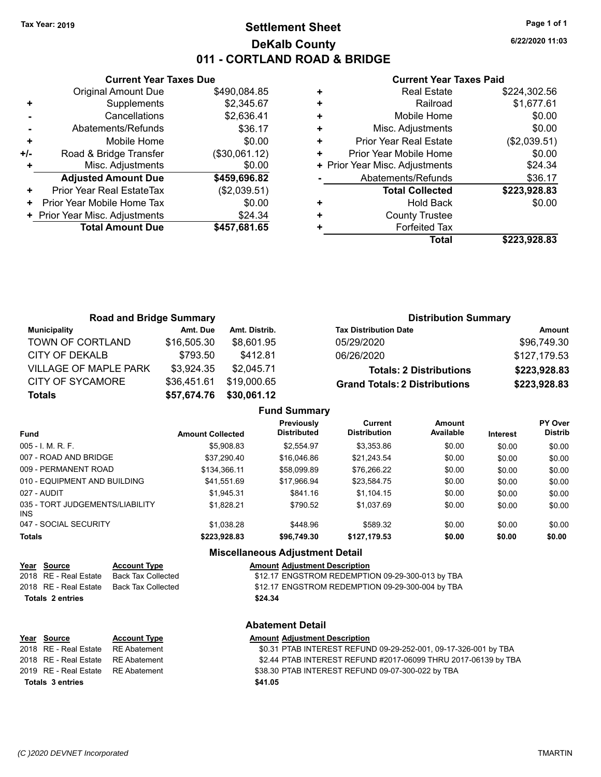### **Settlement Sheet Tax Year: 2019 Page 1 of 1 DeKalb County 011 - CORTLAND ROAD & BRIDGE**

**6/22/2020 11:03**

#### **Current Year Taxes Paid**

|     | <b>Current Year Taxes Due</b>  |               |
|-----|--------------------------------|---------------|
|     | <b>Original Amount Due</b>     | \$490,084.85  |
| ٠   | Supplements                    | \$2,345.67    |
|     | Cancellations                  | \$2,636.41    |
| -   | Abatements/Refunds             | \$36.17       |
| ٠   | Mobile Home                    | \$0.00        |
| +/- | Road & Bridge Transfer         | (\$30,061.12) |
|     | Misc. Adjustments              | \$0.00        |
|     | <b>Adjusted Amount Due</b>     | \$459,696.82  |
| ÷   | Prior Year Real EstateTax      | (\$2,039.51)  |
| ٠   | Prior Year Mobile Home Tax     | \$0.00        |
|     | + Prior Year Misc. Adjustments | \$24.34       |
|     | <b>Total Amount Due</b>        | \$457,681.65  |
|     |                                |               |

|   | <b>Real Estate</b>             | \$224,302.56 |
|---|--------------------------------|--------------|
| ٠ | Railroad                       | \$1,677.61   |
| ÷ | Mobile Home                    | \$0.00       |
| ٠ | Misc. Adjustments              | \$0.00       |
| ٠ | <b>Prior Year Real Estate</b>  | (\$2,039.51) |
| ٠ | Prior Year Mobile Home         | \$0.00       |
|   | + Prior Year Misc. Adjustments | \$24.34      |
|   | Abatements/Refunds             | \$36.17      |
|   | <b>Total Collected</b>         | \$223,928.83 |
| ٠ | <b>Hold Back</b>               | \$0.00       |
| ٠ | <b>County Trustee</b>          |              |
| ٠ | <b>Forfeited Tax</b>           |              |
|   | Total                          | \$223,928.83 |
|   |                                |              |

| <b>Road and Bridge Summary</b> |             |               | <b>Distribution Summary</b>          |              |
|--------------------------------|-------------|---------------|--------------------------------------|--------------|
| <b>Municipality</b>            | Amt. Due    | Amt. Distrib. | <b>Tax Distribution Date</b>         | Amount       |
| TOWN OF CORTLAND               | \$16,505.30 | \$8,601.95    | 05/29/2020                           | \$96,749.30  |
| CITY OF DEKALB                 | \$793.50    | \$412.81      | 06/26/2020                           | \$127,179.53 |
| VILLAGE OF MAPLE PARK          | \$3,924.35  | \$2,045.71    | <b>Totals: 2 Distributions</b>       | \$223,928.83 |
| CITY OF SYCAMORE               | \$36,451.61 | \$19,000.65   | <b>Grand Totals: 2 Distributions</b> | \$223,928.83 |
| <b>Totals</b>                  | \$57,674.76 | \$30,061.12   |                                      |              |

|                                         |                         | <b>Fund Summary</b>                     |                                       |                     |                 |                           |
|-----------------------------------------|-------------------------|-----------------------------------------|---------------------------------------|---------------------|-----------------|---------------------------|
| Fund                                    | <b>Amount Collected</b> | <b>Previously</b><br><b>Distributed</b> | <b>Current</b><br><b>Distribution</b> | Amount<br>Available | <b>Interest</b> | PY Over<br><b>Distrib</b> |
| 005 - I. M. R. F.                       | \$5.908.83              | \$2.554.97                              | \$3.353.86                            | \$0.00              | \$0.00          | \$0.00                    |
| 007 - ROAD AND BRIDGE.                  | \$37.290.40             | \$16,046.86                             | \$21.243.54                           | \$0.00              | \$0.00          | \$0.00                    |
| 009 - PERMANENT ROAD                    | \$134.366.11            | \$58,099.89                             | \$76.266.22                           | \$0.00              | \$0.00          | \$0.00                    |
| 010 - EQUIPMENT AND BUILDING            | \$41.551.69             | \$17.966.94                             | \$23.584.75                           | \$0.00              | \$0.00          | \$0.00                    |
| 027 - AUDIT                             | \$1.945.31              | \$841.16                                | \$1,104.15                            | \$0.00              | \$0.00          | \$0.00                    |
| 035 - TORT JUDGEMENTS/LIABILITY<br>INS. | \$1,828.21              | \$790.52                                | \$1,037.69                            | \$0.00              | \$0.00          | \$0.00                    |
| 047 - SOCIAL SECURITY                   | \$1.038.28              | \$448.96                                | \$589.32                              | \$0.00              | \$0.00          | \$0.00                    |
| <b>Totals</b>                           | \$223,928.83            | \$96.749.30                             | \$127,179.53                          | \$0.00              | \$0.00          | \$0.00                    |
|                                         | --- --                  | .                                       |                                       |                     |                 |                           |

#### **Miscellaneous Adjustment Detail**

#### **Year** Source **Account Type And Amount Adjustment Description**

2018 RE - Real Estate Back Tax Collected \$12.17 ENGSTROM REDEMPTION 09-29-300-013 by TBA 2018 RE - Real Estate Back Tax Collected \$12.17 ENGSTROM REDEMPTION 09-29-300-004 by TBA

#### **Totals \$24.34 2 entries**

| Year Source<br>2018 RE - Real Estate RE Abatement | <b>Account Type</b> | <b>Amount</b><br>\$0.31 |
|---------------------------------------------------|---------------------|-------------------------|
| 2018 RE - Real Estate RE Abatement                |                     | \$2.44                  |
| 2019 RE - Real Estate RE Abatement                |                     | \$38.30                 |
| Totals 3 entries                                  |                     | \$41.05                 |

### **Abatement Detail**

#### **PERRIPE ACCOUNTED MENU ACCOUNTED AMOUNT ADJUSTMENT DESCRIPTION** 2018 atement \$0.31 PTAB INTEREST REFUND 09-29-252-001, 09-17-326-001 by TBA atement **2018 REAL ESTATE STATE INTEREST REFUND #2017-06099 THRU 2017-06139 by TBA** 2019 Real Estatement 638.30 PTAB INTEREST REFUND 09-07-300-022 by TBA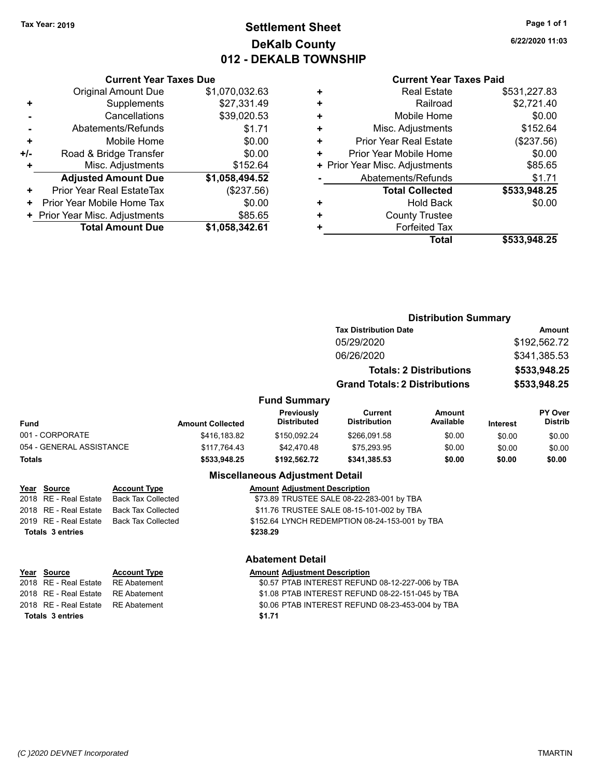### **Settlement Sheet Tax Year: 2019 Page 1 of 1 DeKalb County 012 - DEKALB TOWNSHIP**

**6/22/2020 11:03**

#### **Current Year Taxes Paid**

|       | <b>Current Year Taxes Due</b>  |                |
|-------|--------------------------------|----------------|
|       | <b>Original Amount Due</b>     | \$1,070,032.63 |
| ٠     | Supplements                    | \$27,331.49    |
|       | Cancellations                  | \$39,020.53    |
|       | Abatements/Refunds             | \$1.71         |
| ٠     | Mobile Home                    | \$0.00         |
| $+/-$ | Road & Bridge Transfer         | \$0.00         |
| ٠     | Misc. Adjustments              | \$152.64       |
|       | <b>Adjusted Amount Due</b>     | \$1,058,494.52 |
| ٠     | Prior Year Real EstateTax      | (\$237.56)     |
| ٠     | Prior Year Mobile Home Tax     | \$0.00         |
|       | + Prior Year Misc. Adjustments | \$85.65        |
|       | <b>Total Amount Due</b>        | \$1,058,342.61 |

|   | <b>Real Estate</b>             | \$531,227.83 |
|---|--------------------------------|--------------|
| ٠ | Railroad                       | \$2,721.40   |
| ٠ | Mobile Home                    | \$0.00       |
| ٠ | Misc. Adjustments              | \$152.64     |
| ٠ | <b>Prior Year Real Estate</b>  | (\$237.56)   |
| ٠ | Prior Year Mobile Home         | \$0.00       |
|   | + Prior Year Misc. Adjustments | \$85.65      |
|   | Abatements/Refunds             | \$1.71       |
|   | <b>Total Collected</b>         | \$533,948.25 |
| ٠ | <b>Hold Back</b>               | \$0.00       |
| ٠ | <b>County Trustee</b>          |              |
| ٠ | <b>Forfeited Tax</b>           |              |
|   | Total                          | \$533,948.25 |
|   |                                |              |

|                                         |                                                  |                         |                                        | <b>Distribution Summary</b>               |                                |          |                                  |  |
|-----------------------------------------|--------------------------------------------------|-------------------------|----------------------------------------|-------------------------------------------|--------------------------------|----------|----------------------------------|--|
|                                         |                                                  |                         |                                        | <b>Tax Distribution Date</b>              |                                |          | <b>Amount</b>                    |  |
|                                         |                                                  |                         |                                        | 05/29/2020                                |                                |          | \$192,562.72                     |  |
|                                         |                                                  |                         |                                        | 06/26/2020                                |                                |          | \$341,385.53                     |  |
|                                         |                                                  |                         |                                        |                                           | <b>Totals: 2 Distributions</b> |          | \$533,948.25                     |  |
|                                         |                                                  |                         |                                        | <b>Grand Totals: 2 Distributions</b>      |                                |          | \$533,948.25                     |  |
|                                         |                                                  |                         | <b>Fund Summary</b>                    |                                           |                                |          |                                  |  |
| <b>Fund</b>                             |                                                  | <b>Amount Collected</b> | Previously<br><b>Distributed</b>       | Current<br><b>Distribution</b>            | <b>Amount</b><br>Available     | Interest | <b>PY Over</b><br><b>Distrib</b> |  |
| 001 - CORPORATE                         |                                                  | \$416,183.82            | \$150.092.24                           | \$266,091.58                              | \$0.00                         | \$0.00   | \$0.00                           |  |
| 054 - GENERAL ASSISTANCE                |                                                  | \$117,764.43            | \$42,470.48                            | \$75,293.95                               | \$0.00                         | \$0.00   | \$0.00                           |  |
| <b>Totals</b>                           |                                                  | \$533,948.25            | \$192,562.72                           | \$341,385.53                              | \$0.00                         | \$0.00   | \$0.00                           |  |
|                                         |                                                  |                         | <b>Miscellaneous Adjustment Detail</b> |                                           |                                |          |                                  |  |
| Source<br>Year<br>2018 RE - Real Estate | <b>Account Type</b><br><b>Back Tax Collected</b> |                         | <b>Amount Adiustment Description</b>   | \$73.89 TRUSTEE SALE 08-22-283-001 by TBA |                                |          |                                  |  |

| Totals 3 entries |                                                | \$238.29                                       |
|------------------|------------------------------------------------|------------------------------------------------|
|                  | 2019   RE - Real Estate     Back Tax Collected | \$152.64 LYNCH REDEMPTION 08-24-153-001 by TBA |
|                  | 2018 RE - Real Estate Back Tax Collected       | \$11.76 TRUSTEE SALE 08-15-101-002 by TBA      |
|                  | 2018 RE - Real Estate Back Tax Collected       | \$73.89 TRUSTEE SALE 08-22-283-001 by TBA      |

### **Abatement Detail**

| Year Source                        | <b>Account Type</b> | <b>Amount Adjustment Description</b>             |
|------------------------------------|---------------------|--------------------------------------------------|
| 2018 RE - Real Estate RE Abatement |                     | \$0.57 PTAB INTEREST REFUND 08-12-227-006 by TBA |
| 2018 RE - Real Estate RE Abatement |                     | \$1.08 PTAB INTEREST REFUND 08-22-151-045 by TBA |
| 2018 RE - Real Estate RE Abatement |                     | \$0.06 PTAB INTEREST REFUND 08-23-453-004 by TBA |
| Totals 3 entries                   |                     | \$1.71                                           |
|                                    |                     |                                                  |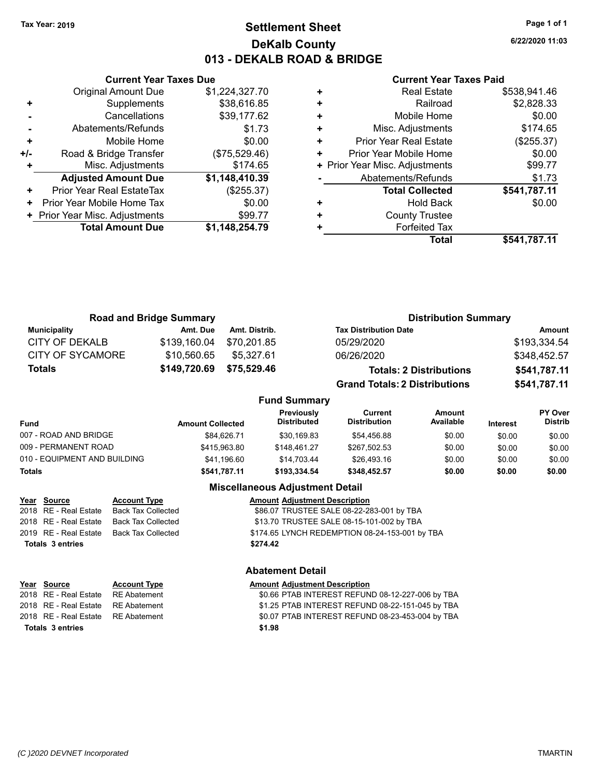### **Settlement Sheet Tax Year: 2019 Page 1 of 1 DeKalb County 013 - DEKALB ROAD & BRIDGE**

**6/22/2020 11:03**

#### **Current Year Taxes Paid**

|     | OGNOM TOUT TUACO DUC           |                |  |
|-----|--------------------------------|----------------|--|
|     | <b>Original Amount Due</b>     | \$1,224,327.70 |  |
| ٠   | Supplements                    | \$38,616.85    |  |
|     | Cancellations                  | \$39,177.62    |  |
|     | Abatements/Refunds             | \$1.73         |  |
| ٠   | Mobile Home                    | \$0.00         |  |
| +/- | Road & Bridge Transfer         | (\$75,529.46)  |  |
| ٠   | Misc. Adjustments              | \$174.65       |  |
|     | <b>Adjusted Amount Due</b>     | \$1,148,410.39 |  |
| ٠   | Prior Year Real EstateTax      | (\$255.37)     |  |
| ٠   | Prior Year Mobile Home Tax     | \$0.00         |  |
|     | + Prior Year Misc. Adjustments | \$99.77        |  |
|     | <b>Total Amount Due</b>        | \$1,148,254.79 |  |
|     |                                |                |  |

**Current Year Taxes Due**

| ٠ | <b>Real Estate</b>             | \$538,941.46 |
|---|--------------------------------|--------------|
| ٠ | Railroad                       | \$2,828.33   |
| ÷ | Mobile Home                    | \$0.00       |
| ٠ | Misc. Adjustments              | \$174.65     |
| ٠ | <b>Prior Year Real Estate</b>  | (\$255.37)   |
| ٠ | Prior Year Mobile Home         | \$0.00       |
|   | + Prior Year Misc. Adjustments | \$99.77      |
|   | Abatements/Refunds             | \$1.73       |
|   | <b>Total Collected</b>         | \$541,787.11 |
| ٠ | <b>Hold Back</b>               | \$0.00       |
| ٠ | <b>County Trustee</b>          |              |
| ٠ | <b>Forfeited Tax</b>           |              |
|   | Total                          | \$541,787.11 |
|   |                                |              |

| <b>Road and Bridge Summary</b> |              |                     | <b>Distribution Summary</b>          |              |  |
|--------------------------------|--------------|---------------------|--------------------------------------|--------------|--|
| <b>Municipality</b>            | Amt. Due     | Amt. Distrib.       | <b>Tax Distribution Date</b>         | Amount       |  |
| CITY OF DEKALB                 | \$139,160.04 | \$70.201.85         | 05/29/2020                           | \$193,334.54 |  |
| <b>CITY OF SYCAMORE</b>        | \$10,560.65  | \$5.327.61          | 06/26/2020                           | \$348,452.57 |  |
| \$149,720.69<br><b>Totals</b>  |              | \$75,529.46         | <b>Totals: 2 Distributions</b>       | \$541,787.11 |  |
|                                |              |                     | <b>Grand Totals: 2 Distributions</b> | \$541,787.11 |  |
|                                |              | <b>Fund Summary</b> |                                      |              |  |

| UIIU JUIIIIIIII Y            |                         |                                  |                                |                     |                 |                                  |
|------------------------------|-------------------------|----------------------------------|--------------------------------|---------------------|-----------------|----------------------------------|
| <b>Fund</b>                  | <b>Amount Collected</b> | Previously<br><b>Distributed</b> | Current<br><b>Distribution</b> | Amount<br>Available | <b>Interest</b> | <b>PY Over</b><br><b>Distrib</b> |
| 007 - ROAD AND BRIDGE        | \$84.626.71             | \$30.169.83                      | \$54,456.88                    | \$0.00              | \$0.00          | \$0.00                           |
| 009 - PERMANENT ROAD         | \$415,963.80            | \$148.461.27                     | \$267,502.53                   | \$0.00              | \$0.00          | \$0.00                           |
| 010 - EQUIPMENT AND BUILDING | \$41.196.60             | \$14.703.44                      | \$26,493.16                    | \$0.00              | \$0.00          | \$0.00                           |
| Totals                       | \$541.787.11            | \$193.334.54                     | \$348,452.57                   | \$0.00              | \$0.00          | \$0.00                           |

| Year Source             | <b>Account Type</b>       | <b>Amount Adjustment Description</b>           |
|-------------------------|---------------------------|------------------------------------------------|
| 2018 RE - Real Estate   | <b>Back Tax Collected</b> | \$86.07 TRUSTEE SALE 08-22-283-001 by TBA      |
| 2018 RE - Real Estate   | <b>Back Tax Collected</b> | \$13.70 TRUSTEE SALE 08-15-101-002 by TBA      |
| 2019 RE - Real Estate   | Back Tax Collected        | \$174.65 LYNCH REDEMPTION 08-24-153-001 by TBA |
| <b>Totals 3 entries</b> |                           | \$274.42                                       |
|                         |                           |                                                |
|                         |                           |                                                |

# **Year Source Account Type Amount Adjustment Description Totals \$1.98 3 entries**

#### **Abatement Detail**

2018 RE - Real Estate RE Abatement \$0.66 PTAB INTEREST REFUND 08-12-227-006 by TBA 2018 RE - Real Estate RE Abatement \$1.25 PTAB INTEREST REFUND 08-22-151-045 by TBA 2018 RE - Real Estate RE Abatement \$0.07 PTAB INTEREST REFUND 08-23-453-004 by TBA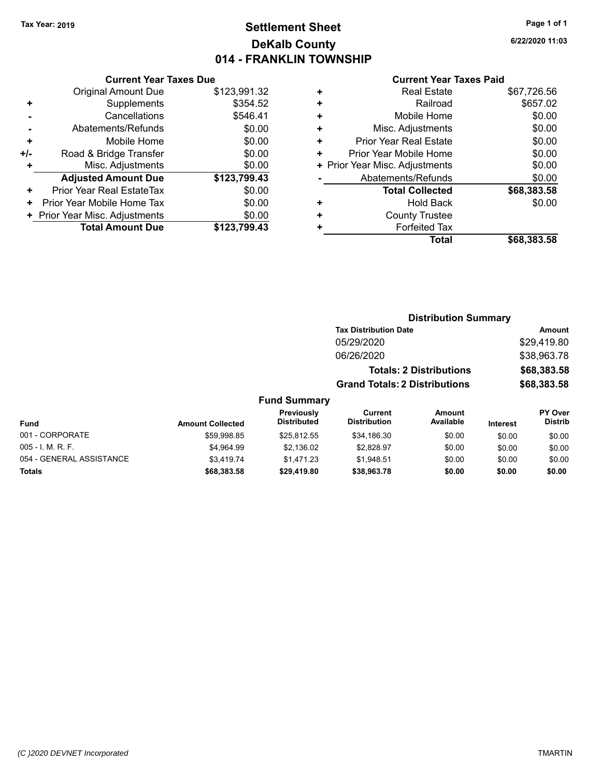### **Settlement Sheet Tax Year: 2019 Page 1 of 1 DeKalb County 014 - FRANKLIN TOWNSHIP**

**6/22/2020 11:03**

#### **Current Year Taxes Paid**

|     | <b>Current Year Taxes Due</b>    |              |
|-----|----------------------------------|--------------|
|     | <b>Original Amount Due</b>       | \$123,991.32 |
| ٠   | Supplements                      | \$354.52     |
|     | Cancellations                    | \$546.41     |
|     | Abatements/Refunds               | \$0.00       |
| ٠   | Mobile Home                      | \$0.00       |
| +/- | Road & Bridge Transfer           | \$0.00       |
|     | Misc. Adjustments                | \$0.00       |
|     | <b>Adjusted Amount Due</b>       | \$123,799.43 |
| ٠   | <b>Prior Year Real EstateTax</b> | \$0.00       |
| ٠   | Prior Year Mobile Home Tax       | \$0.00       |
|     | + Prior Year Misc. Adjustments   | \$0.00       |
|     | <b>Total Amount Due</b>          | \$123,799.43 |
|     |                                  |              |

| ٠ | <b>Real Estate</b>             | \$67,726.56 |
|---|--------------------------------|-------------|
| ٠ | Railroad                       | \$657.02    |
| ٠ | Mobile Home                    | \$0.00      |
| ٠ | Misc. Adjustments              | \$0.00      |
| ٠ | <b>Prior Year Real Estate</b>  | \$0.00      |
| ٠ | Prior Year Mobile Home         | \$0.00      |
|   | + Prior Year Misc. Adjustments | \$0.00      |
|   | Abatements/Refunds             | \$0.00      |
|   | <b>Total Collected</b>         | \$68,383.58 |
| ٠ | Hold Back                      | \$0.00      |
| ٠ | <b>County Trustee</b>          |             |
| ٠ | <b>Forfeited Tax</b>           |             |
|   | Total                          | \$68,383.58 |
|   |                                |             |

### **Distribution Summary Tax Distribution Date Amount** 05/29/2020 \$29,419.80 06/26/2020 \$38,963.78 **Totals: 2 Distributions \$68,383.58 Grand Totals: 2 Distributions \$68,383.58**

#### **Fund Summary**

| Fund                     | <b>Amount Collected</b> | Previously<br><b>Distributed</b> | Current<br><b>Distribution</b> | Amount<br>Available | <b>Interest</b> | <b>PY Over</b><br>Distrib |
|--------------------------|-------------------------|----------------------------------|--------------------------------|---------------------|-----------------|---------------------------|
| 001 - CORPORATE          | \$59.998.85             | \$25.812.55                      | \$34,186.30                    | \$0.00              | \$0.00          | \$0.00                    |
| $005 - I. M. R. F.$      | \$4.964.99              | \$2,136.02                       | \$2.828.97                     | \$0.00              | \$0.00          | \$0.00                    |
| 054 - GENERAL ASSISTANCE | \$3.419.74              | \$1.471.23                       | \$1.948.51                     | \$0.00              | \$0.00          | \$0.00                    |
| <b>Totals</b>            | \$68,383.58             | \$29,419.80                      | \$38,963.78                    | \$0.00              | \$0.00          | \$0.00                    |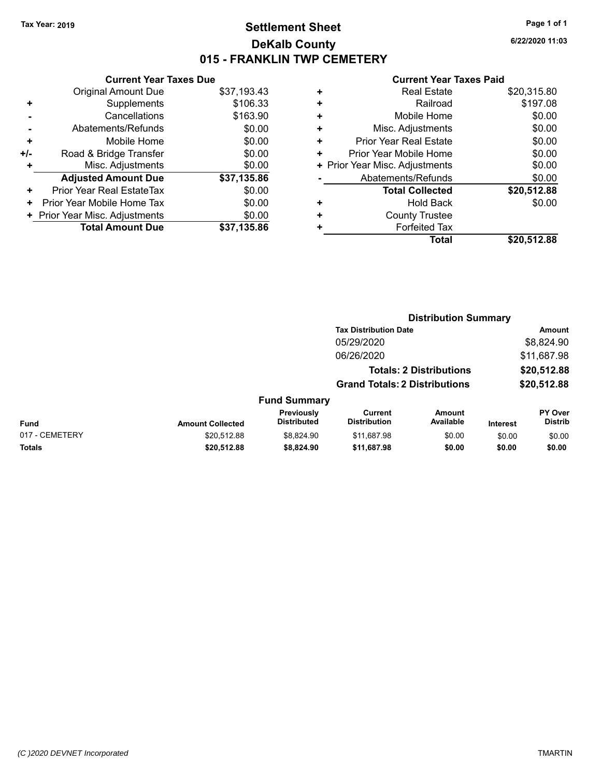### **Settlement Sheet Tax Year: 2019 Page 1 of 1 DeKalb County 015 - FRANKLIN TWP CEMETERY**

**6/22/2020 11:03**

|     | <b>Current Year Taxes Due</b>  |             |
|-----|--------------------------------|-------------|
|     | <b>Original Amount Due</b>     | \$37,193.43 |
| ٠   | Supplements                    | \$106.33    |
|     | Cancellations                  | \$163.90    |
|     | Abatements/Refunds             | \$0.00      |
| ٠   | Mobile Home                    | \$0.00      |
| +/- | Road & Bridge Transfer         | \$0.00      |
| ٠   | Misc. Adjustments              | \$0.00      |
|     | <b>Adjusted Amount Due</b>     | \$37,135.86 |
| ٠   | Prior Year Real EstateTax      | \$0.00      |
| ٠   | Prior Year Mobile Home Tax     | \$0.00      |
|     | + Prior Year Misc. Adjustments | \$0.00      |
|     | <b>Total Amount Due</b>        | \$37,135.86 |
|     |                                |             |

|   | <b>Real Estate</b>             | \$20,315.80 |
|---|--------------------------------|-------------|
| ٠ | Railroad                       | \$197.08    |
| ٠ | Mobile Home                    | \$0.00      |
| ٠ | Misc. Adjustments              | \$0.00      |
| ٠ | <b>Prior Year Real Estate</b>  | \$0.00      |
| ٠ | Prior Year Mobile Home         | \$0.00      |
|   | + Prior Year Misc. Adjustments | \$0.00      |
|   | Abatements/Refunds             | \$0.00      |
|   | <b>Total Collected</b>         | \$20,512.88 |
| ٠ | <b>Hold Back</b>               | \$0.00      |
| ٠ | <b>County Trustee</b>          |             |
| ٠ | <b>Forfeited Tax</b>           |             |
|   | Total                          | \$20,512.88 |
|   |                                |             |

|                |                         |                                  |                                       | <b>Distribution Summary</b>    |                 |                           |
|----------------|-------------------------|----------------------------------|---------------------------------------|--------------------------------|-----------------|---------------------------|
|                |                         |                                  | <b>Tax Distribution Date</b>          |                                |                 | <b>Amount</b>             |
|                |                         |                                  | 05/29/2020                            |                                |                 | \$8,824.90                |
|                |                         |                                  | 06/26/2020                            |                                |                 | \$11,687.98               |
|                |                         |                                  |                                       | <b>Totals: 2 Distributions</b> |                 | \$20,512.88               |
|                |                         |                                  | <b>Grand Totals: 2 Distributions</b>  |                                |                 | \$20,512.88               |
|                |                         | <b>Fund Summary</b>              |                                       |                                |                 |                           |
| <b>Fund</b>    | <b>Amount Collected</b> | Previously<br><b>Distributed</b> | <b>Current</b><br><b>Distribution</b> | <b>Amount</b><br>Available     | <b>Interest</b> | PY Over<br><b>Distrib</b> |
| 017 - CEMETERY | \$20.512.88             | \$8,824.90                       | \$11,687.98                           | \$0.00                         | \$0.00          | \$0.00                    |
| <b>Totals</b>  | \$20,512.88             | \$8,824.90                       | \$11,687.98                           | \$0.00                         | \$0.00          | \$0.00                    |
|                |                         |                                  |                                       |                                |                 |                           |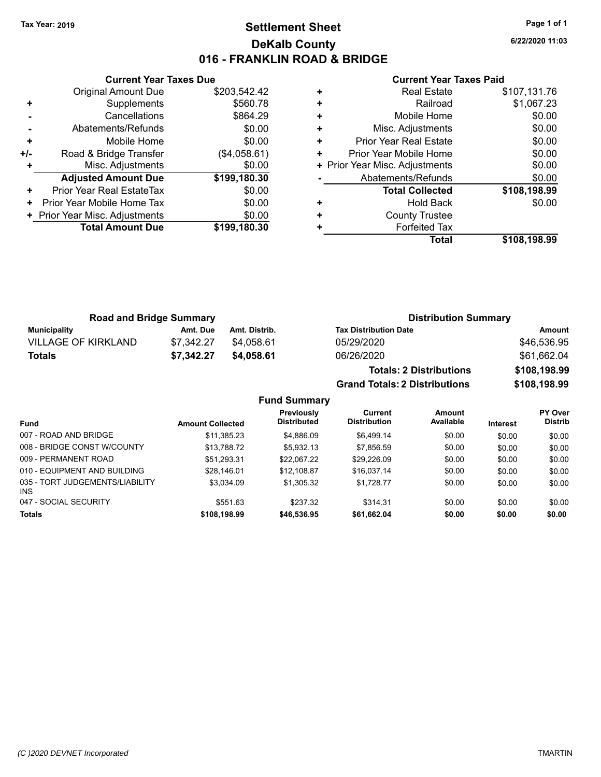### **Settlement Sheet Tax Year: 2019 Page 1 of 1 DeKalb County 016 - FRANKLIN ROAD & BRIDGE**

**6/22/2020 11:03**

#### **Current Year Taxes Paid**

|       | <b>Original Amount Due</b>     | \$203,542.42 |
|-------|--------------------------------|--------------|
| ٠     | Supplements                    | \$560.78     |
|       | Cancellations                  | \$864.29     |
|       | Abatements/Refunds             | \$0.00       |
| ٠     | Mobile Home                    | \$0.00       |
| $+/-$ | Road & Bridge Transfer         | (\$4,058.61) |
|       | Misc. Adjustments              | \$0.00       |
|       | <b>Adjusted Amount Due</b>     | \$199,180.30 |
| ÷     | Prior Year Real EstateTax      | \$0.00       |
| ٠     | Prior Year Mobile Home Tax     | \$0.00       |
|       | + Prior Year Misc. Adjustments | \$0.00       |
|       | <b>Total Amount Due</b>        | \$199,180.30 |
|       |                                |              |

**Current Year Taxes Due**

|   | <b>Real Estate</b>             | \$107,131.76 |
|---|--------------------------------|--------------|
| ٠ | Railroad                       | \$1,067.23   |
| ٠ | Mobile Home                    | \$0.00       |
| ٠ | Misc. Adjustments              | \$0.00       |
| ٠ | Prior Year Real Estate         | \$0.00       |
| ٠ | Prior Year Mobile Home         | \$0.00       |
|   | + Prior Year Misc. Adjustments | \$0.00       |
|   | Abatements/Refunds             | \$0.00       |
|   | <b>Total Collected</b>         | \$108,198.99 |
| ٠ | <b>Hold Back</b>               | \$0.00       |
| ٠ | <b>County Trustee</b>          |              |
| ٠ | <b>Forfeited Tax</b>           |              |
|   | Total                          | \$108,198.99 |

**Grand Totals: 2 Distributions \$108,198.99**

| <b>Road and Bridge Summary</b> |            |               | <b>Distribution Summary</b>    |              |  |
|--------------------------------|------------|---------------|--------------------------------|--------------|--|
| <b>Municipality</b>            | Amt. Due   | Amt. Distrib. | <b>Tax Distribution Date</b>   | Amount       |  |
| <b>VILLAGE OF KIRKLAND</b>     | \$7.342.27 | \$4.058.61    | 05/29/2020                     | \$46,536.95  |  |
| Totals                         | \$7.342.27 | \$4.058.61    | 06/26/2020                     | \$61,662.04  |  |
|                                |            |               | <b>Totals: 2 Distributions</b> | \$108,198.99 |  |

**Fund Summary Fund Interest Amount Collected Distributed PY Over Distrib Amount Available Current Distribution Previously** 007 - ROAD AND BRIDGE \$11,385.23 \$4,886.09 \$6,499.14 \$0.00 \$0.00 \$0.00 008 - BRIDGE CONST W/COUNTY  $$13,788.72$   $$5,932.13$   $$7,856.59$   $$0.00$   $$0.00$   $$0.00$ 009 - PERMANENT ROAD \$51,293.31 \$22,067.22 \$29,226.09 \$0.00 \$0.00 \$0.00 010 - EQUIPMENT AND BUILDING \$28,146.01 \$12,108.87 \$16,037.14 \$0.00 \$0.00 \$0.00 035 - TORT JUDGEMENTS/LIABILITY INS \$3,034.09 \$1,305.32 \$1,728.77 \$0.00 \$0.00 \$0.00 047 - SOCIAL SECURITY \$551.63 \$237.32 \$314.31 \$0.00 \$0.00 \$0.00 **Totals \$108,198.99 \$46,536.95 \$61,662.04 \$0.00 \$0.00 \$0.00**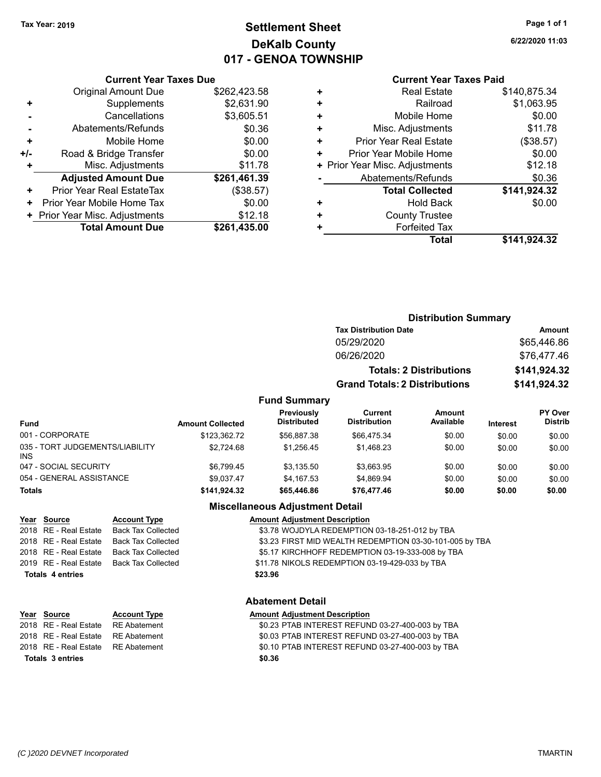### **Settlement Sheet Tax Year: 2019 Page 1 of 1 DeKalb County 017 - GENOA TOWNSHIP**

**6/22/2020 11:03**

#### **Current Year Taxes Paid**

|     | <b>Current Year Taxes Due</b>  |              |
|-----|--------------------------------|--------------|
|     | <b>Original Amount Due</b>     | \$262,423.58 |
| ٠   | Supplements                    | \$2,631.90   |
|     | Cancellations                  | \$3,605.51   |
|     | Abatements/Refunds             | \$0.36       |
| ٠   | Mobile Home                    | \$0.00       |
| +/- | Road & Bridge Transfer         | \$0.00       |
| ٠   | Misc. Adjustments              | \$11.78      |
|     | <b>Adjusted Amount Due</b>     | \$261,461.39 |
| ÷   | Prior Year Real EstateTax      | (\$38.57)    |
| ٠   | Prior Year Mobile Home Tax     | \$0.00       |
|     | + Prior Year Misc. Adjustments | \$12.18      |
|     | <b>Total Amount Due</b>        | \$261,435.00 |
|     |                                |              |

| ٠ | <b>Real Estate</b>             | \$140,875.34 |
|---|--------------------------------|--------------|
| ÷ | Railroad                       | \$1,063.95   |
| ÷ | Mobile Home                    | \$0.00       |
| ÷ | Misc. Adjustments              | \$11.78      |
| ٠ | Prior Year Real Estate         | (\$38.57)    |
| ÷ | Prior Year Mobile Home         | \$0.00       |
|   | + Prior Year Misc. Adjustments | \$12.18      |
|   | Abatements/Refunds             | \$0.36       |
|   | <b>Total Collected</b>         | \$141,924.32 |
| ٠ | <b>Hold Back</b>               | \$0.00       |
| ٠ | <b>County Trustee</b>          |              |
| ٠ | <b>Forfeited Tax</b>           |              |
|   | Total                          | \$141,924.32 |
|   |                                |              |

|                                  |                                       | <b>Distribution Summary</b>    |                 |                                  |
|----------------------------------|---------------------------------------|--------------------------------|-----------------|----------------------------------|
|                                  | <b>Tax Distribution Date</b>          |                                |                 | Amount                           |
|                                  | 05/29/2020                            |                                |                 | \$65,446.86                      |
|                                  | 06/26/2020                            |                                |                 | \$76,477.46                      |
|                                  |                                       | <b>Totals: 2 Distributions</b> |                 | \$141,924.32                     |
|                                  | <b>Grand Totals: 2 Distributions</b>  |                                |                 | \$141,924.32                     |
| <b>Fund Summary</b>              |                                       |                                |                 |                                  |
| Previously<br><b>Distributed</b> | <b>Current</b><br><b>Distribution</b> | Amount<br>Available            | <b>Interest</b> | <b>PY Over</b><br><b>Distrib</b> |
| \$56,887.38                      | \$66.475.34                           | \$0.00                         | \$0.00          | \$0.00                           |
| $ - - - -$                       |                                       | $\cdots$                       | ----            | ----                             |

| <b>Fund</b>                                   | <b>Amount Collected</b> | <b>Distributed</b> | <b>Distribution</b> | Available | <b>Interest</b> | <b>Distrib</b> |
|-----------------------------------------------|-------------------------|--------------------|---------------------|-----------|-----------------|----------------|
| 001 - CORPORATE                               | \$123,362.72            | \$56,887.38        | \$66,475.34         | \$0.00    | \$0.00          | \$0.00         |
| 035 - TORT JUDGEMENTS/LIABILITY<br><b>INS</b> | \$2.724.68              | \$1.256.45         | \$1,468.23          | \$0.00    | \$0.00          | \$0.00         |
| 047 - SOCIAL SECURITY                         | \$6.799.45              | \$3.135.50         | \$3,663.95          | \$0.00    | \$0.00          | \$0.00         |
| 054 - GENERAL ASSISTANCE                      | \$9.037.47              | \$4.167.53         | \$4.869.94          | \$0.00    | \$0.00          | \$0.00         |
| <b>Totals</b>                                 | \$141.924.32            | \$65,446.86        | \$76,477.46         | \$0.00    | \$0.00          | \$0.00         |

#### **Miscellaneous Adjustment Detail**

| Year Source             | <b>Account Type</b>       | <b>Amount Adjustment Description</b>                    |
|-------------------------|---------------------------|---------------------------------------------------------|
| 2018 RE - Real Estate   | <b>Back Tax Collected</b> | \$3.78 WOJDYLA REDEMPTION 03-18-251-012 by TBA          |
| 2018 RE - Real Estate   | Back Tax Collected        | \$3.23 FIRST MID WEALTH REDEMPTION 03-30-101-005 by TBA |
| 2018 RE - Real Estate   | Back Tax Collected        | \$5.17 KIRCHHOFF REDEMPTION 03-19-333-008 by TBA        |
| 2019 RE - Real Estate   | Back Tax Collected        | \$11.78 NIKOLS REDEMPTION 03-19-429-033 by TBA          |
| <b>Totals 4 entries</b> |                           | \$23.96                                                 |
|                         |                           |                                                         |
|                         |                           |                                                         |

## **Year** Source **Account Type A** Annount Adjustment Description 2018 RE - Real Estate RE Abatement \$0.23 PTAB INTEREST REFUND 03-27-400-003 by TBA

**Totals \$0.36 3 entries**

### **Abatement Detail**

2018 RE - Real Estate RE Abatement \$0.03 PTAB INTEREST REFUND 03-27-400-003 by TBA

2018 RE - Real Estate RE Abatement \$0.10 PTAB INTEREST REFUND 03-27-400-003 by TBA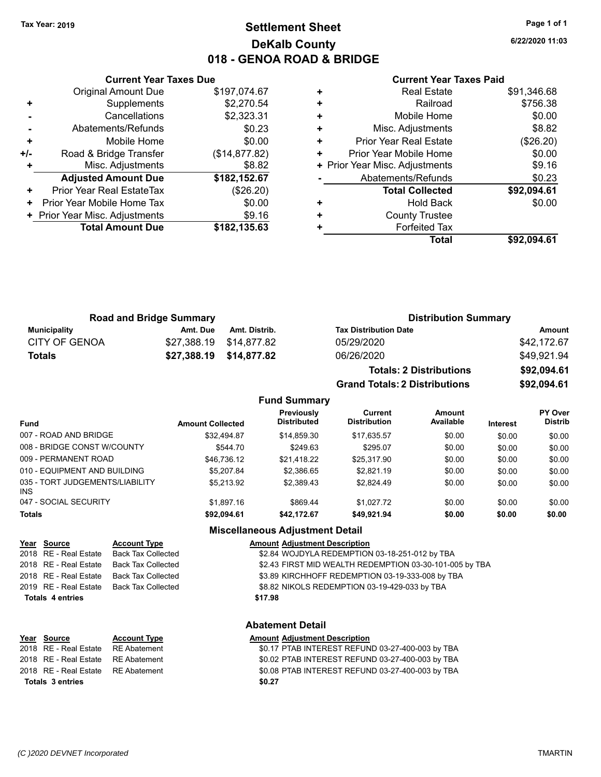### **Settlement Sheet Tax Year: 2019 Page 1 of 1 DeKalb County 018 - GENOA ROAD & BRIDGE**

**6/22/2020 11:03**

| \$197,074.67<br>\$2,270.54<br>\$2,323.31<br>\$0.23 |
|----------------------------------------------------|
|                                                    |
|                                                    |
|                                                    |
|                                                    |
| \$0.00                                             |
| (\$14,877.82)                                      |
| \$8.82                                             |
| \$182,152.67                                       |
| (\$26.20)                                          |
| \$0.00                                             |
| \$9.16                                             |
| \$182,135.63                                       |
|                                                    |

#### **Current Year Taxes Paid**

|   | <b>Real Estate</b>             | \$91,346.68 |
|---|--------------------------------|-------------|
| ٠ | Railroad                       | \$756.38    |
| ٠ | Mobile Home                    | \$0.00      |
| ٠ | Misc. Adjustments              | \$8.82      |
| ÷ | <b>Prior Year Real Estate</b>  | (\$26.20)   |
| ٠ | Prior Year Mobile Home         | \$0.00      |
|   | + Prior Year Misc. Adjustments | \$9.16      |
|   | Abatements/Refunds             | \$0.23      |
|   | <b>Total Collected</b>         | \$92,094.61 |
| ٠ | <b>Hold Back</b>               | \$0.00      |
| ٠ | <b>County Trustee</b>          |             |
| ٠ | <b>Forfeited Tax</b>           |             |
|   | Total                          | \$92,094.61 |
|   |                                |             |

**Grand Totals: 2 Distributions \$92,094.61**

| <b>Road and Bridge Summary</b> |          |                         | <b>Distribution Summary</b>    |             |  |
|--------------------------------|----------|-------------------------|--------------------------------|-------------|--|
| Municipality                   | Amt. Due | Amt. Distrib.           | <b>Tax Distribution Date</b>   | Amount      |  |
| <b>CITY OF GENOA</b>           |          |                         | 05/29/2020                     | \$42,172.67 |  |
| <b>Totals</b>                  |          | \$27,388.19 \$14,877.82 | 06/26/2020                     | \$49,921.94 |  |
|                                |          |                         | <b>Totals: 2 Distributions</b> | \$92,094.61 |  |

#### **Fund Summary Fund Interest Amount Collected Distributed PY Over Distrib Amount Available Current Distribution Previously** 007 - ROAD AND BRIDGE \$32,494.87 \$14,859.30 \$17,635.57 \$0.00 \$0.00 \$0.00 008 - BRIDGE CONST W/COUNTY  $$544.70$  \$249.63 \$295.07 \$0.00 \$0.00 \$0.00 \$0.00 009 - PERMANENT ROAD \$46,736.12 \$21,418.22 \$25,317.90 \$0.00 \$0.00 \$0.00 010 - EQUIPMENT AND BUILDING \$5,207.84 \$2,386.65 \$2,821.19 \$0.00 \$0.00 \$0.00 \$0.00 035 - TORT JUDGEMENTS/LIABILITY INS \$5,213.92 \$2,389.43 \$2,824.49 \$0.00 \$0.00 \$0.00 047 - SOCIAL SECURITY \$1,897.16 \$869.44 \$1,027.72 \$0.00 \$0.00 \$0.00 **Totals \$92,094.61 \$42,172.67 \$49,921.94 \$0.00 \$0.00 \$0.00**

#### **Miscellaneous Adjustment Detail**

| Year Source             | <b>Account Type</b> | <b>Amount Adjustment Description</b>                    |
|-------------------------|---------------------|---------------------------------------------------------|
| 2018 RE - Real Estate   | Back Tax Collected  | \$2.84 WOJDYLA REDEMPTION 03-18-251-012 by TBA          |
| 2018 RE - Real Estate   | Back Tax Collected  | \$2.43 FIRST MID WEALTH REDEMPTION 03-30-101-005 by TBA |
| 2018 RE - Real Estate   | Back Tax Collected  | \$3.89 KIRCHHOFF REDEMPTION 03-19-333-008 by TBA        |
| 2019 RE - Real Estate   | Back Tax Collected  | \$8.82 NIKOLS REDEMPTION 03-19-429-033 by TBA           |
| <b>Totals 4 entries</b> |                     | \$17.98                                                 |
|                         |                     |                                                         |

#### **Abatement Detail**

| <u>Year Source</u>                  | <b>Account Type</b> | <b>Amount Adjustment Description</b>             |
|-------------------------------------|---------------------|--------------------------------------------------|
| 2018 RE - Real Estate RE Abatement  |                     | \$0.17 PTAB INTEREST REFUND 03-27-400-003 by TBA |
| 2018 RE - Real Estate RE Abatement  |                     | \$0.02 PTAB INTEREST REFUND 03-27-400-003 by TBA |
| 2018 RE - Real Estate  RE Abatement |                     | \$0.08 PTAB INTEREST REFUND 03-27-400-003 by TBA |
| Totals 3 entries                    |                     | \$0.27                                           |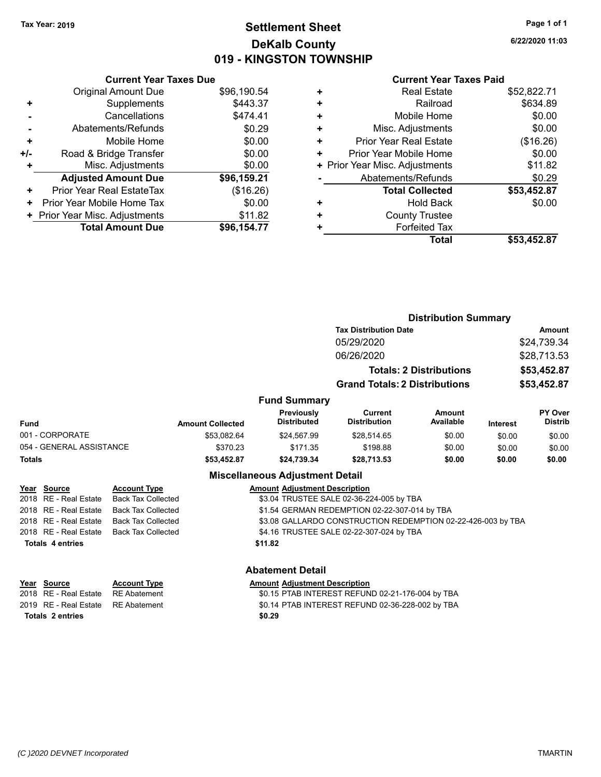### **Settlement Sheet Tax Year: 2019 Page 1 of 1 DeKalb County 019 - KINGSTON TOWNSHIP**

**6/22/2020 11:03**

|     | <b>Current Year Taxes Due</b>  |             |
|-----|--------------------------------|-------------|
|     | <b>Original Amount Due</b>     | \$96,190.54 |
| ٠   | Supplements                    | \$443.37    |
|     | Cancellations                  | \$474.41    |
|     | Abatements/Refunds             | \$0.29      |
| ٠   | Mobile Home                    | \$0.00      |
| +/- | Road & Bridge Transfer         | \$0.00      |
| ٠   | Misc. Adjustments              | \$0.00      |
|     | <b>Adjusted Amount Due</b>     | \$96,159.21 |
| ٠   | Prior Year Real EstateTax      | (\$16.26)   |
| ٠   | Prior Year Mobile Home Tax     | \$0.00      |
|     | + Prior Year Misc. Adjustments | \$11.82     |
|     | <b>Total Amount Due</b>        | \$96,154.77 |
|     |                                |             |

|   | <b>Real Estate</b>             | \$52,822.71 |
|---|--------------------------------|-------------|
| ٠ | Railroad                       | \$634.89    |
| ٠ | Mobile Home                    | \$0.00      |
| ٠ | Misc. Adjustments              | \$0.00      |
| ٠ | <b>Prior Year Real Estate</b>  | (\$16.26)   |
| ٠ | Prior Year Mobile Home         | \$0.00      |
|   | + Prior Year Misc. Adjustments | \$11.82     |
|   | Abatements/Refunds             | \$0.29      |
|   | <b>Total Collected</b>         | \$53,452.87 |
| ٠ | <b>Hold Back</b>               | \$0.00      |
| ٠ | <b>County Trustee</b>          |             |
| ٠ | <b>Forfeited Tax</b>           |             |
|   | Total                          | \$53,452.87 |
|   |                                |             |

|                          |                              | <b>Distribution Summary</b>                      |                                        |                                                              |                                |                 |                           |  |
|--------------------------|------------------------------|--------------------------------------------------|----------------------------------------|--------------------------------------------------------------|--------------------------------|-----------------|---------------------------|--|
|                          | <b>Tax Distribution Date</b> |                                                  |                                        |                                                              | <b>Amount</b>                  |                 |                           |  |
|                          |                              |                                                  |                                        | 05/29/2020                                                   |                                |                 | \$24,739.34               |  |
|                          |                              |                                                  |                                        | 06/26/2020                                                   |                                |                 | \$28,713.53               |  |
|                          |                              |                                                  |                                        |                                                              | <b>Totals: 2 Distributions</b> |                 | \$53,452.87               |  |
|                          |                              |                                                  |                                        | <b>Grand Totals: 2 Distributions</b>                         |                                |                 | \$53,452.87               |  |
|                          |                              |                                                  |                                        |                                                              |                                |                 |                           |  |
|                          |                              |                                                  | <b>Fund Summary</b>                    |                                                              |                                |                 |                           |  |
| Fund                     |                              | <b>Amount Collected</b>                          | Previously<br><b>Distributed</b>       | Current<br><b>Distribution</b>                               | Amount<br>Available            | <b>Interest</b> | PY Over<br><b>Distrib</b> |  |
| 001 - CORPORATE          |                              | \$53,082.64                                      | \$24,567.99                            | \$28,514.65                                                  | \$0.00                         | \$0.00          | \$0.00                    |  |
| 054 - GENERAL ASSISTANCE |                              | \$370.23                                         | \$171.35                               | \$198.88                                                     | \$0.00                         | \$0.00          | \$0.00                    |  |
| <b>Totals</b>            |                              | \$53,452.87                                      | \$24,739.34                            | \$28,713.53                                                  | \$0.00                         | \$0.00          | \$0.00                    |  |
|                          |                              |                                                  | <b>Miscellaneous Adjustment Detail</b> |                                                              |                                |                 |                           |  |
| Year Source              | <b>Account Type</b>          |                                                  | <b>Amount Adjustment Description</b>   |                                                              |                                |                 |                           |  |
| 2018 RE - Real Estate    | <b>Back Tax Collected</b>    | \$3.04 TRUSTEE SALE 02-36-224-005 by TBA         |                                        |                                                              |                                |                 |                           |  |
| 2018 RE - Real Estate    | <b>Back Tax Collected</b>    |                                                  |                                        | \$1.54 GERMAN REDEMPTION 02-22-307-014 by TBA                |                                |                 |                           |  |
| 2018 RE - Real Estate    | <b>Back Tax Collected</b>    |                                                  |                                        | \$3.08 GALLARDO CONSTRUCTION REDEMPTION 02-22-426-003 by TBA |                                |                 |                           |  |
| 2018 RE - Real Estate    | <b>Back Tax Collected</b>    |                                                  |                                        | \$4.16 TRUSTEE SALE 02-22-307-024 by TBA                     |                                |                 |                           |  |
| <b>Totals 4 entries</b>  |                              |                                                  | \$11.82                                |                                                              |                                |                 |                           |  |
|                          |                              |                                                  | <b>Abatement Detail</b>                |                                                              |                                |                 |                           |  |
| Year Source              | <b>Account Type</b>          |                                                  | <b>Amount Adjustment Description</b>   |                                                              |                                |                 |                           |  |
| 2018 RE - Real Estate    | <b>RE</b> Abatement          | \$0.15 PTAB INTEREST REFUND 02-21-176-004 by TBA |                                        |                                                              |                                |                 |                           |  |
| 2019 RE - Real Estate    | <b>RE</b> Abatement          |                                                  |                                        | \$0.14 PTAB INTEREST REFUND 02-36-228-002 by TBA             |                                |                 |                           |  |
| <b>Totals 2 entries</b>  |                              |                                                  | \$0.29                                 |                                                              |                                |                 |                           |  |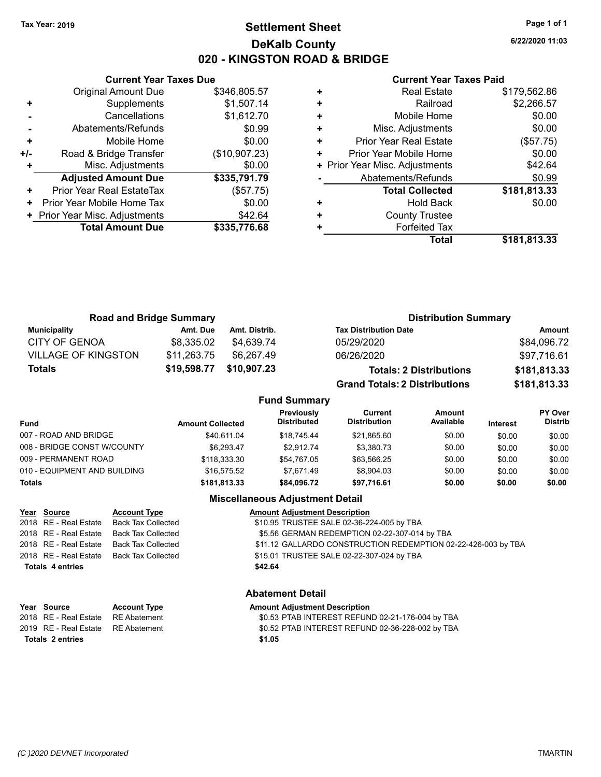### **Settlement Sheet Tax Year: 2019 Page 1 of 1 DeKalb County 020 - KINGSTON ROAD & BRIDGE**

**6/22/2020 11:03**

#### **Current Year Taxes Paid**

|     | <b>Current Year Taxes Due</b>  |               |
|-----|--------------------------------|---------------|
|     | <b>Original Amount Due</b>     | \$346,805.57  |
|     | Supplements                    | \$1,507.14    |
|     | Cancellations                  | \$1,612.70    |
|     | Abatements/Refunds             | \$0.99        |
| ٠   | Mobile Home                    | \$0.00        |
| +/- | Road & Bridge Transfer         | (\$10,907.23) |
|     | Misc. Adjustments              | \$0.00        |
|     | <b>Adjusted Amount Due</b>     | \$335,791.79  |
| ٠   | Prior Year Real EstateTax      | (\$57.75)     |
| ٠   | Prior Year Mobile Home Tax     | \$0.00        |
|     | + Prior Year Misc. Adjustments | \$42.64       |
|     | <b>Total Amount Due</b>        | \$335,776.68  |
|     |                                |               |

| ٠ | <b>Real Estate</b>             | \$179,562.86 |
|---|--------------------------------|--------------|
| ٠ | Railroad                       | \$2,266.57   |
| ٠ | Mobile Home                    | \$0.00       |
| ٠ | Misc. Adjustments              | \$0.00       |
| ٠ | <b>Prior Year Real Estate</b>  | (\$57.75)    |
| ٠ | Prior Year Mobile Home         | \$0.00       |
|   | + Prior Year Misc. Adjustments | \$42.64      |
|   | Abatements/Refunds             | \$0.99       |
|   | <b>Total Collected</b>         | \$181,813.33 |
| ٠ | <b>Hold Back</b>               | \$0.00       |
| ٠ | <b>County Trustee</b>          |              |
| ٠ | <b>Forfeited Tax</b>           |              |
|   | Total                          | \$181,813.33 |

| <b>Road and Bridge Summary</b> |             |               | <b>Distribution Summary</b>          |              |  |
|--------------------------------|-------------|---------------|--------------------------------------|--------------|--|
| <b>Municipality</b>            | Amt. Due    | Amt. Distrib. | <b>Tax Distribution Date</b>         | Amount       |  |
| CITY OF GENOA                  | \$8,335.02  | \$4.639.74    | 05/29/2020                           | \$84,096.72  |  |
| <b>VILLAGE OF KINGSTON</b>     | \$11,263.75 | \$6.267.49    | 06/26/2020                           | \$97,716.61  |  |
| Totals                         | \$19,598.77 | \$10,907.23   | <b>Totals: 2 Distributions</b>       | \$181,813.33 |  |
|                                |             |               | <b>Grand Totals: 2 Distributions</b> | \$181,813.33 |  |

#### **Fund Summary**

| Fund                         | <b>Amount Collected</b> | Previously<br><b>Distributed</b> | Current<br><b>Distribution</b> | Amount<br>Available | <b>Interest</b> | <b>PY Over</b><br><b>Distrib</b> |
|------------------------------|-------------------------|----------------------------------|--------------------------------|---------------------|-----------------|----------------------------------|
| 007 - ROAD AND BRIDGE        | \$40,611.04             | \$18.745.44                      | \$21.865.60                    | \$0.00              | \$0.00          | \$0.00                           |
| 008 - BRIDGE CONST W/COUNTY  | \$6.293.47              | \$2.912.74                       | \$3.380.73                     | \$0.00              | \$0.00          | \$0.00                           |
| 009 - PERMANENT ROAD         | \$118.333.30            | \$54.767.05                      | \$63.566.25                    | \$0.00              | \$0.00          | \$0.00                           |
| 010 - EQUIPMENT AND BUILDING | \$16.575.52             | \$7.671.49                       | \$8.904.03                     | \$0.00              | \$0.00          | \$0.00                           |
| <b>Totals</b>                | \$181.813.33            | \$84,096,72                      | \$97,716.61                    | \$0.00              | \$0.00          | \$0.00                           |

### **Miscellaneous Adjustment Detail**

| Year Source             | <b>Account Type</b>                      | <b>Amount Adjustment Description</b>                          |
|-------------------------|------------------------------------------|---------------------------------------------------------------|
|                         | 2018 RE - Real Estate Back Tax Collected | \$10.95 TRUSTEE SALE 02-36-224-005 by TBA                     |
|                         | 2018 RE - Real Estate Back Tax Collected | \$5.56 GERMAN REDEMPTION 02-22-307-014 by TBA                 |
|                         | 2018 RE - Real Estate Back Tax Collected | \$11.12 GALLARDO CONSTRUCTION REDEMPTION 02-22-426-003 by TBA |
|                         | 2018 RE - Real Estate Back Tax Collected | \$15.01 TRUSTEE SALE 02-22-307-024 by TBA                     |
| <b>Totals 4 entries</b> |                                          | \$42.64                                                       |
|                         |                                          |                                                               |

|                       | <b>Abatement Detail</b> |                                                  |  |  |
|-----------------------|-------------------------|--------------------------------------------------|--|--|
| Year Source           | <b>Account Type</b>     | <b>Amount Adjustment Description</b>             |  |  |
| 2018 RE - Real Estate | RE Abatement            | \$0.53 PTAB INTEREST REFUND 02-21-176-004 by TBA |  |  |
| 2019 RE - Real Estate | RE Abatement            | \$0.52 PTAB INTEREST REFUND 02-36-228-002 by TBA |  |  |
| Totals 2 entries      |                         | \$1.05                                           |  |  |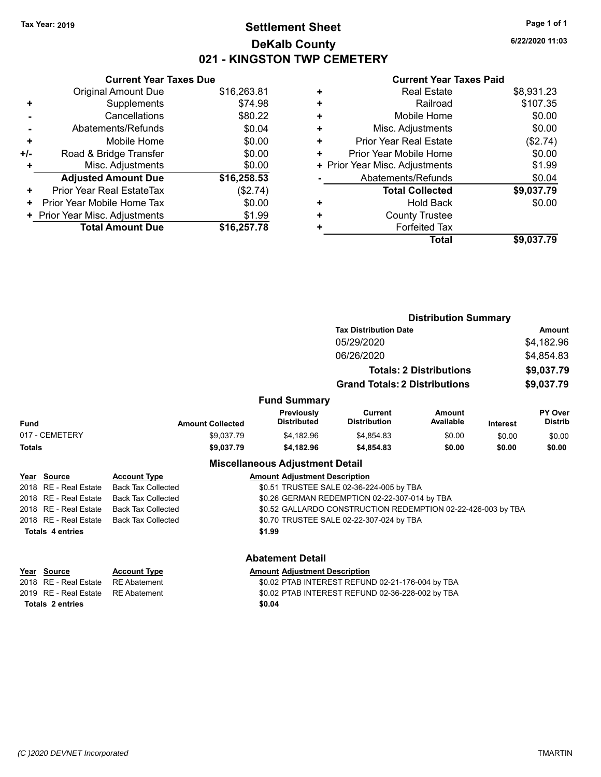### **Settlement Sheet Tax Year: 2019 Page 1 of 1 DeKalb County 021 - KINGSTON TWP CEMETERY**

**6/22/2020 11:03**

| <b>Current Year Taxes Due</b>  |             |
|--------------------------------|-------------|
| <b>Original Amount Due</b>     | \$16,263.81 |
| Supplements                    | \$74.98     |
| Cancellations                  | \$80.22     |
| Abatements/Refunds             | \$0.04      |
| Mobile Home                    | \$0.00      |
| Road & Bridge Transfer         | \$0.00      |
| Misc. Adjustments              | \$0.00      |
| <b>Adjusted Amount Due</b>     | \$16,258.53 |
| Prior Year Real EstateTax      | (\$2.74)    |
| Prior Year Mobile Home Tax     | \$0.00      |
| + Prior Year Misc. Adjustments | \$1.99      |
| <b>Total Amount Due</b>        | \$16,257.78 |
|                                |             |

|   | <b>Real Estate</b>             | \$8,931.23 |
|---|--------------------------------|------------|
| ٠ | Railroad                       | \$107.35   |
| ٠ | Mobile Home                    | \$0.00     |
| ٠ | Misc. Adjustments              | \$0.00     |
| ٠ | <b>Prior Year Real Estate</b>  | (\$2.74)   |
| ٠ | Prior Year Mobile Home         | \$0.00     |
|   | + Prior Year Misc. Adjustments | \$1.99     |
|   | Abatements/Refunds             | \$0.04     |
|   | <b>Total Collected</b>         | \$9,037.79 |
| ٠ | <b>Hold Back</b>               | \$0.00     |
| ٠ | <b>County Trustee</b>          |            |
| ٠ | <b>Forfeited Tax</b>           |            |
|   | Total                          | \$9,037.79 |
|   |                                |            |

|                           |                                                                   | <b>Distribution Summary</b>           |                                                                                                                                                             |                                                                                                                                                                                                                                                                                                                                                         |                                                              |
|---------------------------|-------------------------------------------------------------------|---------------------------------------|-------------------------------------------------------------------------------------------------------------------------------------------------------------|---------------------------------------------------------------------------------------------------------------------------------------------------------------------------------------------------------------------------------------------------------------------------------------------------------------------------------------------------------|--------------------------------------------------------------|
|                           |                                                                   |                                       |                                                                                                                                                             |                                                                                                                                                                                                                                                                                                                                                         | <b>Amount</b>                                                |
|                           |                                                                   | 05/29/2020                            |                                                                                                                                                             |                                                                                                                                                                                                                                                                                                                                                         | \$4,182.96                                                   |
|                           |                                                                   |                                       |                                                                                                                                                             |                                                                                                                                                                                                                                                                                                                                                         | \$4,854.83                                                   |
|                           |                                                                   |                                       |                                                                                                                                                             |                                                                                                                                                                                                                                                                                                                                                         | \$9,037.79                                                   |
|                           |                                                                   |                                       |                                                                                                                                                             |                                                                                                                                                                                                                                                                                                                                                         |                                                              |
|                           |                                                                   |                                       |                                                                                                                                                             |                                                                                                                                                                                                                                                                                                                                                         | \$9,037.79                                                   |
|                           |                                                                   |                                       |                                                                                                                                                             |                                                                                                                                                                                                                                                                                                                                                         |                                                              |
| <b>Amount Collected</b>   | Previously<br><b>Distributed</b>                                  | <b>Current</b><br><b>Distribution</b> | Amount<br>Available                                                                                                                                         | <b>Interest</b>                                                                                                                                                                                                                                                                                                                                         | PY Over<br><b>Distrib</b>                                    |
| \$9,037.79                | \$4,182.96                                                        | \$4,854.83                            | \$0.00                                                                                                                                                      | \$0.00                                                                                                                                                                                                                                                                                                                                                  | \$0.00                                                       |
| \$9,037.79                | \$4,182.96                                                        | \$4,854.83                            | \$0.00                                                                                                                                                      | \$0.00                                                                                                                                                                                                                                                                                                                                                  | \$0.00                                                       |
|                           |                                                                   |                                       |                                                                                                                                                             |                                                                                                                                                                                                                                                                                                                                                         |                                                              |
| <b>Account Type</b>       |                                                                   |                                       |                                                                                                                                                             |                                                                                                                                                                                                                                                                                                                                                         |                                                              |
| <b>Back Tax Collected</b> |                                                                   |                                       |                                                                                                                                                             |                                                                                                                                                                                                                                                                                                                                                         |                                                              |
| <b>Back Tax Collected</b> |                                                                   |                                       |                                                                                                                                                             |                                                                                                                                                                                                                                                                                                                                                         |                                                              |
| <b>Back Tax Collected</b> |                                                                   |                                       |                                                                                                                                                             |                                                                                                                                                                                                                                                                                                                                                         |                                                              |
| <b>Back Tax Collected</b> |                                                                   |                                       |                                                                                                                                                             |                                                                                                                                                                                                                                                                                                                                                         |                                                              |
|                           | \$1.99                                                            |                                       |                                                                                                                                                             |                                                                                                                                                                                                                                                                                                                                                         |                                                              |
|                           |                                                                   |                                       |                                                                                                                                                             |                                                                                                                                                                                                                                                                                                                                                         |                                                              |
|                           |                                                                   |                                       |                                                                                                                                                             |                                                                                                                                                                                                                                                                                                                                                         |                                                              |
|                           |                                                                   |                                       |                                                                                                                                                             |                                                                                                                                                                                                                                                                                                                                                         |                                                              |
|                           |                                                                   |                                       |                                                                                                                                                             |                                                                                                                                                                                                                                                                                                                                                         |                                                              |
|                           |                                                                   |                                       |                                                                                                                                                             |                                                                                                                                                                                                                                                                                                                                                         |                                                              |
|                           | <b>Account Type</b><br><b>RE</b> Abatement<br><b>RE</b> Abatement | <b>Abatement Detail</b><br>\$0.04     | 06/26/2020<br><b>Fund Summary</b><br><b>Miscellaneous Adjustment Detail</b><br><b>Amount Adjustment Description</b><br><b>Amount Adjustment Description</b> | <b>Tax Distribution Date</b><br><b>Totals: 2 Distributions</b><br><b>Grand Totals: 2 Distributions</b><br>\$0.51 TRUSTEE SALE 02-36-224-005 by TBA<br>\$0.26 GERMAN REDEMPTION 02-22-307-014 by TBA<br>\$0.70 TRUSTEE SALE 02-22-307-024 by TBA<br>\$0.02 PTAB INTEREST REFUND 02-21-176-004 by TBA<br>\$0.02 PTAB INTEREST REFUND 02-36-228-002 by TBA | \$0.52 GALLARDO CONSTRUCTION REDEMPTION 02-22-426-003 by TBA |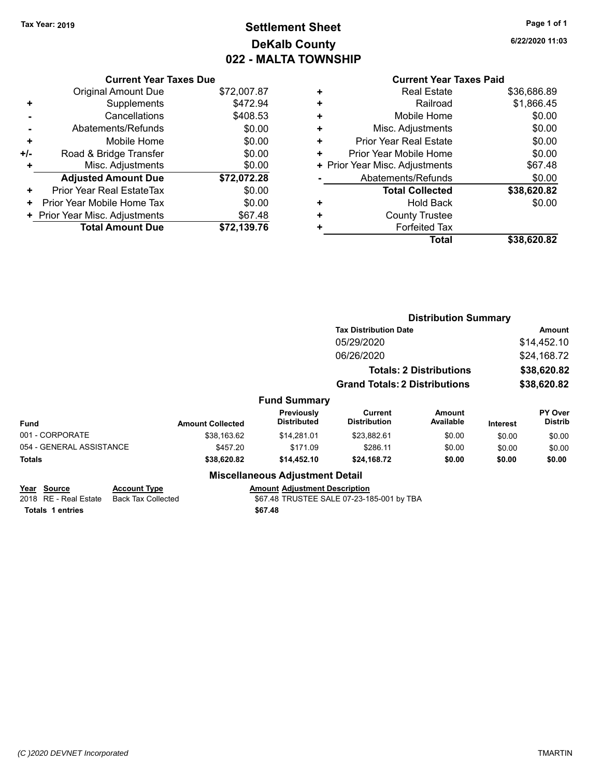### **Settlement Sheet Tax Year: 2019 Page 1 of 1 DeKalb County 022 - MALTA TOWNSHIP**

**6/22/2020 11:03**

| <b>Current Year Taxes Paid</b> |  |  |
|--------------------------------|--|--|
|                                |  |  |

|     | <b>Current Year Taxes Due</b>  |             |  |  |  |  |  |
|-----|--------------------------------|-------------|--|--|--|--|--|
|     | <b>Original Amount Due</b>     | \$72,007.87 |  |  |  |  |  |
| ٠   | Supplements                    | \$472.94    |  |  |  |  |  |
|     | Cancellations                  | \$408.53    |  |  |  |  |  |
|     | Abatements/Refunds             | \$0.00      |  |  |  |  |  |
| ٠   | Mobile Home                    | \$0.00      |  |  |  |  |  |
| +/- | Road & Bridge Transfer         | \$0.00      |  |  |  |  |  |
| ٠   | Misc. Adjustments              | \$0.00      |  |  |  |  |  |
|     | <b>Adjusted Amount Due</b>     | \$72,072.28 |  |  |  |  |  |
| ٠   | Prior Year Real EstateTax      | \$0.00      |  |  |  |  |  |
| ٠   | Prior Year Mobile Home Tax     | \$0.00      |  |  |  |  |  |
|     | + Prior Year Misc. Adjustments | \$67.48     |  |  |  |  |  |
|     | <b>Total Amount Due</b>        | \$72.139.76 |  |  |  |  |  |

| ٠ | <b>Real Estate</b>             | \$36,686.89 |
|---|--------------------------------|-------------|
| ٠ | Railroad                       | \$1,866.45  |
| ٠ | Mobile Home                    | \$0.00      |
| ٠ | Misc. Adjustments              | \$0.00      |
| ٠ | Prior Year Real Estate         | \$0.00      |
| ٠ | Prior Year Mobile Home         | \$0.00      |
|   | + Prior Year Misc. Adjustments | \$67.48     |
|   | Abatements/Refunds             | \$0.00      |
|   | <b>Total Collected</b>         | \$38,620.82 |
| ٠ | <b>Hold Back</b>               | \$0.00      |
| ٠ | <b>County Trustee</b>          |             |
| ٠ | <b>Forfeited Tax</b>           |             |
|   | Total                          | \$38,620.82 |
|   |                                |             |

|                                      |                                                  |                         |                                        | <b>Distribution Summary</b>               |                                |                 |                           |
|--------------------------------------|--------------------------------------------------|-------------------------|----------------------------------------|-------------------------------------------|--------------------------------|-----------------|---------------------------|
|                                      |                                                  |                         |                                        | <b>Tax Distribution Date</b>              |                                |                 | <b>Amount</b>             |
|                                      |                                                  |                         |                                        | 05/29/2020                                |                                |                 | \$14,452.10               |
|                                      |                                                  |                         |                                        | 06/26/2020                                |                                |                 | \$24,168.72               |
|                                      |                                                  |                         |                                        |                                           | <b>Totals: 2 Distributions</b> |                 | \$38,620.82               |
|                                      |                                                  |                         |                                        | <b>Grand Totals: 2 Distributions</b>      |                                |                 | \$38,620.82               |
|                                      |                                                  |                         | <b>Fund Summary</b>                    |                                           |                                |                 |                           |
| <b>Fund</b>                          |                                                  | <b>Amount Collected</b> | Previously<br><b>Distributed</b>       | <b>Current</b><br><b>Distribution</b>     | Amount<br>Available            | <b>Interest</b> | PY Over<br><b>Distrib</b> |
| 001 - CORPORATE                      |                                                  | \$38.163.62             | \$14,281.01                            | \$23,882.61                               | \$0.00                         | \$0.00          | \$0.00                    |
| 054 - GENERAL ASSISTANCE             |                                                  | \$457.20                | \$171.09                               | \$286.11                                  | \$0.00                         | \$0.00          | \$0.00                    |
| <b>Totals</b>                        |                                                  | \$38,620.82             | \$14,452.10                            | \$24,168.72                               | \$0.00                         | \$0.00          | \$0.00                    |
|                                      |                                                  |                         | <b>Miscellaneous Adjustment Detail</b> |                                           |                                |                 |                           |
| Year Source<br>2018 RE - Real Estate | <b>Account Type</b><br><b>Back Tax Collected</b> |                         | <b>Amount Adjustment Description</b>   | \$67.48 TRUSTEE SALE 07-23-185-001 by TBA |                                |                 |                           |

**Totals \$67.48 1 entries**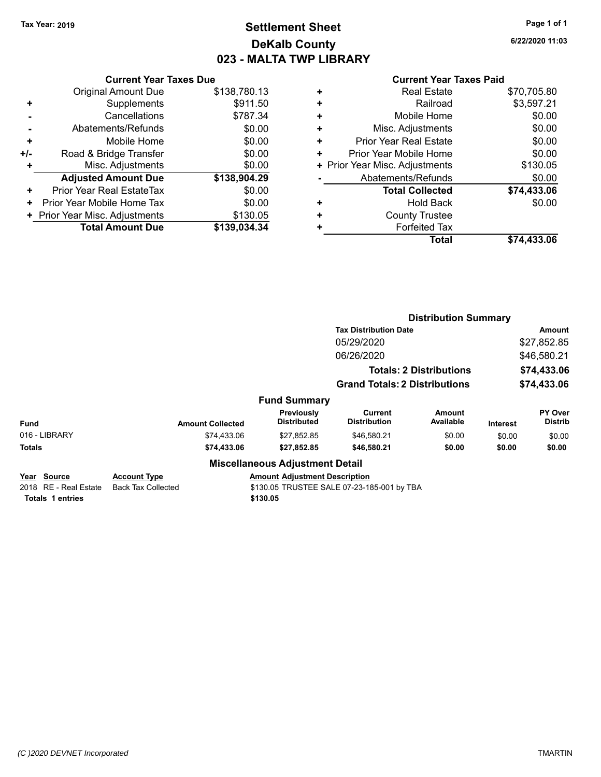### **Settlement Sheet Tax Year: 2019 Page 1 of 1 DeKalb County 023 - MALTA TWP LIBRARY**

**6/22/2020 11:03**

|       | <b>Current Year Taxes Due</b>  |              |
|-------|--------------------------------|--------------|
|       | <b>Original Amount Due</b>     | \$138,780.13 |
| ٠     | Supplements                    | \$911.50     |
|       | Cancellations                  | \$787.34     |
|       | Abatements/Refunds             | \$0.00       |
| ٠     | Mobile Home                    | \$0.00       |
| $+/-$ | Road & Bridge Transfer         | \$0.00       |
|       | Misc. Adjustments              | \$0.00       |
|       | <b>Adjusted Amount Due</b>     | \$138,904.29 |
| ÷     | Prior Year Real EstateTax      | \$0.00       |
| ٠     | Prior Year Mobile Home Tax     | \$0.00       |
|       | + Prior Year Misc. Adjustments | \$130.05     |
|       | <b>Total Amount Due</b>        | \$139,034.34 |
|       |                                |              |

|   | <b>Real Estate</b>             | \$70,705.80 |
|---|--------------------------------|-------------|
| ٠ | Railroad                       | \$3,597.21  |
| ٠ | Mobile Home                    | \$0.00      |
| ٠ | Misc. Adjustments              | \$0.00      |
| ٠ | <b>Prior Year Real Estate</b>  | \$0.00      |
| ÷ | Prior Year Mobile Home         | \$0.00      |
|   | + Prior Year Misc. Adjustments | \$130.05    |
|   | Abatements/Refunds             | \$0.00      |
|   | <b>Total Collected</b>         | \$74,433.06 |
| ٠ | <b>Hold Back</b>               | \$0.00      |
| ٠ | <b>County Trustee</b>          |             |
| ٠ | <b>Forfeited Tax</b>           |             |
|   | Total                          | \$74,433.06 |

|                                                                 |                                                  |                                                  |                                            | <b>Distribution Summary</b> |                 |                           |
|-----------------------------------------------------------------|--------------------------------------------------|--------------------------------------------------|--------------------------------------------|-----------------------------|-----------------|---------------------------|
|                                                                 |                                                  |                                                  | <b>Tax Distribution Date</b>               |                             |                 | <b>Amount</b>             |
|                                                                 |                                                  |                                                  | 05/29/2020                                 |                             | \$27,852.85     |                           |
|                                                                 |                                                  |                                                  | 06/26/2020                                 |                             | \$46,580.21     |                           |
|                                                                 |                                                  | <b>Totals: 2 Distributions</b>                   |                                            | \$74,433.06                 |                 |                           |
|                                                                 |                                                  |                                                  | <b>Grand Totals: 2 Distributions</b>       |                             | \$74,433.06     |                           |
|                                                                 |                                                  | <b>Fund Summary</b>                              |                                            |                             |                 |                           |
| <b>Fund</b>                                                     | <b>Amount Collected</b>                          | Previously<br><b>Distributed</b>                 | <b>Current</b><br><b>Distribution</b>      | <b>Amount</b><br>Available  | <b>Interest</b> | PY Over<br><b>Distrib</b> |
| 016 - LIBRARY                                                   | \$74,433.06                                      | \$27,852.85                                      | \$46,580.21                                | \$0.00                      | \$0.00          | \$0.00                    |
| Totals                                                          | \$74,433.06                                      | \$27,852.85                                      | \$46,580.21                                | \$0.00                      | \$0.00          | \$0.00                    |
|                                                                 |                                                  | <b>Miscellaneous Adjustment Detail</b>           |                                            |                             |                 |                           |
| Year Source<br>2018 RE - Real Estate<br><b>Totals 1 entries</b> | <b>Account Type</b><br><b>Back Tax Collected</b> | <b>Amount Adjustment Description</b><br>\$130.05 | \$130.05 TRUSTEE SALE 07-23-185-001 by TBA |                             |                 |                           |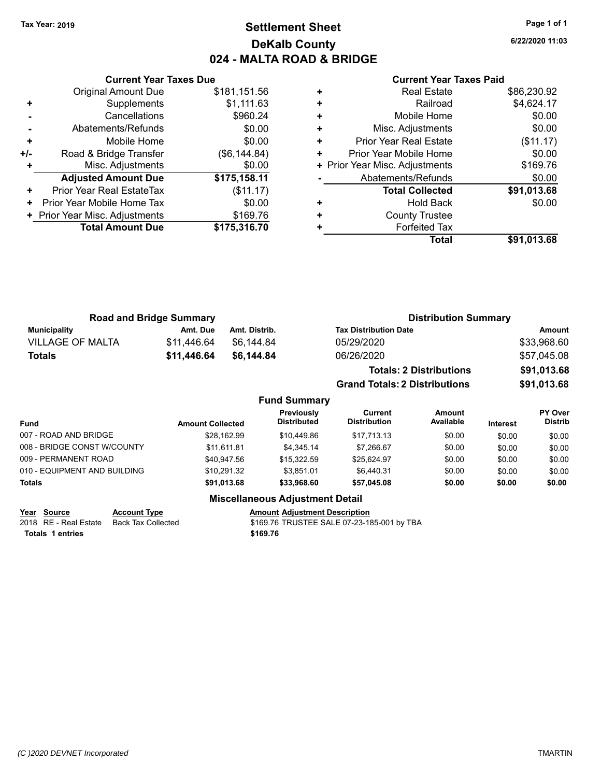### **Settlement Sheet Tax Year: 2019 Page 1 of 1 DeKalb County 024 - MALTA ROAD & BRIDGE**

**6/22/2020 11:03**

#### **Current Year Taxes Paid**

|     | <b>Current Year Taxes Due</b>    |               |  |  |  |  |  |
|-----|----------------------------------|---------------|--|--|--|--|--|
|     | <b>Original Amount Due</b>       | \$181,151.56  |  |  |  |  |  |
| ٠   | Supplements                      | \$1,111.63    |  |  |  |  |  |
|     | Cancellations                    | \$960.24      |  |  |  |  |  |
|     | Abatements/Refunds               | \$0.00        |  |  |  |  |  |
| ٠   | Mobile Home                      |               |  |  |  |  |  |
| +/- | Road & Bridge Transfer           | (\$6, 144.84) |  |  |  |  |  |
|     | Misc. Adjustments                | \$0.00        |  |  |  |  |  |
|     | <b>Adjusted Amount Due</b>       | \$175,158.11  |  |  |  |  |  |
| ٠   | <b>Prior Year Real EstateTax</b> | (\$11.17)     |  |  |  |  |  |
| ٠   | Prior Year Mobile Home Tax       | \$0.00        |  |  |  |  |  |
|     | + Prior Year Misc. Adjustments   | \$169.76      |  |  |  |  |  |
|     | <b>Total Amount Due</b>          | \$175,316.70  |  |  |  |  |  |
|     |                                  |               |  |  |  |  |  |

| <b>Real Estate</b><br>٠        | \$86,230.92 |
|--------------------------------|-------------|
| Railroad<br>÷                  | \$4,624.17  |
| Mobile Home<br>٠               | \$0.00      |
| Misc. Adjustments<br>٠         | \$0.00      |
| Prior Year Real Estate<br>٠    | (\$11.17)   |
| Prior Year Mobile Home<br>٠    | \$0.00      |
| + Prior Year Misc. Adjustments | \$169.76    |
| Abatements/Refunds             | \$0.00      |
| <b>Total Collected</b>         | \$91,013.68 |
| <b>Hold Back</b><br>٠          | \$0.00      |
| <b>County Trustee</b><br>٠     |             |
| <b>Forfeited Tax</b><br>٠      |             |
| Total                          | \$91,013.68 |

**Grand Totals: 2 Distributions \$91,013.68**

| <b>Road and Bridge Summary</b> |             |               | <b>Distribution Summary</b>    |             |
|--------------------------------|-------------|---------------|--------------------------------|-------------|
| <b>Municipality</b>            | Amt. Due    | Amt. Distrib. | <b>Tax Distribution Date</b>   | Amount      |
| <b>VILLAGE OF MALTA</b>        | \$11.446.64 | \$6.144.84    | 05/29/2020                     | \$33,968.60 |
| <b>Totals</b>                  | \$11,446.64 | \$6.144.84    | 06/26/2020                     | \$57,045.08 |
|                                |             |               | <b>Totals: 2 Distributions</b> | \$91,013.68 |

|                              |                         | <b>Fund Summary</b>                     |                                       |                     |                 |                                  |
|------------------------------|-------------------------|-----------------------------------------|---------------------------------------|---------------------|-----------------|----------------------------------|
| <b>Fund</b>                  | <b>Amount Collected</b> | <b>Previously</b><br><b>Distributed</b> | <b>Current</b><br><b>Distribution</b> | Amount<br>Available | <b>Interest</b> | <b>PY Over</b><br><b>Distrib</b> |
| 007 - ROAD AND BRIDGE        | \$28,162.99             | \$10,449.86                             | \$17,713.13                           | \$0.00              | \$0.00          | \$0.00                           |
| 008 - BRIDGE CONST W/COUNTY  | \$11.611.81             | \$4,345.14                              | \$7,266.67                            | \$0.00              | \$0.00          | \$0.00                           |
| 009 - PERMANENT ROAD         | \$40.947.56             | \$15.322.59                             | \$25,624.97                           | \$0.00              | \$0.00          | \$0.00                           |
| 010 - EQUIPMENT AND BUILDING | \$10,291.32             | \$3.851.01                              | \$6,440.31                            | \$0.00              | \$0.00          | \$0.00                           |
| Totals                       | \$91.013.68             | \$33.968.60                             | \$57,045.08                           | \$0.00              | \$0.00          | \$0.00                           |
|                              |                         |                                         |                                       |                     |                 |                                  |

#### **Miscellaneous Adjustment Detail**

**Year Source Account Type Account Type Amount Adjustment Description**<br>2018 RE - Real Estate Back Tax Collected \$169.76 TRUSTEE SALE 07-23-18

\$169.76 TRUSTEE SALE 07-23-185-001 by TBA **Totals \$169.76 1 entries**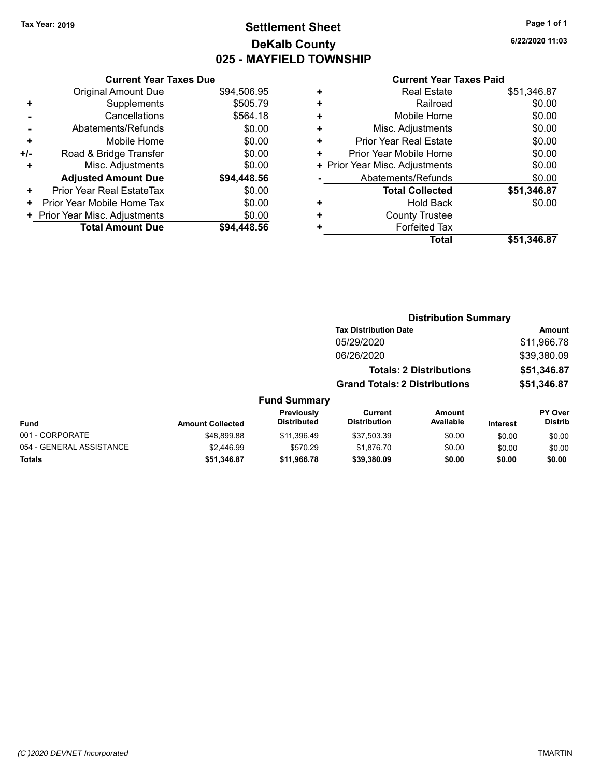### **Settlement Sheet Tax Year: 2019 Page 1 of 1 DeKalb County 025 - MAYFIELD TOWNSHIP**

**6/22/2020 11:03**

|       | <b>Current Year Taxes Due</b>  |             |
|-------|--------------------------------|-------------|
|       | <b>Original Amount Due</b>     | \$94,506.95 |
| ٠     | Supplements                    | \$505.79    |
|       | Cancellations                  | \$564.18    |
|       | Abatements/Refunds             | \$0.00      |
| ٠     | Mobile Home                    | \$0.00      |
| $+/-$ | Road & Bridge Transfer         | \$0.00      |
|       | Misc. Adjustments              | \$0.00      |
|       | <b>Adjusted Amount Due</b>     | \$94,448.56 |
| ÷     | Prior Year Real EstateTax      | \$0.00      |
| ٠     | Prior Year Mobile Home Tax     | \$0.00      |
|       | + Prior Year Misc. Adjustments | \$0.00      |
|       | <b>Total Amount Due</b>        | \$94.448.56 |
|       |                                |             |

|   | <b>Real Estate</b>             | \$51,346.87 |
|---|--------------------------------|-------------|
| ٠ | Railroad                       | \$0.00      |
| ٠ | Mobile Home                    | \$0.00      |
| ٠ | Misc. Adjustments              | \$0.00      |
| ٠ | Prior Year Real Estate         | \$0.00      |
| ٠ | Prior Year Mobile Home         | \$0.00      |
|   | + Prior Year Misc. Adjustments | \$0.00      |
|   | Abatements/Refunds             | \$0.00      |
|   | <b>Total Collected</b>         | \$51,346.87 |
| ٠ | <b>Hold Back</b>               | \$0.00      |
| ٠ | <b>County Trustee</b>          |             |
| ٠ | <b>Forfeited Tax</b>           |             |
|   | Total                          | \$51,346.87 |
|   |                                |             |

|                          |                         | <b>Distribution Summary</b>      |                                       |                                |                 |                           |
|--------------------------|-------------------------|----------------------------------|---------------------------------------|--------------------------------|-----------------|---------------------------|
|                          |                         | <b>Tax Distribution Date</b>     |                                       |                                | Amount          |                           |
|                          |                         |                                  | 05/29/2020                            |                                |                 | \$11,966.78               |
|                          |                         |                                  | 06/26/2020                            |                                |                 | \$39,380.09               |
|                          |                         |                                  |                                       | <b>Totals: 2 Distributions</b> |                 | \$51,346.87               |
|                          |                         |                                  | <b>Grand Totals: 2 Distributions</b>  |                                | \$51,346.87     |                           |
|                          |                         | <b>Fund Summary</b>              |                                       |                                |                 |                           |
| Fund                     | <b>Amount Collected</b> | Previously<br><b>Distributed</b> | <b>Current</b><br><b>Distribution</b> | <b>Amount</b><br>Available     | <b>Interest</b> | PY Over<br><b>Distrib</b> |
| 001 - CORPORATE          | \$48,899.88             | \$11.396.49                      | \$37.503.39                           | \$0.00                         | \$0.00          | \$0.00                    |
| 054 - GENERAL ASSISTANCE | \$2,446.99              | \$570.29                         | \$1.876.70                            | \$0.00                         | \$0.00          | \$0.00                    |
| <b>Totals</b>            | \$51,346.87             | \$11,966.78                      | \$39,380.09                           | \$0.00                         | \$0.00          | \$0.00                    |
|                          |                         |                                  |                                       |                                |                 |                           |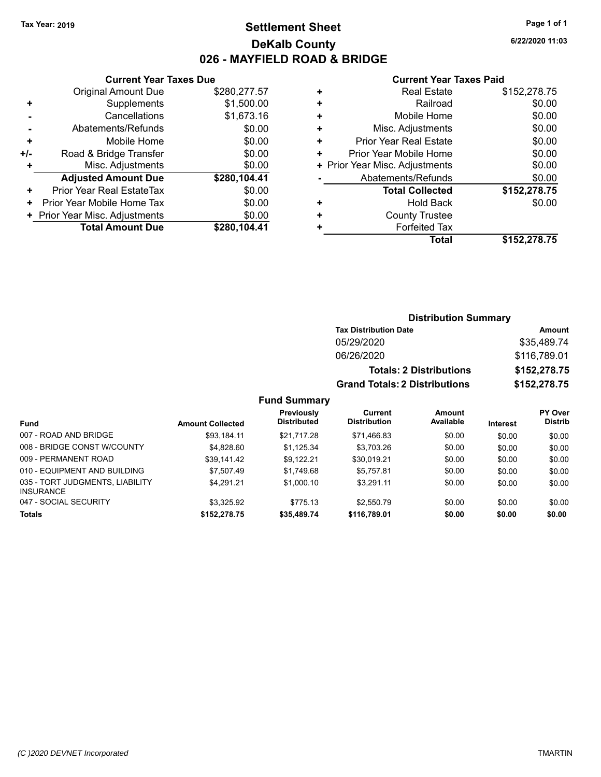### **Settlement Sheet Tax Year: 2019 Page 1 of 1 DeKalb County 026 - MAYFIELD ROAD & BRIDGE**

**6/22/2020 11:03**

#### **Current Year Taxes Paid**

| <b>Current Year Taxes Due</b>  |              |  |  |  |  |  |
|--------------------------------|--------------|--|--|--|--|--|
| <b>Original Amount Due</b>     | \$280,277.57 |  |  |  |  |  |
| Supplements                    | \$1,500.00   |  |  |  |  |  |
| Cancellations<br>\$1,673.16    |              |  |  |  |  |  |
| Abatements/Refunds             | \$0.00       |  |  |  |  |  |
| Mobile Home                    | \$0.00       |  |  |  |  |  |
| Road & Bridge Transfer         | \$0.00       |  |  |  |  |  |
| Misc. Adjustments              | \$0.00       |  |  |  |  |  |
| <b>Adjusted Amount Due</b>     | \$280,104.41 |  |  |  |  |  |
| Prior Year Real EstateTax      | \$0.00       |  |  |  |  |  |
| Prior Year Mobile Home Tax     | \$0.00       |  |  |  |  |  |
| + Prior Year Misc. Adjustments | \$0.00       |  |  |  |  |  |
| <b>Total Amount Due</b>        | \$280,104.41 |  |  |  |  |  |
|                                |              |  |  |  |  |  |

|   | <b>Real Estate</b>             | \$152,278.75 |
|---|--------------------------------|--------------|
| ÷ | Railroad                       | \$0.00       |
| ٠ | Mobile Home                    | \$0.00       |
| ٠ | Misc. Adjustments              | \$0.00       |
| ٠ | <b>Prior Year Real Estate</b>  | \$0.00       |
| ٠ | Prior Year Mobile Home         | \$0.00       |
|   | + Prior Year Misc. Adjustments | \$0.00       |
|   | Abatements/Refunds             | \$0.00       |
|   | <b>Total Collected</b>         | \$152,278.75 |
| ٠ | <b>Hold Back</b>               | \$0.00       |
| ٠ | <b>County Trustee</b>          |              |
| ٠ | <b>Forfeited Tax</b>           |              |
|   | Total                          | \$152,278.75 |

#### **Distribution Summary Tax Distribution Date Amount** 05/29/2020 \$35,489.74 06/26/2020 \$116,789.01 **Totals: 2 Distributions \$152,278.75 Grand Totals: 2 Distributions \$152,278.75**

#### **Fund Summary**

| <b>Fund</b>                                         | <b>Amount Collected</b> | <b>Previously</b><br><b>Distributed</b> | Current<br><b>Distribution</b> | <b>Amount</b><br>Available | Interest | <b>PY Over</b><br>Distrib |
|-----------------------------------------------------|-------------------------|-----------------------------------------|--------------------------------|----------------------------|----------|---------------------------|
| 007 - ROAD AND BRIDGE                               | \$93.184.11             | \$21.717.28                             | \$71,466.83                    | \$0.00                     | \$0.00   | \$0.00                    |
| 008 - BRIDGE CONST W/COUNTY                         | \$4.828.60              | \$1.125.34                              | \$3.703.26                     | \$0.00                     | \$0.00   | \$0.00                    |
| 009 - PERMANENT ROAD                                | \$39.141.42             | \$9,122.21                              | \$30,019.21                    | \$0.00                     | \$0.00   | \$0.00                    |
| 010 - EQUIPMENT AND BUILDING                        | \$7.507.49              | \$1.749.68                              | \$5.757.81                     | \$0.00                     | \$0.00   | \$0.00                    |
| 035 - TORT JUDGMENTS, LIABILITY<br><b>INSURANCE</b> | \$4.291.21              | \$1,000.10                              | \$3.291.11                     | \$0.00                     | \$0.00   | \$0.00                    |
| 047 - SOCIAL SECURITY                               | \$3.325.92              | \$775.13                                | \$2,550.79                     | \$0.00                     | \$0.00   | \$0.00                    |
| <b>Totals</b>                                       | \$152,278.75            | \$35,489.74                             | \$116,789.01                   | \$0.00                     | \$0.00   | \$0.00                    |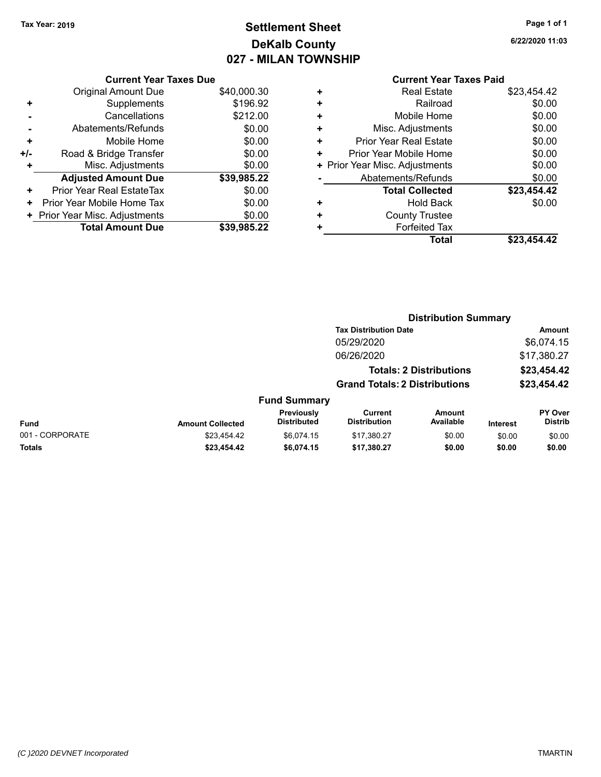### **Settlement Sheet Tax Year: 2019 Page 1 of 1 DeKalb County 027 - MILAN TOWNSHIP**

**6/22/2020 11:03**

| <b>Current Year Taxes Due</b>  |             |
|--------------------------------|-------------|
| <b>Original Amount Due</b>     | \$40,000.30 |
| Supplements                    | \$196.92    |
| Cancellations                  | \$212.00    |
| Abatements/Refunds             | \$0.00      |
| Mobile Home                    | \$0.00      |
| Road & Bridge Transfer         | \$0.00      |
| Misc. Adjustments              | \$0.00      |
| <b>Adjusted Amount Due</b>     | \$39,985.22 |
| Prior Year Real EstateTax      | \$0.00      |
| Prior Year Mobile Home Tax     | \$0.00      |
| + Prior Year Misc. Adjustments | \$0.00      |
| <b>Total Amount Due</b>        | \$39,985.22 |
|                                |             |

|   | <b>Real Estate</b>             | \$23,454.42 |
|---|--------------------------------|-------------|
| ٠ | Railroad                       | \$0.00      |
| ÷ | Mobile Home                    | \$0.00      |
| ÷ | Misc. Adjustments              | \$0.00      |
| ٠ | Prior Year Real Estate         | \$0.00      |
| ٠ | Prior Year Mobile Home         | \$0.00      |
|   | + Prior Year Misc. Adjustments | \$0.00      |
|   | Abatements/Refunds             | \$0.00      |
|   | <b>Total Collected</b>         | \$23,454.42 |
| ٠ | <b>Hold Back</b>               | \$0.00      |
| ٠ | <b>County Trustee</b>          |             |
| ٠ | <b>Forfeited Tax</b>           |             |
|   | Total                          | \$23,454.42 |
|   |                                |             |

|                 |                         |                                  |                                      | <b>Distribution Summary</b>    |                 |                                  |
|-----------------|-------------------------|----------------------------------|--------------------------------------|--------------------------------|-----------------|----------------------------------|
|                 |                         |                                  | <b>Tax Distribution Date</b>         |                                |                 | Amount                           |
|                 |                         |                                  | 05/29/2020                           |                                |                 | \$6,074.15                       |
|                 |                         |                                  | 06/26/2020                           |                                |                 | \$17,380.27                      |
|                 |                         |                                  |                                      | <b>Totals: 2 Distributions</b> |                 | \$23,454.42                      |
|                 |                         |                                  | <b>Grand Totals: 2 Distributions</b> |                                |                 | \$23,454.42                      |
|                 |                         | <b>Fund Summary</b>              |                                      |                                |                 |                                  |
| <b>Fund</b>     | <b>Amount Collected</b> | Previously<br><b>Distributed</b> | Current<br><b>Distribution</b>       | <b>Amount</b><br>Available     | <b>Interest</b> | <b>PY Over</b><br><b>Distrib</b> |
| 001 - CORPORATE | \$23,454.42             | \$6.074.15                       | \$17,380.27                          | \$0.00                         | \$0.00          | \$0.00                           |
| <b>Totals</b>   | \$23,454.42             | \$6,074.15                       | \$17,380.27                          | \$0.00                         | \$0.00          | \$0.00                           |
|                 |                         |                                  |                                      |                                |                 |                                  |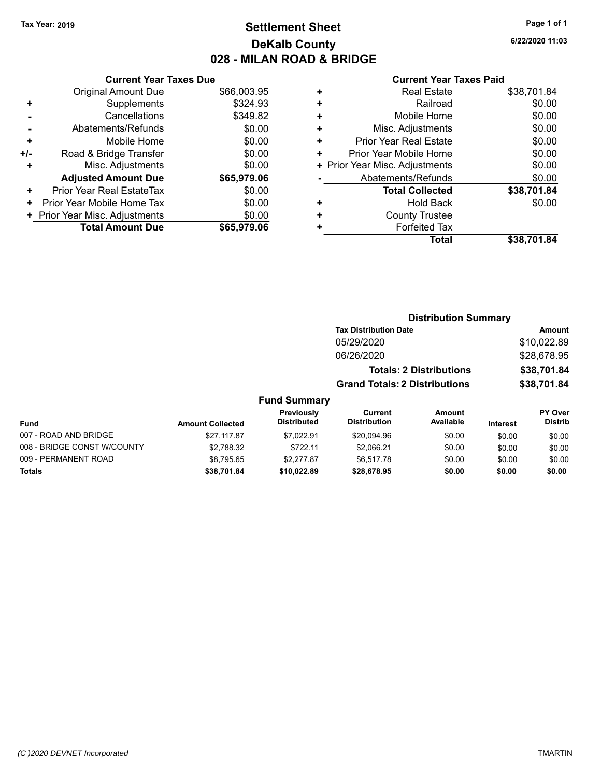### **Settlement Sheet Tax Year: 2019 Page 1 of 1 DeKalb County 028 - MILAN ROAD & BRIDGE**

**6/22/2020 11:03**

#### **Current Year Taxes Paid**

|     | <b>Current Year Taxes Due</b>  |             |
|-----|--------------------------------|-------------|
|     | <b>Original Amount Due</b>     | \$66,003.95 |
| ٠   | Supplements                    | \$324.93    |
|     | Cancellations                  | \$349.82    |
|     | Abatements/Refunds             | \$0.00      |
| ÷   | Mobile Home                    | \$0.00      |
| +/- | Road & Bridge Transfer         | \$0.00      |
|     | Misc. Adjustments              | \$0.00      |
|     | <b>Adjusted Amount Due</b>     | \$65,979.06 |
| ٠   | Prior Year Real EstateTax      | \$0.00      |
| ٠   | Prior Year Mobile Home Tax     | \$0.00      |
|     | + Prior Year Misc. Adjustments | \$0.00      |
|     | <b>Total Amount Due</b>        | \$65,979.06 |
|     |                                |             |

|   | <b>Real Estate</b>             | \$38,701.84 |
|---|--------------------------------|-------------|
| ٠ | Railroad                       | \$0.00      |
| ٠ | Mobile Home                    | \$0.00      |
| ٠ | Misc. Adjustments              | \$0.00      |
| ٠ | <b>Prior Year Real Estate</b>  | \$0.00      |
| ٠ | Prior Year Mobile Home         | \$0.00      |
|   | + Prior Year Misc. Adjustments | \$0.00      |
|   | Abatements/Refunds             | \$0.00      |
|   | <b>Total Collected</b>         | \$38,701.84 |
| ٠ | <b>Hold Back</b>               | \$0.00      |
| ٠ | <b>County Trustee</b>          |             |
| ٠ | <b>Forfeited Tax</b>           |             |
|   | Total                          | \$38.701.84 |
|   |                                |             |

|                             |                         |                                  |                                      | <b>Distribution Summary</b>    |                 |                                  |
|-----------------------------|-------------------------|----------------------------------|--------------------------------------|--------------------------------|-----------------|----------------------------------|
|                             |                         |                                  | <b>Tax Distribution Date</b>         |                                |                 | Amount                           |
|                             |                         |                                  | 05/29/2020                           |                                |                 | \$10,022.89                      |
|                             |                         |                                  | 06/26/2020                           |                                |                 | \$28,678.95                      |
|                             |                         |                                  |                                      | <b>Totals: 2 Distributions</b> |                 | \$38,701.84                      |
|                             |                         |                                  | <b>Grand Totals: 2 Distributions</b> |                                |                 | \$38,701.84                      |
|                             |                         | <b>Fund Summary</b>              |                                      |                                |                 |                                  |
| <b>Fund</b>                 | <b>Amount Collected</b> | Previously<br><b>Distributed</b> | Current<br><b>Distribution</b>       | Amount<br>Available            | <b>Interest</b> | <b>PY Over</b><br><b>Distrib</b> |
| 007 - ROAD AND BRIDGE       | \$27.117.87             | \$7.022.91                       | \$20,094.96                          | \$0.00                         | \$0.00          | \$0.00                           |
| 008 - BRIDGE CONST W/COUNTY | \$2,788.32              | \$722.11                         | \$2,066.21                           | \$0.00                         | \$0.00          | \$0.00                           |
| 009 - PERMANENT ROAD        | \$8.795.65              | \$2,277.87                       | \$6.517.78                           | \$0.00                         | \$0.00          | \$0.00                           |

**Totals \$38,701.84 \$10,022.89 \$28,678.95 \$0.00 \$0.00 \$0.00**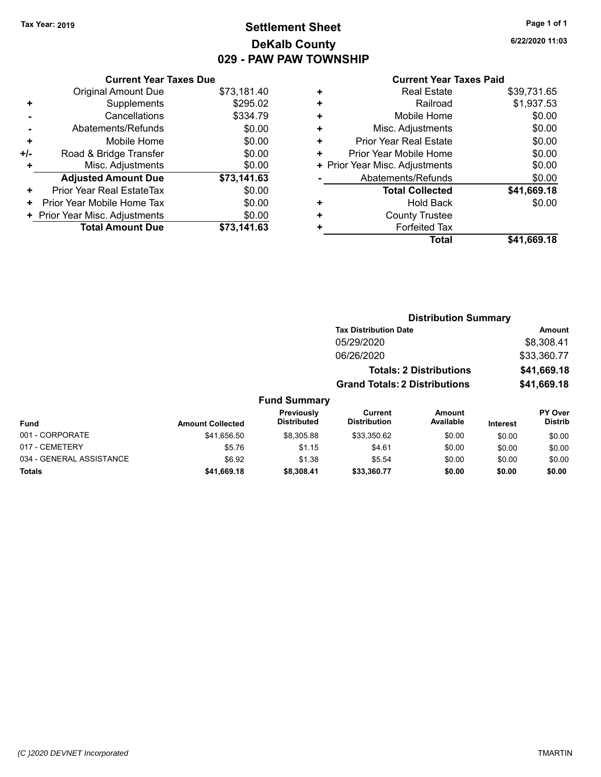### **Settlement Sheet Tax Year: 2019 Page 1 of 1 DeKalb County 029 - PAW PAW TOWNSHIP**

017 - CEMETERY **\$5.76** \$1.15 \$4.61 \$0.00 \$0.00 \$0.00 034 - GENERAL ASSISTANCE \$6.92 \$1.38 \$0.00 \$0.00 \$0.00 \$0.00 **Totals \$41,669.18 \$8,308.41 \$33,360.77 \$0.00 \$0.00 \$0.00**

**6/22/2020 11:03**

#### **Current Year Taxes Paid**

|       | <b>Current Year Taxes Due</b>  |             |
|-------|--------------------------------|-------------|
|       | <b>Original Amount Due</b>     | \$73,181.40 |
| ٠     | Supplements                    | \$295.02    |
|       | Cancellations                  | \$334.79    |
|       | Abatements/Refunds             | \$0.00      |
| ٠     | Mobile Home                    | \$0.00      |
| $+/-$ | Road & Bridge Transfer         | \$0.00      |
| ٠     | Misc. Adjustments              | \$0.00      |
|       | <b>Adjusted Amount Due</b>     | \$73,141.63 |
| ÷     | Prior Year Real EstateTax      | \$0.00      |
| ٠     | Prior Year Mobile Home Tax     | \$0.00      |
|       | + Prior Year Misc. Adjustments | \$0.00      |
|       | <b>Total Amount Due</b>        | \$73.141.63 |
|       |                                |             |

| Railroad<br>٠<br>\$0.00<br>Mobile Home<br>٠<br>\$0.00<br>Misc. Adjustments<br>٠<br>\$0.00<br>Prior Year Real Estate<br>٠<br>\$0.00<br>Prior Year Mobile Home<br>٠<br>\$0.00<br>+ Prior Year Misc. Adjustments<br>Abatements/Refunds<br>\$0.00<br>\$41,669.18<br><b>Total Collected</b><br>Hold Back<br>٠<br><b>County Trustee</b><br>+ |   | <b>Real Estate</b>   | \$39,731.65 |
|----------------------------------------------------------------------------------------------------------------------------------------------------------------------------------------------------------------------------------------------------------------------------------------------------------------------------------------|---|----------------------|-------------|
|                                                                                                                                                                                                                                                                                                                                        |   |                      | \$1,937.53  |
|                                                                                                                                                                                                                                                                                                                                        |   |                      |             |
|                                                                                                                                                                                                                                                                                                                                        |   |                      |             |
|                                                                                                                                                                                                                                                                                                                                        |   |                      |             |
|                                                                                                                                                                                                                                                                                                                                        |   |                      |             |
|                                                                                                                                                                                                                                                                                                                                        |   |                      |             |
|                                                                                                                                                                                                                                                                                                                                        |   |                      |             |
|                                                                                                                                                                                                                                                                                                                                        |   |                      |             |
|                                                                                                                                                                                                                                                                                                                                        |   |                      | \$0.00      |
|                                                                                                                                                                                                                                                                                                                                        |   |                      |             |
|                                                                                                                                                                                                                                                                                                                                        | ٠ | <b>Forfeited Tax</b> |             |
| \$41,669.18<br>Total                                                                                                                                                                                                                                                                                                                   |   |                      |             |

|                 |                         |                                  |                                      | <b>Distribution Summary</b>    |                 |                           |
|-----------------|-------------------------|----------------------------------|--------------------------------------|--------------------------------|-----------------|---------------------------|
|                 |                         |                                  | <b>Tax Distribution Date</b>         |                                |                 | <b>Amount</b>             |
|                 |                         |                                  | 05/29/2020                           |                                |                 | \$8,308.41                |
|                 |                         |                                  | 06/26/2020                           |                                |                 | \$33,360.77               |
|                 |                         |                                  |                                      | <b>Totals: 2 Distributions</b> |                 | \$41,669.18               |
|                 |                         |                                  | <b>Grand Totals: 2 Distributions</b> |                                |                 | \$41,669.18               |
|                 |                         | <b>Fund Summary</b>              |                                      |                                |                 |                           |
| <b>Fund</b>     | <b>Amount Collected</b> | Previously<br><b>Distributed</b> | Current<br><b>Distribution</b>       | Amount<br>Available            | <b>Interest</b> | PY Over<br><b>Distrib</b> |
| 001 - CORPORATE | \$41,656.50             | \$8,305.88                       | \$33,350.62                          | \$0.00                         | \$0.00          | \$0.00                    |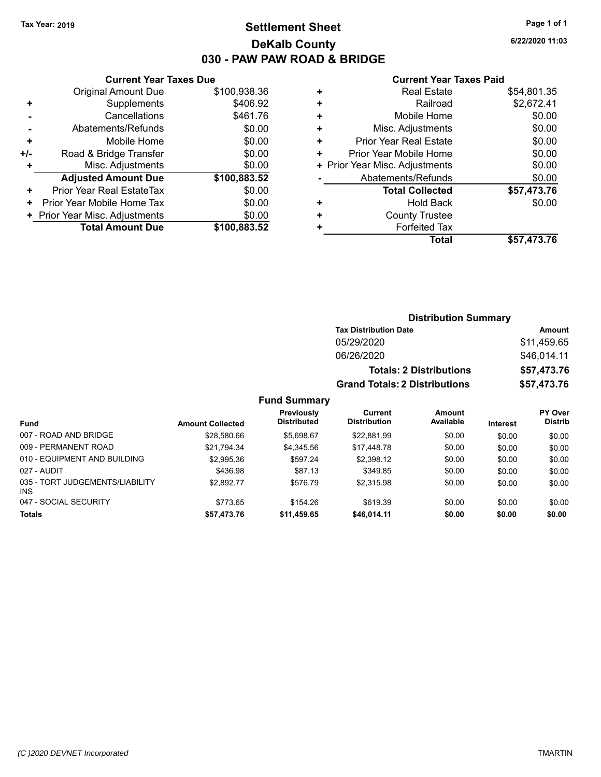### **Settlement Sheet Tax Year: 2019 Page 1 of 1 DeKalb County 030 - PAW PAW ROAD & BRIDGE**

**6/22/2020 11:03**

#### **Current Year Taxes Paid**

|       | <b>Current Year Taxes Due</b>  |              |
|-------|--------------------------------|--------------|
|       | <b>Original Amount Due</b>     | \$100,938.36 |
| ٠     | Supplements                    | \$406.92     |
|       | Cancellations                  | \$461.76     |
|       | Abatements/Refunds             | \$0.00       |
| ٠     | Mobile Home                    | \$0.00       |
| $+/-$ | Road & Bridge Transfer         | \$0.00       |
| ٠     | Misc. Adjustments              | \$0.00       |
|       | <b>Adjusted Amount Due</b>     | \$100,883.52 |
| ٠     | Prior Year Real EstateTax      | \$0.00       |
| ٠     | Prior Year Mobile Home Tax     | \$0.00       |
|       | + Prior Year Misc. Adjustments | \$0.00       |
|       | <b>Total Amount Due</b>        | \$100,883.52 |
|       |                                |              |

|   | <b>Real Estate</b>             | \$54,801.35 |
|---|--------------------------------|-------------|
| ÷ | Railroad                       | \$2,672.41  |
| ٠ | Mobile Home                    | \$0.00      |
| ٠ | Misc. Adjustments              | \$0.00      |
| ٠ | <b>Prior Year Real Estate</b>  | \$0.00      |
| ٠ | Prior Year Mobile Home         | \$0.00      |
|   | + Prior Year Misc. Adjustments | \$0.00      |
|   | Abatements/Refunds             | \$0.00      |
|   | <b>Total Collected</b>         | \$57,473.76 |
| ٠ | <b>Hold Back</b>               | \$0.00      |
| ٠ | <b>County Trustee</b>          |             |
| ٠ | <b>Forfeited Tax</b>           |             |
|   | Total                          | \$57,473.76 |

### **Distribution Summary Tax Distribution Date Amount** 05/29/2020 \$11,459.65 06/26/2020 \$46,014.11 **Totals: 2 Distributions \$57,473.76 Grand Totals: 2 Distributions \$57,473.76**

| <b>Fund Summary</b> |
|---------------------|
|                     |

|                                        |                         | Previously         | Current             | <b>Amount</b> |                 | <b>PY Over</b> |
|----------------------------------------|-------------------------|--------------------|---------------------|---------------|-----------------|----------------|
| Fund                                   | <b>Amount Collected</b> | <b>Distributed</b> | <b>Distribution</b> | Available     | <b>Interest</b> | <b>Distrib</b> |
| 007 - ROAD AND BRIDGE                  | \$28,580.66             | \$5.698.67         | \$22.881.99         | \$0.00        | \$0.00          | \$0.00         |
| 009 - PERMANENT ROAD                   | \$21.794.34             | \$4.345.56         | \$17,448.78         | \$0.00        | \$0.00          | \$0.00         |
| 010 - EQUIPMENT AND BUILDING           | \$2,995.36              | \$597.24           | \$2,398.12          | \$0.00        | \$0.00          | \$0.00         |
| 027 - AUDIT                            | \$436.98                | \$87.13            | \$349.85            | \$0.00        | \$0.00          | \$0.00         |
| 035 - TORT JUDGEMENTS/LIABILITY<br>INS | \$2.892.77              | \$576.79           | \$2.315.98          | \$0.00        | \$0.00          | \$0.00         |
| 047 - SOCIAL SECURITY                  | \$773.65                | \$154.26           | \$619.39            | \$0.00        | \$0.00          | \$0.00         |
| <b>Totals</b>                          | \$57,473.76             | \$11,459.65        | \$46,014.11         | \$0.00        | \$0.00          | \$0.00         |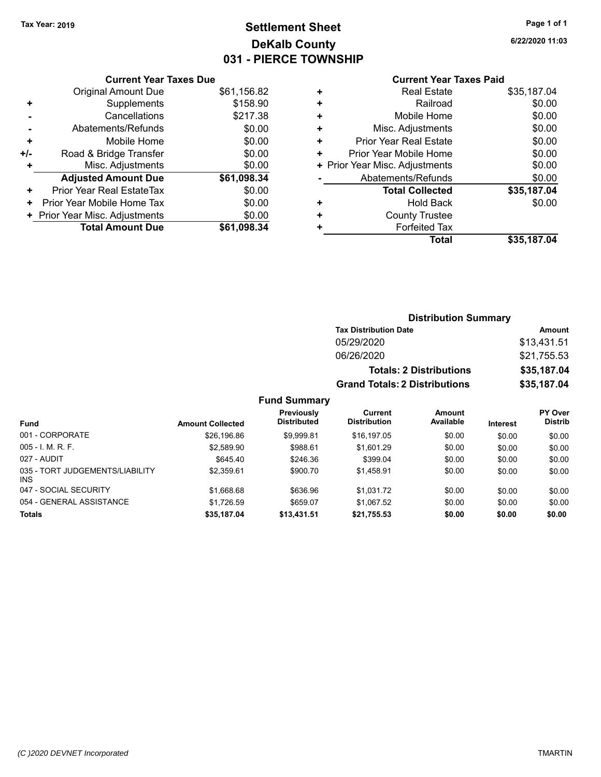### **Settlement Sheet Tax Year: 2019 Page 1 of 1 DeKalb County 031 - PIERCE TOWNSHIP**

**6/22/2020 11:03**

### **Current Year Taxes Paid**

| <b>Current Year Taxes Due</b> |                                |
|-------------------------------|--------------------------------|
| <b>Original Amount Due</b>    | \$61,156.82                    |
| Supplements                   | \$158.90                       |
| Cancellations                 | \$217.38                       |
| Abatements/Refunds            | \$0.00                         |
| Mobile Home                   | \$0.00                         |
| Road & Bridge Transfer        | \$0.00                         |
| Misc. Adjustments             | \$0.00                         |
| <b>Adjusted Amount Due</b>    | \$61,098.34                    |
| Prior Year Real EstateTax     | \$0.00                         |
| Prior Year Mobile Home Tax    | \$0.00                         |
|                               | \$0.00                         |
| <b>Total Amount Due</b>       | \$61.098.34                    |
|                               | + Prior Year Misc. Adjustments |

| ٠ | <b>Real Estate</b>             | \$35,187.04 |
|---|--------------------------------|-------------|
| ÷ | Railroad                       | \$0.00      |
| ٠ | Mobile Home                    | \$0.00      |
| ٠ | Misc. Adjustments              | \$0.00      |
| ٠ | <b>Prior Year Real Estate</b>  | \$0.00      |
| ÷ | Prior Year Mobile Home         | \$0.00      |
|   | + Prior Year Misc. Adjustments | \$0.00      |
|   | Abatements/Refunds             | \$0.00      |
|   | <b>Total Collected</b>         | \$35,187.04 |
| ٠ | <b>Hold Back</b>               | \$0.00      |
| + | <b>County Trustee</b>          |             |
| ٠ | <b>Forfeited Tax</b>           |             |
|   | Total                          | \$35,187.04 |
|   |                                |             |

#### **Distribution Summary Tax Distribution Date Amount** 05/29/2020 \$13,431.51 06/26/2020 \$21,755.53 **Totals: 2 Distributions \$35,187.04 Grand Totals: 2 Distributions \$35,187.04 Fund Summary Fund Interest Amount Collected Distributed PY Over Distrib Amount Available Current Distribution Previously** 001 - CORPORATE \$26,196.86 \$9,999.81 \$16,197.05 \$0.00 \$0.00 \$0.00 005 - I. M. R. F. \$2,589.90 \$988.61 \$1,601.29 \$0.00 \$0.00 \$0.00 027 - AUDIT \$645.40 \$246.36 \$399.04 \$0.00 \$0.00 \$0.00 \$2,359.61 \$900.70 \$1,458.91 \$0.00 \$0.00 \$0.00

| 054 - GENERAL ASSISTANCE<br><b>Totals</b>     | \$1.726.59<br>\$35,187,04 | \$659.07<br>\$13,431.51 | \$1.067.52<br>\$21.755.53 | \$0.00<br>\$0.00 | \$0.00<br>\$0.00 | \$0.00<br>\$0.00 |
|-----------------------------------------------|---------------------------|-------------------------|---------------------------|------------------|------------------|------------------|
| 047 - SOCIAL SECURITY                         | \$1.668.68                | \$636.96                | \$1.031.72                | \$0.00           | \$0.00           | \$0.00           |
| 035 - TORT JUDGEMENTS/LIABILITY<br><b>INS</b> | \$2.359.61                | \$900.70                | \$1.458.91                | \$0.00           | \$0.00           | \$0.00           |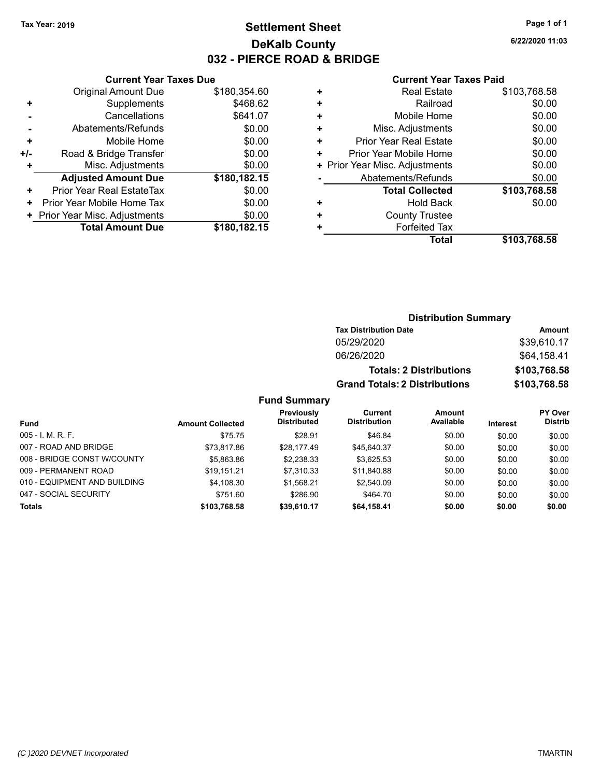### **Settlement Sheet Tax Year: 2019 Page 1 of 1 DeKalb County 032 - PIERCE ROAD & BRIDGE**

**6/22/2020 11:03**

#### **Current Year Taxes Paid**

|     | <b>Original Amount Due</b>     | \$180,354.60 |
|-----|--------------------------------|--------------|
| ٠   | Supplements                    | \$468.62     |
|     | Cancellations                  | \$641.07     |
|     | Abatements/Refunds             | \$0.00       |
| ÷   | Mobile Home                    | \$0.00       |
| +/- | Road & Bridge Transfer         | \$0.00       |
| ٠   | Misc. Adjustments              | \$0.00       |
|     | <b>Adjusted Amount Due</b>     | \$180,182.15 |
| ٠   | Prior Year Real EstateTax      | \$0.00       |
| ٠   | Prior Year Mobile Home Tax     | \$0.00       |
|     | + Prior Year Misc. Adjustments | \$0.00       |
|     | <b>Total Amount Due</b>        | \$180,182.15 |
|     |                                |              |

**Current Year Taxes Due**

| <b>Real Estate</b>            | \$103,768.58                   |
|-------------------------------|--------------------------------|
| Railroad                      | \$0.00                         |
| Mobile Home                   | \$0.00                         |
| Misc. Adjustments             | \$0.00                         |
| <b>Prior Year Real Estate</b> | \$0.00                         |
| Prior Year Mobile Home        | \$0.00                         |
|                               | \$0.00                         |
| Abatements/Refunds            | \$0.00                         |
| <b>Total Collected</b>        | \$103,768.58                   |
| <b>Hold Back</b>              | \$0.00                         |
| <b>County Trustee</b>         |                                |
| <b>Forfeited Tax</b>          |                                |
| Total                         | \$103,768.58                   |
|                               | + Prior Year Misc. Adjustments |

### **Distribution Summary Tax Distribution Date Amount** 05/29/2020 \$39,610.17 06/26/2020 \$64,158.41 **Totals: 2 Distributions \$103,768.58 Grand Totals: 2 Distributions \$103,768.58**

#### **Fund Summary Fund Interest Amount Collected Distributed PY Over Distrib Amount Available Current Distribution Previously** 005 - I. M. R. F. Channel Channel Channel (St. 75 - \$28.91 \$46.84 \$0.00 \$0.00 \$0.00 \$0.00 007 - ROAD AND BRIDGE 66.00 \$13,817.86 \$28,177.49 \$45,640.37 \$0.00 \$0.00 \$0.00 \$0.00 008 - BRIDGE CONST W/COUNTY  $$5,863.86$   $$2,238.33$   $$3,625.53$   $$0.00$   $$0.00$   $$0.00$ 009 - PERMANENT ROAD \$19,151.21 \$7,310.33 \$11,840.88 \$0.00 \$0.00 \$0.00 \$0.00 010 - EQUIPMENT AND BUILDING \$4,108.30 \$1,568.21 \$2,540.09 \$0.00 \$0.00 \$0.00 \$0.00 047 - SOCIAL SECURITY \$751.60 \$286.90 \$464.70 \$0.00 \$0.00 \$0.00 **Totals \$103,768.58 \$39,610.17 \$64,158.41 \$0.00 \$0.00 \$0.00**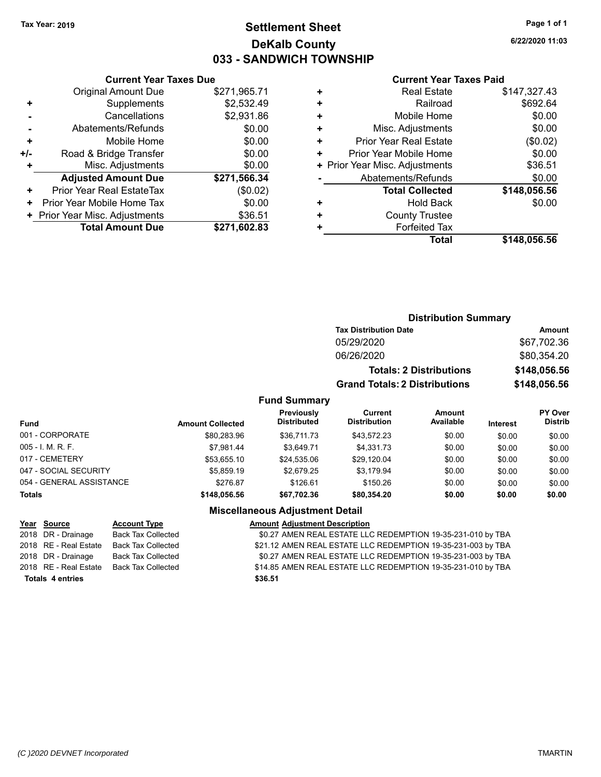### **Settlement Sheet Tax Year: 2019 Page 1 of 1 DeKalb County 033 - SANDWICH TOWNSHIP**

**6/22/2020 11:03**

#### **Current Year Taxes Paid**

|     | <b>Current Year Taxes Due</b>  |              |  |  |  |
|-----|--------------------------------|--------------|--|--|--|
|     | <b>Original Amount Due</b>     | \$271,965.71 |  |  |  |
| ٠   | Supplements                    | \$2,532.49   |  |  |  |
|     | Cancellations                  | \$2,931.86   |  |  |  |
|     | Abatements/Refunds             | \$0.00       |  |  |  |
| ٠   | Mobile Home                    | \$0.00       |  |  |  |
| +/- | Road & Bridge Transfer         | \$0.00       |  |  |  |
|     | Misc. Adjustments              | \$0.00       |  |  |  |
|     | <b>Adjusted Amount Due</b>     | \$271,566.34 |  |  |  |
| ٠   | Prior Year Real EstateTax      | (\$0.02)     |  |  |  |
| ٠   | Prior Year Mobile Home Tax     | \$0.00       |  |  |  |
|     | + Prior Year Misc. Adjustments | \$36.51      |  |  |  |
|     | <b>Total Amount Due</b>        | \$271,602.83 |  |  |  |
|     |                                |              |  |  |  |

| ٠ | <b>Real Estate</b>             | \$147,327.43 |
|---|--------------------------------|--------------|
| ÷ | Railroad                       | \$692.64     |
| ٠ | Mobile Home                    | \$0.00       |
| ٠ | Misc. Adjustments              | \$0.00       |
| ٠ | <b>Prior Year Real Estate</b>  | (\$0.02)     |
| ٠ | Prior Year Mobile Home         | \$0.00       |
|   | + Prior Year Misc. Adjustments | \$36.51      |
|   | Abatements/Refunds             | \$0.00       |
|   | <b>Total Collected</b>         | \$148,056.56 |
| ٠ | <b>Hold Back</b>               | \$0.00       |
| ٠ | <b>County Trustee</b>          |              |
| ٠ | <b>Forfeited Tax</b>           |              |
|   | Total                          | \$148,056.56 |
|   |                                |              |

|                                  | <b>Distribution Summary</b>          |                     |                 |                                  |
|----------------------------------|--------------------------------------|---------------------|-----------------|----------------------------------|
|                                  | <b>Tax Distribution Date</b>         |                     |                 | Amount                           |
|                                  | 05/29/2020                           |                     |                 | \$67,702.36                      |
|                                  | 06/26/2020                           |                     |                 | \$80,354.20                      |
|                                  | <b>Totals: 2 Distributions</b>       |                     | \$148,056.56    |                                  |
|                                  | <b>Grand Totals: 2 Distributions</b> |                     |                 | \$148,056.56                     |
| <b>Fund Summary</b>              |                                      |                     |                 |                                  |
| Previously<br><b>Distributed</b> | Current<br><b>Distribution</b>       | Amount<br>Available | <b>Interest</b> | <b>PY Over</b><br><b>Distrib</b> |

| <b>Fund</b>              | <b>Amount Collected</b> | <b>Previously</b><br><b>Distributed</b> | Current<br><b>Distribution</b> | Amount<br>Available | <b>Interest</b> | PY Over<br><b>Distrib</b> |
|--------------------------|-------------------------|-----------------------------------------|--------------------------------|---------------------|-----------------|---------------------------|
| 001 - CORPORATE          | \$80.283.96             | \$36.711.73                             | \$43.572.23                    | \$0.00              | \$0.00          | \$0.00                    |
| $005 - I. M. R. F.$      | \$7.981.44              | \$3.649.71                              | \$4.331.73                     | \$0.00              | \$0.00          | \$0.00                    |
| 017 - CEMETERY           | \$53.655.10             | \$24.535.06                             | \$29.120.04                    | \$0.00              | \$0.00          | \$0.00                    |
| 047 - SOCIAL SECURITY    | \$5.859.19              | \$2.679.25                              | \$3.179.94                     | \$0.00              | \$0.00          | \$0.00                    |
| 054 - GENERAL ASSISTANCE | \$276.87                | \$126.61                                | \$150.26                       | \$0.00              | \$0.00          | \$0.00                    |
| Totals                   | \$148.056.56            | \$67.702.36                             | \$80.354.20                    | \$0.00              | \$0.00          | \$0.00                    |

#### **Miscellaneous Adjustment Detail**

#### **Year** Source **Account Type A** Annount Adjustment Description 2018 DR - Drainage Back Tax Collected **\$0.27 AMEN REAL ESTATE LLC REDEMPTION 19-35-231-010 by TBA** 2018 RE - Real Estate Back Tax Collected **\$21.12 AMEN REAL ESTATE LLC REDEMPTION 19-35-231-003 by TBA** 2018 DR - Drainage Back Tax Collected **\$0.27 AMEN REAL ESTATE LLC REDEMPTION 19-35-231-003 by TBA** 2018 RE - Real Estate Back Tax Collected **\$14.85 AMEN REAL ESTATE LLC REDEMPTION 19-35-231-010 by TBA Totals \$36.51 4 entries**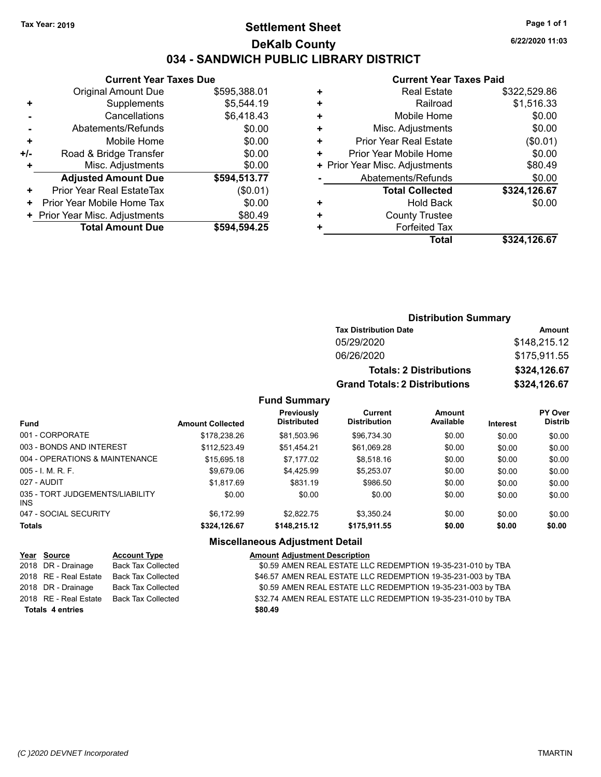### **Settlement Sheet Tax Year: 2019 Page 1 of 1 DeKalb County 034 - SANDWICH PUBLIC LIBRARY DISTRICT**

**6/22/2020 11:03**

#### **Current Year Taxes Paid**

|       | <b>Current Year Taxes Due</b>  |              |  |  |  |  |
|-------|--------------------------------|--------------|--|--|--|--|
|       | <b>Original Amount Due</b>     | \$595,388.01 |  |  |  |  |
| ٠     | Supplements                    | \$5,544.19   |  |  |  |  |
|       | Cancellations                  | \$6,418.43   |  |  |  |  |
|       | Abatements/Refunds             | \$0.00       |  |  |  |  |
| ٠     | Mobile Home                    | \$0.00       |  |  |  |  |
| $+/-$ | Road & Bridge Transfer         | \$0.00       |  |  |  |  |
| ٠     | Misc. Adjustments              | \$0.00       |  |  |  |  |
|       | <b>Adjusted Amount Due</b>     | \$594,513.77 |  |  |  |  |
| ٠     | Prior Year Real EstateTax      | (\$0.01)     |  |  |  |  |
| ٠     | Prior Year Mobile Home Tax     | \$0.00       |  |  |  |  |
|       | + Prior Year Misc. Adjustments | \$80.49      |  |  |  |  |
|       | <b>Total Amount Due</b>        | \$594.594.25 |  |  |  |  |

| ٠ | <b>Real Estate</b>             | \$322,529.86 |
|---|--------------------------------|--------------|
| ٠ | Railroad                       | \$1,516.33   |
| ٠ | Mobile Home                    | \$0.00       |
| ٠ | Misc. Adjustments              | \$0.00       |
| ٠ | <b>Prior Year Real Estate</b>  | (\$0.01)     |
| ٠ | Prior Year Mobile Home         | \$0.00       |
|   | + Prior Year Misc. Adjustments | \$80.49      |
|   | Abatements/Refunds             | \$0.00       |
|   | <b>Total Collected</b>         | \$324,126.67 |
| ٠ | Hold Back                      | \$0.00       |
| ٠ | <b>County Trustee</b>          |              |
| ٠ | <b>Forfeited Tax</b>           |              |
|   | <b>Total</b>                   | \$324,126.67 |

### **Distribution Summary**

| <b>Tax Distribution Date</b>         | Amount       |  |  |
|--------------------------------------|--------------|--|--|
| 05/29/2020                           | \$148,215.12 |  |  |
| 06/26/2020                           | \$175,911.55 |  |  |
| <b>Totals: 2 Distributions</b>       | \$324,126.67 |  |  |
| <b>Grand Totals: 2 Distributions</b> | \$324,126.67 |  |  |

#### **Fund Summary**

| <b>Fund</b>                             | <b>Amount Collected</b> | <b>Previously</b><br><b>Distributed</b> | <b>Current</b><br><b>Distribution</b> | Amount<br>Available | <b>Interest</b> | <b>PY Over</b><br><b>Distrib</b> |
|-----------------------------------------|-------------------------|-----------------------------------------|---------------------------------------|---------------------|-----------------|----------------------------------|
| 001 - CORPORATE                         | \$178.238.26            | \$81,503.96                             | \$96,734.30                           | \$0.00              | \$0.00          | \$0.00                           |
| 003 - BONDS AND INTEREST                | \$112,523.49            | \$51,454.21                             | \$61,069.28                           | \$0.00              | \$0.00          | \$0.00                           |
| 004 - OPERATIONS & MAINTENANCE          | \$15,695.18             | \$7.177.02                              | \$8,518.16                            | \$0.00              | \$0.00          | \$0.00                           |
| $005 - 1$ M, R, F.                      | \$9.679.06              | \$4.425.99                              | \$5,253.07                            | \$0.00              | \$0.00          | \$0.00                           |
| 027 - AUDIT                             | \$1.817.69              | \$831.19                                | \$986.50                              | \$0.00              | \$0.00          | \$0.00                           |
| 035 - TORT JUDGEMENTS/LIABILITY<br>INS. | \$0.00                  | \$0.00                                  | \$0.00                                | \$0.00              | \$0.00          | \$0.00                           |
| 047 - SOCIAL SECURITY                   | \$6.172.99              | \$2.822.75                              | \$3.350.24                            | \$0.00              | \$0.00          | \$0.00                           |
| <b>Totals</b>                           | \$324,126.67            | \$148,215.12                            | \$175,911.55                          | \$0.00              | \$0.00          | \$0.00                           |

### **Miscellaneous Adjustment Detail**

| Year Source             | <b>Account Type</b>       | <b>Amount Adjustment Description</b>                         |
|-------------------------|---------------------------|--------------------------------------------------------------|
| 2018 DR - Drainage      | <b>Back Tax Collected</b> | \$0.59 AMEN REAL ESTATE LLC REDEMPTION 19-35-231-010 by TBA  |
| 2018 RE - Real Estate   | <b>Back Tax Collected</b> | \$46.57 AMEN REAL ESTATE LLC REDEMPTION 19-35-231-003 by TBA |
| 2018 DR - Drainage      | Back Tax Collected        | \$0.59 AMEN REAL ESTATE LLC REDEMPTION 19-35-231-003 by TBA  |
| 2018 RE - Real Estate   | Back Tax Collected        | \$32.74 AMEN REAL ESTATE LLC REDEMPTION 19-35-231-010 by TBA |
| <b>Totals 4 entries</b> |                           | \$80.49                                                      |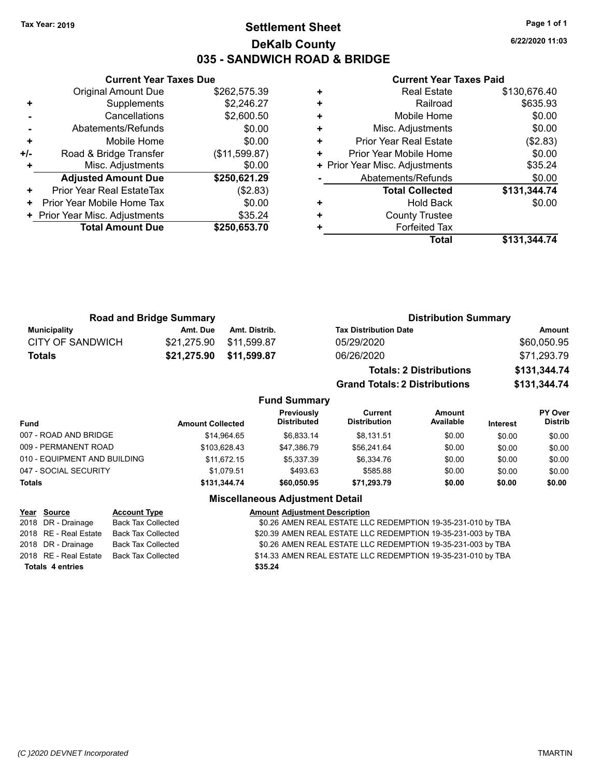## **Settlement Sheet Tax Year: 2019 Page 1 of 1 DeKalb County 035 - SANDWICH ROAD & BRIDGE**

**6/22/2020 11:03**

#### **Current Year Taxes Paid**

|     | <b>Original Amount Due</b>     | \$262,575.39  |
|-----|--------------------------------|---------------|
| ٠   | Supplements                    | \$2,246.27    |
|     | Cancellations                  | \$2,600.50    |
|     | Abatements/Refunds             | \$0.00        |
| ٠   | Mobile Home                    | \$0.00        |
| +/- | Road & Bridge Transfer         | (\$11,599.87) |
| ٠   | Misc. Adjustments              | \$0.00        |
|     | <b>Adjusted Amount Due</b>     | \$250,621.29  |
| ٠   | Prior Year Real EstateTax      | (\$2.83)      |
| ٠   | Prior Year Mobile Home Tax     | \$0.00        |
|     | + Prior Year Misc. Adjustments | \$35.24       |
|     | <b>Total Amount Due</b>        | \$250,653.70  |
|     |                                |               |

**Current Year Taxes Due**

| ٠ | <b>Real Estate</b>             | \$130,676.40 |
|---|--------------------------------|--------------|
| ٠ | Railroad                       | \$635.93     |
| ٠ | Mobile Home                    | \$0.00       |
| ٠ | Misc. Adjustments              | \$0.00       |
| ٠ | <b>Prior Year Real Estate</b>  | (\$2.83)     |
| ٠ | Prior Year Mobile Home         | \$0.00       |
|   | + Prior Year Misc. Adjustments | \$35.24      |
|   | Abatements/Refunds             | \$0.00       |
|   | <b>Total Collected</b>         | \$131,344.74 |
| ٠ | <b>Hold Back</b>               | \$0.00       |
| ٠ | <b>County Trustee</b>          |              |
| ٠ | <b>Forfeited Tax</b>           |              |
|   | <b>Total</b>                   | \$131,344.74 |

**Grand Totals: 2 Distributions \$131,344.74**

|                         | <b>Road and Bridge Summary</b> |                         | <b>Distribution Summary</b>    |              |
|-------------------------|--------------------------------|-------------------------|--------------------------------|--------------|
| <b>Municipality</b>     | Amt. Due                       | Amt. Distrib.           | <b>Tax Distribution Date</b>   | Amount       |
| <b>CITY OF SANDWICH</b> |                                | \$21,275.90 \$11,599.87 | 05/29/2020                     | \$60,050.95  |
| Totals                  |                                | \$21,275.90 \$11,599.87 | 06/26/2020                     | \$71,293.79  |
|                         |                                |                         | <b>Totals: 2 Distributions</b> | \$131,344.74 |

**Fund Summary Fund Interest Amount Collected Distributed PY Over Distrib Amount Available Current Distribution Previously** 007 - ROAD AND BRIDGE 60.00 \$14,964.65 \$6,833.14 \$8,131.51 \$0.00 \$0.00 \$0.00 \$0.00 009 - PERMANENT ROAD \$103,628.43 \$47,386.79 \$56,241.64 \$0.00 \$0.00 \$0.00 \$0.00 010 - EQUIPMENT AND BUILDING \$11,672.15 \$5,337.39 \$6,334.76 \$0.00 \$0.00 \$0.00 047 - SOCIAL SECURITY \$1,079.51 \$493.63 \$585.88 \$0.00 \$0.00 \$0.00 **Totals \$131,344.74 \$60,050.95 \$71,293.79 \$0.00 \$0.00 \$0.00**

| Year Source             | <b>Account Type</b>       | <b>Amount Adjustment Description</b>                         |
|-------------------------|---------------------------|--------------------------------------------------------------|
| 2018 DR - Drainage      | <b>Back Tax Collected</b> | \$0.26 AMEN REAL ESTATE LLC REDEMPTION 19-35-231-010 by TBA  |
| 2018 RE - Real Estate   | <b>Back Tax Collected</b> | \$20.39 AMEN REAL ESTATE LLC REDEMPTION 19-35-231-003 by TBA |
| 2018 DR - Drainage      | <b>Back Tax Collected</b> | \$0.26 AMEN REAL ESTATE LLC REDEMPTION 19-35-231-003 by TBA  |
| 2018 RE - Real Estate   | Back Tax Collected        | \$14.33 AMEN REAL ESTATE LLC REDEMPTION 19-35-231-010 by TBA |
| <b>Totals 4 entries</b> |                           | \$35.24                                                      |
|                         |                           |                                                              |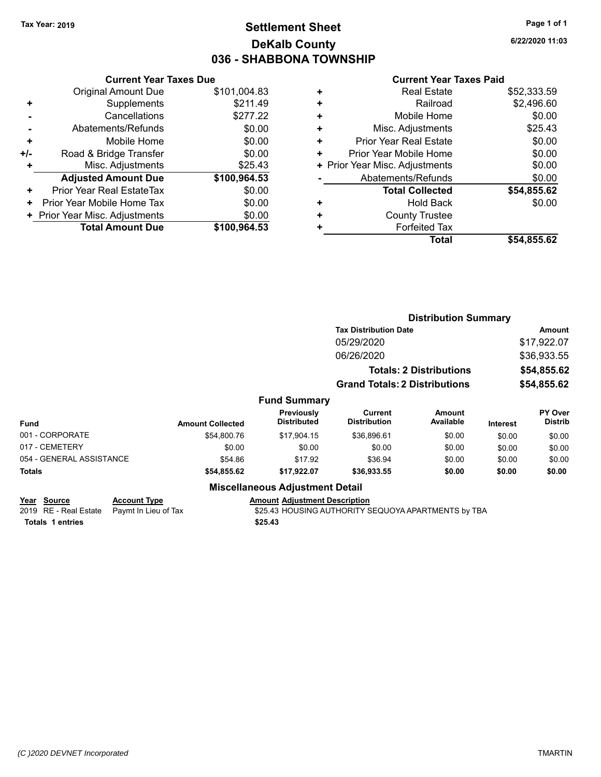## **Settlement Sheet Tax Year: 2019 Page 1 of 1 DeKalb County 036 - SHABBONA TOWNSHIP**

**6/22/2020 11:03**

#### **Current Year Taxes Paid**

|     | <b>Original Amount Due</b>     | \$101,004.83 |
|-----|--------------------------------|--------------|
| ٠   | Supplements                    | \$211.49     |
|     | Cancellations                  | \$277.22     |
|     | Abatements/Refunds             | \$0.00       |
| ٠   | Mobile Home                    | \$0.00       |
| +/- | Road & Bridge Transfer         | \$0.00       |
|     | Misc. Adjustments              | \$25.43      |
|     | <b>Adjusted Amount Due</b>     | \$100,964.53 |
| ٠   | Prior Year Real EstateTax      | \$0.00       |
| ٠   | Prior Year Mobile Home Tax     | \$0.00       |
|     | + Prior Year Misc. Adjustments | \$0.00       |
|     | <b>Total Amount Due</b>        | \$100,964.53 |
|     |                                |              |

**Current Year Taxes Due**

| ٠ | <b>Real Estate</b>             | \$52,333.59 |
|---|--------------------------------|-------------|
| ٠ | Railroad                       | \$2,496.60  |
| ٠ | Mobile Home                    | \$0.00      |
| ٠ | Misc. Adjustments              | \$25.43     |
| ٠ | Prior Year Real Estate         | \$0.00      |
| ٠ | Prior Year Mobile Home         | \$0.00      |
|   | + Prior Year Misc. Adjustments | \$0.00      |
|   | Abatements/Refunds             | \$0.00      |
|   | <b>Total Collected</b>         | \$54,855.62 |
| ٠ | <b>Hold Back</b>               | \$0.00      |
| ٠ | <b>County Trustee</b>          |             |
| ٠ | <b>Forfeited Tax</b>           |             |
|   | Total                          | \$54,855.62 |
|   |                                |             |

|                          |                         |                                  | <b>Distribution Summary</b>          |                                |                 |                                  |
|--------------------------|-------------------------|----------------------------------|--------------------------------------|--------------------------------|-----------------|----------------------------------|
|                          |                         |                                  | <b>Tax Distribution Date</b>         |                                |                 | Amount                           |
|                          |                         |                                  | 05/29/2020                           |                                |                 | \$17,922.07                      |
|                          |                         |                                  | 06/26/2020                           |                                |                 | \$36,933.55                      |
|                          |                         |                                  |                                      | <b>Totals: 2 Distributions</b> |                 | \$54,855.62                      |
|                          |                         |                                  | <b>Grand Totals: 2 Distributions</b> |                                |                 | \$54,855.62                      |
|                          |                         | <b>Fund Summary</b>              |                                      |                                |                 |                                  |
| <b>Fund</b>              | <b>Amount Collected</b> | Previously<br><b>Distributed</b> | Current<br><b>Distribution</b>       | <b>Amount</b><br>Available     | <b>Interest</b> | <b>PY Over</b><br><b>Distrib</b> |
| 001 - CORPORATE          | \$54,800.76             | \$17.904.15                      | \$36,896.61                          | \$0.00                         | \$0.00          | \$0.00                           |
| 017 - CEMETERY           | \$0.00                  | \$0.00                           | \$0.00                               | \$0.00                         | \$0.00          | \$0.00                           |
| 054 - GENERAL ASSISTANCE | \$54.86                 | \$17.92                          | \$36.94                              | \$0.00                         | \$0.00          | \$0.00                           |
| Totals                   | \$54,855.62             | \$17,922.07                      | \$36,933.55                          | \$0.00                         | \$0.00          | \$0.00                           |
|                          |                         | Missellanes  Adjustment Batail   |                                      |                                |                 |                                  |

**Totals \$25.43 1 entries**

# **Miscellaneous Adjustment Detail**

**Year Source Account Type Account Type Amount Adjustment Description**<br>2019 RE - Real Estate Paymt In Lieu of Tax \$25.43 HOUSING AUTHORITY S \$25.43 HOUSING AUTHORITY SEQUOYA APARTMENTS by TBA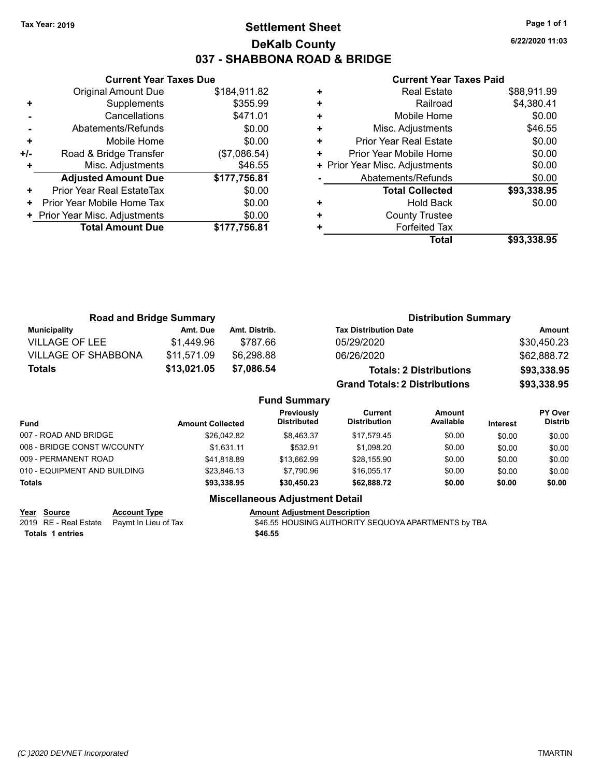## **Settlement Sheet Tax Year: 2019 Page 1 of 1 DeKalb County 037 - SHABBONA ROAD & BRIDGE**

**6/22/2020 11:03**

## **Current Year Taxes Paid**

|     | <b>Current Year Taxes Due</b>  |              |
|-----|--------------------------------|--------------|
|     | <b>Original Amount Due</b>     | \$184,911.82 |
|     | Supplements                    | \$355.99     |
|     | Cancellations                  | \$471.01     |
|     | Abatements/Refunds             | \$0.00       |
| ٠   | Mobile Home                    | \$0.00       |
| +/- | Road & Bridge Transfer         | (\$7,086.54) |
|     | Misc. Adjustments              | \$46.55      |
|     | <b>Adjusted Amount Due</b>     | \$177,756.81 |
| ٠   | Prior Year Real EstateTax      | \$0.00       |
| ÷   | Prior Year Mobile Home Tax     | \$0.00       |
|     | + Prior Year Misc. Adjustments | \$0.00       |
|     | <b>Total Amount Due</b>        | \$177,756.81 |
|     |                                |              |

| ٠ | <b>Real Estate</b>             | \$88,911.99 |
|---|--------------------------------|-------------|
| ٠ | Railroad                       | \$4,380.41  |
| ٠ | Mobile Home                    | \$0.00      |
| ٠ | Misc. Adjustments              | \$46.55     |
| ٠ | <b>Prior Year Real Estate</b>  | \$0.00      |
| ٠ | Prior Year Mobile Home         | \$0.00      |
|   | + Prior Year Misc. Adjustments | \$0.00      |
|   | Abatements/Refunds             | \$0.00      |
|   | <b>Total Collected</b>         | \$93,338.95 |
| ٠ | Hold Back                      | \$0.00      |
| ٠ | <b>County Trustee</b>          |             |
| ٠ | <b>Forfeited Tax</b>           |             |
|   | Total                          | \$93,338.95 |

| <b>Road and Bridge Summary</b> |             |               | <b>Distribution Summary</b>          |             |
|--------------------------------|-------------|---------------|--------------------------------------|-------------|
| <b>Municipality</b>            | Amt. Due    | Amt. Distrib. | <b>Tax Distribution Date</b>         | Amount      |
| <b>VILLAGE OF LEE</b>          | \$1.449.96  | \$787.66      | 05/29/2020                           | \$30,450.23 |
| <b>VILLAGE OF SHABBONA</b>     | \$11,571.09 | \$6.298.88    | 06/26/2020                           | \$62,888.72 |
| <b>Totals</b>                  | \$13,021.05 | \$7,086.54    | <b>Totals: 2 Distributions</b>       | \$93,338.95 |
|                                |             |               | <b>Grand Totals: 2 Distributions</b> | \$93,338.95 |

#### **Fund Summary**

| <b>Fund</b>                  | <b>Amount Collected</b> | Previously<br><b>Distributed</b> | Current<br><b>Distribution</b> | Amount<br>Available | <b>Interest</b> | <b>PY Over</b><br><b>Distrib</b> |
|------------------------------|-------------------------|----------------------------------|--------------------------------|---------------------|-----------------|----------------------------------|
| 007 - ROAD AND BRIDGE        | \$26,042.82             | \$8.463.37                       | \$17.579.45                    | \$0.00              | \$0.00          | \$0.00                           |
| 008 - BRIDGE CONST W/COUNTY  | \$1.631.11              | \$532.91                         | \$1.098.20                     | \$0.00              | \$0.00          | \$0.00                           |
| 009 - PERMANENT ROAD         | \$41.818.89             | \$13.662.99                      | \$28,155.90                    | \$0.00              | \$0.00          | \$0.00                           |
| 010 - EQUIPMENT AND BUILDING | \$23.846.13             | \$7.790.96                       | \$16.055.17                    | \$0.00              | \$0.00          | \$0.00                           |
| <b>Totals</b>                | \$93.338.95             | \$30,450.23                      | \$62,888.72                    | \$0.00              | \$0.00          | \$0.00                           |

#### **Miscellaneous Adjustment Detail**

**Year Source Account Type Account Type Amount Adjustment Description**<br>2019 RE - Real Estate Paymt In Lieu of Tax **1988** \$46.55 HOUSING AUTHORITY S

**Totals \$46.55 1 entries**

\$46.55 HOUSING AUTHORITY SEQUOYA APARTMENTS by TBA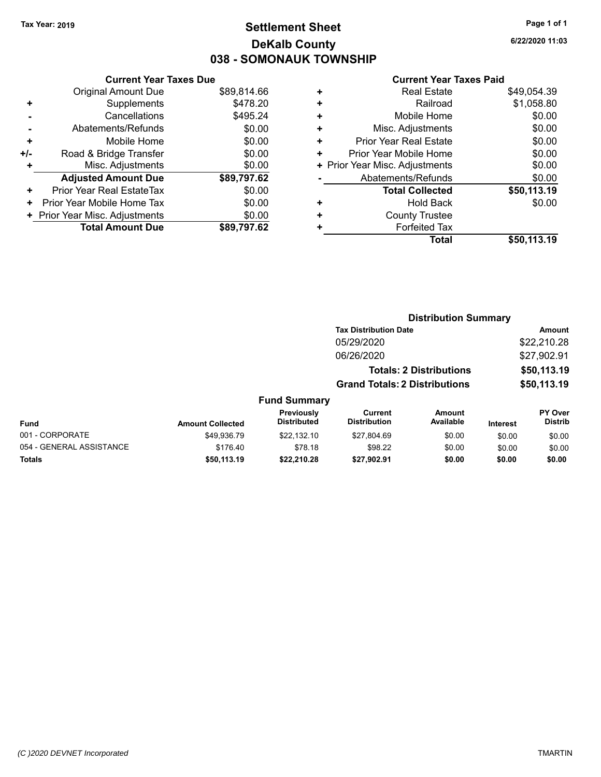## **Settlement Sheet Tax Year: 2019 Page 1 of 1 DeKalb County 038 - SOMONAUK TOWNSHIP**

**6/22/2020 11:03**

#### **Current Year Taxes Paid**

| <b>Original Amount Due</b> | \$89,814.66                                                     |
|----------------------------|-----------------------------------------------------------------|
| Supplements                | \$478.20                                                        |
| Cancellations              | \$495.24                                                        |
| Abatements/Refunds         | \$0.00                                                          |
| Mobile Home                | \$0.00                                                          |
| Road & Bridge Transfer     | \$0.00                                                          |
| Misc. Adjustments          | \$0.00                                                          |
| <b>Adjusted Amount Due</b> | \$89,797.62                                                     |
| Prior Year Real EstateTax  | \$0.00                                                          |
| Prior Year Mobile Home Tax | \$0.00                                                          |
|                            | \$0.00                                                          |
| <b>Total Amount Due</b>    | \$89,797.62                                                     |
|                            | <b>Current Year Taxes Due</b><br>+ Prior Year Misc. Adjustments |

| ٠ | <b>Real Estate</b>             | \$49,054.39 |
|---|--------------------------------|-------------|
| ٠ | Railroad                       | \$1,058.80  |
| ÷ | Mobile Home                    | \$0.00      |
| ٠ | Misc. Adjustments              | \$0.00      |
| ٠ | Prior Year Real Estate         | \$0.00      |
| ٠ | Prior Year Mobile Home         | \$0.00      |
|   | + Prior Year Misc. Adjustments | \$0.00      |
|   | Abatements/Refunds             | \$0.00      |
|   | <b>Total Collected</b>         | \$50,113.19 |
| ٠ | <b>Hold Back</b>               | \$0.00      |
| ٠ | <b>County Trustee</b>          |             |
| ٠ | <b>Forfeited Tax</b>           |             |
|   | Total                          | \$50,113.19 |
|   |                                |             |

|                          |                         |                                  |                                       | <b>Distribution Summary</b>    |                 |                                  |
|--------------------------|-------------------------|----------------------------------|---------------------------------------|--------------------------------|-----------------|----------------------------------|
|                          |                         |                                  | <b>Tax Distribution Date</b>          |                                |                 | Amount                           |
|                          |                         |                                  | 05/29/2020                            |                                |                 | \$22,210.28                      |
|                          |                         |                                  | 06/26/2020                            |                                |                 | \$27,902.91                      |
|                          |                         |                                  |                                       | <b>Totals: 2 Distributions</b> |                 | \$50,113.19                      |
|                          |                         |                                  | <b>Grand Totals: 2 Distributions</b>  |                                |                 | \$50,113.19                      |
|                          |                         | <b>Fund Summary</b>              |                                       |                                |                 |                                  |
| <b>Fund</b>              | <b>Amount Collected</b> | Previously<br><b>Distributed</b> | <b>Current</b><br><b>Distribution</b> | Amount<br>Available            | <b>Interest</b> | <b>PY Over</b><br><b>Distrib</b> |
| 001 - CORPORATE          | \$49.936.79             | \$22.132.10                      | \$27.804.69                           | \$0.00                         | \$0.00          | \$0.00                           |
| 054 - GENERAL ASSISTANCE | \$176.40                | \$78.18                          | \$98.22                               | \$0.00                         | \$0.00          | \$0.00                           |
| <b>Totals</b>            | \$50.113.19             | \$22,210.28                      | \$27.902.91                           | \$0.00                         | \$0.00          | \$0.00                           |
|                          |                         |                                  |                                       |                                |                 |                                  |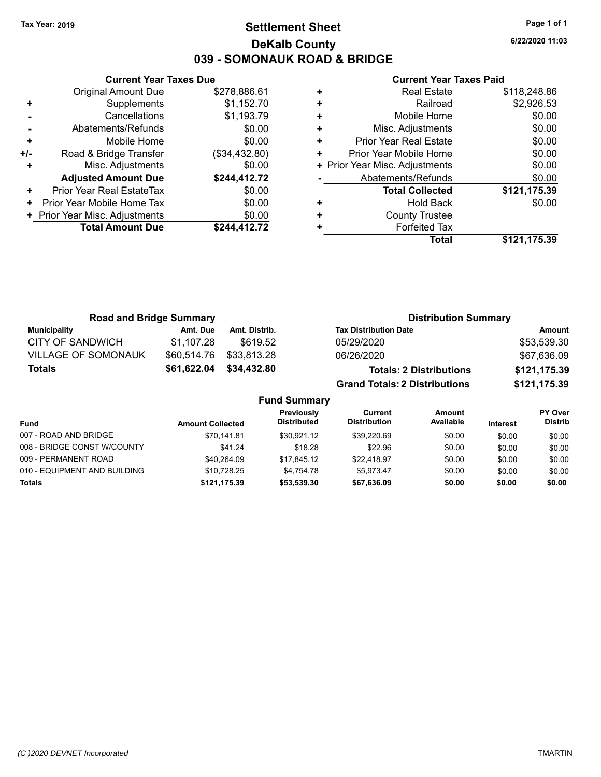## **Settlement Sheet Tax Year: 2019 Page 1 of 1 DeKalb County 039 - SOMONAUK ROAD & BRIDGE**

**6/22/2020 11:03**

#### **Current Year Taxes Paid**

| <b>Current Year Taxes Due</b>  |               |  |  |  |  |  |
|--------------------------------|---------------|--|--|--|--|--|
| <b>Original Amount Due</b>     | \$278,886.61  |  |  |  |  |  |
| \$1,152.70<br>Supplements<br>٠ |               |  |  |  |  |  |
| Cancellations                  | \$1,193.79    |  |  |  |  |  |
| \$0.00<br>Abatements/Refunds   |               |  |  |  |  |  |
| Mobile Home                    | \$0.00        |  |  |  |  |  |
| Road & Bridge Transfer         | (\$34,432.80) |  |  |  |  |  |
| Misc. Adjustments              | \$0.00        |  |  |  |  |  |
| <b>Adjusted Amount Due</b>     | \$244,412.72  |  |  |  |  |  |
| Prior Year Real EstateTax      | \$0.00        |  |  |  |  |  |
| Prior Year Mobile Home Tax     | \$0.00        |  |  |  |  |  |
| + Prior Year Misc. Adjustments | \$0.00        |  |  |  |  |  |
| <b>Total Amount Due</b>        | \$244,412.72  |  |  |  |  |  |
|                                |               |  |  |  |  |  |

| <b>Real Estate</b>            | \$118,248.86                   |
|-------------------------------|--------------------------------|
| Railroad                      | \$2,926.53                     |
| Mobile Home                   | \$0.00                         |
| Misc. Adjustments             | \$0.00                         |
| <b>Prior Year Real Estate</b> | \$0.00                         |
| Prior Year Mobile Home        | \$0.00                         |
|                               | \$0.00                         |
| Abatements/Refunds            | \$0.00                         |
| <b>Total Collected</b>        | \$121,175.39                   |
| Hold Back                     | \$0.00                         |
| <b>County Trustee</b>         |                                |
| <b>Forfeited Tax</b>          |                                |
| Total                         | \$121,175.39                   |
|                               | + Prior Year Misc. Adjustments |

| <b>Road and Bridge Summary</b> |                         |               |                                  |                                       | <b>Distribution Summary</b>    |                 |                                  |
|--------------------------------|-------------------------|---------------|----------------------------------|---------------------------------------|--------------------------------|-----------------|----------------------------------|
| <b>Municipality</b>            | Amt. Due                | Amt. Distrib. |                                  | <b>Tax Distribution Date</b>          |                                |                 | <b>Amount</b>                    |
| <b>CITY OF SANDWICH</b>        | \$1,107.28              | \$619.52      |                                  | 05/29/2020                            |                                |                 | \$53,539.30                      |
| <b>VILLAGE OF SOMONAUK</b>     | \$60,514.76             | \$33,813.28   |                                  | 06/26/2020                            |                                |                 | \$67,636.09                      |
| <b>Totals</b>                  | \$61,622.04             | \$34,432.80   |                                  |                                       | <b>Totals: 2 Distributions</b> |                 | \$121,175.39                     |
|                                |                         |               |                                  | <b>Grand Totals: 2 Distributions</b>  |                                |                 | \$121,175.39                     |
|                                |                         |               | <b>Fund Summary</b>              |                                       |                                |                 |                                  |
| Fund                           | <b>Amount Collected</b> |               | Previously<br><b>Distributed</b> | <b>Current</b><br><b>Distribution</b> | <b>Amount</b><br>Available     | <b>Interest</b> | <b>PY Over</b><br><b>Distrib</b> |

| Fund                         | <b>Amount Collected</b> | <b>Distributed</b> | <b>Distribution</b> | Available | <b>Interest</b> | <b>Distrip</b> |
|------------------------------|-------------------------|--------------------|---------------------|-----------|-----------------|----------------|
| 007 - ROAD AND BRIDGE        | \$70.141.81             | \$30.921.12        | \$39,220.69         | \$0.00    | \$0.00          | \$0.00         |
| 008 - BRIDGE CONST W/COUNTY  | \$41.24                 | \$18.28            | \$22.96             | \$0.00    | \$0.00          | \$0.00         |
| 009 - PERMANENT ROAD         | \$40.264.09             | \$17.845.12        | \$22,418.97         | \$0.00    | \$0.00          | \$0.00         |
| 010 - EQUIPMENT AND BUILDING | \$10.728.25             | \$4.754.78         | \$5.973.47          | \$0.00    | \$0.00          | \$0.00         |
| Totals                       | \$121,175.39            | \$53,539.30        | \$67,636,09         | \$0.00    | \$0.00          | \$0.00         |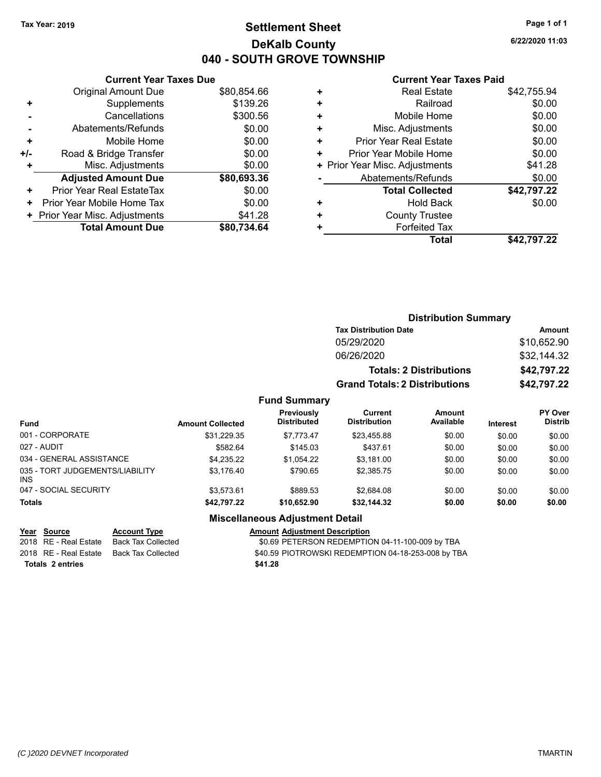## **Settlement Sheet Tax Year: 2019 Page 1 of 1 DeKalb County 040 - SOUTH GROVE TOWNSHIP**

**6/22/2020 11:03**

#### **Current Year Taxes Paid**

|       | <b>Current Year Taxes Due</b>  |             |
|-------|--------------------------------|-------------|
|       | <b>Original Amount Due</b>     | \$80,854.66 |
| ٠     | Supplements                    | \$139.26    |
|       | Cancellations                  | \$300.56    |
|       | Abatements/Refunds             | \$0.00      |
| ٠     | Mobile Home                    | \$0.00      |
| $+/-$ | Road & Bridge Transfer         | \$0.00      |
|       | Misc. Adjustments              | \$0.00      |
|       | <b>Adjusted Amount Due</b>     | \$80,693.36 |
| ÷     | Prior Year Real EstateTax      | \$0.00      |
| ٠     | Prior Year Mobile Home Tax     | \$0.00      |
|       | + Prior Year Misc. Adjustments | \$41.28     |
|       | <b>Total Amount Due</b>        | \$80.734.64 |
|       |                                |             |

|   | <b>Real Estate</b>             | \$42,755.94 |
|---|--------------------------------|-------------|
| ٠ | Railroad                       | \$0.00      |
| ٠ | Mobile Home                    | \$0.00      |
| ٠ | Misc. Adjustments              | \$0.00      |
| ٠ | <b>Prior Year Real Estate</b>  | \$0.00      |
| ٠ | Prior Year Mobile Home         | \$0.00      |
|   | + Prior Year Misc. Adjustments | \$41.28     |
|   | Abatements/Refunds             | \$0.00      |
|   | <b>Total Collected</b>         | \$42,797.22 |
| ٠ | Hold Back                      | \$0.00      |
| ٠ | <b>County Trustee</b>          |             |
| ٠ | <b>Forfeited Tax</b>           |             |
|   | Total                          | \$42,797.22 |
|   |                                |             |

|                                  |                                       | <b>Distribution Summary</b>    |                 |                                  |
|----------------------------------|---------------------------------------|--------------------------------|-----------------|----------------------------------|
|                                  | <b>Tax Distribution Date</b>          |                                |                 | Amount                           |
|                                  | 05/29/2020                            |                                |                 | \$10,652.90                      |
|                                  | 06/26/2020                            |                                |                 | \$32,144.32                      |
|                                  |                                       | <b>Totals: 2 Distributions</b> |                 | \$42,797.22                      |
|                                  | <b>Grand Totals: 2 Distributions</b>  |                                |                 | \$42,797.22                      |
| <b>Fund Summary</b>              |                                       |                                |                 |                                  |
| Previously<br><b>Distributed</b> | <b>Current</b><br><b>Distribution</b> | Amount<br>Available            | <b>Interest</b> | <b>PY Over</b><br><b>Distrib</b> |

| <b>Fund</b>                                   | <b>Amount Collected</b> | <b>Previously</b><br><b>Distributed</b>  | Current<br><b>Distribution</b> | <b>Amount</b><br>Available | <b>Interest</b> | <b>PY Over</b><br><b>Distrib</b> |
|-----------------------------------------------|-------------------------|------------------------------------------|--------------------------------|----------------------------|-----------------|----------------------------------|
| 001 - CORPORATE                               | \$31,229.35             | \$7.773.47                               | \$23.455.88                    | \$0.00                     | \$0.00          | \$0.00                           |
| 027 - AUDIT                                   | \$582.64                | \$145.03                                 | \$437.61                       | \$0.00                     | \$0.00          | \$0.00                           |
| 034 - GENERAL ASSISTANCE                      | \$4,235.22              | \$1.054.22                               | \$3.181.00                     | \$0.00                     | \$0.00          | \$0.00                           |
| 035 - TORT JUDGEMENTS/LIABILITY<br><b>INS</b> | \$3,176.40              | \$790.65                                 | \$2,385.75                     | \$0.00                     | \$0.00          | \$0.00                           |
| 047 - SOCIAL SECURITY                         | \$3,573.61              | \$889.53                                 | \$2.684.08                     | \$0.00                     | \$0.00          | \$0.00                           |
| <b>Totals</b>                                 | \$42,797.22             | \$10,652.90                              | \$32,144.32                    | \$0.00                     | \$0.00          | \$0.00                           |
|                                               |                         | <b>Missellanessen Adications (Detail</b> |                                |                            |                 |                                  |

**Totals \$41.28 2 entries**

#### **Miscellaneous Adjustment Detail**

**Year Source Account Type Account Adjustment Description** 

2018 RE - Real Estate Back Tax Collected **\$0.69 PETERSON REDEMPTION 04-11-100-009 by TBA** 2018 RE - Real Estate Back Tax Collected \$40.59 PIOTROWSKI REDEMPTION 04-18-253-008 by TBA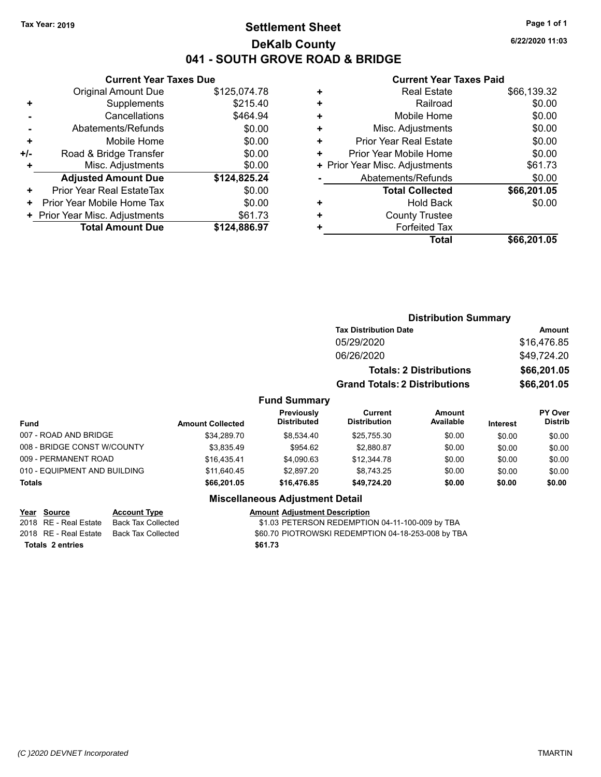## **Settlement Sheet Tax Year: 2019 Page 1 of 1 DeKalb County 041 - SOUTH GROVE ROAD & BRIDGE**

**6/22/2020 11:03**

#### **Current Year Taxes Paid**

|     | <b>Current Year Taxes Due</b>  |              |
|-----|--------------------------------|--------------|
|     | <b>Original Amount Due</b>     | \$125,074.78 |
| ٠   | Supplements                    | \$215.40     |
|     | Cancellations                  | \$464.94     |
|     | Abatements/Refunds             | \$0.00       |
| ÷   | Mobile Home                    | \$0.00       |
| +/- | Road & Bridge Transfer         | \$0.00       |
| ٠   | Misc. Adjustments              | \$0.00       |
|     | <b>Adjusted Amount Due</b>     | \$124,825.24 |
| ٠   | Prior Year Real EstateTax      | \$0.00       |
| ٠   | Prior Year Mobile Home Tax     | \$0.00       |
|     | + Prior Year Misc. Adjustments | \$61.73      |
|     | <b>Total Amount Due</b>        | \$124,886.97 |
|     |                                |              |

|   | <b>Real Estate</b>             | \$66,139.32 |
|---|--------------------------------|-------------|
| ٠ | Railroad                       | \$0.00      |
| ٠ | Mobile Home                    | \$0.00      |
| ٠ | Misc. Adjustments              | \$0.00      |
| ٠ | <b>Prior Year Real Estate</b>  | \$0.00      |
| ٠ | Prior Year Mobile Home         | \$0.00      |
|   | + Prior Year Misc. Adjustments | \$61.73     |
|   | Abatements/Refunds             | \$0.00      |
|   | <b>Total Collected</b>         | \$66,201.05 |
| ٠ | <b>Hold Back</b>               | \$0.00      |
| ٠ | <b>County Trustee</b>          |             |
| ٠ | <b>Forfeited Tax</b>           |             |
|   | Total                          | \$66,201.05 |

|                              |                         |                                  |                                      | <b>Distribution Summary</b>    |          |                           |
|------------------------------|-------------------------|----------------------------------|--------------------------------------|--------------------------------|----------|---------------------------|
|                              |                         |                                  | <b>Tax Distribution Date</b>         |                                |          | Amount                    |
|                              |                         |                                  | 05/29/2020                           |                                |          | \$16,476.85               |
|                              |                         |                                  | 06/26/2020                           |                                |          | \$49,724.20               |
|                              |                         |                                  |                                      | <b>Totals: 2 Distributions</b> |          | \$66,201.05               |
|                              |                         |                                  | <b>Grand Totals: 2 Distributions</b> |                                |          | \$66,201.05               |
|                              |                         | <b>Fund Summary</b>              |                                      |                                |          |                           |
| <b>Fund</b>                  | <b>Amount Collected</b> | Previously<br><b>Distributed</b> | Current<br><b>Distribution</b>       | Amount<br>Available            | Interest | PY Over<br><b>Distrib</b> |
| 007 - ROAD AND BRIDGE        | \$34.289.70             | \$8.534.40                       | \$25.755.30                          | \$0.00                         | \$0.00   | \$0.00                    |
| 008 - BRIDGE CONST W/COUNTY  | \$3.835.49              | \$954.62                         | \$2,880.87                           | \$0.00                         | \$0.00   | \$0.00                    |
| 009 - PERMANENT ROAD         | \$16,435.41             | \$4,090.63                       | \$12,344.78                          | \$0.00                         | \$0.00   | \$0.00                    |
| 010 - EQUIPMENT AND BUILDING | \$11.640.45             | \$2,897.20                       | \$8.743.25                           | \$0.00                         | \$0.00   | \$0.00                    |

#### **Miscellaneous Adjustment Detail**

**Totals \$66,201.05 \$16,476.85 \$49,724.20 \$0.00 \$0.00 \$0.00**

**Year Source Account Type AMOU AMOUNT Adjustment Description Totals \$61.73 2 entries**

2018 RE - Real Estate Back Tax Collected **1.03 PETERSON REDEMPTION 04-11-100-009 by TBA** 2018 RE - Real Estate Back Tax Collected \$60.70 PIOTROWSKI REDEMPTION 04-18-253-008 by TBA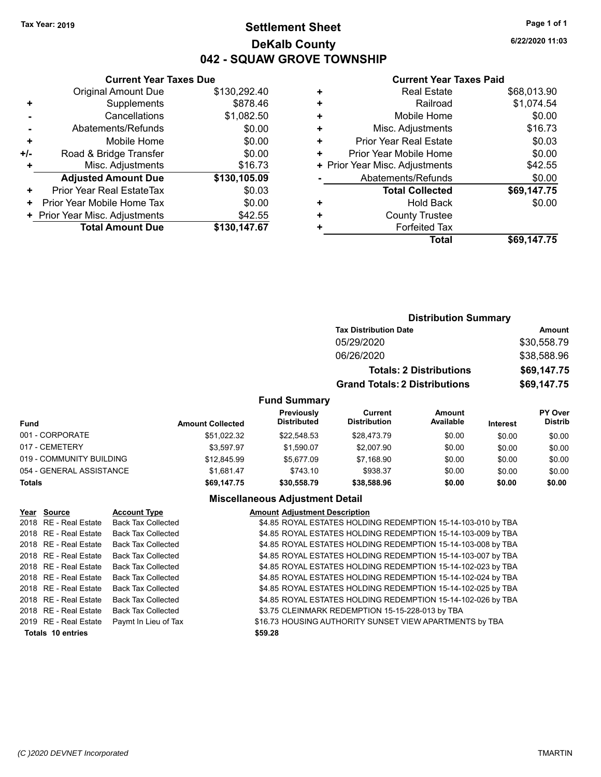## **Settlement Sheet Tax Year: 2019 Page 1 of 1 DeKalb County 042 - SQUAW GROVE TOWNSHIP**

**6/22/2020 11:03**

#### **Current Year Taxes Paid**

|     | <b>Current Year Taxes Due</b>  |              |  |  |  |  |
|-----|--------------------------------|--------------|--|--|--|--|
|     | <b>Original Amount Due</b>     | \$130,292.40 |  |  |  |  |
| ٠   | Supplements                    | \$878.46     |  |  |  |  |
|     | Cancellations                  | \$1,082.50   |  |  |  |  |
|     | Abatements/Refunds             | \$0.00       |  |  |  |  |
| ٠   | Mobile Home                    | \$0.00       |  |  |  |  |
| +/- | Road & Bridge Transfer         | \$0.00       |  |  |  |  |
| ٠   | Misc. Adjustments              | \$16.73      |  |  |  |  |
|     | <b>Adjusted Amount Due</b>     | \$130,105.09 |  |  |  |  |
| ٠   | Prior Year Real EstateTax      | \$0.03       |  |  |  |  |
| ٠   | Prior Year Mobile Home Tax     | \$0.00       |  |  |  |  |
|     | + Prior Year Misc. Adjustments | \$42.55      |  |  |  |  |
|     | <b>Total Amount Due</b>        | \$130,147.67 |  |  |  |  |
|     |                                |              |  |  |  |  |

|   | <b>Real Estate</b>             | \$68,013.90 |
|---|--------------------------------|-------------|
| ٠ | Railroad                       | \$1,074.54  |
| ٠ | Mobile Home                    | \$0.00      |
| ٠ | Misc. Adjustments              | \$16.73     |
| ٠ | <b>Prior Year Real Estate</b>  | \$0.03      |
| ٠ | Prior Year Mobile Home         | \$0.00      |
|   | + Prior Year Misc. Adjustments | \$42.55     |
|   | Abatements/Refunds             | \$0.00      |
|   | <b>Total Collected</b>         | \$69,147.75 |
| ٠ | <b>Hold Back</b>               | \$0.00      |
| ٠ | <b>County Trustee</b>          |             |
| ٠ | <b>Forfeited Tax</b>           |             |
|   | Total                          | \$69,147.75 |
|   |                                |             |

|                     |                                      | <b>Distribution Summary</b>    |                |
|---------------------|--------------------------------------|--------------------------------|----------------|
|                     | <b>Tax Distribution Date</b>         |                                | Amount         |
|                     | 05/29/2020                           |                                | \$30,558.79    |
|                     | 06/26/2020                           |                                | \$38,588.96    |
|                     |                                      | <b>Totals: 2 Distributions</b> | \$69,147.75    |
|                     | <b>Grand Totals: 2 Distributions</b> |                                | \$69,147.75    |
| <b>Fund Summary</b> |                                      |                                |                |
| <b>Drovioushi</b>   | $P_{11}$ rrant                       | $A$ mount                      | <b>DV Over</b> |

| <b>Fund</b>              | <b>Amount Collected</b> | <b>Previously</b><br><b>Distributed</b> | Current<br><b>Distribution</b> | Amount<br>Available | <b>Interest</b> | PY Over<br><b>Distrib</b> |
|--------------------------|-------------------------|-----------------------------------------|--------------------------------|---------------------|-----------------|---------------------------|
| 001 - CORPORATE          | \$51,022.32             | \$22.548.53                             | \$28.473.79                    | \$0.00              | \$0.00          | \$0.00                    |
| 017 - CEMETERY           | \$3.597.97              | \$1.590.07                              | \$2.007.90                     | \$0.00              | \$0.00          | \$0.00                    |
| 019 - COMMUNITY BUILDING | \$12,845.99             | \$5.677.09                              | \$7.168.90                     | \$0.00              | \$0.00          | \$0.00                    |
| 054 - GENERAL ASSISTANCE | \$1.681.47              | \$743.10                                | \$938.37                       | \$0.00              | \$0.00          | \$0.00                    |
| <b>Totals</b>            | \$69,147.75             | \$30.558.79                             | \$38,588.96                    | \$0.00              | \$0.00          | \$0.00                    |

| Year Source              | <b>Account Type</b>       | <b>Amount Adjustment Description</b>                         |
|--------------------------|---------------------------|--------------------------------------------------------------|
| 2018 RE - Real Estate    | <b>Back Tax Collected</b> | \$4.85 ROYAL ESTATES HOLDING REDEMPTION 15-14-103-010 by TBA |
| 2018 RE - Real Estate    | <b>Back Tax Collected</b> | \$4.85 ROYAL ESTATES HOLDING REDEMPTION 15-14-103-009 by TBA |
| 2018 RE - Real Estate    | <b>Back Tax Collected</b> | \$4.85 ROYAL ESTATES HOLDING REDEMPTION 15-14-103-008 by TBA |
| 2018 RE - Real Estate    | <b>Back Tax Collected</b> | \$4.85 ROYAL ESTATES HOLDING REDEMPTION 15-14-103-007 by TBA |
| 2018 RE - Real Estate    | <b>Back Tax Collected</b> | \$4.85 ROYAL ESTATES HOLDING REDEMPTION 15-14-102-023 by TBA |
| 2018 RE - Real Estate    | <b>Back Tax Collected</b> | \$4.85 ROYAL ESTATES HOLDING REDEMPTION 15-14-102-024 by TBA |
| 2018 RE - Real Estate    | <b>Back Tax Collected</b> | \$4.85 ROYAL ESTATES HOLDING REDEMPTION 15-14-102-025 by TBA |
| 2018 RE - Real Estate    | <b>Back Tax Collected</b> | \$4.85 ROYAL ESTATES HOLDING REDEMPTION 15-14-102-026 by TBA |
| 2018 RE - Real Estate    | <b>Back Tax Collected</b> | \$3.75 CLEINMARK REDEMPTION 15-15-228-013 by TBA             |
| 2019 RE - Real Estate    | Paymt In Lieu of Tax      | \$16.73 HOUSING AUTHORITY SUNSET VIEW APARTMENTS by TBA      |
| <b>Totals 10 entries</b> |                           | \$59.28                                                      |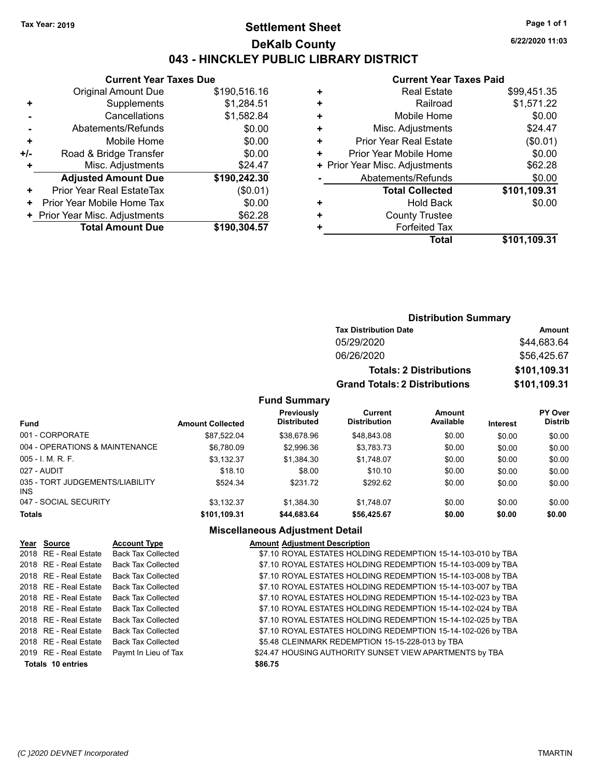## **Settlement Sheet Tax Year: 2019 Page 1 of 1 DeKalb County 043 - HINCKLEY PUBLIC LIBRARY DISTRICT**

**6/22/2020 11:03**

#### **Current Year Taxes Paid**

|     | <b>Current Year Taxes Due</b>  |              |  |  |  |  |  |
|-----|--------------------------------|--------------|--|--|--|--|--|
|     | <b>Original Amount Due</b>     | \$190,516.16 |  |  |  |  |  |
| ٠   | Supplements                    | \$1,284.51   |  |  |  |  |  |
|     | Cancellations                  | \$1,582.84   |  |  |  |  |  |
|     | Abatements/Refunds             | \$0.00       |  |  |  |  |  |
| ٠   | Mobile Home                    | \$0.00       |  |  |  |  |  |
| +/- | Road & Bridge Transfer         | \$0.00       |  |  |  |  |  |
| ٠   | Misc. Adjustments              | \$24.47      |  |  |  |  |  |
|     | <b>Adjusted Amount Due</b>     | \$190,242.30 |  |  |  |  |  |
| ٠   | Prior Year Real EstateTax      | (\$0.01)     |  |  |  |  |  |
| ٠   | Prior Year Mobile Home Tax     | \$0.00       |  |  |  |  |  |
|     | + Prior Year Misc. Adjustments | \$62.28      |  |  |  |  |  |
|     | <b>Total Amount Due</b>        | \$190,304.57 |  |  |  |  |  |

| <b>Real Estate</b>            | \$99,451.35                    |
|-------------------------------|--------------------------------|
| Railroad                      | \$1,571.22                     |
| Mobile Home                   | \$0.00                         |
| Misc. Adjustments             | \$24.47                        |
| <b>Prior Year Real Estate</b> | (\$0.01)                       |
| Prior Year Mobile Home        | \$0.00                         |
|                               | \$62.28                        |
| Abatements/Refunds            | \$0.00                         |
| <b>Total Collected</b>        | \$101,109.31                   |
| <b>Hold Back</b>              | \$0.00                         |
| <b>County Trustee</b>         |                                |
| <b>Forfeited Tax</b>          |                                |
| Total                         | \$101,109.31                   |
|                               | + Prior Year Misc. Adjustments |

## **Distribution Summary Tax Distribution Date Amount** 05/29/2020 \$44,683.64 06/26/2020 \$56,425.67

| <b>Totals: 2 Distributions</b>       | \$101,109.31 |
|--------------------------------------|--------------|
| <b>Grand Totals: 2 Distributions</b> | \$101,109.31 |

#### **Fund Summary**

| <b>Fund</b>                             | <b>Amount Collected</b> | Previously<br><b>Distributed</b> | Current<br><b>Distribution</b> | <b>Amount</b><br>Available | <b>Interest</b> | <b>PY Over</b><br><b>Distrib</b> |
|-----------------------------------------|-------------------------|----------------------------------|--------------------------------|----------------------------|-----------------|----------------------------------|
| 001 - CORPORATE                         | \$87.522.04             | \$38,678.96                      | \$48,843.08                    | \$0.00                     | \$0.00          | \$0.00                           |
| 004 - OPERATIONS & MAINTENANCE          | \$6.780.09              | \$2,996.36                       | \$3.783.73                     | \$0.00                     | \$0.00          | \$0.00                           |
| $005 - I. M. R. F.$                     | \$3.132.37              | \$1.384.30                       | \$1.748.07                     | \$0.00                     | \$0.00          | \$0.00                           |
| 027 - AUDIT                             | \$18.10                 | \$8.00                           | \$10.10                        | \$0.00                     | \$0.00          | \$0.00                           |
| 035 - TORT JUDGEMENTS/LIABILITY<br>INS. | \$524.34                | \$231.72                         | \$292.62                       | \$0.00                     | \$0.00          | \$0.00                           |
| 047 - SOCIAL SECURITY                   | \$3.132.37              | \$1.384.30                       | \$1.748.07                     | \$0.00                     | \$0.00          | \$0.00                           |
| <b>Totals</b>                           | \$101.109.31            | \$44,683,64                      | \$56,425.67                    | \$0.00                     | \$0.00          | \$0.00                           |

| Year Source              | <b>Account Type</b>       | <b>Amount Adjustment Description</b>                         |
|--------------------------|---------------------------|--------------------------------------------------------------|
| 2018 RE - Real Estate    | <b>Back Tax Collected</b> | \$7.10 ROYAL ESTATES HOLDING REDEMPTION 15-14-103-010 by TBA |
| 2018 RE - Real Estate    | <b>Back Tax Collected</b> | \$7.10 ROYAL ESTATES HOLDING REDEMPTION 15-14-103-009 by TBA |
| 2018 RE - Real Estate    | <b>Back Tax Collected</b> | \$7.10 ROYAL ESTATES HOLDING REDEMPTION 15-14-103-008 by TBA |
| 2018 RE - Real Estate    | <b>Back Tax Collected</b> | \$7.10 ROYAL ESTATES HOLDING REDEMPTION 15-14-103-007 by TBA |
| 2018 RE - Real Estate    | <b>Back Tax Collected</b> | \$7.10 ROYAL ESTATES HOLDING REDEMPTION 15-14-102-023 by TBA |
| 2018 RE - Real Estate    | <b>Back Tax Collected</b> | \$7.10 ROYAL ESTATES HOLDING REDEMPTION 15-14-102-024 by TBA |
| 2018 RE - Real Estate    | <b>Back Tax Collected</b> | \$7.10 ROYAL ESTATES HOLDING REDEMPTION 15-14-102-025 by TBA |
| 2018 RE - Real Estate    | <b>Back Tax Collected</b> | \$7.10 ROYAL ESTATES HOLDING REDEMPTION 15-14-102-026 by TBA |
| 2018 RE - Real Estate    | <b>Back Tax Collected</b> | \$5.48 CLEINMARK REDEMPTION 15-15-228-013 by TBA             |
| 2019 RE - Real Estate    | Paymt In Lieu of Tax      | \$24.47 HOUSING AUTHORITY SUNSET VIEW APARTMENTS by TBA      |
| <b>Totals 10 entries</b> |                           | \$86.75                                                      |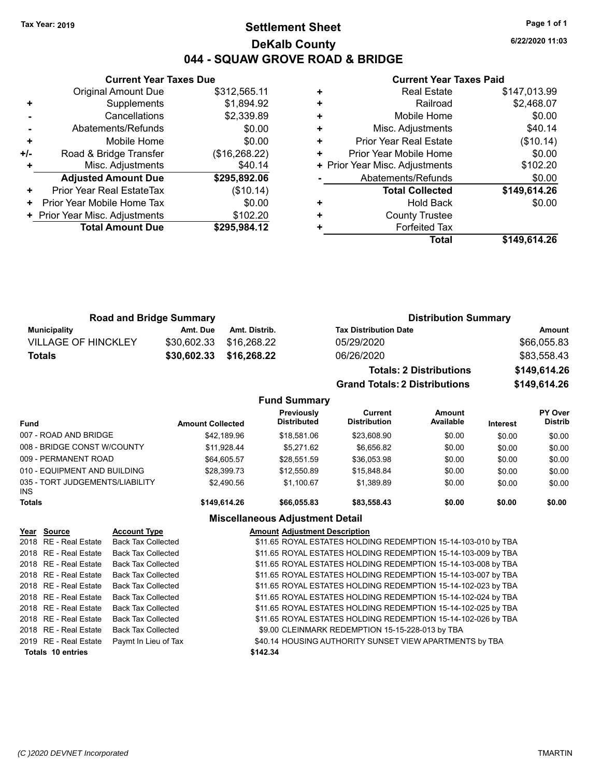## **Settlement Sheet Tax Year: 2019 Page 1 of 1 DeKalb County 044 - SQUAW GROVE ROAD & BRIDGE**

**6/22/2020 11:03**

#### **Current Year Taxes Paid**

|     | <b>Original Amount Due</b>     | \$312,565.11  |
|-----|--------------------------------|---------------|
| ٠   | Supplements                    | \$1,894.92    |
|     | Cancellations                  | \$2,339.89    |
|     | Abatements/Refunds             | \$0.00        |
| ٠   | Mobile Home                    | \$0.00        |
| +/- | Road & Bridge Transfer         | (\$16,268.22) |
|     | Misc. Adjustments              | \$40.14       |
|     | <b>Adjusted Amount Due</b>     | \$295,892.06  |
| ÷   | Prior Year Real EstateTax      | (\$10.14)     |
| ٠   | Prior Year Mobile Home Tax     | \$0.00        |
|     | + Prior Year Misc. Adjustments | \$102.20      |
|     | <b>Total Amount Due</b>        | \$295,984.12  |
|     |                                |               |

**Current Year Taxes Due**

|   | <b>Real Estate</b>             | \$147,013.99 |
|---|--------------------------------|--------------|
| ٠ | Railroad                       | \$2,468.07   |
| ٠ | Mobile Home                    | \$0.00       |
| ٠ | Misc. Adjustments              | \$40.14      |
| ٠ | <b>Prior Year Real Estate</b>  | (\$10.14)    |
| ٠ | Prior Year Mobile Home         | \$0.00       |
|   | + Prior Year Misc. Adjustments | \$102.20     |
|   | Abatements/Refunds             | \$0.00       |
|   | <b>Total Collected</b>         | \$149,614.26 |
| ٠ | <b>Hold Back</b>               | \$0.00       |
| ٠ | <b>County Trustee</b>          |              |
| ٠ | <b>Forfeited Tax</b>           |              |
|   | Total                          | \$149,614.26 |
|   |                                |              |

|                            | <b>Road and Bridge Summary</b> |                         | <b>Distribution Summary</b>  |             |
|----------------------------|--------------------------------|-------------------------|------------------------------|-------------|
| <b>Municipality</b>        | Amt. Due                       | Amt. Distrib.           | <b>Tax Distribution Date</b> | Amount      |
| <b>VILLAGE OF HINCKLEY</b> |                                | \$30,602.33 \$16,268.22 | 05/29/2020                   | \$66,055.83 |
| Totals                     |                                | \$30,602.33 \$16,268.22 | 06/26/2020                   | \$83,558.43 |
|                            |                                |                         | Totale: 2 Dietributione      | 414961426   |

|                     |                                      | TOIAIS. Z DISITIDULIONS | J145.014.20    |
|---------------------|--------------------------------------|-------------------------|----------------|
|                     | <b>Grand Totals: 2 Distributions</b> |                         | \$149,614.26   |
| <b>Fund Summary</b> |                                      |                         |                |
| Previously          | Current                              | Amount                  | <b>PY Over</b> |

#### **Fund Interest Amount Collected Distributed Distrib Available Distribution Previously** 007 - ROAD AND BRIDGE 60.00 \$22,189.96 \$18,581.06 \$23,608.90 \$0.00 \$0.00 \$0.00 \$0.00 008 - BRIDGE CONST W/COUNTY  $$11,928.44$   $$5,271.62$   $$6,656.82$   $$0.00$   $$0.00$   $$0.00$ 009 - PERMANENT ROAD \$64,605.57 \$28,551.59 \$36,053.98 \$0.00 \$0.00 \$0.00 010 - EQUIPMENT AND BUILDING \$28,399.73 \$12,550.89 \$15,848.84 \$0.00 \$0.00 \$0.00 035 - TORT JUDGEMENTS/LIABILITY INS \$2,490.56 \$1,100.67 \$1,389.89 \$0.00 \$0.00 \$0.00 **Totals \$149,614.26 \$66,055.83 \$83,558.43 \$0.00 \$0.00 \$0.00**

|  | <b>Amount Adiustment Description</b>  |  |
|--|---------------------------------------|--|
|  | <b>CALCE DOVAL FOTATES HOLDING BE</b> |  |

| Year Source              | <b>Account Type</b>       | <b>Amount Adjustment Description</b>                          |
|--------------------------|---------------------------|---------------------------------------------------------------|
| 2018 RE - Real Estate    | <b>Back Tax Collected</b> | \$11.65 ROYAL ESTATES HOLDING REDEMPTION 15-14-103-010 by TBA |
| 2018 RE - Real Estate    | <b>Back Tax Collected</b> | \$11.65 ROYAL ESTATES HOLDING REDEMPTION 15-14-103-009 by TBA |
| 2018 RE - Real Estate    | <b>Back Tax Collected</b> | \$11.65 ROYAL ESTATES HOLDING REDEMPTION 15-14-103-008 by TBA |
| 2018 RE - Real Estate    | <b>Back Tax Collected</b> | \$11.65 ROYAL ESTATES HOLDING REDEMPTION 15-14-103-007 by TBA |
| 2018 RE - Real Estate    | <b>Back Tax Collected</b> | \$11.65 ROYAL ESTATES HOLDING REDEMPTION 15-14-102-023 by TBA |
| 2018 RE - Real Estate    | <b>Back Tax Collected</b> | \$11.65 ROYAL ESTATES HOLDING REDEMPTION 15-14-102-024 by TBA |
| 2018 RE - Real Estate    | <b>Back Tax Collected</b> | \$11.65 ROYAL ESTATES HOLDING REDEMPTION 15-14-102-025 by TBA |
| 2018 RE - Real Estate    | <b>Back Tax Collected</b> | \$11.65 ROYAL ESTATES HOLDING REDEMPTION 15-14-102-026 by TBA |
| 2018 RE - Real Estate    | <b>Back Tax Collected</b> | \$9.00 CLEINMARK REDEMPTION 15-15-228-013 by TBA              |
| 2019 RE - Real Estate    | Paymt In Lieu of Tax      | \$40.14 HOUSING AUTHORITY SUNSET VIEW APARTMENTS by TBA       |
| <b>Totals 10 entries</b> |                           | \$142.34                                                      |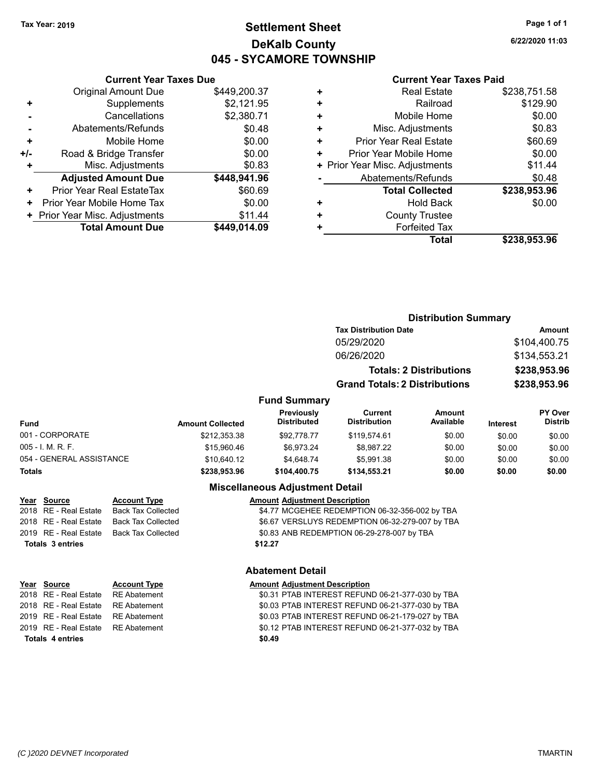## **Settlement Sheet Tax Year: 2019 Page 1 of 1 DeKalb County 045 - SYCAMORE TOWNSHIP**

**6/22/2020 11:03**

|       | <b>Current Year Taxes Due</b>  |              |
|-------|--------------------------------|--------------|
|       | <b>Original Amount Due</b>     | \$449,200.37 |
| ٠     | Supplements                    | \$2,121.95   |
|       | Cancellations                  | \$2,380.71   |
|       | Abatements/Refunds             | \$0.48       |
| ٠     | Mobile Home                    | \$0.00       |
| $+/-$ | Road & Bridge Transfer         | \$0.00       |
|       | Misc. Adjustments              | \$0.83       |
|       | <b>Adjusted Amount Due</b>     | \$448,941.96 |
| ÷     | Prior Year Real EstateTax      | \$60.69      |
| ٠     | Prior Year Mobile Home Tax     | \$0.00       |
|       | + Prior Year Misc. Adjustments | \$11.44      |
|       | <b>Total Amount Due</b>        | \$449,014.09 |
|       |                                |              |

|   | <b>Current Year Taxes Paid</b> |              |  |  |  |
|---|--------------------------------|--------------|--|--|--|
| ٠ | <b>Real Estate</b>             | \$238,751.58 |  |  |  |
| ٠ | Railroad                       | \$129.90     |  |  |  |
| ٠ | Mobile Home                    | \$0.00       |  |  |  |
| ٠ | Misc. Adjustments              | \$0.83       |  |  |  |
| ٠ | <b>Prior Year Real Estate</b>  | \$60.69      |  |  |  |
| ٠ | Prior Year Mobile Home         | \$0.00       |  |  |  |
|   | + Prior Year Misc. Adjustments | \$11.44      |  |  |  |
|   | Abatements/Refunds             | \$0.48       |  |  |  |
|   | <b>Total Collected</b>         | \$238,953.96 |  |  |  |
| ٠ | <b>Hold Back</b>               | \$0.00       |  |  |  |
|   | <b>County Trustee</b>          |              |  |  |  |
|   | <b>Forfeited Tax</b>           |              |  |  |  |
|   | <b>Total</b>                   | \$238,953.96 |  |  |  |

## **Distribution Summary Tax Distribution Date Amount** 05/29/2020 \$104,400.75 06/26/2020 \$134,553.21 **Totals: 2 Distributions \$238,953.96 Grand Totals: 2 Distributions \$238,953.96**

#### **Fund Summary**

| <b>Fund</b>              | <b>Amount Collected</b> | <b>Previously</b><br><b>Distributed</b> | Current<br><b>Distribution</b> | Amount<br>Available | <b>Interest</b> | <b>PY Over</b><br><b>Distrib</b> |
|--------------------------|-------------------------|-----------------------------------------|--------------------------------|---------------------|-----------------|----------------------------------|
| 001 - CORPORATE          | \$212,353.38            | \$92,778.77                             | \$119.574.61                   | \$0.00              | \$0.00          | \$0.00                           |
| $005 - 1$ . M. R. F.     | \$15.960.46             | \$6.973.24                              | \$8.987.22                     | \$0.00              | \$0.00          | \$0.00                           |
| 054 - GENERAL ASSISTANCE | \$10.640.12             | \$4.648.74                              | \$5.991.38                     | \$0.00              | \$0.00          | \$0.00                           |
| <b>Totals</b>            | \$238.953.96            | \$104,400.75                            | \$134,553,21                   | \$0.00              | \$0.00          | \$0.00                           |

#### **Miscellaneous Adjustment Detail**

| <u>Year Source</u>    | <b>Account Type</b>                            | <b>Amount Adjustment Description</b>            |
|-----------------------|------------------------------------------------|-------------------------------------------------|
| 2018 RE - Real Estate | Back Tax Collected                             | \$4.77 MCGEHEE REDEMPTION 06-32-356-002 by TBA  |
| 2018 RE - Real Estate | Back Tax Collected                             | \$6.67 VERSLUYS REDEMPTION 06-32-279-007 by TBA |
|                       | 2019   RE - Real Estate     Back Tax Collected | \$0.83 ANB REDEMPTION 06-29-278-007 by TBA      |
| Totals 3 entries      |                                                | \$12.27                                         |
|                       |                                                |                                                 |

## **Abatement Detail**

| Year Source                        | <b>Account Type</b> | <b>Amount Adjustment Description</b>             |
|------------------------------------|---------------------|--------------------------------------------------|
| 2018 RE - Real Estate RE Abatement |                     | \$0.31 PTAB INTEREST REFUND 06-21-377-030 by TBA |
| 2018 RE - Real Estate RE Abatement |                     | \$0.03 PTAB INTEREST REFUND 06-21-377-030 by TBA |
| 2019 RE - Real Estate RE Abatement |                     | \$0.03 PTAB INTEREST REFUND 06-21-179-027 by TBA |
| 2019 RE - Real Estate RE Abatement |                     | \$0.12 PTAB INTEREST REFUND 06-21-377-032 by TBA |
| <b>Totals 4 entries</b>            |                     | \$0.49                                           |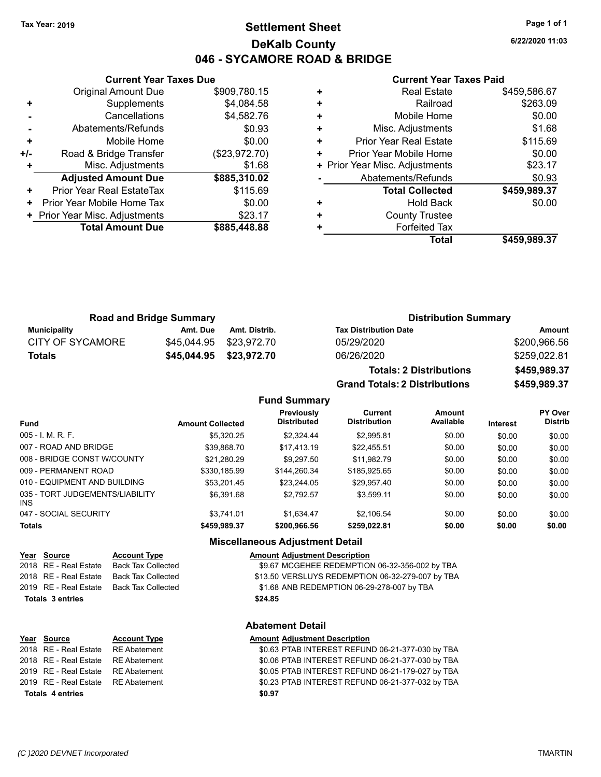## **Settlement Sheet Tax Year: 2019 Page 1 of 1 DeKalb County 046 - SYCAMORE ROAD & BRIDGE**

**6/22/2020 11:03**

#### **Current Year Taxes Paid**

|     | <b>Original Amount Due</b>     | \$909,780.15  |
|-----|--------------------------------|---------------|
| ٠   | Supplements                    | \$4,084.58    |
|     | Cancellations                  | \$4,582.76    |
|     | Abatements/Refunds             | \$0.93        |
| ٠   | Mobile Home                    | \$0.00        |
| +/- | Road & Bridge Transfer         | (\$23,972.70) |
|     | Misc. Adjustments              | \$1.68        |
|     | <b>Adjusted Amount Due</b>     | \$885,310.02  |
| ٠   | Prior Year Real EstateTax      | \$115.69      |
| ٠   | Prior Year Mobile Home Tax     | \$0.00        |
|     | + Prior Year Misc. Adjustments | \$23.17       |
|     | <b>Total Amount Due</b>        | \$885,448.88  |
|     |                                |               |

**Current Year Taxes Due**

| ٠ | <b>Real Estate</b>             | \$459,586.67 |
|---|--------------------------------|--------------|
| ٠ | Railroad                       | \$263.09     |
| ٠ | Mobile Home                    | \$0.00       |
| ٠ | Misc. Adjustments              | \$1.68       |
| ٠ | <b>Prior Year Real Estate</b>  | \$115.69     |
| ٠ | Prior Year Mobile Home         | \$0.00       |
|   | + Prior Year Misc. Adjustments | \$23.17      |
|   | Abatements/Refunds             | \$0.93       |
|   | <b>Total Collected</b>         | \$459,989.37 |
| ٠ | <b>Hold Back</b>               | \$0.00       |
| ٠ | <b>County Trustee</b>          |              |
| ٠ | <b>Forfeited Tax</b>           |              |
|   | <b>Total</b>                   | \$459,989.37 |
|   |                                |              |

|                     | <b>Road and Bridge Summary</b> |                         | <b>Distribution Summary</b>  |              |  |
|---------------------|--------------------------------|-------------------------|------------------------------|--------------|--|
| <b>Municipality</b> | Amt. Due                       | Amt. Distrib.           | <b>Tax Distribution Date</b> | Amount       |  |
| CITY OF SYCAMORE    |                                | \$45,044,95 \$23,972,70 | 05/29/2020                   | \$200,966.56 |  |
| Totals              |                                | \$45,044,95 \$23,972.70 | 06/26/2020                   | \$259,022.81 |  |

|                     | <b>Totals: 2 Distributions</b>       | \$459,989.37 |
|---------------------|--------------------------------------|--------------|
|                     | <b>Grand Totals: 2 Distributions</b> | \$459,989.37 |
| <b>Fund Summary</b> |                                      |              |

#### **Fund Interest Amount Collected Distributed PY Over Distrib Amount Available Current Distribution Previously** 005 - I. M. R. F. \$5,320.25 \$2,324.44 \$2,995.81 \$0.00 \$0.00 \$0.00 007 - ROAD AND BRIDGE 60.00 \$39,868.70 \$17,413.19 \$22,455.51 \$0.00 \$0.00 \$0.00 \$0.00 008 - BRIDGE CONST W/COUNTY  $$21,280.29$   $$9,297.50$   $$11,982.79$   $$0.00$   $$0.00$   $$0.00$ 009 - PERMANENT ROAD \$10.00 \$330,185.99 \$144,260.34 \$185,925.65 \$0.00 \$0.00 \$0.00 010 - EQUIPMENT AND BUILDING \$53,201.45 \$23,244.05 \$29,957.40 \$0.00 \$0.00 \$0.00 \$0.00 035 - TORT JUDGEMENTS/LIABILITY INS \$6,391.68 \$2,792.57 \$3,599.11 \$0.00 \$0.00 \$0.00 047 - SOCIAL SECURITY 63,741.01 \$1,634.47 \$2,106.54 \$0.00 \$0.00 \$0.00 \$0.00 **Totals \$459,989.37 \$200,966.56 \$259,022.81 \$0.00 \$0.00 \$0.00**

#### **Miscellaneous Adjustment Detail**

| Year Source             | <b>Account Type</b>                            | <b>Amount Adjustment Description</b>             |
|-------------------------|------------------------------------------------|--------------------------------------------------|
| 2018 RE - Real Estate   | Back Tax Collected                             | \$9.67 MCGEHEE REDEMPTION 06-32-356-002 by TBA   |
| 2018   RE - Real Estate | Back Tax Collected                             | \$13.50 VERSLUYS REDEMPTION 06-32-279-007 by TBA |
|                         | 2019   RE - Real Estate     Back Tax Collected | \$1.68 ANB REDEMPTION 06-29-278-007 by TBA       |
| Totals 3 entries        |                                                | \$24.85                                          |
|                         |                                                |                                                  |
|                         |                                                |                                                  |

## **Abatement Detail**

| Year Source                        | <b>Account Type</b> | <b>Amount Adjustment Description</b>             |
|------------------------------------|---------------------|--------------------------------------------------|
| 2018 RE - Real Estate RE Abatement |                     | \$0.63 PTAB INTEREST REFUND 06-21-377-030 by TBA |
| 2018 RE - Real Estate RE Abatement |                     | \$0.06 PTAB INTEREST REFUND 06-21-377-030 by TBA |
| 2019 RE - Real Estate RE Abatement |                     | \$0.05 PTAB INTEREST REFUND 06-21-179-027 by TBA |
| 2019 RE - Real Estate RE Abatement |                     | \$0.23 PTAB INTEREST REFUND 06-21-377-032 by TBA |
| <b>Totals 4 entries</b>            |                     | \$0.97                                           |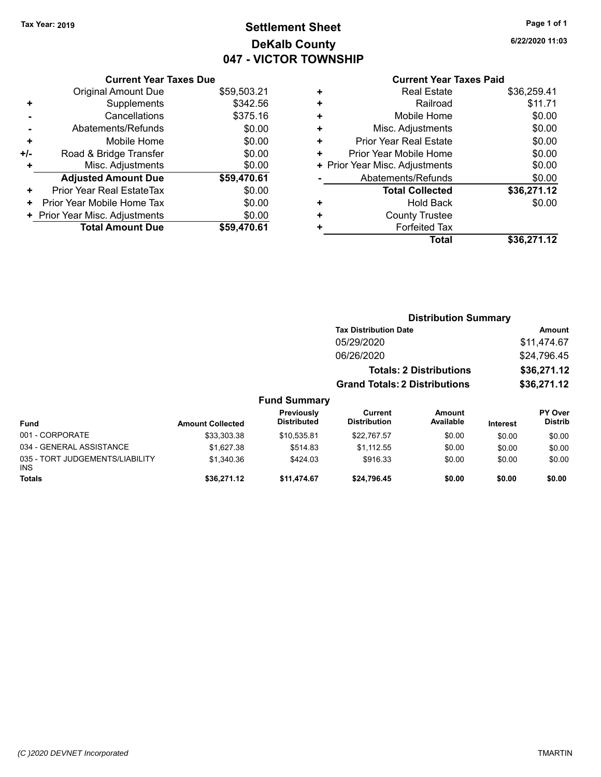## **Settlement Sheet Tax Year: 2019 Page 1 of 1 DeKalb County 047 - VICTOR TOWNSHIP**

**6/22/2020 11:03**

### **Current Year Taxes Paid**

| <b>Original Amount Due</b> | \$59,503.21                                                     |
|----------------------------|-----------------------------------------------------------------|
| Supplements                | \$342.56                                                        |
| Cancellations              | \$375.16                                                        |
| Abatements/Refunds         | \$0.00                                                          |
| Mobile Home                | \$0.00                                                          |
| Road & Bridge Transfer     | \$0.00                                                          |
| Misc. Adjustments          | \$0.00                                                          |
| <b>Adjusted Amount Due</b> | \$59,470.61                                                     |
| Prior Year Real EstateTax  | \$0.00                                                          |
| Prior Year Mobile Home Tax | \$0.00                                                          |
|                            | \$0.00                                                          |
| <b>Total Amount Due</b>    | \$59,470.61                                                     |
|                            | <b>Current Year Taxes Due</b><br>+ Prior Year Misc. Adjustments |

|   | Total                          | \$36,271.12 |
|---|--------------------------------|-------------|
| ٠ | <b>Forfeited Tax</b>           |             |
| ٠ | <b>County Trustee</b>          |             |
| ٠ | Hold Back                      | \$0.00      |
|   | <b>Total Collected</b>         | \$36,271.12 |
|   | Abatements/Refunds             | \$0.00      |
|   | + Prior Year Misc. Adjustments | \$0.00      |
| ٠ | Prior Year Mobile Home         | \$0.00      |
| ٠ | <b>Prior Year Real Estate</b>  | \$0.00      |
| ٠ | Misc. Adjustments              | \$0.00      |
| ÷ | Mobile Home                    | \$0.00      |
| ÷ | Railroad                       | \$11.71     |
| ٠ | <b>Real Estate</b>             | \$36,259.41 |
|   |                                |             |

|                                         |                         |                                  | <b>Distribution Summary</b>           |                                |                 |                           |
|-----------------------------------------|-------------------------|----------------------------------|---------------------------------------|--------------------------------|-----------------|---------------------------|
|                                         |                         |                                  | <b>Tax Distribution Date</b>          |                                |                 | Amount                    |
|                                         |                         |                                  | 05/29/2020                            |                                |                 | \$11,474.67               |
|                                         |                         |                                  | 06/26/2020                            |                                |                 | \$24,796.45               |
|                                         |                         |                                  |                                       | <b>Totals: 2 Distributions</b> |                 | \$36,271.12               |
|                                         |                         |                                  | <b>Grand Totals: 2 Distributions</b>  |                                |                 | \$36,271.12               |
|                                         |                         | <b>Fund Summary</b>              |                                       |                                |                 |                           |
| Fund                                    | <b>Amount Collected</b> | Previously<br><b>Distributed</b> | <b>Current</b><br><b>Distribution</b> | <b>Amount</b><br>Available     | <b>Interest</b> | PY Over<br><b>Distrib</b> |
| 001 - CORPORATE                         | \$33,303.38             | \$10,535.81                      | \$22,767.57                           | \$0.00                         | \$0.00          | \$0.00                    |
| 034 - GENERAL ASSISTANCE                | \$1,627.38              | \$514.83                         | \$1,112.55                            | \$0.00                         | \$0.00          | \$0.00                    |
| 035 - TORT JUDGEMENTS/LIABILITY<br>INS. | \$1,340.36              | \$424.03                         | \$916.33                              | \$0.00                         | \$0.00          | \$0.00                    |
| <b>Totals</b>                           | \$36,271.12             | \$11,474.67                      | \$24,796.45                           | \$0.00                         | \$0.00          | \$0.00                    |
|                                         |                         |                                  |                                       |                                |                 |                           |

035 INS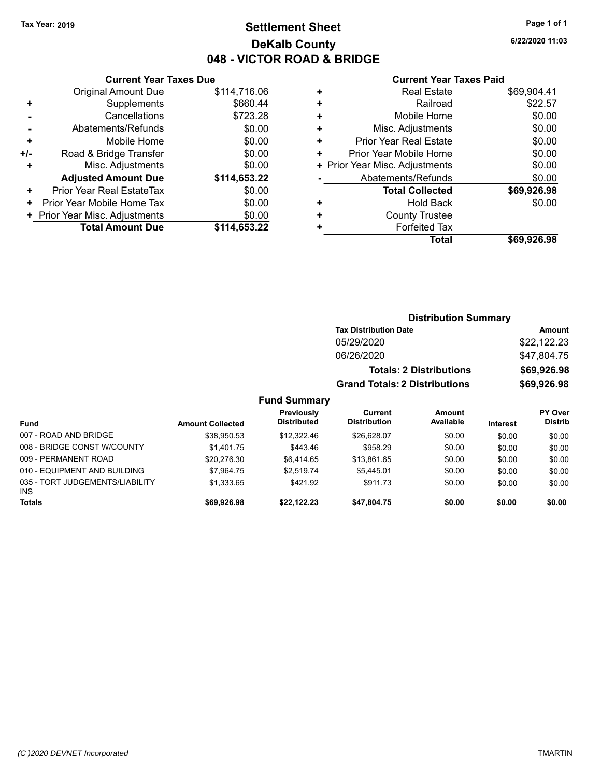## **Settlement Sheet Tax Year: 2019 Page 1 of 1 DeKalb County 048 - VICTOR ROAD & BRIDGE**

**6/22/2020 11:03**

#### **Current Year Taxes Paid**

|       | <b>Current Year Taxes Due</b>  |              |
|-------|--------------------------------|--------------|
|       | <b>Original Amount Due</b>     | \$114,716.06 |
| ٠     | Supplements                    | \$660.44     |
|       | Cancellations                  | \$723.28     |
|       | Abatements/Refunds             | \$0.00       |
| ٠     | Mobile Home                    | \$0.00       |
| $+/-$ | Road & Bridge Transfer         | \$0.00       |
|       | Misc. Adjustments              | \$0.00       |
|       | <b>Adjusted Amount Due</b>     | \$114,653.22 |
| ÷     | Prior Year Real EstateTax      | \$0.00       |
| ٠     | Prior Year Mobile Home Tax     | \$0.00       |
|       | + Prior Year Misc. Adjustments | \$0.00       |
|       | <b>Total Amount Due</b>        | \$114,653.22 |
|       |                                |              |

|   | <b>Real Estate</b>             | \$69,904.41 |
|---|--------------------------------|-------------|
| ٠ | Railroad                       | \$22.57     |
| ٠ | Mobile Home                    | \$0.00      |
| ٠ | Misc. Adjustments              | \$0.00      |
| ٠ | <b>Prior Year Real Estate</b>  | \$0.00      |
| ٠ | Prior Year Mobile Home         | \$0.00      |
|   | + Prior Year Misc. Adjustments | \$0.00      |
|   | Abatements/Refunds             | \$0.00      |
|   | <b>Total Collected</b>         | \$69,926.98 |
| ٠ | Hold Back                      | \$0.00      |
| ٠ | <b>County Trustee</b>          |             |
| ٠ | <b>Forfeited Tax</b>           |             |
|   | Total                          | \$69,926.98 |
|   |                                |             |

|                             |                         |                                  |                                       | <b>Distribution Summary</b>    |                 |                           |
|-----------------------------|-------------------------|----------------------------------|---------------------------------------|--------------------------------|-----------------|---------------------------|
|                             |                         |                                  | <b>Tax Distribution Date</b>          |                                |                 | Amount                    |
|                             |                         |                                  | 05/29/2020                            |                                |                 | \$22,122.23               |
|                             |                         |                                  | 06/26/2020                            |                                |                 | \$47,804.75               |
|                             |                         |                                  |                                       | <b>Totals: 2 Distributions</b> |                 | \$69,926.98               |
|                             |                         |                                  | <b>Grand Totals: 2 Distributions</b>  |                                |                 | \$69,926.98               |
|                             |                         | <b>Fund Summary</b>              |                                       |                                |                 |                           |
| <b>Fund</b>                 | <b>Amount Collected</b> | Previously<br><b>Distributed</b> | <b>Current</b><br><b>Distribution</b> | <b>Amount</b><br>Available     | <b>Interest</b> | PY Over<br><b>Distrib</b> |
| 007 - ROAD AND BRIDGE       | \$38,950.53             | \$12,322.46                      | \$26,628.07                           | \$0.00                         | \$0.00          | \$0.00                    |
| 008 - BRIDGE CONST W/COUNTY | \$1.401.75              | \$443.46                         | \$958.29                              | \$0.00                         | \$0.00          | \$0.00                    |
| 009 - PFRMANFNT ROAD        | \$20276.30              | \$6 414 65                       | \$13.86165                            | \$0.00                         | \$0.00          | \$0.00                    |

| Totals                          | \$69,926.98 | \$22.122.23 | \$47.804.75 | \$0.00 | \$0.00 | \$0.00 |
|---------------------------------|-------------|-------------|-------------|--------|--------|--------|
| INS                             |             |             |             |        |        |        |
| 035 - TORT JUDGEMENTS/LIABILITY | \$1.333.65  | \$421.92    | \$911.73    | \$0.00 | \$0.00 | \$0.00 |
| 010 - EQUIPMENT AND BUILDING    | \$7.964.75  | \$2.519.74  | \$5.445.01  | \$0.00 | \$0.00 | \$0.00 |
| 009 - PERMANENT ROAD            | \$20,276.30 | \$6.414.65  | \$13.861.65 | \$0.00 | \$0.00 | \$0.00 |
| 008 - BRIDGE CONST W/COUNTY     | \$1.401.75  | \$443.46    | \$958.29    | \$0.00 | \$0.00 | \$0.00 |
|                                 |             |             |             |        |        |        |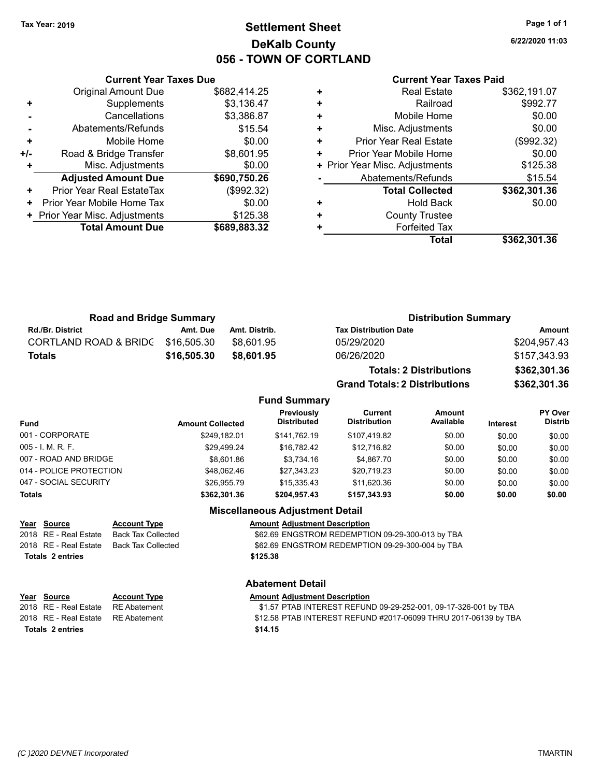## **Settlement Sheet Tax Year: 2019 Page 1 of 1 DeKalb County 056 - TOWN OF CORTLAND**

**6/22/2020 11:03**

#### **Current Year Taxes Paid**

|     | <b>Current Year Taxes Due</b>  |              |            |     |
|-----|--------------------------------|--------------|------------|-----|
|     | Original Amount Due            | \$682,414.25 | ٠          |     |
|     | Supplements                    | \$3,136.47   | ٠          |     |
|     | Cancellations                  | \$3,386.87   | ٠          |     |
|     | Abatements/Refunds             | \$15.54      | ٠          |     |
|     | Mobile Home                    | \$0.00       | ٠          | Р   |
| +/- | Road & Bridge Transfer         | \$8,601.95   | ٠          | Pri |
|     | Misc. Adjustments              | \$0.00       | + Prior Ye |     |
|     | <b>Adjusted Amount Due</b>     | \$690,750.26 |            |     |
| ٠   | Prior Year Real EstateTax      | (\$992.32)   |            |     |
| ٠   | Prior Year Mobile Home Tax     | \$0.00       | ٠          |     |
|     | + Prior Year Misc. Adjustments | \$125.38     |            |     |
|     | <b>Total Amount Due</b>        | \$689,883.32 |            |     |
|     |                                |              |            |     |

|   | <b>Real Estate</b>             | \$362,191.07 |
|---|--------------------------------|--------------|
| ÷ | Railroad                       | \$992.77     |
| ٠ | Mobile Home                    | \$0.00       |
| ٠ | Misc. Adjustments              | \$0.00       |
| ٠ | <b>Prior Year Real Estate</b>  | (\$992.32)   |
| ٠ | Prior Year Mobile Home         | \$0.00       |
|   | + Prior Year Misc. Adjustments | \$125.38     |
|   | Abatements/Refunds             | \$15.54      |
|   | <b>Total Collected</b>         | \$362,301.36 |
| ٠ | <b>Hold Back</b>               | \$0.00       |
| ٠ | <b>County Trustee</b>          |              |
|   | <b>Forfeited Tax</b>           |              |
|   | Total                          | \$362,301.36 |
|   |                                |              |

**Grand Totals: 2 Distributions \$362,301.36**

| <b>Road and Bridge Summary</b>   |             |               | <b>Distribution Summary</b>    |              |  |
|----------------------------------|-------------|---------------|--------------------------------|--------------|--|
| <b>Rd./Br. District</b>          | Amt. Due    | Amt. Distrib. | <b>Tax Distribution Date</b>   | Amount       |  |
| <b>CORTLAND ROAD &amp; BRIDC</b> | \$16,505.30 | \$8.601.95    | 05/29/2020                     | \$204,957.43 |  |
| Totals                           | \$16,505.30 | \$8,601.95    | 06/26/2020                     | \$157,343.93 |  |
|                                  |             |               | <b>Totals: 2 Distributions</b> | \$362,301.36 |  |

**Fund Summary Fund Interest Amount Collected Distributed PY Over Distrib Amount Available Current Distribution Previously** 001 - CORPORATE \$249,182.01 \$141,762.19 \$107,419.82 \$0.00 \$0.00 \$0.00 005 - I. M. R. F. \$29,499.24 \$16,782.42 \$12,716.82 \$0.00 \$0.00 \$0.00 007 - ROAD AND BRIDGE \$8,001.86 \$3,734.16 \$4,867.70 \$0.00 \$0.00 \$0.00 \$0.00 014 - POLICE PROTECTION \$48,062.46 \$27,343.23 \$20,719.23 \$0.00 \$0.00 \$0.00 \$0.00 047 - SOCIAL SECURITY \$26,955.79 \$15,335.43 \$11,620.36 \$0.00 \$0.00 \$0.00 **Totals \$362,301.36 \$204,957.43 \$157,343.93 \$0.00 \$0.00 \$0.00**

|                  | Year Source           | <b>Account Type</b> | <b>Amount Adjustment Description</b>             |
|------------------|-----------------------|---------------------|--------------------------------------------------|
|                  | 2018 RE - Real Estate | Back Tax Collected  | \$62.69 ENGSTROM REDEMPTION 09-29-300-013 by TBA |
|                  | 2018 RE - Real Estate | Back Tax Collected  | \$62.69 ENGSTROM REDEMPTION 09-29-300-004 by TBA |
| Totals 2 entries |                       |                     | \$125.38                                         |
|                  |                       |                     |                                                  |

| <b>Abatement Detail</b>            |                     |                                                                 |  |
|------------------------------------|---------------------|-----------------------------------------------------------------|--|
| Year Source                        | <b>Account Type</b> | <b>Amount Adjustment Description</b>                            |  |
| 2018 RE - Real Estate              | RE Abatement        | \$1.57 PTAB INTEREST REFUND 09-29-252-001, 09-17-326-001 by TBA |  |
| 2018 RE - Real Estate RE Abatement |                     | \$12.58 PTAB INTEREST REFUND #2017-06099 THRU 2017-06139 by TBA |  |
| Totals 2 entries                   |                     | \$14.15                                                         |  |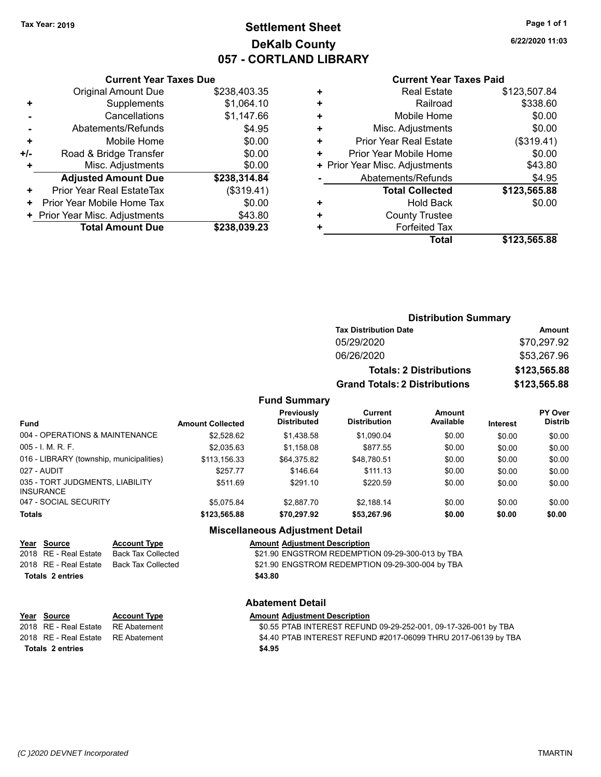## **Settlement Sheet Tax Year: 2019 Page 1 of 1 DeKalb County 057 - CORTLAND LIBRARY**

**6/22/2020 11:03**

#### **Current Year Taxes Paid**

|     | <b>Original Amount Due</b>     | \$238,403.35 |
|-----|--------------------------------|--------------|
| ٠   | Supplements                    | \$1,064.10   |
|     | Cancellations                  | \$1,147.66   |
|     | Abatements/Refunds             | \$4.95       |
| ÷   | Mobile Home                    | \$0.00       |
| +/- | Road & Bridge Transfer         | \$0.00       |
| ٠   | Misc. Adjustments              | \$0.00       |
|     | <b>Adjusted Amount Due</b>     | \$238,314.84 |
| ٠   | Prior Year Real EstateTax      | (\$319.41)   |
| ٠   | Prior Year Mobile Home Tax     | \$0.00       |
|     | + Prior Year Misc. Adjustments | \$43.80      |
|     | <b>Total Amount Due</b>        | \$238,039.23 |
|     |                                |              |

**Current Year Taxes Due**

| ٠ | <b>Real Estate</b>             | \$123,507.84 |
|---|--------------------------------|--------------|
| ٠ | Railroad                       | \$338.60     |
| ٠ | Mobile Home                    | \$0.00       |
| ٠ | Misc. Adjustments              | \$0.00       |
| ٠ | <b>Prior Year Real Estate</b>  | (\$319.41)   |
| ٠ | Prior Year Mobile Home         | \$0.00       |
|   | + Prior Year Misc. Adjustments | \$43.80      |
|   | Abatements/Refunds             | \$4.95       |
|   | <b>Total Collected</b>         | \$123,565.88 |
| ٠ | <b>Hold Back</b>               | \$0.00       |
| ٠ | <b>County Trustee</b>          |              |
| ٠ | <b>Forfeited Tax</b>           |              |
|   | Total                          | \$123,565.88 |

|                     | <b>Distribution Summary</b>          |              |
|---------------------|--------------------------------------|--------------|
|                     | <b>Tax Distribution Date</b>         | Amount       |
|                     | 05/29/2020                           | \$70,297.92  |
|                     | 06/26/2020                           | \$53,267.96  |
|                     | <b>Totals: 2 Distributions</b>       | \$123,565.88 |
|                     | <b>Grand Totals: 2 Distributions</b> | \$123,565.88 |
| <b>Fund Summary</b> |                                      |              |

| <b>Fund</b>                                  | <b>Amount Collected</b> | <b>Previously</b><br><b>Distributed</b> | Current<br><b>Distribution</b> | Amount<br>Available | <b>Interest</b> | PY Over<br><b>Distrib</b> |
|----------------------------------------------|-------------------------|-----------------------------------------|--------------------------------|---------------------|-----------------|---------------------------|
| 004 - OPERATIONS & MAINTENANCE.              | \$2,528.62              | \$1,438.58                              | \$1,090.04                     | \$0.00              | \$0.00          | \$0.00                    |
| 005 - I. M. R. F.                            | \$2.035.63              | \$1,158.08                              | \$877.55                       | \$0.00              | \$0.00          | \$0.00                    |
| 016 - LIBRARY (township, municipalities)     | \$113,156.33            | \$64,375.82                             | \$48,780.51                    | \$0.00              | \$0.00          | \$0.00                    |
| 027 - AUDIT                                  | \$257.77                | \$146.64                                | \$111.13                       | \$0.00              | \$0.00          | \$0.00                    |
| 035 - TORT JUDGMENTS, LIABILITY<br>INSURANCE | \$511.69                | \$291.10                                | \$220.59                       | \$0.00              | \$0.00          | \$0.00                    |
| 047 - SOCIAL SECURITY                        | \$5.075.84              | \$2,887.70                              | \$2.188.14                     | \$0.00              | \$0.00          | \$0.00                    |
| <b>Totals</b>                                | \$123,565,88            | \$70.297.92                             | \$53,267.96                    | \$0.00              | \$0.00          | \$0.00                    |

#### **Miscellaneous Adjustment Detail**

| Year Source           | <b>Account Type</b> | <b>Amount Adjustment Description</b>             |
|-----------------------|---------------------|--------------------------------------------------|
| 2018 RE - Real Estate | Back Tax Collected  | \$21.90 ENGSTROM REDEMPTION 09-29-300-013 by TBA |
| 2018 RE - Real Estate | Back Tax Collected  | \$21.90 ENGSTROM REDEMPTION 09-29-300-004 by TBA |
| Totals 2 entries      |                     | \$43.80                                          |

**Abatement Detail**

**Year Source Account Type Amount Adjustment Description** \$0.55 PTAB INTEREST REFUND 09-29-252-001, 09-17-326-001 by TBA 2018 RE - Real Estate RE Abatement **\$4.40 PTAB INTEREST REFUND #2017-06099 THRU 2017-06139 by TBA Totals \$4.95 2 entries**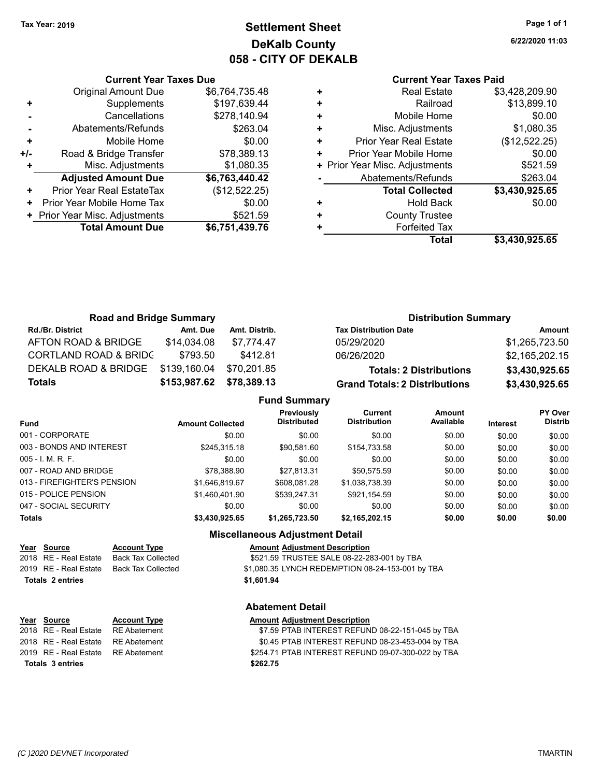## **Settlement Sheet Tax Year: 2019 Page 1 of 1 DeKalb County 058 - CITY OF DEKALB**

**6/22/2020 11:03**

| <b>Current Year Taxes Paid</b> |
|--------------------------------|

|     | <b>Current Year Taxes Due</b>  |                |  |
|-----|--------------------------------|----------------|--|
|     | <b>Original Amount Due</b>     | \$6,764,735.48 |  |
|     | Supplements                    | \$197,639.44   |  |
|     | Cancellations                  | \$278,140.94   |  |
|     | Abatements/Refunds             | \$263.04       |  |
| ٠   | Mobile Home                    | \$0.00         |  |
| +/- | Road & Bridge Transfer         | \$78,389.13    |  |
|     | Misc. Adjustments              | \$1,080.35     |  |
|     | <b>Adjusted Amount Due</b>     | \$6,763,440.42 |  |
| ٠   | Prior Year Real EstateTax      | (\$12,522.25)  |  |
| ٠   | Prior Year Mobile Home Tax     | \$0.00         |  |
|     | + Prior Year Misc. Adjustments | \$521.59       |  |
|     | <b>Total Amount Due</b>        | \$6,751,439.76 |  |
|     |                                |                |  |

|   | Total                          | \$3,430,925.65 |
|---|--------------------------------|----------------|
|   | <b>Forfeited Tax</b>           |                |
|   | <b>County Trustee</b>          |                |
| ٠ | <b>Hold Back</b>               | \$0.00         |
|   | <b>Total Collected</b>         | \$3,430,925.65 |
|   | Abatements/Refunds             | \$263.04       |
|   | + Prior Year Misc. Adjustments | \$521.59       |
| ٠ | Prior Year Mobile Home         | \$0.00         |
| ٠ | <b>Prior Year Real Estate</b>  | (\$12,522.25)  |
| ٠ | Misc. Adjustments              | \$1,080.35     |
|   | Mobile Home                    | \$0.00         |
|   | Railroad                       | \$13,899.10    |
|   | <b>Real Estate</b>             | \$3,428,209.90 |
|   |                                |                |

| <b>Road and Bridge Summary</b>   |              |               | <b>Distribution Summary</b>          |                |  |  |
|----------------------------------|--------------|---------------|--------------------------------------|----------------|--|--|
| <b>Rd./Br. District</b>          | Amt. Due     | Amt. Distrib. | <b>Tax Distribution Date</b>         | Amount         |  |  |
| AFTON ROAD & BRIDGE              | \$14,034.08  | \$7.774.47    | 05/29/2020                           | \$1,265,723.50 |  |  |
| <b>CORTLAND ROAD &amp; BRIDC</b> | \$793.50     | \$412.81      | 06/26/2020                           | \$2,165,202.15 |  |  |
| DEKALB ROAD & BRIDGE             | \$139,160.04 | \$70,201.85   | <b>Totals: 2 Distributions</b>       | \$3,430,925.65 |  |  |
| <b>Totals</b>                    | \$153,987.62 | \$78,389.13   | <b>Grand Totals: 2 Distributions</b> | \$3,430,925.65 |  |  |

## **Fund Summary**

| <b>Fund</b>                 | <b>Amount Collected</b> | <b>Previously</b><br><b>Distributed</b> | Current<br><b>Distribution</b> | Amount<br>Available | <b>Interest</b> | <b>PY Over</b><br><b>Distrib</b> |
|-----------------------------|-------------------------|-----------------------------------------|--------------------------------|---------------------|-----------------|----------------------------------|
| 001 - CORPORATE             | \$0.00                  | \$0.00                                  | \$0.00                         | \$0.00              | \$0.00          | \$0.00                           |
| 003 - BONDS AND INTEREST    | \$245.315.18            | \$90,581.60                             | \$154,733.58                   | \$0.00              | \$0.00          | \$0.00                           |
| 005 - I. M. R. F.           | \$0.00                  | \$0.00                                  | \$0.00                         | \$0.00              | \$0.00          | \$0.00                           |
| 007 - ROAD AND BRIDGE       | \$78,388.90             | \$27,813.31                             | \$50.575.59                    | \$0.00              | \$0.00          | \$0.00                           |
| 013 - FIREFIGHTER'S PENSION | \$1,646,819.67          | \$608.081.28                            | \$1,038,738.39                 | \$0.00              | \$0.00          | \$0.00                           |
| 015 - POLICE PENSION        | \$1.460.401.90          | \$539.247.31                            | \$921,154.59                   | \$0.00              | \$0.00          | \$0.00                           |
| 047 - SOCIAL SECURITY       | \$0.00                  | \$0.00                                  | \$0.00                         | \$0.00              | \$0.00          | \$0.00                           |
| <b>Totals</b>               | \$3,430,925.65          | \$1,265,723.50                          | \$2,165,202.15                 | \$0.00              | \$0.00          | \$0.00                           |

#### **Miscellaneous Adjustment Detail**

**Year** Source **Account Type A** Annount Adjustment Description 2018 RE - Real Estate Back Tax Collected **\$521.59 TRUSTEE SALE 08-22-283-001 by TBA** 2019 RE - Real Estate Back Tax Collected \$1,080.35 LYNCH REDEMPTION 08-24-153-001 by TBA

**Totals \$1,601.94 2 entries**

#### **Abatement Detail**

| Year Source                        | <b>Account Type</b> | <b>Amount Adjustment Description</b>               |
|------------------------------------|---------------------|----------------------------------------------------|
| 2018 RE - Real Estate RE Abatement |                     | \$7.59 PTAB INTEREST REFUND 08-22-151-045 by TBA   |
| 2018 RE - Real Estate RE Abatement |                     | \$0.45 PTAB INTEREST REFUND 08-23-453-004 by TBA   |
| 2019 RE - Real Estate RE Abatement |                     | \$254.71 PTAB INTEREST REFUND 09-07-300-022 by TBA |
| Totals 3 entries                   |                     | \$262.75                                           |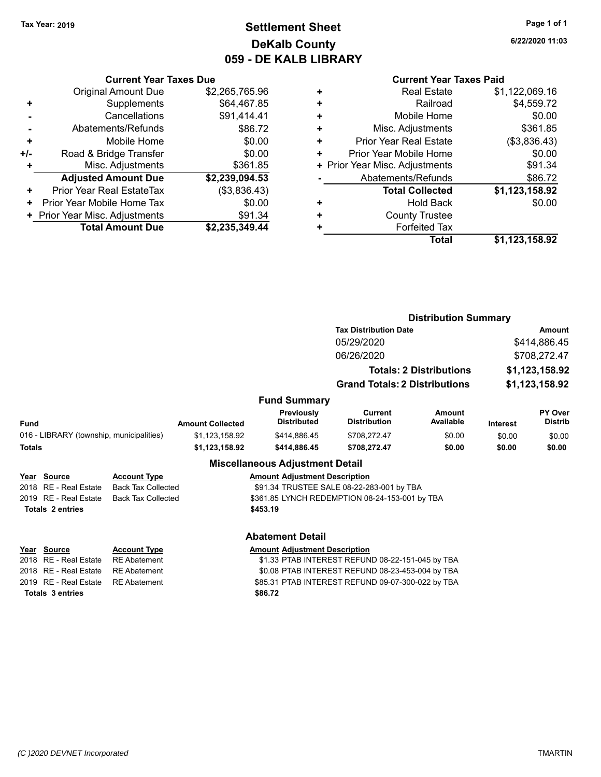## **Settlement Sheet Tax Year: 2019 Page 1 of 1 DeKalb County 059 - DE KALB LIBRARY**

**6/22/2020 11:03**

| Current \ |
|-----------|
|           |

|     | <b>Current Year Taxes Due</b>  |                |  |  |  |  |
|-----|--------------------------------|----------------|--|--|--|--|
|     | <b>Original Amount Due</b>     | \$2,265,765.96 |  |  |  |  |
| ٠   | Supplements                    | \$64,467.85    |  |  |  |  |
|     | Cancellations                  | \$91,414.41    |  |  |  |  |
|     | Abatements/Refunds             | \$86.72        |  |  |  |  |
| ٠   | Mobile Home                    | \$0.00         |  |  |  |  |
| +/- | Road & Bridge Transfer         | \$0.00         |  |  |  |  |
| ٠   | Misc. Adjustments              | \$361.85       |  |  |  |  |
|     | <b>Adjusted Amount Due</b>     | \$2,239,094.53 |  |  |  |  |
| ٠   | Prior Year Real EstateTax      | (\$3,836.43)   |  |  |  |  |
| ٠   | Prior Year Mobile Home Tax     | \$0.00         |  |  |  |  |
|     | + Prior Year Misc. Adjustments | \$91.34        |  |  |  |  |
|     | <b>Total Amount Due</b>        | \$2,235,349.44 |  |  |  |  |
|     |                                |                |  |  |  |  |

|   | <b>Current Year Taxes Paid</b> |                |
|---|--------------------------------|----------------|
| ٠ | <b>Real Estate</b>             | \$1,122,069.16 |
| ٠ | Railroad                       | \$4,559.72     |
| ٠ | Mobile Home                    | \$0.00         |
| ٠ | Misc. Adjustments              | \$361.85       |
| ٠ | <b>Prior Year Real Estate</b>  | (\$3,836.43)   |
| ٠ | Prior Year Mobile Home         | \$0.00         |
|   | + Prior Year Misc. Adjustments | \$91.34        |
|   | Abatements/Refunds             | \$86.72        |
|   | <b>Total Collected</b>         | \$1,123,158.92 |
| ٠ | <b>Hold Back</b>               | \$0.00         |
| ٠ | <b>County Trustee</b>          |                |
|   | <b>Forfeited Tax</b>           |                |
|   | Total                          | \$1,123,158.92 |

|        |                                          |                           |                         |                                        | <b>Distribution Summary</b>                       |                                |                                |                                  |
|--------|------------------------------------------|---------------------------|-------------------------|----------------------------------------|---------------------------------------------------|--------------------------------|--------------------------------|----------------------------------|
|        |                                          |                           |                         |                                        | <b>Tax Distribution Date</b><br>05/29/2020        |                                | Amount<br>\$414,886.45         |                                  |
|        |                                          |                           |                         |                                        |                                                   |                                |                                |                                  |
|        |                                          |                           |                         |                                        | 06/26/2020                                        |                                | \$708,272.47<br>\$1,123,158.92 |                                  |
|        |                                          |                           |                         |                                        |                                                   | <b>Totals: 2 Distributions</b> |                                |                                  |
|        |                                          |                           |                         |                                        |                                                   |                                |                                |                                  |
|        |                                          |                           |                         |                                        | <b>Grand Totals: 2 Distributions</b>              |                                |                                | \$1,123,158.92                   |
|        |                                          |                           |                         | <b>Fund Summary</b>                    |                                                   |                                |                                |                                  |
| Fund   |                                          |                           | <b>Amount Collected</b> | Previously<br><b>Distributed</b>       | <b>Current</b><br><b>Distribution</b>             | Amount<br>Available            | <b>Interest</b>                | <b>PY Over</b><br><b>Distrib</b> |
|        | 016 - LIBRARY (township, municipalities) |                           | \$1,123,158.92          | \$414,886.45                           | \$708,272.47                                      | \$0.00                         | \$0.00                         | \$0.00                           |
| Totals |                                          |                           | \$1,123,158.92          | \$414,886.45                           | \$708,272.47                                      | \$0.00                         | \$0.00                         | \$0.00                           |
|        |                                          |                           |                         | <b>Miscellaneous Adjustment Detail</b> |                                                   |                                |                                |                                  |
|        | Year Source                              | <b>Account Type</b>       |                         | <b>Amount Adjustment Description</b>   |                                                   |                                |                                |                                  |
|        | 2018 RE - Real Estate                    | <b>Back Tax Collected</b> |                         |                                        | \$91.34 TRUSTEE SALE 08-22-283-001 by TBA         |                                |                                |                                  |
|        | 2019 RE - Real Estate                    | <b>Back Tax Collected</b> |                         |                                        | \$361.85 LYNCH REDEMPTION 08-24-153-001 by TBA    |                                |                                |                                  |
|        | <b>Totals 2 entries</b>                  |                           |                         | \$453.19                               |                                                   |                                |                                |                                  |
|        |                                          |                           |                         | <b>Abatement Detail</b>                |                                                   |                                |                                |                                  |
|        | Year Source                              | <b>Account Type</b>       |                         | <b>Amount Adjustment Description</b>   |                                                   |                                |                                |                                  |
|        | 2018 RE - Real Estate                    | <b>RE</b> Abatement       |                         |                                        | \$1.33 PTAB INTEREST REFUND 08-22-151-045 by TBA  |                                |                                |                                  |
|        | 2018 RE - Real Estate                    | <b>RE</b> Abatement       |                         |                                        | \$0.08 PTAB INTEREST REFUND 08-23-453-004 by TBA  |                                |                                |                                  |
|        | 2019 RE - Real Estate                    | <b>RE</b> Abatement       |                         |                                        | \$85.31 PTAB INTEREST REFUND 09-07-300-022 by TBA |                                |                                |                                  |
|        | <b>Totals 3 entries</b>                  |                           |                         | \$86.72                                |                                                   |                                |                                |                                  |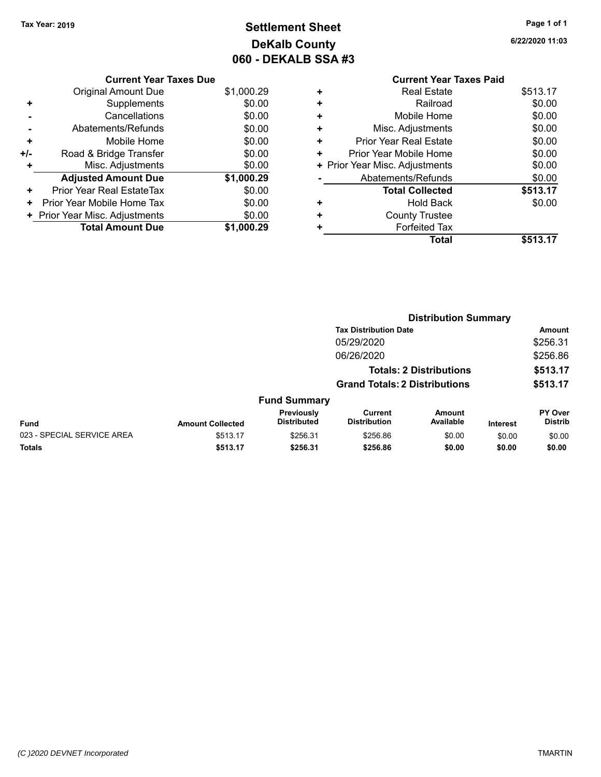# **Settlement Sheet Tax Year: 2019 Page 1 of 1 DeKalb County 060 - DEKALB SSA #3**

**6/22/2020 11:03**

|   | <b>Current Year Taxes Paid</b> |          |
|---|--------------------------------|----------|
| ٠ | <b>Real Estate</b>             | \$513.17 |
| ٠ | Railroad                       | \$0.00   |
| ٠ | Mobile Home                    | \$0.00   |
| ٠ | Misc. Adjustments              | \$0.00   |
| ٠ | <b>Prior Year Real Estate</b>  | \$0.00   |
| ٠ | Prior Year Mobile Home         | \$0.00   |
|   | + Prior Year Misc. Adjustments | \$0.00   |
|   | Abatements/Refunds             | \$0.00   |
|   | <b>Total Collected</b>         | \$513.17 |
| ٠ | <b>Hold Back</b>               | \$0.00   |
|   | <b>County Trustee</b>          |          |
| ٠ | <b>Forfeited Tax</b>           |          |
|   | Total                          | \$513.17 |

|     | <b>Original Amount Due</b>     | \$1,000.29 |
|-----|--------------------------------|------------|
| ٠   | Supplements                    | \$0.00     |
|     | Cancellations                  | \$0.00     |
|     | Abatements/Refunds             | \$0.00     |
| ٠   | Mobile Home                    | \$0.00     |
| +/- | Road & Bridge Transfer         | \$0.00     |
| ٠   | Misc. Adjustments              | \$0.00     |
|     | <b>Adjusted Amount Due</b>     | \$1,000.29 |
| ٠   | Prior Year Real EstateTax      | \$0.00     |
| ٠   | Prior Year Mobile Home Tax     | \$0.00     |
|     | + Prior Year Misc. Adjustments | \$0.00     |
|     | <b>Total Amount Due</b>        | \$1,000.29 |
|     |                                |            |

**Current Year Taxes Due**

|                            |                         |                                  | <b>Distribution Summary</b>           |                                |                 |                           |  |
|----------------------------|-------------------------|----------------------------------|---------------------------------------|--------------------------------|-----------------|---------------------------|--|
|                            |                         |                                  | <b>Tax Distribution Date</b>          |                                |                 | <b>Amount</b>             |  |
|                            |                         |                                  | 05/29/2020                            |                                |                 | \$256.31                  |  |
|                            |                         |                                  | 06/26/2020                            |                                |                 | \$256.86                  |  |
|                            |                         |                                  |                                       | <b>Totals: 2 Distributions</b> |                 | \$513.17                  |  |
|                            |                         |                                  | <b>Grand Totals: 2 Distributions</b>  |                                |                 | \$513.17                  |  |
|                            |                         | <b>Fund Summary</b>              |                                       |                                |                 |                           |  |
| <b>Fund</b>                | <b>Amount Collected</b> | Previously<br><b>Distributed</b> | <b>Current</b><br><b>Distribution</b> | Amount<br>Available            | <b>Interest</b> | PY Over<br><b>Distrib</b> |  |
| 023 - SPECIAL SERVICE AREA | \$513.17                | \$256.31                         | \$256.86                              | \$0.00                         | \$0.00          | \$0.00                    |  |
| <b>Totals</b>              | \$513.17                | \$256.31                         | \$256.86                              | \$0.00                         | \$0.00          | \$0.00                    |  |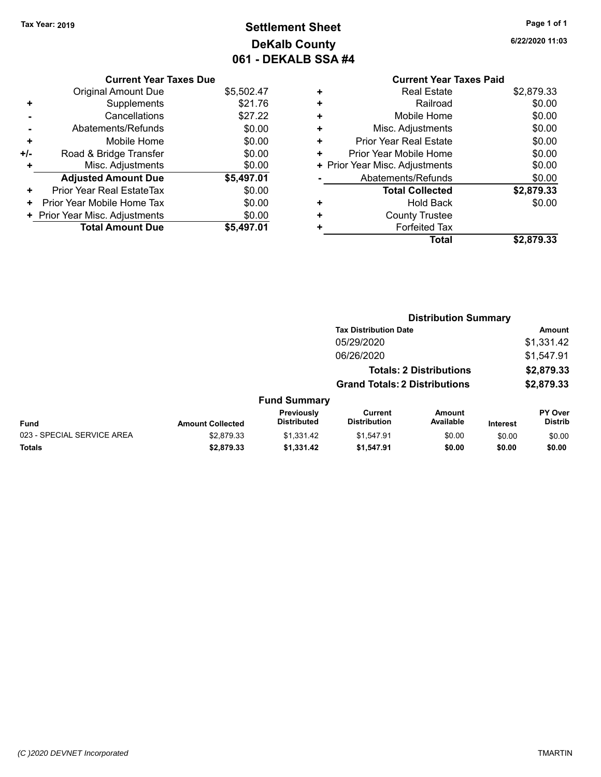# **Settlement Sheet Tax Year: 2019 Page 1 of 1 DeKalb County 061 - DEKALB SSA #4**

**6/22/2020 11:03**

**Total \$2,879.33**

|     | <b>Current Year Taxes Due</b>  |            |
|-----|--------------------------------|------------|
|     | <b>Original Amount Due</b>     | \$5,502.47 |
| ٠   | Supplements                    | \$21.76    |
|     | Cancellations                  | \$27.22    |
|     | Abatements/Refunds             | \$0.00     |
| ٠   | Mobile Home                    | \$0.00     |
| +/- | Road & Bridge Transfer         | \$0.00     |
|     | Misc. Adjustments              | \$0.00     |
|     | <b>Adjusted Amount Due</b>     | \$5,497.01 |
| ٠   | Prior Year Real EstateTax      | \$0.00     |
| ٠   | Prior Year Mobile Home Tax     | \$0.00     |
|     | + Prior Year Misc. Adjustments | \$0.00     |
|     | <b>Total Amount Due</b>        | \$5,497.01 |
|     |                                |            |

## **Current Year Taxes Paid +** Real Estate \$2,879.33 **+** Railroad \$0.00 **+** Mobile Home \$0.00 **+** Misc. Adjustments \$0.00 **+** Prior Year Real Estate \$0.00 **+** Prior Year Mobile Home \$0.00<br> **+** Prior Year Misc. Adjustments \$0.00 **+ Prior Year Misc. Adjustments -** Abatements/Refunds \$0.00 **Total Collected \$2,879.33 +** Hold Back \$0.00 **+** County Trustee **+** Forfeited Tax

|                            |                         |                                  |                                       |                                | <b>Distribution Summary</b> |                                  |  |
|----------------------------|-------------------------|----------------------------------|---------------------------------------|--------------------------------|-----------------------------|----------------------------------|--|
|                            |                         |                                  | <b>Tax Distribution Date</b>          |                                |                             | Amount                           |  |
|                            |                         |                                  | 05/29/2020                            |                                |                             | \$1,331.42                       |  |
|                            |                         |                                  | 06/26/2020                            |                                |                             | \$1,547.91                       |  |
|                            |                         |                                  |                                       | <b>Totals: 2 Distributions</b> |                             | \$2,879.33                       |  |
|                            |                         |                                  | <b>Grand Totals: 2 Distributions</b>  |                                |                             | \$2,879.33                       |  |
|                            |                         | <b>Fund Summary</b>              |                                       |                                |                             |                                  |  |
| <b>Fund</b>                | <b>Amount Collected</b> | Previously<br><b>Distributed</b> | <b>Current</b><br><b>Distribution</b> | <b>Amount</b><br>Available     | <b>Interest</b>             | <b>PY Over</b><br><b>Distrib</b> |  |
| 023 - SPECIAL SERVICE AREA | \$2.879.33              | \$1,331.42                       | \$1.547.91                            | \$0.00                         | \$0.00                      | \$0.00                           |  |
| Totals                     | \$2,879.33              | \$1,331.42                       | \$1,547.91                            | \$0.00                         | \$0.00                      | \$0.00                           |  |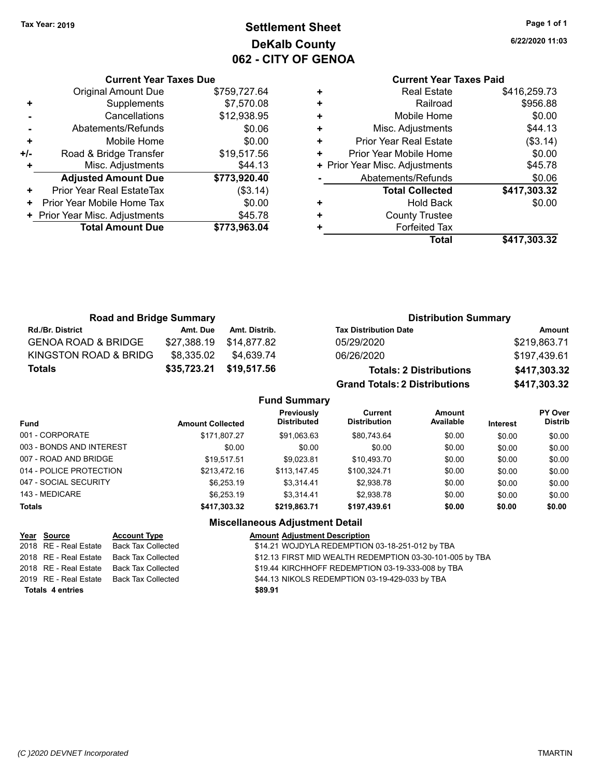## **Settlement Sheet Tax Year: 2019 Page 1 of 1 DeKalb County 062 - CITY OF GENOA**

**6/22/2020 11:03**

## **Current Year Taxes Paid**

|     | <b>Current Year Taxes Due</b>    |              |
|-----|----------------------------------|--------------|
|     | <b>Original Amount Due</b>       | \$759,727.64 |
|     | Supplements                      | \$7,570.08   |
|     | Cancellations                    | \$12,938.95  |
|     | Abatements/Refunds               | \$0.06       |
| ٠   | Mobile Home                      | \$0.00       |
| +/- | Road & Bridge Transfer           | \$19,517.56  |
|     | Misc. Adjustments                | \$44.13      |
|     | <b>Adjusted Amount Due</b>       | \$773,920.40 |
| ٠   | <b>Prior Year Real EstateTax</b> | (\$3.14)     |
| ٠   | Prior Year Mobile Home Tax       | \$0.00       |
|     | + Prior Year Misc. Adjustments   | \$45.78      |
|     | <b>Total Amount Due</b>          | \$773,963.04 |
|     |                                  |              |

| ٠ | <b>Real Estate</b>             | \$416,259.73 |
|---|--------------------------------|--------------|
| ٠ | Railroad                       | \$956.88     |
| ٠ | Mobile Home                    | \$0.00       |
| ٠ | Misc. Adjustments              | \$44.13      |
| ٠ | <b>Prior Year Real Estate</b>  | (\$3.14)     |
| ٠ | Prior Year Mobile Home         | \$0.00       |
|   | + Prior Year Misc. Adjustments | \$45.78      |
|   | Abatements/Refunds             | \$0.06       |
|   | <b>Total Collected</b>         | \$417,303.32 |
| ٠ | <b>Hold Back</b>               | \$0.00       |
| ٠ | <b>County Trustee</b>          |              |
| ٠ | <b>Forfeited Tax</b>           |              |
|   | Total                          | \$417,303.32 |
|   |                                |              |

| <b>Road and Bridge Summary</b> |             |                         | <b>Distribution Summary</b>          |              |
|--------------------------------|-------------|-------------------------|--------------------------------------|--------------|
| <b>Rd./Br. District</b>        | Amt. Due    | Amt. Distrib.           | <b>Tax Distribution Date</b>         | Amount       |
| <b>GENOA ROAD &amp; BRIDGE</b> |             | \$27,388.19 \$14,877.82 | 05/29/2020                           | \$219,863.71 |
| KINGSTON ROAD & BRIDG          | \$8,335.02  | \$4.639.74              | 06/26/2020                           | \$197,439.61 |
| Totals                         | \$35,723.21 | \$19,517.56             | <b>Totals: 2 Distributions</b>       | \$417,303.32 |
|                                |             |                         | <b>Grand Totals: 2 Distributions</b> | \$417,303.32 |

|                          |                         | <b>Fund Summary</b>                    |                                       |                     |          |                                  |
|--------------------------|-------------------------|----------------------------------------|---------------------------------------|---------------------|----------|----------------------------------|
| Fund                     | <b>Amount Collected</b> | Previously<br><b>Distributed</b>       | <b>Current</b><br><b>Distribution</b> | Amount<br>Available | Interest | <b>PY Over</b><br><b>Distrib</b> |
| 001 - CORPORATE          | \$171.807.27            | \$91,063.63                            | \$80,743.64                           | \$0.00              | \$0.00   | \$0.00                           |
| 003 - BONDS AND INTEREST | \$0.00                  | \$0.00                                 | \$0.00                                | \$0.00              | \$0.00   | \$0.00                           |
| 007 - ROAD AND BRIDGE.   | \$19.517.51             | \$9.023.81                             | \$10,493.70                           | \$0.00              | \$0.00   | \$0.00                           |
| 014 - POLICE PROTECTION  | \$213,472.16            | \$113,147.45                           | \$100,324.71                          | \$0.00              | \$0.00   | \$0.00                           |
| 047 - SOCIAL SECURITY    | \$6,253.19              | \$3.314.41                             | \$2,938.78                            | \$0.00              | \$0.00   | \$0.00                           |
| 143 - MEDICARE           | \$6.253.19              | \$3.314.41                             | \$2,938.78                            | \$0.00              | \$0.00   | \$0.00                           |
| Totals                   | \$417,303.32            | \$219,863.71                           | \$197,439.61                          | \$0.00              | \$0.00   | \$0.00                           |
|                          |                         | <b>Miscellaneous Adiustment Detail</b> |                                       |                     |          |                                  |

| <b>Account Type</b>                                | <b>Amount Adjustment Description</b>                     |
|----------------------------------------------------|----------------------------------------------------------|
| 2018 RE - Real Estate<br><b>Back Tax Collected</b> | \$14.21 WOJDYLA REDEMPTION 03-18-251-012 by TBA          |
| 2018 RE - Real Estate<br>Back Tax Collected        | \$12.13 FIRST MID WEALTH REDEMPTION 03-30-101-005 by TBA |
| 2018 RE - Real Estate<br>Back Tax Collected        | \$19.44 KIRCHHOFF REDEMPTION 03-19-333-008 by TBA        |
| 2019 RE - Real Estate<br>Back Tax Collected        | \$44.13 NIKOLS REDEMPTION 03-19-429-033 by TBA           |
|                                                    | \$89.91                                                  |
|                                                    |                                                          |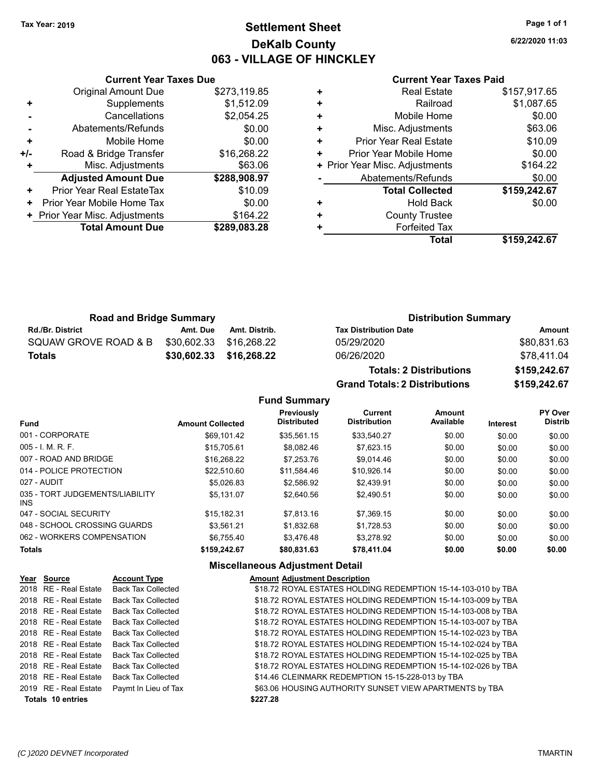## **Settlement Sheet Tax Year: 2019 Page 1 of 1 DeKalb County 063 - VILLAGE OF HINCKLEY**

**6/22/2020 11:03**

|     | <b>Current Year Taxes Due</b>  |              |
|-----|--------------------------------|--------------|
|     | <b>Original Amount Due</b>     | \$273,119.85 |
| ٠   | Supplements                    | \$1,512.09   |
|     | Cancellations                  | \$2,054.25   |
|     | Abatements/Refunds             | \$0.00       |
| ÷   | Mobile Home                    | \$0.00       |
| +/- | Road & Bridge Transfer         | \$16,268.22  |
|     | Misc. Adjustments              | \$63.06      |
|     | <b>Adjusted Amount Due</b>     | \$288,908.97 |
| ٠   | Prior Year Real EstateTax      | \$10.09      |
| ٠   | Prior Year Mobile Home Tax     | \$0.00       |
|     | + Prior Year Misc. Adjustments | \$164.22     |
|     | <b>Total Amount Due</b>        | \$289,083.28 |
|     |                                |              |

#### **Current Year Taxes Paid**

|   | Total                          | \$159,242.67 |
|---|--------------------------------|--------------|
| ٠ | <b>Forfeited Tax</b>           |              |
| ٠ | <b>County Trustee</b>          |              |
| ٠ | Hold Back                      | \$0.00       |
|   | <b>Total Collected</b>         | \$159,242.67 |
|   | Abatements/Refunds             | \$0.00       |
|   | + Prior Year Misc. Adjustments | \$164.22     |
| ٠ | Prior Year Mobile Home         | \$0.00       |
| ٠ | <b>Prior Year Real Estate</b>  | \$10.09      |
| ٠ | Misc. Adjustments              | \$63.06      |
| ٠ | Mobile Home                    | \$0.00       |
| ٠ | Railroad                       | \$1,087.65   |
|   | <b>Real Estate</b>             | \$157,917.65 |

**Totals: 2 Distributions \$159,242.67**

**Grand Totals: 2 Distributions \$159,242.67**

| <b>Road and Bridge Summary</b> |                         |               | <b>Distribution Summary</b>  |             |
|--------------------------------|-------------------------|---------------|------------------------------|-------------|
| <b>Rd./Br. District</b>        | Amt. Due                | Amt. Distrib. | <b>Tax Distribution Date</b> | Amount      |
| SQUAW GROVE ROAD & B           | \$30,602.33 \$16,268.22 |               | 05/29/2020                   | \$80,831.63 |
| <b>Totals</b>                  | \$30,602.33 \$16,268.22 |               | 06/26/2020                   | \$78,411.04 |

**Fund Summary Fund Interest Amount Collected Distributed PY Over Distrib Amount Available Current Distribution Previously** 001 - CORPORATE 669,101.42 \$35,561.15 \$33,540.27 \$0.00 \$0.00 \$0.00 005 - I. M. R. F. Channel Channel Studies (\$15,705.61 \$8,082.46 \$7,623.15 \$0.00 \$0.00 \$0.00 \$0.00 007 - ROAD AND BRIDGE \$16,268.22 \$7,253.76 \$9,014.46 \$0.00 \$0.00 \$0.00 014 - POLICE PROTECTION  $$22,510.60$   $$11,584.46$   $$10,926.14$   $$0.00$   $$0.00$   $$0.00$ 027 - AUDIT \$5,026.83 \$2,586.92 \$2,439.91 \$0.00 \$0.00 \$0.00 035 - TORT JUDGEMENTS/LIABILITY \$5,131.07 \$2,640.56 \$2,490.51 \$0.00 \$0.00 \$0.00 047 - SOCIAL SECURITY \$15,182.31 \$7,813.16 \$7,369.15 \$0.00 \$0.00 \$0.00 048 - SCHOOL CROSSING GUARDS \$3,561.21 \$1,832.68 \$1,728.53 \$0.00 \$0.00 \$0.00 062 - WORKERS COMPENSATION \$6,755.40 \$3,476.48 \$3,278.92 \$0.00 \$0.00 \$0.00 \$0.00 **Totals \$159,242.67 \$80,831.63 \$78,411.04 \$0.00 \$0.00 \$0.00**

| <b>Miscellaneous Adjustment Detail</b> |                           |                                                               |  |  |  |  |
|----------------------------------------|---------------------------|---------------------------------------------------------------|--|--|--|--|
| Year Source                            | <b>Account Type</b>       | <b>Amount Adjustment Description</b>                          |  |  |  |  |
| 2018 RE - Real Estate                  | <b>Back Tax Collected</b> | \$18.72 ROYAL ESTATES HOLDING REDEMPTION 15-14-103-010 by TBA |  |  |  |  |
| 2018 RE - Real Estate                  | <b>Back Tax Collected</b> | \$18.72 ROYAL ESTATES HOLDING REDEMPTION 15-14-103-009 by TBA |  |  |  |  |
| 2018 RE - Real Estate                  | <b>Back Tax Collected</b> | \$18.72 ROYAL ESTATES HOLDING REDEMPTION 15-14-103-008 by TBA |  |  |  |  |
| 2018 RE - Real Estate                  | <b>Back Tax Collected</b> | \$18.72 ROYAL ESTATES HOLDING REDEMPTION 15-14-103-007 by TBA |  |  |  |  |
| 2018 RE - Real Estate                  | <b>Back Tax Collected</b> | \$18.72 ROYAL ESTATES HOLDING REDEMPTION 15-14-102-023 by TBA |  |  |  |  |
| 2018 RE - Real Estate                  | <b>Back Tax Collected</b> | \$18.72 ROYAL ESTATES HOLDING REDEMPTION 15-14-102-024 by TBA |  |  |  |  |
| 2018 RE - Real Estate                  | <b>Back Tax Collected</b> | \$18.72 ROYAL ESTATES HOLDING REDEMPTION 15-14-102-025 by TBA |  |  |  |  |
| 2018 RE - Real Estate                  | <b>Back Tax Collected</b> | \$18.72 ROYAL ESTATES HOLDING REDEMPTION 15-14-102-026 by TBA |  |  |  |  |
| 2018 RE - Real Estate                  | <b>Back Tax Collected</b> | \$14.46 CLEINMARK REDEMPTION 15-15-228-013 by TBA             |  |  |  |  |
| 2019 RE - Real Estate                  | Paymt In Lieu of Tax      | \$63.06 HOUSING AUTHORITY SUNSET VIEW APARTMENTS by TBA       |  |  |  |  |
| Totals 10 entries<br>\$227.28          |                           |                                                               |  |  |  |  |

INS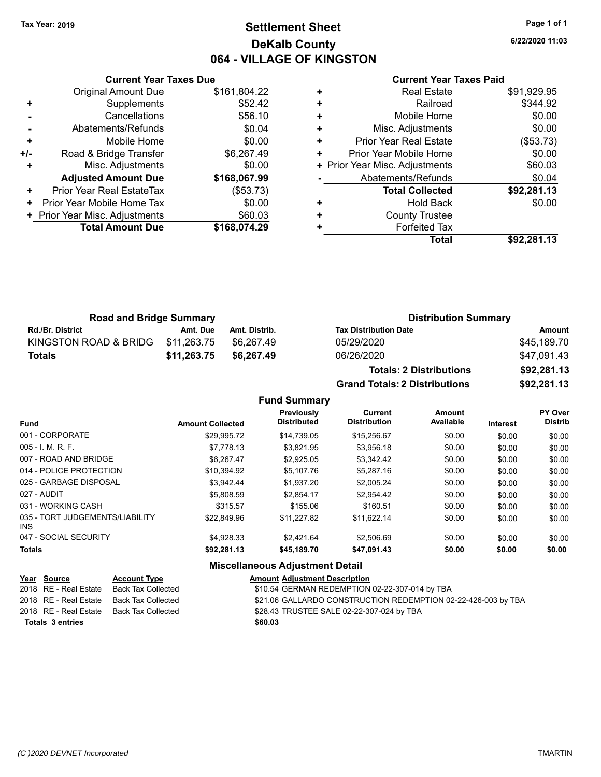## **Settlement Sheet Tax Year: 2019 Page 1 of 1 DeKalb County 064 - VILLAGE OF KINGSTON**

**6/22/2020 11:03**

|     | <b>Current Year Taxes Due</b>  |              |    |
|-----|--------------------------------|--------------|----|
|     | <b>Original Amount Due</b>     | \$161,804.22 | ٠  |
|     | Supplements                    | \$52.42      |    |
|     | Cancellations                  | \$56.10      | ٠  |
|     | Abatements/Refunds             | \$0.04       | ٠  |
|     | Mobile Home                    | \$0.00       | ٠  |
| +/- | Road & Bridge Transfer         | \$6,267.49   |    |
| ٠   | Misc. Adjustments              | \$0.00       | ٠. |
|     | <b>Adjusted Amount Due</b>     | \$168,067.99 |    |
| ٠   | Prior Year Real EstateTax      | (\$53.73)    |    |
| ٠   | Prior Year Mobile Home Tax     | \$0.00       | ٠  |
|     | + Prior Year Misc. Adjustments | \$60.03      |    |
|     | <b>Total Amount Due</b>        | \$168,074.29 |    |

#### **Current Year Taxes Paid**

|   | <b>Real Estate</b>             | \$91,929.95 |
|---|--------------------------------|-------------|
| ÷ | Railroad                       | \$344.92    |
| ٠ | Mobile Home                    | \$0.00      |
| ٠ | Misc. Adjustments              | \$0.00      |
| ٠ | <b>Prior Year Real Estate</b>  | (\$53.73)   |
| ٠ | Prior Year Mobile Home         | \$0.00      |
|   | + Prior Year Misc. Adjustments | \$60.03     |
|   | Abatements/Refunds             | \$0.04      |
|   | <b>Total Collected</b>         | \$92,281.13 |
| ٠ | <b>Hold Back</b>               | \$0.00      |
| ٠ | <b>County Trustee</b>          |             |
|   | <b>Forfeited Tax</b>           |             |
|   | Total                          | \$92,281.13 |

| <b>Road and Bridge Summary</b>    |             |               | <b>Distribution Summary</b>  |             |
|-----------------------------------|-------------|---------------|------------------------------|-------------|
| <b>Rd./Br. District</b>           | Amt. Due    | Amt. Distrib. | <b>Tax Distribution Date</b> | Amount      |
| KINGSTON ROAD & BRIDG \$11,263.75 |             | \$6.267.49    | 05/29/2020                   | \$45,189.70 |
| <b>Totals</b>                     | \$11.263.75 | \$6,267,49    | 06/26/2020                   | \$47,091.43 |

| <b>Totals: 2 Distributions</b>       | \$92,281.13 |
|--------------------------------------|-------------|
| <b>Grand Totals: 2 Distributions</b> | \$92,281.13 |

#### **Fund Summary**

| <b>Fund</b>                             | <b>Amount Collected</b> | Previously<br><b>Distributed</b> | Current<br><b>Distribution</b> | <b>Amount</b><br>Available | Interest | PY Over<br><b>Distrib</b> |
|-----------------------------------------|-------------------------|----------------------------------|--------------------------------|----------------------------|----------|---------------------------|
| 001 - CORPORATE                         | \$29,995.72             | \$14,739.05                      | \$15,256.67                    | \$0.00                     | \$0.00   | \$0.00                    |
| $005 - I$ , M, R, F,                    | \$7.778.13              | \$3.821.95                       | \$3,956.18                     | \$0.00                     | \$0.00   | \$0.00                    |
| 007 - ROAD AND BRIDGE                   | \$6.267.47              | \$2.925.05                       | \$3,342.42                     | \$0.00                     | \$0.00   | \$0.00                    |
| 014 - POLICE PROTECTION                 | \$10.394.92             | \$5.107.76                       | \$5,287.16                     | \$0.00                     | \$0.00   | \$0.00                    |
| 025 - GARBAGE DISPOSAL                  | \$3.942.44              | \$1.937.20                       | \$2,005.24                     | \$0.00                     | \$0.00   | \$0.00                    |
| 027 - AUDIT                             | \$5,808.59              | \$2.854.17                       | \$2,954.42                     | \$0.00                     | \$0.00   | \$0.00                    |
| 031 - WORKING CASH                      | \$315.57                | \$155.06                         | \$160.51                       | \$0.00                     | \$0.00   | \$0.00                    |
| 035 - TORT JUDGEMENTS/LIABILITY<br>INS. | \$22.849.96             | \$11,227.82                      | \$11,622.14                    | \$0.00                     | \$0.00   | \$0.00                    |
| 047 - SOCIAL SECURITY                   | \$4.928.33              | \$2.421.64                       | \$2.506.69                     | \$0.00                     | \$0.00   | \$0.00                    |
| <b>Totals</b>                           | \$92,281.13             | \$45,189.70                      | \$47,091.43                    | \$0.00                     | \$0.00   | \$0.00                    |
|                                         |                         | Miscellaneous Adjustment Detail  |                                |                            |          |                           |

| Year Source             | <b>Account Type</b> | <b>Amount Adjustment Description</b>                          |  |  |
|-------------------------|---------------------|---------------------------------------------------------------|--|--|
| 2018 RE - Real Estate   | Back Tax Collected  | \$10.54 GERMAN REDEMPTION 02-22-307-014 by TBA                |  |  |
| 2018 RE - Real Estate   | Back Tax Collected  | \$21.06 GALLARDO CONSTRUCTION REDEMPTION 02-22-426-003 by TBA |  |  |
| 2018 RE - Real Estate   | Back Tax Collected  | \$28.43 TRUSTEE SALE 02-22-307-024 by TBA                     |  |  |
| <b>Totals 3 entries</b> |                     | \$60.03                                                       |  |  |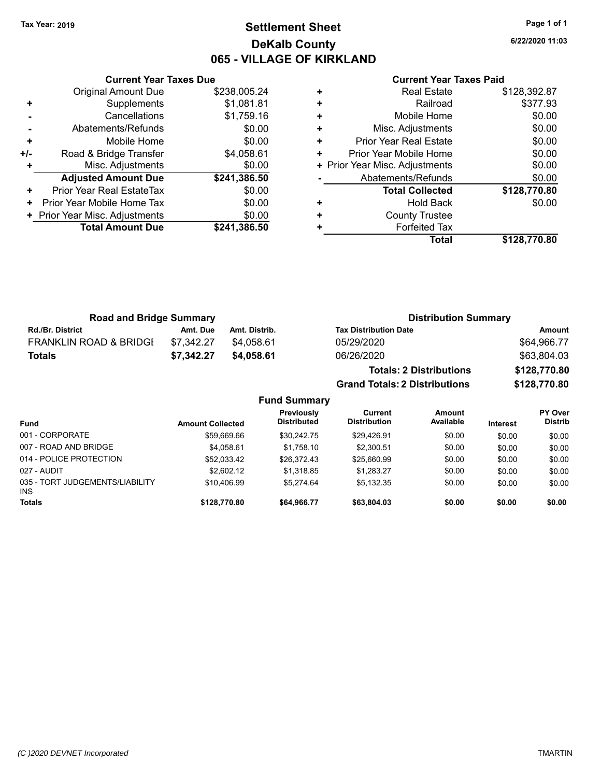## **Settlement Sheet Tax Year: 2019 Page 1 of 1 DeKalb County 065 - VILLAGE OF KIRKLAND**

**6/22/2020 11:03**

|     | <b>Current Year Taxes Due</b>  |              |
|-----|--------------------------------|--------------|
|     | <b>Original Amount Due</b>     | \$238,005.24 |
| ٠   | Supplements                    | \$1,081.81   |
|     | Cancellations                  | \$1,759.16   |
|     | Abatements/Refunds             | \$0.00       |
| ٠   | Mobile Home                    | \$0.00       |
| +/- | Road & Bridge Transfer         | \$4,058.61   |
|     | Misc. Adjustments              | \$0.00       |
|     | <b>Adjusted Amount Due</b>     | \$241,386.50 |
| ٠   | Prior Year Real EstateTax      | \$0.00       |
| ٠   | Prior Year Mobile Home Tax     | \$0.00       |
|     | + Prior Year Misc. Adjustments | \$0.00       |
|     | <b>Total Amount Due</b>        | \$241,386.50 |
|     |                                |              |

#### **Current Year Taxes Paid**

|   | <b>Real Estate</b>             | \$128,392.87 |
|---|--------------------------------|--------------|
| ٠ | Railroad                       | \$377.93     |
| ٠ | Mobile Home                    | \$0.00       |
| ٠ | Misc. Adjustments              | \$0.00       |
| ٠ | <b>Prior Year Real Estate</b>  | \$0.00       |
| ٠ | Prior Year Mobile Home         | \$0.00       |
|   | + Prior Year Misc. Adjustments | \$0.00       |
|   | Abatements/Refunds             | \$0.00       |
|   | <b>Total Collected</b>         | \$128,770.80 |
| ٠ | Hold Back                      | \$0.00       |
| ٠ | <b>County Trustee</b>          |              |
| ٠ | <b>Forfeited Tax</b>           |              |
|   | Total                          | \$128,770.80 |
|   |                                |              |

**Grand Totals: 2 Distributions \$128,770.80**

| <b>Road and Bridge Summary</b>    |            | <b>Distribution Summary</b> |                                |              |
|-----------------------------------|------------|-----------------------------|--------------------------------|--------------|
| <b>Rd./Br. District</b>           | Amt. Due   | Amt. Distrib.               | <b>Tax Distribution Date</b>   | Amount       |
| <b>FRANKLIN ROAD &amp; BRIDGE</b> | \$7.342.27 | \$4.058.61                  | 05/29/2020                     | \$64.966.77  |
| <b>Totals</b>                     | \$7,342,27 | \$4.058.61                  | 06/26/2020                     | \$63,804.03  |
|                                   |            |                             | <b>Totals: 2 Distributions</b> | \$128,770.80 |

**Fund Summary Fund Interest Amount Collected Distributed PY Over Distrib Amount Available Current Distribution Previously** 001 - CORPORATE 6000 \$10,669.66 \$30,242.75 \$29,426.91 \$0.00 \$0.00 \$0.00 \$0.00 007 - ROAD AND BRIDGE \$4,058.61 \$1,758.10 \$2,300.51 \$0.00 \$0.00 \$0.00 014 - POLICE PROTECTION \$52,033.42 \$26,372.43 \$25,660.99 \$0.00 \$0.00 \$0.00 \$0.00 027 - AUDIT \$2,602.12 \$1,318.85 \$1,283.27 \$0.00 \$0.00 \$0.00 035 - TORT JUDGEMENTS/LIABILITY INS \$10,406.99 \$5,274.64 \$5,132.35 \$0.00 \$0.00 \$0.00 **Totals \$128,770.80 \$64,966.77 \$63,804.03 \$0.00 \$0.00 \$0.00**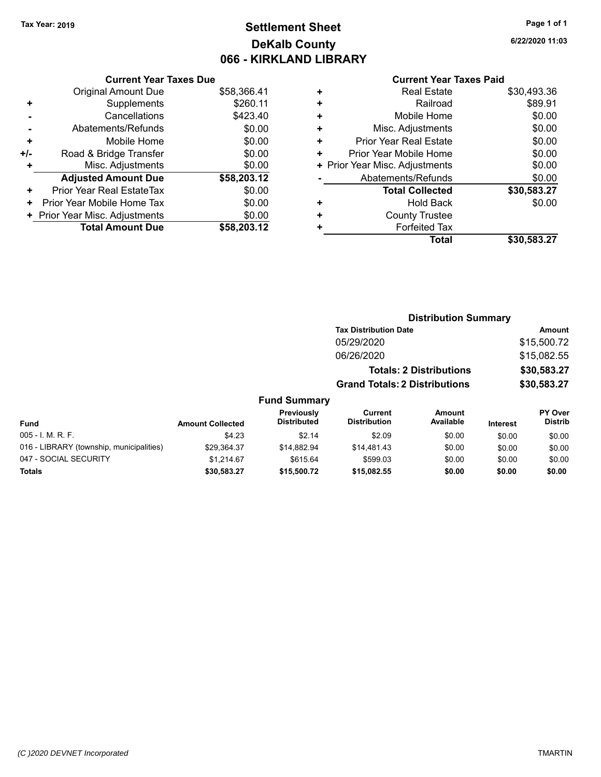## **Settlement Sheet Tax Year: 2019 Page 1 of 1 DeKalb County 066 - KIRKLAND LIBRARY**

**6/22/2020 11:03**

#### **Current Year Taxes Paid**

| <b>Current Year Taxes Due</b> |                                |  |  |  |
|-------------------------------|--------------------------------|--|--|--|
| <b>Original Amount Due</b>    | \$58,366.41                    |  |  |  |
| Supplements                   | \$260.11                       |  |  |  |
| Cancellations                 | \$423.40                       |  |  |  |
| Abatements/Refunds            | \$0.00                         |  |  |  |
| Mobile Home                   | \$0.00                         |  |  |  |
| Road & Bridge Transfer        | \$0.00                         |  |  |  |
| Misc. Adjustments             | \$0.00                         |  |  |  |
| <b>Adjusted Amount Due</b>    | \$58,203.12                    |  |  |  |
| Prior Year Real EstateTax     | \$0.00                         |  |  |  |
| Prior Year Mobile Home Tax    | \$0.00                         |  |  |  |
|                               | \$0.00                         |  |  |  |
| <b>Total Amount Due</b>       | \$58,203.12                    |  |  |  |
|                               | + Prior Year Misc. Adjustments |  |  |  |

|   | <b>Real Estate</b>             | \$30,493.36 |
|---|--------------------------------|-------------|
| ٠ | Railroad                       | \$89.91     |
| ÷ | Mobile Home                    | \$0.00      |
| ٠ | Misc. Adjustments              | \$0.00      |
| ٠ | Prior Year Real Estate         | \$0.00      |
| ٠ | Prior Year Mobile Home         | \$0.00      |
|   | + Prior Year Misc. Adjustments | \$0.00      |
|   | Abatements/Refunds             | \$0.00      |
|   | <b>Total Collected</b>         | \$30,583.27 |
| ٠ | <b>Hold Back</b>               | \$0.00      |
| ٠ | <b>County Trustee</b>          |             |
| + | <b>Forfeited Tax</b>           |             |
|   | Total                          | \$30,583.27 |
|   |                                |             |

#### **Distribution Summary Tax Distribution Date Amount** 05/29/2020 \$15,500.72 06/26/2020 \$15,082.55 **Totals: 2 Distributions \$30,583.27 Grand Totals: 2 Distributions \$30,583.27 Fund Summary Fund Interest Amount Collected Distributed PY Over Distrib Amount Available Current Distribution Previously** 005 - I. M. R. F. Channel Communication of the State of State State State State State State State State State S 016 - LIBRARY (township, municipalities)  $$29,364.37$   $$14,882.94$   $$14,481.43$   $$0.00$   $$0.00$   $$0.00$ 047 - SOCIAL SECURITY \$1,214.67 \$615.64 \$599.03 \$0.00 \$0.00 \$0.00 **Totals \$30,583.27 \$15,500.72 \$15,082.55 \$0.00 \$0.00 \$0.00**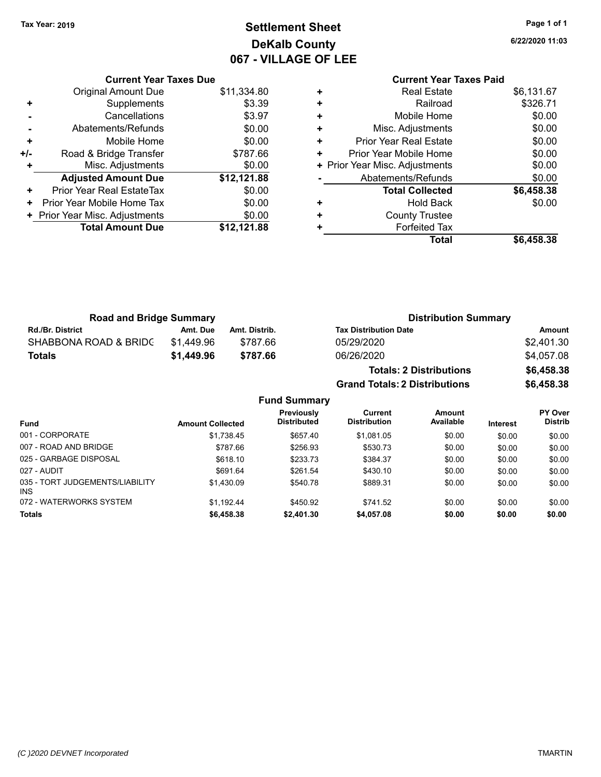# **Settlement Sheet Tax Year: 2019 Page 1 of 1 DeKalb County 067 - VILLAGE OF LEE**

**6/22/2020 11:03**

|     | <b>Current Year Taxes Due</b>  |             |
|-----|--------------------------------|-------------|
|     | Original Amount Due            | \$11,334.80 |
| ٠   | Supplements                    | \$3.39      |
|     | Cancellations                  | \$3.97      |
|     | Abatements/Refunds             | \$0.00      |
|     | Mobile Home                    | \$0.00      |
| +/- | Road & Bridge Transfer         | \$787.66    |
| ٠   | Misc. Adjustments              | \$0.00      |
|     | <b>Adjusted Amount Due</b>     | \$12,121.88 |
| ٠   | Prior Year Real EstateTax      | \$0.00      |
| ÷   | Prior Year Mobile Home Tax     | \$0.00      |
|     | + Prior Year Misc. Adjustments | \$0.00      |
|     | <b>Total Amount Due</b>        | \$12,121.88 |
|     |                                |             |

|   | <b>Current Year Taxes Paid</b> |            |
|---|--------------------------------|------------|
| ٠ | Real Estate                    | \$6,131.67 |
| ٠ | Railroad                       | \$326.71   |
| ٠ | Mobile Home                    | \$0.00     |
| ٠ | Misc. Adjustments              | \$0.00     |
| ٠ | <b>Prior Year Real Estate</b>  | \$0.00     |
| ٠ | Prior Year Mobile Home         | \$0.00     |
|   | + Prior Year Misc. Adjustments | \$0.00     |
|   | Abatements/Refunds             | \$0.00     |
|   | <b>Total Collected</b>         | \$6,458.38 |
| ٠ | Hold Back                      | \$0.00     |
|   | <b>County Trustee</b>          |            |
| ÷ | <b>Forfeited Tax</b>           |            |
|   | Total                          | \$6,458.38 |
|   |                                |            |

**Grand Totals: 2 Distributions \$6,458.38**

| <b>Road and Bridge Summary</b> |            | <b>Distribution Summary</b> |                                |            |
|--------------------------------|------------|-----------------------------|--------------------------------|------------|
| <b>Rd./Br. District</b>        | Amt. Due   | Amt. Distrib.               | <b>Tax Distribution Date</b>   | Amount     |
| SHABBONA ROAD & BRIDC          | \$1.449.96 | \$787.66                    | 05/29/2020                     | \$2,401.30 |
| Totals                         | \$1,449.96 | \$787.66                    | 06/26/2020                     | \$4,057.08 |
|                                |            |                             | <b>Totals: 2 Distributions</b> | \$6,458.38 |

**Fund Summary Fund Interest Amount Collected Distributed PY Over Distrib Amount Available Current Distribution Previously** 001 - CORPORATE 6 \$1,738.45 \$657.40 \$1,081.05 \$0.00 \$0.00 \$0.00 \$0.00 007 - ROAD AND BRIDGE 60.00 \$10.00 \$187.66 \$256.93 \$530.73 \$0.00 \$0.00 \$0.00 \$0.00 025 - GARBAGE DISPOSAL \$618.10 \$233.73 \$384.37 \$0.00 \$0.00 \$0.00 027 - AUDIT \$691.64 \$261.54 \$430.10 \$0.00 \$0.00 \$0.00 035 - TORT JUDGEMENTS/LIABILITY INS \$1,430.09 \$540.78 \$889.31 \$0.00 \$0.00 \$0.00 072 - WATERWORKS SYSTEM \$1,192.44 \$450.92 \$741.52 \$0.00 \$0.00 \$0.00 \$0.00 **Totals \$6,458.38 \$2,401.30 \$4,057.08 \$0.00 \$0.00 \$0.00**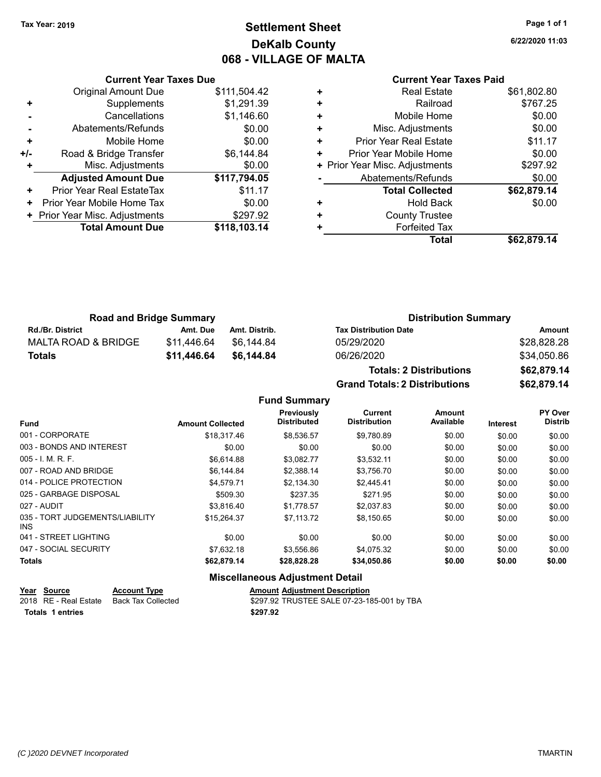## **Settlement Sheet Tax Year: 2019 Page 1 of 1 DeKalb County 068 - VILLAGE OF MALTA**

**6/22/2020 11:03**

|       | <b>Current Year Taxes Due</b>  |              |   |                  |
|-------|--------------------------------|--------------|---|------------------|
|       | <b>Original Amount Due</b>     | \$111,504.42 | ٠ |                  |
|       | Supplements                    | \$1,291.39   | ٠ |                  |
|       | Cancellations                  | \$1,146.60   | ٠ |                  |
|       | Abatements/Refunds             | \$0.00       | ٠ | Mis              |
| ٠     | Mobile Home                    | \$0.00       | ٠ | Prior Ye         |
| $+/-$ | Road & Bridge Transfer         | \$6,144.84   | ٠ | Prior Yea        |
| ٠     | Misc. Adjustments              | \$0.00       |   | + Prior Year Mis |
|       | <b>Adjusted Amount Due</b>     | \$117,794.05 |   | Abater           |
| ٠     | Prior Year Real EstateTax      | \$11.17      |   | Т                |
| ٠     | Prior Year Mobile Home Tax     | \$0.00       | ٠ |                  |
|       | + Prior Year Misc. Adjustments | \$297.92     | ٠ |                  |
|       | <b>Total Amount Due</b>        | \$118,103.14 |   |                  |
|       |                                |              |   |                  |

## **Current Year Taxes Paid**

|   | <b>Real Estate</b>             | \$61,802.80 |
|---|--------------------------------|-------------|
| ٠ | Railroad                       | \$767.25    |
| ٠ | Mobile Home                    | \$0.00      |
| ٠ | Misc. Adjustments              | \$0.00      |
| ٠ | <b>Prior Year Real Estate</b>  | \$11.17     |
| ٠ | Prior Year Mobile Home         | \$0.00      |
|   | + Prior Year Misc. Adjustments | \$297.92    |
|   | Abatements/Refunds             | \$0.00      |
|   | <b>Total Collected</b>         | \$62,879.14 |
| ٠ | <b>Hold Back</b>               | \$0.00      |
| ٠ | <b>County Trustee</b>          |             |
|   | <b>Forfeited Tax</b>           |             |
|   | Total                          | \$62,879.14 |
|   |                                |             |

| <b>Road and Bridge Summary</b> |             |               | <b>Distribution Summary</b>  |             |  |
|--------------------------------|-------------|---------------|------------------------------|-------------|--|
| <b>Rd./Br. District</b>        | Amt. Due    | Amt. Distrib. | <b>Tax Distribution Date</b> | Amount      |  |
| MALTA ROAD & BRIDGE            | \$11.446.64 | \$6.144.84    | 05/29/2020                   | \$28,828.28 |  |
| <b>Totals</b>                  | \$11.446.64 | \$6.144.84    | 06/26/2020                   | \$34.050.86 |  |

| <b>Totals: 2 Distributions</b>       | \$62,879.14 |
|--------------------------------------|-------------|
| <b>Grand Totals: 2 Distributions</b> | \$62,879.14 |

| <b>Fund Summary</b> |  |
|---------------------|--|
|---------------------|--|

| <b>Fund</b>                             | <b>Amount Collected</b> | Previously<br><b>Distributed</b> | <b>Current</b><br><b>Distribution</b> | Amount<br>Available | <b>Interest</b> | <b>PY Over</b><br><b>Distrib</b> |
|-----------------------------------------|-------------------------|----------------------------------|---------------------------------------|---------------------|-----------------|----------------------------------|
| 001 - CORPORATE                         | \$18.317.46             | \$8.536.57                       | \$9.780.89                            | \$0.00              | \$0.00          | \$0.00                           |
| 003 - BONDS AND INTEREST                | \$0.00                  | \$0.00                           | \$0.00                                | \$0.00              | \$0.00          | \$0.00                           |
| $005 - 1$ M, R, F.                      | \$6,614.88              | \$3.082.77                       | \$3.532.11                            | \$0.00              | \$0.00          | \$0.00                           |
| 007 - ROAD AND BRIDGE                   | \$6,144.84              | \$2,388.14                       | \$3,756.70                            | \$0.00              | \$0.00          | \$0.00                           |
| 014 - POLICE PROTECTION                 | \$4.579.71              | \$2.134.30                       | \$2.445.41                            | \$0.00              | \$0.00          | \$0.00                           |
| 025 - GARBAGE DISPOSAL                  | \$509.30                | \$237.35                         | \$271.95                              | \$0.00              | \$0.00          | \$0.00                           |
| 027 - AUDIT                             | \$3.816.40              | \$1.778.57                       | \$2.037.83                            | \$0.00              | \$0.00          | \$0.00                           |
| 035 - TORT JUDGEMENTS/LIABILITY<br>INS. | \$15.264.37             | \$7.113.72                       | \$8.150.65                            | \$0.00              | \$0.00          | \$0.00                           |
| 041 - STREET LIGHTING                   | \$0.00                  | \$0.00                           | \$0.00                                | \$0.00              | \$0.00          | \$0.00                           |
| 047 - SOCIAL SECURITY                   | \$7,632.18              | \$3,556.86                       | \$4,075.32                            | \$0.00              | \$0.00          | \$0.00                           |
| <b>Totals</b>                           | \$62,879.14             | \$28,828.28                      | \$34,050.86                           | \$0.00              | \$0.00          | \$0.00                           |

| Year Source           | <b>Account Type</b> | <b>Amount Adjustment Description</b>       |
|-----------------------|---------------------|--------------------------------------------|
| 2018 RE - Real Estate | Back Tax Collected  | \$297.92 TRUSTEE SALE 07-23-185-001 by TBA |
| Totals 1 entries      |                     | \$297.92                                   |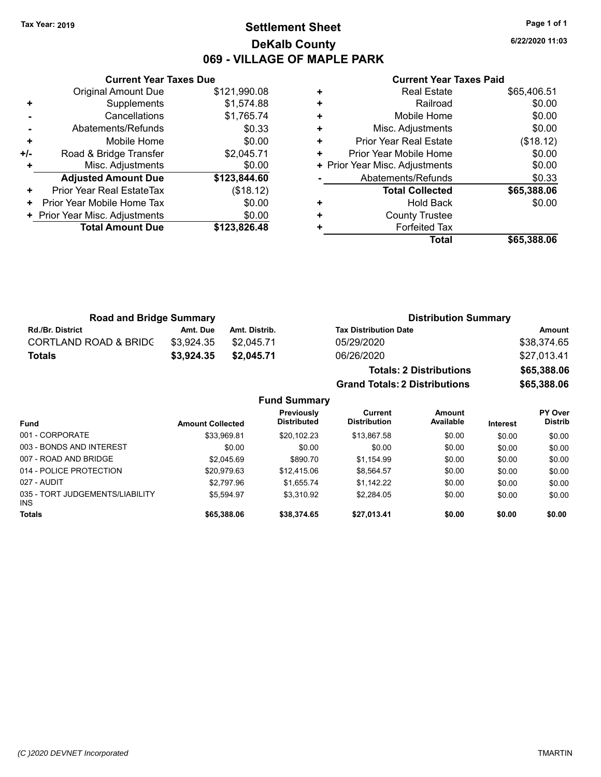## **Settlement Sheet Tax Year: 2019 Page 1 of 1 DeKalb County 069 - VILLAGE OF MAPLE PARK**

**6/22/2020 11:03**

#### **Current Year Taxes Paid**

|     | <b>Current Year Taxes Due</b>  |              |  |  |
|-----|--------------------------------|--------------|--|--|
|     | <b>Original Amount Due</b>     | \$121,990.08 |  |  |
|     | Supplements                    | \$1,574.88   |  |  |
|     | Cancellations                  | \$1,765.74   |  |  |
|     | Abatements/Refunds             | \$0.33       |  |  |
| ٠   | Mobile Home                    | \$0.00       |  |  |
| +/- | Road & Bridge Transfer         | \$2,045.71   |  |  |
|     | Misc. Adjustments              | \$0.00       |  |  |
|     | <b>Adjusted Amount Due</b>     | \$123,844.60 |  |  |
| ٠   | Prior Year Real EstateTax      | (\$18.12)    |  |  |
| ٠   | Prior Year Mobile Home Tax     | \$0.00       |  |  |
|     | + Prior Year Misc. Adjustments | \$0.00       |  |  |
|     | <b>Total Amount Due</b>        | \$123,826.48 |  |  |
|     |                                |              |  |  |

|   | <b>Real Estate</b>             | \$65,406.51 |
|---|--------------------------------|-------------|
| ٠ | Railroad                       | \$0.00      |
| ٠ | Mobile Home                    | \$0.00      |
| ٠ | Misc. Adjustments              | \$0.00      |
| ٠ | <b>Prior Year Real Estate</b>  | (\$18.12)   |
| ٠ | Prior Year Mobile Home         | \$0.00      |
|   | + Prior Year Misc. Adjustments | \$0.00      |
|   | Abatements/Refunds             | \$0.33      |
|   | <b>Total Collected</b>         | \$65,388.06 |
| ٠ | <b>Hold Back</b>               | \$0.00      |
| ٠ | <b>County Trustee</b>          |             |
| + | <b>Forfeited Tax</b>           |             |
|   | Total                          | \$65.388.06 |

**Grand Totals: 2 Distributions \$65,388.06**

| <b>Road and Bridge Summary</b>   |            |               | <b>Distribution Summary</b>    |             |  |
|----------------------------------|------------|---------------|--------------------------------|-------------|--|
| <b>Rd./Br. District</b>          | Amt. Due   | Amt. Distrib. | <b>Tax Distribution Date</b>   | Amount      |  |
| <b>CORTLAND ROAD &amp; BRIDC</b> | \$3.924.35 | \$2.045.71    | 05/29/2020                     | \$38,374.65 |  |
| <b>Totals</b>                    | \$3,924.35 | \$2,045,71    | 06/26/2020                     | \$27,013.41 |  |
|                                  |            |               | <b>Totals: 2 Distributions</b> | \$65,388.06 |  |

**Fund Summary Fund Interest Amount Collected Distributed PY Over Distrib Amount Available Current Distribution Previously** 001 - CORPORATE \$33,969.81 \$20,102.23 \$13,867.58 \$0.00 \$0.00 \$0.00 003 - BONDS AND INTEREST  $$0.00$   $$0.00$   $$0.00$   $$0.00$   $$0.00$   $$0.00$   $$0.00$   $$0.00$ 007 - ROAD AND BRIDGE \$2,045.69 \$2,045.69 \$890.70 \$1,154.99 \$0.00 \$0.00 \$0.00 \$0.00 014 - POLICE PROTECTION  $$20,979.63$   $$12,415.06$   $$8,564.57$   $$0.00$   $$0.00$   $$0.00$ 027 - AUDIT \$2,797.96 \$1,655.74 \$1,142.22 \$0.00 \$0.00 \$0.00 035 - TORT JUDGEMENTS/LIABILITY INS \$5,594.97 \$3,310.92 \$2,284.05 \$0.00 \$0.00 \$0.00 **Totals \$65,388.06 \$38,374.65 \$27,013.41 \$0.00 \$0.00 \$0.00**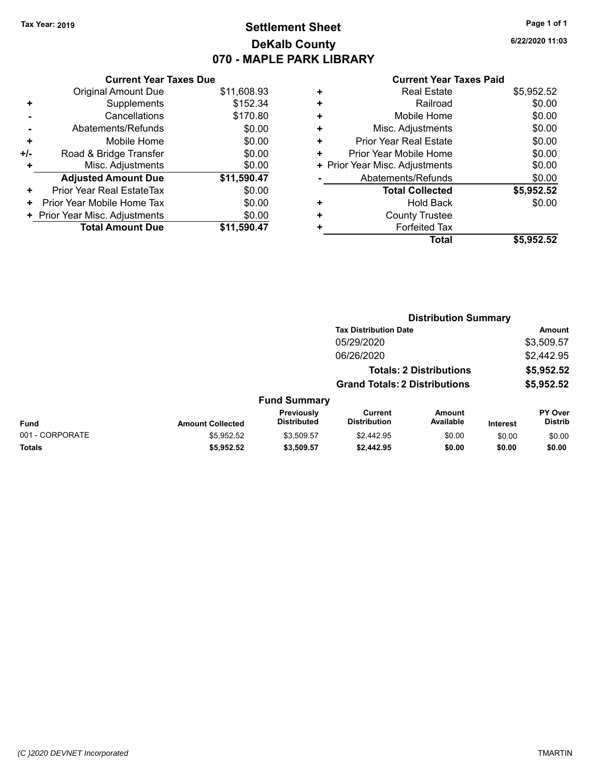## **Settlement Sheet Tax Year: 2019 Page 1 of 1 DeKalb County 070 - MAPLE PARK LIBRARY**

**6/22/2020 11:03**

#### **Current Year Taxes Paid**

|     | <b>Current Year Taxes Due</b>  |             |  |  |  |
|-----|--------------------------------|-------------|--|--|--|
|     | <b>Original Amount Due</b>     | \$11,608.93 |  |  |  |
| ٠   | Supplements                    | \$152.34    |  |  |  |
|     | Cancellations                  | \$170.80    |  |  |  |
|     | Abatements/Refunds             | \$0.00      |  |  |  |
| ٠   | Mobile Home                    | \$0.00      |  |  |  |
| +/- | Road & Bridge Transfer         | \$0.00      |  |  |  |
| ٠   | Misc. Adjustments              | \$0.00      |  |  |  |
|     | <b>Adjusted Amount Due</b>     | \$11,590.47 |  |  |  |
| ÷   | Prior Year Real EstateTax      | \$0.00      |  |  |  |
| ٠   | Prior Year Mobile Home Tax     | \$0.00      |  |  |  |
|     | + Prior Year Misc. Adjustments | \$0.00      |  |  |  |
|     | <b>Total Amount Due</b>        | \$11.590.47 |  |  |  |
|     |                                |             |  |  |  |

|   | <b>Real Estate</b>             | \$5,952.52 |
|---|--------------------------------|------------|
| ٠ | Railroad                       | \$0.00     |
| ٠ | Mobile Home                    | \$0.00     |
| ٠ | Misc. Adjustments              | \$0.00     |
| ٠ | <b>Prior Year Real Estate</b>  | \$0.00     |
| ٠ | Prior Year Mobile Home         | \$0.00     |
|   | + Prior Year Misc. Adjustments | \$0.00     |
|   | Abatements/Refunds             | \$0.00     |
|   | <b>Total Collected</b>         | \$5,952.52 |
| ٠ | Hold Back                      | \$0.00     |
|   | <b>County Trustee</b>          |            |
| ٠ | <b>Forfeited Tax</b>           |            |
|   | <b>Total</b>                   | \$5,952.52 |
|   |                                |            |

|                 |                         |                                  | <b>Distribution Summary</b>           |                                |                 |                           |
|-----------------|-------------------------|----------------------------------|---------------------------------------|--------------------------------|-----------------|---------------------------|
|                 |                         |                                  | <b>Tax Distribution Date</b>          |                                |                 | <b>Amount</b>             |
|                 |                         |                                  | 05/29/2020                            |                                |                 | \$3,509.57                |
|                 |                         |                                  | 06/26/2020                            |                                |                 | \$2,442.95                |
|                 |                         |                                  |                                       | <b>Totals: 2 Distributions</b> |                 | \$5,952.52                |
|                 |                         |                                  | <b>Grand Totals: 2 Distributions</b>  |                                |                 | \$5,952.52                |
|                 |                         | <b>Fund Summary</b>              |                                       |                                |                 |                           |
| <b>Fund</b>     | <b>Amount Collected</b> | Previously<br><b>Distributed</b> | <b>Current</b><br><b>Distribution</b> | Amount<br>Available            | <b>Interest</b> | PY Over<br><b>Distrib</b> |
| 001 - CORPORATE | \$5,952.52              | \$3,509.57                       | \$2,442.95                            | \$0.00                         | \$0.00          | \$0.00                    |
| <b>Totals</b>   | \$5,952.52              | \$3,509.57                       | \$2,442.95                            | \$0.00                         | \$0.00          | \$0.00                    |
|                 |                         |                                  |                                       |                                |                 |                           |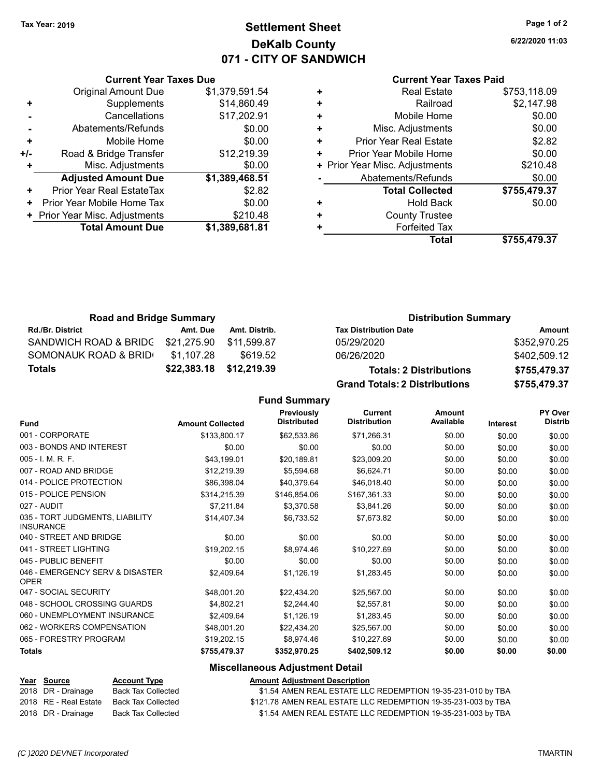## **Settlement Sheet Tax Year: 2019 Page 1 of 2 DeKalb County 071 - CITY OF SANDWICH**

**6/22/2020 11:03**

#### **Current Year Taxes Paid**

|     | <b>Original Amount Due</b>     | \$1,379,591.54 |
|-----|--------------------------------|----------------|
| ٠   | Supplements                    | \$14,860.49    |
|     | Cancellations                  | \$17,202.91    |
|     | Abatements/Refunds             | \$0.00         |
| ٠   | Mobile Home                    | \$0.00         |
| +/- | Road & Bridge Transfer         | \$12,219.39    |
|     | Misc. Adjustments              | \$0.00         |
|     | <b>Adjusted Amount Due</b>     | \$1,389,468.51 |
| ٠   | Prior Year Real EstateTax      | \$2.82         |
| ٠   | Prior Year Mobile Home Tax     | \$0.00         |
|     | + Prior Year Misc. Adjustments | \$210.48       |
|     | <b>Total Amount Due</b>        | \$1,389,681.81 |
|     |                                |                |

**Current Year Taxes Due**

|   | <b>Real Estate</b>             | \$753,118.09 |
|---|--------------------------------|--------------|
| ٠ | Railroad                       | \$2,147.98   |
| ٠ | Mobile Home                    | \$0.00       |
| ٠ | Misc. Adjustments              | \$0.00       |
| ٠ | <b>Prior Year Real Estate</b>  | \$2.82       |
| ٠ | Prior Year Mobile Home         | \$0.00       |
|   | + Prior Year Misc. Adjustments | \$210.48     |
|   | Abatements/Refunds             | \$0.00       |
|   | <b>Total Collected</b>         | \$755,479.37 |
| ٠ | <b>Hold Back</b>               | \$0.00       |
| ٠ | <b>County Trustee</b>          |              |
| ٠ | <b>Forfeited Tax</b>           |              |
|   | Total                          | \$755,479.37 |
|   |                                |              |

| <b>Road and Bridge Summary</b> |             |                         | <b>Distribution Summary</b>          |              |  |
|--------------------------------|-------------|-------------------------|--------------------------------------|--------------|--|
| <b>Rd./Br. District</b>        | Amt. Due    | Amt. Distrib.           | <b>Tax Distribution Date</b>         | Amount       |  |
| SANDWICH ROAD & BRIDG          | \$21,275.90 | \$11.599.87             | 05/29/2020                           | \$352,970.25 |  |
| SOMONAUK ROAD & BRID           | \$1,107.28  | \$619.52                | 06/26/2020                           | \$402,509.12 |  |
| <b>Totals</b>                  |             | \$22,383.18 \$12,219.39 | <b>Totals: 2 Distributions</b>       | \$755,479.37 |  |
|                                |             |                         | <b>Grand Totals: 2 Distributions</b> | \$755,479.37 |  |

**Fund Summary**

| <b>Fund</b>                                         | <b>Amount Collected</b> | Previously<br><b>Distributed</b> | <b>Current</b><br><b>Distribution</b> | <b>Amount</b><br>Available | <b>Interest</b> | PY Over<br><b>Distrib</b> |
|-----------------------------------------------------|-------------------------|----------------------------------|---------------------------------------|----------------------------|-----------------|---------------------------|
| 001 - CORPORATE                                     | \$133,800.17            | \$62,533.86                      | \$71,266.31                           | \$0.00                     | \$0.00          | \$0.00                    |
| 003 - BONDS AND INTEREST                            | \$0.00                  | \$0.00                           | \$0.00                                | \$0.00                     | \$0.00          | \$0.00                    |
| $005 - 1$ . M. R. F.                                | \$43,199.01             | \$20,189.81                      | \$23,009.20                           | \$0.00                     | \$0.00          | \$0.00                    |
| 007 - ROAD AND BRIDGE                               | \$12,219.39             | \$5,594.68                       | \$6,624.71                            | \$0.00                     | \$0.00          | \$0.00                    |
| 014 - POLICE PROTECTION                             | \$86,398.04             | \$40,379.64                      | \$46,018.40                           | \$0.00                     | \$0.00          | \$0.00                    |
| 015 - POLICE PENSION                                | \$314,215.39            | \$146,854.06                     | \$167,361.33                          | \$0.00                     | \$0.00          | \$0.00                    |
| 027 - AUDIT                                         | \$7,211.84              | \$3,370.58                       | \$3,841.26                            | \$0.00                     | \$0.00          | \$0.00                    |
| 035 - TORT JUDGMENTS, LIABILITY<br><b>INSURANCE</b> | \$14,407.34             | \$6,733.52                       | \$7,673.82                            | \$0.00                     | \$0.00          | \$0.00                    |
| 040 - STREET AND BRIDGE                             | \$0.00                  | \$0.00                           | \$0.00                                | \$0.00                     | \$0.00          | \$0.00                    |
| 041 - STREET LIGHTING                               | \$19,202.15             | \$8,974.46                       | \$10,227.69                           | \$0.00                     | \$0.00          | \$0.00                    |
| 045 - PUBLIC BENEFIT                                | \$0.00                  | \$0.00                           | \$0.00                                | \$0.00                     | \$0.00          | \$0.00                    |
| 046 - EMERGENCY SERV & DISASTER<br><b>OPER</b>      | \$2,409.64              | \$1,126.19                       | \$1,283.45                            | \$0.00                     | \$0.00          | \$0.00                    |
| 047 - SOCIAL SECURITY                               | \$48,001.20             | \$22,434.20                      | \$25,567.00                           | \$0.00                     | \$0.00          | \$0.00                    |
| 048 - SCHOOL CROSSING GUARDS                        | \$4,802.21              | \$2,244.40                       | \$2,557.81                            | \$0.00                     | \$0.00          | \$0.00                    |
| 060 - UNEMPLOYMENT INSURANCE                        | \$2,409.64              | \$1,126.19                       | \$1,283.45                            | \$0.00                     | \$0.00          | \$0.00                    |
| 062 - WORKERS COMPENSATION                          | \$48,001.20             | \$22,434.20                      | \$25,567.00                           | \$0.00                     | \$0.00          | \$0.00                    |
| 065 - FORESTRY PROGRAM                              | \$19,202.15             | \$8,974.46                       | \$10,227.69                           | \$0.00                     | \$0.00          | \$0.00                    |
| <b>Totals</b>                                       | \$755,479.37            | \$352,970.25                     | \$402,509.12                          | \$0.00                     | \$0.00          | \$0.00                    |

#### **Miscellaneous Adjustment Detail**

#### **Year Source Account Type Amount Adjustment Description** 2018 DR - Drainage Back Tax Collected \$1.54 AMEN REAL ESTATE LLC REDEMPTION 19-35-231-010 by TBA 2018 RE - Real Estate Back Tax Collected \$121.78 AMEN REAL ESTATE LLC REDEMPTION 19-35-231-003 by TBA 2018 DR - Drainage Back Tax Collected **\$1.54 AMEN REAL ESTATE LLC REDEMPTION 19-35-231-003** by TBA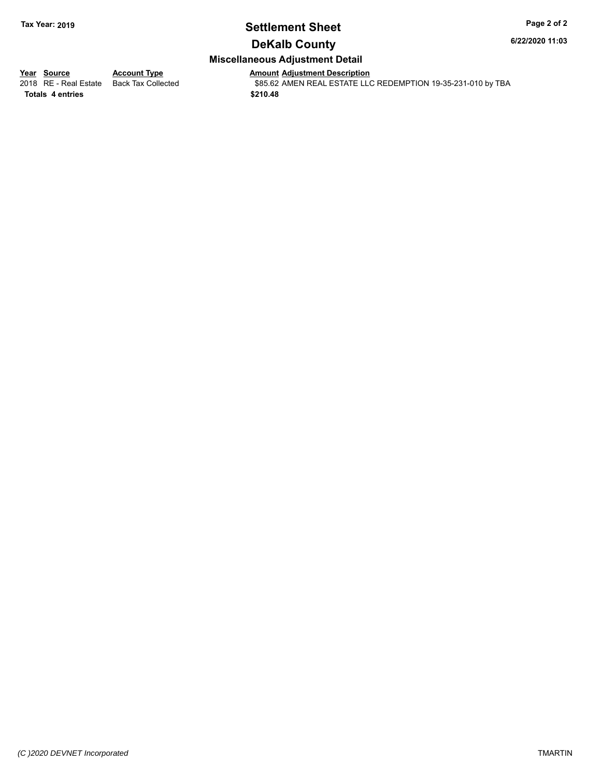# **Settlement Sheet Tax Year: 2019 Page 2 of 2**

**6/22/2020 11:03**

## **DeKalb County**

### **Miscellaneous Adjustment Detail**

**<u>Year Source</u> Account Type<br>
2018 RE - Real Estate Back Tax Collected** 

**Totals \$210.48 4 entries**

Amount Adjustment Description<br>\$85.62 AMEN REAL ESTATE LLC REDEMPTION 19-35-231-010 by TBA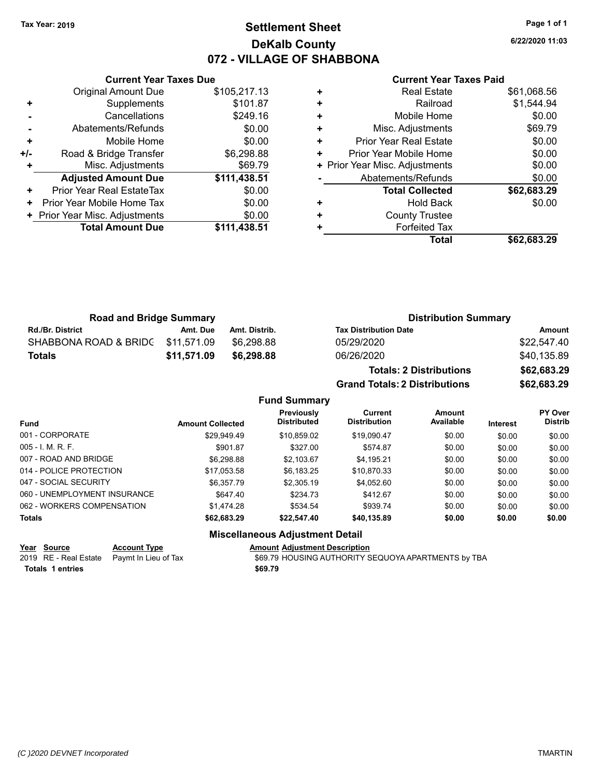## **Settlement Sheet Tax Year: 2019 Page 1 of 1 DeKalb County 072 - VILLAGE OF SHABBONA**

**6/22/2020 11:03**

#### **Current Year Taxes Paid**

|     | <b>Original Amount Due</b>     | \$105,217.13 |
|-----|--------------------------------|--------------|
| ٠   | Supplements                    | \$101.87     |
|     | Cancellations                  | \$249.16     |
|     | Abatements/Refunds             | \$0.00       |
| ٠   | Mobile Home                    | \$0.00       |
| +/- | Road & Bridge Transfer         | \$6,298.88   |
|     | Misc. Adjustments              | \$69.79      |
|     | <b>Adjusted Amount Due</b>     | \$111,438.51 |
| ٠   | Prior Year Real EstateTax      | \$0.00       |
| ٠   | Prior Year Mobile Home Tax     | \$0.00       |
|     | + Prior Year Misc. Adjustments | \$0.00       |
|     | <b>Total Amount Due</b>        | \$111,438.51 |
|     |                                |              |

**Current Year Taxes Due**

|   | <b>Real Estate</b>             | \$61,068.56 |
|---|--------------------------------|-------------|
| ÷ | Railroad                       | \$1,544.94  |
| ÷ | Mobile Home                    | \$0.00      |
| ٠ | Misc. Adjustments              | \$69.79     |
| ٠ | <b>Prior Year Real Estate</b>  | \$0.00      |
| ٠ | Prior Year Mobile Home         | \$0.00      |
|   | + Prior Year Misc. Adjustments | \$0.00      |
|   | Abatements/Refunds             | \$0.00      |
|   | <b>Total Collected</b>         | \$62,683.29 |
| ٠ | <b>Hold Back</b>               | \$0.00      |
| ٠ | <b>County Trustee</b>          |             |
| ٠ | <b>Forfeited Tax</b>           |             |
|   | Total                          | \$62,683.29 |

**Grand Totals: 2 Distributions \$62,683.29**

| <b>Road and Bridge Summary</b> |             |               | <b>Distribution Summary</b>    |             |  |
|--------------------------------|-------------|---------------|--------------------------------|-------------|--|
| <b>Rd./Br. District</b>        | Amt. Due    | Amt. Distrib. | <b>Tax Distribution Date</b>   | Amount      |  |
| SHABBONA ROAD & BRIDC          | \$11,571.09 | \$6.298.88    | 05/29/2020                     | \$22,547.40 |  |
| Totals                         | \$11,571.09 | \$6,298,88    | 06/26/2020                     | \$40,135.89 |  |
|                                |             |               | <b>Totals: 2 Distributions</b> | \$62,683.29 |  |

**Fund Summary Fund Interest Amount Collected Distributed PY Over Distrib Amount Available Current Distribution Previously** 001 - CORPORATE \$29,949.49 \$10,859.02 \$19,090.47 \$0.00 \$0.00 \$0.00 005 - I. M. R. F. Charles Communication (State State State State State State State State State State State Sta 007 - ROAD AND BRIDGE 60.00 \$0.00 \$6,298.88 \$2,103.67 \$4,195.21 \$0.00 \$0.00 \$0.00 \$0.00 014 - POLICE PROTECTION \$17,053.58 \$6,183.25 \$10,870.33 \$0.00 \$0.00 \$0.00 \$0.00 047 - SOCIAL SECURITY \$6,357.79 \$2,305.19 \$4,052.60 \$0.00 \$0.00 \$0.00 060 - UNEMPLOYMENT INSURANCE \$647.40 \$234.73 \$412.67 \$0.00 \$0.00 \$0.00 062 - WORKERS COMPENSATION \$1,474.28 \$534.54 \$939.74 \$0.00 \$0.00 \$0.00 \$0.00 **Totals \$62,683.29 \$22,547.40 \$40,135.89 \$0.00 \$0.00 \$0.00**

| Year Source      | <b>Account Type</b>                        | Amount  |
|------------------|--------------------------------------------|---------|
|                  | 2019 RE - Real Estate Paymt In Lieu of Tax | \$69.79 |
| Totals 1 entries |                                            | \$69.79 |

**PEARET ACCOUNTED ACCOUNT ADDEN ACCOUNT ADDEN ACCOUNT ACCOUNT ACCOUNT ACCOUNT ACCOUNT ACCOUNT** 

**Miscellaneous Adjustment Detail**

2019 Barry Real Estate Textan Estate Transaction & S69.79 HOUSING AUTHORITY SEQUOYA APARTMENTS by TBA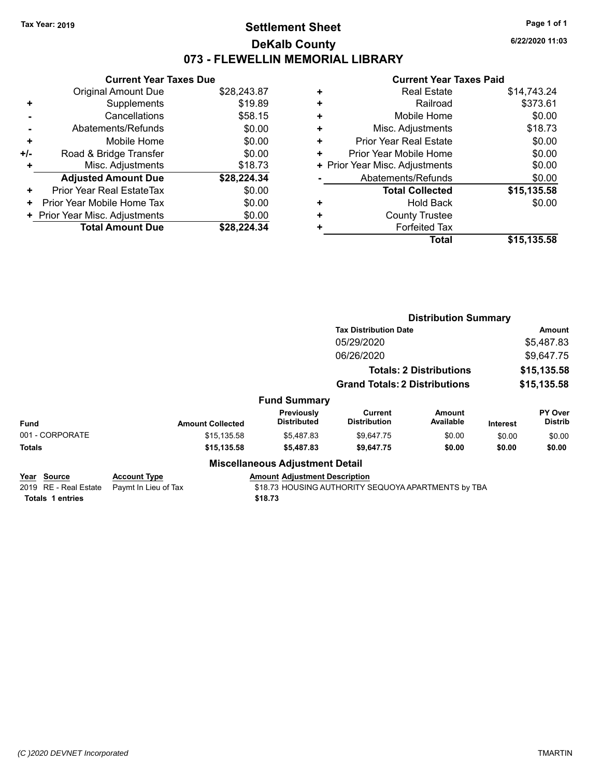## **Settlement Sheet Tax Year: 2019 Page 1 of 1 DeKalb County 073 - FLEWELLIN MEMORIAL LIBRARY**

**6/22/2020 11:03**

## **Current Year Taxes Paid**

|     | <b>Current Year Taxes Due</b>  |             |  |  |  |
|-----|--------------------------------|-------------|--|--|--|
|     | Original Amount Due            | \$28,243.87 |  |  |  |
| ٠   | Supplements                    | \$19.89     |  |  |  |
|     | Cancellations                  | \$58.15     |  |  |  |
|     | Abatements/Refunds             | \$0.00      |  |  |  |
| ٠   | Mobile Home                    | \$0.00      |  |  |  |
| +/- | Road & Bridge Transfer         | \$0.00      |  |  |  |
|     | Misc. Adjustments              | \$18.73     |  |  |  |
|     | <b>Adjusted Amount Due</b>     | \$28,224.34 |  |  |  |
| ٠   | Prior Year Real EstateTax      | \$0.00      |  |  |  |
| ٠   | Prior Year Mobile Home Tax     | \$0.00      |  |  |  |
|     | + Prior Year Misc. Adjustments | \$0.00      |  |  |  |
|     | <b>Total Amount Due</b>        | \$28.224.34 |  |  |  |

|   | <b>Total</b>                   | \$15,135.58 |
|---|--------------------------------|-------------|
| ٠ | <b>Forfeited Tax</b>           |             |
| ٠ | <b>County Trustee</b>          |             |
| ٠ | <b>Hold Back</b>               | \$0.00      |
|   | <b>Total Collected</b>         | \$15,135.58 |
|   | Abatements/Refunds             | \$0.00      |
|   | + Prior Year Misc. Adjustments | \$0.00      |
| ٠ | Prior Year Mobile Home         | \$0.00      |
| ٠ | <b>Prior Year Real Estate</b>  | \$0.00      |
| ٠ | Misc. Adjustments              | \$18.73     |
| ٠ | Mobile Home                    | \$0.00      |
| ٠ | Railroad                       | \$373.61    |
| ٠ | <b>Real Estate</b>             | \$14,743.24 |
|   |                                |             |

|                                                                 |                                             |                                                 | <b>Distribution Summary</b>                         |                                |             |                                  |
|-----------------------------------------------------------------|---------------------------------------------|-------------------------------------------------|-----------------------------------------------------|--------------------------------|-------------|----------------------------------|
|                                                                 |                                             |                                                 | <b>Tax Distribution Date</b>                        |                                |             | <b>Amount</b>                    |
|                                                                 |                                             | 05/29/2020                                      |                                                     | \$5,487.83                     |             |                                  |
|                                                                 |                                             |                                                 | 06/26/2020                                          |                                | \$9,647.75  |                                  |
|                                                                 |                                             |                                                 |                                                     | <b>Totals: 2 Distributions</b> |             | \$15,135.58                      |
|                                                                 |                                             |                                                 | <b>Grand Totals: 2 Distributions</b>                |                                | \$15,135.58 |                                  |
|                                                                 |                                             | <b>Fund Summary</b>                             |                                                     |                                |             |                                  |
| <b>Fund</b>                                                     | <b>Amount Collected</b>                     | Previously<br><b>Distributed</b>                | <b>Current</b><br><b>Distribution</b>               | Amount<br>Available            | Interest    | <b>PY Over</b><br><b>Distrib</b> |
| 001 - CORPORATE                                                 | \$15,135.58                                 | \$5,487.83                                      | \$9,647.75                                          | \$0.00                         | \$0.00      | \$0.00                           |
| <b>Totals</b>                                                   | \$15,135.58                                 | \$5,487.83                                      | \$9,647.75                                          | \$0.00                         | \$0.00      | \$0.00                           |
|                                                                 |                                             | <b>Miscellaneous Adjustment Detail</b>          |                                                     |                                |             |                                  |
| Year Source<br>2019 RE - Real Estate<br><b>Totals 1 entries</b> | <b>Account Type</b><br>Paymt In Lieu of Tax | <b>Amount Adjustment Description</b><br>\$18.73 | \$18.73 HOUSING AUTHORITY SEQUOYA APARTMENTS by TBA |                                |             |                                  |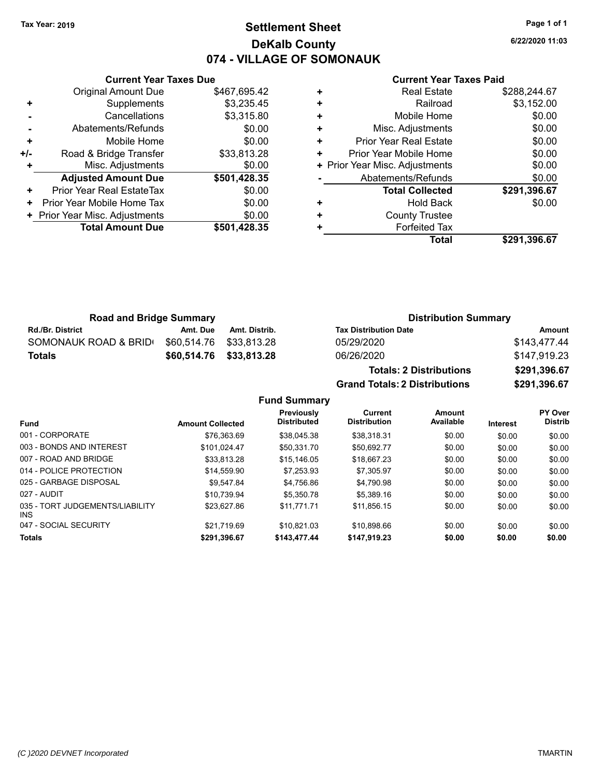## **Settlement Sheet Tax Year: 2019 Page 1 of 1 DeKalb County 074 - VILLAGE OF SOMONAUK**

**6/22/2020 11:03**

|     | <b>Current Year Taxes Due</b> |              |
|-----|-------------------------------|--------------|
|     | <b>Original Amount Due</b>    | \$467,695.42 |
| ٠   | Supplements                   | \$3,235.45   |
|     | Cancellations                 | \$3,315.80   |
|     | Abatements/Refunds            | \$0.00       |
| ٠   | Mobile Home                   | \$0.00       |
| +/- | Road & Bridge Transfer        | \$33,813.28  |
|     | Misc. Adjustments             | \$0.00       |
|     | <b>Adjusted Amount Due</b>    | \$501,428.35 |
| ٠   | Prior Year Real EstateTax     | \$0.00       |
| ٠   | Prior Year Mobile Home Tax    | \$0.00       |
|     | Prior Year Misc. Adjustments  | \$0.00       |
|     | <b>Total Amount Due</b>       | \$501,428.35 |
|     |                               |              |

#### **Current Year Taxes Paid**

| <b>Real Estate</b>             | \$288,244.67 |
|--------------------------------|--------------|
| Railroad                       | \$3,152.00   |
| Mobile Home                    | \$0.00       |
| Misc. Adjustments              | \$0.00       |
| <b>Prior Year Real Estate</b>  | \$0.00       |
| Prior Year Mobile Home         | \$0.00       |
| + Prior Year Misc. Adjustments | \$0.00       |
| Abatements/Refunds             | \$0.00       |
| <b>Total Collected</b>         | \$291,396.67 |
| <b>Hold Back</b>               | \$0.00       |
| <b>County Trustee</b>          |              |
| <b>Forfeited Tax</b>           |              |
| <b>Total</b>                   | \$291,396.67 |
|                                |              |

| <b>Road and Bridge Summary</b> |                         |               | <b>Distribution Summary</b>  |              |  |
|--------------------------------|-------------------------|---------------|------------------------------|--------------|--|
| <b>Rd./Br. District</b>        | Amt. Due                | Amt. Distrib. | <b>Tax Distribution Date</b> | Amount       |  |
| SOMONAUK ROAD & BRID           | \$60,514.76 \$33,813.28 |               | 05/29/2020                   | \$143,477.44 |  |
| Totals                         | \$60.514.76 \$33.813.28 |               | 06/26/2020                   | \$147,919.23 |  |

**Totals: 2 Distributions \$291,396.67 Grand Totals: 2 Distributions \$291,396.67**

#### **Fund Summary**

| <b>Fund</b>                             | <b>Amount Collected</b> | <b>Previously</b><br><b>Distributed</b> | Current<br><b>Distribution</b> | Amount<br>Available | <b>Interest</b> | <b>PY Over</b><br><b>Distrib</b> |
|-----------------------------------------|-------------------------|-----------------------------------------|--------------------------------|---------------------|-----------------|----------------------------------|
| 001 - CORPORATE                         | \$76.363.69             | \$38.045.38                             | \$38.318.31                    | \$0.00              | \$0.00          | \$0.00                           |
| 003 - BONDS AND INTEREST                | \$101.024.47            | \$50.331.70                             | \$50.692.77                    | \$0.00              | \$0.00          | \$0.00                           |
| 007 - ROAD AND BRIDGE                   | \$33.813.28             | \$15.146.05                             | \$18,667.23                    | \$0.00              | \$0.00          | \$0.00                           |
| 014 - POLICE PROTECTION                 | \$14,559.90             | \$7.253.93                              | \$7.305.97                     | \$0.00              | \$0.00          | \$0.00                           |
| 025 - GARBAGE DISPOSAL                  | \$9.547.84              | \$4.756.86                              | \$4.790.98                     | \$0.00              | \$0.00          | \$0.00                           |
| 027 - AUDIT                             | \$10.739.94             | \$5,350.78                              | \$5.389.16                     | \$0.00              | \$0.00          | \$0.00                           |
| 035 - TORT JUDGEMENTS/LIABILITY<br>INS. | \$23.627.86             | \$11.771.71                             | \$11,856.15                    | \$0.00              | \$0.00          | \$0.00                           |
| 047 - SOCIAL SECURITY                   | \$21.719.69             | \$10.821.03                             | \$10,898.66                    | \$0.00              | \$0.00          | \$0.00                           |
| <b>Totals</b>                           | \$291,396.67            | \$143,477,44                            | \$147,919.23                   | \$0.00              | \$0.00          | \$0.00                           |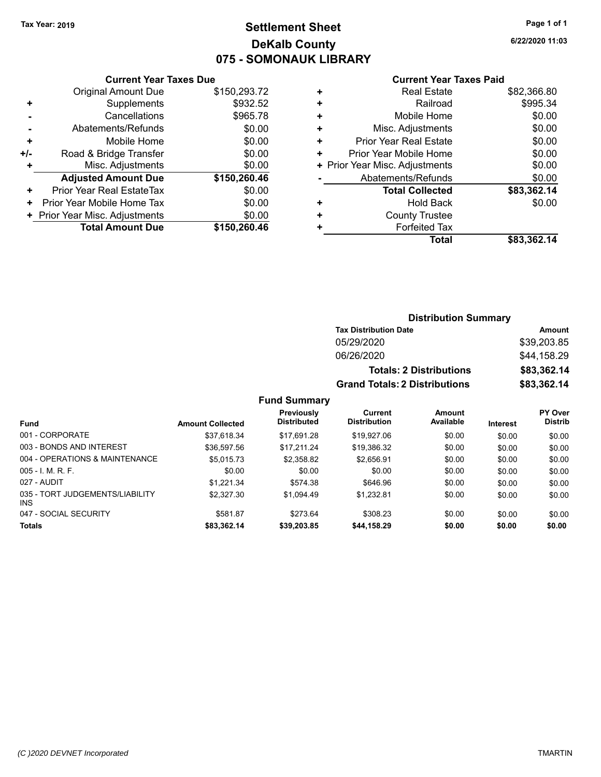## **Settlement Sheet Tax Year: 2019 Page 1 of 1 DeKalb County 075 - SOMONAUK LIBRARY**

**6/22/2020 11:03**

## **Current Year Taxes Due**

|       | <b>Original Amount Due</b>     | \$150,293.72 |
|-------|--------------------------------|--------------|
| ٠     | Supplements                    | \$932.52     |
|       | Cancellations                  | \$965.78     |
|       | Abatements/Refunds             | \$0.00       |
| ÷     | Mobile Home                    | \$0.00       |
| $+/-$ | Road & Bridge Transfer         | \$0.00       |
| ÷     | Misc. Adjustments              | \$0.00       |
|       | <b>Adjusted Amount Due</b>     | \$150,260.46 |
| ٠     | Prior Year Real EstateTax      | \$0.00       |
| ٠     | Prior Year Mobile Home Tax     | \$0.00       |
|       | + Prior Year Misc. Adjustments | \$0.00       |
|       | <b>Total Amount Due</b>        | \$150,260.46 |
|       |                                |              |

#### **Current Year Taxes Paid**

|   | <b>Real Estate</b>             | \$82,366.80 |
|---|--------------------------------|-------------|
| ٠ | Railroad                       | \$995.34    |
| ٠ | Mobile Home                    | \$0.00      |
| ٠ | Misc. Adjustments              | \$0.00      |
| ٠ | <b>Prior Year Real Estate</b>  | \$0.00      |
| ٠ | Prior Year Mobile Home         | \$0.00      |
|   | + Prior Year Misc. Adjustments | \$0.00      |
|   | Abatements/Refunds             | \$0.00      |
|   | <b>Total Collected</b>         | \$83,362.14 |
| ٠ | Hold Back                      | \$0.00      |
| ٠ | <b>County Trustee</b>          |             |
| ٠ | <b>Forfeited Tax</b>           |             |
|   | Total                          | \$83,362.14 |

## **Distribution Summary**

| <b>Tax Distribution Date</b>         | Amount      |
|--------------------------------------|-------------|
| 05/29/2020                           | \$39,203.85 |
| 06/26/2020                           | \$44.158.29 |
| <b>Totals: 2 Distributions</b>       | \$83,362.14 |
| <b>Grand Totals: 2 Distributions</b> | \$83,362.14 |

#### **Fund Summary**

| <b>Fund</b>                             | <b>Amount Collected</b> | <b>Previously</b><br><b>Distributed</b> | Current<br><b>Distribution</b> | Amount<br>Available | <b>Interest</b> | <b>PY Over</b><br><b>Distrib</b> |
|-----------------------------------------|-------------------------|-----------------------------------------|--------------------------------|---------------------|-----------------|----------------------------------|
| 001 - CORPORATE                         | \$37.618.34             | \$17.691.28                             | \$19,927.06                    | \$0.00              | \$0.00          | \$0.00                           |
| 003 - BONDS AND INTEREST                | \$36,597.56             | \$17.211.24                             | \$19,386.32                    | \$0.00              | \$0.00          | \$0.00                           |
| 004 - OPERATIONS & MAINTENANCE          | \$5,015.73              | \$2,358.82                              | \$2,656.91                     | \$0.00              | \$0.00          | \$0.00                           |
| $005 - 1$ M, R, F.                      | \$0.00                  | \$0.00                                  | \$0.00                         | \$0.00              | \$0.00          | \$0.00                           |
| 027 - AUDIT                             | \$1,221.34              | \$574.38                                | \$646.96                       | \$0.00              | \$0.00          | \$0.00                           |
| 035 - TORT JUDGEMENTS/LIABILITY<br>INS. | \$2,327.30              | \$1.094.49                              | \$1.232.81                     | \$0.00              | \$0.00          | \$0.00                           |
| 047 - SOCIAL SECURITY                   | \$581.87                | \$273.64                                | \$308.23                       | \$0.00              | \$0.00          | \$0.00                           |
| <b>Totals</b>                           | \$83,362.14             | \$39,203.85                             | \$44,158.29                    | \$0.00              | \$0.00          | \$0.00                           |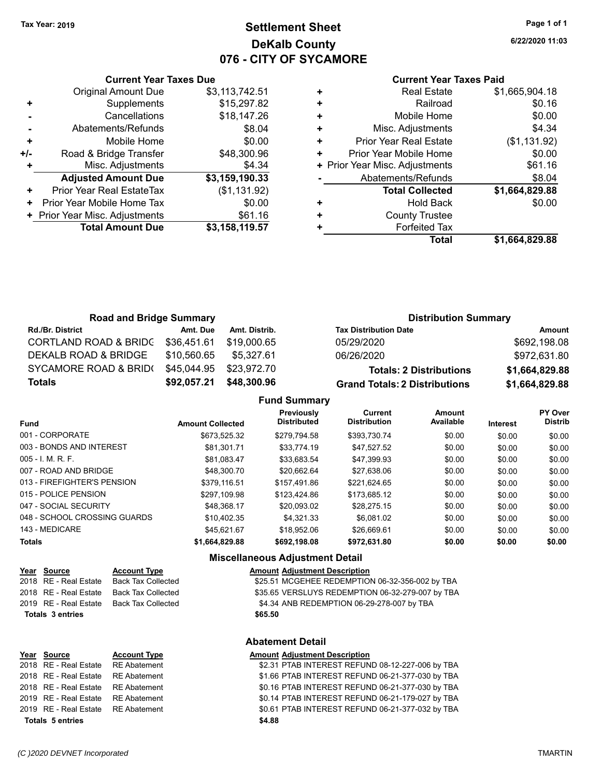## **Settlement Sheet Tax Year: 2019 Page 1 of 1 DeKalb County 076 - CITY OF SYCAMORE**

**6/22/2020 11:03**

#### **Current Year Taxes Paid**

|     | <b>Current Year Taxes Due</b>                |                |  |  |  |  |  |
|-----|----------------------------------------------|----------------|--|--|--|--|--|
|     | \$3,113,742.51<br><b>Original Amount Due</b> |                |  |  |  |  |  |
|     | Supplements                                  | \$15,297.82    |  |  |  |  |  |
|     | Cancellations                                | \$18,147.26    |  |  |  |  |  |
|     | Abatements/Refunds                           | \$8.04         |  |  |  |  |  |
| ٠   | Mobile Home                                  | \$0.00         |  |  |  |  |  |
| +/- | Road & Bridge Transfer                       | \$48,300.96    |  |  |  |  |  |
|     | Misc. Adjustments                            | \$4.34         |  |  |  |  |  |
|     | <b>Adjusted Amount Due</b>                   | \$3,159,190.33 |  |  |  |  |  |
| ٠   | <b>Prior Year Real EstateTax</b>             | (\$1,131.92)   |  |  |  |  |  |
| ٠   | Prior Year Mobile Home Tax                   | \$0.00         |  |  |  |  |  |
|     | + Prior Year Misc. Adjustments               | \$61.16        |  |  |  |  |  |
|     | <b>Total Amount Due</b>                      | \$3,158,119.57 |  |  |  |  |  |
|     |                                              |                |  |  |  |  |  |

| <b>Real Estate</b>            | \$1,665,904.18                 |
|-------------------------------|--------------------------------|
| Railroad                      | \$0.16                         |
| Mobile Home                   | \$0.00                         |
| Misc. Adjustments             | \$4.34                         |
| <b>Prior Year Real Estate</b> | (\$1,131.92)                   |
| Prior Year Mobile Home        | \$0.00                         |
|                               | \$61.16                        |
| Abatements/Refunds            | \$8.04                         |
| <b>Total Collected</b>        | \$1,664,829.88                 |
| <b>Hold Back</b>              | \$0.00                         |
| <b>County Trustee</b>         |                                |
| <b>Forfeited Tax</b>          |                                |
| <b>Total</b>                  | \$1,664,829.88                 |
|                               | + Prior Year Misc. Adjustments |

| <b>Road and Bridge Summary</b>   |             |               | <b>Distribution Summary</b>          |                |  |
|----------------------------------|-------------|---------------|--------------------------------------|----------------|--|
| <b>Rd./Br. District</b>          | Amt. Due    | Amt. Distrib. | <b>Tax Distribution Date</b>         | Amount         |  |
| <b>CORTLAND ROAD &amp; BRIDC</b> | \$36,451.61 | \$19,000.65   | 05/29/2020                           | \$692,198.08   |  |
| DEKALB ROAD & BRIDGE             | \$10,560.65 | \$5.327.61    | 06/26/2020                           | \$972,631.80   |  |
| SYCAMORE ROAD & BRID(            | \$45,044.95 | \$23,972.70   | <b>Totals: 2 Distributions</b>       | \$1,664,829.88 |  |
| <b>Totals</b>                    | \$92,057.21 | \$48,300.96   | <b>Grand Totals: 2 Distributions</b> | \$1,664,829.88 |  |

#### **Fund Summary**

| <b>Fund</b>                  | <b>Amount Collected</b> | <b>Previously</b><br><b>Distributed</b> | Current<br><b>Distribution</b> | Amount<br>Available | Interest | PY Over<br><b>Distrib</b> |
|------------------------------|-------------------------|-----------------------------------------|--------------------------------|---------------------|----------|---------------------------|
| 001 - CORPORATE              | \$673.525.32            | \$279.794.58                            | \$393.730.74                   | \$0.00              | \$0.00   | \$0.00                    |
| 003 - BONDS AND INTEREST     | \$81.301.71             | \$33.774.19                             | \$47.527.52                    | \$0.00              | \$0.00   | \$0.00                    |
| $005 - I$ , M, R, F,         | \$81.083.47             | \$33.683.54                             | \$47.399.93                    | \$0.00              | \$0.00   | \$0.00                    |
| 007 - ROAD AND BRIDGE        | \$48,300.70             | \$20.662.64                             | \$27.638.06                    | \$0.00              | \$0.00   | \$0.00                    |
| 013 - FIREFIGHTER'S PENSION  | \$379.116.51            | \$157.491.86                            | \$221.624.65                   | \$0.00              | \$0.00   | \$0.00                    |
| 015 - POLICE PENSION         | \$297.109.98            | \$123,424.86                            | \$173.685.12                   | \$0.00              | \$0.00   | \$0.00                    |
| 047 - SOCIAL SECURITY        | \$48.368.17             | \$20.093.02                             | \$28.275.15                    | \$0.00              | \$0.00   | \$0.00                    |
| 048 - SCHOOL CROSSING GUARDS | \$10.402.35             | \$4.321.33                              | \$6.081.02                     | \$0.00              | \$0.00   | \$0.00                    |
| 143 - MEDICARE               | \$45.621.67             | \$18,952.06                             | \$26,669.61                    | \$0.00              | \$0.00   | \$0.00                    |
| <b>Totals</b>                | \$1,664,829.88          | \$692,198.08                            | \$972.631.80                   | \$0.00              | \$0.00   | \$0.00                    |

#### **Miscellaneous Adjustment Detail**

| <u>Year Source</u>      | <b>Account Type</b>                      | <b>Amount Adjustment Description</b>             |
|-------------------------|------------------------------------------|--------------------------------------------------|
| 2018   RE - Real Estate | Back Tax Collected                       | \$25.51 MCGEHEE REDEMPTION 06-32-356-002 by TBA  |
| 2018 RE - Real Estate   | Back Tax Collected                       | \$35.65 VERSLUYS REDEMPTION 06-32-279-007 by TBA |
|                         | 2019 RE - Real Estate Back Tax Collected | \$4.34 ANB REDEMPTION 06-29-278-007 by TBA       |
| Totals 3 entries        |                                          | \$65.50                                          |
|                         |                                          |                                                  |

#### **Abatement Detail**

|                         | Year Source                        | <b>Account Type</b> | <b>Amount Adjustment Description</b> |
|-------------------------|------------------------------------|---------------------|--------------------------------------|
|                         | 2018 RE - Real Estate RE Abatement |                     | \$2.31 PTAB INTEREST REFUN           |
|                         | 2018 RE - Real Estate RE Abatement |                     | \$1.66 PTAB INTEREST REFUN           |
|                         | 2018 RE - Real Estate RE Abatement |                     | \$0.16 PTAB INTEREST REFUN           |
|                         | 2019 RE - Real Estate RE Abatement |                     | \$0.14 PTAB INTEREST REFUN           |
|                         | 2019 RE - Real Estate RE Abatement |                     | \$0.61 PTAB INTEREST REFUN           |
| <b>Totals 5 entries</b> |                                    |                     | \$4.88                               |

TAB INTEREST REFUND 08-12-227-006 by TBA TAB INTEREST REFUND 06-21-377-030 by TBA TAB INTEREST REFUND 06-21-377-030 by TBA TAB INTEREST REFUND 06-21-179-027 by TBA TAB INTEREST REFUND 06-21-377-032 by TBA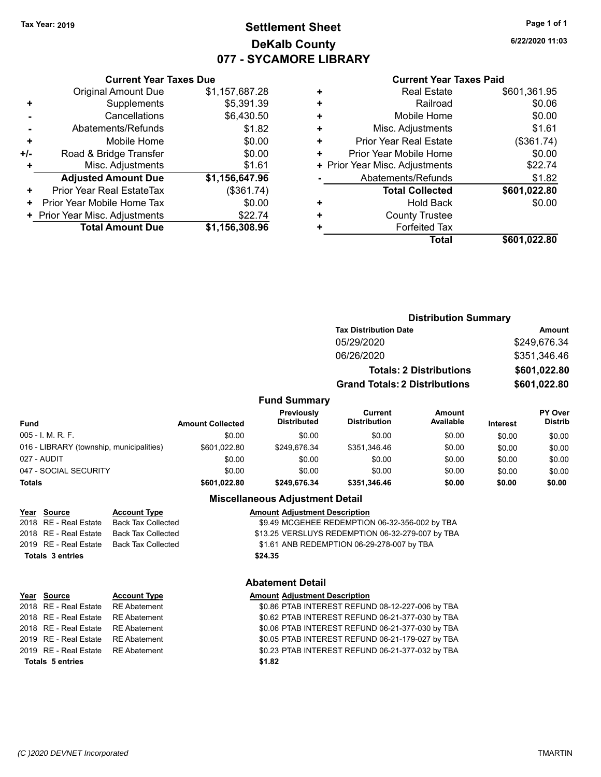# **Settlement Sheet Tax Year: 2019 Page 1 of 1 DeKalb County 077 - SYCAMORE LIBRARY**

**6/22/2020 11:03**

#### **Current Year Taxes Paid**

|       | <b>Current Year Taxes Due</b>  |                |
|-------|--------------------------------|----------------|
|       | <b>Original Amount Due</b>     | \$1,157,687.28 |
| ٠     | Supplements                    | \$5,391.39     |
|       | Cancellations                  | \$6,430.50     |
|       | Abatements/Refunds             | \$1.82         |
| ٠     | Mobile Home                    | \$0.00         |
| $+/-$ | Road & Bridge Transfer         | \$0.00         |
|       | Misc. Adjustments              | \$1.61         |
|       | <b>Adjusted Amount Due</b>     | \$1,156,647.96 |
| ÷     | Prior Year Real EstateTax      | (\$361.74)     |
| ٠     | Prior Year Mobile Home Tax     | \$0.00         |
|       | + Prior Year Misc. Adjustments | \$22.74        |
|       | <b>Total Amount Due</b>        | \$1,156,308.96 |
|       |                                |                |

|   | <b>Real Estate</b>             | \$601,361.95 |
|---|--------------------------------|--------------|
| ٠ | Railroad                       | \$0.06       |
| ٠ | Mobile Home                    | \$0.00       |
| ٠ | Misc. Adjustments              | \$1.61       |
| ٠ | <b>Prior Year Real Estate</b>  | (\$361.74)   |
| ٠ | Prior Year Mobile Home         | \$0.00       |
|   | + Prior Year Misc. Adjustments | \$22.74      |
|   | Abatements/Refunds             | \$1.82       |
|   | <b>Total Collected</b>         | \$601,022.80 |
| ٠ | <b>Hold Back</b>               | \$0.00       |
| ÷ | <b>County Trustee</b>          |              |
| ٠ | <b>Forfeited Tax</b>           |              |
|   | Total                          | \$601,022.80 |
|   |                                |              |

|                   |                                      | <b>Distribution Summary</b>    |              |
|-------------------|--------------------------------------|--------------------------------|--------------|
|                   | <b>Tax Distribution Date</b>         |                                | Amount       |
|                   | 05/29/2020                           |                                | \$249,676.34 |
|                   | 06/26/2020                           |                                | \$351,346.46 |
|                   |                                      | <b>Totals: 2 Distributions</b> | \$601,022.80 |
|                   | <b>Grand Totals: 2 Distributions</b> |                                | \$601,022.80 |
| Summary           |                                      |                                |              |
| eviously          | Current                              | Amount                         | PY Over      |
| المتمتلف والمتالف | <b>Distribution</b>                  | A. 11                          | <b>DEALL</b> |

### **Fund S**

| Fund                                     | <b>Amount Collected</b> | <b>Previously</b><br><b>Distributed</b> | Current<br><b>Distribution</b> | Amount<br>Available | <b>Interest</b> | <b>PY Over</b><br><b>Distrib</b> |
|------------------------------------------|-------------------------|-----------------------------------------|--------------------------------|---------------------|-----------------|----------------------------------|
| 005 - I. M. R. F.                        | \$0.00                  | \$0.00                                  | \$0.00                         | \$0.00              | \$0.00          | \$0.00                           |
| 016 - LIBRARY (township, municipalities) | \$601.022.80            | \$249.676.34                            | \$351.346.46                   | \$0.00              | \$0.00          | \$0.00                           |
| 027 - AUDIT                              | \$0.00                  | \$0.00                                  | \$0.00                         | \$0.00              | \$0.00          | \$0.00                           |
| 047 - SOCIAL SECURITY                    | \$0.00                  | \$0.00                                  | \$0.00                         | \$0.00              | \$0.00          | \$0.00                           |
| Totals                                   | \$601.022.80            | \$249.676.34                            | \$351.346.46                   | \$0.00              | \$0.00          | \$0.00                           |

### **Miscellaneous Adjustment Detail**

**Year Source Account Type Amount Adjustment Description** 2018 RE - Real Estate Back Tax Collected \$9.49 MCGEHEE REDEMPTION 06-32-356-002 by TBA 2018 RE - Real Estate Back Tax Collected \$13.25 VERSLUYS REDEMPTION 06-32-279-007 by TBA 2019 RE - Real Estate Back Tax Collected \$1.61 ANB REDEMPTION 06-29-278-007 by TBA **Totals \$24.35 3 entries**

| Yea <u>r Source</u>                      | <b>Account Type</b> | Amount |
|------------------------------------------|---------------------|--------|
| 2018 RE - Real Estate RE Abatement       |                     | \$0.86 |
| 2018   RE - Real Estate                  | RE Abatement        | \$0.62 |
| 2018   RE - Real Estate     RE Abatement |                     | \$0.06 |
| 2019   RE - Real Estate                  | RE Abatement        | \$0.05 |
| 2019   RE - Real Estate     RE Abatement |                     | \$0.23 |
| Totals 5 entries                         |                     | \$1.82 |

### **Abatement Detail**

**Year Source Account Type Amount Adjustment Description** ent 60.86 PTAB INTEREST REFUND 08-12-227-006 by TBA ent 30.62 PTAB INTEREST REFUND 06-21-377-030 by TBA 2018 RE - Real Estate \$0.06 PTAB INTEREST REFUND 06-21-377-030 by RE Abatement TBA ent \$0.05 PTAB INTEREST REFUND 06-21-179-027 by TBA ent 60.23 PTAB INTEREST REFUND 06-21-377-032 by TBA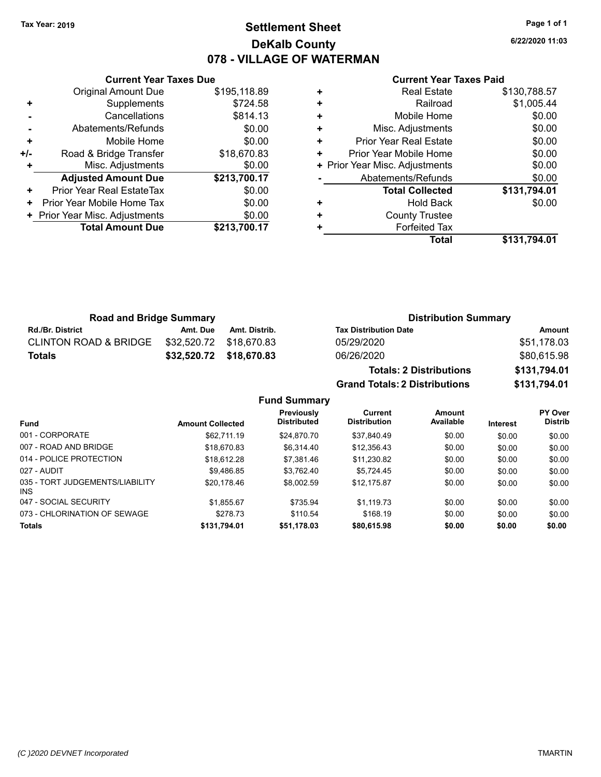# **Settlement Sheet Tax Year: 2019 Page 1 of 1 DeKalb County 078 - VILLAGE OF WATERMAN**

**6/22/2020 11:03**

#### **Current Year Taxes Paid**

|     | <b>Original Amount Due</b>     | \$195,118.89 |
|-----|--------------------------------|--------------|
| ٠   | Supplements                    | \$724.58     |
|     | Cancellations                  | \$814.13     |
|     | Abatements/Refunds             | \$0.00       |
| ٠   | Mobile Home                    | \$0.00       |
| +/- | Road & Bridge Transfer         | \$18,670.83  |
| ٠   | Misc. Adjustments              | \$0.00       |
|     | <b>Adjusted Amount Due</b>     | \$213,700.17 |
| ٠   | Prior Year Real EstateTax      | \$0.00       |
| ٠   | Prior Year Mobile Home Tax     | \$0.00       |
|     | + Prior Year Misc. Adjustments | \$0.00       |
|     | <b>Total Amount Due</b>        | \$213,700.17 |
|     |                                |              |

**Current Year Taxes Due**

|   | <b>Real Estate</b>             | \$130,788.57 |
|---|--------------------------------|--------------|
| ٠ | Railroad                       | \$1,005.44   |
| ٠ | Mobile Home                    | \$0.00       |
| ٠ | Misc. Adjustments              | \$0.00       |
| ٠ | <b>Prior Year Real Estate</b>  | \$0.00       |
| ٠ | Prior Year Mobile Home         | \$0.00       |
|   | + Prior Year Misc. Adjustments | \$0.00       |
|   | Abatements/Refunds             | \$0.00       |
|   | <b>Total Collected</b>         | \$131,794.01 |
| ٠ | Hold Back                      | \$0.00       |
| ٠ | <b>County Trustee</b>          |              |
| ٠ | <b>Forfeited Tax</b>           |              |
|   | Total                          | \$131,794.01 |

**Grand Totals: 2 Distributions \$131,794.01**

| <b>Road and Bridge Summary</b>   |                         |                         | <b>Distribution Summary</b>    |              |  |
|----------------------------------|-------------------------|-------------------------|--------------------------------|--------------|--|
| <b>Rd./Br. District</b>          | Amt. Due                | Amt. Distrib.           | <b>Tax Distribution Date</b>   | Amount       |  |
| <b>CLINTON ROAD &amp; BRIDGE</b> | \$32.520.72 \$18.670.83 |                         | 05/29/2020                     | \$51,178.03  |  |
| Totals                           |                         | \$32,520.72 \$18,670.83 | 06/26/2020                     | \$80,615.98  |  |
|                                  |                         |                         | <b>Totals: 2 Distributions</b> | \$131,794.01 |  |

**Fund Summary Fund Interest Amount Collected Distributed PY Over Distrib Amount Available Current Distribution Previously** 001 - CORPORATE \$62,711.19 \$24,870.70 \$37,840.49 \$0.00 \$0.00 \$0.00 007 - ROAD AND BRIDGE \$18,670.83 \$6,314.40 \$12,356.43 \$0.00 \$0.00 \$0.00 014 - POLICE PROTECTION \$18,612.28 \$7,381.46 \$11,230.82 \$0.00 \$0.00 \$0.00 \$0.00 027 - AUDIT \$9,486.85 \$3,762.40 \$5,724.45 \$0.00 \$0.00 \$0.00 035 - TORT JUDGEMENTS/LIABILITY INS \$20,178.46 \$8,002.59 \$12,175.87 \$0.00 \$0.00 \$0.00 047 - SOCIAL SECURITY \$1,855.67 \$735.94 \$1,119.73 \$0.00 \$0.00 \$0.00 073 - CHLORINATION OF SEWAGE \$278.73 \$110.54 \$168.19 \$0.00 \$0.00 \$0.00 \$0.00 **Totals \$131,794.01 \$51,178.03 \$80,615.98 \$0.00 \$0.00 \$0.00**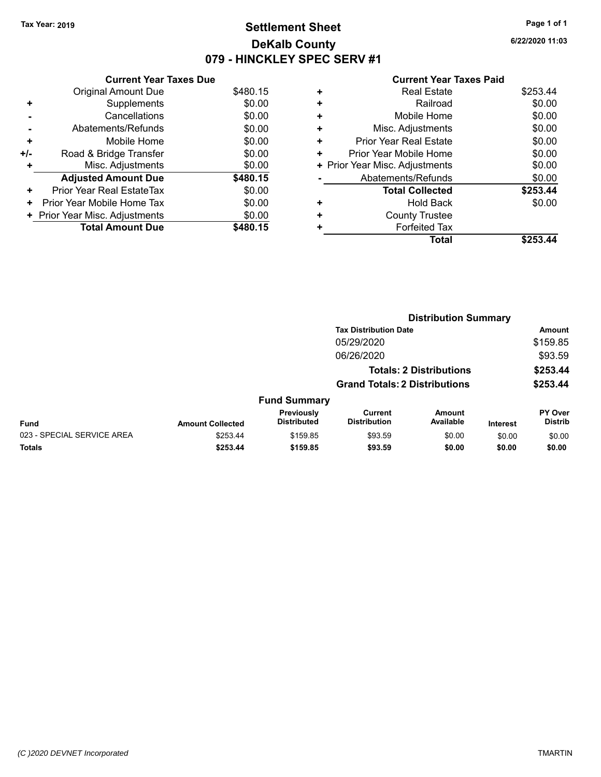# **Settlement Sheet Tax Year: 2019 Page 1 of 1 DeKalb County 079 - HINCKLEY SPEC SERV #1**

**6/22/2020 11:03**

#### **Current Year Taxes Paid**

|     | <b>Current Year Taxes Due</b>  |          |
|-----|--------------------------------|----------|
|     | <b>Original Amount Due</b>     | \$480.15 |
| ٠   | Supplements                    | \$0.00   |
|     | Cancellations                  | \$0.00   |
|     | Abatements/Refunds             | \$0.00   |
| ٠   | Mobile Home                    | \$0.00   |
| +/- | Road & Bridge Transfer         | \$0.00   |
| ٠   | Misc. Adjustments              | \$0.00   |
|     | <b>Adjusted Amount Due</b>     | \$480.15 |
| ٠   | Prior Year Real EstateTax      | \$0.00   |
| ٠   | Prior Year Mobile Home Tax     | \$0.00   |
|     | + Prior Year Misc. Adjustments | \$0.00   |
|     | <b>Total Amount Due</b>        | \$480.15 |

|   | <b>Total</b>                   | \$253.44 |
|---|--------------------------------|----------|
| ٠ | <b>Forfeited Tax</b>           |          |
| ٠ | <b>County Trustee</b>          |          |
| ٠ | Hold Back                      | \$0.00   |
|   | <b>Total Collected</b>         | \$253.44 |
|   | Abatements/Refunds             | \$0.00   |
|   | + Prior Year Misc. Adjustments | \$0.00   |
| ٠ | Prior Year Mobile Home         | \$0.00   |
| ٠ | <b>Prior Year Real Estate</b>  | \$0.00   |
| ٠ | Misc. Adjustments              | \$0.00   |
| ٠ | Mobile Home                    | \$0.00   |
| ٠ | Railroad                       | \$0.00   |
| ٠ | <b>Real Estate</b>             | \$253.44 |
|   |                                |          |

|                            |                         |                                  |                                       | <b>Distribution Summary</b>    |                 |                           |
|----------------------------|-------------------------|----------------------------------|---------------------------------------|--------------------------------|-----------------|---------------------------|
|                            |                         |                                  | <b>Tax Distribution Date</b>          |                                |                 | <b>Amount</b>             |
|                            |                         |                                  | 05/29/2020                            |                                |                 | \$159.85                  |
|                            |                         |                                  | 06/26/2020                            |                                |                 | \$93.59                   |
|                            |                         |                                  |                                       | <b>Totals: 2 Distributions</b> |                 | \$253.44                  |
|                            |                         |                                  | <b>Grand Totals: 2 Distributions</b>  |                                |                 | \$253.44                  |
|                            |                         | <b>Fund Summary</b>              |                                       |                                |                 |                           |
| <b>Fund</b>                | <b>Amount Collected</b> | Previously<br><b>Distributed</b> | <b>Current</b><br><b>Distribution</b> | <b>Amount</b><br>Available     | <b>Interest</b> | PY Over<br><b>Distrib</b> |
| 023 - SPECIAL SERVICE AREA | \$253.44                | \$159.85                         | \$93.59                               | \$0.00                         | \$0.00          | \$0.00                    |
| <b>Totals</b>              | \$253.44                | \$159.85                         | \$93.59                               | \$0.00                         | \$0.00          | \$0.00                    |
|                            |                         |                                  |                                       |                                |                 |                           |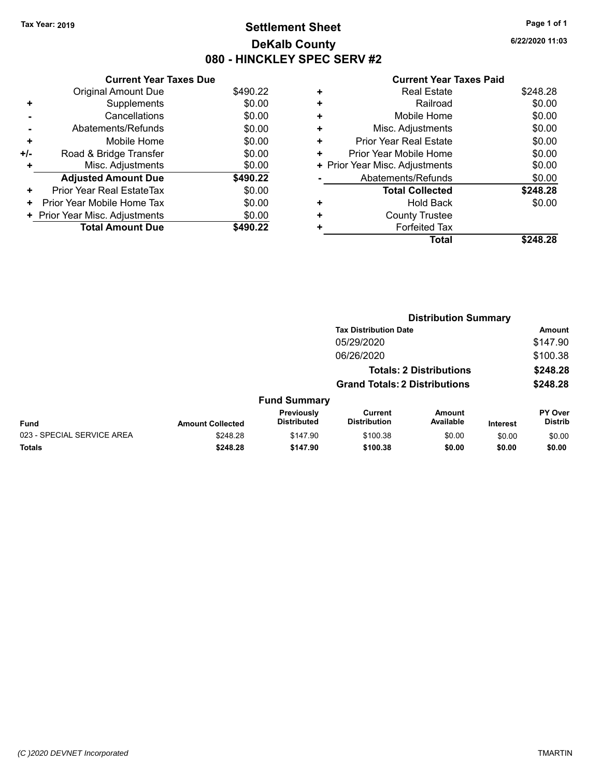# **Settlement Sheet Tax Year: 2019 Page 1 of 1 DeKalb County 080 - HINCKLEY SPEC SERV #2**

**6/22/2020 11:03**

#### **Current Year Taxes Paid**

|     | <b>Current Year Taxes Due</b>  |          |
|-----|--------------------------------|----------|
|     | <b>Original Amount Due</b>     | \$490.22 |
| ٠   | Supplements                    | \$0.00   |
|     | Cancellations                  | \$0.00   |
|     | Abatements/Refunds             | \$0.00   |
| ٠   | Mobile Home                    | \$0.00   |
| +/- | Road & Bridge Transfer         | \$0.00   |
| ٠   | Misc. Adjustments              | \$0.00   |
|     | <b>Adjusted Amount Due</b>     | \$490.22 |
| ٠   | Prior Year Real EstateTax      | \$0.00   |
| ٠   | Prior Year Mobile Home Tax     | \$0.00   |
|     | + Prior Year Misc. Adjustments | \$0.00   |
|     | <b>Total Amount Due</b>        | \$490.22 |

| ٠ | <b>Real Estate</b>             | \$248.28 |
|---|--------------------------------|----------|
| ٠ | Railroad                       | \$0.00   |
| + | Mobile Home                    | \$0.00   |
| ٠ | Misc. Adjustments              | \$0.00   |
| ٠ | <b>Prior Year Real Estate</b>  | \$0.00   |
| ٠ | Prior Year Mobile Home         | \$0.00   |
|   | + Prior Year Misc. Adjustments | \$0.00   |
|   | Abatements/Refunds             | \$0.00   |
|   | <b>Total Collected</b>         | \$248.28 |
| ٠ | Hold Back                      | \$0.00   |
| ٠ | <b>County Trustee</b>          |          |
| ٠ | <b>Forfeited Tax</b>           |          |
|   | Total                          | \$248.28 |
|   |                                |          |

|                            | <b>Distribution Summary</b>    |                                      |                                       |                            |                 |                                  |  |
|----------------------------|--------------------------------|--------------------------------------|---------------------------------------|----------------------------|-----------------|----------------------------------|--|
|                            |                                | <b>Tax Distribution Date</b>         |                                       |                            |                 | Amount                           |  |
|                            |                                |                                      | 05/29/2020                            |                            |                 | \$147.90                         |  |
|                            |                                |                                      | 06/26/2020                            |                            |                 | \$100.38                         |  |
|                            | <b>Totals: 2 Distributions</b> |                                      |                                       | \$248.28                   |                 |                                  |  |
|                            |                                | <b>Grand Totals: 2 Distributions</b> |                                       |                            | \$248.28        |                                  |  |
|                            |                                | <b>Fund Summary</b>                  |                                       |                            |                 |                                  |  |
| <b>Fund</b>                | <b>Amount Collected</b>        | Previously<br><b>Distributed</b>     | <b>Current</b><br><b>Distribution</b> | <b>Amount</b><br>Available | <b>Interest</b> | <b>PY Over</b><br><b>Distrib</b> |  |
| 023 - SPECIAL SERVICE AREA | \$248.28                       | \$147.90                             | \$100.38                              | \$0.00                     | \$0.00          | \$0.00                           |  |
| <b>Totals</b>              | \$248.28                       | \$147.90                             | \$100.38                              | \$0.00                     | \$0.00          | \$0.00                           |  |
|                            |                                |                                      |                                       |                            |                 |                                  |  |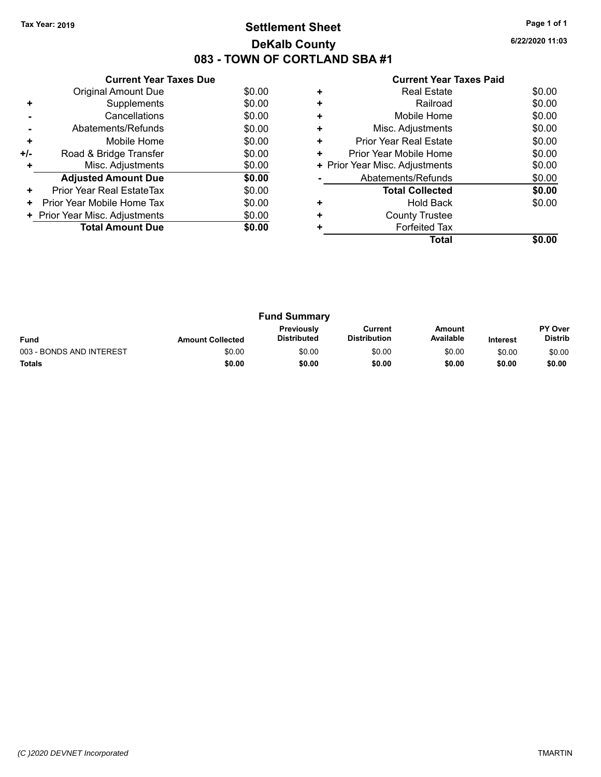# **Settlement Sheet Tax Year: 2019 Page 1 of 1 DeKalb County 083 - TOWN OF CORTLAND SBA #1**

**6/22/2020 11:03**

| <b>Current Year Taxes Paid</b> |  |  |
|--------------------------------|--|--|
|                                |  |  |

|     | <b>Current Year Taxes Due</b>  |        |
|-----|--------------------------------|--------|
|     | Original Amount Due            | \$0.00 |
| ÷   | Supplements                    | \$0.00 |
|     | Cancellations                  | \$0.00 |
|     | Abatements/Refunds             | \$0.00 |
| ٠   | Mobile Home                    | \$0.00 |
| +/- | Road & Bridge Transfer         | \$0.00 |
|     | Misc. Adjustments              | \$0.00 |
|     | <b>Adjusted Amount Due</b>     | \$0.00 |
| ÷   | Prior Year Real EstateTax      | \$0.00 |
| ٠   | Prior Year Mobile Home Tax     | \$0.00 |
|     | + Prior Year Misc. Adjustments | \$0.00 |
|     | <b>Total Amount Due</b>        | \$0.00 |
|     |                                |        |

|   | <b>Real Estate</b>             | \$0.00 |
|---|--------------------------------|--------|
|   | Railroad                       | \$0.00 |
| ÷ | Mobile Home                    | \$0.00 |
| ٠ | Misc. Adjustments              | \$0.00 |
| ٠ | <b>Prior Year Real Estate</b>  | \$0.00 |
| ٠ | Prior Year Mobile Home         | \$0.00 |
|   | + Prior Year Misc. Adjustments | \$0.00 |
|   | Abatements/Refunds             | \$0.00 |
|   | <b>Total Collected</b>         | \$0.00 |
|   | <b>Hold Back</b>               | \$0.00 |
|   | <b>County Trustee</b>          |        |
|   | <b>Forfeited Tax</b>           |        |
|   | Total                          |        |

| <b>Fund Summary</b>      |                         |                                         |                                |                     |                 |                                  |
|--------------------------|-------------------------|-----------------------------------------|--------------------------------|---------------------|-----------------|----------------------------------|
| <b>Fund</b>              | <b>Amount Collected</b> | <b>Previously</b><br><b>Distributed</b> | Current<br><b>Distribution</b> | Amount<br>Available | <b>Interest</b> | <b>PY Over</b><br><b>Distrib</b> |
| 003 - BONDS AND INTEREST | \$0.00                  | \$0.00                                  | \$0.00                         | \$0.00              | \$0.00          | \$0.00                           |
| <b>Totals</b>            | \$0.00                  | \$0.00                                  | \$0.00                         | \$0.00              | \$0.00          | \$0.00                           |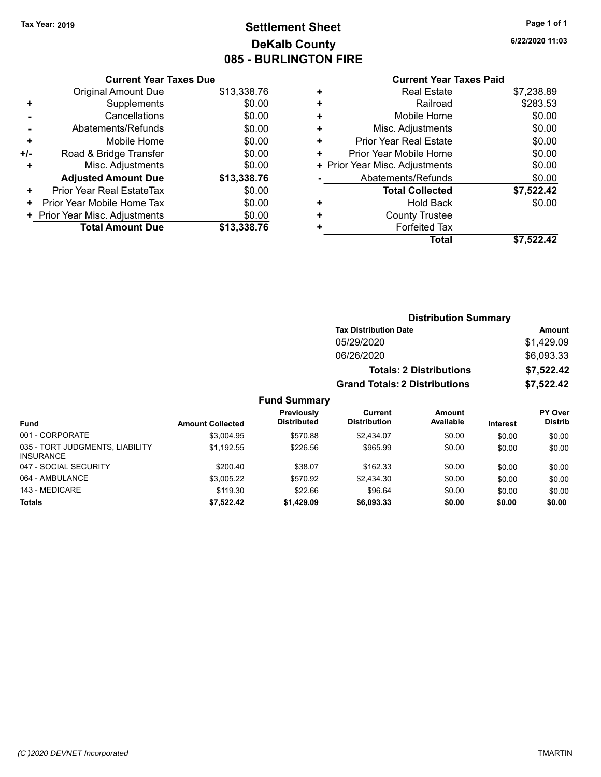# **Settlement Sheet Tax Year: 2019 Page 1 of 1 DeKalb County 085 - BURLINGTON FIRE**

**6/22/2020 11:03**

| <b>Current Year Taxes Due</b> |                                |  |  |  |  |  |
|-------------------------------|--------------------------------|--|--|--|--|--|
| <b>Original Amount Due</b>    | \$13,338.76                    |  |  |  |  |  |
| Supplements                   | \$0.00                         |  |  |  |  |  |
| Cancellations                 | \$0.00                         |  |  |  |  |  |
| Abatements/Refunds            | \$0.00                         |  |  |  |  |  |
| Mobile Home                   | \$0.00                         |  |  |  |  |  |
| Road & Bridge Transfer        | \$0.00                         |  |  |  |  |  |
| Misc. Adjustments             | \$0.00                         |  |  |  |  |  |
| <b>Adjusted Amount Due</b>    | \$13,338.76                    |  |  |  |  |  |
| Prior Year Real EstateTax     | \$0.00                         |  |  |  |  |  |
| Prior Year Mobile Home Tax    | \$0.00                         |  |  |  |  |  |
|                               | \$0.00                         |  |  |  |  |  |
| <b>Total Amount Due</b>       | \$13,338.76                    |  |  |  |  |  |
|                               | + Prior Year Misc. Adjustments |  |  |  |  |  |

## **Current Year Taxes Paid**

|   | <b>Real Estate</b>             | \$7,238.89 |
|---|--------------------------------|------------|
| ٠ | Railroad                       | \$283.53   |
| ٠ | Mobile Home                    | \$0.00     |
| ٠ | Misc. Adjustments              | \$0.00     |
| ÷ | <b>Prior Year Real Estate</b>  | \$0.00     |
| ٠ | Prior Year Mobile Home         | \$0.00     |
|   | + Prior Year Misc. Adjustments | \$0.00     |
|   | Abatements/Refunds             | \$0.00     |
|   | <b>Total Collected</b>         | \$7,522.42 |
| ٠ | <b>Hold Back</b>               | \$0.00     |
| ٠ | <b>County Trustee</b>          |            |
| ٠ | <b>Forfeited Tax</b>           |            |
|   | Total                          | \$7,522.42 |
|   |                                |            |

#### **Distribution Summary Tax Distribution Date Amount** 05/29/2020 \$1,429.09 06/26/2020 \$6,093.33 **Totals: 2 Distributions \$7,522.42 Grand Totals: 2 Distributions \$7,522.42 Fund Summary PY Over Amount Current Previously**

|                                                     |                         | Previously         | Current             | Amount    |                 | <b>PY Over</b> |
|-----------------------------------------------------|-------------------------|--------------------|---------------------|-----------|-----------------|----------------|
| <b>Fund</b>                                         | <b>Amount Collected</b> | <b>Distributed</b> | <b>Distribution</b> | Available | <b>Interest</b> | <b>Distrib</b> |
| 001 - CORPORATE                                     | \$3.004.95              | \$570.88           | \$2.434.07          | \$0.00    | \$0.00          | \$0.00         |
| 035 - TORT JUDGMENTS, LIABILITY<br><b>INSURANCE</b> | \$1.192.55              | \$226.56           | \$965.99            | \$0.00    | \$0.00          | \$0.00         |
| 047 - SOCIAL SECURITY                               | \$200.40                | \$38.07            | \$162.33            | \$0.00    | \$0.00          | \$0.00         |
| 064 - AMBULANCE                                     | \$3,005.22              | \$570.92           | \$2.434.30          | \$0.00    | \$0.00          | \$0.00         |
| 143 - MEDICARE                                      | \$119.30                | \$22.66            | \$96.64             | \$0.00    | \$0.00          | \$0.00         |
| <b>Totals</b>                                       | \$7,522.42              | \$1,429.09         | \$6,093.33          | \$0.00    | \$0.00          | \$0.00         |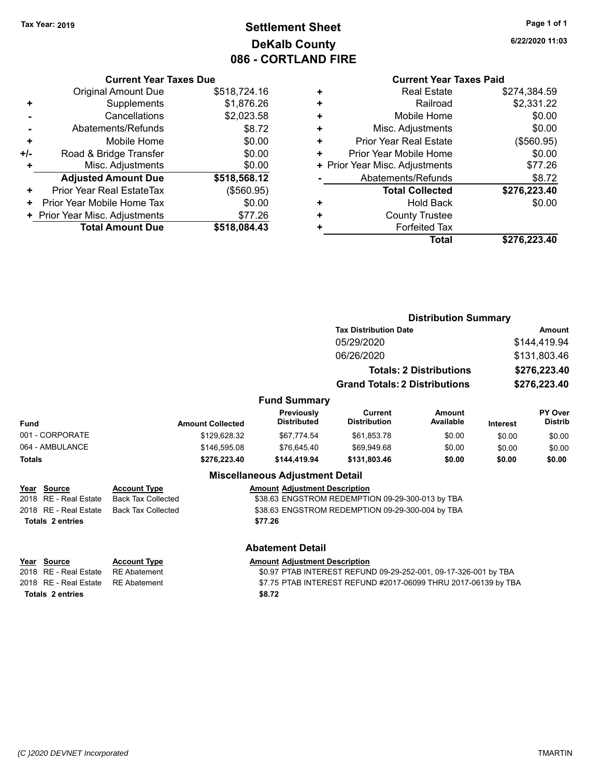# **Settlement Sheet Tax Year: 2019 Page 1 of 1 DeKalb County 086 - CORTLAND FIRE**

**6/22/2020 11:03**

### **Current Year Taxes Paid**

|     | <b>Current Year Taxes Due</b>  |              |  |  |  |  |
|-----|--------------------------------|--------------|--|--|--|--|
|     | <b>Original Amount Due</b>     | \$518,724.16 |  |  |  |  |
| ٠   | Supplements                    | \$1,876.26   |  |  |  |  |
|     | Cancellations                  | \$2,023.58   |  |  |  |  |
|     | Abatements/Refunds             | \$8.72       |  |  |  |  |
| ÷   | Mobile Home                    | \$0.00       |  |  |  |  |
| +/- | Road & Bridge Transfer         | \$0.00       |  |  |  |  |
|     | Misc. Adjustments              | \$0.00       |  |  |  |  |
|     | <b>Adjusted Amount Due</b>     | \$518,568.12 |  |  |  |  |
| ٠   | Prior Year Real EstateTax      | (\$560.95)   |  |  |  |  |
| ٠   | Prior Year Mobile Home Tax     | \$0.00       |  |  |  |  |
|     | + Prior Year Misc. Adjustments | \$77.26      |  |  |  |  |
|     | <b>Total Amount Due</b>        | \$518,084.43 |  |  |  |  |

**Totals \$8.72 2 entries**

|   | <b>Real Estate</b>             | \$274,384.59 |
|---|--------------------------------|--------------|
| ٠ | Railroad                       | \$2,331.22   |
| ٠ | Mobile Home                    | \$0.00       |
| ٠ | Misc. Adjustments              | \$0.00       |
| ٠ | <b>Prior Year Real Estate</b>  | (\$560.95)   |
| ٠ | Prior Year Mobile Home         | \$0.00       |
|   | + Prior Year Misc. Adjustments | \$77.26      |
|   | Abatements/Refunds             | \$8.72       |
|   | <b>Total Collected</b>         | \$276,223.40 |
| ٠ | <b>Hold Back</b>               | \$0.00       |
| ٠ | <b>County Trustee</b>          |              |
| ٠ | <b>Forfeited Tax</b>           |              |
|   | Total                          | \$276,223.40 |

|               |                                              |                           |                                        | <b>Distribution Summary</b>                                     |                     |              |                           |  |
|---------------|----------------------------------------------|---------------------------|----------------------------------------|-----------------------------------------------------------------|---------------------|--------------|---------------------------|--|
|               |                                              |                           |                                        | <b>Tax Distribution Date</b>                                    |                     |              | Amount                    |  |
|               |                                              |                           |                                        | 05/29/2020                                                      |                     | \$144,419.94 |                           |  |
|               | 06/26/2020<br><b>Totals: 2 Distributions</b> |                           | \$131,803.46<br>\$276,223.40           |                                                                 |                     |              |                           |  |
|               |                                              |                           |                                        |                                                                 |                     |              |                           |  |
|               |                                              |                           |                                        | <b>Grand Totals: 2 Distributions</b>                            |                     | \$276,223.40 |                           |  |
|               |                                              |                           | <b>Fund Summary</b>                    |                                                                 |                     |              |                           |  |
| Fund          |                                              | <b>Amount Collected</b>   | Previously<br><b>Distributed</b>       | Current<br><b>Distribution</b>                                  | Amount<br>Available | Interest     | PY Over<br><b>Distrib</b> |  |
|               | 001 - CORPORATE                              | \$129,628.32              | \$67,774.54                            | \$61,853.78                                                     | \$0.00              | \$0.00       | \$0.00                    |  |
|               | 064 - AMBULANCE                              | \$146,595.08              | \$76,645.40                            | \$69,949.68                                                     | \$0.00              | \$0.00       | \$0.00                    |  |
| <b>Totals</b> |                                              | \$276,223.40              | \$144,419.94                           | \$131,803.46                                                    | \$0.00              | \$0.00       | \$0.00                    |  |
|               |                                              |                           | <b>Miscellaneous Adjustment Detail</b> |                                                                 |                     |              |                           |  |
|               | Year Source                                  | <b>Account Type</b>       | <b>Amount Adjustment Description</b>   |                                                                 |                     |              |                           |  |
|               | 2018 RE - Real Estate                        | <b>Back Tax Collected</b> |                                        | \$38.63 ENGSTROM REDEMPTION 09-29-300-013 by TBA                |                     |              |                           |  |
|               | 2018 RE - Real Estate                        | <b>Back Tax Collected</b> |                                        | \$38.63 ENGSTROM REDEMPTION 09-29-300-004 by TBA                |                     |              |                           |  |
|               | <b>Totals 2 entries</b>                      |                           | \$77.26                                |                                                                 |                     |              |                           |  |
|               |                                              |                           | <b>Abatement Detail</b>                |                                                                 |                     |              |                           |  |
| Year          | Source                                       | <b>Account Type</b>       | <b>Amount Adjustment Description</b>   |                                                                 |                     |              |                           |  |
| 2018          | <b>RE</b> - Real Estate                      | <b>RE</b> Abatement       |                                        | \$0.97 PTAB INTEREST REFUND 09-29-252-001, 09-17-326-001 by TBA |                     |              |                           |  |
|               | 2018 RE - Real Estate                        | <b>RE</b> Abatement       |                                        | \$7.75 PTAB INTEREST REFUND #2017-06099 THRU 2017-06139 by TBA  |                     |              |                           |  |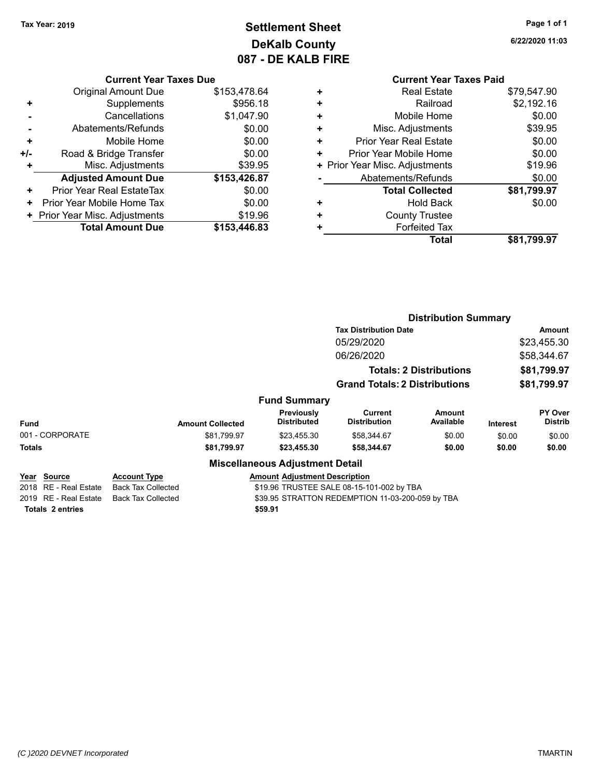# **Settlement Sheet Tax Year: 2019 Page 1 of 1 DeKalb County 087 - DE KALB FIRE**

**6/22/2020 11:03**

|     | <b>Current Year Taxes Due</b>  |              |
|-----|--------------------------------|--------------|
|     | <b>Original Amount Due</b>     | \$153,478.64 |
|     | Supplements                    | \$956.18     |
|     | Cancellations                  | \$1,047.90   |
|     | Abatements/Refunds             | \$0.00       |
| ٠   | Mobile Home                    | \$0.00       |
| +/- | Road & Bridge Transfer         | \$0.00       |
|     | Misc. Adjustments              | \$39.95      |
|     | <b>Adjusted Amount Due</b>     | \$153,426.87 |
| ÷   | Prior Year Real EstateTax      | \$0.00       |
| ٠   | Prior Year Mobile Home Tax     | \$0.00       |
|     | + Prior Year Misc. Adjustments | \$19.96      |
|     | <b>Total Amount Due</b>        | \$153,446.83 |

### **Current Year Taxes Paid +** Real Estate \$79,547.90 **+** Railroad \$2,192.16 **+** Mobile Home \$0.00 **+** Misc. Adjustments \$39.95 **+** Prior Year Real Estate \$0.00 **+** Prior Year Mobile Home \$0.00 **+ Prior Year Misc. Adjustments \$19.96 -** Abatements/Refunds \$0.00 **Total Collected \$81,799.97 +** Hold Back \$0.00 **+** County Trustee **+** Forfeited Tax **Total \$81,799.97**

|                         |                           |                                         |                                                  | <b>Distribution Summary</b>    |          |                                  |
|-------------------------|---------------------------|-----------------------------------------|--------------------------------------------------|--------------------------------|----------|----------------------------------|
|                         |                           |                                         | <b>Tax Distribution Date</b>                     |                                |          | <b>Amount</b>                    |
|                         |                           |                                         | 05/29/2020                                       |                                |          | \$23,455.30                      |
|                         |                           |                                         | 06/26/2020                                       |                                |          | \$58,344.67                      |
|                         |                           |                                         |                                                  | <b>Totals: 2 Distributions</b> |          | \$81,799.97                      |
|                         |                           |                                         | <b>Grand Totals: 2 Distributions</b>             |                                |          | \$81,799.97                      |
|                         |                           | <b>Fund Summary</b>                     |                                                  |                                |          |                                  |
| Fund                    | <b>Amount Collected</b>   | <b>Previously</b><br><b>Distributed</b> | Current<br><b>Distribution</b>                   | Amount<br>Available            | Interest | <b>PY Over</b><br><b>Distrib</b> |
| 001 - CORPORATE         | \$81,799.97               | \$23,455.30                             | \$58,344.67                                      | \$0.00                         | \$0.00   | \$0.00                           |
| Totals                  | \$81,799.97               | \$23,455.30                             | \$58,344.67                                      | \$0.00                         | \$0.00   | \$0.00                           |
|                         |                           | <b>Miscellaneous Adjustment Detail</b>  |                                                  |                                |          |                                  |
| Year Source             | <b>Account Type</b>       | <b>Amount Adjustment Description</b>    |                                                  |                                |          |                                  |
| 2018 RE - Real Estate   | <b>Back Tax Collected</b> |                                         | \$19.96 TRUSTEE SALE 08-15-101-002 by TBA        |                                |          |                                  |
| 2019 RE - Real Estate   | <b>Back Tax Collected</b> |                                         | \$39.95 STRATTON REDEMPTION 11-03-200-059 by TBA |                                |          |                                  |
| <b>Totals 2 entries</b> |                           | \$59.91                                 |                                                  |                                |          |                                  |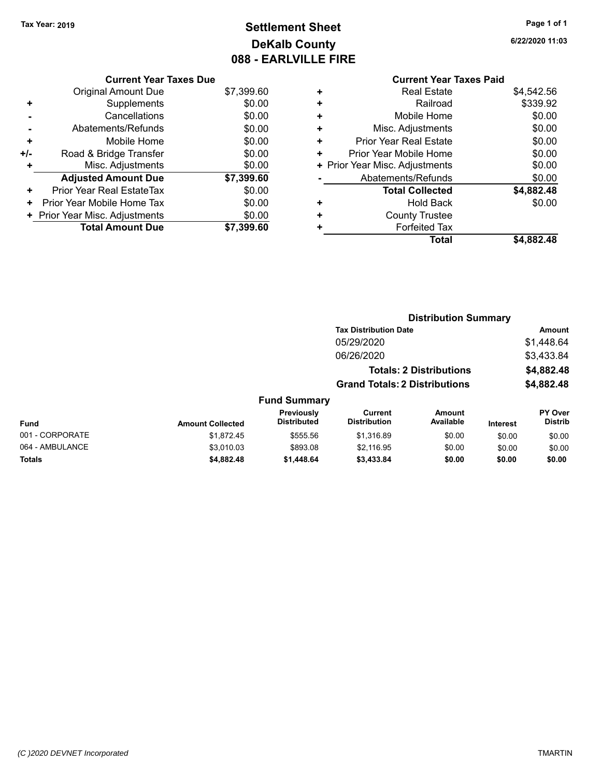# **Settlement Sheet Tax Year: 2019 Page 1 of 1 DeKalb County 088 - EARLVILLE FIRE**

**6/22/2020 11:03**

### **Current Year Taxes Paid +** Real Estate \$4,542.56 **+** Railroad \$339.92 **+** Mobile Home \$0.00 **+** Misc. Adjustments \$0.00 **+** Prior Year Real Estate \$0.00 **+** Prior Year Mobile Home \$0.00<br> **+** Prior Year Misc. Adjustments \$0.00 **+ Prior Year Misc. Adjustments -** Abatements/Refunds \$0.00 **Total Collected \$4,882.48 +** Hold Back \$0.00 **+** County Trustee **+** Forfeited Tax **Total \$4,882.48**

**Distribution Summary**

|                 |                         |                                  | <b>Tax Distribution Date</b>         |                                |                 | <b>Amount</b>             |
|-----------------|-------------------------|----------------------------------|--------------------------------------|--------------------------------|-----------------|---------------------------|
|                 |                         |                                  | 05/29/2020                           |                                |                 | \$1,448.64                |
|                 |                         |                                  | 06/26/2020                           |                                |                 | \$3,433.84                |
|                 |                         |                                  |                                      | <b>Totals: 2 Distributions</b> |                 | \$4,882.48                |
|                 |                         |                                  | <b>Grand Totals: 2 Distributions</b> |                                |                 | \$4,882.48                |
|                 |                         | <b>Fund Summary</b>              |                                      |                                |                 |                           |
| <b>Fund</b>     | <b>Amount Collected</b> | Previously<br><b>Distributed</b> | Current<br><b>Distribution</b>       | Amount<br>Available            | <b>Interest</b> | PY Over<br><b>Distrib</b> |
| 001 - CORPORATE | \$1,872.45              | \$555.56                         | \$1,316.89                           | \$0.00                         | \$0.00          | \$0.00                    |
| 064 - AMBULANCE | \$3.010.03              | \$893.08                         | \$2.116.95                           | \$0.00                         | \$0.00          | \$0.00                    |
| <b>Totals</b>   | \$4,882.48              | \$1,448.64                       | \$3.433.84                           | \$0.00                         | \$0.00          | \$0.00                    |

|     | <b>Current Year Taxes Due</b>    |            |
|-----|----------------------------------|------------|
|     | <b>Original Amount Due</b>       | \$7,399.60 |
| ٠   | Supplements                      | \$0.00     |
|     | Cancellations                    | \$0.00     |
|     | Abatements/Refunds               | \$0.00     |
| ٠   | Mobile Home                      | \$0.00     |
| +/- | Road & Bridge Transfer           | \$0.00     |
| ÷   | Misc. Adjustments                | \$0.00     |
|     | <b>Adjusted Amount Due</b>       | \$7,399.60 |
| ٠   | <b>Prior Year Real EstateTax</b> | \$0.00     |
| ÷   | Prior Year Mobile Home Tax       | \$0.00     |
|     | + Prior Year Misc. Adjustments   | \$0.00     |

**Total Amount Due \$7,399.60**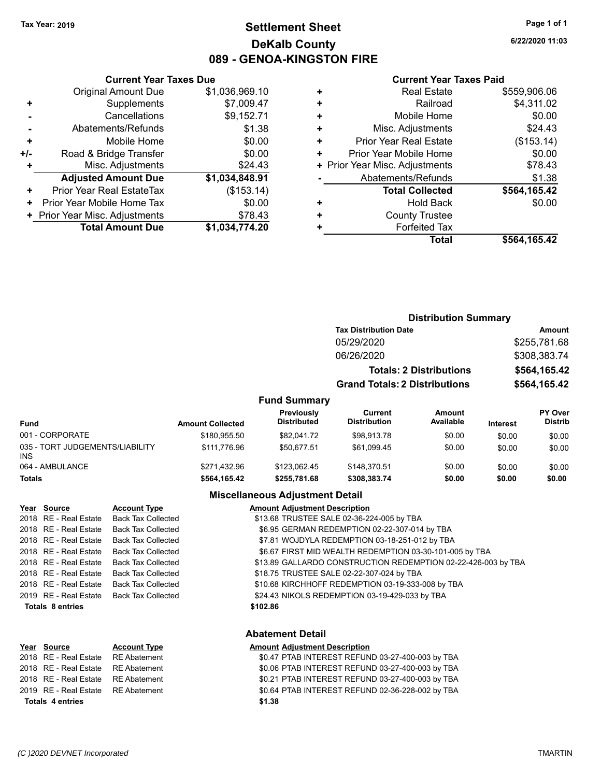# **Settlement Sheet Tax Year: 2019 Page 1 of 1 DeKalb County 089 - GENOA-KINGSTON FIRE**

**6/22/2020 11:03**

### **Current Year Taxes Paid**

|     | <b>Current Year Taxes Due</b>  |                |
|-----|--------------------------------|----------------|
|     | <b>Original Amount Due</b>     | \$1,036,969.10 |
| ٠   | Supplements                    | \$7,009.47     |
|     | Cancellations                  | \$9,152.71     |
|     | Abatements/Refunds             | \$1.38         |
| ٠   | Mobile Home                    | \$0.00         |
| +/- | Road & Bridge Transfer         | \$0.00         |
|     | Misc. Adjustments              | \$24.43        |
|     | <b>Adjusted Amount Due</b>     | \$1,034,848.91 |
| ٠   | Prior Year Real EstateTax      | (\$153.14)     |
| ٠   | Prior Year Mobile Home Tax     | \$0.00         |
|     | + Prior Year Misc. Adjustments | \$78.43        |
|     | <b>Total Amount Due</b>        | \$1,034,774.20 |
|     |                                |                |

| \$4,311.02<br>Railroad<br>٠<br>\$0.00<br>Mobile Home<br>٠<br>\$24.43<br>Misc. Adjustments<br>٠<br>(\$153.14)<br><b>Prior Year Real Estate</b><br>٠<br>\$0.00<br>Prior Year Mobile Home<br>٠<br>\$78.43<br>+ Prior Year Misc. Adjustments<br>Abatements/Refunds<br>\$1.38<br>\$564,165.42<br><b>Total Collected</b><br>\$0.00<br><b>Hold Back</b><br>٠<br><b>County Trustee</b><br>٠ |   | <b>Real Estate</b>   | \$559,906.06 |
|-------------------------------------------------------------------------------------------------------------------------------------------------------------------------------------------------------------------------------------------------------------------------------------------------------------------------------------------------------------------------------------|---|----------------------|--------------|
|                                                                                                                                                                                                                                                                                                                                                                                     |   |                      |              |
|                                                                                                                                                                                                                                                                                                                                                                                     |   |                      |              |
|                                                                                                                                                                                                                                                                                                                                                                                     |   |                      |              |
|                                                                                                                                                                                                                                                                                                                                                                                     |   |                      |              |
|                                                                                                                                                                                                                                                                                                                                                                                     |   |                      |              |
|                                                                                                                                                                                                                                                                                                                                                                                     |   |                      |              |
|                                                                                                                                                                                                                                                                                                                                                                                     |   |                      |              |
|                                                                                                                                                                                                                                                                                                                                                                                     |   |                      |              |
|                                                                                                                                                                                                                                                                                                                                                                                     |   |                      |              |
|                                                                                                                                                                                                                                                                                                                                                                                     |   |                      |              |
|                                                                                                                                                                                                                                                                                                                                                                                     | ٠ | <b>Forfeited Tax</b> |              |
| <b>Total</b>                                                                                                                                                                                                                                                                                                                                                                        |   |                      | \$564,165.42 |

|                                  | <b>Distribution Summary</b>           |                                |                 |                                  |  |
|----------------------------------|---------------------------------------|--------------------------------|-----------------|----------------------------------|--|
|                                  | <b>Tax Distribution Date</b>          |                                |                 | Amount                           |  |
|                                  | 05/29/2020                            |                                |                 | \$255,781.68                     |  |
|                                  | 06/26/2020                            |                                |                 | \$308,383.74                     |  |
|                                  |                                       | <b>Totals: 2 Distributions</b> |                 | \$564,165.42                     |  |
|                                  | <b>Grand Totals: 2 Distributions</b>  |                                |                 | \$564,165.42                     |  |
| <b>Fund Summary</b>              |                                       |                                |                 |                                  |  |
| Previously<br><b>Distributed</b> | <b>Current</b><br><b>Distribution</b> | Amount<br>Available            | <b>Interest</b> | <b>PY Over</b><br><b>Distrib</b> |  |
| \$82 041 72                      | \$98,913,78                           | .SO 00                         | \$0.00          | ደበ በበ                            |  |

| <b>Amount Collected</b> | <b>Distributed</b> | <b>Distribution</b> | Available | <b>Interest</b> | <b>Distrib</b> |
|-------------------------|--------------------|---------------------|-----------|-----------------|----------------|
| \$180.955.50            | \$82.041.72        | \$98,913.78         | \$0.00    | \$0.00          | \$0.00         |
| \$111.776.96            | \$50.677.51        | \$61.099.45         | \$0.00    | \$0.00          | \$0.00         |
| \$271.432.96            | \$123.062.45       | \$148.370.51        | \$0.00    | \$0.00          | \$0.00         |
| \$564.165.42            | \$255,781.68       | \$308.383.74        | \$0.00    | \$0.00          | \$0.00         |
|                         |                    |                     |           |                 |                |

### **Miscellaneous Adjustment Detail**

| Year Source             | <b>Account Type</b>                      | <b>Amount Adjustment Description</b>                          |
|-------------------------|------------------------------------------|---------------------------------------------------------------|
| 2018 RE - Real Estate   | <b>Back Tax Collected</b>                | \$13.68 TRUSTEE SALE 02-36-224-005 by TBA                     |
| 2018 RE - Real Estate   | Back Tax Collected                       | \$6.95 GERMAN REDEMPTION 02-22-307-014 by TBA                 |
| 2018 RE - Real Estate   | Back Tax Collected                       | \$7.81 WOJDYLA REDEMPTION 03-18-251-012 by TBA                |
| 2018 RE - Real Estate   | <b>Back Tax Collected</b>                | \$6.67 FIRST MID WEALTH REDEMPTION 03-30-101-005 by TBA       |
| 2018 RE - Real Estate   | <b>Back Tax Collected</b>                | \$13.89 GALLARDO CONSTRUCTION REDEMPTION 02-22-426-003 by TBA |
| 2018 RE - Real Estate   | Back Tax Collected                       | \$18.75 TRUSTEE SALE 02-22-307-024 by TBA                     |
| 2018 RE - Real Estate   | <b>Back Tax Collected</b>                | \$10.68 KIRCHHOFF REDEMPTION 03-19-333-008 by TBA             |
|                         | 2019 RE - Real Estate Back Tax Collected | \$24.43 NIKOLS REDEMPTION 03-19-429-033 by TBA                |
| <b>Totals 8 entries</b> |                                          | \$102.86                                                      |
|                         |                                          |                                                               |

|                  | Year Source                        | <b>Account Type</b> |        | <b>Amount Adjustment Description</b> |
|------------------|------------------------------------|---------------------|--------|--------------------------------------|
|                  | 2018 RE - Real Estate RE Abatement |                     |        | \$0.47 PTAB INTEREST REFUN           |
|                  | 2018 RE - Real Estate RE Abatement |                     |        | \$0.06 PTAB INTEREST REFUN           |
|                  | 2018 RE - Real Estate RE Abatement |                     |        | \$0.21 PTAB INTEREST REFUN           |
|                  | 2019 RE - Real Estate RE Abatement |                     |        | \$0.64 PTAB INTEREST REFUN           |
| Totals 4 entries |                                    |                     | \$1.38 |                                      |

### **Abatement Detail**

\$0.47 PTAB INTEREST REFUND 03-27-400-003 by TBA 2018 RE - Real Estate RE Abatement \$0.06 PTAB INTEREST REFUND 03-27-400-003 by TBA 2018 RE - Real Estate RE Abatement S0.21 PTAB INTEREST REFUND 03-27-400-003 by TBA 2019 RE - Real Estate RE Abatement \$0.64 PTAB INTEREST REFUND 02-36-228-002 by TBA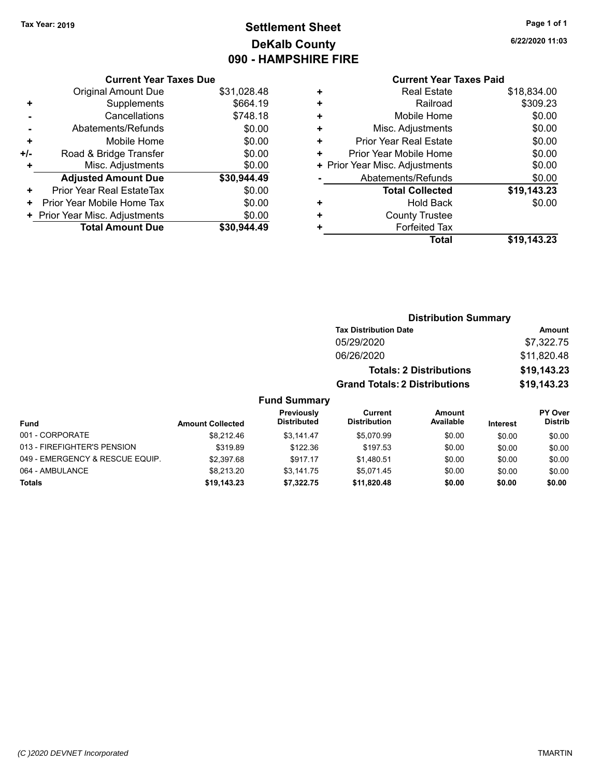# **Settlement Sheet Tax Year: 2019 Page 1 of 1 DeKalb County 090 - HAMPSHIRE FIRE**

**6/22/2020 11:03**

### **Current Year Taxes Due**

|     | <b>Original Amount Due</b>     | \$31,028.48 |
|-----|--------------------------------|-------------|
| ٠   | Supplements                    | \$664.19    |
|     | Cancellations                  | \$748.18    |
|     | Abatements/Refunds             | \$0.00      |
| ٠   | Mobile Home                    | \$0.00      |
| +/- | Road & Bridge Transfer         | \$0.00      |
| ٠   | Misc. Adjustments              | \$0.00      |
|     | <b>Adjusted Amount Due</b>     | \$30,944.49 |
| ٠   | Prior Year Real EstateTax      | \$0.00      |
| ٠   | Prior Year Mobile Home Tax     | \$0.00      |
|     | + Prior Year Misc. Adjustments | \$0.00      |
|     | <b>Total Amount Due</b>        | \$30.944.49 |

|   | <b>Current Year Taxes Paid</b> |             |
|---|--------------------------------|-------------|
| ٠ | <b>Real Estate</b>             | \$18,834.00 |
| ٠ | Railroad                       | \$309.23    |
| ٠ | Mobile Home                    | \$0.00      |
| ٠ | Misc. Adjustments              | \$0.00      |
| ٠ | <b>Prior Year Real Estate</b>  | \$0.00      |
| ٠ | Prior Year Mobile Home         | \$0.00      |
|   | + Prior Year Misc. Adjustments | \$0.00      |
|   | Abatements/Refunds             | \$0.00      |
|   | <b>Total Collected</b>         | \$19,143.23 |
| ٠ | <b>Hold Back</b>               | \$0.00      |
|   | <b>County Trustee</b>          |             |
| ٠ | <b>Forfeited Tax</b>           |             |
|   | <b>Total</b>                   | \$19,143.23 |
|   |                                |             |

#### **Distribution Summary Tax Distribution Date Amount** 05/29/2020 \$7,322.75 06/26/2020 \$11,820.48 **Totals: 2 Distributions \$19,143.23 Grand Totals: 2 Distributions \$19,143.23 Fund Summary Fund Interest Amount Collected Distributed PY Over Distrib Amount Available Current Distribution Previously** 001 - CORPORATE 68,212.46 \$3,141.47 \$5,070.99 \$0.00 \$0.00 \$0.00 013 - FIREFIGHTER'S PENSION \$319.89 \$122.36 \$197.53 \$0.00 \$0.00 \$0.00 \$0.00 049 - EMERGENCY & RESCUE EQUIP. \$2,397.68 \$917.17 \$1,480.51 \$0.00 \$0.00 \$0.00 \$0.00

064 - AMBULANCE 6 \$8,213.20 \$8,213.20 \$3,141.75 \$5,071.45 \$0.00 \$0.00 \$0.00 **Totals \$19,143.23 \$7,322.75 \$11,820.48 \$0.00 \$0.00 \$0.00**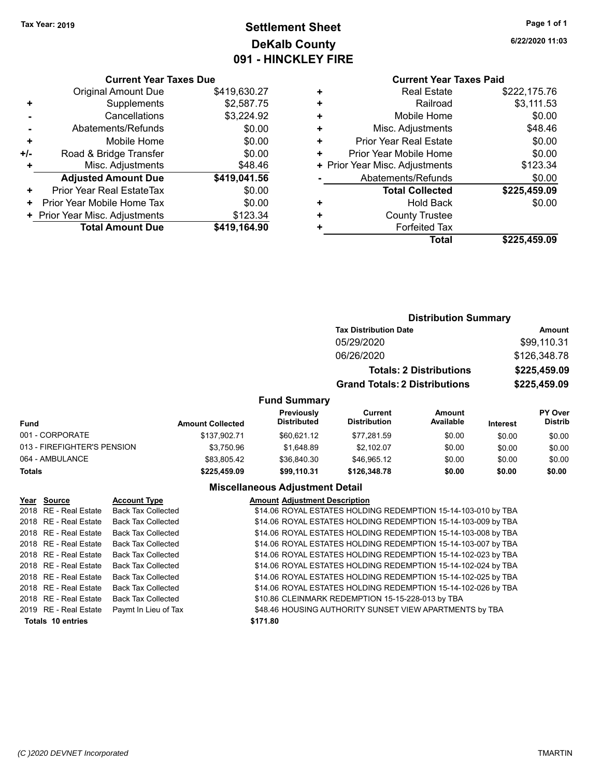# **Settlement Sheet Tax Year: 2019 Page 1 of 1 DeKalb County 091 - HINCKLEY FIRE**

**6/22/2020 11:03**

# **Current Year Taxes Paid**

|     | <b>Current Year Taxes Due</b>  |              |
|-----|--------------------------------|--------------|
|     | <b>Original Amount Due</b>     | \$419,630.27 |
| ٠   | Supplements                    | \$2,587.75   |
|     | Cancellations                  | \$3,224.92   |
|     | Abatements/Refunds             | \$0.00       |
| ÷   | Mobile Home                    | \$0.00       |
| +/- | Road & Bridge Transfer         | \$0.00       |
|     | Misc. Adjustments              | \$48.46      |
|     | <b>Adjusted Amount Due</b>     | \$419,041.56 |
| ٠   | Prior Year Real EstateTax      | \$0.00       |
| ٠   | Prior Year Mobile Home Tax     | \$0.00       |
|     | + Prior Year Misc. Adjustments | \$123.34     |
|     | <b>Total Amount Due</b>        | \$419,164.90 |
|     |                                |              |

|   | <b>Real Estate</b>             | \$222.175.76 |
|---|--------------------------------|--------------|
| ٠ | Railroad                       | \$3,111.53   |
| ٠ | Mobile Home                    | \$0.00       |
| ٠ | Misc. Adjustments              | \$48.46      |
| ٠ | <b>Prior Year Real Estate</b>  | \$0.00       |
| + | Prior Year Mobile Home         | \$0.00       |
|   | + Prior Year Misc. Adjustments | \$123.34     |
|   | Abatements/Refunds             | \$0.00       |
|   | <b>Total Collected</b>         | \$225,459.09 |
| ٠ | <b>Hold Back</b>               | \$0.00       |
| + | <b>County Trustee</b>          |              |
|   | <b>Forfeited Tax</b>           |              |
|   | Total                          | \$225.459.09 |
|   |                                |              |

## **Distribution Summary Tax Distribution Date Amount** 05/29/2020 \$99,110.31 06/26/2020 \$126,348.78 **Totals: 2 Distributions \$225,459.09 Grand Totals: 2 Distributions \$225,459.09 Fund Summary**

| <b>Fund</b>                 | <b>Amount Collected</b> | <b>Previously</b><br><b>Distributed</b> | Current<br><b>Distribution</b> | Amount<br>Available | <b>Interest</b> | <b>PY Over</b><br><b>Distrib</b> |
|-----------------------------|-------------------------|-----------------------------------------|--------------------------------|---------------------|-----------------|----------------------------------|
| 001 - CORPORATE             | \$137.902.71            | \$60.621.12                             | \$77.281.59                    | \$0.00              | \$0.00          | \$0.00                           |
| 013 - FIREFIGHTER'S PENSION | \$3.750.96              | \$1.648.89                              | \$2.102.07                     | \$0.00              | \$0.00          | \$0.00                           |
| 064 - AMBULANCE             | \$83.805.42             | \$36,840.30                             | \$46.965.12                    | \$0.00              | \$0.00          | \$0.00                           |
| <b>Totals</b>               | \$225.459.09            | \$99.110.31                             | \$126,348.78                   | \$0.00              | \$0.00          | \$0.00                           |

### **Miscellaneous Adjustment Detail**

| Year Source              | <b>Account Type</b>       | <b>Amount Adjustment Description</b>                          |
|--------------------------|---------------------------|---------------------------------------------------------------|
| 2018 RE - Real Estate    | <b>Back Tax Collected</b> | \$14.06 ROYAL ESTATES HOLDING REDEMPTION 15-14-103-010 by TBA |
| 2018 RE - Real Estate    | <b>Back Tax Collected</b> | \$14.06 ROYAL ESTATES HOLDING REDEMPTION 15-14-103-009 by TBA |
| 2018 RE - Real Estate    | <b>Back Tax Collected</b> | \$14.06 ROYAL ESTATES HOLDING REDEMPTION 15-14-103-008 by TBA |
| 2018 RE - Real Estate    | <b>Back Tax Collected</b> | \$14.06 ROYAL ESTATES HOLDING REDEMPTION 15-14-103-007 by TBA |
| 2018 RE - Real Estate    | <b>Back Tax Collected</b> | \$14.06 ROYAL ESTATES HOLDING REDEMPTION 15-14-102-023 by TBA |
| 2018 RE - Real Estate    | <b>Back Tax Collected</b> | \$14.06 ROYAL ESTATES HOLDING REDEMPTION 15-14-102-024 by TBA |
| 2018 RE - Real Estate    | <b>Back Tax Collected</b> | \$14.06 ROYAL ESTATES HOLDING REDEMPTION 15-14-102-025 by TBA |
| 2018 RE - Real Estate    | <b>Back Tax Collected</b> | \$14.06 ROYAL ESTATES HOLDING REDEMPTION 15-14-102-026 by TBA |
| 2018 RE - Real Estate    | <b>Back Tax Collected</b> | \$10.86 CLEINMARK REDEMPTION 15-15-228-013 by TBA             |
| 2019 RE - Real Estate    | Paymt In Lieu of Tax      | \$48.46 HOUSING AUTHORITY SUNSET VIEW APARTMENTS by TBA       |
| <b>Totals 10 entries</b> |                           | \$171.80                                                      |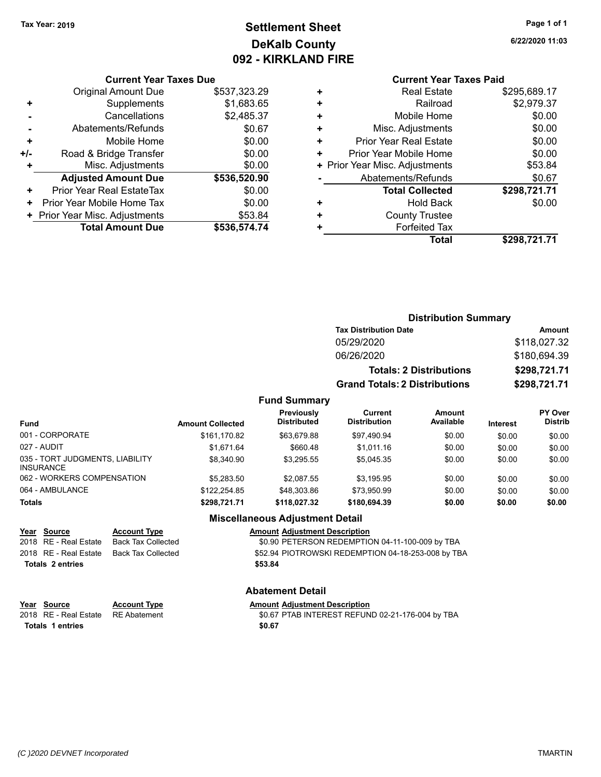# **Settlement Sheet Tax Year: 2019 Page 1 of 1 DeKalb County 092 - KIRKLAND FIRE**

**6/22/2020 11:03**

### **Current Year Taxes Due**

|     | <b>Original Amount Due</b>     | \$537,323.29 |
|-----|--------------------------------|--------------|
| ٠   | Supplements                    | \$1,683.65   |
|     | Cancellations                  | \$2,485.37   |
|     | Abatements/Refunds             | \$0.67       |
| ٠   | Mobile Home                    | \$0.00       |
| +/- | Road & Bridge Transfer         | \$0.00       |
| ٠   | Misc. Adjustments              | \$0.00       |
|     | <b>Adjusted Amount Due</b>     | \$536,520.90 |
| ٠   | Prior Year Real EstateTax      | \$0.00       |
| ٠   | Prior Year Mobile Home Tax     | \$0.00       |
|     | + Prior Year Misc. Adjustments | \$53.84      |
|     | <b>Total Amount Due</b>        | \$536,574.74 |

# **Current Year Taxes Paid**

| ٠ | <b>Real Estate</b>             | \$295,689.17 |
|---|--------------------------------|--------------|
| ٠ | Railroad                       | \$2,979.37   |
| ٠ | Mobile Home                    | \$0.00       |
| ٠ | Misc. Adjustments              | \$0.00       |
| ٠ | <b>Prior Year Real Estate</b>  | \$0.00       |
| ٠ | Prior Year Mobile Home         | \$0.00       |
|   | + Prior Year Misc. Adjustments | \$53.84      |
|   | Abatements/Refunds             | \$0.67       |
|   | <b>Total Collected</b>         | \$298,721.71 |
| ٠ | <b>Hold Back</b>               | \$0.00       |
| ٠ | <b>County Trustee</b>          |              |
| ٠ | <b>Forfeited Tax</b>           |              |
|   | Total                          | \$298,721.71 |
|   |                                |              |

#### **Distribution Summary Tax Distribution Date Amount** 05/29/2020 \$118,027.32 06/26/2020 \$180,694.39 **Totals: 2 Distributions \$298,721.71 Grand Totals: 2 Distributions \$298,721.71 Fund Summary PY O Distrib Amount Available Current Distribution Previously**

| <b>Fund</b>                                         | <b>Amount Collected</b> | <b>Previously</b><br><b>Distributed</b> | Current<br><b>Distribution</b> | Amount<br>Available | <b>Interest</b> | <b>PT OVER</b><br><b>Distrib</b> |
|-----------------------------------------------------|-------------------------|-----------------------------------------|--------------------------------|---------------------|-----------------|----------------------------------|
| 001 - CORPORATE                                     | \$161.170.82            | \$63,679.88                             | \$97.490.94                    | \$0.00              | \$0.00          | \$0.00                           |
| 027 - AUDIT                                         | \$1.671.64              | \$660.48                                | \$1.011.16                     | \$0.00              | \$0.00          | \$0.00                           |
| 035 - TORT JUDGMENTS, LIABILITY<br><b>INSURANCE</b> | \$8,340.90              | \$3.295.55                              | \$5.045.35                     | \$0.00              | \$0.00          | \$0.00                           |
| 062 - WORKERS COMPENSATION                          | \$5.283.50              | \$2.087.55                              | \$3.195.95                     | \$0.00              | \$0.00          | \$0.00                           |
| 064 - AMBULANCE                                     | \$122,254.85            | \$48,303.86                             | \$73.950.99                    | \$0.00              | \$0.00          | \$0.00                           |
| <b>Totals</b>                                       | \$298,721.71            | \$118.027.32                            | \$180,694.39                   | \$0.00              | \$0.00          | \$0.00                           |

### **Miscellaneous Adjustment Detail**

### **Year Source Account Type Amount Adjustment Description**

2018 RE - Real Estate Back Tax Collected \$0.90 PETERSON REDEMPTION 04-11-100-009 by TBA 2018 RE - Real Estate Back Tax Collected \$52.94 PIOTROWSKI REDEMPTION 04-18-253-008 by TBA **Totals \$53.84 2 entries**

### **Abatement Detail**

| Year Source             | <b>Account Type</b> | <b>Amount Adjustment Description</b>             |
|-------------------------|---------------------|--------------------------------------------------|
| 2018   RE - Real Estate | RE Abatement        | \$0.67 PTAB INTEREST REFUND 02-21-176-004 by TBA |
| Totals 1 entries        |                     | \$0.67                                           |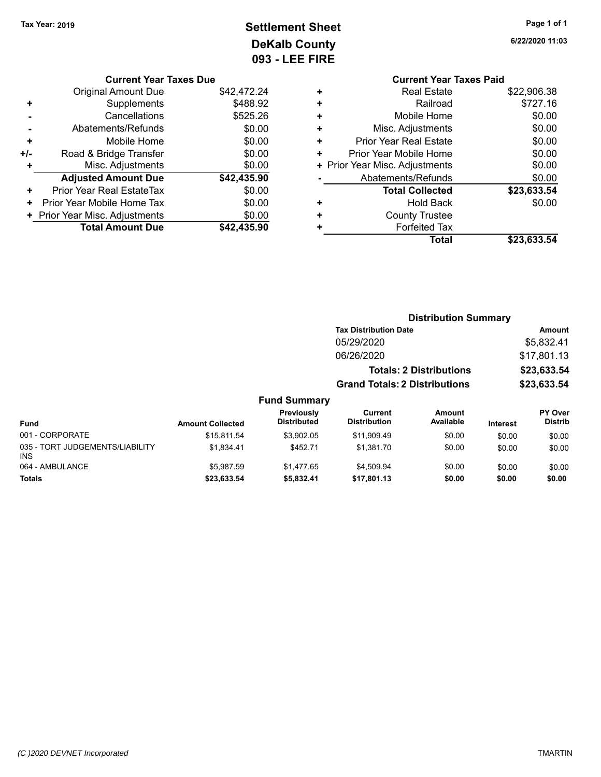# **Settlement Sheet Tax Year: 2019 Page 1 of 1 DeKalb County 093 - LEE FIRE**

**6/22/2020 11:03**

|        | <b>093 - LEE FIRE</b> |  |
|--------|-----------------------|--|
| $\sim$ |                       |  |

|     | <b>Current Year Taxes Due</b>  |             |
|-----|--------------------------------|-------------|
|     | <b>Original Amount Due</b>     | \$42,472.24 |
| ٠   | Supplements                    | \$488.92    |
|     | Cancellations                  | \$525.26    |
|     | Abatements/Refunds             | \$0.00      |
| ÷   | Mobile Home                    | \$0.00      |
| +/- | Road & Bridge Transfer         | \$0.00      |
| ٠   | Misc. Adjustments              | \$0.00      |
|     | <b>Adjusted Amount Due</b>     | \$42,435.90 |
| ٠   | Prior Year Real EstateTax      | \$0.00      |
| ٠   | Prior Year Mobile Home Tax     | \$0.00      |
|     | + Prior Year Misc. Adjustments | \$0.00      |
|     | <b>Total Amount Due</b>        | \$42.435.90 |

|   | <b>Current Year Taxes Paid</b> |             |
|---|--------------------------------|-------------|
| ٠ | <b>Real Estate</b>             | \$22,906.38 |
| ٠ | Railroad                       | \$727.16    |
| ٠ | Mobile Home                    | \$0.00      |
| ٠ | Misc. Adjustments              | \$0.00      |
| ٠ | <b>Prior Year Real Estate</b>  | \$0.00      |
| ٠ | Prior Year Mobile Home         | \$0.00      |
|   | + Prior Year Misc. Adjustments | \$0.00      |
|   | Abatements/Refunds             | \$0.00      |
|   | <b>Total Collected</b>         | \$23,633.54 |
| ٠ | <b>Hold Back</b>               | \$0.00      |
| ٠ | <b>County Trustee</b>          |             |
| ٠ | <b>Forfeited Tax</b>           |             |
|   | Total                          | \$23,633.54 |

|                                         | <b>Distribution Summary</b> |                                  |                                      |                                |                 |                           |
|-----------------------------------------|-----------------------------|----------------------------------|--------------------------------------|--------------------------------|-----------------|---------------------------|
|                                         |                             |                                  | <b>Tax Distribution Date</b>         |                                |                 | <b>Amount</b>             |
|                                         |                             |                                  | 05/29/2020                           |                                |                 | \$5,832.41                |
|                                         |                             |                                  | 06/26/2020                           |                                |                 | \$17,801.13               |
|                                         |                             |                                  |                                      | <b>Totals: 2 Distributions</b> |                 | \$23,633.54               |
|                                         |                             |                                  | <b>Grand Totals: 2 Distributions</b> |                                |                 | \$23,633.54               |
|                                         |                             | <b>Fund Summary</b>              |                                      |                                |                 |                           |
| <b>Fund</b>                             | <b>Amount Collected</b>     | Previously<br><b>Distributed</b> | Current<br><b>Distribution</b>       | Amount<br>Available            | <b>Interest</b> | PY Over<br><b>Distrib</b> |
| 001 - CORPORATE                         | \$15.811.54                 | \$3.902.05                       | \$11,909.49                          | \$0.00                         | \$0.00          | \$0.00                    |
| 035 - TORT JUDGEMENTS/LIABILITY<br>INS. | \$1,834.41                  | \$452.71                         | \$1,381.70                           | \$0.00                         | \$0.00          | \$0.00                    |
| 064 - AMBULANCE                         | \$5.987.59                  | \$1.477.65                       | \$4.509.94                           | \$0.00                         | \$0.00          | \$0.00                    |

**Totals \$23,633.54 \$5,832.41 \$17,801.13 \$0.00 \$0.00 \$0.00**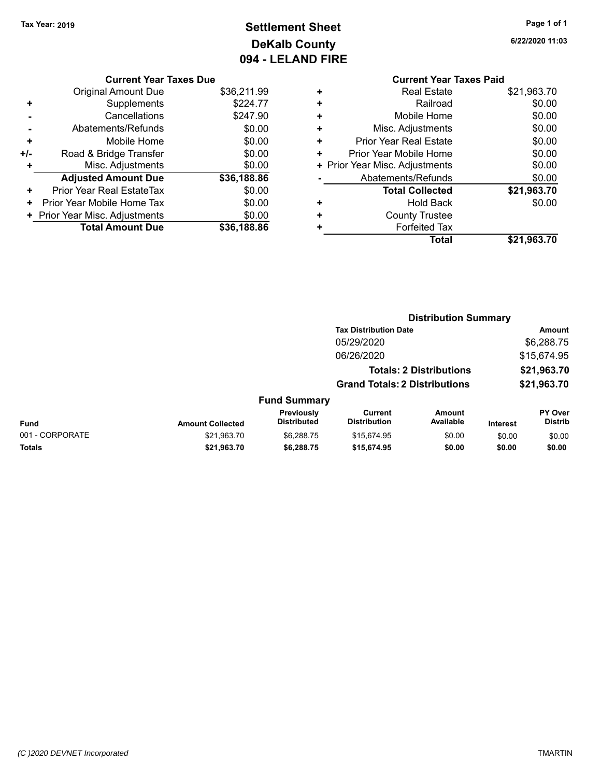# **Settlement Sheet Tax Year: 2019 Page 1 of 1 DeKalb County 094 - LELAND FIRE**

**6/22/2020 11:03**

# **Current Year Taxes Due**

|       | <b>Original Amount Due</b>       | \$36,211.99 |
|-------|----------------------------------|-------------|
| ٠     | Supplements                      | \$224.77    |
|       | Cancellations                    | \$247.90    |
|       | Abatements/Refunds               | \$0.00      |
| ٠     | Mobile Home                      | \$0.00      |
| $+/-$ | Road & Bridge Transfer           | \$0.00      |
| ٠     | Misc. Adjustments                | \$0.00      |
|       | <b>Adjusted Amount Due</b>       | \$36,188.86 |
| ÷     | <b>Prior Year Real EstateTax</b> | \$0.00      |
| ٠     | Prior Year Mobile Home Tax       | \$0.00      |
|       | + Prior Year Misc. Adjustments   | \$0.00      |
|       | <b>Total Amount Due</b>          | \$36,188.86 |
|       |                                  |             |

|   | <b>Current Year Taxes Paid</b> |             |
|---|--------------------------------|-------------|
| ٠ | <b>Real Estate</b>             | \$21,963.70 |
| ٠ | Railroad                       | \$0.00      |
|   | Mobile Home                    | \$0.00      |
| ٠ | Misc. Adjustments              | \$0.00      |
| ٠ | <b>Prior Year Real Estate</b>  | \$0.00      |
| ٠ | Prior Year Mobile Home         | \$0.00      |
|   | + Prior Year Misc. Adjustments | \$0.00      |
|   | Abatements/Refunds             | \$0.00      |
|   | <b>Total Collected</b>         | \$21,963.70 |
| ٠ | <b>Hold Back</b>               | \$0.00      |
|   | <b>County Trustee</b>          |             |
|   | <b>Forfeited Tax</b>           |             |
|   | Total                          | \$21,963.70 |
|   |                                |             |

|                 |                         |                                  | <b>Distribution Summary</b>           |                                |                 |                           |
|-----------------|-------------------------|----------------------------------|---------------------------------------|--------------------------------|-----------------|---------------------------|
|                 |                         |                                  | <b>Tax Distribution Date</b>          |                                |                 | <b>Amount</b>             |
|                 |                         |                                  | 05/29/2020                            |                                |                 | \$6,288.75                |
|                 |                         |                                  | 06/26/2020                            |                                |                 | \$15,674.95               |
|                 |                         |                                  |                                       | <b>Totals: 2 Distributions</b> |                 | \$21,963.70               |
|                 |                         |                                  | <b>Grand Totals: 2 Distributions</b>  |                                |                 | \$21,963.70               |
|                 |                         | <b>Fund Summary</b>              |                                       |                                |                 |                           |
| <b>Fund</b>     | <b>Amount Collected</b> | Previously<br><b>Distributed</b> | <b>Current</b><br><b>Distribution</b> | <b>Amount</b><br>Available     | <b>Interest</b> | PY Over<br><b>Distrib</b> |
| 001 - CORPORATE | \$21.963.70             | \$6.288.75                       | \$15.674.95                           | \$0.00                         | \$0.00          | \$0.00                    |
| <b>Totals</b>   | \$21,963.70             | \$6,288.75                       | \$15,674.95                           | \$0.00                         | \$0.00          | \$0.00                    |
|                 |                         |                                  |                                       |                                |                 |                           |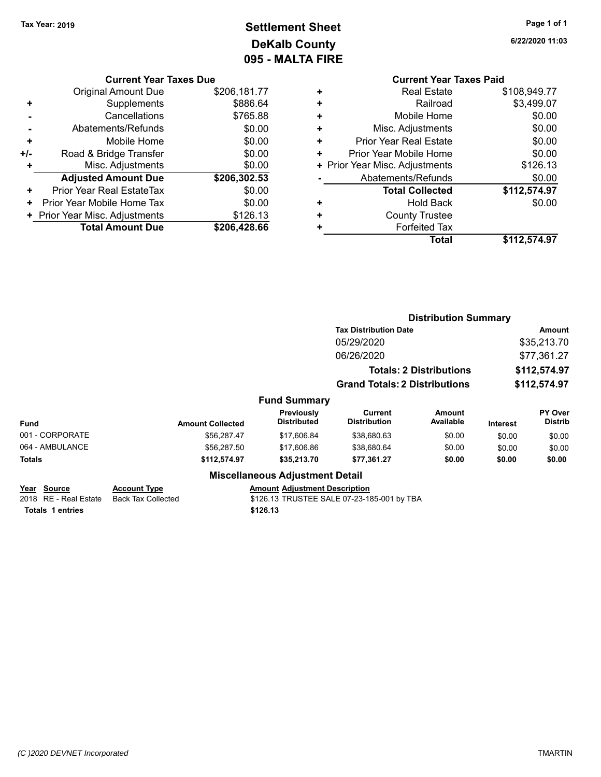# **Settlement Sheet Tax Year: 2019 Page 1 of 1 DeKalb County 095 - MALTA FIRE**

**6/22/2020 11:03**

|     | <b>Current Year Taxes Due</b>  |              |
|-----|--------------------------------|--------------|
|     | <b>Original Amount Due</b>     | \$206,181.77 |
| ٠   | Supplements                    | \$886.64     |
|     | Cancellations                  | \$765.88     |
|     | Abatements/Refunds             | \$0.00       |
| ٠   | Mobile Home                    | \$0.00       |
| +/- | Road & Bridge Transfer         | \$0.00       |
|     | Misc. Adjustments              | \$0.00       |
|     | <b>Adjusted Amount Due</b>     | \$206,302.53 |
| ٠   | Prior Year Real EstateTax      | \$0.00       |
| ٠   | Prior Year Mobile Home Tax     | \$0.00       |
|     | + Prior Year Misc. Adjustments | \$126.13     |
|     | <b>Total Amount Due</b>        | \$206,428.66 |
|     |                                |              |

|   | <b>Current Year Taxes Paid</b> |              |
|---|--------------------------------|--------------|
| ٠ | <b>Real Estate</b>             | \$108,949.77 |
| ٠ | Railroad                       | \$3,499.07   |
| ٠ | Mobile Home                    | \$0.00       |
| ٠ | Misc. Adjustments              | \$0.00       |
| ٠ | <b>Prior Year Real Estate</b>  | \$0.00       |
| ٠ | Prior Year Mobile Home         | \$0.00       |
|   | + Prior Year Misc. Adjustments | \$126.13     |
|   | Abatements/Refunds             | \$0.00       |
|   | <b>Total Collected</b>         | \$112,574.97 |
| ٠ | <b>Hold Back</b>               | \$0.00       |
|   | <b>County Trustee</b>          |              |
|   | <b>Forfeited Tax</b>           |              |
|   | Total                          | \$112,574.97 |
|   |                                |              |

|                                                                 |                                                  |                                                  | <b>Distribution Summary</b>                |                                |                 |                                  |
|-----------------------------------------------------------------|--------------------------------------------------|--------------------------------------------------|--------------------------------------------|--------------------------------|-----------------|----------------------------------|
|                                                                 |                                                  |                                                  | <b>Tax Distribution Date</b>               |                                | <b>Amount</b>   |                                  |
|                                                                 |                                                  |                                                  | 05/29/2020                                 |                                |                 | \$35,213.70                      |
|                                                                 |                                                  |                                                  | 06/26/2020                                 |                                |                 | \$77,361.27                      |
|                                                                 |                                                  |                                                  |                                            | <b>Totals: 2 Distributions</b> |                 | \$112,574.97                     |
|                                                                 |                                                  |                                                  | <b>Grand Totals: 2 Distributions</b>       |                                |                 | \$112,574.97                     |
|                                                                 |                                                  | <b>Fund Summary</b>                              |                                            |                                |                 |                                  |
| Fund                                                            | <b>Amount Collected</b>                          | <b>Previously</b><br><b>Distributed</b>          | Current<br><b>Distribution</b>             | <b>Amount</b><br>Available     | <b>Interest</b> | <b>PY Over</b><br><b>Distrib</b> |
| 001 - CORPORATE                                                 | \$56,287.47                                      | \$17,606.84                                      | \$38,680.63                                | \$0.00                         | \$0.00          | \$0.00                           |
| 064 - AMBULANCE                                                 | \$56,287.50                                      | \$17,606.86                                      | \$38,680.64                                | \$0.00                         | \$0.00          | \$0.00                           |
| Totals                                                          | \$112,574.97                                     | \$35,213.70                                      | \$77,361.27                                | \$0.00                         | \$0.00          | \$0.00                           |
|                                                                 |                                                  | <b>Miscellaneous Adjustment Detail</b>           |                                            |                                |                 |                                  |
| Year Source<br>2018 RE - Real Estate<br><b>Totals 1 entries</b> | <b>Account Type</b><br><b>Back Tax Collected</b> | <b>Amount Adjustment Description</b><br>\$126.13 | \$126.13 TRUSTEE SALE 07-23-185-001 by TBA |                                |                 |                                  |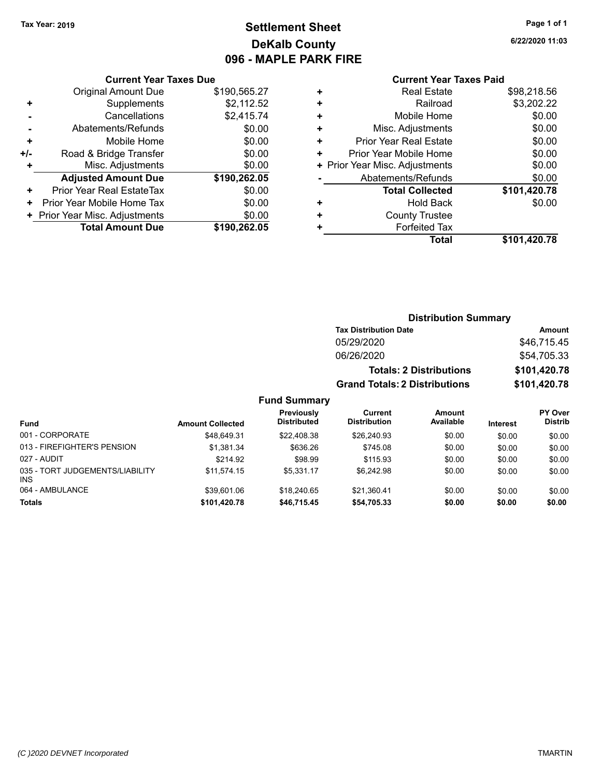# **Settlement Sheet Tax Year: 2019 Page 1 of 1 DeKalb County 096 - MAPLE PARK FIRE**

**6/22/2020 11:03**

# **Current Year Taxes Paid**

|       | <b>Current Year Taxes Due</b>  |              |
|-------|--------------------------------|--------------|
|       | <b>Original Amount Due</b>     | \$190,565.27 |
| ٠     | Supplements                    | \$2,112.52   |
|       | Cancellations                  | \$2,415.74   |
|       | Abatements/Refunds             | \$0.00       |
| ٠     | Mobile Home                    | \$0.00       |
| $+/-$ | Road & Bridge Transfer         | \$0.00       |
|       | Misc. Adjustments              | \$0.00       |
|       | <b>Adjusted Amount Due</b>     | \$190,262.05 |
| ÷     | Prior Year Real EstateTax      | \$0.00       |
| ٠     | Prior Year Mobile Home Tax     | \$0.00       |
|       | + Prior Year Misc. Adjustments | \$0.00       |
|       | <b>Total Amount Due</b>        | \$190,262.05 |
|       |                                |              |

|   | <b>Real Estate</b>             | \$98,218.56  |
|---|--------------------------------|--------------|
| ٠ | Railroad                       | \$3,202.22   |
| ٠ | Mobile Home                    | \$0.00       |
| ٠ | Misc. Adjustments              | \$0.00       |
| ٠ | <b>Prior Year Real Estate</b>  | \$0.00       |
| ٠ | Prior Year Mobile Home         | \$0.00       |
|   | + Prior Year Misc. Adjustments | \$0.00       |
|   | Abatements/Refunds             | \$0.00       |
|   | <b>Total Collected</b>         | \$101,420.78 |
| ٠ | <b>Hold Back</b>               | \$0.00       |
| ٠ | <b>County Trustee</b>          |              |
| ٠ | <b>Forfeited Tax</b>           |              |
|   | Total                          | \$101,420.78 |
|   |                                |              |

### **Distribution Summary Tax Distribution Date Amount** 05/29/2020 \$46,715.45 06/26/2020 \$54,705.33 **Totals: 2 Distributions \$101,420.78 Grand Totals: 2 Distributions \$101,420.78 Fund Summary**

| <b>Fund</b>                             | <b>Amount Collected</b> | Previously<br><b>Distributed</b> | Current<br><b>Distribution</b> | <b>Amount</b><br>Available | <b>Interest</b> | <b>PY Over</b><br><b>Distrib</b> |
|-----------------------------------------|-------------------------|----------------------------------|--------------------------------|----------------------------|-----------------|----------------------------------|
| 001 - CORPORATE                         | \$48.649.31             | \$22,408.38                      | \$26,240.93                    | \$0.00                     | \$0.00          | \$0.00                           |
| 013 - FIREFIGHTER'S PENSION             | \$1,381.34              | \$636.26                         | \$745.08                       | \$0.00                     | \$0.00          | \$0.00                           |
| 027 - AUDIT                             | \$214.92                | \$98.99                          | \$115.93                       | \$0.00                     | \$0.00          | \$0.00                           |
| 035 - TORT JUDGEMENTS/LIABILITY<br>INS. | \$11.574.15             | \$5.331.17                       | \$6.242.98                     | \$0.00                     | \$0.00          | \$0.00                           |
| 064 - AMBULANCE                         | \$39,601.06             | \$18,240.65                      | \$21.360.41                    | \$0.00                     | \$0.00          | \$0.00                           |
| <b>Totals</b>                           | \$101,420.78            | \$46.715.45                      | \$54,705.33                    | \$0.00                     | \$0.00          | \$0.00                           |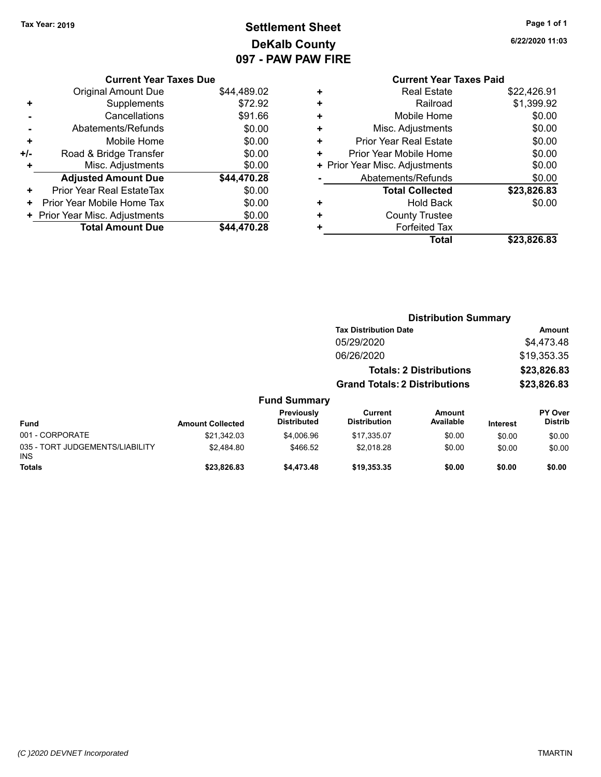# **Settlement Sheet Tax Year: 2019 Page 1 of 1 DeKalb County 097 - PAW PAW FIRE**

**6/22/2020 11:03**

|   | Currer |
|---|--------|
| ┻ | Real   |

|     | <b>Current Year Taxes Due</b>  |             |
|-----|--------------------------------|-------------|
|     | <b>Original Amount Due</b>     | \$44,489.02 |
| ٠   | Supplements                    | \$72.92     |
|     | Cancellations                  | \$91.66     |
|     | Abatements/Refunds             | \$0.00      |
| ٠   | Mobile Home                    | \$0.00      |
| +/- | Road & Bridge Transfer         | \$0.00      |
| ٠   | Misc. Adjustments              | \$0.00      |
|     | <b>Adjusted Amount Due</b>     | \$44,470.28 |
| ٠   | Prior Year Real EstateTax      | \$0.00      |
| ٠   | Prior Year Mobile Home Tax     | \$0.00      |
|     | + Prior Year Misc. Adjustments | \$0.00      |
|     | <b>Total Amount Due</b>        | \$44.470.28 |
|     |                                |             |

|   | <b>Current Year Taxes Paid</b> |             |
|---|--------------------------------|-------------|
| ٠ | <b>Real Estate</b>             | \$22,426.91 |
| ٠ | Railroad                       | \$1,399.92  |
| ٠ | Mobile Home                    | \$0.00      |
| ٠ | Misc. Adjustments              | \$0.00      |
| ÷ | <b>Prior Year Real Estate</b>  | \$0.00      |
| + | Prior Year Mobile Home         | \$0.00      |
|   | + Prior Year Misc. Adjustments | \$0.00      |
|   | Abatements/Refunds             | \$0.00      |
|   | <b>Total Collected</b>         | \$23,826.83 |
| ٠ | <b>Hold Back</b>               | \$0.00      |
| ٠ | <b>County Trustee</b>          |             |
| ٠ | <b>Forfeited Tax</b>           |             |
|   | <b>Total</b>                   | \$23,826.83 |

|                                               |                         | <b>Distribution Summary</b>      |                                      |                                |                 |                                  |
|-----------------------------------------------|-------------------------|----------------------------------|--------------------------------------|--------------------------------|-----------------|----------------------------------|
|                                               |                         |                                  | <b>Tax Distribution Date</b>         |                                |                 | Amount                           |
|                                               |                         |                                  | 05/29/2020                           |                                |                 | \$4,473.48                       |
|                                               |                         |                                  | 06/26/2020                           |                                |                 | \$19,353.35                      |
|                                               |                         |                                  |                                      | <b>Totals: 2 Distributions</b> |                 | \$23,826.83                      |
|                                               |                         |                                  | <b>Grand Totals: 2 Distributions</b> |                                | \$23,826.83     |                                  |
|                                               |                         | <b>Fund Summary</b>              |                                      |                                |                 |                                  |
| <b>Fund</b>                                   | <b>Amount Collected</b> | Previously<br><b>Distributed</b> | Current<br><b>Distribution</b>       | Amount<br>Available            | <b>Interest</b> | <b>PY Over</b><br><b>Distrib</b> |
| 001 - CORPORATE                               | \$21,342.03             | \$4,006.96                       | \$17,335.07                          | \$0.00                         | \$0.00          | \$0.00                           |
| 035 - TORT JUDGEMENTS/LIABILITY<br><b>INS</b> | \$2,484.80              | \$466.52                         | \$2,018.28                           | \$0.00                         | \$0.00          | \$0.00                           |
| <b>Totals</b>                                 | \$23,826.83             | \$4,473.48                       | \$19,353.35                          | \$0.00                         | \$0.00          | \$0.00                           |

#### *(C )2020 DEVNET Incorporated* TMARTIN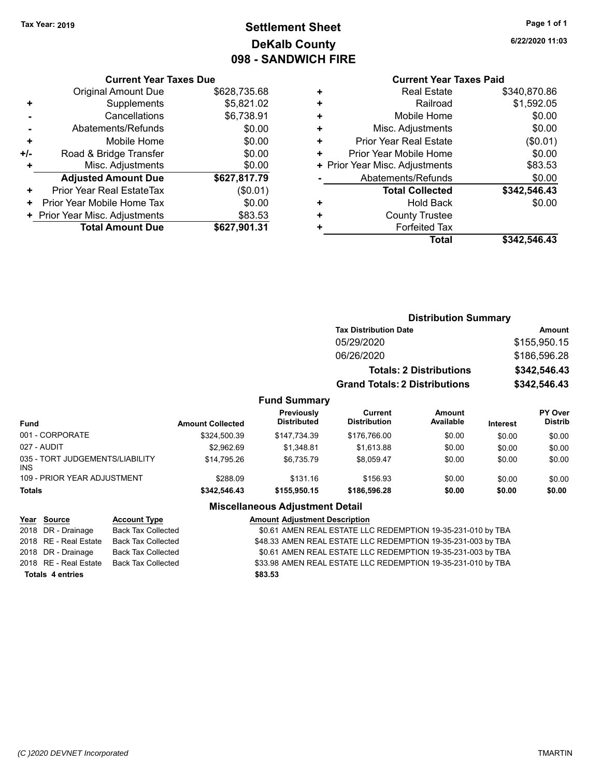# **Settlement Sheet Tax Year: 2019 Page 1 of 1 DeKalb County 098 - SANDWICH FIRE**

**6/22/2020 11:03**

### **Current Year Taxes Paid**

| <b>Original Amount Due</b> | \$628,735.68                                                                               |
|----------------------------|--------------------------------------------------------------------------------------------|
| Supplements                | \$5,821.02                                                                                 |
| Cancellations              | \$6,738.91                                                                                 |
| Abatements/Refunds         | \$0.00                                                                                     |
| Mobile Home                | \$0.00                                                                                     |
| Road & Bridge Transfer     | \$0.00                                                                                     |
| Misc. Adjustments          | \$0.00                                                                                     |
| <b>Adjusted Amount Due</b> | \$627,817.79                                                                               |
| Prior Year Real EstateTax  | (\$0.01)                                                                                   |
| Prior Year Mobile Home Tax | \$0.00                                                                                     |
|                            | \$83.53                                                                                    |
|                            | \$627,901.31                                                                               |
|                            | <b>Current Year Taxes Due</b><br>+ Prior Year Misc. Adjustments<br><b>Total Amount Due</b> |

| ٠ | <b>Real Estate</b>             | \$340,870.86 |
|---|--------------------------------|--------------|
| ٠ | Railroad                       | \$1,592.05   |
| ٠ | Mobile Home                    | \$0.00       |
| ٠ | Misc. Adjustments              | \$0.00       |
| ٠ | <b>Prior Year Real Estate</b>  | (\$0.01)     |
| ٠ | Prior Year Mobile Home         | \$0.00       |
|   | + Prior Year Misc. Adjustments | \$83.53      |
|   | Abatements/Refunds             | \$0.00       |
|   | <b>Total Collected</b>         | \$342,546.43 |
| ٠ | <b>Hold Back</b>               | \$0.00       |
| ٠ | <b>County Trustee</b>          |              |
| ٠ | <b>Forfeited Tax</b>           |              |
|   | Total                          | \$342,546.43 |
|   |                                |              |

|                                               |                         |                                         |                                      | <b>Distribution Summary</b>    |                 |                                  |
|-----------------------------------------------|-------------------------|-----------------------------------------|--------------------------------------|--------------------------------|-----------------|----------------------------------|
|                                               |                         |                                         | <b>Tax Distribution Date</b>         | <b>Amount</b>                  |                 |                                  |
|                                               |                         |                                         | 05/29/2020                           |                                |                 | \$155,950.15                     |
|                                               |                         |                                         | 06/26/2020                           |                                |                 | \$186,596.28                     |
|                                               |                         |                                         |                                      | <b>Totals: 2 Distributions</b> | \$342,546.43    |                                  |
|                                               |                         |                                         | <b>Grand Totals: 2 Distributions</b> |                                |                 | \$342,546.43                     |
|                                               |                         | <b>Fund Summary</b>                     |                                      |                                |                 |                                  |
| <b>Fund</b>                                   | <b>Amount Collected</b> | <b>Previously</b><br><b>Distributed</b> | Current<br><b>Distribution</b>       | Amount<br>Available            | <b>Interest</b> | <b>PY Over</b><br><b>Distrib</b> |
| 001 - CORPORATE                               | \$324,500.39            | \$147,734.39                            | \$176,766.00                         | \$0.00                         | \$0.00          | \$0.00                           |
| 027 - AUDIT                                   | \$2,962.69              | \$1,348.81                              | \$1,613.88                           | \$0.00                         | \$0.00          | \$0.00                           |
| 035 - TORT JUDGEMENTS/LIABILITY<br><b>INS</b> | \$14.795.26             | \$6,735.79                              | \$8,059.47                           | \$0.00                         | \$0.00          | \$0.00                           |
| 109 - PRIOR YEAR ADJUSTMENT                   | \$288.09                | \$131.16                                | \$156.93                             | \$0.00                         | \$0.00          | \$0.00                           |
| <b>Totals</b>                                 | \$342,546.43            | \$155,950.15                            | \$186,596.28                         | \$0.00                         | \$0.00          | \$0.00                           |

### **Miscellaneous Adjustment Detail**

#### **Year Source Account Type Amount Adjustment Description**

2018 DR - Drainage Back Tax Collected \$0.61 AMEN REAL ESTATE LLC REDEMPTION 19-35-231-010 by TBA 2018 RE - Real Estate Back Tax Collected \$48.33 AMEN REAL ESTATE LLC REDEMPTION 19-35-231-003 by TBA 2018 DR - Drainage Back Tax Collected \$0.61 AMEN REAL ESTATE LLC REDEMPTION 19-35-231-003 by TBA 2018 RE - Real Estate Back Tax Collected \$33.98 AMEN REAL ESTATE LLC REDEMPTION 19-35-231-010 by TBA **Totals \$83.53 4 entries**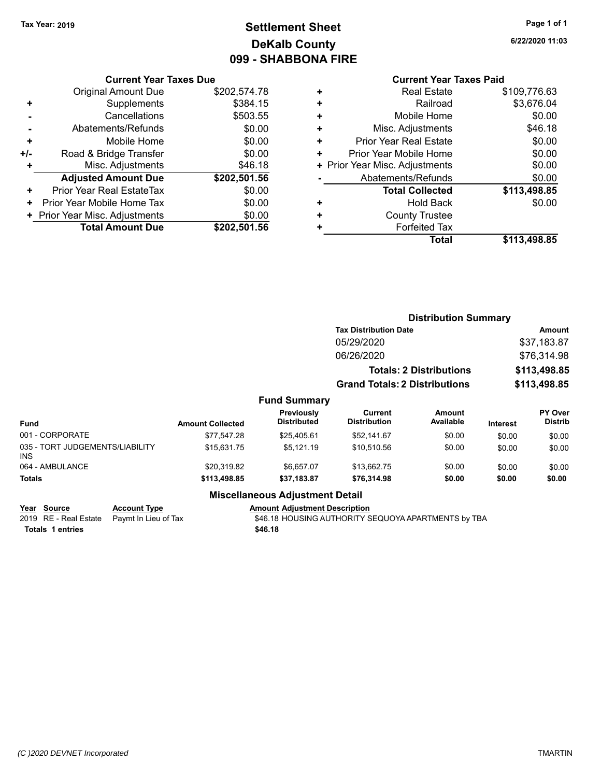# **Settlement Sheet Tax Year: 2019 Page 1 of 1 DeKalb County 099 - SHABBONA FIRE**

#### **Current Year Taxes Due**

|       | <b>Original Amount Due</b>     | \$202,574.78 |
|-------|--------------------------------|--------------|
| ٠     | Supplements                    | \$384.15     |
|       | Cancellations                  | \$503.55     |
|       | Abatements/Refunds             | \$0.00       |
| ٠     | Mobile Home                    | \$0.00       |
| $+/-$ | Road & Bridge Transfer         | \$0.00       |
| ٠     | Misc. Adjustments              | \$46.18      |
|       | <b>Adjusted Amount Due</b>     | \$202,501.56 |
| ٠     | Prior Year Real EstateTax      | \$0.00       |
| ٠     | Prior Year Mobile Home Tax     | \$0.00       |
|       | + Prior Year Misc. Adjustments | \$0.00       |
|       | <b>Total Amount Due</b>        | \$202,501.56 |

### **Current Year Taxes Paid**

| ٠ | <b>Real Estate</b>             | \$109,776.63 |
|---|--------------------------------|--------------|
| ٠ | Railroad                       | \$3,676.04   |
| ٠ | Mobile Home                    | \$0.00       |
| ٠ | Misc. Adjustments              | \$46.18      |
| ٠ | <b>Prior Year Real Estate</b>  | \$0.00       |
| ٠ | Prior Year Mobile Home         | \$0.00       |
|   | + Prior Year Misc. Adjustments | \$0.00       |
|   | Abatements/Refunds             | \$0.00       |
|   | <b>Total Collected</b>         | \$113,498.85 |
| ٠ | <b>Hold Back</b>               | \$0.00       |
| ٠ | <b>County Trustee</b>          |              |
| ٠ | <b>Forfeited Tax</b>           |              |
|   | Total                          | \$113,498.85 |
|   |                                |              |

#### **Distribution Summary Tax Distribution Date Amount** 05/29/2020 \$37,183.87 06/26/2020 \$76,314.98 **Totals: 2 Distributions \$113,498.85 Grand Totals: 2 Distributions \$113,498.85 Fund Summary Fund Interest Amount Collected Distributed PY Over Distrib Amount Available Current Distribution Previously** 001 - CORPORATE \$77,547.28 \$25,405.61 \$52,141.67 \$0.00 \$0.00 \$0.00 035 - TORT JUDGEMENTS/LIABILITY \$15,631.75 \$5,121.19 \$10,510.56 \$0.00 \$0.00 \$0.00 064 - AMBULANCE \$20,319.82 \$6,657.07 \$13,662.75 \$0.00 \$0.00 \$0.00 **Totals \$113,498.85 \$37,183.87 \$76,314.98 \$0.00 \$0.00 \$0.00 Miscellaneous Adjustment Detail**

### **Year** Source **Account Type A** Anneunt Adjustment Description 2019 RE - Real Estate Paymt In Lieu of Tax \$46.18 HOUSING AUTHORITY SEQUOYA APARTMENTS by TBA **Totals \$46.18 1 entries**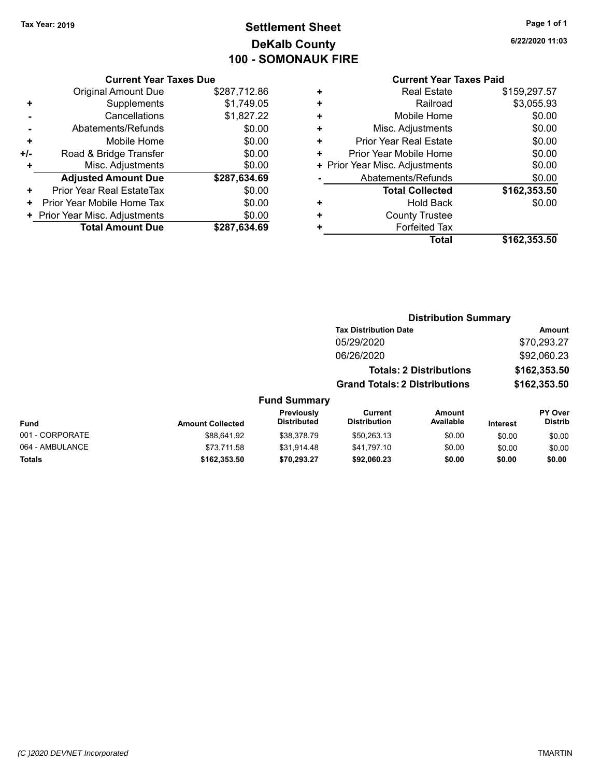# **Settlement Sheet Tax Year: 2019 Page 1 of 1 DeKalb County 100 - SOMONAUK FIRE**

**6/22/2020 11:03**

### **Current Year Taxes Paid**

|     | <b>Current Year Taxes Due</b>  |              |
|-----|--------------------------------|--------------|
|     | <b>Original Amount Due</b>     | \$287,712.86 |
| ٠   | Supplements                    | \$1,749.05   |
|     | Cancellations                  | \$1,827.22   |
|     | Abatements/Refunds             | \$0.00       |
| ٠   | Mobile Home                    | \$0.00       |
| +/- | Road & Bridge Transfer         | \$0.00       |
|     | Misc. Adjustments              | \$0.00       |
|     | <b>Adjusted Amount Due</b>     | \$287,634.69 |
| ٠   | Prior Year Real EstateTax      | \$0.00       |
| ٠   | Prior Year Mobile Home Tax     | \$0.00       |
|     | + Prior Year Misc. Adjustments | \$0.00       |
|     | <b>Total Amount Due</b>        | \$287,634.69 |

| ٠ | <b>Real Estate</b>             | \$159,297.57 |
|---|--------------------------------|--------------|
| ٠ | Railroad                       | \$3,055.93   |
| ٠ | Mobile Home                    | \$0.00       |
| ٠ | Misc. Adjustments              | \$0.00       |
| ٠ | <b>Prior Year Real Estate</b>  | \$0.00       |
| ٠ | Prior Year Mobile Home         | \$0.00       |
|   | + Prior Year Misc. Adjustments | \$0.00       |
|   | Abatements/Refunds             | \$0.00       |
|   | <b>Total Collected</b>         | \$162,353.50 |
| ٠ | <b>Hold Back</b>               | \$0.00       |
| ٠ | <b>County Trustee</b>          |              |
| ٠ | <b>Forfeited Tax</b>           |              |
|   | Total                          | \$162,353.50 |
|   |                                |              |

|                 |                         |                                  | <b>Distribution Summary</b>           |                                |                 |                           |  |
|-----------------|-------------------------|----------------------------------|---------------------------------------|--------------------------------|-----------------|---------------------------|--|
|                 |                         |                                  | <b>Tax Distribution Date</b>          |                                |                 | Amount                    |  |
|                 |                         |                                  | 05/29/2020                            |                                |                 | \$70,293.27               |  |
|                 |                         |                                  | 06/26/2020                            |                                |                 | \$92,060.23               |  |
|                 |                         |                                  |                                       | <b>Totals: 2 Distributions</b> |                 | \$162,353.50              |  |
|                 |                         |                                  | <b>Grand Totals: 2 Distributions</b>  |                                | \$162,353.50    |                           |  |
|                 |                         | <b>Fund Summary</b>              |                                       |                                |                 |                           |  |
| <b>Fund</b>     | <b>Amount Collected</b> | Previously<br><b>Distributed</b> | <b>Current</b><br><b>Distribution</b> | Amount<br>Available            | <b>Interest</b> | PY Over<br><b>Distrib</b> |  |
| 001 - CORPORATE | \$88.641.92             | \$38,378.79                      | \$50,263.13                           | \$0.00                         | \$0.00          | \$0.00                    |  |
| 064 - AMBULANCE | \$73.711.58             | \$31,914.48                      | \$41.797.10                           | \$0.00                         | \$0.00          | \$0.00                    |  |
| <b>Totals</b>   | \$162,353.50            | \$70,293.27                      | \$92,060.23                           | \$0.00                         | \$0.00          | \$0.00                    |  |
|                 |                         |                                  |                                       |                                |                 |                           |  |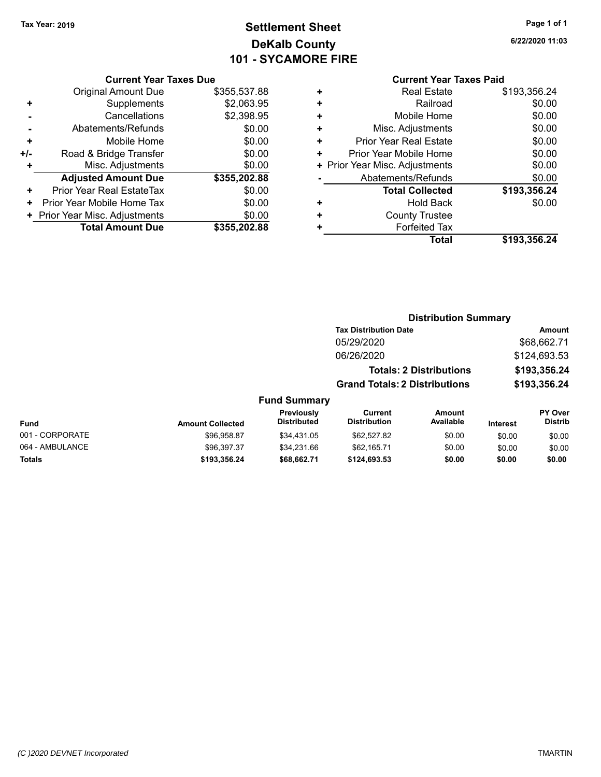# **Settlement Sheet Tax Year: 2019 Page 1 of 1 DeKalb County 101 - SYCAMORE FIRE**

**6/22/2020 11:03**

### **Current Year Taxes Due**

|     | <b>Original Amount Due</b>     | \$355,537.88 |
|-----|--------------------------------|--------------|
| ٠   | Supplements                    | \$2,063.95   |
|     | Cancellations                  | \$2,398.95   |
|     | Abatements/Refunds             | \$0.00       |
| ٠   | Mobile Home                    | \$0.00       |
| +/- | Road & Bridge Transfer         | \$0.00       |
| ٠   | Misc. Adjustments              | \$0.00       |
|     | <b>Adjusted Amount Due</b>     | \$355,202.88 |
| ٠   | Prior Year Real EstateTax      | \$0.00       |
| ٠   | Prior Year Mobile Home Tax     | \$0.00       |
|     | + Prior Year Misc. Adjustments | \$0.00       |
|     | <b>Total Amount Due</b>        | \$355,202.88 |

### **Current Year Taxes Paid**

|   | Total                          | \$193,356.24 |
|---|--------------------------------|--------------|
| ÷ | <b>Forfeited Tax</b>           |              |
| ٠ | <b>County Trustee</b>          |              |
| ٠ | <b>Hold Back</b>               | \$0.00       |
|   | <b>Total Collected</b>         | \$193,356.24 |
|   | Abatements/Refunds             | \$0.00       |
|   | + Prior Year Misc. Adjustments | \$0.00       |
| ٠ | Prior Year Mobile Home         | \$0.00       |
| ÷ | <b>Prior Year Real Estate</b>  | \$0.00       |
| ٠ | Misc. Adjustments              | \$0.00       |
| ٠ | Mobile Home                    | \$0.00       |
| ٠ | Railroad                       | \$0.00       |
|   | <b>Real Estate</b>             | \$193,356.24 |

#### **Distribution Summary Tax Distribution Date Amount** 05/29/2020 \$68,662.71 06/26/2020 \$124,693.53 **Totals: 2 Distributions \$193,356.24 Grand Totals: 2 Distributions \$193,356.24 Fund Summary PY Over Amount Current Previously**

| Fund            | <b>Amount Collected</b> | <b>Previously</b><br><b>Distributed</b> | Current<br><b>Distribution</b> | Amount<br>Available | <b>Interest</b> | <b>PY Over</b><br><b>Distrib</b> |
|-----------------|-------------------------|-----------------------------------------|--------------------------------|---------------------|-----------------|----------------------------------|
| 001 - CORPORATE | \$96,958.87             | \$34,431.05                             | \$62,527.82                    | \$0.00              | \$0.00          | \$0.00                           |
| 064 - AMBULANCE | \$96,397.37             | \$34.231.66                             | \$62,165.71                    | \$0.00              | \$0.00          | \$0.00                           |
| Totals          | \$193.356.24            | \$68,662.71                             | \$124,693.53                   | \$0.00              | \$0.00          | \$0.00                           |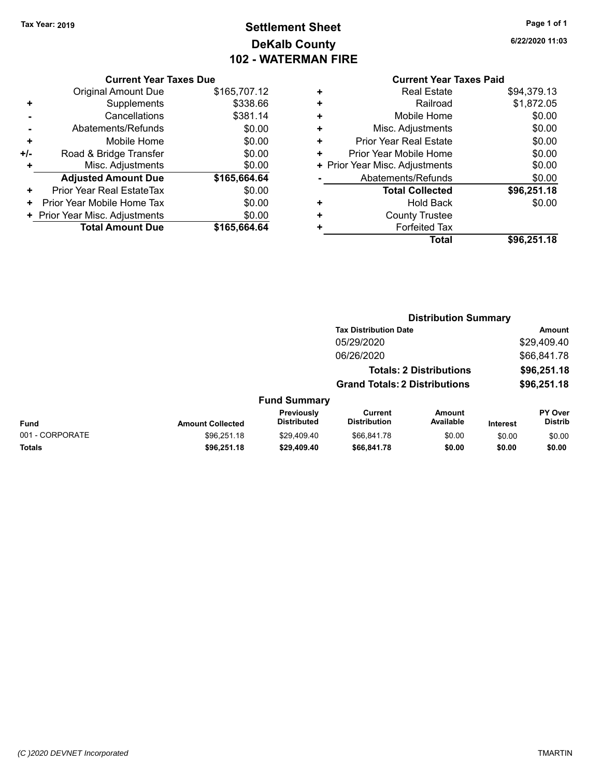# **Settlement Sheet Tax Year: 2019 Page 1 of 1 DeKalb County 102 - WATERMAN FIRE**

**6/22/2020 11:03**

| <b>Current Year Taxes Due</b> |  |  |
|-------------------------------|--|--|
|                               |  |  |

|     | <b>Original Amount Due</b>       | \$165,707.12 |
|-----|----------------------------------|--------------|
| ٠   | Supplements                      | \$338.66     |
|     | Cancellations                    | \$381.14     |
|     | Abatements/Refunds               | \$0.00       |
| ٠   | Mobile Home                      | \$0.00       |
| +/- | Road & Bridge Transfer           | \$0.00       |
| ٠   | Misc. Adjustments                | \$0.00       |
|     | <b>Adjusted Amount Due</b>       | \$165,664.64 |
| ٠   | <b>Prior Year Real EstateTax</b> | \$0.00       |
| ٠   | Prior Year Mobile Home Tax       | \$0.00       |
|     | + Prior Year Misc. Adjustments   | \$0.00       |
|     | <b>Total Amount Due</b>          | \$165,664.64 |

### **Current Year Taxes Paid +** Real Estate \$94,379.13

|   | <b>Total</b>                   | \$96,251.18 |
|---|--------------------------------|-------------|
| ٠ | <b>Forfeited Tax</b>           |             |
| ÷ | <b>County Trustee</b>          |             |
| ٠ | <b>Hold Back</b>               | \$0.00      |
|   | <b>Total Collected</b>         | \$96,251.18 |
|   | Abatements/Refunds             | \$0.00      |
|   | + Prior Year Misc. Adjustments | \$0.00      |
| ٠ | Prior Year Mobile Home         | \$0.00      |
| ÷ | Prior Year Real Estate         | \$0.00      |
| ÷ | Misc. Adjustments              | \$0.00      |
| ٠ | Mobile Home                    | \$0.00      |
| ÷ | Railroad                       | \$1,872.05  |
|   | Real Estate                    | \$94,379.13 |

|                 |                         |                                  | <b>Distribution Summary</b>           |                                |                 |                           |
|-----------------|-------------------------|----------------------------------|---------------------------------------|--------------------------------|-----------------|---------------------------|
|                 |                         |                                  | <b>Tax Distribution Date</b>          |                                |                 | <b>Amount</b>             |
|                 |                         |                                  | 05/29/2020                            |                                |                 | \$29,409.40               |
|                 |                         |                                  | 06/26/2020                            |                                |                 | \$66,841.78               |
|                 |                         |                                  |                                       | <b>Totals: 2 Distributions</b> |                 | \$96,251.18               |
|                 |                         |                                  | <b>Grand Totals: 2 Distributions</b>  |                                |                 | \$96,251.18               |
|                 |                         | <b>Fund Summary</b>              |                                       |                                |                 |                           |
| <b>Fund</b>     | <b>Amount Collected</b> | Previously<br><b>Distributed</b> | <b>Current</b><br><b>Distribution</b> | <b>Amount</b><br>Available     | <b>Interest</b> | PY Over<br><b>Distrib</b> |
| 001 - CORPORATE | \$96.251.18             | \$29,409.40                      | \$66.841.78                           | \$0.00                         | \$0.00          | \$0.00                    |
| <b>Totals</b>   | \$96,251.18             | \$29,409.40                      | \$66,841.78                           | \$0.00                         | \$0.00          | \$0.00                    |
|                 |                         |                                  |                                       |                                |                 |                           |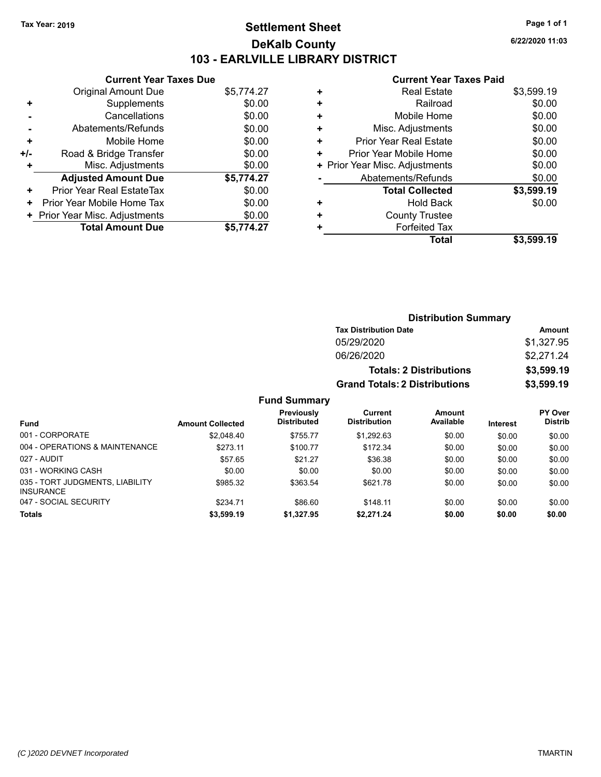# **Settlement Sheet Tax Year: 2019 Page 1 of 1 DeKalb County 103 - EARLVILLE LIBRARY DISTRICT**

**6/22/2020 11:03**

## **Current Year Taxes Paid**

|     | <b>Current Year Taxes Due</b>  |            |
|-----|--------------------------------|------------|
|     | <b>Original Amount Due</b>     | \$5,774.27 |
| ٠   | Supplements                    | \$0.00     |
|     | Cancellations                  | \$0.00     |
| -   | Abatements/Refunds             | \$0.00     |
| ٠   | Mobile Home                    | \$0.00     |
| +/- | Road & Bridge Transfer         | \$0.00     |
|     | Misc. Adjustments              | \$0.00     |
|     | <b>Adjusted Amount Due</b>     | \$5,774.27 |
| ٠   | Prior Year Real EstateTax      | \$0.00     |
| ٠   | Prior Year Mobile Home Tax     | \$0.00     |
|     | + Prior Year Misc. Adjustments | \$0.00     |
|     | <b>Total Amount Due</b>        | \$5,774.27 |

|   | Total                          | \$3,599.19 |
|---|--------------------------------|------------|
| ٠ | <b>Forfeited Tax</b>           |            |
| ٠ | <b>County Trustee</b>          |            |
| ٠ | <b>Hold Back</b>               | \$0.00     |
|   | <b>Total Collected</b>         | \$3,599.19 |
|   | Abatements/Refunds             | \$0.00     |
|   | + Prior Year Misc. Adjustments | \$0.00     |
| ٠ | Prior Year Mobile Home         | \$0.00     |
| ÷ | <b>Prior Year Real Estate</b>  | \$0.00     |
| ÷ | Misc. Adjustments              | \$0.00     |
| ٠ | Mobile Home                    | \$0.00     |
| ٠ | Railroad                       | \$0.00     |
| ٠ | <b>Real Estate</b>             | \$3,599.19 |
|   |                                |            |

|                     | <b>Distribution Summary</b>          |            |
|---------------------|--------------------------------------|------------|
|                     | <b>Tax Distribution Date</b>         | Amount     |
|                     | 05/29/2020                           | \$1,327.95 |
|                     | 06/26/2020                           | \$2,271.24 |
|                     | <b>Totals: 2 Distributions</b>       | \$3,599.19 |
|                     | <b>Grand Totals: 2 Distributions</b> | \$3,599.19 |
| <b>Fund Summary</b> |                                      |            |

| <b>Fund</b>                                         | <b>Amount Collected</b> | <b>Previously</b><br><b>Distributed</b> | Current<br><b>Distribution</b> | Amount<br>Available | <b>Interest</b> | <b>PY Over</b><br><b>Distrib</b> |
|-----------------------------------------------------|-------------------------|-----------------------------------------|--------------------------------|---------------------|-----------------|----------------------------------|
| 001 - CORPORATE                                     | \$2,048.40              | \$755.77                                | \$1.292.63                     | \$0.00              | \$0.00          | \$0.00                           |
| 004 - OPERATIONS & MAINTENANCE                      | \$273.11                | \$100.77                                | \$172.34                       | \$0.00              | \$0.00          | \$0.00                           |
| 027 - AUDIT                                         | \$57.65                 | \$21.27                                 | \$36.38                        | \$0.00              | \$0.00          | \$0.00                           |
| 031 - WORKING CASH                                  | \$0.00                  | \$0.00                                  | \$0.00                         | \$0.00              | \$0.00          | \$0.00                           |
| 035 - TORT JUDGMENTS, LIABILITY<br><b>INSURANCE</b> | \$985.32                | \$363.54                                | \$621.78                       | \$0.00              | \$0.00          | \$0.00                           |
| 047 - SOCIAL SECURITY                               | \$234.71                | \$86.60                                 | \$148.11                       | \$0.00              | \$0.00          | \$0.00                           |
| <b>Totals</b>                                       | \$3,599.19              | \$1,327.95                              | \$2,271.24                     | \$0.00              | \$0.00          | \$0.00                           |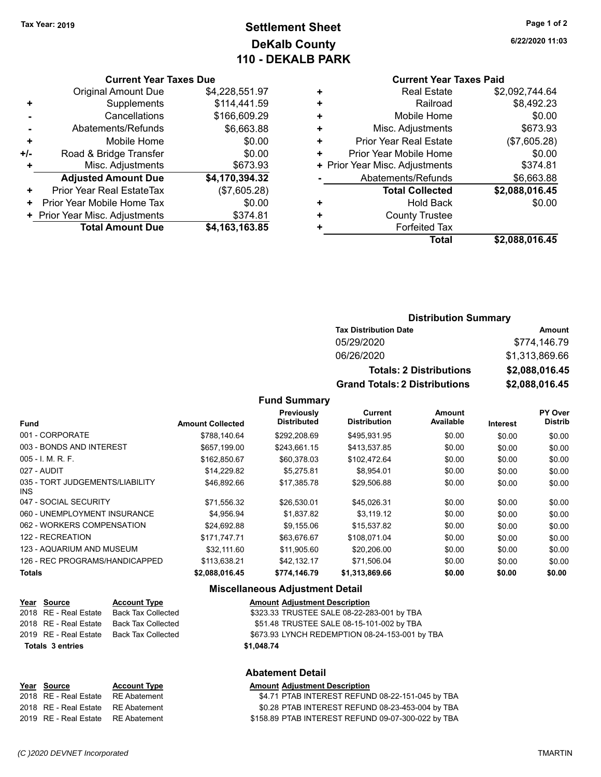# **Settlement Sheet Tax Year: 2019 Page 1 of 2 DeKalb County 110 - DEKALB PARK**

**6/22/2020 11:03**

|     | <b>Current Year Taxes Due</b>  |                |
|-----|--------------------------------|----------------|
|     | <b>Original Amount Due</b>     | \$4,228,551.97 |
| ٠   | Supplements                    | \$114,441.59   |
|     | Cancellations                  | \$166,609.29   |
|     | Abatements/Refunds             | \$6,663.88     |
| ÷   | Mobile Home                    | \$0.00         |
| +/- | Road & Bridge Transfer         | \$0.00         |
|     | Misc. Adjustments              | \$673.93       |
|     | <b>Adjusted Amount Due</b>     | \$4,170,394.32 |
| ٠   | Prior Year Real EstateTax      | (\$7,605.28)   |
| ٠   | Prior Year Mobile Home Tax     | \$0.00         |
|     | + Prior Year Misc. Adjustments | \$374.81       |
|     | <b>Total Amount Due</b>        | \$4,163,163.85 |

|   | <b>Current Year Taxes Paid</b> |                |
|---|--------------------------------|----------------|
| ٠ | <b>Real Estate</b>             | \$2,092,744.64 |
| ٠ | Railroad                       | \$8,492.23     |
| ٠ | Mobile Home                    | \$0.00         |
| ٠ | Misc. Adjustments              | \$673.93       |
| ٠ | <b>Prior Year Real Estate</b>  | (\$7,605.28)   |
| ٠ | Prior Year Mobile Home         | \$0.00         |
|   | + Prior Year Misc. Adjustments | \$374.81       |
|   | Abatements/Refunds             | \$6,663.88     |
|   | <b>Total Collected</b>         | \$2,088,016.45 |
| ٠ | <b>Hold Back</b>               | \$0.00         |
|   | <b>County Trustee</b>          |                |
|   | <b>Forfeited Tax</b>           |                |
|   | <b>Total</b>                   | \$2,088,016.45 |
|   |                                |                |

### **Distribution Summary**

| <b>Tax Distribution Date</b>         | <b>Amount</b>  |
|--------------------------------------|----------------|
| 05/29/2020                           | \$774,146.79   |
| 06/26/2020                           | \$1.313.869.66 |
| <b>Totals: 2 Distributions</b>       | \$2,088,016.45 |
| <b>Grand Totals: 2 Distributions</b> | \$2,088,016.45 |

#### **Fund Summary**

| <b>Fund</b>                             | <b>Amount Collected</b> | Previously<br><b>Distributed</b> | Current<br><b>Distribution</b> | Amount<br>Available | Interest | PY Over<br><b>Distrib</b> |
|-----------------------------------------|-------------------------|----------------------------------|--------------------------------|---------------------|----------|---------------------------|
| 001 - CORPORATE                         | \$788.140.64            | \$292,208.69                     | \$495,931.95                   | \$0.00              | \$0.00   | \$0.00                    |
|                                         |                         |                                  |                                |                     |          |                           |
| 003 - BONDS AND INTEREST                | \$657,199.00            | \$243.661.15                     | \$413,537.85                   | \$0.00              | \$0.00   | \$0.00                    |
| 005 - I. M. R. F.                       | \$162,850.67            | \$60.378.03                      | \$102,472.64                   | \$0.00              | \$0.00   | \$0.00                    |
| 027 - AUDIT                             | \$14,229.82             | \$5.275.81                       | \$8,954.01                     | \$0.00              | \$0.00   | \$0.00                    |
| 035 - TORT JUDGEMENTS/LIABILITY<br>INS. | \$46,892.66             | \$17,385.78                      | \$29,506.88                    | \$0.00              | \$0.00   | \$0.00                    |
| 047 - SOCIAL SECURITY                   | \$71,556.32             | \$26,530.01                      | \$45,026.31                    | \$0.00              | \$0.00   | \$0.00                    |
| 060 - UNEMPLOYMENT INSURANCE            | \$4,956.94              | \$1,837.82                       | \$3.119.12                     | \$0.00              | \$0.00   | \$0.00                    |
| 062 - WORKERS COMPENSATION              | \$24.692.88             | \$9.155.06                       | \$15,537.82                    | \$0.00              | \$0.00   | \$0.00                    |
| 122 - RECREATION                        | \$171.747.71            | \$63.676.67                      | \$108.071.04                   | \$0.00              | \$0.00   | \$0.00                    |
| 123 - AQUARIUM AND MUSEUM               | \$32,111.60             | \$11,905.60                      | \$20,206.00                    | \$0.00              | \$0.00   | \$0.00                    |
| 126 - REC PROGRAMS/HANDICAPPED          | \$113,638.21            | \$42.132.17                      | \$71,506.04                    | \$0.00              | \$0.00   | \$0.00                    |
| <b>Totals</b>                           | \$2,088,016.45          | \$774,146.79                     | \$1,313,869.66                 | \$0.00              | \$0.00   | \$0.00                    |

### **Miscellaneous Adjustment Detail**

| Year Source             | <b>Account Type</b> | <b>Amount Adjustment Description</b>           |
|-------------------------|---------------------|------------------------------------------------|
| 2018 RE - Real Estate   | Back Tax Collected  | \$323.33 TRUSTEE SALE 08-22-283-001 by TBA     |
| 2018 RE - Real Estate   | Back Tax Collected  | \$51.48 TRUSTEE SALE 08-15-101-002 by TBA      |
| 2019 RE - Real Estate   | Back Tax Collected  | \$673.93 LYNCH REDEMPTION 08-24-153-001 by TBA |
| <b>Totals 3 entries</b> |                     | \$1.048.74                                     |

#### **Abatement Detail**

#### **Year Source Account Type Amount Adjustment Description**

2018 RE - Real Estate RE Abatement \$4.71 PTAB INTEREST REFUND 08-22-151-045 by TBA 2018 RE - Real Estate RE Abatement \$0.28 PTAB INTEREST REFUND 08-23-453-004 by TBA 2019 RE - Real Estate RE Abatement \$158.89 PTAB INTEREST REFUND 09-07-300-022 by TBA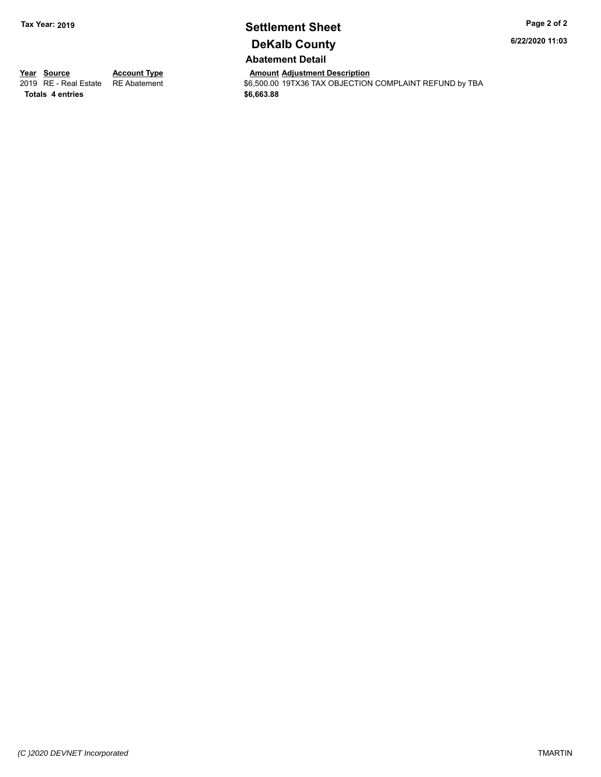# **Settlement Sheet Tax Year: 2019 Page 2 of 2 DeKalb County**

**6/22/2020 11:03**

**Abatement Detail**

**Totals \$6,663.88 4 entries**

**Year Source Account Type Account Type Amount Adjustment Description**<br>2019 RE - Real Estate RE Abatement **Account 1966,500.00** 19TX36 TAX OBJECTION  $$6,500.00$  19TX36 TAX OBJECTION COMPLAINT REFUND by TBA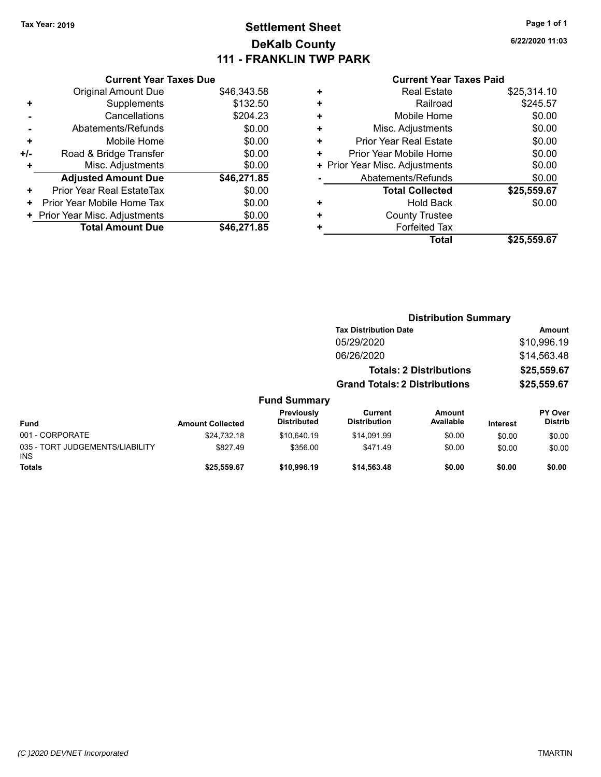# **Settlement Sheet Tax Year: 2019 Page 1 of 1 DeKalb County 111 - FRANKLIN TWP PARK**

**6/22/2020 11:03**

### **Current Year Taxes Paid**

|       | <b>Current Year Taxes Due</b>  |             |  |  |  |  |
|-------|--------------------------------|-------------|--|--|--|--|
|       | <b>Original Amount Due</b>     | \$46,343.58 |  |  |  |  |
| ٠     | Supplements                    | \$132.50    |  |  |  |  |
|       | Cancellations                  | \$204.23    |  |  |  |  |
|       | Abatements/Refunds             | \$0.00      |  |  |  |  |
| ٠     | Mobile Home                    | \$0.00      |  |  |  |  |
| $+/-$ | Road & Bridge Transfer         | \$0.00      |  |  |  |  |
| ٠     | Misc. Adjustments              | \$0.00      |  |  |  |  |
|       | <b>Adjusted Amount Due</b>     | \$46,271.85 |  |  |  |  |
| ÷     | Prior Year Real EstateTax      | \$0.00      |  |  |  |  |
| ٠     | Prior Year Mobile Home Tax     | \$0.00      |  |  |  |  |
|       | + Prior Year Misc. Adjustments | \$0.00      |  |  |  |  |
|       | <b>Total Amount Due</b>        | \$46,271.85 |  |  |  |  |
|       |                                |             |  |  |  |  |

| ٠ | <b>Real Estate</b>             | \$25,314.10 |
|---|--------------------------------|-------------|
| ٠ | Railroad                       | \$245.57    |
| ÷ | Mobile Home                    | \$0.00      |
| ٠ | Misc. Adjustments              | \$0.00      |
| ٠ | <b>Prior Year Real Estate</b>  | \$0.00      |
| ٠ | Prior Year Mobile Home         | \$0.00      |
|   | + Prior Year Misc. Adjustments | \$0.00      |
|   | Abatements/Refunds             | \$0.00      |
|   | <b>Total Collected</b>         | \$25,559.67 |
| ٠ | Hold Back                      | \$0.00      |
| ٠ | <b>County Trustee</b>          |             |
| ٠ | <b>Forfeited Tax</b>           |             |
|   | <b>Total</b>                   | \$25,559.67 |
|   |                                |             |

|                                               |                         |                                  | <b>Distribution Summary</b>           |                                |                 |                           |
|-----------------------------------------------|-------------------------|----------------------------------|---------------------------------------|--------------------------------|-----------------|---------------------------|
|                                               |                         |                                  | <b>Tax Distribution Date</b>          |                                |                 | Amount                    |
|                                               |                         |                                  | 05/29/2020                            |                                |                 | \$10,996.19               |
|                                               |                         |                                  | 06/26/2020                            |                                |                 | \$14,563.48               |
|                                               |                         |                                  |                                       | <b>Totals: 2 Distributions</b> |                 | \$25,559.67               |
|                                               |                         |                                  | <b>Grand Totals: 2 Distributions</b>  |                                |                 | \$25,559.67               |
|                                               |                         | <b>Fund Summary</b>              |                                       |                                |                 |                           |
| <b>Fund</b>                                   | <b>Amount Collected</b> | Previously<br><b>Distributed</b> | <b>Current</b><br><b>Distribution</b> | <b>Amount</b><br>Available     | <b>Interest</b> | PY Over<br><b>Distrib</b> |
| 001 - CORPORATE                               | \$24.732.18             | \$10,640.19                      | \$14.091.99                           | \$0.00                         | \$0.00          | \$0.00                    |
| 035 - TORT JUDGEMENTS/LIABILITY<br><b>INS</b> | \$827.49                | \$356.00                         | \$471.49                              | \$0.00                         | \$0.00          | \$0.00                    |
| <b>Totals</b>                                 | \$25,559.67             | \$10,996.19                      | \$14,563.48                           | \$0.00                         | \$0.00          | \$0.00                    |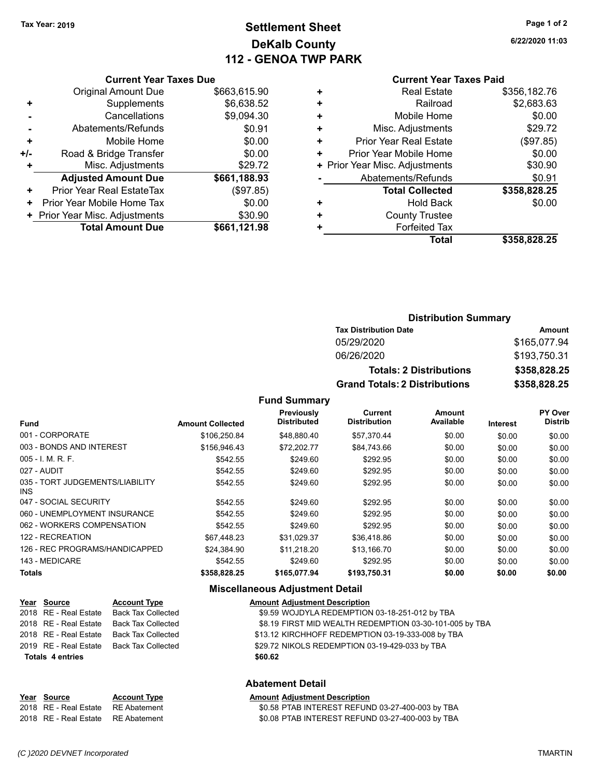# **Settlement Sheet Tax Year: 2019 Page 1 of 2 DeKalb County 112 - GENOA TWP PARK**

**6/22/2020 11:03**

#### **Current Year Taxes Paid**

|     | Original Amount Due            | \$663,615.90 |
|-----|--------------------------------|--------------|
| ٠   | Supplements                    | \$6,638.52   |
|     | Cancellations                  | \$9,094.30   |
|     | Abatements/Refunds             | \$0.91       |
| ÷   | Mobile Home                    | \$0.00       |
| +/- | Road & Bridge Transfer         | \$0.00       |
| ٠   | Misc. Adjustments              | \$29.72      |
|     | <b>Adjusted Amount Due</b>     | \$661,188.93 |
| ÷   | Prior Year Real EstateTax      | (\$97.85)    |
| ٠   | Prior Year Mobile Home Tax     | \$0.00       |
|     | + Prior Year Misc. Adjustments | \$30.90      |
|     | <b>Total Amount Due</b>        | \$661,121.98 |
|     |                                |              |

**Current Year Taxes Due**

|   | <b>Real Estate</b>             | \$356,182.76 |
|---|--------------------------------|--------------|
| ٠ | Railroad                       | \$2,683.63   |
| ٠ | Mobile Home                    | \$0.00       |
| ٠ | Misc. Adjustments              | \$29.72      |
| ٠ | <b>Prior Year Real Estate</b>  | (\$97.85)    |
| ٠ | Prior Year Mobile Home         | \$0.00       |
|   | + Prior Year Misc. Adjustments | \$30.90      |
|   | Abatements/Refunds             | \$0.91       |
|   | <b>Total Collected</b>         | \$358,828.25 |
| ٠ | <b>Hold Back</b>               | \$0.00       |
| ٠ | <b>County Trustee</b>          |              |
| ٠ | <b>Forfeited Tax</b>           |              |
|   | Total                          | \$358,828.25 |

### **Distribution Summary**

| <b>Tax Distribution Date</b>         | <b>Amount</b> |
|--------------------------------------|---------------|
| 05/29/2020                           | \$165,077.94  |
| 06/26/2020                           | \$193,750.31  |
| <b>Totals: 2 Distributions</b>       | \$358,828.25  |
| <b>Grand Totals: 2 Distributions</b> | \$358,828.25  |

### **Fund Summary**

| <b>Fund</b>                             | <b>Amount Collected</b> | Previously<br><b>Distributed</b> | Current<br><b>Distribution</b> | Amount<br>Available | Interest | PY Over<br><b>Distrib</b> |
|-----------------------------------------|-------------------------|----------------------------------|--------------------------------|---------------------|----------|---------------------------|
| 001 - CORPORATE                         | \$106.250.84            | \$48.880.40                      | \$57.370.44                    | \$0.00              | \$0.00   | \$0.00                    |
| 003 - BONDS AND INTEREST                | \$156,946.43            | \$72,202.77                      | \$84,743.66                    | \$0.00              | \$0.00   | \$0.00                    |
| 005 - I. M. R. F.                       | \$542.55                | \$249.60                         | \$292.95                       | \$0.00              | \$0.00   | \$0.00                    |
| 027 - AUDIT                             | \$542.55                | \$249.60                         | \$292.95                       | \$0.00              | \$0.00   | \$0.00                    |
| 035 - TORT JUDGEMENTS/LIABILITY<br>INS. | \$542.55                | \$249.60                         | \$292.95                       | \$0.00              | \$0.00   | \$0.00                    |
| 047 - SOCIAL SECURITY                   | \$542.55                | \$249.60                         | \$292.95                       | \$0.00              | \$0.00   | \$0.00                    |
| 060 - UNEMPLOYMENT INSURANCE            | \$542.55                | \$249.60                         | \$292.95                       | \$0.00              | \$0.00   | \$0.00                    |
| 062 - WORKERS COMPENSATION              | \$542.55                | \$249.60                         | \$292.95                       | \$0.00              | \$0.00   | \$0.00                    |
| 122 - RECREATION                        | \$67.448.23             | \$31.029.37                      | \$36.418.86                    | \$0.00              | \$0.00   | \$0.00                    |
| 126 - REC PROGRAMS/HANDICAPPED          | \$24,384.90             | \$11,218.20                      | \$13.166.70                    | \$0.00              | \$0.00   | \$0.00                    |
| 143 - MEDICARE                          | \$542.55                | \$249.60                         | \$292.95                       | \$0.00              | \$0.00   | \$0.00                    |
| <b>Totals</b>                           | \$358,828.25            | \$165,077.94                     | \$193,750.31                   | \$0.00              | \$0.00   | \$0.00                    |

### **Miscellaneous Adjustment Detail**

| <u>Year Source</u>      | <b>Account Type</b> | <b>Amount Adjustment Description</b>                    |
|-------------------------|---------------------|---------------------------------------------------------|
| 2018 RE - Real Estate   | Back Tax Collected  | \$9.59 WOJDYLA REDEMPTION 03-18-251-012 by TBA          |
| 2018 RE - Real Estate   | Back Tax Collected  | \$8.19 FIRST MID WEALTH REDEMPTION 03-30-101-005 by TBA |
| 2018 RE - Real Estate   | Back Tax Collected  | \$13.12 KIRCHHOFF REDEMPTION 03-19-333-008 by TBA       |
| 2019 RE - Real Estate   | Back Tax Collected  | \$29.72 NIKOLS REDEMPTION 03-19-429-033 by TBA          |
| <b>Totals 4 entries</b> |                     | \$60.62                                                 |
|                         |                     |                                                         |

#### **Abatement Detail**

# **Year Source Account Type Amount Adjustment Description**<br>2018 RE - Real Estate RE Abatement **Amount Adjustment Description** 2018 RE - Real Estate RE Abatement \$0.08 PTAB INTEREST REFUND 03-27-400-003 by TBA

\$0.58 PTAB INTEREST REFUND 03-27-400-003 by TBA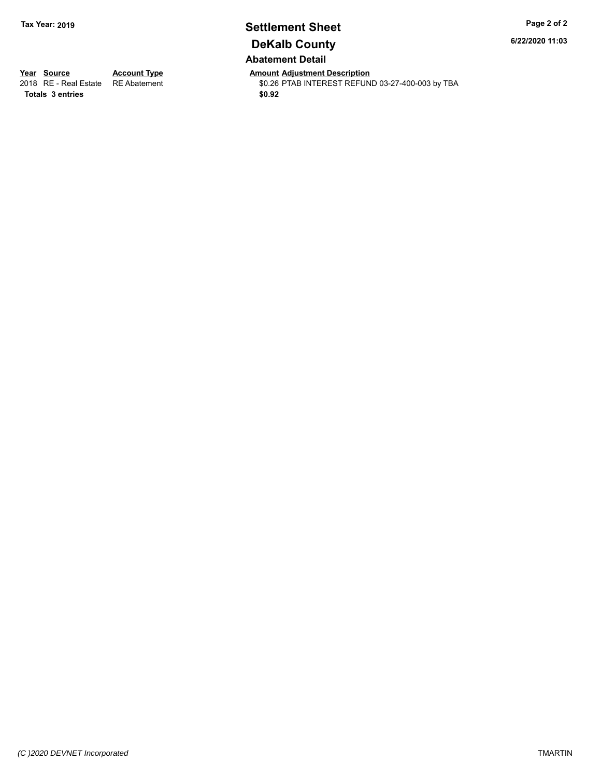# **Settlement Sheet Tax Year: 2019 Page 2 of 2 DeKalb County Abatement Detail**

**6/22/2020 11:03**

**Totals \$0.92 3 entries**

**Year Source Account Type Anneurs Amount Adjustment Description**<br>2018 RE - Real Estate RE Abatement **Adjustment** \$0.26 PTAB INTEREST REFUN \$0.26 PTAB INTEREST REFUND 03-27-400-003 by TBA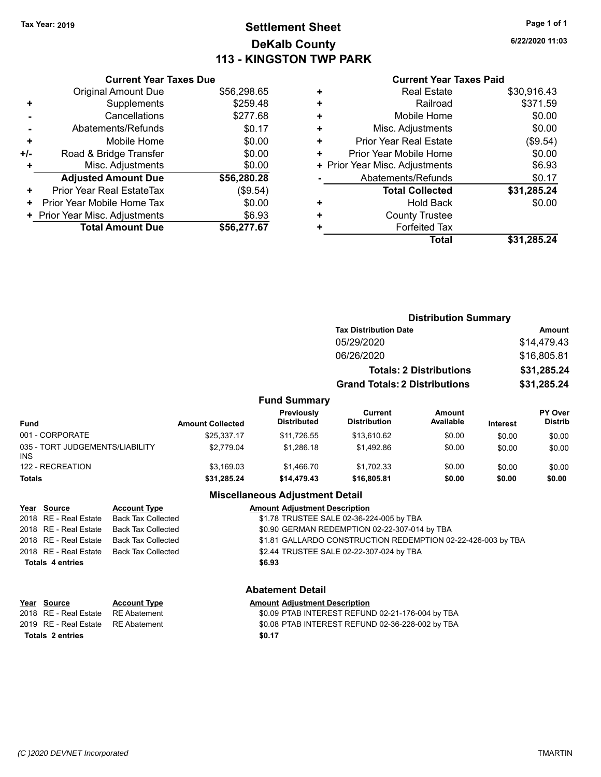# **Settlement Sheet Tax Year: 2019 Page 1 of 1 DeKalb County 113 - KINGSTON TWP PARK**

**6/22/2020 11:03**

### **Current Year Taxes Paid**

|     | <b>Current Year Taxes Due</b>  |             |
|-----|--------------------------------|-------------|
|     | <b>Original Amount Due</b>     | \$56,298.65 |
| ٠   | Supplements                    | \$259.48    |
|     | Cancellations                  | \$277.68    |
|     | Abatements/Refunds             | \$0.17      |
| ٠   | Mobile Home                    | \$0.00      |
| +/- | Road & Bridge Transfer         | \$0.00      |
| ٠   | Misc. Adjustments              | \$0.00      |
|     | <b>Adjusted Amount Due</b>     | \$56,280.28 |
| ٠   | Prior Year Real EstateTax      | (\$9.54)    |
| ٠   | Prior Year Mobile Home Tax     | \$0.00      |
|     | + Prior Year Misc. Adjustments | \$6.93      |
|     | <b>Total Amount Due</b>        | \$56,277.67 |
|     |                                |             |

| ٠ | <b>Real Estate</b>             | \$30,916.43 |
|---|--------------------------------|-------------|
| ٠ | Railroad                       | \$371.59    |
| ٠ | Mobile Home                    | \$0.00      |
| ٠ | Misc. Adjustments              | \$0.00      |
| ٠ | <b>Prior Year Real Estate</b>  | (\$9.54)    |
| ٠ | Prior Year Mobile Home         | \$0.00      |
|   | + Prior Year Misc. Adjustments | \$6.93      |
|   | Abatements/Refunds             | \$0.17      |
|   | <b>Total Collected</b>         | \$31,285.24 |
| ٠ | Hold Back                      | \$0.00      |
| ٠ | <b>County Trustee</b>          |             |
| ٠ | <b>Forfeited Tax</b>           |             |
|   | Total                          | \$31,285.24 |
|   |                                |             |

|                                               |                         |                                  |                                | <b>Distribution Summary</b>          |                 |                           |  |  |
|-----------------------------------------------|-------------------------|----------------------------------|--------------------------------|--------------------------------------|-----------------|---------------------------|--|--|
|                                               |                         |                                  | <b>Tax Distribution Date</b>   |                                      | <b>Amount</b>   |                           |  |  |
|                                               |                         |                                  | 05/29/2020                     |                                      |                 | \$14,479.43               |  |  |
|                                               |                         |                                  | 06/26/2020                     |                                      |                 | \$16,805.81               |  |  |
|                                               |                         |                                  |                                | <b>Totals: 2 Distributions</b>       |                 | \$31,285.24               |  |  |
|                                               |                         |                                  |                                | <b>Grand Totals: 2 Distributions</b> |                 | \$31,285.24               |  |  |
|                                               |                         | <b>Fund Summary</b>              |                                |                                      |                 |                           |  |  |
| <b>Fund</b>                                   | <b>Amount Collected</b> | Previously<br><b>Distributed</b> | Current<br><b>Distribution</b> | Amount<br>Available                  | <b>Interest</b> | PY Over<br><b>Distrib</b> |  |  |
| 001 - CORPORATE                               | \$25.337.17             | \$11,726.55                      | \$13,610.62                    | \$0.00                               | \$0.00          | \$0.00                    |  |  |
| 035 - TORT JUDGEMENTS/LIABILITY<br><b>INS</b> | \$2,779.04              | \$1.286.18                       | \$1,492.86                     | \$0.00                               | \$0.00          | \$0.00                    |  |  |
| 122 - RECREATION                              | \$3.169.03              | \$1.466.70                       | \$1,702.33                     | \$0.00                               | \$0.00          | \$0.00                    |  |  |
| <b>Totals</b>                                 | \$31,285.24             | \$14,479.43                      | \$16,805.81                    | \$0.00                               | \$0.00          | \$0.00                    |  |  |
|                                               |                         | .                                |                                |                                      |                 |                           |  |  |

### **Miscellaneous Adjustment Detail**

| Year Source             | <b>Account Type</b>                      | <b>Amount Adjustment Description</b>                         |  |  |  |
|-------------------------|------------------------------------------|--------------------------------------------------------------|--|--|--|
|                         | 2018 RE - Real Estate Back Tax Collected | \$1.78 TRUSTEE SALE 02-36-224-005 by TBA                     |  |  |  |
|                         | 2018 RE - Real Estate Back Tax Collected | \$0.90 GERMAN REDEMPTION 02-22-307-014 by TBA                |  |  |  |
|                         | 2018 RE - Real Estate Back Tax Collected | \$1.81 GALLARDO CONSTRUCTION REDEMPTION 02-22-426-003 by TBA |  |  |  |
|                         | 2018 RE - Real Estate Back Tax Collected | \$2.44 TRUSTEE SALE 02-22-307-024 by TBA                     |  |  |  |
| <b>Totals 4 entries</b> |                                          | \$6.93                                                       |  |  |  |
|                         |                                          |                                                              |  |  |  |
|                         |                                          | <b>Abatement Detail</b>                                      |  |  |  |

|                                    |                     | .                                                |
|------------------------------------|---------------------|--------------------------------------------------|
| Year Source                        | <b>Account Type</b> | <b>Amount Adjustment Description</b>             |
| 2018 RE - Real Estate RE Abatement |                     | \$0.09 PTAB INTEREST REFUND 02-21-176-004 by TBA |
| 2019 RE - Real Estate RE Abatement |                     | \$0.08 PTAB INTEREST REFUND 02-36-228-002 by TBA |
| Totals 2 entries                   |                     | \$0.17                                           |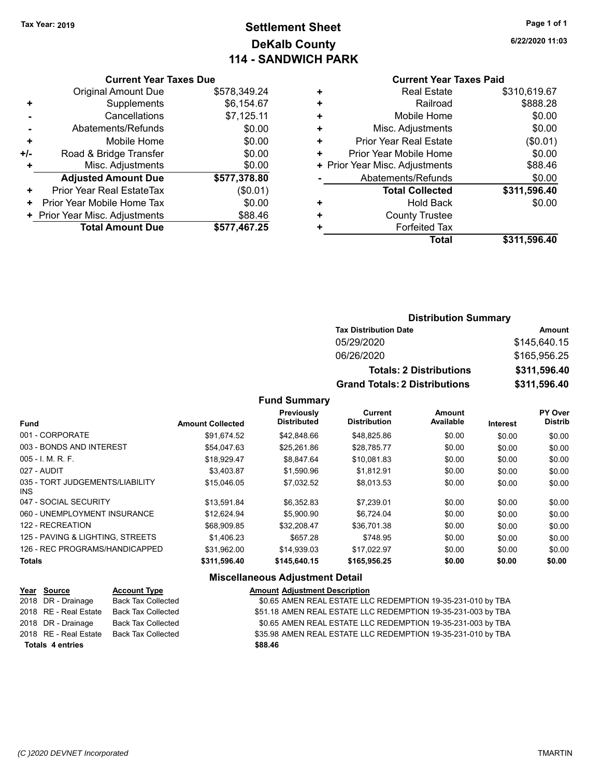# **Settlement Sheet Tax Year: 2019 Page 1 of 1 DeKalb County 114 - SANDWICH PARK**

**6/22/2020 11:03**

### **Current Year Taxes Due**

|       | <b>Original Amount Due</b>     | \$578,349.24 |
|-------|--------------------------------|--------------|
| ٠     | Supplements                    | \$6,154.67   |
|       | Cancellations                  | \$7,125.11   |
|       | Abatements/Refunds             | \$0.00       |
| ٠     | Mobile Home                    | \$0.00       |
| $+/-$ | Road & Bridge Transfer         | \$0.00       |
| ٠     | Misc. Adjustments              | \$0.00       |
|       | <b>Adjusted Amount Due</b>     | \$577,378.80 |
| ÷     | Prior Year Real EstateTax      | (\$0.01)     |
| ٠     | Prior Year Mobile Home Tax     | \$0.00       |
|       | + Prior Year Misc. Adjustments | \$88.46      |
|       | <b>Total Amount Due</b>        | \$577,467.25 |

### **Current Year Taxes Paid**

| \$888.28<br>Railroad<br>÷<br>\$0.00<br>Mobile Home<br>÷<br>\$0.00<br>Misc. Adjustments<br>÷<br>(\$0.01)<br>Prior Year Real Estate<br>٠<br>\$0.00<br>Prior Year Mobile Home<br>٠<br>\$88.46<br>+ Prior Year Misc. Adjustments<br>\$0.00<br>Abatements/Refunds<br>\$311,596.40<br><b>Total Collected</b><br>\$0.00<br><b>Hold Back</b><br>٠<br>٠ | <b>Real Estate</b>    | \$310,619.67 |
|------------------------------------------------------------------------------------------------------------------------------------------------------------------------------------------------------------------------------------------------------------------------------------------------------------------------------------------------|-----------------------|--------------|
|                                                                                                                                                                                                                                                                                                                                                |                       |              |
|                                                                                                                                                                                                                                                                                                                                                |                       |              |
|                                                                                                                                                                                                                                                                                                                                                |                       |              |
|                                                                                                                                                                                                                                                                                                                                                |                       |              |
|                                                                                                                                                                                                                                                                                                                                                |                       |              |
|                                                                                                                                                                                                                                                                                                                                                |                       |              |
|                                                                                                                                                                                                                                                                                                                                                |                       |              |
|                                                                                                                                                                                                                                                                                                                                                |                       |              |
|                                                                                                                                                                                                                                                                                                                                                |                       |              |
|                                                                                                                                                                                                                                                                                                                                                | <b>County Trustee</b> |              |
| <b>Forfeited Tax</b><br>٠                                                                                                                                                                                                                                                                                                                      |                       |              |
| \$311,596.40<br>Total                                                                                                                                                                                                                                                                                                                          |                       |              |

### **Distribution Summary**

| <b>Tax Distribution Date</b>         | <b>Amount</b> |
|--------------------------------------|---------------|
| 05/29/2020                           | \$145,640.15  |
| 06/26/2020                           | \$165,956,25  |
| <b>Totals: 2 Distributions</b>       | \$311,596.40  |
| <b>Grand Totals: 2 Distributions</b> | \$311,596.40  |

### **Fund Summary**

|                                         |                         | Previously         | Current             | <b>Amount</b> |                 | PY Over        |
|-----------------------------------------|-------------------------|--------------------|---------------------|---------------|-----------------|----------------|
| <b>Fund</b>                             | <b>Amount Collected</b> | <b>Distributed</b> | <b>Distribution</b> | Available     | <b>Interest</b> | <b>Distrib</b> |
| 001 - CORPORATE                         | \$91.674.52             | \$42,848.66        | \$48,825.86         | \$0.00        | \$0.00          | \$0.00         |
| 003 - BONDS AND INTEREST                | \$54,047.63             | \$25.261.86        | \$28,785.77         | \$0.00        | \$0.00          | \$0.00         |
| $005 - 1$ M, R, F.                      | \$18,929.47             | \$8.847.64         | \$10,081.83         | \$0.00        | \$0.00          | \$0.00         |
| 027 - AUDIT                             | \$3.403.87              | \$1.590.96         | \$1.812.91          | \$0.00        | \$0.00          | \$0.00         |
| 035 - TORT JUDGEMENTS/LIABILITY<br>INS. | \$15.046.05             | \$7,032.52         | \$8,013.53          | \$0.00        | \$0.00          | \$0.00         |
| 047 - SOCIAL SECURITY                   | \$13,591.84             | \$6,352.83         | \$7.239.01          | \$0.00        | \$0.00          | \$0.00         |
| 060 - UNEMPLOYMENT INSURANCE            | \$12.624.94             | \$5,900.90         | \$6.724.04          | \$0.00        | \$0.00          | \$0.00         |
| 122 - RECREATION                        | \$68,909.85             | \$32,208.47        | \$36.701.38         | \$0.00        | \$0.00          | \$0.00         |
| 125 - PAVING & LIGHTING, STREETS        | \$1,406.23              | \$657.28           | \$748.95            | \$0.00        | \$0.00          | \$0.00         |
| 126 - REC PROGRAMS/HANDICAPPED          | \$31,962.00             | \$14,939.03        | \$17.022.97         | \$0.00        | \$0.00          | \$0.00         |
| <b>Totals</b>                           | \$311,596.40            | \$145,640.15       | \$165,956.25        | \$0.00        | \$0.00          | \$0.00         |

### **Miscellaneous Adjustment Detail**

| Year Source             | <b>Account Type</b>       | <b>Amount Adjustment Description</b>                         |
|-------------------------|---------------------------|--------------------------------------------------------------|
| 2018 DR - Drainage      | Back Tax Collected        | \$0.65 AMEN REAL ESTATE LLC REDEMPTION 19-35-231-010 by TBA  |
| 2018 RE - Real Estate   | <b>Back Tax Collected</b> | \$51.18 AMEN REAL ESTATE LLC REDEMPTION 19-35-231-003 by TBA |
| 2018 DR - Drainage      | Back Tax Collected        | \$0.65 AMEN REAL ESTATE LLC REDEMPTION 19-35-231-003 by TBA  |
| 2018 RE - Real Estate   | <b>Back Tax Collected</b> | \$35.98 AMEN REAL ESTATE LLC REDEMPTION 19-35-231-010 by TBA |
| <b>Totals 4 entries</b> |                           | \$88.46                                                      |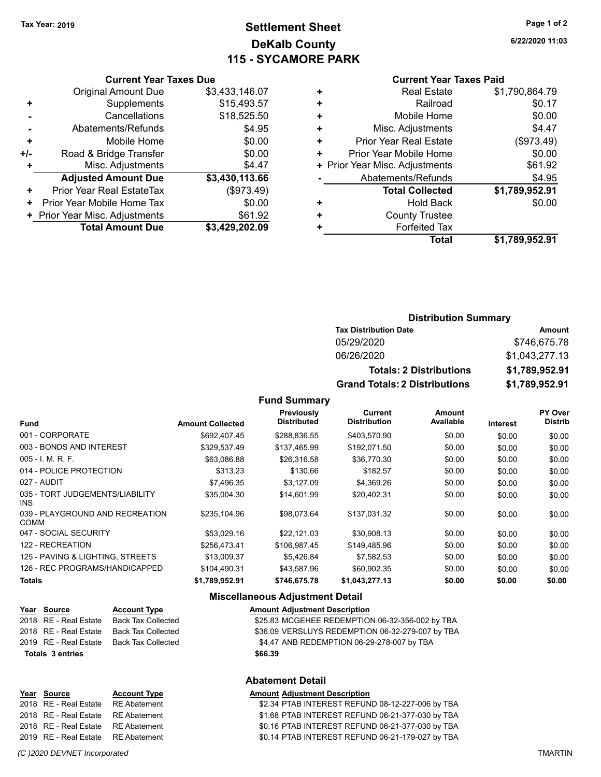# **Settlement Sheet Tax Year: 2019 Page 1 of 2 DeKalb County 115 - SYCAMORE PARK**

**6/22/2020 11:03**

#### **Current Year Taxes Paid**

|     | <b>Current Year Taxes Due</b>  |                |  |  |  |
|-----|--------------------------------|----------------|--|--|--|
|     | <b>Original Amount Due</b>     | \$3,433,146.07 |  |  |  |
| ٠   | Supplements                    | \$15,493.57    |  |  |  |
|     | \$18,525.50<br>Cancellations   |                |  |  |  |
|     | Abatements/Refunds             | \$4.95         |  |  |  |
| ٠   | Mobile Home                    | \$0.00         |  |  |  |
| +/- | Road & Bridge Transfer         | \$0.00         |  |  |  |
|     | Misc. Adjustments              | \$4.47         |  |  |  |
|     | <b>Adjusted Amount Due</b>     | \$3,430,113.66 |  |  |  |
| ÷   | Prior Year Real EstateTax      | (\$973.49)     |  |  |  |
| ٠   | Prior Year Mobile Home Tax     | \$0.00         |  |  |  |
|     | + Prior Year Misc. Adjustments | \$61.92        |  |  |  |
|     | <b>Total Amount Due</b>        | \$3,429,202,09 |  |  |  |

|   | <b>Real Estate</b>             | \$1,790,864.79 |
|---|--------------------------------|----------------|
| ٠ | Railroad                       | \$0.17         |
| ٠ | Mobile Home                    | \$0.00         |
| ٠ | Misc. Adjustments              | \$4.47         |
| ٠ | <b>Prior Year Real Estate</b>  | (\$973.49)     |
| ٠ | Prior Year Mobile Home         | \$0.00         |
|   | + Prior Year Misc. Adjustments | \$61.92        |
|   | Abatements/Refunds             | \$4.95         |
|   | <b>Total Collected</b>         | \$1,789,952.91 |
| ٠ | <b>Hold Back</b>               | \$0.00         |
| ٠ | <b>County Trustee</b>          |                |
| ٠ | <b>Forfeited Tax</b>           |                |
|   | <b>Total</b>                   | \$1,789,952.91 |
|   |                                |                |

#### **Distribution Summary**

| <b>Tax Distribution Date</b>         | Amount         |
|--------------------------------------|----------------|
| 05/29/2020                           | \$746,675.78   |
| 06/26/2020                           | \$1,043,277.13 |
| <b>Totals: 2 Distributions</b>       | \$1,789,952.91 |
| <b>Grand Totals: 2 Distributions</b> | \$1,789,952.91 |

### **Fund Summary**

| <b>Fund</b>                                    | <b>Amount Collected</b> | <b>Previously</b><br><b>Distributed</b> | <b>Current</b><br><b>Distribution</b> | Amount<br>Available | <b>Interest</b> | <b>PY Over</b><br>Distrib |
|------------------------------------------------|-------------------------|-----------------------------------------|---------------------------------------|---------------------|-----------------|---------------------------|
| 001 - CORPORATE                                | \$692,407.45            | \$288.836.55                            | \$403.570.90                          | \$0.00              | \$0.00          | \$0.00                    |
| 003 - BONDS AND INTEREST                       | \$329.537.49            | \$137.465.99                            | \$192.071.50                          | \$0.00              | \$0.00          | \$0.00                    |
| 005 - I. M. R. F.                              | \$63,086.88             | \$26,316.58                             | \$36,770.30                           | \$0.00              | \$0.00          | \$0.00                    |
| 014 - POLICE PROTECTION                        | \$313.23                | \$130.66                                | \$182.57                              | \$0.00              | \$0.00          | \$0.00                    |
| 027 - AUDIT                                    | \$7,496.35              | \$3,127.09                              | \$4,369.26                            | \$0.00              | \$0.00          | \$0.00                    |
| 035 - TORT JUDGEMENTS/LIABILITY<br>INS.        | \$35,004.30             | \$14,601.99                             | \$20,402.31                           | \$0.00              | \$0.00          | \$0.00                    |
| 039 - PLAYGROUND AND RECREATION<br><b>COMM</b> | \$235.104.96            | \$98.073.64                             | \$137.031.32                          | \$0.00              | \$0.00          | \$0.00                    |
| 047 - SOCIAL SECURITY                          | \$53.029.16             | \$22.121.03                             | \$30.908.13                           | \$0.00              | \$0.00          | \$0.00                    |
| 122 - RECREATION                               | \$256.473.41            | \$106.987.45                            | \$149,485.96                          | \$0.00              | \$0.00          | \$0.00                    |
| 125 - PAVING & LIGHTING, STREETS               | \$13,009.37             | \$5,426.84                              | \$7,582.53                            | \$0.00              | \$0.00          | \$0.00                    |
| 126 - REC PROGRAMS/HANDICAPPED                 | \$104,490.31            | \$43,587.96                             | \$60,902.35                           | \$0.00              | \$0.00          | \$0.00                    |
| <b>Totals</b>                                  | \$1,789,952.91          | \$746,675.78                            | \$1,043,277.13                        | \$0.00              | \$0.00          | \$0.00                    |

### **Miscellaneous Adjustment Detail**

| Year Source             | <b>Account Type</b> | <b>Amount Adjustment Description</b>             |
|-------------------------|---------------------|--------------------------------------------------|
| 2018 RE - Real Estate   | Back Tax Collected  | \$25.83 MCGEHEE REDEMPTION 06-32-356-002 by TBA  |
| 2018 RE - Real Estate   | Back Tax Collected  | \$36.09 VERSLUYS REDEMPTION 06-32-279-007 by TBA |
| 2019   RE - Real Estate | Back Tax Collected  | \$4.47 ANB REDEMPTION 06-29-278-007 by TBA       |
| Totals 3 entries        |                     | \$66.39                                          |
|                         |                     |                                                  |
|                         |                     |                                                  |

### **Abatement Detail**

# **Year Source Account Type Amount Adjustment Description**

\$2.34 PTAB INTEREST REFUND 08-12-227-006 by TBA 2018 RE - Real Estate RE Abatement \$1.68 PTAB INTEREST REFUND 06-21-377-030 by TBA 2018 RE - Real Estate RE Abatement \$0.16 PTAB INTEREST REFUND 06-21-377-030 by TBA 2019 RE - Real Estate RE Abatement \$0.14 PTAB INTEREST REFUND 06-21-179-027 by TBA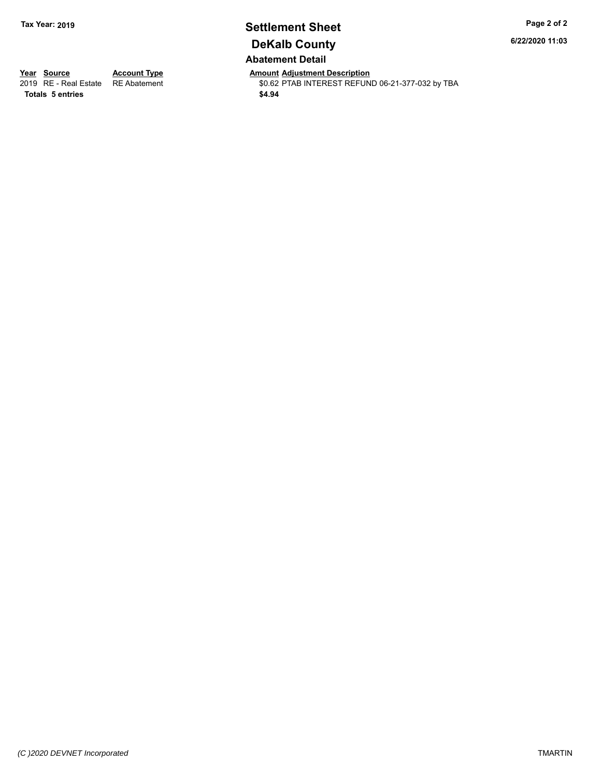# **Settlement Sheet Tax Year: 2019 Page 2 of 2 DeKalb County Abatement Detail**

**6/22/2020 11:03**

**Totals \$4.94 5 entries**

**Year Source Account Type Anneurs Amount Adjustment Description**<br>
2019 RE - Real Estate RE Abatement **Account 1998 AMOUNTEREST REFUN** \$0.62 PTAB INTEREST REFUND 06-21-377-032 by TBA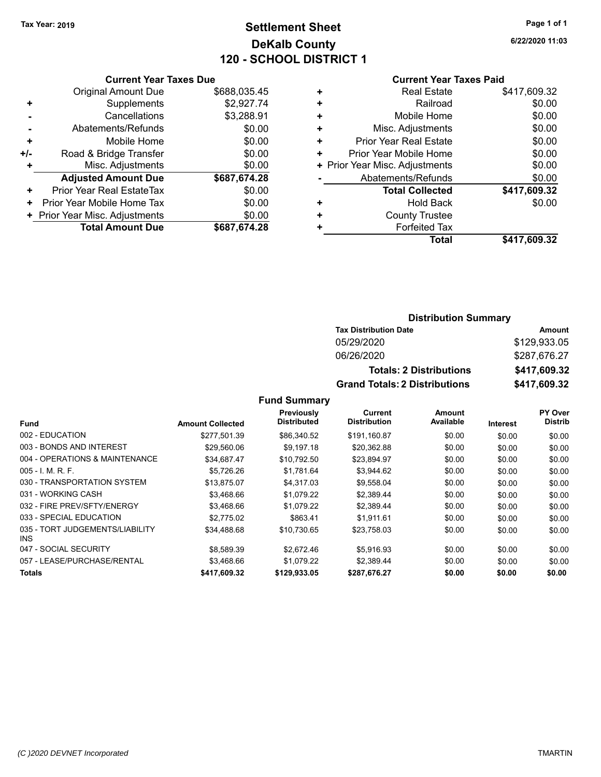# **Settlement Sheet Tax Year: 2019 Page 1 of 1 DeKalb County 120 - SCHOOL DISTRICT 1**

**6/22/2020 11:03**

### **Current Year Taxes Paid**

|     | <b>Current Year Taxes Due</b>  |              |  |  |
|-----|--------------------------------|--------------|--|--|
|     | <b>Original Amount Due</b>     | \$688,035.45 |  |  |
| ٠   | Supplements                    | \$2,927.74   |  |  |
|     | Cancellations                  | \$3,288.91   |  |  |
|     | Abatements/Refunds             | \$0.00       |  |  |
| ٠   | Mobile Home                    | \$0.00       |  |  |
| +/- | Road & Bridge Transfer         | \$0.00       |  |  |
|     | Misc. Adjustments              | \$0.00       |  |  |
|     | <b>Adjusted Amount Due</b>     | \$687,674.28 |  |  |
| ٠   | Prior Year Real EstateTax      | \$0.00       |  |  |
| ٠   | Prior Year Mobile Home Tax     | \$0.00       |  |  |
|     | + Prior Year Misc. Adjustments | \$0.00       |  |  |
|     | <b>Total Amount Due</b>        | \$687,674.28 |  |  |
|     |                                |              |  |  |

|   | <b>Real Estate</b>             | \$417,609.32 |
|---|--------------------------------|--------------|
| ٠ | Railroad                       | \$0.00       |
| ٠ | Mobile Home                    | \$0.00       |
| ٠ | Misc. Adjustments              | \$0.00       |
| ٠ | <b>Prior Year Real Estate</b>  | \$0.00       |
| ٠ | Prior Year Mobile Home         | \$0.00       |
|   | + Prior Year Misc. Adjustments | \$0.00       |
|   | Abatements/Refunds             | \$0.00       |
|   | <b>Total Collected</b>         | \$417,609.32 |
| ٠ | <b>Hold Back</b>               | \$0.00       |
| ٠ | <b>County Trustee</b>          |              |
| ٠ | <b>Forfeited Tax</b>           |              |
|   | Total                          | \$417,609.32 |
|   |                                |              |

### **Distribution Summary**

| <b>Tax Distribution Date</b>         | Amount       |
|--------------------------------------|--------------|
| 05/29/2020                           | \$129,933,05 |
| 06/26/2020                           | \$287.676.27 |
| <b>Totals: 2 Distributions</b>       | \$417,609.32 |
| <b>Grand Totals: 2 Distributions</b> | \$417,609.32 |

### **Fund Summary**

|                                         |                         | Previously         | Current             | Amount    |          | PY Over        |
|-----------------------------------------|-------------------------|--------------------|---------------------|-----------|----------|----------------|
| <b>Fund</b>                             | <b>Amount Collected</b> | <b>Distributed</b> | <b>Distribution</b> | Available | Interest | <b>Distrib</b> |
| 002 - EDUCATION                         | \$277.501.39            | \$86.340.52        | \$191.160.87        | \$0.00    | \$0.00   | \$0.00         |
| 003 - BONDS AND INTEREST                | \$29,560.06             | \$9.197.18         | \$20.362.88         | \$0.00    | \$0.00   | \$0.00         |
| 004 - OPERATIONS & MAINTENANCE          | \$34,687.47             | \$10,792.50        | \$23,894.97         | \$0.00    | \$0.00   | \$0.00         |
| $005 - I. M. R. F.$                     | \$5,726.26              | \$1.781.64         | \$3,944.62          | \$0.00    | \$0.00   | \$0.00         |
| 030 - TRANSPORTATION SYSTEM             | \$13.875.07             | \$4.317.03         | \$9,558.04          | \$0.00    | \$0.00   | \$0.00         |
| 031 - WORKING CASH                      | \$3.468.66              | \$1.079.22         | \$2.389.44          | \$0.00    | \$0.00   | \$0.00         |
| 032 - FIRE PREV/SFTY/ENERGY             | \$3.468.66              | \$1.079.22         | \$2,389.44          | \$0.00    | \$0.00   | \$0.00         |
| 033 - SPECIAL EDUCATION                 | \$2,775.02              | \$863.41           | \$1.911.61          | \$0.00    | \$0.00   | \$0.00         |
| 035 - TORT JUDGEMENTS/LIABILITY<br>INS. | \$34,488.68             | \$10,730.65        | \$23,758.03         | \$0.00    | \$0.00   | \$0.00         |
| 047 - SOCIAL SECURITY                   | \$8.589.39              | \$2.672.46         | \$5.916.93          | \$0.00    | \$0.00   | \$0.00         |
| 057 - LEASE/PURCHASE/RENTAL             | \$3.468.66              | \$1.079.22         | \$2.389.44          | \$0.00    | \$0.00   | \$0.00         |
| <b>Totals</b>                           | \$417,609.32            | \$129,933.05       | \$287,676.27        | \$0.00    | \$0.00   | \$0.00         |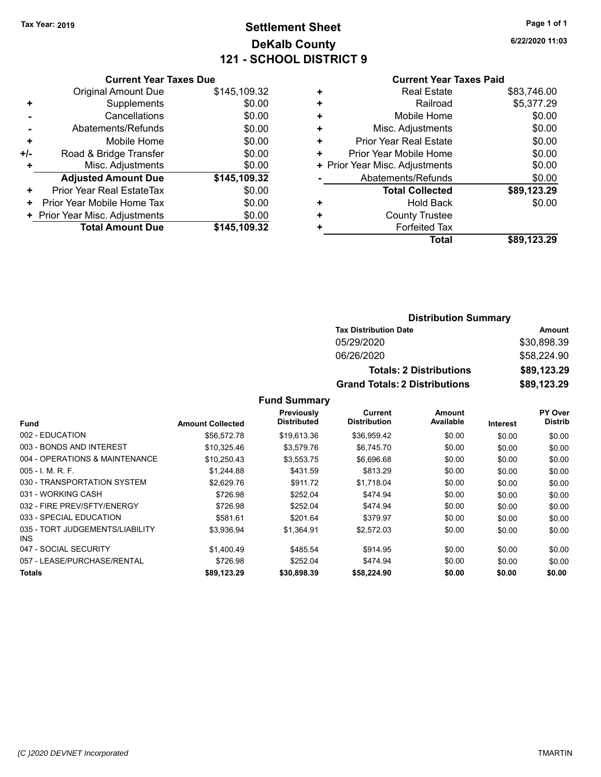# **Settlement Sheet Tax Year: 2019 Page 1 of 1 DeKalb County 121 - SCHOOL DISTRICT 9**

**6/22/2020 11:03**

### **Current Year Taxes Paid**

|     | <b>Current Year Taxes Due</b>  |              |  |  |  |
|-----|--------------------------------|--------------|--|--|--|
|     | <b>Original Amount Due</b>     | \$145,109.32 |  |  |  |
| ٠   | Supplements                    | \$0.00       |  |  |  |
|     | Cancellations                  | \$0.00       |  |  |  |
|     | Abatements/Refunds             | \$0.00       |  |  |  |
| ÷   | Mobile Home                    | \$0.00       |  |  |  |
| +/- | Road & Bridge Transfer         | \$0.00       |  |  |  |
|     | Misc. Adjustments              | \$0.00       |  |  |  |
|     | <b>Adjusted Amount Due</b>     | \$145,109.32 |  |  |  |
| ٠   | Prior Year Real EstateTax      | \$0.00       |  |  |  |
| ٠   | Prior Year Mobile Home Tax     | \$0.00       |  |  |  |
|     | + Prior Year Misc. Adjustments | \$0.00       |  |  |  |
|     | <b>Total Amount Due</b>        | \$145,109.32 |  |  |  |
|     |                                |              |  |  |  |

|   | <b>Real Estate</b>             | \$83,746.00 |
|---|--------------------------------|-------------|
| ٠ | Railroad                       | \$5,377.29  |
| ٠ | Mobile Home                    | \$0.00      |
| ٠ | Misc. Adjustments              | \$0.00      |
| ٠ | <b>Prior Year Real Estate</b>  | \$0.00      |
| ٠ | Prior Year Mobile Home         | \$0.00      |
|   | + Prior Year Misc. Adjustments | \$0.00      |
|   | Abatements/Refunds             | \$0.00      |
|   | <b>Total Collected</b>         | \$89,123.29 |
| ٠ | <b>Hold Back</b>               | \$0.00      |
| ٠ | <b>County Trustee</b>          |             |
| ٠ | <b>Forfeited Tax</b>           |             |
|   | Total                          | \$89.123.29 |
|   |                                |             |

### **Distribution Summary**

| <b>Tax Distribution Date</b>         | Amount      |
|--------------------------------------|-------------|
| 05/29/2020                           | \$30.898.39 |
| 06/26/2020                           | \$58,224.90 |
| <b>Totals: 2 Distributions</b>       | \$89,123.29 |
| <b>Grand Totals: 2 Distributions</b> | \$89,123.29 |

**Fund Summary**

|                                         |                         | Previously         | Current             | Amount    |          | PY Over        |
|-----------------------------------------|-------------------------|--------------------|---------------------|-----------|----------|----------------|
| <b>Fund</b>                             | <b>Amount Collected</b> | <b>Distributed</b> | <b>Distribution</b> | Available | Interest | <b>Distrib</b> |
| 002 - EDUCATION                         | \$56,572.78             | \$19,613.36        | \$36,959.42         | \$0.00    | \$0.00   | \$0.00         |
| 003 - BONDS AND INTEREST                | \$10,325.46             | \$3,579.76         | \$6,745.70          | \$0.00    | \$0.00   | \$0.00         |
| 004 - OPERATIONS & MAINTENANCE          | \$10.250.43             | \$3,553.75         | \$6,696.68          | \$0.00    | \$0.00   | \$0.00         |
| $005 - 1$ . M. R. F.                    | \$1,244.88              | \$431.59           | \$813.29            | \$0.00    | \$0.00   | \$0.00         |
| 030 - TRANSPORTATION SYSTEM             | \$2,629.76              | \$911.72           | \$1,718.04          | \$0.00    | \$0.00   | \$0.00         |
| 031 - WORKING CASH                      | \$726.98                | \$252.04           | \$474.94            | \$0.00    | \$0.00   | \$0.00         |
| 032 - FIRE PREV/SFTY/ENERGY             | \$726.98                | \$252.04           | \$474.94            | \$0.00    | \$0.00   | \$0.00         |
| 033 - SPECIAL EDUCATION                 | \$581.61                | \$201.64           | \$379.97            | \$0.00    | \$0.00   | \$0.00         |
| 035 - TORT JUDGEMENTS/LIABILITY<br>INS. | \$3.936.94              | \$1,364.91         | \$2,572.03          | \$0.00    | \$0.00   | \$0.00         |
| 047 - SOCIAL SECURITY                   | \$1.400.49              | \$485.54           | \$914.95            | \$0.00    | \$0.00   | \$0.00         |
| 057 - LEASE/PURCHASE/RENTAL             | \$726.98                | \$252.04           | \$474.94            | \$0.00    | \$0.00   | \$0.00         |
| Totals                                  | \$89,123.29             | \$30,898.39        | \$58,224.90         | \$0.00    | \$0.00   | \$0.00         |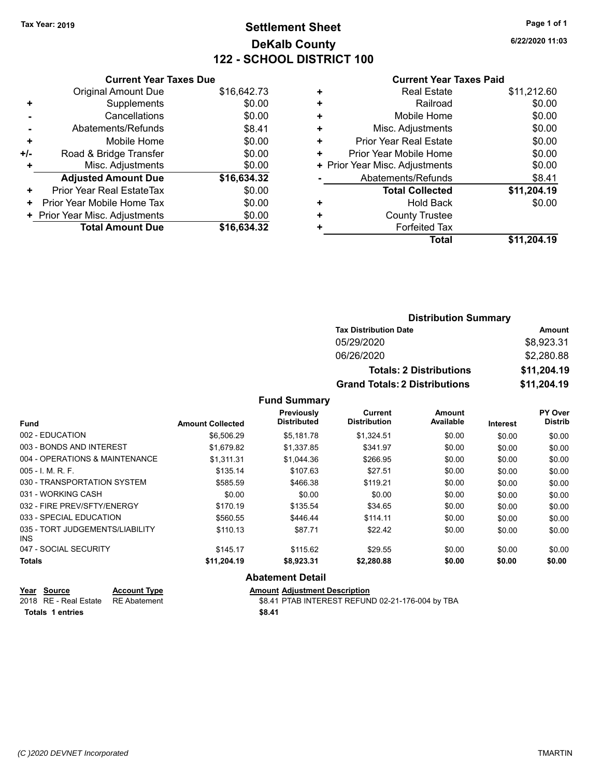# **Settlement Sheet Tax Year: 2019 Page 1 of 1 DeKalb County 122 - SCHOOL DISTRICT 100**

**6/22/2020 11:03**

|     | <b>Current Year Taxes Due</b>  |             |  |  |  |
|-----|--------------------------------|-------------|--|--|--|
|     | <b>Original Amount Due</b>     | \$16,642.73 |  |  |  |
| ٠   | Supplements                    | \$0.00      |  |  |  |
|     | Cancellations                  | \$0.00      |  |  |  |
|     | Abatements/Refunds             | \$8.41      |  |  |  |
| ÷   | Mobile Home                    | \$0.00      |  |  |  |
| +/- | Road & Bridge Transfer         | \$0.00      |  |  |  |
| ٠   | Misc. Adjustments              | \$0.00      |  |  |  |
|     | <b>Adjusted Amount Due</b>     | \$16,634.32 |  |  |  |
| ÷   | Prior Year Real EstateTax      | \$0.00      |  |  |  |
| ٠   | Prior Year Mobile Home Tax     | \$0.00      |  |  |  |
|     | + Prior Year Misc. Adjustments | \$0.00      |  |  |  |
|     | <b>Total Amount Due</b>        | \$16,634,32 |  |  |  |

## **Current Year Taxes Paid**

|   | <b>Real Estate</b>             | \$11,212.60 |
|---|--------------------------------|-------------|
| ٠ | Railroad                       | \$0.00      |
| ٠ | Mobile Home                    | \$0.00      |
| ٠ | Misc. Adjustments              | \$0.00      |
| ÷ | <b>Prior Year Real Estate</b>  | \$0.00      |
| ٠ | Prior Year Mobile Home         | \$0.00      |
|   | + Prior Year Misc. Adjustments | \$0.00      |
|   | Abatements/Refunds             | \$8.41      |
|   | <b>Total Collected</b>         | \$11,204.19 |
| ٠ | Hold Back                      | \$0.00      |
| ٠ | <b>County Trustee</b>          |             |
| ٠ | <b>Forfeited Tax</b>           |             |
|   | Total                          | \$11,204.19 |
|   |                                |             |

### **Distribution Summary Tax Distribution Date Amount** 05/29/2020 \$8,923.31 06/26/2020 \$2,280.88 **Totals: 2 Distributions \$11,204.19 Grand Totals: 2 Distributions \$11,204.19**

|                                         |                         | <b>Fund Summary</b>              |                                       |                     |                 |                                  |
|-----------------------------------------|-------------------------|----------------------------------|---------------------------------------|---------------------|-----------------|----------------------------------|
| <b>Fund</b>                             | <b>Amount Collected</b> | Previously<br><b>Distributed</b> | <b>Current</b><br><b>Distribution</b> | Amount<br>Available | <b>Interest</b> | <b>PY Over</b><br><b>Distrib</b> |
| 002 - EDUCATION                         | \$6.506.29              | \$5,181.78                       | \$1,324.51                            | \$0.00              | \$0.00          | \$0.00                           |
| 003 - BONDS AND INTEREST                | \$1,679.82              | \$1,337.85                       | \$341.97                              | \$0.00              | \$0.00          | \$0.00                           |
| 004 - OPERATIONS & MAINTENANCE          | \$1,311.31              | \$1,044.36                       | \$266.95                              | \$0.00              | \$0.00          | \$0.00                           |
| $005 - I$ , M, R, F.                    | \$135.14                | \$107.63                         | \$27.51                               | \$0.00              | \$0.00          | \$0.00                           |
| 030 - TRANSPORTATION SYSTEM             | \$585.59                | \$466.38                         | \$119.21                              | \$0.00              | \$0.00          | \$0.00                           |
| 031 - WORKING CASH                      | \$0.00                  | \$0.00                           | \$0.00                                | \$0.00              | \$0.00          | \$0.00                           |
| 032 - FIRE PREV/SFTY/ENERGY             | \$170.19                | \$135.54                         | \$34.65                               | \$0.00              | \$0.00          | \$0.00                           |
| 033 - SPECIAL EDUCATION                 | \$560.55                | \$446.44                         | \$114.11                              | \$0.00              | \$0.00          | \$0.00                           |
| 035 - TORT JUDGEMENTS/LIABILITY<br>INS. | \$110.13                | \$87.71                          | \$22.42                               | \$0.00              | \$0.00          | \$0.00                           |
| 047 - SOCIAL SECURITY                   | \$145.17                | \$115.62                         | \$29.55                               | \$0.00              | \$0.00          | \$0.00                           |
| Totals                                  | \$11,204.19             | \$8,923.31                       | \$2,280.88                            | \$0.00              | \$0.00          | \$0.00                           |
|                                         |                         | <b>Abatement Detail</b>          |                                       |                     |                 |                                  |

|  | Abatement Detail     |  |
|--|----------------------|--|
|  | Amount Adjustment De |  |

| Year Source                        | <b>Account Type</b> | <b>Amount Adjustment Description</b>             |
|------------------------------------|---------------------|--------------------------------------------------|
| 2018 RE - Real Estate RE Abatement |                     | \$8.41 PTAB INTEREST REFUND 02-21-176-004 by TBA |
| Totals 1 entries                   |                     | \$8.41                                           |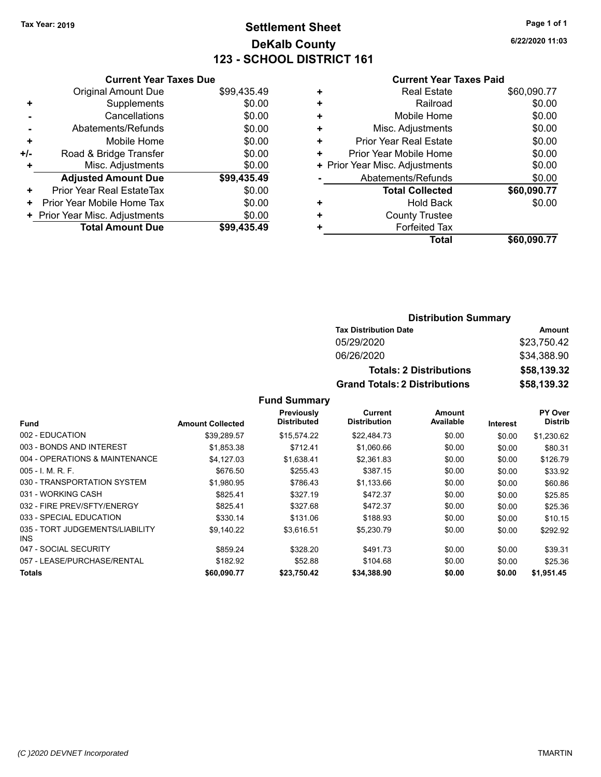# **Settlement Sheet Tax Year: 2019 Page 1 of 1 DeKalb County 123 - SCHOOL DISTRICT 161**

**6/22/2020 11:03**

| <b>Current Year Taxes Paid</b> |  |  |
|--------------------------------|--|--|
|                                |  |  |

|       | <b>Current Year Taxes Due</b>  |             |  |  |
|-------|--------------------------------|-------------|--|--|
|       | <b>Original Amount Due</b>     | \$99,435.49 |  |  |
| ٠     | Supplements                    | \$0.00      |  |  |
|       | Cancellations                  | \$0.00      |  |  |
|       | Abatements/Refunds             | \$0.00      |  |  |
| ٠     | Mobile Home                    | \$0.00      |  |  |
| $+/-$ | Road & Bridge Transfer         |             |  |  |
| ٠     | Misc. Adjustments              | \$0.00      |  |  |
|       | <b>Adjusted Amount Due</b>     | \$99,435.49 |  |  |
| ÷     | Prior Year Real EstateTax      | \$0.00      |  |  |
| ٠     | Prior Year Mobile Home Tax     | \$0.00      |  |  |
|       | + Prior Year Misc. Adjustments | \$0.00      |  |  |
|       | <b>Total Amount Due</b>        | \$99.435.49 |  |  |
|       |                                |             |  |  |

| ٠ | <b>Real Estate</b>             | \$60,090.77 |
|---|--------------------------------|-------------|
| ٠ | Railroad                       | \$0.00      |
| ٠ | Mobile Home                    | \$0.00      |
| ٠ | Misc. Adjustments              | \$0.00      |
| ٠ | <b>Prior Year Real Estate</b>  | \$0.00      |
| ٠ | Prior Year Mobile Home         | \$0.00      |
|   | + Prior Year Misc. Adjustments | \$0.00      |
|   | Abatements/Refunds             | \$0.00      |
|   | <b>Total Collected</b>         | \$60,090.77 |
| ٠ | Hold Back                      | \$0.00      |
| ٠ | <b>County Trustee</b>          |             |
| ٠ | <b>Forfeited Tax</b>           |             |
|   | Total                          | \$60,090.77 |
|   |                                |             |

| <b>Distribution Summary</b>  |        |
|------------------------------|--------|
| <b>Tax Distribution Date</b> | Amount |

| 05/29/2020                           | \$23.750.42 |
|--------------------------------------|-------------|
| 06/26/2020                           | \$34.388.90 |
| <b>Totals: 2 Distributions</b>       | \$58,139.32 |
| <b>Grand Totals: 2 Distributions</b> | \$58,139.32 |

|                                         |                         | Previously         | Current             | Amount    |          | PY Over        |
|-----------------------------------------|-------------------------|--------------------|---------------------|-----------|----------|----------------|
| <b>Fund</b>                             | <b>Amount Collected</b> | <b>Distributed</b> | <b>Distribution</b> | Available | Interest | <b>Distrib</b> |
| 002 - EDUCATION                         | \$39,289.57             | \$15.574.22        | \$22,484.73         | \$0.00    | \$0.00   | \$1,230.62     |
| 003 - BONDS AND INTEREST                | \$1,853.38              | \$712.41           | \$1,060.66          | \$0.00    | \$0.00   | \$80.31        |
| 004 - OPERATIONS & MAINTENANCE          | \$4,127.03              | \$1,638.41         | \$2,361.83          | \$0.00    | \$0.00   | \$126.79       |
| $005 - I$ , M, R, F.                    | \$676.50                | \$255.43           | \$387.15            | \$0.00    | \$0.00   | \$33.92        |
| 030 - TRANSPORTATION SYSTEM             | \$1.980.95              | \$786.43           | \$1,133.66          | \$0.00    | \$0.00   | \$60.86        |
| 031 - WORKING CASH                      | \$825.41                | \$327.19           | \$472.37            | \$0.00    | \$0.00   | \$25.85        |
| 032 - FIRE PREV/SFTY/ENERGY             | \$825.41                | \$327.68           | \$472.37            | \$0.00    | \$0.00   | \$25.36        |
| 033 - SPECIAL EDUCATION                 | \$330.14                | \$131.06           | \$188.93            | \$0.00    | \$0.00   | \$10.15        |
| 035 - TORT JUDGEMENTS/LIABILITY<br>INS. | \$9,140.22              | \$3,616.51         | \$5,230.79          | \$0.00    | \$0.00   | \$292.92       |
| 047 - SOCIAL SECURITY                   | \$859.24                | \$328.20           | \$491.73            | \$0.00    | \$0.00   | \$39.31        |
| 057 - LEASE/PURCHASE/RENTAL             | \$182.92                | \$52.88            | \$104.68            | \$0.00    | \$0.00   | \$25.36        |
| <b>Totals</b>                           | \$60,090.77             | \$23,750.42        | \$34,388.90         | \$0.00    | \$0.00   | \$1,951.45     |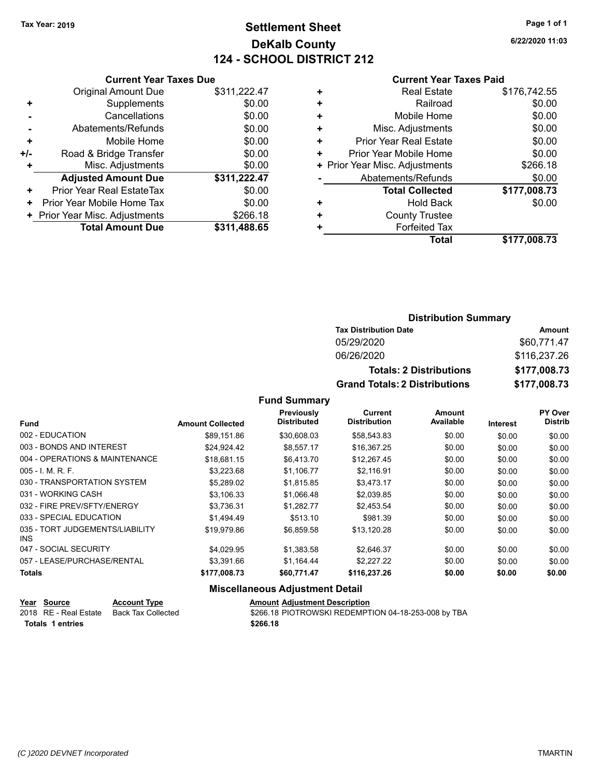# **Settlement Sheet Tax Year: 2019 Page 1 of 1 DeKalb County 124 - SCHOOL DISTRICT 212**

**6/22/2020 11:03**

#### **Current Year Taxes Paid**

|     | <b>Current Year Taxes Due</b>  |              |
|-----|--------------------------------|--------------|
|     | <b>Original Amount Due</b>     | \$311,222.47 |
| ٠   | Supplements                    | \$0.00       |
|     | Cancellations                  | \$0.00       |
|     | Abatements/Refunds             | \$0.00       |
| ٠   | Mobile Home                    | \$0.00       |
| +/- | Road & Bridge Transfer         | \$0.00       |
|     | Misc. Adjustments              | \$0.00       |
|     | <b>Adjusted Amount Due</b>     | \$311,222.47 |
| ٠   | Prior Year Real EstateTax      | \$0.00       |
| ٠   | Prior Year Mobile Home Tax     | \$0.00       |
|     | + Prior Year Misc. Adjustments | \$266.18     |
|     | <b>Total Amount Due</b>        | \$311,488.65 |
|     |                                |              |

| <b>Real Estate</b>             | \$176,742.55 |
|--------------------------------|--------------|
| Railroad                       | \$0.00       |
| Mobile Home                    | \$0.00       |
| Misc. Adjustments              | \$0.00       |
| <b>Prior Year Real Estate</b>  | \$0.00       |
| Prior Year Mobile Home         | \$0.00       |
| + Prior Year Misc. Adjustments | \$266.18     |
| Abatements/Refunds             | \$0.00       |
| <b>Total Collected</b>         | \$177,008.73 |
| <b>Hold Back</b>               | \$0.00       |
| <b>County Trustee</b>          |              |
| <b>Forfeited Tax</b>           |              |
| Total                          | \$177,008.73 |
|                                |              |

#### **Distribution Summary**

| <b>Tax Distribution Date</b>         | Amount       |
|--------------------------------------|--------------|
| 05/29/2020                           | \$60,771.47  |
| 06/26/2020                           | \$116,237,26 |
| <b>Totals: 2 Distributions</b>       | \$177,008.73 |
| <b>Grand Totals: 2 Distributions</b> | \$177,008.73 |

**Fund Summary**

|                                         |                         | Previously         | Current             | <b>Amount</b> |          | <b>PY Over</b> |
|-----------------------------------------|-------------------------|--------------------|---------------------|---------------|----------|----------------|
| <b>Fund</b>                             | <b>Amount Collected</b> | <b>Distributed</b> | <b>Distribution</b> | Available     | Interest | <b>Distrib</b> |
| 002 - EDUCATION                         | \$89,151.86             | \$30,608.03        | \$58,543.83         | \$0.00        | \$0.00   | \$0.00         |
| 003 - BONDS AND INTEREST                | \$24,924.42             | \$8,557.17         | \$16,367.25         | \$0.00        | \$0.00   | \$0.00         |
| 004 - OPERATIONS & MAINTENANCE          | \$18.681.15             | \$6,413.70         | \$12,267.45         | \$0.00        | \$0.00   | \$0.00         |
| $005 - I. M. R. F.$                     | \$3,223.68              | \$1,106.77         | \$2,116.91          | \$0.00        | \$0.00   | \$0.00         |
| 030 - TRANSPORTATION SYSTEM             | \$5,289.02              | \$1,815.85         | \$3,473.17          | \$0.00        | \$0.00   | \$0.00         |
| 031 - WORKING CASH                      | \$3,106.33              | \$1,066.48         | \$2,039.85          | \$0.00        | \$0.00   | \$0.00         |
| 032 - FIRE PREV/SFTY/ENERGY             | \$3,736.31              | \$1,282.77         | \$2,453.54          | \$0.00        | \$0.00   | \$0.00         |
| 033 - SPECIAL EDUCATION                 | \$1,494.49              | \$513.10           | \$981.39            | \$0.00        | \$0.00   | \$0.00         |
| 035 - TORT JUDGEMENTS/LIABILITY<br>INS. | \$19.979.86             | \$6,859.58         | \$13,120.28         | \$0.00        | \$0.00   | \$0.00         |
| 047 - SOCIAL SECURITY                   | \$4.029.95              | \$1,383.58         | \$2,646.37          | \$0.00        | \$0.00   | \$0.00         |
| 057 - LEASE/PURCHASE/RENTAL             | \$3.391.66              | \$1,164.44         | \$2,227.22          | \$0.00        | \$0.00   | \$0.00         |
| Totals                                  | \$177,008.73            | \$60,771.47        | \$116,237.26        | \$0.00        | \$0.00   | \$0.00         |
|                                         |                         |                    |                     |               |          |                |

#### **Miscellaneous Adjustment Detail**

| Year Source           | <b>Account Type</b> | <b>Amount Adiustment Description</b>                |
|-----------------------|---------------------|-----------------------------------------------------|
| 2018 RE - Real Estate | Back Tax Collected  | \$266.18 PIOTROWSKI REDEMPTION 04-18-253-008 by TBA |
| Totals 1 entries      |                     | \$266.18                                            |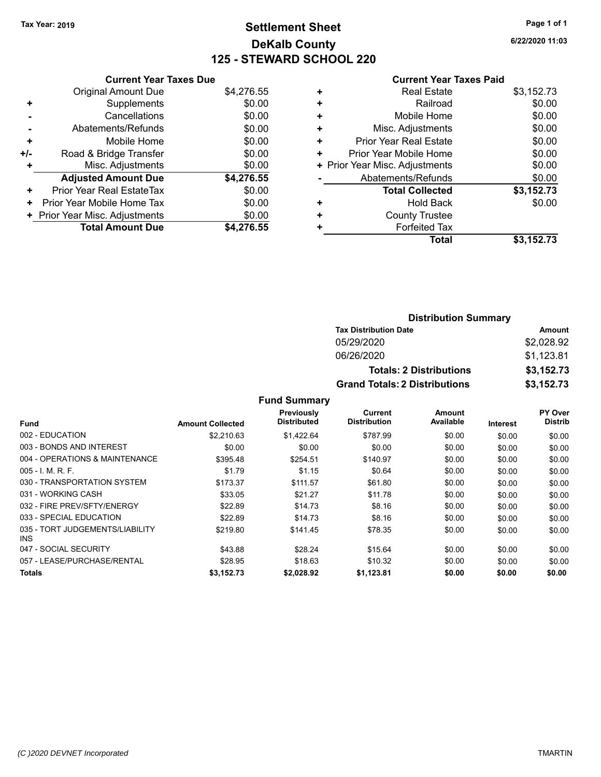# **Settlement Sheet Tax Year: 2019 Page 1 of 1 DeKalb County 125 - STEWARD SCHOOL 220**

**6/22/2020 11:03**

#### **Current Year Taxes Paid**

|       | <b>Current Year Taxes Due</b>  |            |  |  |  |
|-------|--------------------------------|------------|--|--|--|
|       | <b>Original Amount Due</b>     | \$4,276.55 |  |  |  |
| ٠     | Supplements                    | \$0.00     |  |  |  |
|       | Cancellations                  | \$0.00     |  |  |  |
|       | Abatements/Refunds             | \$0.00     |  |  |  |
| ٠     | Mobile Home                    | \$0.00     |  |  |  |
| $+/-$ | Road & Bridge Transfer         | \$0.00     |  |  |  |
|       | Misc. Adjustments              | \$0.00     |  |  |  |
|       | <b>Adjusted Amount Due</b>     | \$4,276.55 |  |  |  |
| ÷     | Prior Year Real EstateTax      | \$0.00     |  |  |  |
| ٠     | Prior Year Mobile Home Tax     | \$0.00     |  |  |  |
|       | + Prior Year Misc. Adjustments | \$0.00     |  |  |  |
|       | <b>Total Amount Due</b>        | \$4,276.55 |  |  |  |
|       |                                |            |  |  |  |

| ٠ | <b>Real Estate</b>             | \$3,152.73 |
|---|--------------------------------|------------|
| ٠ | Railroad                       | \$0.00     |
| ٠ | Mobile Home                    | \$0.00     |
| ٠ | Misc. Adjustments              | \$0.00     |
| ٠ | <b>Prior Year Real Estate</b>  | \$0.00     |
| ٠ | Prior Year Mobile Home         | \$0.00     |
|   | + Prior Year Misc. Adjustments | \$0.00     |
|   | Abatements/Refunds             | \$0.00     |
|   | <b>Total Collected</b>         | \$3,152.73 |
| ٠ | Hold Back                      | \$0.00     |
| ٠ | <b>County Trustee</b>          |            |
|   | <b>Forfeited Tax</b>           |            |
|   | Total                          | \$3,152,73 |
|   |                                |            |

| <b>Distribution Summary</b>          |            |  |  |  |
|--------------------------------------|------------|--|--|--|
| <b>Tax Distribution Date</b>         | Amount     |  |  |  |
| 05/29/2020                           | \$2,028.92 |  |  |  |
| 06/26/2020                           | \$1,123.81 |  |  |  |
| <b>Totals: 2 Distributions</b>       | \$3,152.73 |  |  |  |
| <b>Grand Totals: 2 Distributions</b> | \$3,152.73 |  |  |  |

|                                         |                         | Previously         | <b>Current</b>      | Amount    |                 | <b>PY Over</b> |
|-----------------------------------------|-------------------------|--------------------|---------------------|-----------|-----------------|----------------|
| <b>Fund</b>                             | <b>Amount Collected</b> | <b>Distributed</b> | <b>Distribution</b> | Available | <b>Interest</b> | <b>Distrib</b> |
| 002 - EDUCATION                         | \$2,210.63              | \$1,422.64         | \$787.99            | \$0.00    | \$0.00          | \$0.00         |
| 003 - BONDS AND INTEREST                | \$0.00                  | \$0.00             | \$0.00              | \$0.00    | \$0.00          | \$0.00         |
| 004 - OPERATIONS & MAINTENANCE          | \$395.48                | \$254.51           | \$140.97            | \$0.00    | \$0.00          | \$0.00         |
| $005 - 1$ . M. R. F.                    | \$1.79                  | \$1.15             | \$0.64              | \$0.00    | \$0.00          | \$0.00         |
| 030 - TRANSPORTATION SYSTEM             | \$173.37                | \$111.57           | \$61.80             | \$0.00    | \$0.00          | \$0.00         |
| 031 - WORKING CASH                      | \$33.05                 | \$21.27            | \$11.78             | \$0.00    | \$0.00          | \$0.00         |
| 032 - FIRE PREV/SFTY/ENERGY             | \$22.89                 | \$14.73            | \$8.16              | \$0.00    | \$0.00          | \$0.00         |
| 033 - SPECIAL EDUCATION                 | \$22.89                 | \$14.73            | \$8.16              | \$0.00    | \$0.00          | \$0.00         |
| 035 - TORT JUDGEMENTS/LIABILITY<br>INS. | \$219.80                | \$141.45           | \$78.35             | \$0.00    | \$0.00          | \$0.00         |
| 047 - SOCIAL SECURITY                   | \$43.88                 | \$28.24            | \$15.64             | \$0.00    | \$0.00          | \$0.00         |
| 057 - LEASE/PURCHASE/RENTAL             | \$28.95                 | \$18.63            | \$10.32             | \$0.00    | \$0.00          | \$0.00         |
| Totals                                  | \$3,152.73              | \$2.028.92         | \$1,123.81          | \$0.00    | \$0.00          | \$0.00         |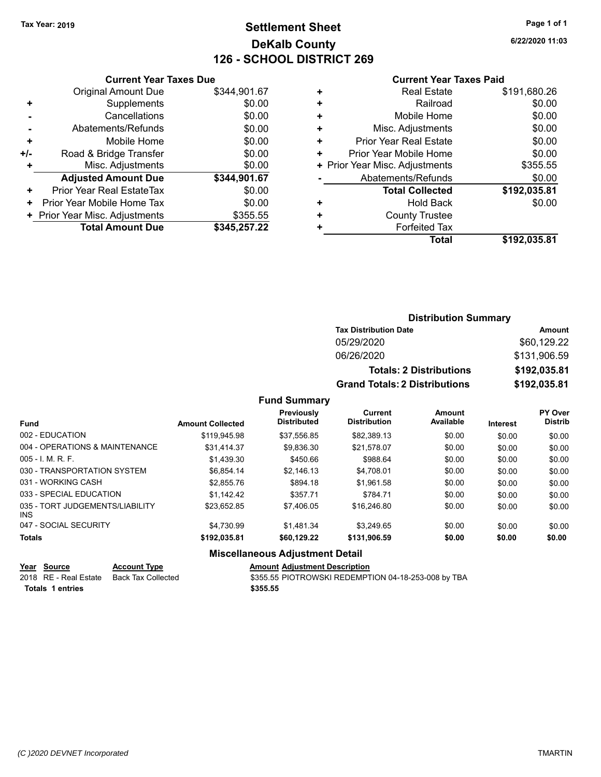# **Settlement Sheet Tax Year: 2019 Page 1 of 1 DeKalb County 126 - SCHOOL DISTRICT 269**

**6/22/2020 11:03**

#### **Current Year Taxes Paid**

|     | <b>Current Year Taxes Due</b>  |              |  |  |
|-----|--------------------------------|--------------|--|--|
|     | <b>Original Amount Due</b>     | \$344,901.67 |  |  |
| ٠   | Supplements                    | \$0.00       |  |  |
|     | Cancellations                  | \$0.00       |  |  |
|     | Abatements/Refunds             | \$0.00       |  |  |
| ٠   | Mobile Home                    | \$0.00       |  |  |
| +/- | Road & Bridge Transfer         | \$0.00       |  |  |
|     | Misc. Adjustments              | \$0.00       |  |  |
|     | <b>Adjusted Amount Due</b>     | \$344,901.67 |  |  |
| ٠   | Prior Year Real EstateTax      | \$0.00       |  |  |
| ٠   | Prior Year Mobile Home Tax     | \$0.00       |  |  |
|     | + Prior Year Misc. Adjustments | \$355.55     |  |  |
|     | <b>Total Amount Due</b>        | \$345,257.22 |  |  |
|     |                                |              |  |  |

| <b>Real Estate</b>             | \$191,680.26 |
|--------------------------------|--------------|
| Railroad                       | \$0.00       |
| Mobile Home                    | \$0.00       |
| Misc. Adjustments              | \$0.00       |
| <b>Prior Year Real Estate</b>  | \$0.00       |
| Prior Year Mobile Home         | \$0.00       |
| + Prior Year Misc. Adjustments | \$355.55     |
| Abatements/Refunds             | \$0.00       |
| <b>Total Collected</b>         | \$192,035.81 |
| <b>Hold Back</b>               | \$0.00       |
| <b>County Trustee</b>          |              |
| <b>Forfeited Tax</b>           |              |
| Total                          | \$192,035.81 |
|                                |              |

### **Distribution Summary**

| <b>Tax Distribution Date</b>         | Amount       |  |  |  |
|--------------------------------------|--------------|--|--|--|
| 05/29/2020                           | \$60.129.22  |  |  |  |
| 06/26/2020                           | \$131,906.59 |  |  |  |
| <b>Totals: 2 Distributions</b>       | \$192,035.81 |  |  |  |
| <b>Grand Totals: 2 Distributions</b> | \$192,035.81 |  |  |  |

#### **Fund Summary**

| <b>Fund</b>                             | <b>Amount Collected</b> | <b>Previously</b><br><b>Distributed</b> | Current<br><b>Distribution</b> | Amount<br>Available | <b>Interest</b> | PY Over<br><b>Distrib</b> |
|-----------------------------------------|-------------------------|-----------------------------------------|--------------------------------|---------------------|-----------------|---------------------------|
| 002 - EDUCATION                         | \$119,945.98            | \$37,556.85                             | \$82.389.13                    | \$0.00              | \$0.00          | \$0.00                    |
| 004 - OPERATIONS & MAINTENANCE          | \$31.414.37             | \$9,836.30                              | \$21.578.07                    | \$0.00              | \$0.00          | \$0.00                    |
| $005 - 1$ M, R, F.                      | \$1.439.30              | \$450.66                                | \$988.64                       | \$0.00              | \$0.00          | \$0.00                    |
| 030 - TRANSPORTATION SYSTEM             | \$6.854.14              | \$2.146.13                              | \$4.708.01                     | \$0.00              | \$0.00          | \$0.00                    |
| 031 - WORKING CASH                      | \$2,855.76              | \$894.18                                | \$1.961.58                     | \$0.00              | \$0.00          | \$0.00                    |
| 033 - SPECIAL EDUCATION                 | \$1.142.42              | \$357.71                                | \$784.71                       | \$0.00              | \$0.00          | \$0.00                    |
| 035 - TORT JUDGEMENTS/LIABILITY<br>INS. | \$23.652.85             | \$7.406.05                              | \$16,246.80                    | \$0.00              | \$0.00          | \$0.00                    |
| 047 - SOCIAL SECURITY                   | \$4.730.99              | \$1.481.34                              | \$3.249.65                     | \$0.00              | \$0.00          | \$0.00                    |
| <b>Totals</b>                           | \$192,035.81            | \$60,129.22                             | \$131,906.59                   | \$0.00              | \$0.00          | \$0.00                    |
|                                         |                         |                                         |                                |                     |                 |                           |

#### **Miscellaneous Adjustment Detail**

| Year Source           | <b>Account Type</b> | <b>Amount Adjustment Description</b> |
|-----------------------|---------------------|--------------------------------------|
| 2018 RE - Real Estate | Back Tax Collected  | \$355.55 PIOTROWSKI REDEMPT          |

\$355.55 PIOTROWSKI REDEMPTION 04-18-253-008 by TBA **Totals \$355.55 1 entries**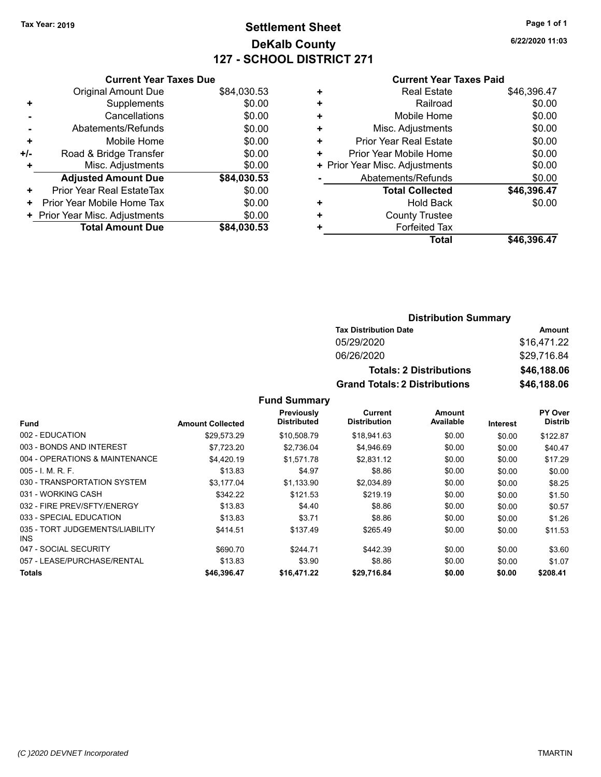# **Settlement Sheet Tax Year: 2019 Page 1 of 1 DeKalb County 127 - SCHOOL DISTRICT 271**

**6/22/2020 11:03**

|     |                                | 127 - SUNUL |
|-----|--------------------------------|-------------|
|     | <b>Current Year Taxes Due</b>  |             |
|     | Original Amount Due            | \$84,030.53 |
| ٠   | Supplements                    | \$0.00      |
|     | Cancellations                  | \$0.00      |
|     | Abatements/Refunds             | \$0.00      |
| ٠   | Mobile Home                    | \$0.00      |
| +/- | Road & Bridge Transfer         | \$0.00      |
| ٠   | Misc. Adjustments              | \$0.00      |
|     | <b>Adjusted Amount Due</b>     | \$84,030.53 |
| ٠   | Prior Year Real EstateTax      | \$0.00      |
| ٠   | Prior Year Mobile Home Tax     | \$0.00      |
|     | + Prior Year Misc. Adjustments | \$0.00      |
|     | <b>Total Amount Due</b>        | \$84,030.53 |
|     |                                |             |

#### **Current Year Taxes Paid**

|   | <b>Real Estate</b>             | \$46,396.47 |
|---|--------------------------------|-------------|
| ÷ | Railroad                       | \$0.00      |
| ÷ | Mobile Home                    | \$0.00      |
| ٠ | Misc. Adjustments              | \$0.00      |
| ٠ | <b>Prior Year Real Estate</b>  | \$0.00      |
| ÷ | Prior Year Mobile Home         | \$0.00      |
|   | + Prior Year Misc. Adjustments | \$0.00      |
|   | Abatements/Refunds             | \$0.00      |
|   | <b>Total Collected</b>         | \$46,396.47 |
| ٠ | <b>Hold Back</b>               | \$0.00      |
| ٠ | <b>County Trustee</b>          |             |
| ٠ | <b>Forfeited Tax</b>           |             |
|   | Total                          | \$46,396.47 |

## **Distribution Summary**

| <b>Tax Distribution Date</b>         | Amount      |  |  |  |
|--------------------------------------|-------------|--|--|--|
| 05/29/2020                           | \$16,471.22 |  |  |  |
| 06/26/2020                           | \$29.716.84 |  |  |  |
| <b>Totals: 2 Distributions</b>       | \$46,188.06 |  |  |  |
| <b>Grand Totals: 2 Distributions</b> | \$46,188.06 |  |  |  |

|                                         |                         | Previously         | Current             | Amount    |          | PY Over        |
|-----------------------------------------|-------------------------|--------------------|---------------------|-----------|----------|----------------|
| <b>Fund</b>                             | <b>Amount Collected</b> | <b>Distributed</b> | <b>Distribution</b> | Available | Interest | <b>Distrib</b> |
| 002 - EDUCATION                         | \$29.573.29             | \$10.508.79        | \$18,941.63         | \$0.00    | \$0.00   | \$122.87       |
| 003 - BONDS AND INTEREST                | \$7,723.20              | \$2,736.04         | \$4,946.69          | \$0.00    | \$0.00   | \$40.47        |
| 004 - OPERATIONS & MAINTENANCE          | \$4,420.19              | \$1.571.78         | \$2,831.12          | \$0.00    | \$0.00   | \$17.29        |
| $005 - 1$ . M. R. F.                    | \$13.83                 | \$4.97             | \$8.86              | \$0.00    | \$0.00   | \$0.00         |
| 030 - TRANSPORTATION SYSTEM             | \$3,177.04              | \$1,133.90         | \$2,034.89          | \$0.00    | \$0.00   | \$8.25         |
| 031 - WORKING CASH                      | \$342.22                | \$121.53           | \$219.19            | \$0.00    | \$0.00   | \$1.50         |
| 032 - FIRE PREV/SFTY/ENERGY             | \$13.83                 | \$4.40             | \$8.86              | \$0.00    | \$0.00   | \$0.57         |
| 033 - SPECIAL EDUCATION                 | \$13.83                 | \$3.71             | \$8.86              | \$0.00    | \$0.00   | \$1.26         |
| 035 - TORT JUDGEMENTS/LIABILITY<br>INS. | \$414.51                | \$137.49           | \$265.49            | \$0.00    | \$0.00   | \$11.53        |
| 047 - SOCIAL SECURITY                   | \$690.70                | \$244.71           | \$442.39            | \$0.00    | \$0.00   | \$3.60         |
| 057 - LEASE/PURCHASE/RENTAL             | \$13.83                 | \$3.90             | \$8.86              | \$0.00    | \$0.00   | \$1.07         |
| Totals                                  | \$46,396,47             | \$16,471.22        | \$29,716.84         | \$0.00    | \$0.00   | \$208.41       |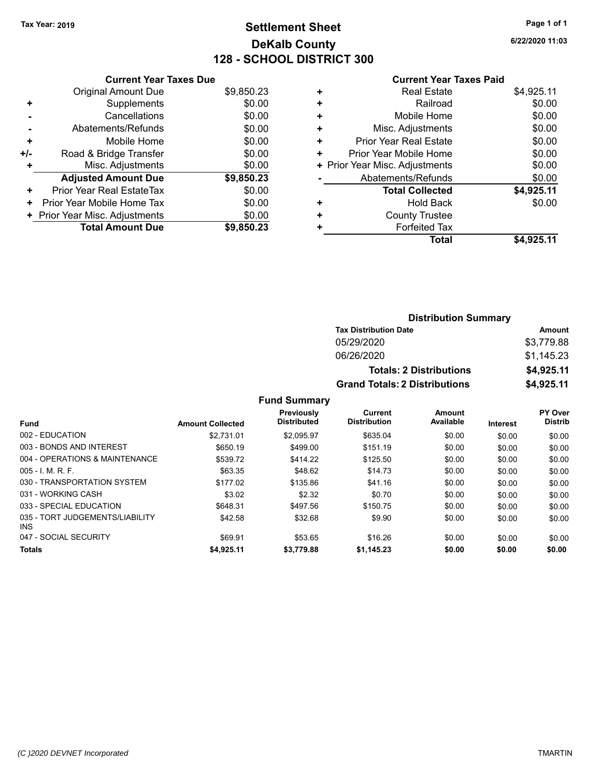# **Settlement Sheet Tax Year: 2019 Page 1 of 1 DeKalb County 128 - SCHOOL DISTRICT 300**

**6/22/2020 11:03**

#### **Current Year Taxes Paid**

|     | <b>Current Year Taxes Due</b>  |            |
|-----|--------------------------------|------------|
|     | <b>Original Amount Due</b>     | \$9,850.23 |
| ٠   | Supplements                    | \$0.00     |
|     | Cancellations                  | \$0.00     |
|     | Abatements/Refunds             | \$0.00     |
| ٠   | Mobile Home                    | \$0.00     |
| +/- | Road & Bridge Transfer         | \$0.00     |
| ٠   | Misc. Adjustments              | \$0.00     |
|     | <b>Adjusted Amount Due</b>     | \$9,850.23 |
| ÷   | Prior Year Real EstateTax      | \$0.00     |
| ٠   | Prior Year Mobile Home Tax     | \$0.00     |
|     | + Prior Year Misc. Adjustments | \$0.00     |
|     | <b>Total Amount Due</b>        | \$9,850.23 |

|   | <b>Total</b>                   | \$4,925.11 |
|---|--------------------------------|------------|
| ٠ | <b>Forfeited Tax</b>           |            |
| ٠ | <b>County Trustee</b>          |            |
| ٠ | <b>Hold Back</b>               | \$0.00     |
|   | <b>Total Collected</b>         | \$4,925.11 |
|   | Abatements/Refunds             | \$0.00     |
|   | + Prior Year Misc. Adjustments | \$0.00     |
| ٠ | Prior Year Mobile Home         | \$0.00     |
| ٠ | <b>Prior Year Real Estate</b>  | \$0.00     |
| ٠ | Misc. Adjustments              | \$0.00     |
| ٠ | Mobile Home                    | \$0.00     |
| ٠ | Railroad                       | \$0.00     |
| ٠ | <b>Real Estate</b>             | \$4,925.11 |
|   |                                |            |

#### **Distribution Summary Tax Distribution Date Amount** 05/29/2020 \$3,779.88 06/26/2020 \$1,145.23 **Totals: 2 Distributions \$4,925.11 Grand Totals: 2 Distributions \$4,925.11**

|                                               |                         | Previously         | <b>Current</b>      | Amount    |                 | PY Over        |
|-----------------------------------------------|-------------------------|--------------------|---------------------|-----------|-----------------|----------------|
| <b>Fund</b>                                   | <b>Amount Collected</b> | <b>Distributed</b> | <b>Distribution</b> | Available | <b>Interest</b> | <b>Distrib</b> |
| 002 - EDUCATION                               | \$2.731.01              | \$2.095.97         | \$635.04            | \$0.00    | \$0.00          | \$0.00         |
| 003 - BONDS AND INTEREST                      | \$650.19                | \$499.00           | \$151.19            | \$0.00    | \$0.00          | \$0.00         |
| 004 - OPERATIONS & MAINTENANCE                | \$539.72                | \$414.22           | \$125.50            | \$0.00    | \$0.00          | \$0.00         |
| $005 - 1$ , M, R, F,                          | \$63.35                 | \$48.62            | \$14.73             | \$0.00    | \$0.00          | \$0.00         |
| 030 - TRANSPORTATION SYSTEM                   | \$177.02                | \$135.86           | \$41.16             | \$0.00    | \$0.00          | \$0.00         |
| 031 - WORKING CASH                            | \$3.02                  | \$2.32             | \$0.70              | \$0.00    | \$0.00          | \$0.00         |
| 033 - SPECIAL EDUCATION                       | \$648.31                | \$497.56           | \$150.75            | \$0.00    | \$0.00          | \$0.00         |
| 035 - TORT JUDGEMENTS/LIABILITY<br><b>INS</b> | \$42.58                 | \$32.68            | \$9.90              | \$0.00    | \$0.00          | \$0.00         |
| 047 - SOCIAL SECURITY                         | \$69.91                 | \$53.65            | \$16.26             | \$0.00    | \$0.00          | \$0.00         |
| <b>Totals</b>                                 | \$4,925.11              | \$3,779.88         | \$1,145.23          | \$0.00    | \$0.00          | \$0.00         |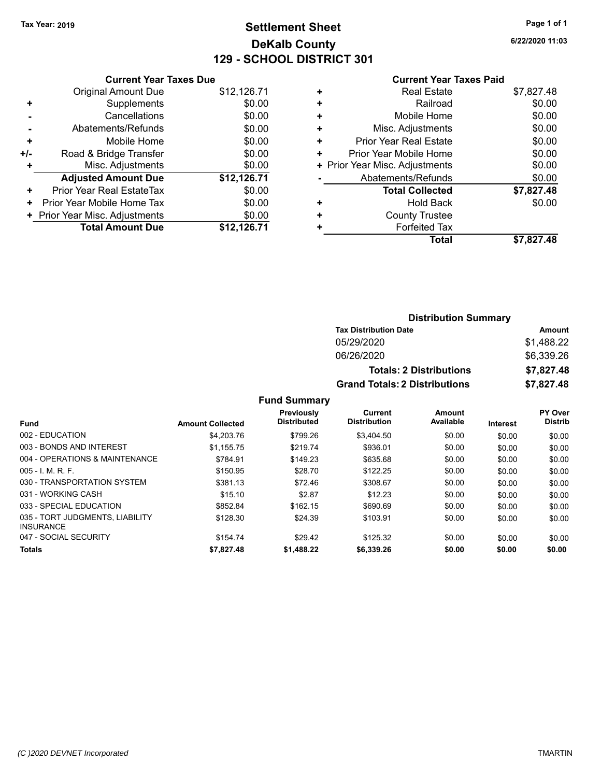# **Settlement Sheet Tax Year: 2019 Page 1 of 1 DeKalb County 129 - SCHOOL DISTRICT 301**

**6/22/2020 11:03**

#### **Current Year Taxes Paid**

|     | <b>Current Year Taxes Due</b>  |             |
|-----|--------------------------------|-------------|
|     | <b>Original Amount Due</b>     | \$12,126.71 |
| ٠   | Supplements                    | \$0.00      |
|     | Cancellations                  | \$0.00      |
|     | Abatements/Refunds             | \$0.00      |
| ٠   | Mobile Home                    | \$0.00      |
| +/- | Road & Bridge Transfer         | \$0.00      |
| ٠   | Misc. Adjustments              | \$0.00      |
|     | <b>Adjusted Amount Due</b>     | \$12,126.71 |
| ٠   | Prior Year Real EstateTax      | \$0.00      |
| ٠   | Prior Year Mobile Home Tax     | \$0.00      |
|     | + Prior Year Misc. Adjustments | \$0.00      |
|     | <b>Total Amount Due</b>        | \$12,126.71 |
|     |                                |             |

|   | <b>Real Estate</b>             | \$7,827.48 |
|---|--------------------------------|------------|
| ٠ | Railroad                       | \$0.00     |
| ٠ | Mobile Home                    | \$0.00     |
| ٠ | Misc. Adjustments              | \$0.00     |
| ٠ | <b>Prior Year Real Estate</b>  | \$0.00     |
| ٠ | Prior Year Mobile Home         | \$0.00     |
|   | + Prior Year Misc. Adjustments | \$0.00     |
|   | Abatements/Refunds             | \$0.00     |
|   | <b>Total Collected</b>         | \$7,827.48 |
| ٠ | Hold Back                      | \$0.00     |
| ٠ | <b>County Trustee</b>          |            |
| ٠ | <b>Forfeited Tax</b>           |            |
|   | Total                          | \$7,827.48 |

#### **Distribution Summary Tax Distribution Date Amount** 05/29/2020 \$1,488.22 06/26/2020 \$6,339.26 **Totals: 2 Distributions \$7,827.48 Grand Totals: 2 Distributions \$7,827.48**

|                                                     |                         | Previously         | Current             | Amount    |                 | <b>PY Over</b> |
|-----------------------------------------------------|-------------------------|--------------------|---------------------|-----------|-----------------|----------------|
| <b>Fund</b>                                         | <b>Amount Collected</b> | <b>Distributed</b> | <b>Distribution</b> | Available | <b>Interest</b> | <b>Distrib</b> |
| 002 - EDUCATION                                     | \$4,203.76              | \$799.26           | \$3.404.50          | \$0.00    | \$0.00          | \$0.00         |
| 003 - BONDS AND INTEREST                            | \$1.155.75              | \$219.74           | \$936.01            | \$0.00    | \$0.00          | \$0.00         |
| 004 - OPERATIONS & MAINTENANCE                      | \$784.91                | \$149.23           | \$635.68            | \$0.00    | \$0.00          | \$0.00         |
| $005 - 1$ M, R, F.                                  | \$150.95                | \$28.70            | \$122.25            | \$0.00    | \$0.00          | \$0.00         |
| 030 - TRANSPORTATION SYSTEM                         | \$381.13                | \$72.46            | \$308.67            | \$0.00    | \$0.00          | \$0.00         |
| 031 - WORKING CASH                                  | \$15.10                 | \$2.87             | \$12.23             | \$0.00    | \$0.00          | \$0.00         |
| 033 - SPECIAL EDUCATION                             | \$852.84                | \$162.15           | \$690.69            | \$0.00    | \$0.00          | \$0.00         |
| 035 - TORT JUDGMENTS, LIABILITY<br><b>INSURANCE</b> | \$128.30                | \$24.39            | \$103.91            | \$0.00    | \$0.00          | \$0.00         |
| 047 - SOCIAL SECURITY                               | \$154.74                | \$29.42            | \$125.32            | \$0.00    | \$0.00          | \$0.00         |
| Totals                                              | \$7,827.48              | \$1,488.22         | \$6,339.26          | \$0.00    | \$0.00          | \$0.00         |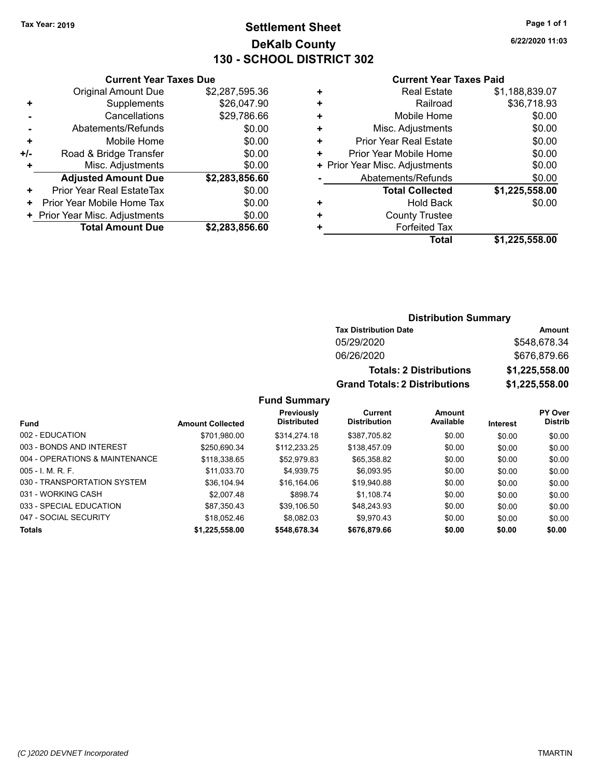# **Settlement Sheet Tax Year: 2019 Page 1 of 1 DeKalb County 130 - SCHOOL DISTRICT 302**

**6/22/2020 11:03**

#### **Current Year Taxes Paid**

|     | <b>Current Year Taxes Due</b>  |                |
|-----|--------------------------------|----------------|
|     | <b>Original Amount Due</b>     | \$2,287,595.36 |
| ٠   | Supplements                    | \$26,047.90    |
|     | Cancellations                  | \$29,786.66    |
|     | Abatements/Refunds             | \$0.00         |
| ٠   | Mobile Home                    | \$0.00         |
| +/- | Road & Bridge Transfer         | \$0.00         |
|     | Misc. Adjustments              | \$0.00         |
|     | <b>Adjusted Amount Due</b>     | \$2,283,856.60 |
| ٠   | Prior Year Real EstateTax      | \$0.00         |
| ٠   | Prior Year Mobile Home Tax     | \$0.00         |
|     | + Prior Year Misc. Adjustments | \$0.00         |
|     | <b>Total Amount Due</b>        | \$2,283,856.60 |
|     |                                |                |

|   | <b>Real Estate</b>             | \$1,188,839.07 |
|---|--------------------------------|----------------|
| ÷ | Railroad                       | \$36,718.93    |
| ٠ | Mobile Home                    | \$0.00         |
| ٠ | Misc. Adjustments              | \$0.00         |
| ٠ | <b>Prior Year Real Estate</b>  | \$0.00         |
| ٠ | Prior Year Mobile Home         | \$0.00         |
|   | + Prior Year Misc. Adjustments | \$0.00         |
|   | Abatements/Refunds             | \$0.00         |
|   | <b>Total Collected</b>         | \$1,225,558.00 |
| ٠ | Hold Back                      | \$0.00         |
| ٠ | <b>County Trustee</b>          |                |
| ٠ | <b>Forfeited Tax</b>           |                |
|   | Total                          | \$1,225,558.00 |
|   |                                |                |

#### **Distribution Summary**

| <b>Tax Distribution Date</b>         | Amount         |
|--------------------------------------|----------------|
| 05/29/2020                           | \$548,678.34   |
| 06/26/2020                           | \$676,879.66   |
| <b>Totals: 2 Distributions</b>       | \$1,225,558,00 |
| <b>Grand Totals: 2 Distributions</b> | \$1,225,558.00 |

|                                |                         | Previously<br><b>Distributed</b> | Current<br><b>Distribution</b> | Amount<br>Available |                 | PY Over<br><b>Distrib</b> |
|--------------------------------|-------------------------|----------------------------------|--------------------------------|---------------------|-----------------|---------------------------|
| <b>Fund</b>                    | <b>Amount Collected</b> |                                  |                                |                     | <b>Interest</b> |                           |
| 002 - EDUCATION                | \$701.980.00            | \$314.274.18                     | \$387.705.82                   | \$0.00              | \$0.00          | \$0.00                    |
| 003 - BONDS AND INTEREST       | \$250,690.34            | \$112,233.25                     | \$138,457.09                   | \$0.00              | \$0.00          | \$0.00                    |
| 004 - OPERATIONS & MAINTENANCE | \$118,338.65            | \$52.979.83                      | \$65,358.82                    | \$0.00              | \$0.00          | \$0.00                    |
| $005 - 1$ M, R, F.             | \$11,033.70             | \$4.939.75                       | \$6,093.95                     | \$0.00              | \$0.00          | \$0.00                    |
| 030 - TRANSPORTATION SYSTEM    | \$36,104.94             | \$16,164.06                      | \$19,940.88                    | \$0.00              | \$0.00          | \$0.00                    |
| 031 - WORKING CASH             | \$2,007.48              | \$898.74                         | \$1.108.74                     | \$0.00              | \$0.00          | \$0.00                    |
| 033 - SPECIAL EDUCATION        | \$87.350.43             | \$39.106.50                      | \$48.243.93                    | \$0.00              | \$0.00          | \$0.00                    |
| 047 - SOCIAL SECURITY          | \$18.052.46             | \$8.082.03                       | \$9.970.43                     | \$0.00              | \$0.00          | \$0.00                    |
| <b>Totals</b>                  | \$1,225,558.00          | \$548,678.34                     | \$676,879.66                   | \$0.00              | \$0.00          | \$0.00                    |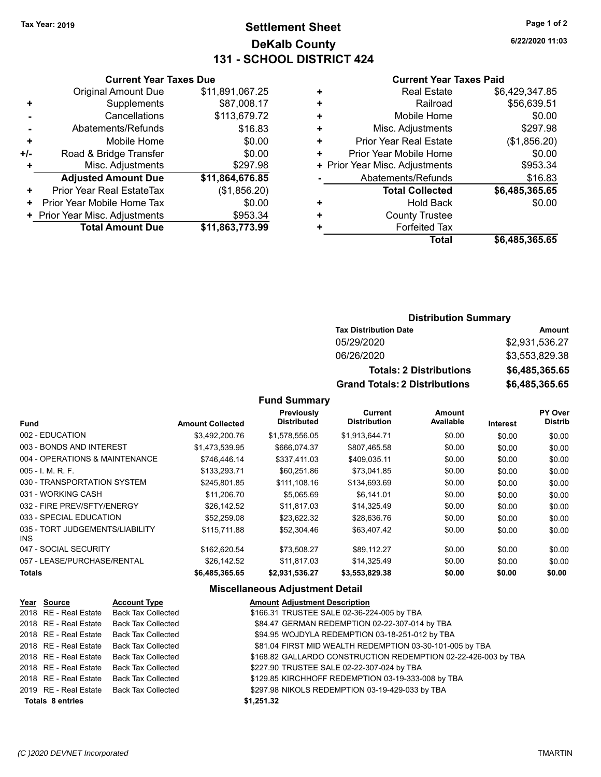**Current Year Taxes Due** Original Amount Due \$11,891,067.25

**Adjusted Amount Due \$11,864,676.85**

**Total Amount Due \$11,863,773.99**

**+** Supplements \$87,008.17 **-** Cancellations \$113,679.72 **-** Abatements/Refunds \$16.83 **+** Mobile Home \$0.00 **+/-** Road & Bridge Transfer **\$0.00 +** Misc. Adjustments \$297.98

**+** Prior Year Real EstateTax (\$1,856.20) **+** Prior Year Mobile Home Tax  $$0.00$ **+ Prior Year Misc. Adjustments \$953.34** 

# **Settlement Sheet Tax Year: 2019 Page 1 of 2 DeKalb County 131 - SCHOOL DISTRICT 424**

**6/22/2020 11:03**

#### **Current Year Taxes Paid**

| \$56,639.51<br>\$0.00 | Railroad<br>Mobile Home        | ٠<br>٠ |
|-----------------------|--------------------------------|--------|
| \$297.98              | Misc. Adjustments              | ÷      |
| (\$1,856.20)          | <b>Prior Year Real Estate</b>  | ٠      |
| \$0.00                | Prior Year Mobile Home         | ٠      |
| \$953.34              | + Prior Year Misc. Adjustments |        |
| \$16.83               | Abatements/Refunds             |        |
| \$6,485,365.65        | <b>Total Collected</b>         |        |
| \$0.00                | <b>Hold Back</b>               | ٠      |
|                       | <b>County Trustee</b>          | ٠      |
|                       | <b>Forfeited Tax</b>           |        |
|                       |                                |        |
| \$6,485,365.65        | Total                          |        |

| <b>Tax Distribution Date</b>         | Amount         |
|--------------------------------------|----------------|
| 05/29/2020                           | \$2.931.536.27 |
| 06/26/2020                           | \$3.553.829.38 |
| <b>Totals: 2 Distributions</b>       | \$6,485,365.65 |
| <b>Grand Totals: 2 Distributions</b> | \$6,485,365.65 |

**Fund Summary**

| <b>Fund</b>                             | <b>Amount Collected</b> | Previously<br><b>Distributed</b> | Current<br><b>Distribution</b> | <b>Amount</b><br>Available | <b>Interest</b> | PY Over<br><b>Distrib</b> |
|-----------------------------------------|-------------------------|----------------------------------|--------------------------------|----------------------------|-----------------|---------------------------|
| 002 - EDUCATION                         | \$3.492.200.76          | \$1.578.556.05                   | \$1.913.644.71                 | \$0.00                     | \$0.00          | \$0.00                    |
| 003 - BONDS AND INTEREST                | \$1.473.539.95          | \$666.074.37                     | \$807.465.58                   | \$0.00                     | \$0.00          | \$0.00                    |
| 004 - OPERATIONS & MAINTENANCE          | \$746,446.14            | \$337,411.03                     | \$409,035.11                   | \$0.00                     | \$0.00          | \$0.00                    |
| $005 - I$ , M, R, F,                    | \$133.293.71            | \$60.251.86                      | \$73.041.85                    | \$0.00                     | \$0.00          | \$0.00                    |
| 030 - TRANSPORTATION SYSTEM             | \$245.801.85            | \$111.108.16                     | \$134,693.69                   | \$0.00                     | \$0.00          | \$0.00                    |
| 031 - WORKING CASH                      | \$11,206.70             | \$5,065.69                       | \$6,141.01                     | \$0.00                     | \$0.00          | \$0.00                    |
| 032 - FIRE PREV/SFTY/ENERGY             | \$26.142.52             | \$11.817.03                      | \$14.325.49                    | \$0.00                     | \$0.00          | \$0.00                    |
| 033 - SPECIAL EDUCATION                 | \$52,259.08             | \$23,622.32                      | \$28,636.76                    | \$0.00                     | \$0.00          | \$0.00                    |
| 035 - TORT JUDGEMENTS/LIABILITY<br>INS. | \$115.711.88            | \$52,304.46                      | \$63,407.42                    | \$0.00                     | \$0.00          | \$0.00                    |
| 047 - SOCIAL SECURITY                   | \$162.620.54            | \$73.508.27                      | \$89,112.27                    | \$0.00                     | \$0.00          | \$0.00                    |
| 057 - LEASE/PURCHASE/RENTAL             | \$26.142.52             | \$11.817.03                      | \$14.325.49                    | \$0.00                     | \$0.00          | \$0.00                    |
| <b>Totals</b>                           | \$6,485,365.65          | \$2,931,536.27                   | \$3,553,829.38                 | \$0.00                     | \$0.00          | \$0.00                    |

#### **Miscellaneous Adjustment Detail**

| Year Source             | <b>Account Type</b>                      | <b>Amount Adjustment Description</b>                           |
|-------------------------|------------------------------------------|----------------------------------------------------------------|
|                         | 2018 RE - Real Estate Back Tax Collected | \$166.31 TRUSTEE SALE 02-36-224-005 by TBA                     |
| 2018 RE - Real Estate   | Back Tax Collected                       | \$84.47 GERMAN REDEMPTION 02-22-307-014 by TBA                 |
| 2018 RE - Real Estate   | Back Tax Collected                       | \$94.95 WOJDYLA REDEMPTION 03-18-251-012 by TBA                |
| 2018 RE - Real Estate   | Back Tax Collected                       | \$81.04 FIRST MID WEALTH REDEMPTION 03-30-101-005 by TBA       |
| 2018 RE - Real Estate   | Back Tax Collected                       | \$168.82 GALLARDO CONSTRUCTION REDEMPTION 02-22-426-003 by TBA |
| 2018 RE - Real Estate   | Back Tax Collected                       | \$227.90 TRUSTEE SALE 02-22-307-024 by TBA                     |
| 2018 RE - Real Estate   | Back Tax Collected                       | \$129.85 KIRCHHOFF REDEMPTION 03-19-333-008 by TBA             |
| 2019 RE - Real Estate   | Back Tax Collected                       | \$297.98 NIKOLS REDEMPTION 03-19-429-033 by TBA                |
| <b>Totals 8 entries</b> |                                          | \$1,251.32                                                     |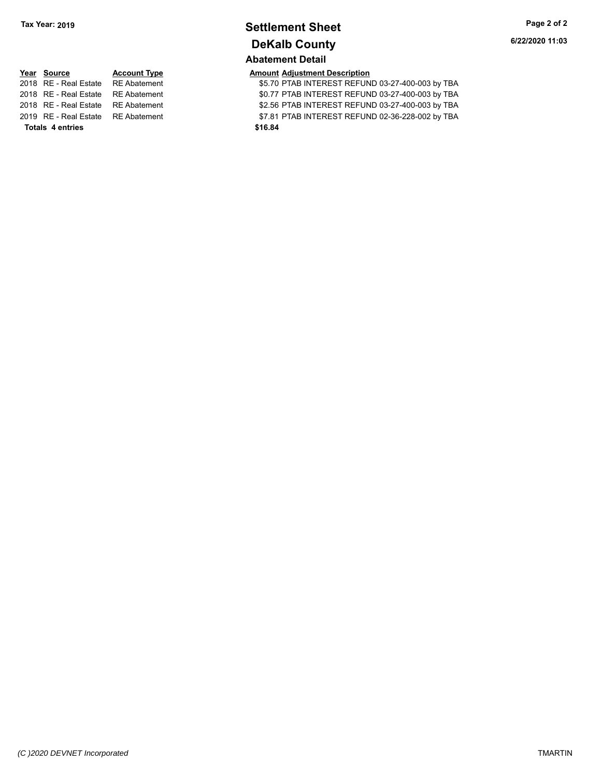## **Settlement Sheet Tax Year: 2019 Page 2 of 2 DeKalb County Abatement Detail**

# **Year** Source **Account Type A** Anneunt Adjustment Description **Totals \$16.84 4 entries**

2018 RE - Real Estate RE Abatement \$5.70 PTAB INTEREST REFUND 03-27-400-003 by TBA 2018 RE - Real Estate RE Abatement S0.77 PTAB INTEREST REFUND 03-27-400-003 by TBA 2018 RE - Real Estate RE Abatement \$2.56 PTAB INTEREST REFUND 03-27-400-003 by TBA 2019 RE - Real Estate RE Abatement \$7.81 PTAB INTEREST REFUND 02-36-228-002 by TBA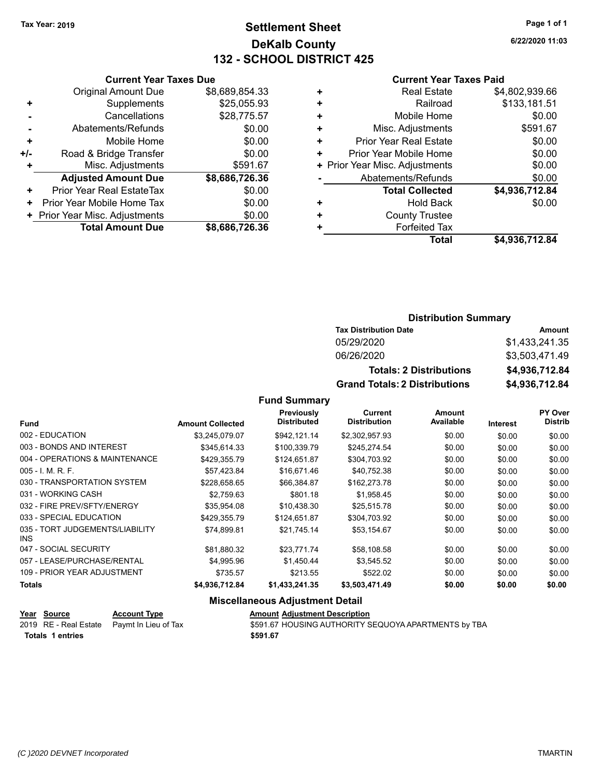# **Settlement Sheet Tax Year: 2019 Page 1 of 1 DeKalb County 132 - SCHOOL DISTRICT 425**

**6/22/2020 11:03**

#### **Current Year Taxes Paid**

|       | <b>Current Year Taxes Due</b>  |                |
|-------|--------------------------------|----------------|
|       | <b>Original Amount Due</b>     | \$8,689,854.33 |
| ٠     | Supplements                    | \$25,055.93    |
|       | Cancellations                  | \$28,775.57    |
|       | Abatements/Refunds             | \$0.00         |
| ٠     | Mobile Home                    | \$0.00         |
| $+/-$ | Road & Bridge Transfer         | \$0.00         |
|       | Misc. Adjustments              | \$591.67       |
|       | <b>Adjusted Amount Due</b>     | \$8,686,726.36 |
| ٠     | Prior Year Real EstateTax      | \$0.00         |
| ٠     | Prior Year Mobile Home Tax     | \$0.00         |
|       | + Prior Year Misc. Adjustments | \$0.00         |
|       | <b>Total Amount Due</b>        | \$8,686,726.36 |
|       |                                |                |

| <b>Real Estate</b>             | \$4,802,939.66 |
|--------------------------------|----------------|
| Railroad                       | \$133,181.51   |
| Mobile Home                    | \$0.00         |
| Misc. Adjustments              | \$591.67       |
| <b>Prior Year Real Estate</b>  | \$0.00         |
| Prior Year Mobile Home         | \$0.00         |
| + Prior Year Misc. Adjustments | \$0.00         |
| Abatements/Refunds             | \$0.00         |
| <b>Total Collected</b>         | \$4,936,712.84 |
| Hold Back                      | \$0.00         |
| <b>County Trustee</b>          |                |
| <b>Forfeited Tax</b>           |                |
| <b>Total</b>                   | \$4,936,712.84 |
|                                |                |

#### **Distribution Summary**

| <b>Tax Distribution Date</b>         | Amount         |
|--------------------------------------|----------------|
| 05/29/2020                           | \$1,433,241.35 |
| 06/26/2020                           | \$3,503,471.49 |
| <b>Totals: 2 Distributions</b>       | \$4,936,712.84 |
| <b>Grand Totals: 2 Distributions</b> | \$4,936,712.84 |

**Fund Summary**

|                                               |                         | <b>Previously</b><br><b>Distributed</b> | Current<br><b>Distribution</b> | Amount<br>Available |          | <b>PY Over</b><br><b>Distrib</b> |
|-----------------------------------------------|-------------------------|-----------------------------------------|--------------------------------|---------------------|----------|----------------------------------|
| <b>Fund</b>                                   | <b>Amount Collected</b> |                                         |                                |                     | Interest |                                  |
| 002 - EDUCATION                               | \$3.245.079.07          | \$942.121.14                            | \$2,302,957.93                 | \$0.00              | \$0.00   | \$0.00                           |
| 003 - BONDS AND INTEREST                      | \$345,614.33            | \$100,339.79                            | \$245,274.54                   | \$0.00              | \$0.00   | \$0.00                           |
| 004 - OPERATIONS & MAINTENANCE                | \$429,355.79            | \$124,651.87                            | \$304,703.92                   | \$0.00              | \$0.00   | \$0.00                           |
| $005 - 1$ M, R, F.                            | \$57,423.84             | \$16,671.46                             | \$40,752.38                    | \$0.00              | \$0.00   | \$0.00                           |
| 030 - TRANSPORTATION SYSTEM                   | \$228,658.65            | \$66,384.87                             | \$162,273.78                   | \$0.00              | \$0.00   | \$0.00                           |
| 031 - WORKING CASH                            | \$2.759.63              | \$801.18                                | \$1,958.45                     | \$0.00              | \$0.00   | \$0.00                           |
| 032 - FIRE PREV/SFTY/ENERGY                   | \$35,954.08             | \$10,438.30                             | \$25,515.78                    | \$0.00              | \$0.00   | \$0.00                           |
| 033 - SPECIAL EDUCATION                       | \$429.355.79            | \$124.651.87                            | \$304,703.92                   | \$0.00              | \$0.00   | \$0.00                           |
| 035 - TORT JUDGEMENTS/LIABILITY<br><b>INS</b> | \$74.899.81             | \$21.745.14                             | \$53,154.67                    | \$0.00              | \$0.00   | \$0.00                           |
| 047 - SOCIAL SECURITY                         | \$81,880.32             | \$23.771.74                             | \$58,108.58                    | \$0.00              | \$0.00   | \$0.00                           |
| 057 - LEASE/PURCHASE/RENTAL                   | \$4.995.96              | \$1.450.44                              | \$3.545.52                     | \$0.00              | \$0.00   | \$0.00                           |
| 109 - PRIOR YEAR ADJUSTMENT                   | \$735.57                | \$213.55                                | \$522.02                       | \$0.00              | \$0.00   | \$0.00                           |
| <b>Totals</b>                                 | \$4,936,712.84          | \$1,433,241.35                          | \$3,503,471.49                 | \$0.00              | \$0.00   | \$0.00                           |
|                                               |                         |                                         |                                |                     |          |                                  |

#### **Miscellaneous Adjustment Detail**

| Year Source      | <b>Account Type</b>                        | <b>Amount Adiustment Description</b>                 |
|------------------|--------------------------------------------|------------------------------------------------------|
|                  | 2019 RE - Real Estate Paymt In Lieu of Tax | \$591.67 HOUSING AUTHORITY SEQUOYA APARTMENTS by TBA |
| Totals 1 entries |                                            | \$591.67                                             |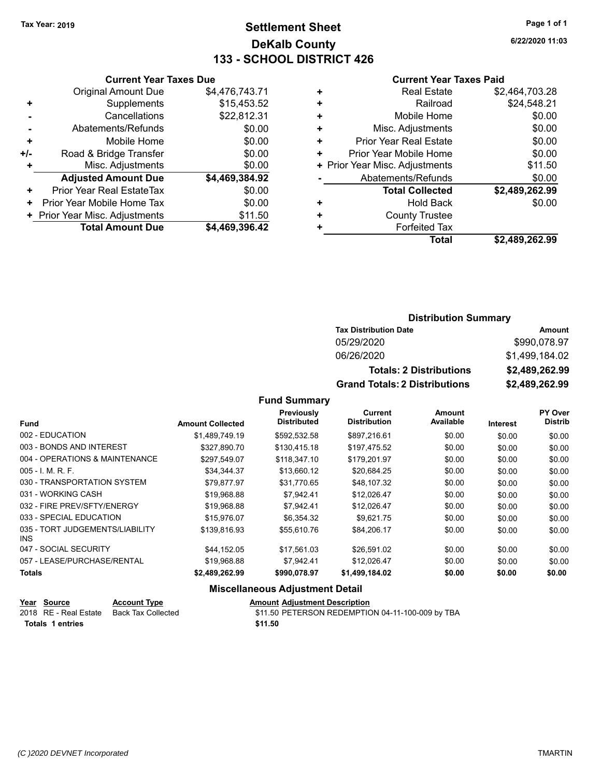# **Settlement Sheet Tax Year: 2019 Page 1 of 1 DeKalb County 133 - SCHOOL DISTRICT 426**

**6/22/2020 11:03**

|                | <b>Current Year Taxes Due</b> |                |
|----------------|-------------------------------|----------------|
|                | <b>Original Amount Due</b>    | \$4,476,743.71 |
| ÷              | Supplements                   | \$15,453.52    |
|                | Cancellations                 | \$22,812.31    |
| $\overline{a}$ | Abatements/Refunds            | \$0.00         |
| ÷              | Mobile Home                   | \$0.00         |
| ı.             | Road & Bridge Transfer        | \$0.00         |
| ÷.             | Misc. Adiustments             | \$0.00         |

**Total Amount Due \$4,469,396.42**

|     | Cancellations                  | \$22,812.31    |
|-----|--------------------------------|----------------|
|     | Abatements/Refunds             | \$0.00         |
| ÷   | Mobile Home                    | \$0.00         |
| +/- | Road & Bridge Transfer         | \$0.00         |
| $+$ | Misc. Adjustments              | \$0.00         |
|     | <b>Adjusted Amount Due</b>     | \$4,469,384.92 |
| ٠   | Prior Year Real EstateTax      | \$0.00         |
| ٠   | Prior Year Mobile Home Tax     | \$0.00         |
|     | + Prior Year Misc. Adjustments | \$11.50        |

#### **Current Year Taxes Paid**

| ٠ | <b>Real Estate</b>             | \$2,464,703.28 |
|---|--------------------------------|----------------|
| ٠ | Railroad                       | \$24,548.21    |
| ٠ | Mobile Home                    | \$0.00         |
| ٠ | Misc. Adjustments              | \$0.00         |
| ٠ | Prior Year Real Estate         | \$0.00         |
| ٠ | Prior Year Mobile Home         | \$0.00         |
|   | + Prior Year Misc. Adjustments | \$11.50        |
|   | Abatements/Refunds             | \$0.00         |
|   | <b>Total Collected</b>         | \$2,489,262.99 |
| ٠ | Hold Back                      | \$0.00         |
| ٠ | <b>County Trustee</b>          |                |
| ٠ | <b>Forfeited Tax</b>           |                |
|   | Total                          | \$2,489,262.99 |
|   |                                |                |

#### **Distribution Summary**

| <b>Tax Distribution Date</b>         | Amount         |
|--------------------------------------|----------------|
| 05/29/2020                           | \$990,078.97   |
| 06/26/2020                           | \$1.499.184.02 |
| <b>Totals: 2 Distributions</b>       | \$2,489,262.99 |
| <b>Grand Totals: 2 Distributions</b> | \$2,489,262.99 |

**Fund Summary**

|                                         |                         | Previously         | Current             | <b>Amount</b> |                 | <b>PY Over</b> |
|-----------------------------------------|-------------------------|--------------------|---------------------|---------------|-----------------|----------------|
| <b>Fund</b>                             | <b>Amount Collected</b> | <b>Distributed</b> | <b>Distribution</b> | Available     | <b>Interest</b> | <b>Distrib</b> |
| 002 - EDUCATION                         | \$1.489.749.19          | \$592.532.58       | \$897,216.61        | \$0.00        | \$0.00          | \$0.00         |
| 003 - BONDS AND INTEREST                | \$327.890.70            | \$130.415.18       | \$197,475.52        | \$0.00        | \$0.00          | \$0.00         |
| 004 - OPERATIONS & MAINTENANCE          | \$297,549.07            | \$118,347.10       | \$179,201.97        | \$0.00        | \$0.00          | \$0.00         |
| $005 - I. M. R. F.$                     | \$34,344.37             | \$13,660.12        | \$20,684.25         | \$0.00        | \$0.00          | \$0.00         |
| 030 - TRANSPORTATION SYSTEM             | \$79.877.97             | \$31.770.65        | \$48,107.32         | \$0.00        | \$0.00          | \$0.00         |
| 031 - WORKING CASH                      | \$19,968.88             | \$7,942.41         | \$12,026.47         | \$0.00        | \$0.00          | \$0.00         |
| 032 - FIRE PREV/SFTY/ENERGY             | \$19.968.88             | \$7.942.41         | \$12.026.47         | \$0.00        | \$0.00          | \$0.00         |
| 033 - SPECIAL EDUCATION                 | \$15.976.07             | \$6.354.32         | \$9,621.75          | \$0.00        | \$0.00          | \$0.00         |
| 035 - TORT JUDGEMENTS/LIABILITY<br>INS. | \$139.816.93            | \$55.610.76        | \$84.206.17         | \$0.00        | \$0.00          | \$0.00         |
| 047 - SOCIAL SECURITY                   | \$44.152.05             | \$17.561.03        | \$26,591.02         | \$0.00        | \$0.00          | \$0.00         |
| 057 - LEASE/PURCHASE/RENTAL             | \$19.968.88             | \$7.942.41         | \$12.026.47         | \$0.00        | \$0.00          | \$0.00         |
| Totals                                  | \$2,489,262.99          | \$990,078.97       | \$1,499,184.02      | \$0.00        | \$0.00          | \$0.00         |

#### **Miscellaneous Adjustment Detail**

| <u> Year Source</u>   | <b>Account Type</b> | <b>Amount Adiustment Description</b>             |
|-----------------------|---------------------|--------------------------------------------------|
| 2018 RE - Real Estate | Back Tax Collected  | \$11.50 PETERSON REDEMPTION 04-11-100-009 by TBA |
| Totals 1 entries      |                     | \$11.50                                          |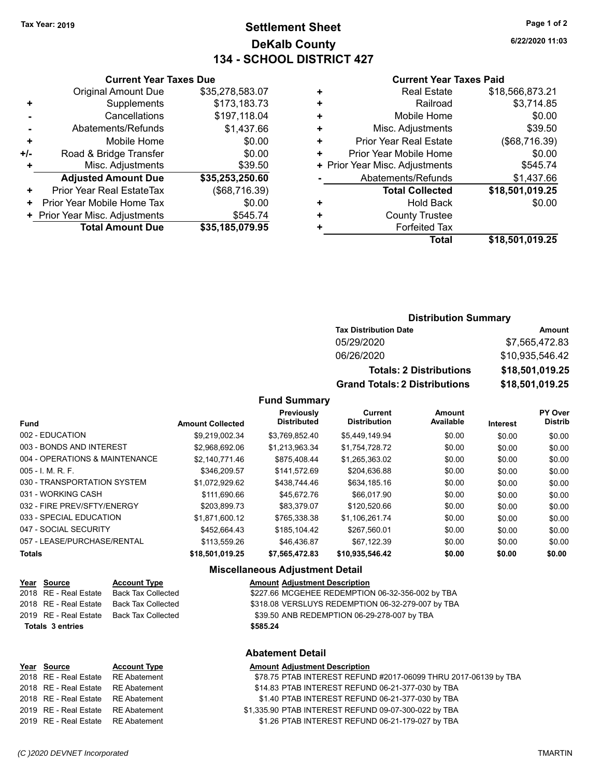# **Settlement Sheet Tax Year: 2019 Page 1 of 2 DeKalb County 134 - SCHOOL DISTRICT 427**

**6/22/2020 11:03**

#### **Current Year Taxes Paid**

| Curre                   |   |                 | <b>Current Year Taxes Due</b>  |           |
|-------------------------|---|-----------------|--------------------------------|-----------|
| Rea                     | ÷ | \$35,278,583.07 | <b>Original Amount Due</b>     |           |
|                         | ٠ | \$173,183.73    | Supplements                    | ٠         |
| Mobil                   | ٠ | \$197,118.04    | Cancellations                  |           |
| Misc. Adju              | ٠ | \$1,437.66      | Abatements/Refunds             |           |
| Prior Year Rea          | ٠ | \$0.00          | Mobile Home                    | ÷         |
| Prior Year Mobil        | ÷ | \$0.00          | Road & Bridge Transfer         | $+/-$     |
| + Prior Year Misc. Adju |   | \$39.50         | Misc. Adjustments              | ÷         |
| Abatements/             |   | \$35,253,250.60 | <b>Adjusted Amount Due</b>     |           |
| <b>Total Co</b>         |   | (\$68,716.39)   | Prior Year Real EstateTax      |           |
| Ho                      | ÷ | \$0.00          | Prior Year Mobile Home Tax     | $\ddot{}$ |
| County                  | ٠ | \$545.74        | + Prior Year Misc. Adjustments |           |
| Forfe                   | ٠ | \$35,185,079.95 | <b>Total Amount Due</b>        |           |
|                         |   |                 |                                |           |

|   | <b>Real Estate</b>             | \$18,566,873.21 |
|---|--------------------------------|-----------------|
|   | Railroad                       | \$3,714.85      |
|   | Mobile Home                    | \$0.00          |
| ٠ | Misc. Adjustments              | \$39.50         |
| ٠ | <b>Prior Year Real Estate</b>  | (\$68,716.39)   |
| ÷ | Prior Year Mobile Home         | \$0.00          |
|   | + Prior Year Misc. Adjustments | \$545.74        |
|   | Abatements/Refunds             | \$1,437.66      |
|   | <b>Total Collected</b>         | \$18,501,019.25 |
| ٠ | Hold Back                      | \$0.00          |
|   | <b>County Trustee</b>          |                 |
|   | <b>Forfeited Tax</b>           |                 |
|   | Total                          | \$18,501,019.25 |
|   |                                |                 |

#### **Distribution Summary**

| <b>Tax Distribution Date</b>         | Amount          |
|--------------------------------------|-----------------|
| 05/29/2020                           | \$7,565,472.83  |
| 06/26/2020                           | \$10,935,546.42 |
| <b>Totals: 2 Distributions</b>       | \$18,501,019.25 |
| <b>Grand Totals: 2 Distributions</b> | \$18,501,019.25 |

#### **Fund Summary**

| <b>Fund</b>                    | <b>Amount Collected</b> | <b>Previously</b><br><b>Distributed</b> | Current<br><b>Distribution</b> | Amount<br>Available | Interest | PY Over<br><b>Distrib</b> |
|--------------------------------|-------------------------|-----------------------------------------|--------------------------------|---------------------|----------|---------------------------|
| 002 - EDUCATION                | \$9.219.002.34          | \$3.769.852.40                          | \$5.449.149.94                 | \$0.00              | \$0.00   | \$0.00                    |
| 003 - BONDS AND INTEREST       | \$2,968,692.06          | \$1,213,963.34                          | \$1,754,728.72                 | \$0.00              | \$0.00   | \$0.00                    |
| 004 - OPERATIONS & MAINTENANCE | \$2.140.771.46          | \$875.408.44                            | \$1,265,363.02                 | \$0.00              | \$0.00   | \$0.00                    |
| $005 - 1$ M, R, F.             | \$346.209.57            | \$141.572.69                            | \$204.636.88                   | \$0.00              | \$0.00   | \$0.00                    |
| 030 - TRANSPORTATION SYSTEM    | \$1.072.929.62          | \$438,744.46                            | \$634,185.16                   | \$0.00              | \$0.00   | \$0.00                    |
| 031 - WORKING CASH             | \$111.690.66            | \$45.672.76                             | \$66,017.90                    | \$0.00              | \$0.00   | \$0.00                    |
| 032 - FIRE PREV/SFTY/ENERGY    | \$203.899.73            | \$83.379.07                             | \$120,520.66                   | \$0.00              | \$0.00   | \$0.00                    |
| 033 - SPECIAL EDUCATION        | \$1.871.600.12          | \$765.338.38                            | \$1.106.261.74                 | \$0.00              | \$0.00   | \$0.00                    |
| 047 - SOCIAL SECURITY          | \$452.664.43            | \$185.104.42                            | \$267.560.01                   | \$0.00              | \$0.00   | \$0.00                    |
| 057 - LEASE/PURCHASE/RENTAL    | \$113,559.26            | \$46,436.87                             | \$67.122.39                    | \$0.00              | \$0.00   | \$0.00                    |
| <b>Totals</b>                  | \$18,501,019.25         | \$7,565,472.83                          | \$10,935,546.42                | \$0.00              | \$0.00   | \$0.00                    |

#### **Miscellaneous Adjustment Detail**

| Year Source             | <b>Account Type</b> | <b>Amount Adjustment Description</b>              |
|-------------------------|---------------------|---------------------------------------------------|
| 2018 RE - Real Estate   | Back Tax Collected  | \$227.66 MCGEHEE REDEMPTION 06-32-356-002 by TBA  |
| 2018   RE - Real Estate | Back Tax Collected  | \$318.08 VERSLUYS REDEMPTION 06-32-279-007 by TBA |
| 2019   RE - Real Estate | Back Tax Collected  | \$39.50 ANB REDEMPTION 06-29-278-007 by TBA       |
| Totals 3 entries        |                     | \$585.24                                          |
|                         |                     |                                                   |

#### **Abatement Detail**

| <u>Year Source</u>                 | <b>Account Type</b> | <b>Amount Adjustment Description</b>                            |
|------------------------------------|---------------------|-----------------------------------------------------------------|
| 2018 RE - Real Estate RE Abatement |                     | \$78.75 PTAB INTEREST REFUND #2017-06099 THRU 2017-06139 by TBA |
| 2018 RE - Real Estate RE Abatement |                     | \$14.83 PTAB INTEREST REFUND 06-21-377-030 by TBA               |
| 2018 RE - Real Estate RE Abatement |                     | \$1.40 PTAB INTEREST REFUND 06-21-377-030 by TBA                |
| 2019 RE - Real Estate RE Abatement |                     | \$1,335.90 PTAB INTEREST REFUND 09-07-300-022 by TBA            |
| 2019 RE - Real Estate RE Abatement |                     | \$1.26 PTAB INTEREST REFUND 06-21-179-027 by TBA                |
|                                    |                     |                                                                 |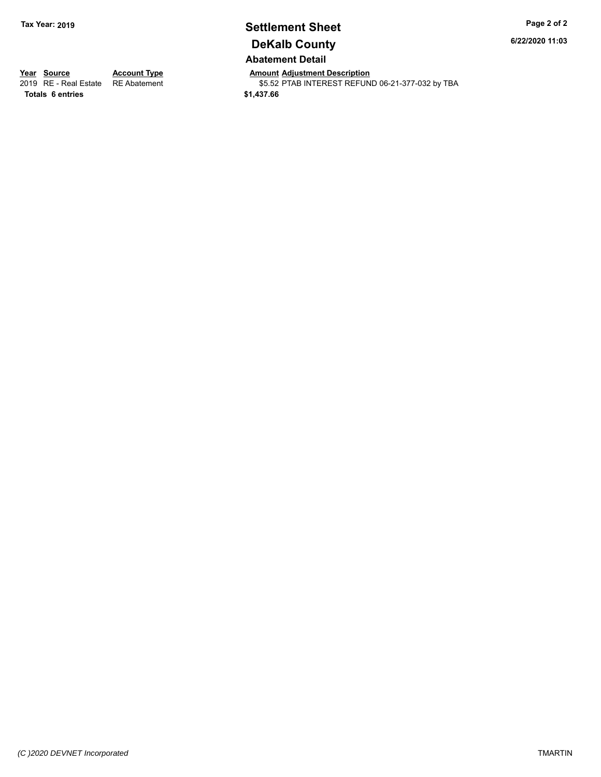# **Settlement Sheet Tax Year: 2019 Page 2 of 2 DeKalb County**

**6/22/2020 11:03**

### **Abatement Detail**

\$5.52 PTAB INTEREST REFUND 06-21-377-032 by TBA

**Year Source Account Type Anneurs Amount Adjustment Description**<br>
2019 RE - Real Estate RE Abatement **Account 1998 AMOUNTEREST REFUN** 

**Totals \$1,437.66 6 entries**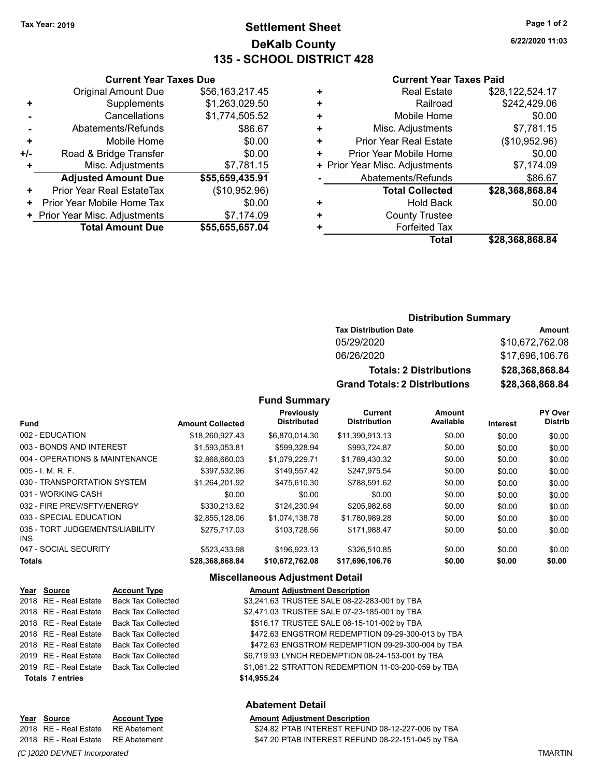**Current Year Taxes Due** Original Amount Due \$56,163,217.45

**Adjusted Amount Due \$55,659,435.91**

**Total Amount Due \$55,655,657.04**

**+** Supplements \$1,263,029.50 **-** Cancellations \$1,774,505.52 **-** Abatements/Refunds \$86.67 **+** Mobile Home \$0.00 **+/-** Road & Bridge Transfer **\$0.00 +** Misc. Adjustments \$7,781.15

**+** Prior Year Real EstateTax (\$10,952.96) **+** Prior Year Mobile Home Tax  $$0.00$ **+** Prior Year Misc. Adjustments \$7,174.09

# **Settlement Sheet Tax Year: 2019 Page 1 of 2 DeKalb County 135 - SCHOOL DISTRICT 428**

**6/22/2020 11:03**

#### **Current Year Taxes Paid**

| ٠ | <b>Real Estate</b>             | \$28,122,524.17 |
|---|--------------------------------|-----------------|
| ٠ | Railroad                       | \$242,429.06    |
| ٠ | Mobile Home                    | \$0.00          |
| ٠ | Misc. Adjustments              | \$7,781.15      |
| ٠ | <b>Prior Year Real Estate</b>  | (\$10,952.96)   |
| ÷ | Prior Year Mobile Home         | \$0.00          |
|   | + Prior Year Misc. Adjustments | \$7,174.09      |
|   | Abatements/Refunds             | \$86.67         |
|   | <b>Total Collected</b>         | \$28,368,868.84 |
| ٠ | <b>Hold Back</b>               | \$0.00          |
| ٠ | <b>County Trustee</b>          |                 |
| ٠ | <b>Forfeited Tax</b>           |                 |
|   | Total                          | \$28,368,868.84 |
|   |                                |                 |

#### **Distribution Summary**

| <b>Tax Distribution Date</b>         | Amount          |
|--------------------------------------|-----------------|
| 05/29/2020                           | \$10,672,762.08 |
| 06/26/2020                           | \$17,696,106.76 |
| <b>Totals: 2 Distributions</b>       | \$28,368,868.84 |
| <b>Grand Totals: 2 Distributions</b> | \$28,368,868.84 |

#### **Fund Summary**

|                                         |                         | Previously         | <b>Current</b>      | Amount    |                 | PY Over        |
|-----------------------------------------|-------------------------|--------------------|---------------------|-----------|-----------------|----------------|
| <b>Fund</b>                             | <b>Amount Collected</b> | <b>Distributed</b> | <b>Distribution</b> | Available | <b>Interest</b> | <b>Distrib</b> |
| 002 - EDUCATION                         | \$18,260,927.43         | \$6,870,014.30     | \$11,390,913.13     | \$0.00    | \$0.00          | \$0.00         |
| 003 - BONDS AND INTEREST                | \$1,593,053.81          | \$599,328.94       | \$993,724.87        | \$0.00    | \$0.00          | \$0.00         |
| 004 - OPERATIONS & MAINTENANCE          | \$2,868,660.03          | \$1,079,229.71     | \$1,789,430.32      | \$0.00    | \$0.00          | \$0.00         |
| $005 - 1$ , M, R, F,                    | \$397,532.96            | \$149,557.42       | \$247,975.54        | \$0.00    | \$0.00          | \$0.00         |
| 030 - TRANSPORTATION SYSTEM             | \$1.264.201.92          | \$475.610.30       | \$788.591.62        | \$0.00    | \$0.00          | \$0.00         |
| 031 - WORKING CASH                      | \$0.00                  | \$0.00             | \$0.00              | \$0.00    | \$0.00          | \$0.00         |
| 032 - FIRE PREV/SFTY/ENERGY             | \$330.213.62            | \$124.230.94       | \$205.982.68        | \$0.00    | \$0.00          | \$0.00         |
| 033 - SPECIAL EDUCATION                 | \$2,855,128.06          | \$1,074,138.78     | \$1.780.989.28      | \$0.00    | \$0.00          | \$0.00         |
| 035 - TORT JUDGEMENTS/LIABILITY<br>INS. | \$275.717.03            | \$103.728.56       | \$171.988.47        | \$0.00    | \$0.00          | \$0.00         |
| 047 - SOCIAL SECURITY                   | \$523.433.98            | \$196.923.13       | \$326.510.85        | \$0.00    | \$0.00          | \$0.00         |
| <b>Totals</b>                           | \$28,368,868.84         | \$10,672,762.08    | \$17,696,106.76     | \$0.00    | \$0.00          | \$0.00         |

#### **Miscellaneous Adjustment Detail**

| Year Source             | <b>Account Type</b>                      | <b>Amount Adjustment Description</b>                |
|-------------------------|------------------------------------------|-----------------------------------------------------|
|                         | 2018 RE - Real Estate Back Tax Collected | \$3,241.63 TRUSTEE SALE 08-22-283-001 by TBA        |
| 2018 RE - Real Estate   | <b>Back Tax Collected</b>                | \$2,471.03 TRUSTEE SALE 07-23-185-001 by TBA        |
| 2018 RE - Real Estate   | <b>Back Tax Collected</b>                | \$516.17 TRUSTEE SALE 08-15-101-002 by TBA          |
| 2018 RE - Real Estate   | <b>Back Tax Collected</b>                | \$472.63 ENGSTROM REDEMPTION 09-29-300-013 by TBA   |
| 2018 RE - Real Estate   | <b>Back Tax Collected</b>                | \$472.63 ENGSTROM REDEMPTION 09-29-300-004 by TBA   |
| 2019 RE - Real Estate   | <b>Back Tax Collected</b>                | \$6,719.93 LYNCH REDEMPTION 08-24-153-001 by TBA    |
|                         | 2019 RE - Real Estate Back Tax Collected | \$1,061.22 STRATTON REDEMPTION 11-03-200-059 by TBA |
| <b>Totals 7 entries</b> |                                          | \$14,955.24                                         |

#### **Abatement Detail**

# **Year Source Account Type Amount Adjustment Description**

RE Abatement **2018 S24.82 PTAB INTEREST REFUND 08-12-227-006 by TBA** 2018 RE - Real Estate RE Abatement \$47.20 PTAB INTEREST REFUND 08-22-151-045 by TBA

*(C )2020 DEVNET Incorporated* TMARTIN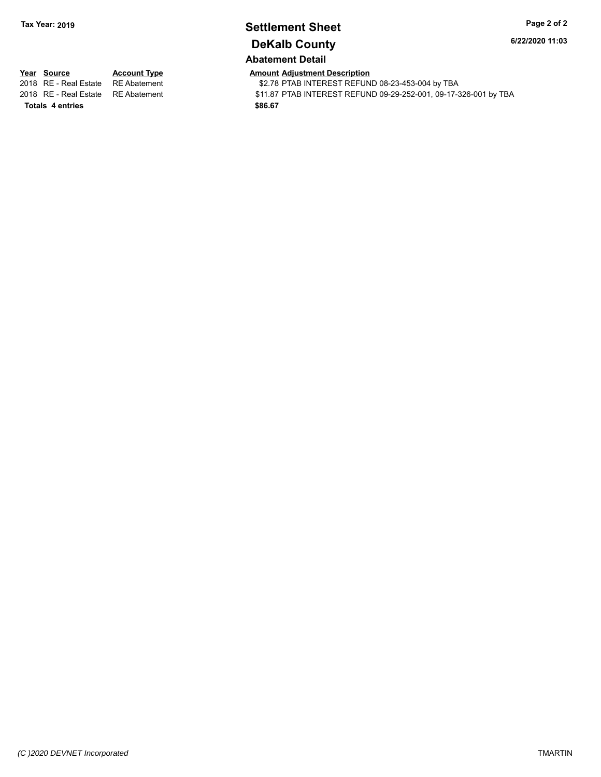# **Settlement Sheet Tax Year: 2019 Page 2 of 2 DeKalb County**

**6/22/2020 11:03**

**Totals \$86.67 4 entries**

**Abatement Detail**

**Year Source Account Type Amount Adjustment Description**<br>2018 RE - Real Estate RE Abatement **Amount Adjustment CEL** \$2.78 PTAB INTEREST REFUND 08-23-453-004 by TBA

2018 RE - Real Estate RE Abatement \$11.87 PTAB INTEREST REFUND 09-29-252-001, 09-17-326-001 by TBA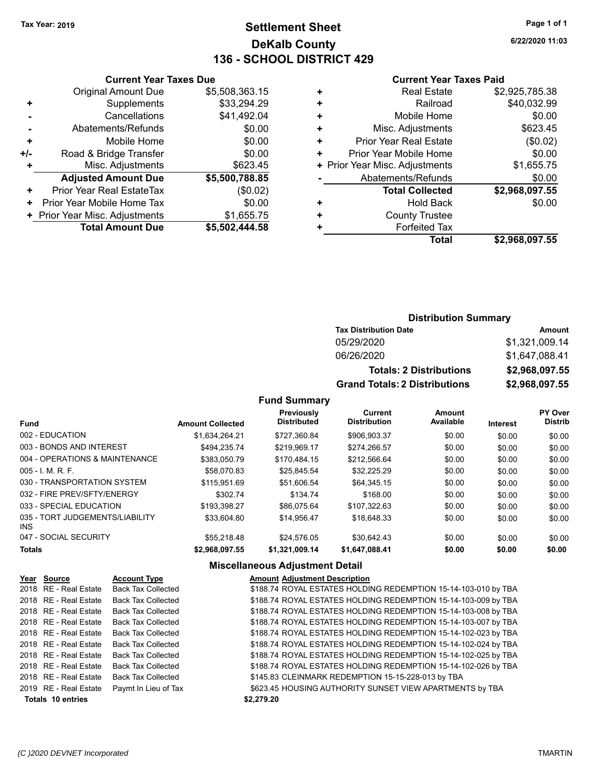# **Settlement Sheet Tax Year: 2019 Page 1 of 1 DeKalb County 136 - SCHOOL DISTRICT 429**

**6/22/2020 11:03**

#### **Current Year Taxes Paid**

|     | <b>Current Year Taxes Due</b>  |                |
|-----|--------------------------------|----------------|
|     | <b>Original Amount Due</b>     | \$5,508,363.15 |
| ÷   | Supplements                    | \$33,294.29    |
|     | Cancellations                  | \$41,492.04    |
|     | Abatements/Refunds             | \$0.00         |
| ٠   | Mobile Home                    | \$0.00         |
| +/- | Road & Bridge Transfer         | \$0.00         |
|     | Misc. Adjustments              | \$623.45       |
|     | <b>Adjusted Amount Due</b>     | \$5,500,788.85 |
| ٠   | Prior Year Real EstateTax      | (\$0.02)       |
| ٠   | Prior Year Mobile Home Tax     | \$0.00         |
|     | + Prior Year Misc. Adjustments | \$1,655.75     |
|     | <b>Total Amount Due</b>        | \$5,502,444.58 |
|     |                                |                |

|   | <b>Real Estate</b>             | \$2,925,785.38 |
|---|--------------------------------|----------------|
| ٠ | Railroad                       | \$40,032.99    |
| ٠ | Mobile Home                    | \$0.00         |
| ٠ | Misc. Adjustments              | \$623.45       |
| ٠ | <b>Prior Year Real Estate</b>  | (\$0.02)       |
| ٠ | Prior Year Mobile Home         | \$0.00         |
|   | + Prior Year Misc. Adjustments | \$1,655.75     |
|   | Abatements/Refunds             | \$0.00         |
|   | <b>Total Collected</b>         | \$2,968,097.55 |
| ٠ | <b>Hold Back</b>               | \$0.00         |
| ٠ | <b>County Trustee</b>          |                |
| ٠ | <b>Forfeited Tax</b>           |                |
|   | Total                          | \$2,968,097.55 |
|   |                                |                |

#### **Distribution Summary**

| <b>Tax Distribution Date</b>         | Amount         |
|--------------------------------------|----------------|
| 05/29/2020                           | \$1,321,009.14 |
| 06/26/2020                           | \$1,647,088.41 |
| <b>Totals: 2 Distributions</b>       | \$2,968,097.55 |
| <b>Grand Totals: 2 Distributions</b> | \$2,968,097.55 |

#### **Fund Summary**

| <b>Fund</b>                             | <b>Amount Collected</b> | Previously<br><b>Distributed</b> | Current<br><b>Distribution</b> | Amount<br>Available | <b>Interest</b> | <b>PY Over</b><br><b>Distrib</b> |
|-----------------------------------------|-------------------------|----------------------------------|--------------------------------|---------------------|-----------------|----------------------------------|
| 002 - EDUCATION                         | \$1,634,264.21          | \$727.360.84                     | \$906.903.37                   | \$0.00              | \$0.00          | \$0.00                           |
| 003 - BONDS AND INTEREST                | \$494.235.74            | \$219.969.17                     | \$274,266.57                   | \$0.00              | \$0.00          | \$0.00                           |
| 004 - OPERATIONS & MAINTENANCE          | \$383.050.79            | \$170.484.15                     | \$212.566.64                   | \$0.00              | \$0.00          | \$0.00                           |
| $005 - 1$ M, R, F.                      | \$58.070.83             | \$25.845.54                      | \$32,225.29                    | \$0.00              | \$0.00          | \$0.00                           |
| 030 - TRANSPORTATION SYSTEM             | \$115.951.69            | \$51.606.54                      | \$64,345.15                    | \$0.00              | \$0.00          | \$0.00                           |
| 032 - FIRE PREV/SFTY/ENERGY             | \$302.74                | \$134.74                         | \$168.00                       | \$0.00              | \$0.00          | \$0.00                           |
| 033 - SPECIAL EDUCATION                 | \$193.398.27            | \$86.075.64                      | \$107.322.63                   | \$0.00              | \$0.00          | \$0.00                           |
| 035 - TORT JUDGEMENTS/LIABILITY<br>INS. | \$33,604.80             | \$14.956.47                      | \$18,648.33                    | \$0.00              | \$0.00          | \$0.00                           |
| 047 - SOCIAL SECURITY                   | \$55.218.48             | \$24.576.05                      | \$30.642.43                    | \$0.00              | \$0.00          | \$0.00                           |
| <b>Totals</b>                           | \$2,968,097.55          | \$1,321,009.14                   | \$1,647,088.41                 | \$0.00              | \$0.00          | \$0.00                           |

### **Miscellaneous Adjustment Detail**

| Year Source              | <b>Account Type</b>       | <b>Amount Adjustment Description</b>                           |
|--------------------------|---------------------------|----------------------------------------------------------------|
| 2018 RE - Real Estate    | <b>Back Tax Collected</b> | \$188.74 ROYAL ESTATES HOLDING REDEMPTION 15-14-103-010 by TBA |
| 2018 RE - Real Estate    | <b>Back Tax Collected</b> | \$188.74 ROYAL ESTATES HOLDING REDEMPTION 15-14-103-009 by TBA |
| 2018 RE - Real Estate    | <b>Back Tax Collected</b> | \$188.74 ROYAL ESTATES HOLDING REDEMPTION 15-14-103-008 by TBA |
| 2018 RE - Real Estate    | <b>Back Tax Collected</b> | \$188.74 ROYAL ESTATES HOLDING REDEMPTION 15-14-103-007 by TBA |
| 2018 RE - Real Estate    | <b>Back Tax Collected</b> | \$188.74 ROYAL ESTATES HOLDING REDEMPTION 15-14-102-023 by TBA |
| 2018 RE - Real Estate    | <b>Back Tax Collected</b> | \$188.74 ROYAL ESTATES HOLDING REDEMPTION 15-14-102-024 by TBA |
| 2018 RE - Real Estate    | <b>Back Tax Collected</b> | \$188.74 ROYAL ESTATES HOLDING REDEMPTION 15-14-102-025 by TBA |
| 2018 RE - Real Estate    | <b>Back Tax Collected</b> | \$188.74 ROYAL ESTATES HOLDING REDEMPTION 15-14-102-026 by TBA |
| 2018 RE - Real Estate    | <b>Back Tax Collected</b> | \$145.83 CLEINMARK REDEMPTION 15-15-228-013 by TBA             |
| 2019 RE - Real Estate    | Paymt In Lieu of Tax      | \$623.45 HOUSING AUTHORITY SUNSET VIEW APARTMENTS by TBA       |
| <b>Totals 10 entries</b> |                           | \$2,279.20                                                     |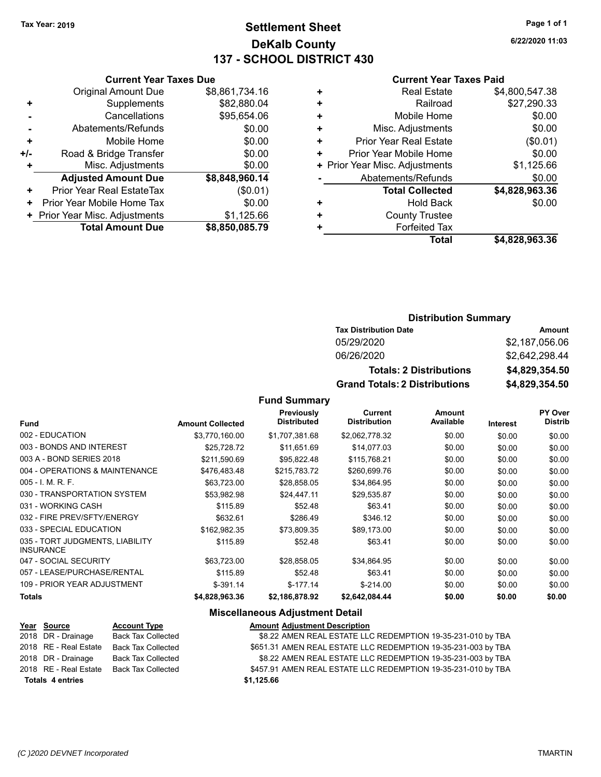# **Settlement Sheet Tax Year: 2019 Page 1 of 1 DeKalb County 137 - SCHOOL DISTRICT 430**

**6/22/2020 11:03**

#### **Current Year Taxes Paid**

|     | <b>Current Year Taxes Due</b>  |                |
|-----|--------------------------------|----------------|
|     | <b>Original Amount Due</b>     | \$8,861,734.16 |
| ٠   | Supplements                    | \$82,880.04    |
|     | Cancellations                  | \$95,654.06    |
|     | Abatements/Refunds             | \$0.00         |
| ٠   | Mobile Home                    | \$0.00         |
| +/- | Road & Bridge Transfer         | \$0.00         |
| ٠   | Misc. Adjustments              | \$0.00         |
|     | <b>Adjusted Amount Due</b>     | \$8,848,960.14 |
| +   | Prior Year Real EstateTax      | (\$0.01)       |
| ٠   | Prior Year Mobile Home Tax     | \$0.00         |
|     | + Prior Year Misc. Adjustments | \$1,125.66     |
|     | <b>Total Amount Due</b>        | \$8,850,085.79 |
|     |                                |                |

| ٠ | <b>Real Estate</b>             | \$4,800,547.38 |
|---|--------------------------------|----------------|
| ٠ | Railroad                       | \$27,290.33    |
| ٠ | Mobile Home                    | \$0.00         |
| ٠ | Misc. Adjustments              | \$0.00         |
| ٠ | <b>Prior Year Real Estate</b>  | (\$0.01)       |
| ٠ | Prior Year Mobile Home         | \$0.00         |
|   | + Prior Year Misc. Adjustments | \$1,125.66     |
|   | Abatements/Refunds             | \$0.00         |
|   | <b>Total Collected</b>         | \$4,828,963.36 |
| ٠ | <b>Hold Back</b>               | \$0.00         |
| ٠ | <b>County Trustee</b>          |                |
| ٠ | <b>Forfeited Tax</b>           |                |
|   | <b>Total</b>                   | \$4,828,963.36 |
|   |                                |                |

#### **Distribution Summary**

| <b>Tax Distribution Date</b>         | Amount         |
|--------------------------------------|----------------|
| 05/29/2020                           | \$2,187,056.06 |
| 06/26/2020                           | \$2.642.298.44 |
| <b>Totals: 2 Distributions</b>       | \$4.829.354.50 |
| <b>Grand Totals: 2 Distributions</b> | \$4,829,354.50 |

#### **Fund Summary**

| <b>Fund</b>                                         | <b>Amount Collected</b> | <b>Previously</b><br><b>Distributed</b> | Current<br><b>Distribution</b> | Amount<br>Available | Interest | <b>PY Over</b><br><b>Distrib</b> |
|-----------------------------------------------------|-------------------------|-----------------------------------------|--------------------------------|---------------------|----------|----------------------------------|
| 002 - EDUCATION                                     | \$3.770.160.00          | \$1.707.381.68                          | \$2,062,778.32                 | \$0.00              | \$0.00   | \$0.00                           |
| 003 - BONDS AND INTEREST                            | \$25,728.72             | \$11,651.69                             | \$14,077.03                    | \$0.00              | \$0.00   | \$0.00                           |
| 003 A - BOND SERIES 2018                            | \$211,590.69            | \$95,822.48                             | \$115,768.21                   | \$0.00              | \$0.00   | \$0.00                           |
| 004 - OPERATIONS & MAINTENANCE                      | \$476,483.48            | \$215,783.72                            | \$260,699.76                   | \$0.00              | \$0.00   | \$0.00                           |
| $005 - I. M. R. F.$                                 | \$63,723.00             | \$28,858.05                             | \$34,864.95                    | \$0.00              | \$0.00   | \$0.00                           |
| 030 - TRANSPORTATION SYSTEM                         | \$53,982.98             | \$24,447.11                             | \$29,535.87                    | \$0.00              | \$0.00   | \$0.00                           |
| 031 - WORKING CASH                                  | \$115.89                | \$52.48                                 | \$63.41                        | \$0.00              | \$0.00   | \$0.00                           |
| 032 - FIRE PREV/SFTY/ENERGY                         | \$632.61                | \$286.49                                | \$346.12                       | \$0.00              | \$0.00   | \$0.00                           |
| 033 - SPECIAL EDUCATION                             | \$162.982.35            | \$73.809.35                             | \$89.173.00                    | \$0.00              | \$0.00   | \$0.00                           |
| 035 - TORT JUDGMENTS, LIABILITY<br><b>INSURANCE</b> | \$115.89                | \$52.48                                 | \$63.41                        | \$0.00              | \$0.00   | \$0.00                           |
| 047 - SOCIAL SECURITY                               | \$63,723.00             | \$28,858.05                             | \$34,864.95                    | \$0.00              | \$0.00   | \$0.00                           |
| 057 - LEASE/PURCHASE/RENTAL                         | \$115.89                | \$52.48                                 | \$63.41                        | \$0.00              | \$0.00   | \$0.00                           |
| 109 - PRIOR YEAR ADJUSTMENT                         | $$-391.14$              | $$-177.14$                              | $$-214.00$                     | \$0.00              | \$0.00   | \$0.00                           |
| Totals                                              | \$4,828,963.36          | \$2,186,878.92                          | \$2.642.084.44                 | \$0.00              | \$0.00   | \$0.00                           |

#### **Miscellaneous Adjustment Detail**

#### **Year Source Account Type Amount Adjustment Description**

| Year Source             | <b>Account Type</b>       | <b>Amount Adjustment Description</b>                          |
|-------------------------|---------------------------|---------------------------------------------------------------|
| 2018 DR - Drainage      | Back Tax Collected        | \$8.22 AMEN REAL ESTATE LLC REDEMPTION 19-35-231-010 by TBA   |
| 2018 RE - Real Estate   | <b>Back Tax Collected</b> | \$651.31 AMEN REAL ESTATE LLC REDEMPTION 19-35-231-003 by TBA |
| 2018 DR - Drainage      | Back Tax Collected        | \$8.22 AMEN REAL ESTATE LLC REDEMPTION 19-35-231-003 by TBA   |
| 2018 RE - Real Estate   | Back Tax Collected        | \$457.91 AMEN REAL ESTATE LLC REDEMPTION 19-35-231-010 by TBA |
| <b>Totals 4 entries</b> |                           | \$1,125.66                                                    |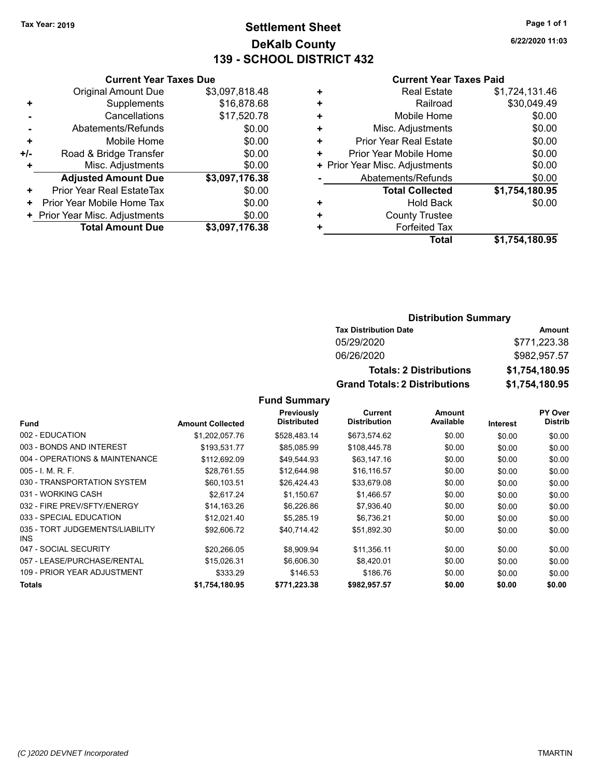# **Settlement Sheet Tax Year: 2019 Page 1 of 1 DeKalb County 139 - SCHOOL DISTRICT 432**

**6/22/2020 11:03**

| $\alpha$ e Duo |  |  |  |
|----------------|--|--|--|

|     | <b>Current Year Taxes Due</b>    |                |
|-----|----------------------------------|----------------|
|     | <b>Original Amount Due</b>       | \$3,097,818.48 |
| ٠   | Supplements                      | \$16,878.68    |
|     | Cancellations                    | \$17,520.78    |
|     | Abatements/Refunds               | \$0.00         |
| ٠   | Mobile Home                      | \$0.00         |
| +/- | Road & Bridge Transfer           | \$0.00         |
| ٠   | Misc. Adjustments                | \$0.00         |
|     | <b>Adjusted Amount Due</b>       | \$3,097,176.38 |
| +   | <b>Prior Year Real EstateTax</b> | \$0.00         |
| ٠   | Prior Year Mobile Home Tax       | \$0.00         |
|     | + Prior Year Misc. Adjustments   | \$0.00         |
|     | <b>Total Amount Due</b>          | \$3,097,176.38 |

#### **Current Year Taxes Paid**

|   | <b>Real Estate</b>             | \$1,724,131.46 |
|---|--------------------------------|----------------|
| ÷ | Railroad                       | \$30,049.49    |
| ÷ | Mobile Home                    | \$0.00         |
| ٠ | Misc. Adjustments              | \$0.00         |
| ٠ | <b>Prior Year Real Estate</b>  | \$0.00         |
| ÷ | Prior Year Mobile Home         | \$0.00         |
|   | + Prior Year Misc. Adjustments | \$0.00         |
|   | Abatements/Refunds             | \$0.00         |
|   | <b>Total Collected</b>         | \$1,754,180.95 |
| ٠ | <b>Hold Back</b>               | \$0.00         |
| ٠ | <b>County Trustee</b>          |                |
| ٠ | <b>Forfeited Tax</b>           |                |
|   | Total                          | \$1,754,180.95 |
|   |                                |                |

#### **Distribution Summary**

| <b>Tax Distribution Date</b>         | Amount         |  |  |
|--------------------------------------|----------------|--|--|
| 05/29/2020                           | \$771,223.38   |  |  |
| 06/26/2020                           | \$982,957.57   |  |  |
| <b>Totals: 2 Distributions</b>       | \$1,754,180.95 |  |  |
| <b>Grand Totals: 2 Distributions</b> | \$1,754,180.95 |  |  |

|                                         |                         | Previously         | Current             | Amount    |          | PY Over        |
|-----------------------------------------|-------------------------|--------------------|---------------------|-----------|----------|----------------|
| <b>Fund</b>                             | <b>Amount Collected</b> | <b>Distributed</b> | <b>Distribution</b> | Available | Interest | <b>Distrib</b> |
| 002 - EDUCATION                         | \$1,202,057.76          | \$528.483.14       | \$673,574.62        | \$0.00    | \$0.00   | \$0.00         |
| 003 - BONDS AND INTEREST                | \$193.531.77            | \$85.085.99        | \$108,445.78        | \$0.00    | \$0.00   | \$0.00         |
| 004 - OPERATIONS & MAINTENANCE          | \$112,692.09            | \$49,544.93        | \$63,147.16         | \$0.00    | \$0.00   | \$0.00         |
| $005 - 1$ . M. R. F.                    | \$28,761.55             | \$12,644.98        | \$16,116.57         | \$0.00    | \$0.00   | \$0.00         |
| 030 - TRANSPORTATION SYSTEM             | \$60.103.51             | \$26.424.43        | \$33.679.08         | \$0.00    | \$0.00   | \$0.00         |
| 031 - WORKING CASH                      | \$2.617.24              | \$1,150.67         | \$1,466.57          | \$0.00    | \$0.00   | \$0.00         |
| 032 - FIRE PREV/SFTY/ENERGY             | \$14,163.26             | \$6,226.86         | \$7,936.40          | \$0.00    | \$0.00   | \$0.00         |
| 033 - SPECIAL EDUCATION                 | \$12,021.40             | \$5,285.19         | \$6,736.21          | \$0.00    | \$0.00   | \$0.00         |
| 035 - TORT JUDGEMENTS/LIABILITY<br>INS. | \$92,606.72             | \$40,714.42        | \$51,892.30         | \$0.00    | \$0.00   | \$0.00         |
| 047 - SOCIAL SECURITY                   | \$20,266.05             | \$8,909.94         | \$11,356.11         | \$0.00    | \$0.00   | \$0.00         |
| 057 - LEASE/PURCHASE/RENTAL             | \$15.026.31             | \$6,606.30         | \$8.420.01          | \$0.00    | \$0.00   | \$0.00         |
| 109 - PRIOR YEAR ADJUSTMENT             | \$333.29                | \$146.53           | \$186.76            | \$0.00    | \$0.00   | \$0.00         |
| Totals                                  | \$1,754,180.95          | \$771,223.38       | \$982,957.57        | \$0.00    | \$0.00   | \$0.00         |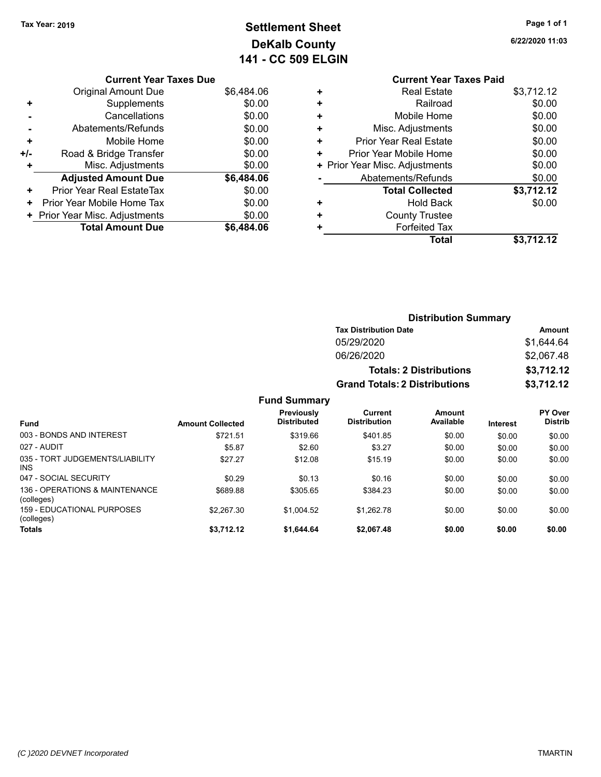# **Settlement Sheet Tax Year: 2019 Page 1 of 1 DeKalb County 141 - CC 509 ELGIN**

**6/22/2020 11:03**

|     | <b>Current Year Taxes Due</b>  |            |
|-----|--------------------------------|------------|
|     | <b>Original Amount Due</b>     | \$6,484.06 |
| ÷   | Supplements                    | \$0.00     |
|     | Cancellations                  | \$0.00     |
|     | Abatements/Refunds             | \$0.00     |
| ٠   | Mobile Home                    | \$0.00     |
| +/- | Road & Bridge Transfer         | \$0.00     |
| ٠   | Misc. Adjustments              | \$0.00     |
|     | <b>Adjusted Amount Due</b>     | \$6,484.06 |
| ٠   | Prior Year Real EstateTax      | \$0.00     |
| ٠   | Prior Year Mobile Home Tax     | \$0.00     |
|     | + Prior Year Misc. Adjustments | \$0.00     |
|     | <b>Total Amount Due</b>        | \$6,484.06 |

|   | <b>Real Estate</b>             | \$3,712.12 |
|---|--------------------------------|------------|
| ٠ | Railroad                       | \$0.00     |
| ٠ | Mobile Home                    | \$0.00     |
| ٠ | Misc. Adjustments              | \$0.00     |
| ٠ | <b>Prior Year Real Estate</b>  | \$0.00     |
| ٠ | Prior Year Mobile Home         | \$0.00     |
|   | + Prior Year Misc. Adjustments | \$0.00     |
|   | Abatements/Refunds             | \$0.00     |
|   | <b>Total Collected</b>         | \$3,712.12 |
| ٠ | <b>Hold Back</b>               | \$0.00     |
| ÷ | <b>County Trustee</b>          |            |
|   | <b>Forfeited Tax</b>           |            |
|   | Total                          | \$3,712.12 |
|   |                                |            |

|                     | <b>Distribution Summary</b>          |            |
|---------------------|--------------------------------------|------------|
|                     | <b>Tax Distribution Date</b>         | Amount     |
|                     | 05/29/2020                           | \$1,644.64 |
|                     | 06/26/2020                           | \$2,067.48 |
|                     | <b>Totals: 2 Distributions</b>       | \$3,712.12 |
|                     | <b>Grand Totals: 2 Distributions</b> | \$3,712.12 |
| <b>Fund Summary</b> |                                      |            |

|                                              |                         | ו טווט טעוווווסו ז               |                                |                     |                 |                           |
|----------------------------------------------|-------------------------|----------------------------------|--------------------------------|---------------------|-----------------|---------------------------|
| <b>Fund</b>                                  | <b>Amount Collected</b> | Previously<br><b>Distributed</b> | Current<br><b>Distribution</b> | Amount<br>Available | <b>Interest</b> | PY Over<br><b>Distrib</b> |
| 003 - BONDS AND INTEREST                     | \$721.51                | \$319.66                         | \$401.85                       | \$0.00              | \$0.00          | \$0.00                    |
| 027 - AUDIT                                  | \$5.87                  | \$2.60                           | \$3.27                         | \$0.00              | \$0.00          | \$0.00                    |
| 035 - TORT JUDGEMENTS/LIABILITY<br>INS.      | \$27.27                 | \$12.08                          | \$15.19                        | \$0.00              | \$0.00          | \$0.00                    |
| 047 - SOCIAL SECURITY                        | \$0.29                  | \$0.13                           | \$0.16                         | \$0.00              | \$0.00          | \$0.00                    |
| 136 - OPERATIONS & MAINTENANCE<br>(colleges) | \$689.88                | \$305.65                         | \$384.23                       | \$0.00              | \$0.00          | \$0.00                    |
| 159 - EDUCATIONAL PURPOSES<br>(colleges)     | \$2,267.30              | \$1.004.52                       | \$1.262.78                     | \$0.00              | \$0.00          | \$0.00                    |
| <b>Totals</b>                                | \$3,712.12              | \$1,644.64                       | \$2,067.48                     | \$0.00              | \$0.00          | \$0.00                    |
|                                              |                         |                                  |                                |                     |                 |                           |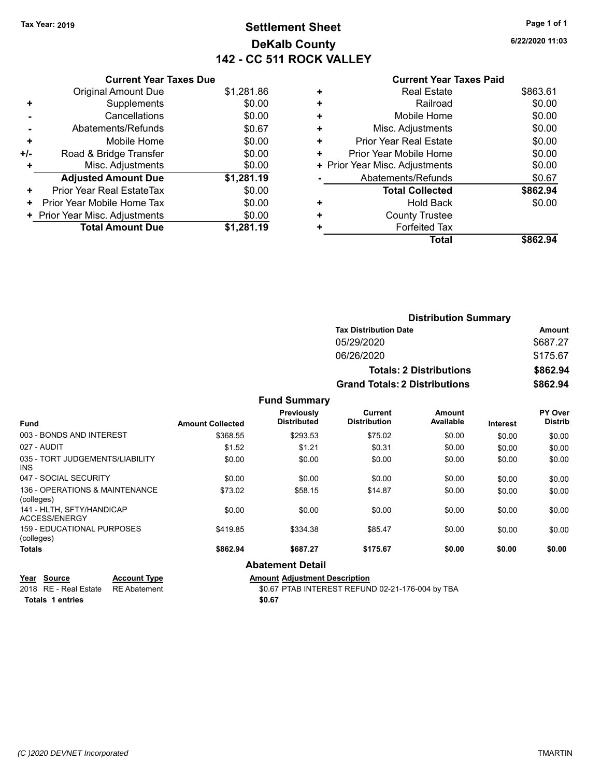# **Settlement Sheet Tax Year: 2019 Page 1 of 1 DeKalb County 142 - CC 511 ROCK VALLEY**

**6/22/2020 11:03**

| <b>Current Year Taxes Due</b>  |            |
|--------------------------------|------------|
| <b>Original Amount Due</b>     | \$1,281.86 |
| Supplements                    | \$0.00     |
| Cancellations                  | \$0.00     |
| Abatements/Refunds             | \$0.67     |
| Mobile Home                    | \$0.00     |
| Road & Bridge Transfer         | \$0.00     |
| Misc. Adjustments              | \$0.00     |
| <b>Adjusted Amount Due</b>     | \$1,281.19 |
| Prior Year Real EstateTax      | \$0.00     |
| Prior Year Mobile Home Tax     | \$0.00     |
| + Prior Year Misc. Adjustments | \$0.00     |
| <b>Total Amount Due</b>        | \$1,281.19 |
|                                |            |

|   | <b>Real Estate</b>             | \$863.61 |
|---|--------------------------------|----------|
| ٠ | Railroad                       | \$0.00   |
| ٠ | Mobile Home                    | \$0.00   |
| ٠ | Misc. Adjustments              | \$0.00   |
| ٠ | <b>Prior Year Real Estate</b>  | \$0.00   |
| ٠ | Prior Year Mobile Home         | \$0.00   |
|   | + Prior Year Misc. Adjustments | \$0.00   |
|   | Abatements/Refunds             | \$0.67   |
|   | <b>Total Collected</b>         | \$862.94 |
| ٠ | Hold Back                      | \$0.00   |
|   | <b>County Trustee</b>          |          |
| ٠ | <b>Forfeited Tax</b>           |          |
|   | Total                          | \$862.94 |
|   |                                |          |

|                                  |                                      | <b>Distribution Summary</b>    |          |                                  |
|----------------------------------|--------------------------------------|--------------------------------|----------|----------------------------------|
|                                  | <b>Tax Distribution Date</b>         |                                |          | Amount                           |
|                                  | 05/29/2020                           |                                |          | \$687.27                         |
|                                  | 06/26/2020                           |                                |          | \$175.67                         |
|                                  |                                      | <b>Totals: 2 Distributions</b> |          | \$862.94                         |
|                                  | <b>Grand Totals: 2 Distributions</b> |                                |          | \$862.94                         |
| <b>Fund Summary</b>              |                                      |                                |          |                                  |
| Previously<br><b>Distributed</b> | Current<br><b>Distribution</b>       | Amount<br><b>Available</b>     | Interest | <b>PY Over</b><br><b>Distrib</b> |

| <b>Fund</b>                                     | <b>Amount Collected</b> | Previously<br><b>Distributed</b> | Current<br><b>Distribution</b> | Amount<br>Available | <b>Interest</b> | PY Over<br><b>Distrib</b> |
|-------------------------------------------------|-------------------------|----------------------------------|--------------------------------|---------------------|-----------------|---------------------------|
| 003 - BONDS AND INTEREST                        | \$368.55                | \$293.53                         | \$75.02                        | \$0.00              | \$0.00          | \$0.00                    |
| 027 - AUDIT                                     | \$1.52                  | \$1.21                           | \$0.31                         | \$0.00              | \$0.00          | \$0.00                    |
| 035 - TORT JUDGEMENTS/LIABILITY<br><b>INS</b>   | \$0.00                  | \$0.00                           | \$0.00                         | \$0.00              | \$0.00          | \$0.00                    |
| 047 - SOCIAL SECURITY                           | \$0.00                  | \$0.00                           | \$0.00                         | \$0.00              | \$0.00          | \$0.00                    |
| 136 - OPERATIONS & MAINTENANCE<br>(colleges)    | \$73.02                 | \$58.15                          | \$14.87                        | \$0.00              | \$0.00          | \$0.00                    |
| 141 - HLTH. SFTY/HANDICAP<br>ACCESS/ENERGY      | \$0.00                  | \$0.00                           | \$0.00                         | \$0.00              | \$0.00          | \$0.00                    |
| <b>159 - EDUCATIONAL PURPOSES</b><br>(colleges) | \$419.85                | \$334.38                         | \$85.47                        | \$0.00              | \$0.00          | \$0.00                    |
| <b>Totals</b>                                   | \$862.94                | \$687.27                         | \$175.67                       | \$0.00              | \$0.00          | \$0.00                    |
|                                                 |                         | <b>Abatement Detail</b>          |                                |                     |                 |                           |

| Year Source                        | <b>Account Type</b> | <b>Amount Adiustment Description</b>             |
|------------------------------------|---------------------|--------------------------------------------------|
| 2018 RE - Real Estate RE Abatement |                     | \$0.67 PTAB INTEREST REFUND 02-21-176-004 by TBA |
| Totals 1 entries                   |                     | \$0.67                                           |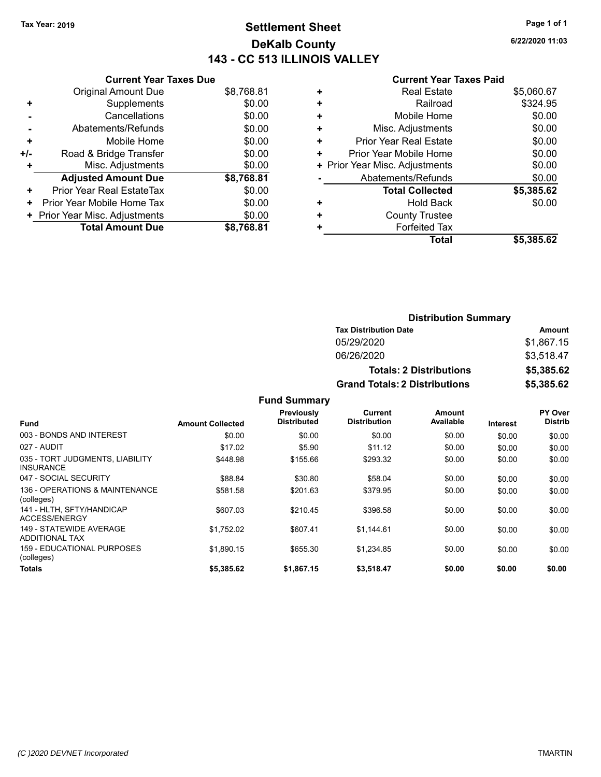# **Settlement Sheet Tax Year: 2019 Page 1 of 1 DeKalb County 143 - CC 513 ILLINOIS VALLEY**

**6/22/2020 11:03**

|       | <b>Current Year Taxes Due</b>  |            |
|-------|--------------------------------|------------|
|       | <b>Original Amount Due</b>     | \$8,768.81 |
| ٠     | Supplements                    | \$0.00     |
|       | Cancellations                  | \$0.00     |
|       | Abatements/Refunds             | \$0.00     |
| ٠     | Mobile Home                    | \$0.00     |
| $+/-$ | Road & Bridge Transfer         | \$0.00     |
|       | Misc. Adjustments              | \$0.00     |
|       | <b>Adjusted Amount Due</b>     | \$8,768.81 |
| ÷     | Prior Year Real EstateTax      | \$0.00     |
| ٠     | Prior Year Mobile Home Tax     | \$0.00     |
|       | + Prior Year Misc. Adjustments | \$0.00     |
|       | <b>Total Amount Due</b>        | \$8,768.81 |
|       |                                |            |

|   | <b>Real Estate</b>             | \$5,060.67 |
|---|--------------------------------|------------|
| ٠ | Railroad                       | \$324.95   |
| ÷ | Mobile Home                    | \$0.00     |
| ٠ | Misc. Adjustments              | \$0.00     |
| ٠ | Prior Year Real Estate         | \$0.00     |
| ٠ | Prior Year Mobile Home         | \$0.00     |
|   | + Prior Year Misc. Adjustments | \$0.00     |
|   | Abatements/Refunds             | \$0.00     |
|   | <b>Total Collected</b>         | \$5,385.62 |
| ٠ | Hold Back                      | \$0.00     |
| ٠ | <b>County Trustee</b>          |            |
| ٠ | <b>Forfeited Tax</b>           |            |
|   | Total                          | \$5,385.62 |
|   |                                |            |

| <b>Distribution Summary</b>          |            |  |  |  |
|--------------------------------------|------------|--|--|--|
| <b>Tax Distribution Date</b>         | Amount     |  |  |  |
| 05/29/2020                           | \$1,867.15 |  |  |  |
| 06/26/2020                           | \$3,518.47 |  |  |  |
| <b>Totals: 2 Distributions</b>       | \$5,385.62 |  |  |  |
| <b>Grand Totals: 2 Distributions</b> | \$5,385.62 |  |  |  |

|                                                     |                         | <b>Fund Summary</b>                     |                                |                     |                 |                                  |
|-----------------------------------------------------|-------------------------|-----------------------------------------|--------------------------------|---------------------|-----------------|----------------------------------|
| <b>Fund</b>                                         | <b>Amount Collected</b> | <b>Previously</b><br><b>Distributed</b> | Current<br><b>Distribution</b> | Amount<br>Available | <b>Interest</b> | <b>PY Over</b><br><b>Distrib</b> |
| 003 - BONDS AND INTEREST                            | \$0.00                  | \$0.00                                  | \$0.00                         | \$0.00              | \$0.00          | \$0.00                           |
| 027 - AUDIT                                         | \$17.02                 | \$5.90                                  | \$11.12                        | \$0.00              | \$0.00          | \$0.00                           |
| 035 - TORT JUDGMENTS, LIABILITY<br><b>INSURANCE</b> | \$448.98                | \$155.66                                | \$293.32                       | \$0.00              | \$0.00          | \$0.00                           |
| 047 - SOCIAL SECURITY                               | \$88.84                 | \$30.80                                 | \$58.04                        | \$0.00              | \$0.00          | \$0.00                           |
| 136 - OPERATIONS & MAINTENANCE<br>(colleges)        | \$581.58                | \$201.63                                | \$379.95                       | \$0.00              | \$0.00          | \$0.00                           |
| 141 - HLTH, SFTY/HANDICAP<br>ACCESS/ENERGY          | \$607.03                | \$210.45                                | \$396.58                       | \$0.00              | \$0.00          | \$0.00                           |
| 149 - STATEWIDE AVERAGE<br><b>ADDITIONAL TAX</b>    | \$1,752.02              | \$607.41                                | \$1,144.61                     | \$0.00              | \$0.00          | \$0.00                           |
| 159 - EDUCATIONAL PURPOSES<br>(colleges)            | \$1.890.15              | \$655.30                                | \$1.234.85                     | \$0.00              | \$0.00          | \$0.00                           |
| <b>Totals</b>                                       | \$5,385.62              | \$1,867.15                              | \$3,518.47                     | \$0.00              | \$0.00          | \$0.00                           |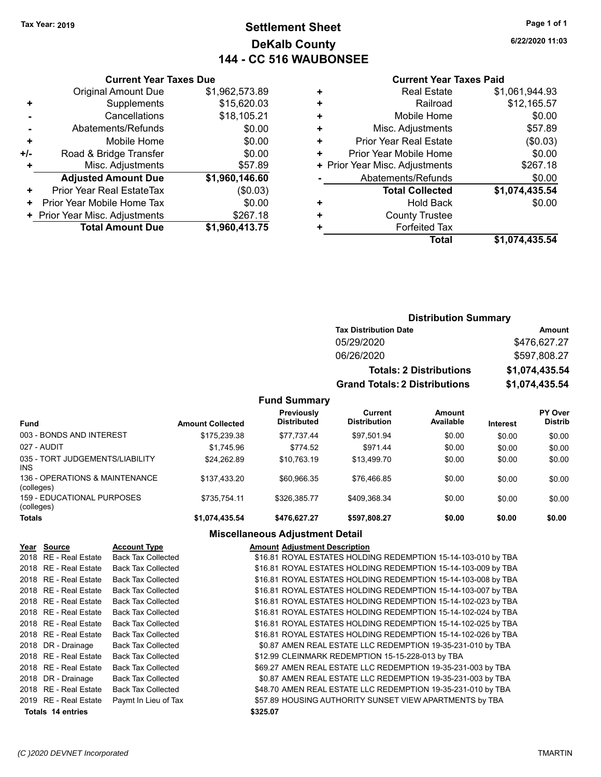# **Settlement Sheet Tax Year: 2019 Page 1 of 1 DeKalb County 144 - CC 516 WAUBONSEE**

**6/22/2020 11:03**

#### **Current Year Taxes Paid**

|     | <b>Original Amount Due</b>     | \$1,962,573.89 |
|-----|--------------------------------|----------------|
| ٠   | Supplements                    | \$15,620.03    |
|     | Cancellations                  | \$18,105.21    |
|     | Abatements/Refunds             | \$0.00         |
| ٠   | Mobile Home                    | \$0.00         |
| +/- | Road & Bridge Transfer         | \$0.00         |
| ٠   | Misc. Adjustments              | \$57.89        |
|     | <b>Adjusted Amount Due</b>     | \$1,960,146.60 |
| ٠   | Prior Year Real EstateTax      | (\$0.03)       |
| ٠   | Prior Year Mobile Home Tax     | \$0.00         |
|     | + Prior Year Misc. Adjustments | \$267.18       |
|     | <b>Total Amount Due</b>        | \$1,960,413.75 |
|     |                                |                |

**Current Year Taxes Due**

|   | <b>Real Estate</b>             | \$1,061,944.93 |
|---|--------------------------------|----------------|
| ٠ | Railroad                       | \$12,165.57    |
| ٠ | Mobile Home                    | \$0.00         |
| ٠ | Misc. Adjustments              | \$57.89        |
| ٠ | <b>Prior Year Real Estate</b>  | (\$0.03)       |
| ٠ | Prior Year Mobile Home         | \$0.00         |
|   | + Prior Year Misc. Adjustments | \$267.18       |
|   | Abatements/Refunds             | \$0.00         |
|   | <b>Total Collected</b>         | \$1,074,435.54 |
| ٠ | <b>Hold Back</b>               | \$0.00         |
| ٠ | <b>County Trustee</b>          |                |
| ٠ | <b>Forfeited Tax</b>           |                |
|   | Total                          | \$1,074,435.54 |
|   |                                |                |

#### **Distribution Summary Tax Distribution Date Amount** 05/29/2020 \$476,627.27 06/26/2020 \$597,808.27 **Totals: 2 Distributions \$1,074,435.54 Grand Totals: 2 Distributions \$1,074,435.54**

**Fund Summary**

| <b>Fund</b>                                   | <b>Amount Collected</b> | Previously<br><b>Distributed</b> | Current<br><b>Distribution</b> | Amount<br>Available | <b>Interest</b> | <b>PY Over</b><br><b>Distrib</b> |
|-----------------------------------------------|-------------------------|----------------------------------|--------------------------------|---------------------|-----------------|----------------------------------|
| 003 - BONDS AND INTEREST                      | \$175.239.38            | \$77.737.44                      | \$97.501.94                    | \$0.00              | \$0.00          | \$0.00                           |
| 027 - AUDIT                                   | \$1.745.96              | \$774.52                         | \$971.44                       | \$0.00              | \$0.00          | \$0.00                           |
| 035 - TORT JUDGEMENTS/LIABILITY<br><b>INS</b> | \$24.262.89             | \$10.763.19                      | \$13.499.70                    | \$0.00              | \$0.00          | \$0.00                           |
| 136 - OPERATIONS & MAINTENANCE<br>(colleges)  | \$137.433.20            | \$60.966.35                      | \$76.466.85                    | \$0.00              | \$0.00          | \$0.00                           |
| 159 - EDUCATIONAL PURPOSES<br>(colleges)      | \$735.754.11            | \$326.385.77                     | \$409.368.34                   | \$0.00              | \$0.00          | \$0.00                           |
| <b>Totals</b>                                 | \$1,074,435.54          | \$476.627.27                     | \$597,808.27                   | \$0.00              | \$0.00          | \$0.00                           |

#### **Miscellaneous Adjustment Detail**

| Year Source           | <b>Account Type</b>       | <b>Amount Adjustment Description</b>                          |
|-----------------------|---------------------------|---------------------------------------------------------------|
| 2018 RE - Real Estate | <b>Back Tax Collected</b> | \$16.81 ROYAL ESTATES HOLDING REDEMPTION 15-14-103-010 by TBA |
| 2018 RE - Real Estate | <b>Back Tax Collected</b> | \$16.81 ROYAL ESTATES HOLDING REDEMPTION 15-14-103-009 by TBA |
| 2018 RE - Real Estate | <b>Back Tax Collected</b> | \$16.81 ROYAL ESTATES HOLDING REDEMPTION 15-14-103-008 by TBA |
| 2018 RE - Real Estate | <b>Back Tax Collected</b> | \$16.81 ROYAL ESTATES HOLDING REDEMPTION 15-14-103-007 by TBA |
| 2018 RE - Real Estate | <b>Back Tax Collected</b> | \$16.81 ROYAL ESTATES HOLDING REDEMPTION 15-14-102-023 by TBA |
| 2018 RE - Real Estate | <b>Back Tax Collected</b> | \$16.81 ROYAL ESTATES HOLDING REDEMPTION 15-14-102-024 by TBA |
| 2018 RE - Real Estate | <b>Back Tax Collected</b> | \$16.81 ROYAL ESTATES HOLDING REDEMPTION 15-14-102-025 by TBA |
| 2018 RE - Real Estate | <b>Back Tax Collected</b> | \$16.81 ROYAL ESTATES HOLDING REDEMPTION 15-14-102-026 by TBA |
| 2018 DR - Drainage    | <b>Back Tax Collected</b> | \$0.87 AMEN REAL ESTATE LLC REDEMPTION 19-35-231-010 by TBA   |
| 2018 RE - Real Estate | <b>Back Tax Collected</b> | \$12.99 CLEINMARK REDEMPTION 15-15-228-013 by TBA             |
| 2018 RE - Real Estate | <b>Back Tax Collected</b> | \$69.27 AMEN REAL ESTATE LLC REDEMPTION 19-35-231-003 by TBA  |
| 2018 DR - Drainage    | <b>Back Tax Collected</b> | \$0.87 AMEN REAL ESTATE LLC REDEMPTION 19-35-231-003 by TBA   |
| 2018 RE - Real Estate | <b>Back Tax Collected</b> | \$48.70 AMEN REAL ESTATE LLC REDEMPTION 19-35-231-010 by TBA  |
| 2019 RE - Real Estate | Paymt In Lieu of Tax      | \$57.89 HOUSING AUTHORITY SUNSET VIEW APARTMENTS by TBA       |
| Totals 14 entries     |                           | \$325.07                                                      |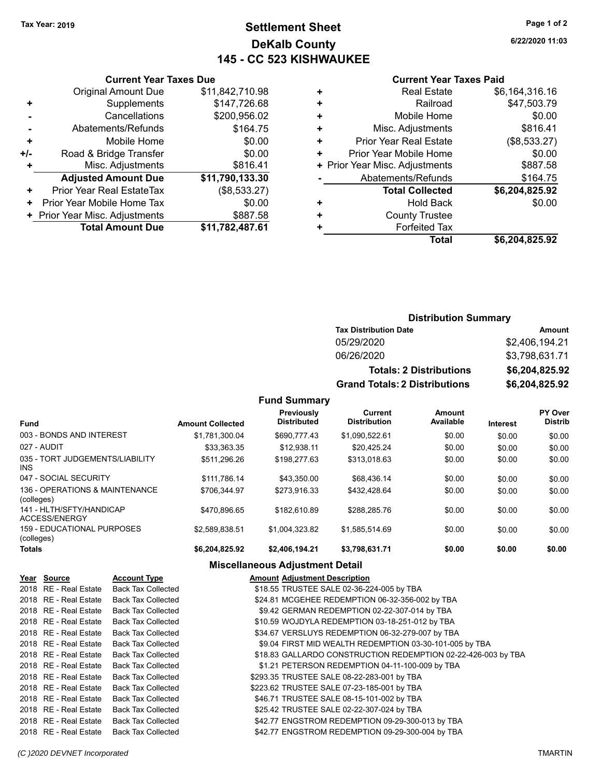# **Settlement Sheet Tax Year: 2019 Page 1 of 2 DeKalb County 145 - CC 523 KISHWAUKEE**

**6/22/2020 11:03**

#### **Current Year Taxes Paid**

|     | <b>Original Amount Due</b>     | \$11,842,710.98 |
|-----|--------------------------------|-----------------|
| ٠   | Supplements                    | \$147,726.68    |
|     | Cancellations                  | \$200,956.02    |
|     | Abatements/Refunds             | \$164.75        |
| ٠   | Mobile Home                    | \$0.00          |
| +/- | Road & Bridge Transfer         | \$0.00          |
| ٠   | Misc. Adjustments              | \$816.41        |
|     | <b>Adjusted Amount Due</b>     | \$11,790,133.30 |
| ٠   | Prior Year Real EstateTax      | (\$8,533.27)    |
| ٠   | Prior Year Mobile Home Tax     | \$0.00          |
|     | + Prior Year Misc. Adjustments | \$887.58        |
|     | <b>Total Amount Due</b>        | \$11,782,487.61 |
|     |                                |                 |

**Current Year Taxes Due**

| <b>Real Estate</b>            | \$6,164,316.16                 |
|-------------------------------|--------------------------------|
| Railroad                      | \$47,503.79                    |
| Mobile Home                   | \$0.00                         |
| Misc. Adjustments             | \$816.41                       |
| <b>Prior Year Real Estate</b> | (\$8,533.27)                   |
| Prior Year Mobile Home        | \$0.00                         |
|                               | \$887.58                       |
| Abatements/Refunds            | \$164.75                       |
| <b>Total Collected</b>        | \$6,204,825.92                 |
| <b>Hold Back</b>              | \$0.00                         |
| <b>County Trustee</b>         |                                |
| <b>Forfeited Tax</b>          |                                |
| <b>Total</b>                  | \$6,204,825.92                 |
|                               | + Prior Year Misc. Adjustments |

#### **Distribution Summary Tax Distribution Date Amount** 05/29/2020 \$2,406,194.21 06/26/2020 \$3,798,631.71 **Totals: 2 Distributions \$6,204,825.92 Grand Totals: 2 Distributions \$6,204,825.92**

|                                              |                         | .                                |                                |                     |                 |                                  |
|----------------------------------------------|-------------------------|----------------------------------|--------------------------------|---------------------|-----------------|----------------------------------|
| <b>Fund</b>                                  | <b>Amount Collected</b> | Previously<br><b>Distributed</b> | Current<br><b>Distribution</b> | Amount<br>Available | <b>Interest</b> | <b>PY Over</b><br><b>Distrib</b> |
| 003 - BONDS AND INTEREST                     | \$1.781.300.04          | \$690,777.43                     | \$1,090,522.61                 | \$0.00              | \$0.00          | \$0.00                           |
| 027 - AUDIT                                  | \$33.363.35             | \$12.938.11                      | \$20.425.24                    | \$0.00              | \$0.00          | \$0.00                           |
| 035 - TORT JUDGEMENTS/LIABILITY<br>INS.      | \$511.296.26            | \$198,277.63                     | \$313.018.63                   | \$0.00              | \$0.00          | \$0.00                           |
| 047 - SOCIAL SECURITY                        | \$111.786.14            | \$43.350.00                      | \$68,436.14                    | \$0.00              | \$0.00          | \$0.00                           |
| 136 - OPERATIONS & MAINTENANCE<br>(colleges) | \$706.344.97            | \$273.916.33                     | \$432.428.64                   | \$0.00              | \$0.00          | \$0.00                           |
| 141 - HLTH/SFTY/HANDICAP<br>ACCESS/ENERGY    | \$470.896.65            | \$182.610.89                     | \$288.285.76                   | \$0.00              | \$0.00          | \$0.00                           |
| 159 - EDUCATIONAL PURPOSES<br>(colleges)     | \$2.589.838.51          | \$1.004.323.82                   | \$1,585,514.69                 | \$0.00              | \$0.00          | \$0.00                           |
| <b>Totals</b>                                | \$6,204,825.92          | \$2,406,194.21                   | \$3,798,631.71                 | \$0.00              | \$0.00          | \$0.00                           |

**Fund Summary**

| Year | Source           | Account Type              |
|------|------------------|---------------------------|
| 2018 | RF - Real Estate | <b>Back Tax Collected</b> |
| 2018 | RF - Real Estate | Back Tax Collected        |
| 2018 | RF - Real Estate | <b>Back Tax Collected</b> |
| 2018 | RF - Real Estate | <b>Back Tax Collected</b> |
| 2018 | RF - Real Estate | <b>Back Tax Collected</b> |
| 2018 | RF - Real Estate | <b>Back Tax Collected</b> |
| 2018 | RF - Real Estate | <b>Back Tax Collected</b> |
| 2018 | RF - Real Estate | <b>Back Tax Collected</b> |
| 2018 | RF - Real Estate | <b>Back Tax Collected</b> |
| 2018 | RF - Real Estate | <b>Back Tax Collected</b> |
| 2018 | RF - Real Estate | <b>Back Tax Collected</b> |
| 2018 | RF - Real Estate | <b>Back Tax Collected</b> |
| 2018 | RF - Real Estate | Back Tax Collected        |
| 2018 | RF - Real Estate | Back Tax Collected        |

#### **Miscellaneous Adjustment Detail**

|                       | 2018 RE - Real Estate Back Tax Collected | \$18.55 TRUSTEE SALE 02-36-224-005 by TBA                     |
|-----------------------|------------------------------------------|---------------------------------------------------------------|
|                       | 2018 RE - Real Estate Back Tax Collected | \$24.81 MCGEHEE REDEMPTION 06-32-356-002 by TBA               |
| 2018 RE - Real Estate | Back Tax Collected                       | \$9.42 GERMAN REDEMPTION 02-22-307-014 by TBA                 |
| 2018 RE - Real Estate | Back Tax Collected                       | \$10.59 WOJDYLA REDEMPTION 03-18-251-012 by TBA               |
|                       | 2018 RE - Real Estate Back Tax Collected | \$34.67 VERSLUYS REDEMPTION 06-32-279-007 by TBA              |
|                       | 2018 RE - Real Estate Back Tax Collected | \$9.04 FIRST MID WEALTH REDEMPTION 03-30-101-005 by TBA       |
|                       | 2018 RE - Real Estate Back Tax Collected | \$18.83 GALLARDO CONSTRUCTION REDEMPTION 02-22-426-003 by TBA |
|                       | 2018 RE - Real Estate Back Tax Collected | \$1.21 PETERSON REDEMPTION 04-11-100-009 by TBA               |
|                       | 2018 RE - Real Estate Back Tax Collected | \$293.35 TRUSTEE SALE 08-22-283-001 by TBA                    |

*(C )2020 DEVNET Incorporated* TMARTIN

\$223.62 TRUSTEE SALE 07-23-185-001 by TBA \$46.71 TRUSTEE SALE 08-15-101-002 by TBA \$25.42 TRUSTEE SALE 02-22-307-024 by TBA

\$42.77 ENGSTROM REDEMPTION 09-29-300-013 by TBA \$42.77 ENGSTROM REDEMPTION 09-29-300-004 by TBA

**Amount Adjustment Description**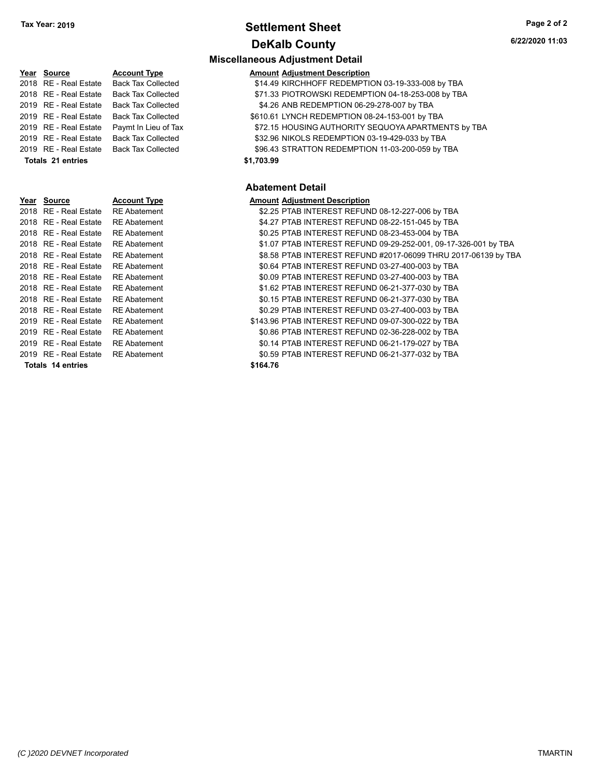# **Settlement Sheet Tax Year: 2019 Page 2 of 2 DeKalb County**

**6/22/2020 11:03**

## **Year** Source **Account Type A** Account Adjustment Description 2018 RE - Real Estate Back Tax Collected \$14.49 KIRCHHOFF REDEMPTION 03-19-333-008 by TBA 2018 RE - Real Estate Back Tax Collected \$71.33 PIOTROWSKI REDEMPTION 04-18-253-008 by TBA 2019 RE - Real Estate Back Tax Collected \$4.26 ANB REDEMPTION 06-29-278-007 by TBA 2019 RE - Real Estate Back Tax Collected \$610.61 LYNCH REDEMPTION 08-24-153-001 by TBA 2019 RE - Real Estate Paymt In Lieu of Tax \$72.15 HOUSING AUTHORITY SEQUOYA APARTMENTS by TBA 2019 RE - Real Estate Back Tax Collected **\$32.96 NIKOLS REDEMPTION 03-19-429-033 by TBA** 2019 RE - Real Estate Back Tax Collected \$96.43 STRATTON REDEMPTION 11-03-200-059 by TBA **Totals \$1,703.99 21 entries**

| . |                       | www.n.ippo          | <u>. .</u> |
|---|-----------------------|---------------------|------------|
|   | 2018 RE - Real Estate | <b>RE</b> Abatement |            |
|   | 2018 RE - Real Estate | <b>RE</b> Abatement |            |
|   | 2018 RE - Real Estate | <b>RE</b> Abatement |            |
|   | 2018 RE - Real Estate | <b>RE</b> Abatement |            |
|   | 2018 RE - Real Estate | <b>RE</b> Abatement |            |
|   | 2018 RE - Real Estate | <b>RE</b> Abatement |            |
|   | 2018 RE - Real Estate | <b>RE</b> Abatement |            |
|   | 2018 RE - Real Estate | <b>RE</b> Abatement |            |
|   | 2018 RE - Real Estate | <b>RE</b> Abatement |            |
|   | 2018 RE - Real Estate | <b>RE</b> Abatement |            |
|   | 2019 RE - Real Estate | <b>RE</b> Abatement | \$         |
|   | 2019 RE - Real Estate | <b>RE</b> Abatement |            |
|   | 2019 RE - Real Estate | <b>RE</b> Abatement |            |
|   | 2019 RE - Real Estate | <b>RE</b> Abatement |            |
|   | Totals 14 entries     |                     | \$         |

#### **Abatement Detail**

#### **Year Source Account Type Account Adjustment Description**

| <b>IGAI JUULUE</b>      | ACCOUNT TANG        | Allioulit Aujustinent Description                               |
|-------------------------|---------------------|-----------------------------------------------------------------|
| 2018   RE - Real Estate | <b>RE Abatement</b> | \$2.25 PTAB INTEREST REFUND 08-12-227-006 by TBA                |
| 2018   RE - Real Estate | <b>RE Abatement</b> | \$4.27 PTAB INTEREST REFUND 08-22-151-045 by TBA                |
| 2018   RE - Real Estate | <b>RE</b> Abatement | \$0.25 PTAB INTEREST REFUND 08-23-453-004 by TBA                |
| 2018   RE - Real Estate | <b>RE</b> Abatement | \$1.07 PTAB INTEREST REFUND 09-29-252-001, 09-17-326-001 by TBA |
| 2018 RE - Real Estate   | <b>RE</b> Abatement | \$8.58 PTAB INTEREST REFUND #2017-06099 THRU 2017-06139 by TBA  |
| 2018   RE - Real Estate | <b>RE</b> Abatement | \$0.64 PTAB INTEREST REFUND 03-27-400-003 by TBA                |
| 2018   RE - Real Estate | <b>RE Abatement</b> | \$0.09 PTAB INTEREST REFUND 03-27-400-003 by TBA                |
| 2018   RE - Real Estate | <b>RE</b> Abatement | \$1.62 PTAB INTEREST REFUND 06-21-377-030 by TBA                |
| 2018   RE - Real Estate | <b>RE</b> Abatement | \$0.15 PTAB INTEREST REFUND 06-21-377-030 by TBA                |
| 2018   RE - Real Estate | <b>RE</b> Abatement | \$0.29 PTAB INTEREST REFUND 03-27-400-003 by TBA                |
| 2019   RE - Real Estate | <b>RE</b> Abatement | \$143.96 PTAB INTEREST REFUND 09-07-300-022 by TBA              |
| 2019 RE - Real Estate   | <b>RE</b> Abatement | \$0.86 PTAB INTEREST REFUND 02-36-228-002 by TBA                |
| 2019   RE - Real Estate | <b>RE</b> Abatement | \$0.14 PTAB INTEREST REFUND 06-21-179-027 by TBA                |
| 2019   RE - Real Estate | <b>RE Abatement</b> | \$0.59 PTAB INTEREST REFUND 06-21-377-032 by TBA                |
| Totals 14 entries       |                     | \$164.76                                                        |
|                         |                     |                                                                 |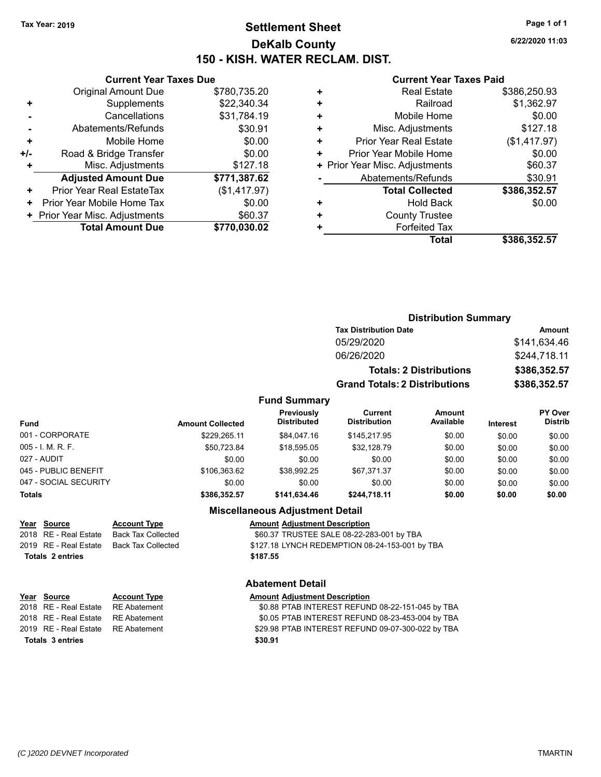# **Settlement Sheet Tax Year: 2019 Page 1 of 1 DeKalb County 150 - KISH. WATER RECLAM. DIST.**

**6/22/2020 11:03**

#### **Current Year Taxes Paid**

| <b>Original Amount Due</b> | \$780,735.20                                                    |
|----------------------------|-----------------------------------------------------------------|
| Supplements                | \$22,340.34                                                     |
| Cancellations              | \$31,784.19                                                     |
| Abatements/Refunds         | \$30.91                                                         |
| Mobile Home                | \$0.00                                                          |
| Road & Bridge Transfer     | \$0.00                                                          |
| Misc. Adjustments          | \$127.18                                                        |
| <b>Adjusted Amount Due</b> | \$771,387.62                                                    |
| Prior Year Real EstateTax  | (\$1,417.97)                                                    |
| Prior Year Mobile Home Tax | \$0.00                                                          |
|                            | \$60.37                                                         |
| <b>Total Amount Due</b>    | \$770,030.02                                                    |
|                            | <b>Current Year Taxes Due</b><br>+ Prior Year Misc. Adjustments |

|   | <b>Real Estate</b>             | \$386,250.93 |
|---|--------------------------------|--------------|
| ٠ | Railroad                       | \$1,362.97   |
| ٠ | Mobile Home                    | \$0.00       |
| ٠ | Misc. Adjustments              | \$127.18     |
| ٠ | <b>Prior Year Real Estate</b>  | (\$1,417.97) |
| ٠ | Prior Year Mobile Home         | \$0.00       |
|   | + Prior Year Misc. Adjustments | \$60.37      |
|   | Abatements/Refunds             | \$30.91      |
|   | <b>Total Collected</b>         | \$386,352.57 |
| ٠ | <b>Hold Back</b>               | \$0.00       |
| ٠ | <b>County Trustee</b>          |              |
|   | <b>Forfeited Tax</b>           |              |
|   | Total                          | \$386,352.57 |

#### **Distribution Summary Tax Distribution Date Amount** 05/29/2020 \$141,634.46 06/26/2020 \$244,718.11 **Totals: 2 Distributions \$386,352.57 Grand Totals: 2 Distributions \$386,352.57 Fund Summary PY Over Distrib Amount Available Current Distribution Previously**

| <b>Fund</b>           | <b>Amount Collected</b> | <b>Previously</b><br><b>Distributed</b> | Current<br><b>Distribution</b> | Amount<br>Available | <b>Interest</b> | <b>PY Over</b><br><b>Distrib</b> |
|-----------------------|-------------------------|-----------------------------------------|--------------------------------|---------------------|-----------------|----------------------------------|
| 001 - CORPORATE       | \$229.265.11            | \$84.047.16                             | \$145.217.95                   | \$0.00              | \$0.00          | \$0.00                           |
| 005 - I. M. R. F.     | \$50.723.84             | \$18,595.05                             | \$32.128.79                    | \$0.00              | \$0.00          | \$0.00                           |
| 027 - AUDIT           | \$0.00                  | \$0.00                                  | \$0.00                         | \$0.00              | \$0.00          | \$0.00                           |
| 045 - PUBLIC BENEFIT  | \$106.363.62            | \$38.992.25                             | \$67.371.37                    | \$0.00              | \$0.00          | \$0.00                           |
| 047 - SOCIAL SECURITY | \$0.00                  | \$0.00                                  | \$0.00                         | \$0.00              | \$0.00          | \$0.00                           |
| Totals                | \$386.352.57            | \$141.634.46                            | \$244.718.11                   | \$0.00              | \$0.00          | \$0.00                           |
|                       |                         |                                         |                                |                     |                 |                                  |

#### **Miscellaneous Adjustment Detail**

#### **Year** Source **Account Type A** Account Adjustment Description

2018 RE - Real Estate Back Tax Collected **60.37 TRUSTEE SALE 08-22-283-001 by TBA** 2019 RE - Real Estate Back Tax Collected \$127.18 LYNCH REDEMPTION 08-24-153-001 by TBA **Totals \$187.55 2 entries**

# **Year** Source **Account Type AMOUL AMOUL Adjustment Description**

**Totals \$30.91 3 entries**

### **Abatement Detail**

2018 RE - Real Estate RE Abatement \$0.88 PTAB INTEREST REFUND 08-22-151-045 by TBA 2018 RE - Real Estate RE Abatement \$0.05 PTAB INTEREST REFUND 08-23-453-004 by TBA 2019 RE - Real Estate RE Abatement \$29.98 PTAB INTEREST REFUND 09-07-300-022 by TBA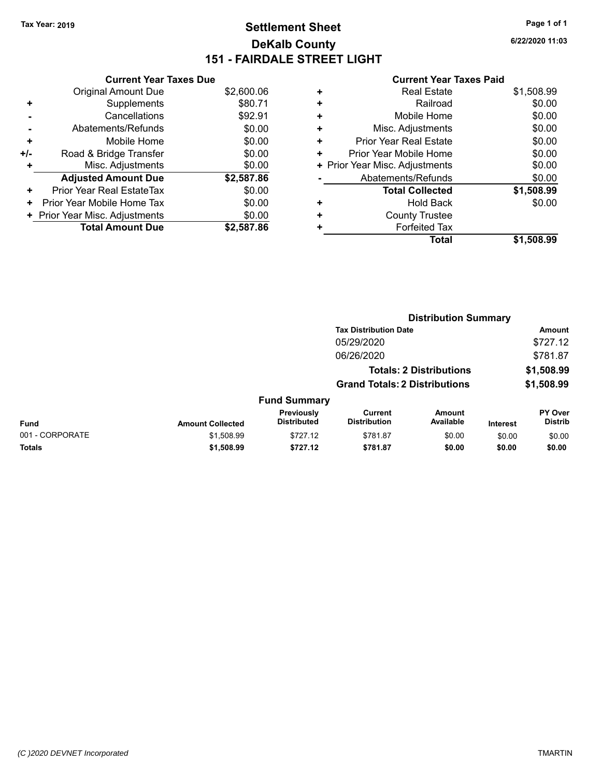# **Settlement Sheet Tax Year: 2019 Page 1 of 1 DeKalb County 151 - FAIRDALE STREET LIGHT**

**6/22/2020 11:03**

| <b>Current Year Taxes Paid</b> |  |  |  |  |
|--------------------------------|--|--|--|--|
|--------------------------------|--|--|--|--|

|     | <b>Current Year Taxes Due</b>  |            |
|-----|--------------------------------|------------|
|     | <b>Original Amount Due</b>     | \$2,600.06 |
| ٠   | Supplements                    | \$80.71    |
|     | Cancellations                  | \$92.91    |
|     | Abatements/Refunds             | \$0.00     |
| ٠   | Mobile Home                    | \$0.00     |
| +/- | Road & Bridge Transfer         | \$0.00     |
| ٠   | Misc. Adjustments              | \$0.00     |
|     | <b>Adjusted Amount Due</b>     | \$2,587.86 |
| ٠   | Prior Year Real EstateTax      | \$0.00     |
| ٠   | Prior Year Mobile Home Tax     | \$0.00     |
|     | + Prior Year Misc. Adjustments | \$0.00     |
|     | <b>Total Amount Due</b>        | \$2,587.86 |

|   | Total                          | \$1,508.99 |
|---|--------------------------------|------------|
| ٠ | <b>Forfeited Tax</b>           |            |
| ٠ | <b>County Trustee</b>          |            |
| ٠ | <b>Hold Back</b>               | \$0.00     |
|   | <b>Total Collected</b>         | \$1,508.99 |
|   | Abatements/Refunds             | \$0.00     |
|   | + Prior Year Misc. Adjustments | \$0.00     |
| ٠ | Prior Year Mobile Home         | \$0.00     |
| ٠ | Prior Year Real Estate         | \$0.00     |
| ٠ | Misc. Adjustments              | \$0.00     |
| ٠ | Mobile Home                    | \$0.00     |
| ٠ | Railroad                       | \$0.00     |
| ٠ | <b>Real Estate</b>             | \$1,508.99 |
|   |                                |            |

|                 |                         |                                  |                                       | <b>Distribution Summary</b>    |                 |                                  |
|-----------------|-------------------------|----------------------------------|---------------------------------------|--------------------------------|-----------------|----------------------------------|
|                 |                         |                                  | <b>Tax Distribution Date</b>          |                                |                 | Amount                           |
|                 |                         |                                  | 05/29/2020                            |                                |                 | \$727.12                         |
|                 |                         |                                  | 06/26/2020                            |                                |                 | \$781.87                         |
|                 |                         |                                  |                                       | <b>Totals: 2 Distributions</b> |                 | \$1,508.99                       |
|                 |                         |                                  | <b>Grand Totals: 2 Distributions</b>  |                                |                 | \$1,508.99                       |
|                 |                         | <b>Fund Summary</b>              |                                       |                                |                 |                                  |
| <b>Fund</b>     | <b>Amount Collected</b> | Previously<br><b>Distributed</b> | <b>Current</b><br><b>Distribution</b> | <b>Amount</b><br>Available     | <b>Interest</b> | <b>PY Over</b><br><b>Distrib</b> |
| 001 - CORPORATE | \$1,508.99              | \$727.12                         | \$781.87                              | \$0.00                         | \$0.00          | \$0.00                           |
| <b>Totals</b>   | \$1,508.99              | \$727.12                         | \$781.87                              | \$0.00                         | \$0.00          | \$0.00                           |
|                 |                         |                                  |                                       |                                |                 |                                  |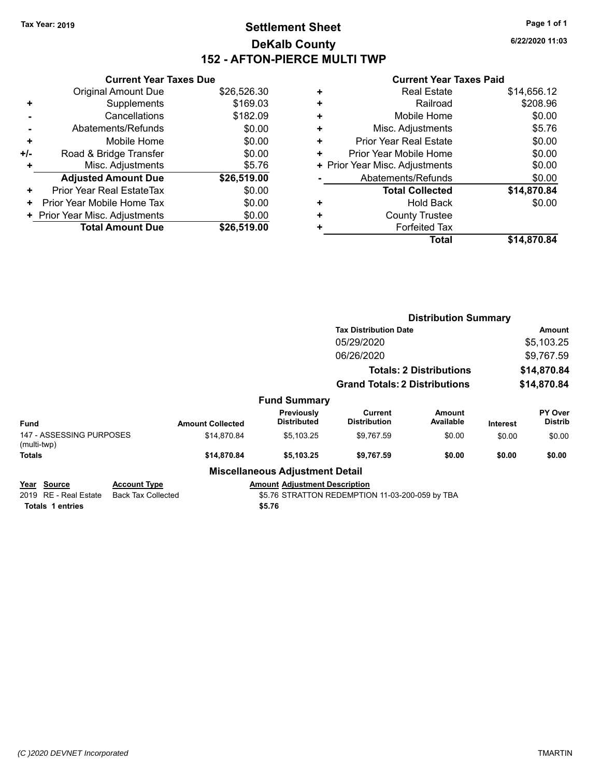# **Settlement Sheet Tax Year: 2019 Page 1 of 1 DeKalb County 152 - AFTON-PIERCE MULTI TWP**

**6/22/2020 11:03**

|     | <b>Current Year Taxes Due</b>  |             |
|-----|--------------------------------|-------------|
|     | <b>Original Amount Due</b>     | \$26,526.30 |
| ٠   | Supplements                    | \$169.03    |
|     | Cancellations                  | \$182.09    |
|     | Abatements/Refunds             | \$0.00      |
| ÷   | Mobile Home                    | \$0.00      |
| +/- | Road & Bridge Transfer         | \$0.00      |
| ٠   | Misc. Adjustments              | \$5.76      |
|     | <b>Adjusted Amount Due</b>     | \$26,519.00 |
| ٠   | Prior Year Real EstateTax      | \$0.00      |
| ٠   | Prior Year Mobile Home Tax     | \$0.00      |
|     | + Prior Year Misc. Adjustments | \$0.00      |
|     | <b>Total Amount Due</b>        | \$26,519.00 |
|     |                                |             |

|   | <b>Real Estate</b>             | \$14,656.12 |
|---|--------------------------------|-------------|
| ÷ | Railroad                       | \$208.96    |
| ٠ | Mobile Home                    | \$0.00      |
| ٠ | Misc. Adjustments              | \$5.76      |
| ٠ | <b>Prior Year Real Estate</b>  | \$0.00      |
| ٠ | Prior Year Mobile Home         | \$0.00      |
|   | + Prior Year Misc. Adjustments | \$0.00      |
|   | Abatements/Refunds             | \$0.00      |
|   | <b>Total Collected</b>         | \$14,870.84 |
| ٠ | <b>Hold Back</b>               | \$0.00      |
| ٠ | <b>County Trustee</b>          |             |
| ٠ | <b>Forfeited Tax</b>           |             |
|   | Total                          | \$14,870.84 |
|   |                                |             |

|                                                                              |                                                  |                         |                                                | <b>Distribution Summary</b>                     |                                |                 |                           |
|------------------------------------------------------------------------------|--------------------------------------------------|-------------------------|------------------------------------------------|-------------------------------------------------|--------------------------------|-----------------|---------------------------|
|                                                                              |                                                  |                         |                                                | <b>Tax Distribution Date</b>                    |                                | Amount          |                           |
|                                                                              |                                                  |                         |                                                | 05/29/2020                                      |                                |                 | \$5,103.25                |
|                                                                              |                                                  |                         |                                                | 06/26/2020                                      |                                | \$9,767.59      |                           |
|                                                                              |                                                  |                         |                                                |                                                 | <b>Totals: 2 Distributions</b> |                 | \$14,870.84               |
|                                                                              |                                                  |                         |                                                | <b>Grand Totals: 2 Distributions</b>            |                                | \$14,870.84     |                           |
|                                                                              |                                                  |                         | <b>Fund Summary</b>                            |                                                 |                                |                 |                           |
| Fund                                                                         |                                                  | <b>Amount Collected</b> | <b>Previously</b><br><b>Distributed</b>        | Current<br><b>Distribution</b>                  | Amount<br>Available            | <b>Interest</b> | PY Over<br><b>Distrib</b> |
| 147 - ASSESSING PURPOSES<br>(multi-twp)                                      |                                                  | \$14,870.84             | \$5,103.25                                     | \$9,767.59                                      | \$0.00                         | \$0.00          | \$0.00                    |
| <b>Totals</b>                                                                |                                                  | \$14,870.84             | \$5,103.25                                     | \$9,767.59                                      | \$0.00                         | \$0.00          | \$0.00                    |
|                                                                              |                                                  |                         | <b>Miscellaneous Adjustment Detail</b>         |                                                 |                                |                 |                           |
| Source<br>Year<br><b>RE</b> - Real Estate<br>2019<br><b>Totals 1 entries</b> | <b>Account Type</b><br><b>Back Tax Collected</b> |                         | <b>Amount Adjustment Description</b><br>\$5.76 | \$5.76 STRATTON REDEMPTION 11-03-200-059 by TBA |                                |                 |                           |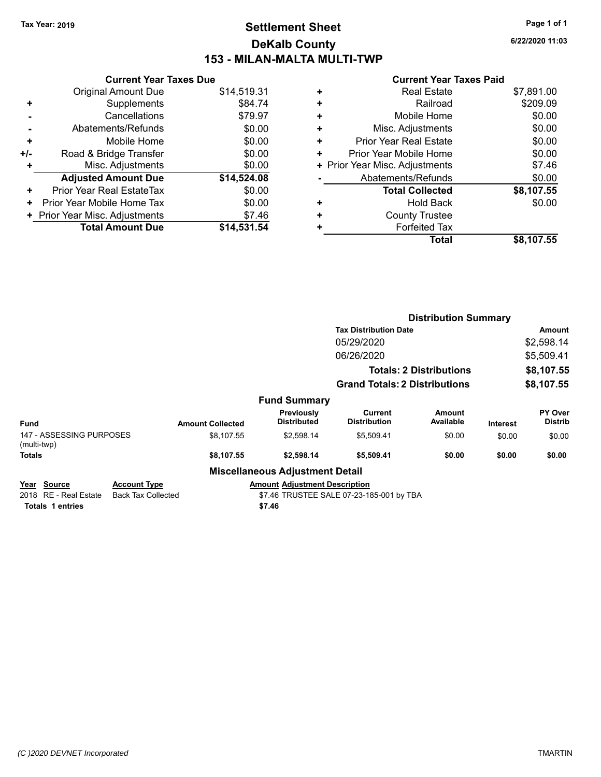# **Settlement Sheet Tax Year: 2019 Page 1 of 1 DeKalb County 153 - MILAN-MALTA MULTI-TWP**

**6/22/2020 11:03**

|     | <b>Current Year Taxes Due</b>  |             |
|-----|--------------------------------|-------------|
|     | <b>Original Amount Due</b>     | \$14,519.31 |
| ٠   | Supplements                    | \$84.74     |
|     | Cancellations                  | \$79.97     |
|     | Abatements/Refunds             | \$0.00      |
| ٠   | Mobile Home                    | \$0.00      |
| +/- | Road & Bridge Transfer         | \$0.00      |
| ٠   | Misc. Adjustments              | \$0.00      |
|     | <b>Adjusted Amount Due</b>     | \$14,524.08 |
| ٠   | Prior Year Real EstateTax      | \$0.00      |
| ٠   | Prior Year Mobile Home Tax     | \$0.00      |
|     | + Prior Year Misc. Adjustments | \$7.46      |
|     | <b>Total Amount Due</b>        | \$14.531.54 |

| ٠ | <b>Total Collected</b><br>Hold Back | \$8,107.55<br>\$0.00 |
|---|-------------------------------------|----------------------|
|   | Abatements/Refunds                  | \$0.00               |
|   | + Prior Year Misc. Adjustments      | \$7.46               |
| ٠ | Prior Year Mobile Home              | \$0.00               |
| ٠ | <b>Prior Year Real Estate</b>       | \$0.00               |
| ٠ | Misc. Adjustments                   | \$0.00               |
| ٠ | Mobile Home                         | \$0.00               |
| ٠ | Railroad                            | \$209.09             |
|   | <b>Real Estate</b>                  | \$7,891.00           |

|                                                                              |                                                  |            |                                        | <b>Distribution Summary</b>              |                     |                 |                           |
|------------------------------------------------------------------------------|--------------------------------------------------|------------|----------------------------------------|------------------------------------------|---------------------|-----------------|---------------------------|
|                                                                              |                                                  |            |                                        | <b>Tax Distribution Date</b>             |                     |                 | Amount                    |
|                                                                              |                                                  |            |                                        | 05/29/2020                               |                     |                 | \$2,598.14                |
|                                                                              |                                                  |            |                                        | 06/26/2020                               |                     |                 | \$5,509.41                |
|                                                                              |                                                  |            |                                        | <b>Totals: 2 Distributions</b>           |                     |                 | \$8,107.55                |
|                                                                              |                                                  |            |                                        | <b>Grand Totals: 2 Distributions</b>     |                     |                 | \$8,107.55                |
|                                                                              |                                                  |            | <b>Fund Summary</b>                    |                                          |                     |                 |                           |
| Fund                                                                         | <b>Amount Collected</b>                          |            | Previously<br><b>Distributed</b>       | Current<br><b>Distribution</b>           | Amount<br>Available | <b>Interest</b> | PY Over<br><b>Distrib</b> |
| 147 - ASSESSING PURPOSES<br>(multi-twp)                                      |                                                  | \$8,107.55 | \$2,598.14                             | \$5,509.41                               | \$0.00              | \$0.00          | \$0.00                    |
| <b>Totals</b>                                                                |                                                  | \$8,107.55 | \$2,598.14                             | \$5,509.41                               | \$0.00              | \$0.00          | \$0.00                    |
|                                                                              |                                                  |            | <b>Miscellaneous Adjustment Detail</b> |                                          |                     |                 |                           |
| Source<br>Year<br><b>RE</b> - Real Estate<br>2018<br><b>Totals 1 entries</b> | <b>Account Type</b><br><b>Back Tax Collected</b> | \$7.46     | <b>Amount Adjustment Description</b>   | \$7.46 TRUSTEE SALE 07-23-185-001 by TBA |                     |                 |                           |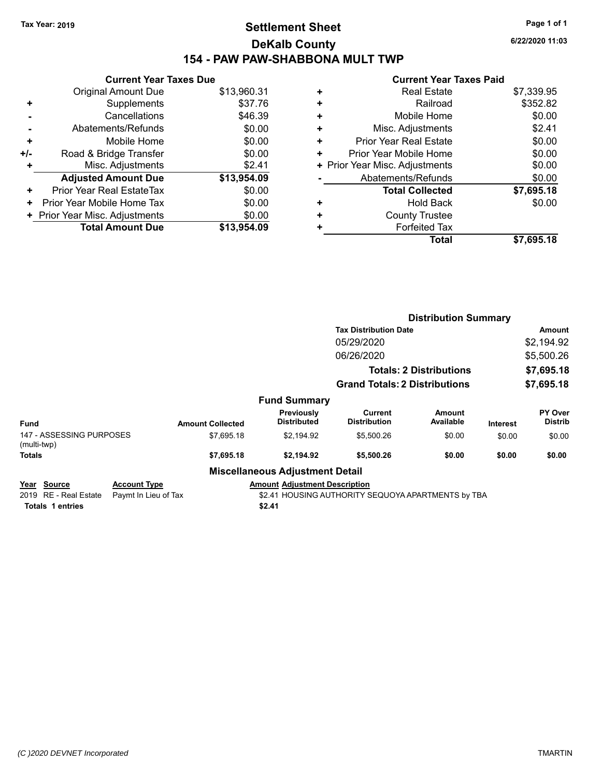# **Settlement Sheet Tax Year: 2019 Page 1 of 1 DeKalb County 154 - PAW PAW-SHABBONA MULT TWP**

**6/22/2020 11:03**

| <b>Current Year Taxes Due</b> |                                |
|-------------------------------|--------------------------------|
| <b>Original Amount Due</b>    | \$13,960.31                    |
| Supplements                   | \$37.76                        |
| Cancellations                 | \$46.39                        |
| Abatements/Refunds            | \$0.00                         |
| Mobile Home                   | \$0.00                         |
| Road & Bridge Transfer        | \$0.00                         |
| Misc. Adjustments             | \$2.41                         |
| <b>Adjusted Amount Due</b>    | \$13,954.09                    |
| Prior Year Real EstateTax     | \$0.00                         |
| Prior Year Mobile Home Tax    | \$0.00                         |
|                               | \$0.00                         |
| <b>Total Amount Due</b>       | \$13,954.09                    |
|                               | + Prior Year Misc. Adjustments |

| <b>Real Estate</b>             | \$7,339.95 |
|--------------------------------|------------|
| Railroad                       | \$352.82   |
| Mobile Home                    | \$0.00     |
| Misc. Adjustments              | \$2.41     |
| <b>Prior Year Real Estate</b>  | \$0.00     |
| Prior Year Mobile Home         | \$0.00     |
| + Prior Year Misc. Adjustments | \$0.00     |
| Abatements/Refunds             | \$0.00     |
| <b>Total Collected</b>         | \$7,695.18 |
| Hold Back                      | \$0.00     |
| <b>County Trustee</b>          |            |
| <b>Forfeited Tax</b>           |            |
| <b>Total</b>                   | \$7,695.18 |
|                                |            |

|                                             |            |                                  | <b>Tax Distribution Date</b>   |                                                                                                       |                                                                        | Amount                                                                            |
|---------------------------------------------|------------|----------------------------------|--------------------------------|-------------------------------------------------------------------------------------------------------|------------------------------------------------------------------------|-----------------------------------------------------------------------------------|
|                                             |            |                                  | 05/29/2020                     |                                                                                                       |                                                                        | \$2,194.92                                                                        |
|                                             |            |                                  | 06/26/2020                     |                                                                                                       |                                                                        | \$5,500.26                                                                        |
|                                             |            |                                  |                                |                                                                                                       |                                                                        | \$7,695.18                                                                        |
|                                             |            |                                  |                                |                                                                                                       |                                                                        | \$7,695.18                                                                        |
|                                             |            |                                  |                                |                                                                                                       |                                                                        |                                                                                   |
|                                             |            | Previously<br><b>Distributed</b> | Current<br><b>Distribution</b> | Amount<br>Available                                                                                   | Interest                                                               | PY Over<br><b>Distrib</b>                                                         |
| 147 - ASSESSING PURPOSES                    | \$7,695.18 | \$2,194.92                       | \$5,500.26                     | \$0.00                                                                                                | \$0.00                                                                 | \$0.00                                                                            |
|                                             | \$7,695.18 | \$2,194.92                       | \$5,500.26                     | \$0.00                                                                                                | \$0.00                                                                 | \$0.00                                                                            |
|                                             |            |                                  |                                |                                                                                                       |                                                                        |                                                                                   |
| <b>Account Type</b><br>Paymt In Lieu of Tax |            |                                  |                                |                                                                                                       |                                                                        |                                                                                   |
|                                             |            | <b>Amount Collected</b>          | \$2.41                         | <b>Fund Summary</b><br><b>Miscellaneous Adjustment Detail</b><br><b>Amount Adjustment Description</b> | <b>Totals: 2 Distributions</b><br><b>Grand Totals: 2 Distributions</b> | <b>Distribution Summary</b><br>\$2.41 HOUSING AUTHORITY SEQUOYA APARTMENTS by TBA |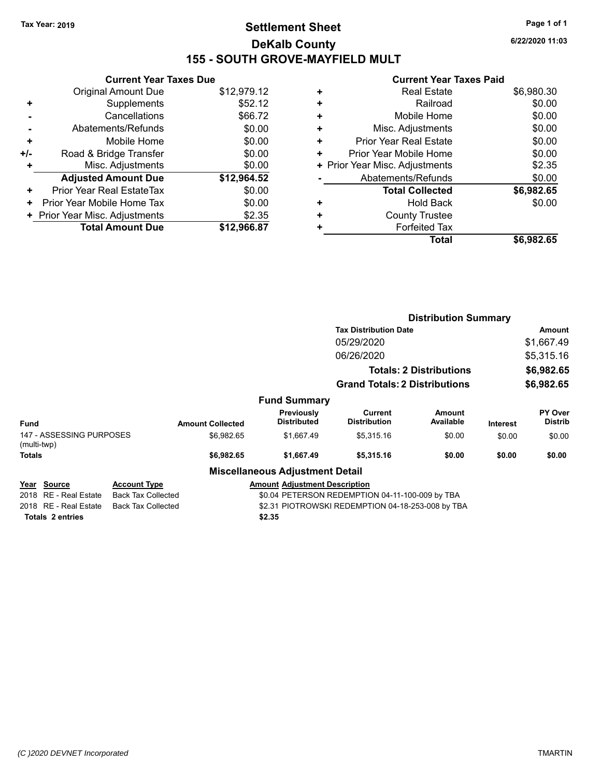# **Settlement Sheet Tax Year: 2019 Page 1 of 1 DeKalb County 155 - SOUTH GROVE-MAYFIELD MULT**

**6/22/2020 11:03**

|       | <b>Current Year Taxes Due</b>  |             |
|-------|--------------------------------|-------------|
|       | <b>Original Amount Due</b>     | \$12,979.12 |
| ٠     | Supplements                    | \$52.12     |
|       | Cancellations                  | \$66.72     |
|       | Abatements/Refunds             | \$0.00      |
| ٠     | Mobile Home                    | \$0.00      |
| $+/-$ | Road & Bridge Transfer         | \$0.00      |
|       | Misc. Adjustments              | \$0.00      |
|       | <b>Adjusted Amount Due</b>     | \$12,964.52 |
| ÷     | Prior Year Real EstateTax      | \$0.00      |
| ٠     | Prior Year Mobile Home Tax     | \$0.00      |
|       | + Prior Year Misc. Adjustments | \$2.35      |
|       | <b>Total Amount Due</b>        | \$12,966.87 |

| <b>Real Estate</b>             | \$6,980.30 |
|--------------------------------|------------|
| Railroad                       | \$0.00     |
| Mobile Home                    | \$0.00     |
| Misc. Adjustments              | \$0.00     |
| <b>Prior Year Real Estate</b>  | \$0.00     |
| Prior Year Mobile Home         | \$0.00     |
| + Prior Year Misc. Adjustments | \$2.35     |
| Abatements/Refunds             | \$0.00     |
| <b>Total Collected</b>         | \$6,982.65 |
| <b>Hold Back</b>               | \$0.00     |
| <b>County Trustee</b>          |            |
| <b>Forfeited Tax</b>           |            |
| Total                          | \$6,982.65 |
|                                |            |

|                                         |                           |                                                 |                                                   | <b>Distribution Summary</b>          |                                |                 |                           |
|-----------------------------------------|---------------------------|-------------------------------------------------|---------------------------------------------------|--------------------------------------|--------------------------------|-----------------|---------------------------|
|                                         |                           |                                                 |                                                   | <b>Tax Distribution Date</b>         |                                |                 | Amount                    |
|                                         |                           |                                                 |                                                   | 05/29/2020                           |                                |                 | \$1,667.49                |
|                                         |                           |                                                 |                                                   | 06/26/2020                           |                                |                 | \$5,315.16                |
|                                         |                           |                                                 |                                                   |                                      | <b>Totals: 2 Distributions</b> |                 | \$6,982.65                |
|                                         |                           |                                                 |                                                   | <b>Grand Totals: 2 Distributions</b> |                                |                 | \$6,982.65                |
|                                         |                           |                                                 | <b>Fund Summary</b>                               |                                      |                                |                 |                           |
| <b>Fund</b>                             |                           | <b>Amount Collected</b>                         | Previously<br><b>Distributed</b>                  | Current<br><b>Distribution</b>       | Amount<br>Available            | <b>Interest</b> | PY Over<br><b>Distrib</b> |
| 147 - ASSESSING PURPOSES<br>(multi-twp) |                           | \$6,982.65                                      | \$1,667.49                                        | \$5,315.16                           | \$0.00                         | \$0.00          | \$0.00                    |
| Totals                                  |                           | \$6,982.65                                      | \$1,667.49                                        | \$5,315.16                           | \$0.00                         | \$0.00          | \$0.00                    |
|                                         |                           |                                                 | <b>Miscellaneous Adjustment Detail</b>            |                                      |                                |                 |                           |
| Year Source                             | <b>Account Type</b>       |                                                 | <b>Amount Adjustment Description</b>              |                                      |                                |                 |                           |
| 2018 RE - Real Estate                   | <b>Back Tax Collected</b> | \$0.04 PETERSON REDEMPTION 04-11-100-009 by TBA |                                                   |                                      |                                |                 |                           |
| 2018 RE - Real Estate                   | <b>Back Tax Collected</b> |                                                 | \$2.31 PIOTROWSKI REDEMPTION 04-18-253-008 by TBA |                                      |                                |                 |                           |
| <b>Totals 2 entries</b>                 |                           |                                                 | \$2.35                                            |                                      |                                |                 |                           |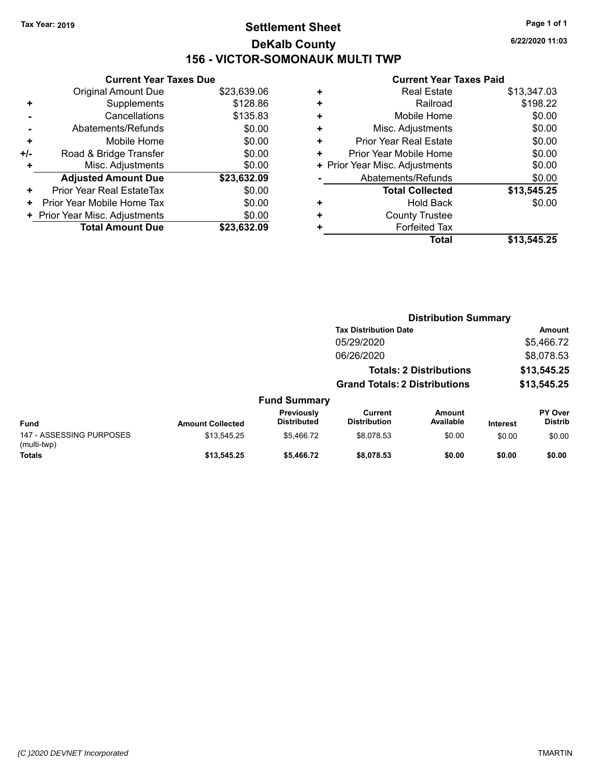# **Settlement Sheet Tax Year: 2019 Page 1 of 1 DeKalb County 156 - VICTOR-SOMONAUK MULTI TWP**

**6/22/2020 11:03**

|       | <b>Current Year Taxes Due</b>  |             |
|-------|--------------------------------|-------------|
|       | <b>Original Amount Due</b>     | \$23,639.06 |
| ٠     | Supplements                    | \$128.86    |
|       | Cancellations                  | \$135.83    |
|       | Abatements/Refunds             | \$0.00      |
| ٠     | Mobile Home                    | \$0.00      |
| $+/-$ | Road & Bridge Transfer         | \$0.00      |
| ٠     | Misc. Adjustments              | \$0.00      |
|       | <b>Adjusted Amount Due</b>     | \$23,632.09 |
| ٠     | Prior Year Real EstateTax      | \$0.00      |
| ٠     | Prior Year Mobile Home Tax     | \$0.00      |
|       | + Prior Year Misc. Adjustments | \$0.00      |
|       | <b>Total Amount Due</b>        | \$23,632.09 |
|       |                                |             |

| ٠ | <b>Real Estate</b>             | \$13,347.03 |
|---|--------------------------------|-------------|
| ÷ | Railroad                       | \$198.22    |
| ٠ | Mobile Home                    | \$0.00      |
| ٠ | Misc. Adjustments              | \$0.00      |
| ٠ | Prior Year Real Estate         | \$0.00      |
| ٠ | Prior Year Mobile Home         | \$0.00      |
|   | + Prior Year Misc. Adjustments | \$0.00      |
|   | Abatements/Refunds             | \$0.00      |
|   | <b>Total Collected</b>         | \$13,545.25 |
| ٠ | <b>Hold Back</b>               | \$0.00      |
| ٠ | <b>County Trustee</b>          |             |
| ٠ | <b>Forfeited Tax</b>           |             |
|   | Total                          | \$13,545.25 |
|   |                                |             |

|                                         |                         |                                  | <b>Distribution Summary</b>           |                                |                 |                           |
|-----------------------------------------|-------------------------|----------------------------------|---------------------------------------|--------------------------------|-----------------|---------------------------|
|                                         |                         |                                  | <b>Tax Distribution Date</b>          |                                |                 | Amount                    |
|                                         |                         |                                  | 05/29/2020                            |                                |                 | \$5,466.72                |
|                                         |                         |                                  | 06/26/2020                            |                                |                 | \$8,078.53                |
|                                         |                         |                                  |                                       | <b>Totals: 2 Distributions</b> |                 | \$13,545.25               |
|                                         |                         |                                  | <b>Grand Totals: 2 Distributions</b>  |                                |                 | \$13,545.25               |
|                                         |                         | <b>Fund Summary</b>              |                                       |                                |                 |                           |
| <b>Fund</b>                             | <b>Amount Collected</b> | Previously<br><b>Distributed</b> | <b>Current</b><br><b>Distribution</b> | Amount<br>Available            | <b>Interest</b> | PY Over<br><b>Distrib</b> |
| 147 - ASSESSING PURPOSES<br>(multi-twp) | \$13.545.25             | \$5.466.72                       | \$8.078.53                            | \$0.00                         | \$0.00          | \$0.00                    |
| <b>Totals</b>                           | \$13,545.25             | \$5,466.72                       | \$8,078.53                            | \$0.00                         | \$0.00          | \$0.00                    |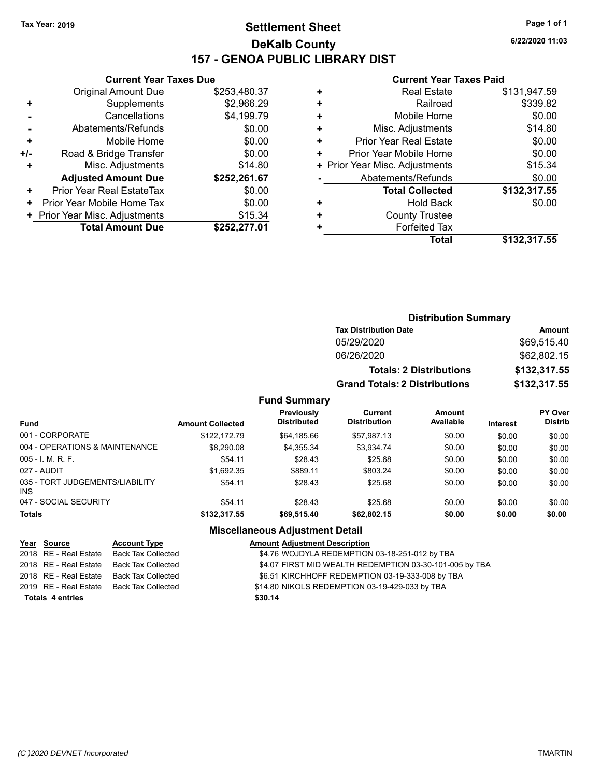# **Settlement Sheet Tax Year: 2019 Page 1 of 1 DeKalb County 157 - GENOA PUBLIC LIBRARY DIST**

**6/22/2020 11:03**

#### **Current Year Taxes Paid**

|     | <b>Current Year Taxes Due</b>  |              |
|-----|--------------------------------|--------------|
|     | <b>Original Amount Due</b>     | \$253,480.37 |
| ٠   | Supplements                    | \$2,966.29   |
|     | Cancellations                  | \$4,199.79   |
|     | Abatements/Refunds             | \$0.00       |
| ٠   | Mobile Home                    | \$0.00       |
| +/- | Road & Bridge Transfer         | \$0.00       |
| ٠   | Misc. Adjustments              | \$14.80      |
|     | <b>Adjusted Amount Due</b>     | \$252,261.67 |
| ٠   | Prior Year Real EstateTax      | \$0.00       |
| ٠   | Prior Year Mobile Home Tax     | \$0.00       |
|     | + Prior Year Misc. Adjustments | \$15.34      |
|     | <b>Total Amount Due</b>        | \$252,277.01 |
|     |                                |              |

| <b>Real Estate</b>             | \$131,947.59 |
|--------------------------------|--------------|
| Railroad                       | \$339.82     |
| Mobile Home                    | \$0.00       |
| Misc. Adjustments              | \$14.80      |
| <b>Prior Year Real Estate</b>  | \$0.00       |
| Prior Year Mobile Home         | \$0.00       |
| + Prior Year Misc. Adjustments | \$15.34      |
| Abatements/Refunds             | \$0.00       |
| <b>Total Collected</b>         | \$132,317.55 |
| Hold Back                      | \$0.00       |
| <b>County Trustee</b>          |              |
| <b>Forfeited Tax</b>           |              |
| Total                          | \$132,317.55 |
|                                |              |

| <b>Distribution Summary</b>          |              |  |  |  |  |  |
|--------------------------------------|--------------|--|--|--|--|--|
| <b>Tax Distribution Date</b>         | Amount       |  |  |  |  |  |
| 05/29/2020                           | \$69,515.40  |  |  |  |  |  |
| 06/26/2020                           | \$62,802.15  |  |  |  |  |  |
| <b>Totals: 2 Distributions</b>       | \$132,317.55 |  |  |  |  |  |
| <b>Grand Totals: 2 Distributions</b> | \$132,317.55 |  |  |  |  |  |

#### **Fund Summary**

| Fund                                          | <b>Amount Collected</b> | <b>Previously</b><br><b>Distributed</b> | Current<br><b>Distribution</b> | Amount<br>Available | Interest | <b>PY Over</b><br><b>Distrib</b> |
|-----------------------------------------------|-------------------------|-----------------------------------------|--------------------------------|---------------------|----------|----------------------------------|
| 001 - CORPORATE                               | \$122,172.79            | \$64.185.66                             | \$57.987.13                    | \$0.00              | \$0.00   | \$0.00                           |
| 004 - OPERATIONS & MAINTENANCE                | \$8,290.08              | \$4.355.34                              | \$3.934.74                     | \$0.00              | \$0.00   | \$0.00                           |
| $005 - I. M. R. F.$                           | \$54.11                 | \$28.43                                 | \$25.68                        | \$0.00              | \$0.00   | \$0.00                           |
| 027 - AUDIT                                   | \$1,692.35              | \$889.11                                | \$803.24                       | \$0.00              | \$0.00   | \$0.00                           |
| 035 - TORT JUDGEMENTS/LIABILITY<br><b>INS</b> | \$54.11                 | \$28.43                                 | \$25.68                        | \$0.00              | \$0.00   | \$0.00                           |
| 047 - SOCIAL SECURITY                         | \$54.11                 | \$28.43                                 | \$25.68                        | \$0.00              | \$0.00   | \$0.00                           |
| <b>Totals</b>                                 | \$132,317.55            | \$69,515.40                             | \$62,802.15                    | \$0.00              | \$0.00   | \$0.00                           |

#### **Miscellaneous Adjustment Detail**

| Year Source             | <b>Account Type</b> | <b>Amount Adjustment Description</b>                    |
|-------------------------|---------------------|---------------------------------------------------------|
| 2018 RE - Real Estate   | Back Tax Collected  | \$4.76 WOJDYLA REDEMPTION 03-18-251-012 by TBA          |
| 2018 RE - Real Estate   | Back Tax Collected  | \$4.07 FIRST MID WEALTH REDEMPTION 03-30-101-005 by TBA |
| 2018 RE - Real Estate   | Back Tax Collected  | \$6.51 KIRCHHOFF REDEMPTION 03-19-333-008 by TBA        |
| 2019 RE - Real Estate   | Back Tax Collected  | \$14.80 NIKOLS REDEMPTION 03-19-429-033 by TBA          |
| <b>Totals 4 entries</b> |                     | \$30.14                                                 |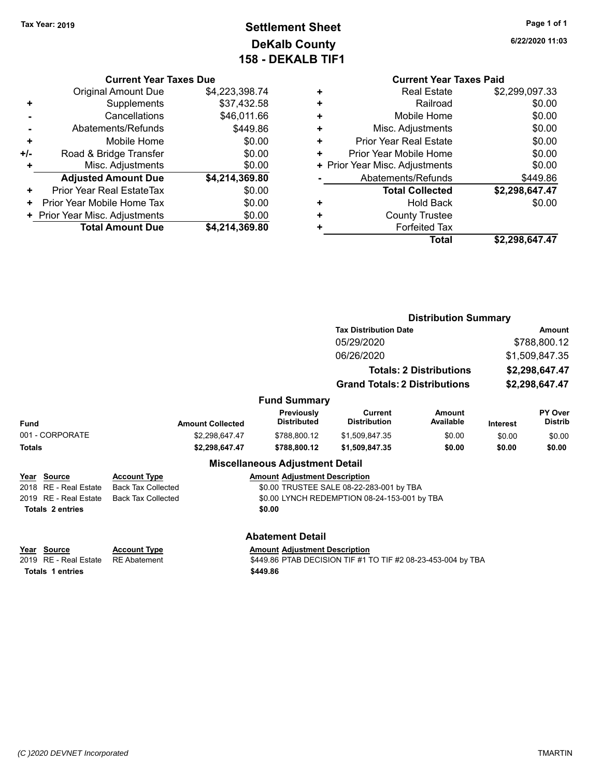# **Settlement Sheet Tax Year: 2019 Page 1 of 1 DeKalb County 158 - DEKALB TIF1**

**6/22/2020 11:03**

#### **Current Year Taxes Due**

|       | <b>Original Amount Due</b>       | \$4,223,398.74 |
|-------|----------------------------------|----------------|
| ٠     | Supplements                      | \$37,432.58    |
|       | Cancellations                    | \$46,011.66    |
|       | Abatements/Refunds               | \$449.86       |
| ٠     | Mobile Home                      | \$0.00         |
| $+/-$ | Road & Bridge Transfer           | \$0.00         |
|       | Misc. Adjustments                | \$0.00         |
|       | <b>Adjusted Amount Due</b>       | \$4,214,369.80 |
| ٠     | <b>Prior Year Real EstateTax</b> | \$0.00         |
|       | Prior Year Mobile Home Tax       | \$0.00         |
|       | + Prior Year Misc. Adjustments   | \$0.00         |
|       | <b>Total Amount Due</b>          | \$4.214.369.80 |

|   | <b>Current Year Taxes Paid</b> |                |
|---|--------------------------------|----------------|
|   | <b>Real Estate</b>             | \$2,299,097.33 |
|   | Railroad                       | \$0.00         |
|   | Mobile Home                    | \$0.00         |
|   | Misc. Adjustments              | \$0.00         |
| ٠ | <b>Prior Year Real Estate</b>  | \$0.00         |
| ٠ | Prior Year Mobile Home         | \$0.00         |
|   | + Prior Year Misc. Adjustments | \$0.00         |
|   | Abatements/Refunds             | \$449.86       |
|   | <b>Total Collected</b>         | \$2,298,647.47 |
|   | <b>Hold Back</b>               | \$0.00         |
|   | <b>County Trustee</b>          |                |
|   | <b>Forfeited Tax</b>           |                |
|   | Total                          | \$2,298,647.47 |

|                                                                 |                                            |                                                  |                                                              | <b>Distribution Summary</b>    |                 |                           |
|-----------------------------------------------------------------|--------------------------------------------|--------------------------------------------------|--------------------------------------------------------------|--------------------------------|-----------------|---------------------------|
|                                                                 |                                            |                                                  | <b>Tax Distribution Date</b>                                 | <b>Amount</b>                  |                 |                           |
|                                                                 | 05/29/2020                                 |                                                  |                                                              | \$788,800.12                   |                 |                           |
|                                                                 |                                            |                                                  | 06/26/2020                                                   |                                |                 | \$1,509,847.35            |
|                                                                 |                                            |                                                  |                                                              | <b>Totals: 2 Distributions</b> |                 | \$2,298,647.47            |
|                                                                 |                                            |                                                  | <b>Grand Totals: 2 Distributions</b>                         |                                |                 | \$2,298,647.47            |
|                                                                 |                                            | <b>Fund Summary</b>                              |                                                              |                                |                 |                           |
| Fund                                                            | <b>Amount Collected</b>                    | Previously<br><b>Distributed</b>                 | <b>Current</b><br><b>Distribution</b>                        | Amount<br>Available            | <b>Interest</b> | PY Over<br><b>Distrib</b> |
| 001 - CORPORATE                                                 | \$2,298,647.47                             | \$788,800.12                                     | \$1,509,847.35                                               | \$0.00                         | \$0.00          | \$0.00                    |
| <b>Totals</b>                                                   | \$2,298,647.47                             | \$788,800.12                                     | \$1,509,847.35                                               | \$0.00                         | \$0.00          | \$0.00                    |
|                                                                 |                                            | <b>Miscellaneous Adjustment Detail</b>           |                                                              |                                |                 |                           |
| Year Source                                                     | <b>Account Type</b>                        | <b>Amount Adjustment Description</b>             |                                                              |                                |                 |                           |
| 2018 RE - Real Estate                                           | <b>Back Tax Collected</b>                  |                                                  | \$0.00 TRUSTEE SALE 08-22-283-001 by TBA                     |                                |                 |                           |
| 2019 RE - Real Estate                                           | <b>Back Tax Collected</b>                  |                                                  | \$0.00 LYNCH REDEMPTION 08-24-153-001 by TBA                 |                                |                 |                           |
| <b>Totals 2 entries</b>                                         |                                            | \$0.00                                           |                                                              |                                |                 |                           |
|                                                                 |                                            | <b>Abatement Detail</b>                          |                                                              |                                |                 |                           |
| Year Source<br>2019 RE - Real Estate<br><b>Totals 1 entries</b> | <b>Account Type</b><br><b>RE</b> Abatement | <b>Amount Adjustment Description</b><br>\$449.86 | \$449.86 PTAB DECISION TIF #1 TO TIF #2 08-23-453-004 by TBA |                                |                 |                           |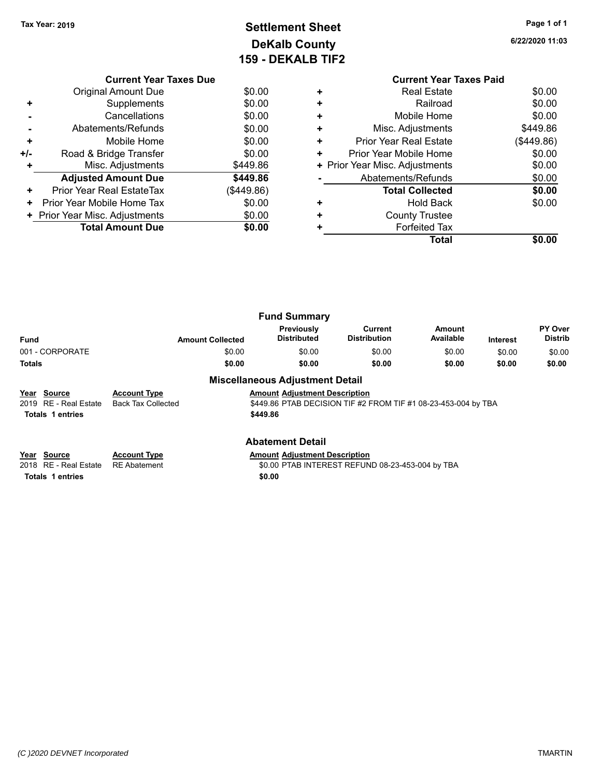# **Settlement Sheet Tax Year: 2019 Page 1 of 1 DeKalb County 159 - DEKALB TIF2**

**6/22/2020 11:03**

|     | <b>Current Year Taxes Due</b>  |            |
|-----|--------------------------------|------------|
|     | Original Amount Due            | \$0.00     |
| ٠   | Supplements                    | \$0.00     |
|     | Cancellations                  | \$0.00     |
|     | Abatements/Refunds             | \$0.00     |
| ٠   | Mobile Home                    | \$0.00     |
| +/- | Road & Bridge Transfer         | \$0.00     |
| ٠   | Misc. Adjustments              | \$449.86   |
|     | <b>Adjusted Amount Due</b>     | \$449.86   |
| ٠   | Prior Year Real EstateTax      | (\$449.86) |
| ٠   | Prior Year Mobile Home Tax     | \$0.00     |
|     | + Prior Year Misc. Adjustments | \$0.00     |
|     | <b>Total Amount Due</b>        | \$0.00     |
|     |                                |            |

|   | <b>Current Year Taxes Paid</b> |            |
|---|--------------------------------|------------|
| ٠ | Real Estate                    | \$0.00     |
| ÷ | Railroad                       | \$0.00     |
|   | Mobile Home                    | \$0.00     |
|   | Misc. Adjustments              | \$449.86   |
| ٠ | <b>Prior Year Real Estate</b>  | (\$449.86) |
| ٠ | Prior Year Mobile Home         | \$0.00     |
|   | + Prior Year Misc. Adjustments | \$0.00     |
|   | Abatements/Refunds             | \$0.00     |
|   | <b>Total Collected</b>         | \$0.00     |
|   | <b>Hold Back</b>               | \$0.00     |
|   | <b>County Trustee</b>          |            |
|   | <b>Forfeited Tax</b>           |            |
|   | Total                          | SO.OU      |

|                 |                         | <b>Fund Summary</b>                    |                                |                     |                 |                                  |
|-----------------|-------------------------|----------------------------------------|--------------------------------|---------------------|-----------------|----------------------------------|
| <b>Fund</b>     | <b>Amount Collected</b> | Previously<br>Distributed              | Current<br><b>Distribution</b> | Amount<br>Available | <b>Interest</b> | <b>PY Over</b><br><b>Distrib</b> |
| 001 - CORPORATE | \$0.00                  | \$0.00                                 | \$0.00                         | \$0.00              | \$0.00          | \$0.00                           |
| <b>Totals</b>   | \$0.00                  | \$0.00                                 | \$0.00                         | \$0.00              | \$0.00          | \$0.00                           |
|                 |                         | <b>Miscellaneous Adjustment Detail</b> |                                |                     |                 |                                  |

| Year Source             | <b>Account Type</b> | <b>Amount Adiustment Description</b>                           |
|-------------------------|---------------------|----------------------------------------------------------------|
| 2019 RE - Real Estate   | Back Tax Collected  | \$449.86 PTAB DECISION TIF #2 FROM TIF #1 08-23-453-004 by TBA |
| <b>Totals 1 entries</b> |                     | \$449.86                                                       |

#### **Abatement Detail**

# **Year Source Account Type Anneurs Amount Adjustment Description**<br>2018 RE - Real Estate RE Abatement **Amount Adjustment Adjustment** AD.00 PTAB INTEREST REFUN

\$0.00 PTAB INTEREST REFUND 08-23-453-004 by TBA **Totals 1 entries** \$0.00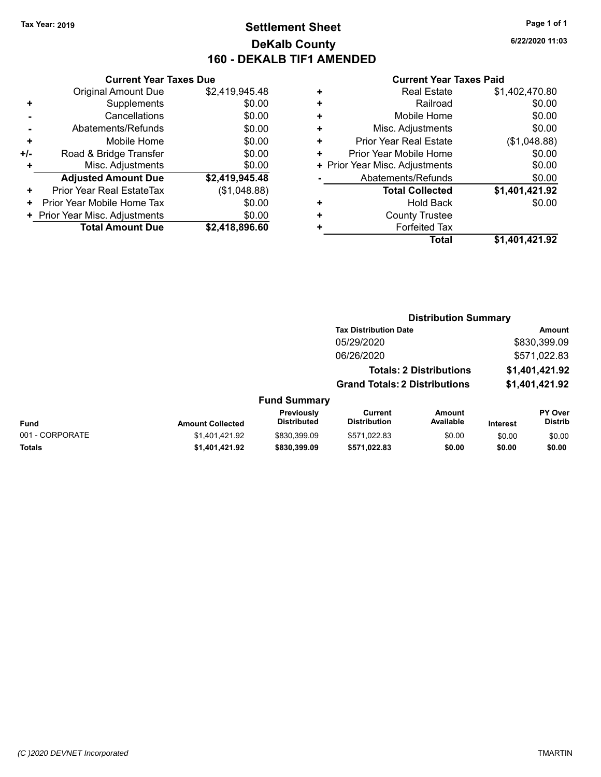# **Settlement Sheet Tax Year: 2019 Page 1 of 1 DeKalb County 160 - DEKALB TIF1 AMENDED**

**6/22/2020 11:03**

|     | <b>Current Year Taxes Due</b>  |                |
|-----|--------------------------------|----------------|
|     | <b>Original Amount Due</b>     | \$2,419,945.48 |
| ٠   | Supplements                    | \$0.00         |
|     | Cancellations                  | \$0.00         |
|     | Abatements/Refunds             | \$0.00         |
| ٠   | Mobile Home                    | \$0.00         |
| +/- | Road & Bridge Transfer         | \$0.00         |
| ٠   | Misc. Adjustments              | \$0.00         |
|     | <b>Adjusted Amount Due</b>     | \$2,419,945.48 |
| +   | Prior Year Real EstateTax      | (\$1,048.88)   |
| ٠   | Prior Year Mobile Home Tax     | \$0.00         |
|     | + Prior Year Misc. Adjustments | \$0.00         |
|     | <b>Total Amount Due</b>        | \$2,418,896.60 |
|     |                                |                |

|   | <b>Real Estate</b>             | \$1,402,470.80 |
|---|--------------------------------|----------------|
| ÷ | Railroad                       | \$0.00         |
| ٠ | Mobile Home                    | \$0.00         |
| ٠ | Misc. Adjustments              | \$0.00         |
| ٠ | <b>Prior Year Real Estate</b>  | (\$1,048.88)   |
| ٠ | Prior Year Mobile Home         | \$0.00         |
|   | + Prior Year Misc. Adjustments | \$0.00         |
|   | Abatements/Refunds             | \$0.00         |
|   | <b>Total Collected</b>         | \$1,401,421.92 |
| ٠ | <b>Hold Back</b>               | \$0.00         |
| ٠ | <b>County Trustee</b>          |                |
| ٠ | <b>Forfeited Tax</b>           |                |
|   | Total                          | \$1,401,421.92 |
|   |                                |                |

|                         |                                  | <b>Distribution Summary</b>          |                     |                 |                                  |
|-------------------------|----------------------------------|--------------------------------------|---------------------|-----------------|----------------------------------|
|                         |                                  | <b>Tax Distribution Date</b>         |                     |                 | Amount                           |
|                         |                                  | 05/29/2020                           |                     | \$830,399.09    |                                  |
|                         |                                  | 06/26/2020                           |                     | \$571,022.83    |                                  |
|                         |                                  | <b>Totals: 2 Distributions</b>       |                     | \$1,401,421.92  |                                  |
|                         |                                  | <b>Grand Totals: 2 Distributions</b> |                     | \$1,401,421.92  |                                  |
|                         | <b>Fund Summary</b>              |                                      |                     |                 |                                  |
| <b>Amount Collected</b> | Previously<br><b>Distributed</b> | Current<br><b>Distribution</b>       | Amount<br>Available | <b>Interest</b> | <b>PY Over</b><br><b>Distrib</b> |
|                         |                                  |                                      |                     |                 |                                  |

| Fund            | <b>Amount Collected</b> | Previousiv<br><b>Distributed</b> | Current<br><b>Distribution</b> | Amount<br>Available | <b>Interest</b> | PY Over<br><b>Distrib</b> |
|-----------------|-------------------------|----------------------------------|--------------------------------|---------------------|-----------------|---------------------------|
| 001 - CORPORATE | \$1.401.421.92          | \$830,399.09                     | \$571.022.83                   | \$0.00              | \$0.00          | \$0.00                    |
| Totals          | \$1.401.421.92          | \$830,399.09                     | \$571.022.83                   | \$0.00              | \$0.00          | \$0.00                    |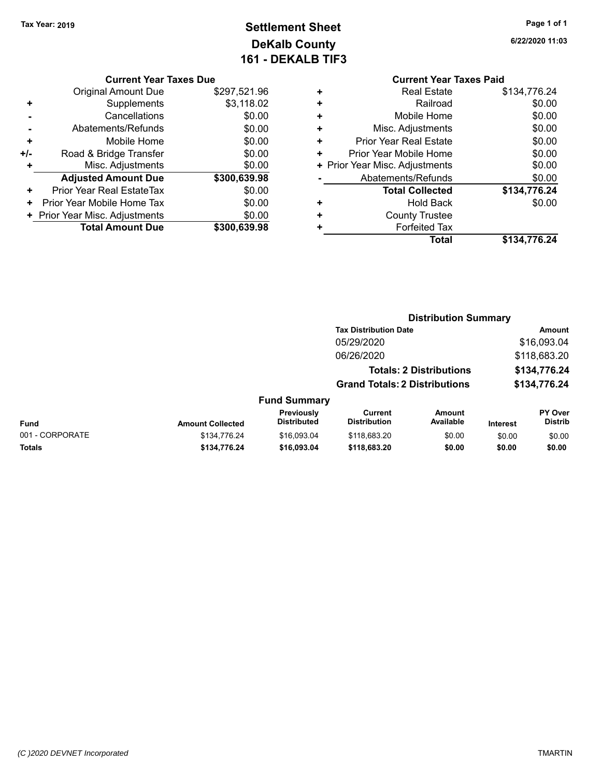## **Settlement Sheet Tax Year: 2019 Page 1 of 1 DeKalb County 161 - DEKALB TIF3**

**6/22/2020 11:03**

|     | <b>Original Amount Due</b>     | \$297,521.96 |
|-----|--------------------------------|--------------|
| ٠   | Supplements                    | \$3,118.02   |
|     | Cancellations                  | \$0.00       |
|     | Abatements/Refunds             | \$0.00       |
| ٠   | Mobile Home                    | \$0.00       |
| +/- | Road & Bridge Transfer         | \$0.00       |
| ٠   | Misc. Adjustments              | \$0.00       |
|     | <b>Adjusted Amount Due</b>     | \$300,639.98 |
| ÷   | Prior Year Real EstateTax      | \$0.00       |
| ٠   | Prior Year Mobile Home Tax     | \$0.00       |
|     | + Prior Year Misc. Adjustments | \$0.00       |
|     | <b>Total Amount Due</b>        | \$300,639.98 |

|   | <b>Total</b>                   | \$134,776.24 |
|---|--------------------------------|--------------|
| ٠ | <b>Forfeited Tax</b>           |              |
| ٠ | <b>County Trustee</b>          |              |
| ٠ | <b>Hold Back</b>               | \$0.00       |
|   | <b>Total Collected</b>         | \$134,776.24 |
|   | Abatements/Refunds             | \$0.00       |
|   | + Prior Year Misc. Adjustments | \$0.00       |
| ٠ | Prior Year Mobile Home         | \$0.00       |
| ٠ | <b>Prior Year Real Estate</b>  | \$0.00       |
| ٠ | Misc. Adjustments              | \$0.00       |
| ÷ | Mobile Home                    | \$0.00       |
| ٠ | Railroad                       | \$0.00       |
|   | <b>Real Estate</b>             | \$134,776.24 |

|                 | <b>Distribution Summary</b> |                                  |                                      |                                |              |                    |
|-----------------|-----------------------------|----------------------------------|--------------------------------------|--------------------------------|--------------|--------------------|
|                 |                             |                                  | <b>Tax Distribution Date</b>         |                                |              | <b>Amount</b>      |
|                 |                             |                                  | 05/29/2020                           |                                |              | \$16,093.04        |
|                 |                             |                                  | 06/26/2020                           |                                |              | \$118,683.20       |
|                 |                             |                                  |                                      | <b>Totals: 2 Distributions</b> |              | \$134,776.24       |
|                 |                             |                                  | <b>Grand Totals: 2 Distributions</b> |                                | \$134,776.24 |                    |
|                 |                             | <b>Fund Summary</b>              |                                      |                                |              |                    |
| <b>Fund</b>     | <b>Amount Collected</b>     | Previously<br><b>Distributed</b> | Current<br><b>Distribution</b>       | Amount<br>Available            | Interest     | PY Over<br>Distrib |
| 001 - CORPORATE | \$134,776.24                | \$16.093.04                      | \$118,683.20                         | \$0.00                         | \$0.00       | \$0.00             |
| <b>Totals</b>   | \$134,776.24                | \$16,093.04                      | \$118,683.20                         | \$0.00                         | \$0.00       | \$0.00             |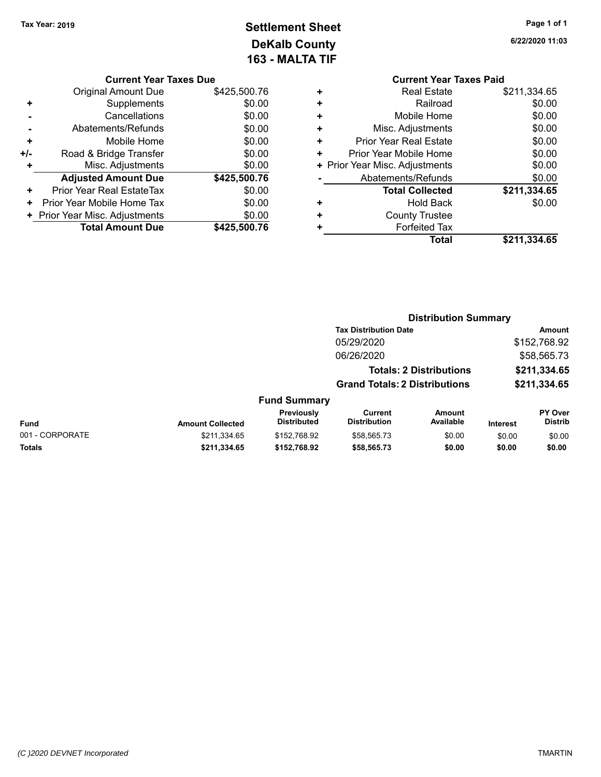## **Settlement Sheet Tax Year: 2019 Page 1 of 1 DeKalb County 163 - MALTA TIF**

|     | <b>Current Year Taxes Due</b>  |              |  |  |  |
|-----|--------------------------------|--------------|--|--|--|
|     | <b>Original Amount Due</b>     | \$425,500.76 |  |  |  |
| ٠   | Supplements                    | \$0.00       |  |  |  |
|     | Cancellations                  | \$0.00       |  |  |  |
|     | Abatements/Refunds             | \$0.00       |  |  |  |
| ٠   | Mobile Home                    | \$0.00       |  |  |  |
| +/- | Road & Bridge Transfer         | \$0.00       |  |  |  |
| ÷   | Misc. Adjustments              | \$0.00       |  |  |  |
|     | <b>Adjusted Amount Due</b>     | \$425,500.76 |  |  |  |
| +   | Prior Year Real EstateTax      | \$0.00       |  |  |  |
| ٠   | Prior Year Mobile Home Tax     | \$0.00       |  |  |  |
|     | + Prior Year Misc. Adjustments | \$0.00       |  |  |  |
|     | <b>Total Amount Due</b>        | \$425,500.76 |  |  |  |

**6/22/2020 11:03**

### **Current Year Taxes Paid +** Real Estate \$211,334.65 **+** Railroad \$0.00 **+** Mobile Home \$0.00 **+** Misc. Adjustments \$0.00 **+** Prior Year Real Estate \$0.00 **+** Prior Year Mobile Home \$0.00 **+ Prior Year Misc. Adjustments**  $$0.00$ **-** Abatements/Refunds \$0.00 **Total Collected \$211,334.65 +** Hold Back \$0.00 **+** County Trustee **+** Forfeited Tax **Total \$211,334.65**

|                 |                         |                                  |                                       | <b>Distribution Summary</b>    |                 |                                  |  |
|-----------------|-------------------------|----------------------------------|---------------------------------------|--------------------------------|-----------------|----------------------------------|--|
|                 |                         |                                  | <b>Tax Distribution Date</b>          |                                |                 | Amount                           |  |
|                 |                         |                                  | 05/29/2020                            |                                |                 | \$152,768.92                     |  |
|                 |                         |                                  | 06/26/2020                            |                                |                 | \$58,565.73                      |  |
|                 |                         |                                  |                                       | <b>Totals: 2 Distributions</b> |                 | \$211,334.65                     |  |
|                 |                         |                                  | <b>Grand Totals: 2 Distributions</b>  |                                |                 | \$211,334.65                     |  |
|                 |                         | <b>Fund Summary</b>              |                                       |                                |                 |                                  |  |
| <b>Fund</b>     | <b>Amount Collected</b> | Previously<br><b>Distributed</b> | <b>Current</b><br><b>Distribution</b> | <b>Amount</b><br>Available     | <b>Interest</b> | <b>PY Over</b><br><b>Distrib</b> |  |
| 001 - CORPORATE | \$211,334.65            | \$152.768.92                     | \$58,565.73                           | \$0.00                         | \$0.00          | \$0.00                           |  |
| <b>Totals</b>   | \$211.334.65            | \$152,768.92                     | \$58,565.73                           | \$0.00                         | \$0.00          | \$0.00                           |  |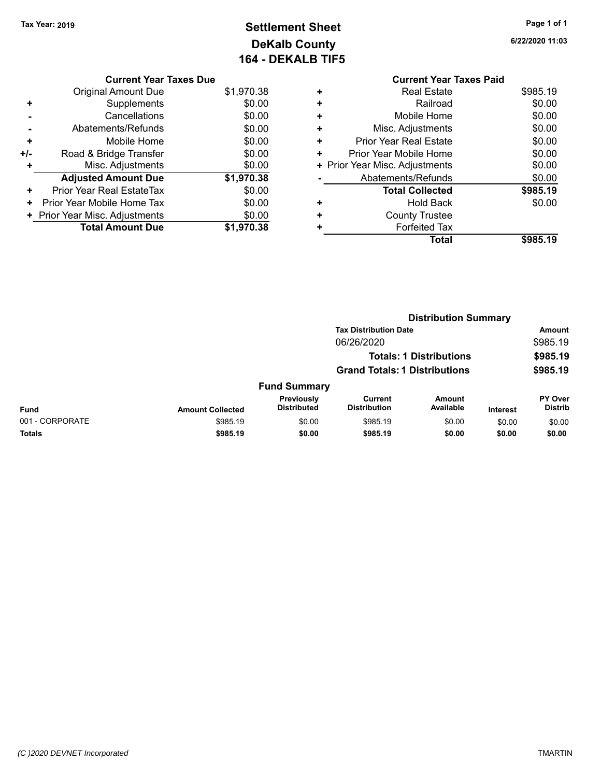## **Settlement Sheet Tax Year: 2019 Page 1 of 1 DeKalb County 164 - DEKALB TIF5**

| <b>Current Year Taxes Due</b>  |            |  |  |  |
|--------------------------------|------------|--|--|--|
| Original Amount Due            | \$1,970.38 |  |  |  |
| Supplements                    | \$0.00     |  |  |  |
| Cancellations                  | \$0.00     |  |  |  |
| Abatements/Refunds             | \$0.00     |  |  |  |
| Mobile Home                    | \$0.00     |  |  |  |
| Road & Bridge Transfer         | \$0.00     |  |  |  |
| Misc. Adjustments              | \$0.00     |  |  |  |
| <b>Adjusted Amount Due</b>     | \$1,970.38 |  |  |  |
| Prior Year Real EstateTax      | \$0.00     |  |  |  |
| Prior Year Mobile Home Tax     | \$0.00     |  |  |  |
| + Prior Year Misc. Adjustments | \$0.00     |  |  |  |
| <b>Total Amount Due</b>        | \$1.970.38 |  |  |  |
|                                |            |  |  |  |

|   | <b>Current Year Taxes Paid</b> |          |
|---|--------------------------------|----------|
| ٠ | <b>Real Estate</b>             | \$985.19 |
| ٠ | Railroad                       | \$0.00   |
| ٠ | Mobile Home                    | \$0.00   |
| ٠ | Misc. Adjustments              | \$0.00   |
| ٠ | Prior Year Real Estate         | \$0.00   |
| ٠ | Prior Year Mobile Home         | \$0.00   |
|   | + Prior Year Misc. Adjustments | \$0.00   |
|   | Abatements/Refunds             | \$0.00   |
|   | <b>Total Collected</b>         | \$985.19 |
| ÷ | <b>Hold Back</b>               | \$0.00   |
|   | <b>County Trustee</b>          |          |
|   | <b>Forfeited Tax</b>           |          |
|   | Total                          | \$985.19 |

|                 |                         |                                                                        |                                       | <b>Distribution Summary</b> |                 |                           |
|-----------------|-------------------------|------------------------------------------------------------------------|---------------------------------------|-----------------------------|-----------------|---------------------------|
|                 |                         |                                                                        | <b>Tax Distribution Date</b>          |                             |                 | Amount                    |
|                 |                         |                                                                        | 06/26/2020                            |                             |                 | \$985.19                  |
|                 |                         | <b>Totals: 1 Distributions</b><br><b>Grand Totals: 1 Distributions</b> |                                       |                             | \$985.19        |                           |
|                 |                         |                                                                        |                                       |                             | \$985.19        |                           |
|                 |                         | <b>Fund Summary</b>                                                    |                                       |                             |                 |                           |
| <b>Fund</b>     | <b>Amount Collected</b> | Previously<br><b>Distributed</b>                                       | <b>Current</b><br><b>Distribution</b> | <b>Amount</b><br>Available  | <b>Interest</b> | PY Over<br><b>Distrib</b> |
| 001 - CORPORATE | \$985.19                | \$0.00                                                                 | \$985.19                              | \$0.00                      | \$0.00          | \$0.00                    |
| <b>Totals</b>   | \$985.19                | \$0.00                                                                 | \$985.19                              | \$0.00                      | \$0.00          | \$0.00                    |
|                 |                         |                                                                        |                                       |                             |                 |                           |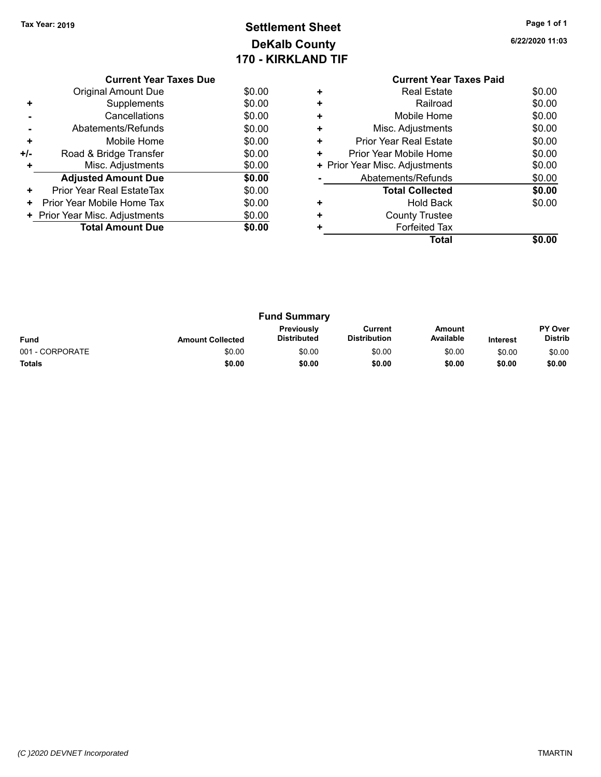## **Settlement Sheet Tax Year: 2019 Page 1 of 1 DeKalb County 170 - KIRKLAND TIF**

| 6/22/2020 11:03 |
|-----------------|
|-----------------|

|       | <b>Current Year Taxes Due</b>  |        |  |  |  |
|-------|--------------------------------|--------|--|--|--|
|       | <b>Original Amount Due</b>     | \$0.00 |  |  |  |
| ٠     | Supplements                    | \$0.00 |  |  |  |
|       | Cancellations                  | \$0.00 |  |  |  |
|       | Abatements/Refunds             | \$0.00 |  |  |  |
| ٠     | Mobile Home                    | \$0.00 |  |  |  |
| $+/-$ | Road & Bridge Transfer         | \$0.00 |  |  |  |
| ÷     | Misc. Adjustments              | \$0.00 |  |  |  |
|       | <b>Adjusted Amount Due</b>     | \$0.00 |  |  |  |
| ٠     | Prior Year Real EstateTax      | \$0.00 |  |  |  |
| ٠     | Prior Year Mobile Home Tax     | \$0.00 |  |  |  |
|       | + Prior Year Misc. Adjustments | \$0.00 |  |  |  |
|       | <b>Total Amount Due</b>        | \$0.00 |  |  |  |
|       |                                |        |  |  |  |

| <b>Fund Summary</b> |                         |                                         |                                |                     |                 |                           |
|---------------------|-------------------------|-----------------------------------------|--------------------------------|---------------------|-----------------|---------------------------|
| <b>Fund</b>         | <b>Amount Collected</b> | <b>Previously</b><br><b>Distributed</b> | Current<br><b>Distribution</b> | Amount<br>Available | <b>Interest</b> | PY Over<br><b>Distrib</b> |
| 001 - CORPORATE     | \$0.00                  | \$0.00                                  | \$0.00                         | \$0.00              | \$0.00          | \$0.00                    |
| <b>Totals</b>       | \$0.00                  | \$0.00                                  | \$0.00                         | \$0.00              | \$0.00          | \$0.00                    |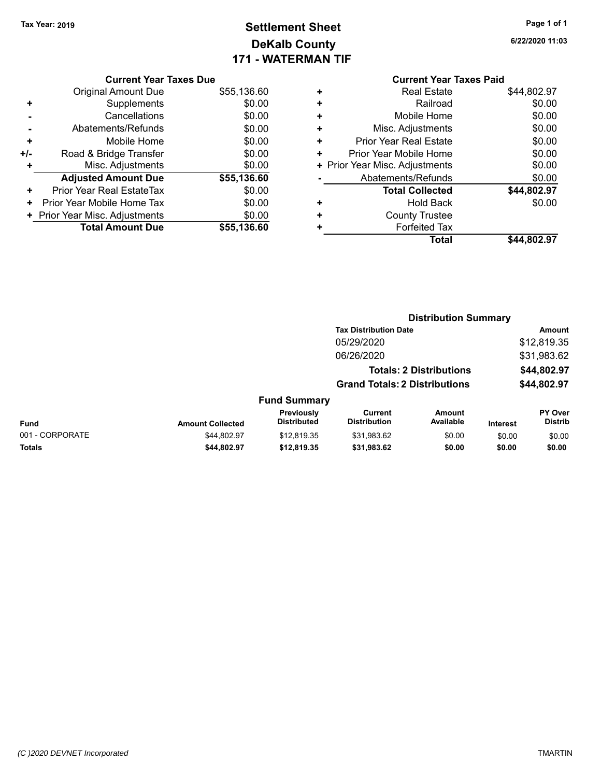## **Settlement Sheet Tax Year: 2019 Page 1 of 1 DeKalb County 171 - WATERMAN TIF**

**6/22/2020 11:03**

|     | <b>Current Year Taxes Due</b> |             |
|-----|-------------------------------|-------------|
|     | <b>Original Amount Due</b>    | \$55,136.60 |
| ٠   | Supplements                   | \$0.00      |
|     | Cancellations                 | \$0.00      |
|     | Abatements/Refunds            | \$0.00      |
| ٠   | Mobile Home                   | \$0.00      |
| +/- | Road & Bridge Transfer        | \$0.00      |
|     | Misc. Adjustments             | \$0.00      |
|     | <b>Adjusted Amount Due</b>    | \$55,136.60 |
| ٠   | Prior Year Real EstateTax     | \$0.00      |
| ٠   | Prior Year Mobile Home Tax    | \$0.00      |

**Total Amount Due \$55,136.60**

**+ Prior Year Misc. Adjustments**  $$0.00$ 

### **Current Year Taxes Paid +** Real Estate \$44,802.97 **+** Railroad \$0.00 **+** Mobile Home \$0.00

| ٠ | Misc. Adjustments              | \$0.00      |
|---|--------------------------------|-------------|
| ÷ | <b>Prior Year Real Estate</b>  | \$0.00      |
| ÷ | Prior Year Mobile Home         | \$0.00      |
|   | + Prior Year Misc. Adjustments | \$0.00      |
|   | Abatements/Refunds             | \$0.00      |
|   |                                |             |
|   | <b>Total Collected</b>         | \$44,802.97 |
|   | <b>Hold Back</b>               | \$0.00      |
| ٠ | <b>County Trustee</b>          |             |
|   | <b>Forfeited Tax</b>           |             |

**Distribution Summary**

### **Tax Distribution Date Amount** 05/29/2020 \$12,819.35 06/26/2020 \$31,983.62 **Totals: 2 Distributions \$44,802.97 Grand Totals: 2 Distributions \$44,802.97 Fund Summary Fund Interest Amount Collected Distributed PY Over Distrib Amount Available Current Distribution Previously** 001 - CORPORATE \$44,802.97 \$12,819.35 \$31,983.62 \$0.00 \$0.00 \$0.00 **Totals \$44,802.97 \$12,819.35 \$31,983.62 \$0.00 \$0.00 \$0.00**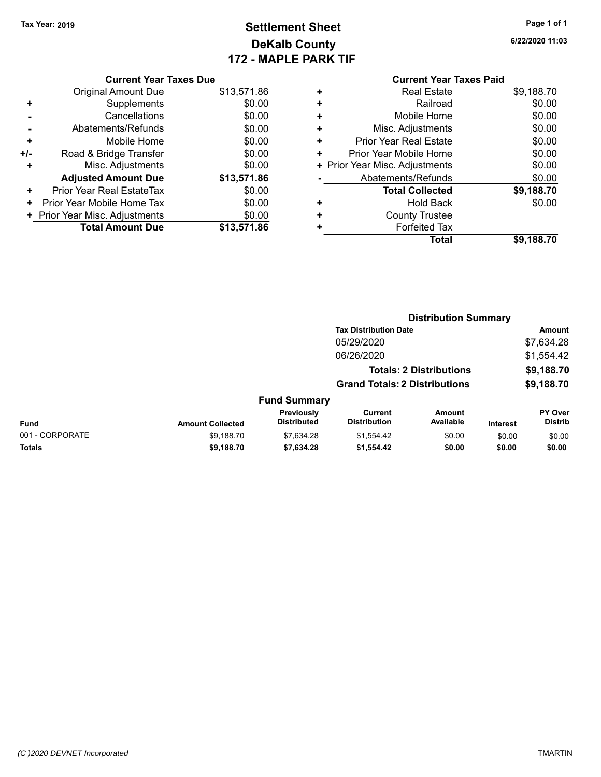## **Settlement Sheet Tax Year: 2019 Page 1 of 1 DeKalb County 172 - MAPLE PARK TIF**

**6/22/2020 11:03**

### **Current Year Taxes Paid +** Real Estate \$9,188.70 **+** Railroad \$0.00 **+** Mobile Home \$0.00 **+** Misc. Adjustments \$0.00 **+** Prior Year Real Estate \$0.00 **+** Prior Year Mobile Home \$0.00<br> **+** Prior Year Misc. Adjustments \$0.00 **+ Prior Year Misc. Adjustments -** Abatements/Refunds \$0.00 **Total Collected \$9,188.70 +** Hold Back \$0.00 **+** County Trustee **+** Forfeited Tax **Total \$9,188.70**

| <b>Distribution Summary</b> |                                  |                                       |                            |                                                                                                        |                           |
|-----------------------------|----------------------------------|---------------------------------------|----------------------------|--------------------------------------------------------------------------------------------------------|---------------------------|
|                             |                                  |                                       |                            |                                                                                                        | Amount                    |
|                             |                                  | 05/29/2020                            |                            |                                                                                                        | \$7,634.28                |
|                             |                                  | 06/26/2020                            |                            |                                                                                                        | \$1,554.42                |
|                             |                                  |                                       |                            |                                                                                                        | \$9,188.70                |
|                             |                                  |                                       |                            |                                                                                                        | \$9,188.70                |
|                             |                                  |                                       |                            |                                                                                                        |                           |
| <b>Amount Collected</b>     | Previously<br><b>Distributed</b> | <b>Current</b><br><b>Distribution</b> | <b>Amount</b><br>Available | <b>Interest</b>                                                                                        | PY Over<br><b>Distrib</b> |
| \$9,188.70                  | \$7,634.28                       | \$1,554.42                            | \$0.00                     | \$0.00                                                                                                 | \$0.00                    |
| \$9,188.70                  | \$7,634.28                       | \$1,554.42                            | \$0.00                     | \$0.00                                                                                                 | \$0.00                    |
|                             |                                  |                                       | <b>Fund Summary</b>        | <b>Tax Distribution Date</b><br><b>Totals: 2 Distributions</b><br><b>Grand Totals: 2 Distributions</b> |                           |

### **Current Year Taxes Due**

|       | <b>Original Amount Due</b>     | \$13,571.86 |
|-------|--------------------------------|-------------|
| ٠     | Supplements                    | \$0.00      |
|       | Cancellations                  | \$0.00      |
|       | Abatements/Refunds             | \$0.00      |
| ٠     | Mobile Home                    | \$0.00      |
| $+/-$ | Road & Bridge Transfer         | \$0.00      |
|       |                                |             |
| ٠     | Misc. Adjustments              | \$0.00      |
|       | <b>Adjusted Amount Due</b>     | \$13,571.86 |
| ٠     | Prior Year Real EstateTax      | \$0.00      |
| ٠     | Prior Year Mobile Home Tax     | \$0.00      |
|       | + Prior Year Misc. Adjustments | \$0.00      |
|       | <b>Total Amount Due</b>        | \$13,571.86 |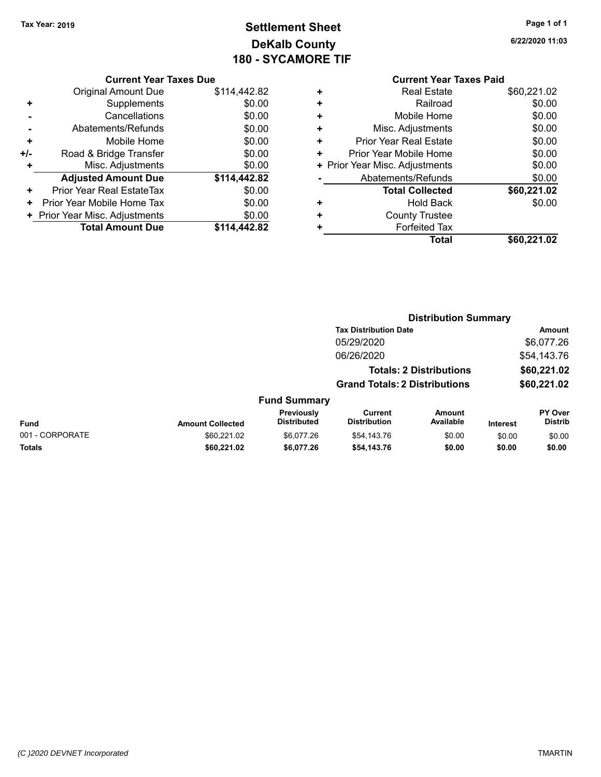## **Settlement Sheet Tax Year: 2019 Page 1 of 1 DeKalb County 180 - SYCAMORE TIF**

**6/22/2020 11:03**

|     | <b>Original Amount Due</b>     | \$114,442.82 |
|-----|--------------------------------|--------------|
| ٠   | Supplements                    | \$0.00       |
|     | Cancellations                  | \$0.00       |
|     | Abatements/Refunds             | \$0.00       |
| ÷   | Mobile Home                    | \$0.00       |
| +/- | Road & Bridge Transfer         | \$0.00       |
| ٠   | Misc. Adjustments              | \$0.00       |
|     | <b>Adjusted Amount Due</b>     | \$114,442.82 |
| ÷   | Prior Year Real EstateTax      | \$0.00       |
|     | Prior Year Mobile Home Tax     | \$0.00       |
|     | + Prior Year Misc. Adjustments | \$0.00       |
|     | <b>Total Amount Due</b>        | \$114,442.82 |

|   | Total                          | \$60,221.02 |
|---|--------------------------------|-------------|
| ٠ | <b>Forfeited Tax</b>           |             |
| ٠ | <b>County Trustee</b>          |             |
| ٠ | <b>Hold Back</b>               | \$0.00      |
|   | <b>Total Collected</b>         | \$60,221.02 |
|   | Abatements/Refunds             | \$0.00      |
|   | + Prior Year Misc. Adjustments | \$0.00      |
| ٠ | Prior Year Mobile Home         | \$0.00      |
| ٠ | <b>Prior Year Real Estate</b>  | \$0.00      |
| ٠ | Misc. Adjustments              | \$0.00      |
| ٠ | Mobile Home                    | \$0.00      |
| ٠ | Railroad                       | \$0.00      |
|   | <b>Real Estate</b>             | \$60,221.02 |

|                 |                         |                                  |                                       | <b>Distribution Summary</b>    |                 |                                  |  |  |
|-----------------|-------------------------|----------------------------------|---------------------------------------|--------------------------------|-----------------|----------------------------------|--|--|
|                 |                         |                                  | <b>Tax Distribution Date</b>          |                                |                 | Amount                           |  |  |
|                 |                         |                                  | 05/29/2020                            |                                |                 | \$6,077.26                       |  |  |
|                 |                         |                                  | 06/26/2020                            |                                |                 | \$54,143.76                      |  |  |
|                 |                         |                                  |                                       | <b>Totals: 2 Distributions</b> |                 | \$60,221.02                      |  |  |
|                 |                         |                                  | <b>Grand Totals: 2 Distributions</b>  |                                |                 | \$60,221.02                      |  |  |
|                 |                         | <b>Fund Summary</b>              |                                       |                                |                 |                                  |  |  |
| <b>Fund</b>     | <b>Amount Collected</b> | Previously<br><b>Distributed</b> | <b>Current</b><br><b>Distribution</b> | Amount<br>Available            | <b>Interest</b> | <b>PY Over</b><br><b>Distrib</b> |  |  |
| 001 - CORPORATE | \$60.221.02             | \$6.077.26                       | \$54,143.76                           | \$0.00                         | \$0.00          | \$0.00                           |  |  |
| <b>Totals</b>   | \$60,221.02             | \$6,077.26                       | \$54,143.76                           | \$0.00                         | \$0.00          | \$0.00                           |  |  |
|                 |                         |                                  |                                       |                                |                 |                                  |  |  |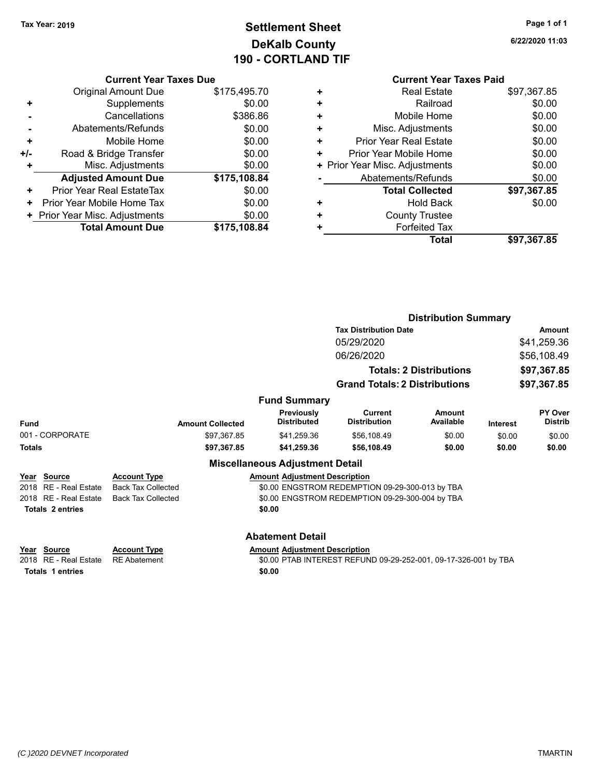## **Settlement Sheet Tax Year: 2019 Page 1 of 1 DeKalb County 190 - CORTLAND TIF**

**6/22/2020 11:03**

|     | <b>Current Year Taxes Due</b>    |              |  |  |  |
|-----|----------------------------------|--------------|--|--|--|
|     | <b>Original Amount Due</b>       | \$175,495.70 |  |  |  |
| ٠   | Supplements                      | \$0.00       |  |  |  |
|     | Cancellations                    | \$386.86     |  |  |  |
|     | Abatements/Refunds               | \$0.00       |  |  |  |
| ٠   | Mobile Home                      | \$0.00       |  |  |  |
| +/- | Road & Bridge Transfer           | \$0.00       |  |  |  |
| ٠   | Misc. Adjustments                | \$0.00       |  |  |  |
|     | <b>Adjusted Amount Due</b>       | \$175,108.84 |  |  |  |
| ٠   | <b>Prior Year Real EstateTax</b> | \$0.00       |  |  |  |
| ٠   | Prior Year Mobile Home Tax       | \$0.00       |  |  |  |
|     | + Prior Year Misc. Adjustments   | \$0.00       |  |  |  |
|     | <b>Total Amount Due</b>          | \$175,108.84 |  |  |  |
|     |                                  |              |  |  |  |

### **Current Year Taxes Paid +** Real Estate \$97,367.85 **+** Railroad \$0.00 **+** Mobile Home \$0.00 **+** Misc. Adjustments \$0.00 **+** Prior Year Real Estate \$0.00

|   | <b>Total</b>                   | \$97,367.85 |
|---|--------------------------------|-------------|
|   | <b>Forfeited Tax</b>           |             |
| ٠ | <b>County Trustee</b>          |             |
|   | <b>Hold Back</b>               | \$0.00      |
|   | <b>Total Collected</b>         | \$97,367.85 |
|   | Abatements/Refunds             | \$0.00      |
|   | + Prior Year Misc. Adjustments | \$0.00      |
|   | Prior Year Mobile Home         | \$0.00      |

|                         |                                |                                         | <b>Distribution Summary</b>                                     |                     |                 |                           |  |
|-------------------------|--------------------------------|-----------------------------------------|-----------------------------------------------------------------|---------------------|-----------------|---------------------------|--|
|                         |                                |                                         | <b>Tax Distribution Date</b>                                    |                     |                 | Amount                    |  |
|                         |                                |                                         | 05/29/2020                                                      |                     |                 | \$41,259.36               |  |
|                         |                                |                                         | 06/26/2020                                                      |                     |                 | \$56,108.49               |  |
|                         | <b>Totals: 2 Distributions</b> |                                         | \$97,367.85                                                     |                     |                 |                           |  |
|                         |                                |                                         | <b>Grand Totals: 2 Distributions</b>                            |                     |                 | \$97,367.85               |  |
|                         |                                | <b>Fund Summary</b>                     |                                                                 |                     |                 |                           |  |
| Fund                    | <b>Amount Collected</b>        | <b>Previously</b><br><b>Distributed</b> | Current<br><b>Distribution</b>                                  | Amount<br>Available | <b>Interest</b> | PY Over<br><b>Distrib</b> |  |
| 001 - CORPORATE         | \$97,367.85                    | \$41,259.36                             | \$56,108.49                                                     | \$0.00              | \$0.00          | \$0.00                    |  |
| <b>Totals</b>           | \$97.367.85                    | \$41,259.36                             | \$56,108.49                                                     | \$0.00              | \$0.00          | \$0.00                    |  |
|                         |                                | <b>Miscellaneous Adjustment Detail</b>  |                                                                 |                     |                 |                           |  |
| Year Source             | <b>Account Type</b>            | <b>Amount Adjustment Description</b>    |                                                                 |                     |                 |                           |  |
| 2018 RE - Real Estate   | <b>Back Tax Collected</b>      |                                         | \$0.00 ENGSTROM REDEMPTION 09-29-300-013 by TBA                 |                     |                 |                           |  |
| 2018 RE - Real Estate   | <b>Back Tax Collected</b>      |                                         | \$0.00 ENGSTROM REDEMPTION 09-29-300-004 by TBA                 |                     |                 |                           |  |
| <b>Totals 2 entries</b> |                                | \$0.00                                  |                                                                 |                     |                 |                           |  |
|                         |                                | <b>Abatement Detail</b>                 |                                                                 |                     |                 |                           |  |
| Year Source             | <b>Account Type</b>            | <b>Amount Adjustment Description</b>    |                                                                 |                     |                 |                           |  |
| 2018 RE - Real Estate   | <b>RE</b> Abatement            |                                         | \$0.00 PTAB INTEREST REFUND 09-29-252-001, 09-17-326-001 by TBA |                     |                 |                           |  |

**Totals 1 entries** \$0.00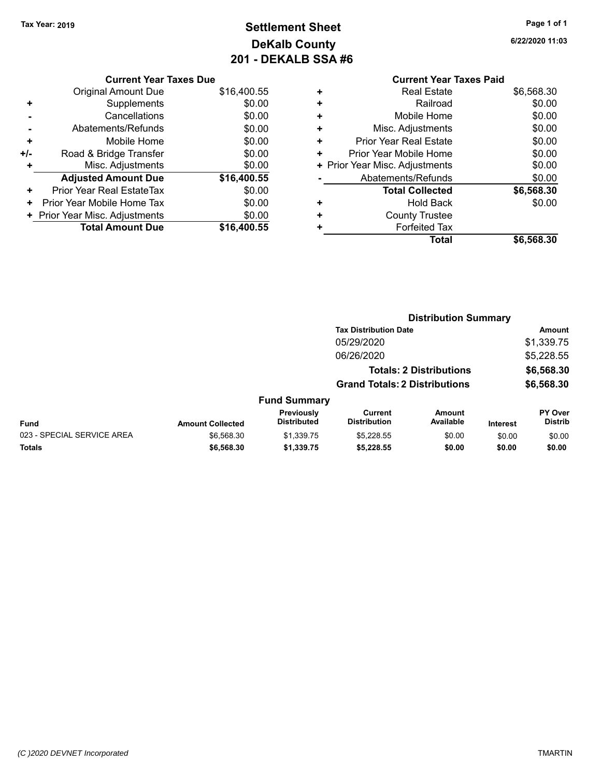## **Settlement Sheet Tax Year: 2019 Page 1 of 1 DeKalb County 201 - DEKALB SSA #6**

**6/22/2020 11:03**

### **Current Year Taxes Paid +** Real Estate \$6,568.30 **+** Railroad \$0.00 **+** Mobile Home \$0.00 **+** Misc. Adjustments \$0.00 **+** Prior Year Real Estate \$0.00 **+** Prior Year Mobile Home \$0.00 **+ Prior Year Misc. Adjustments**  $$0.00$ **-** Abatements/Refunds \$0.00 **Total Collected \$6,568.30 +** Hold Back \$0.00 **+** County Trustee **+** Forfeited Tax **Total \$6,568.30**

|                            |                         | <b>Distribution Summary</b>      |                                       |                                |                 |                           |  |
|----------------------------|-------------------------|----------------------------------|---------------------------------------|--------------------------------|-----------------|---------------------------|--|
|                            |                         |                                  | <b>Tax Distribution Date</b>          |                                |                 | Amount                    |  |
|                            |                         |                                  | 05/29/2020                            |                                |                 | \$1,339.75                |  |
|                            |                         |                                  | 06/26/2020                            |                                |                 | \$5,228.55                |  |
|                            |                         |                                  |                                       | <b>Totals: 2 Distributions</b> |                 | \$6,568.30                |  |
|                            |                         |                                  | <b>Grand Totals: 2 Distributions</b>  |                                |                 | \$6,568.30                |  |
|                            |                         | <b>Fund Summary</b>              |                                       |                                |                 |                           |  |
| <b>Fund</b>                | <b>Amount Collected</b> | Previously<br><b>Distributed</b> | <b>Current</b><br><b>Distribution</b> | Amount<br>Available            | <b>Interest</b> | PY Over<br><b>Distrib</b> |  |
| 023 - SPECIAL SERVICE AREA | \$6,568.30              | \$1.339.75                       | \$5,228.55                            | \$0.00                         | \$0.00          | \$0.00                    |  |
| <b>Totals</b>              | \$6,568.30              | \$1.339.75                       | \$5,228,55                            | \$0.00                         | \$0.00          | \$0.00                    |  |
|                            |                         |                                  |                                       |                                |                 |                           |  |

### **Current Year Taxes Due**

|     | <b>Original Amount Due</b>     | \$16,400.55 |
|-----|--------------------------------|-------------|
| ٠   | Supplements                    | \$0.00      |
|     | Cancellations                  | \$0.00      |
|     | Abatements/Refunds             | \$0.00      |
| ٠   | Mobile Home                    | \$0.00      |
| +/- | Road & Bridge Transfer         | \$0.00      |
| ٠   | Misc. Adjustments              | \$0.00      |
|     | <b>Adjusted Amount Due</b>     | \$16,400.55 |
| ٠   | Prior Year Real EstateTax      | \$0.00      |
| ٠   |                                |             |
|     | Prior Year Mobile Home Tax     | \$0.00      |
|     | + Prior Year Misc. Adjustments | \$0.00      |
|     | <b>Total Amount Due</b>        | \$16,400.55 |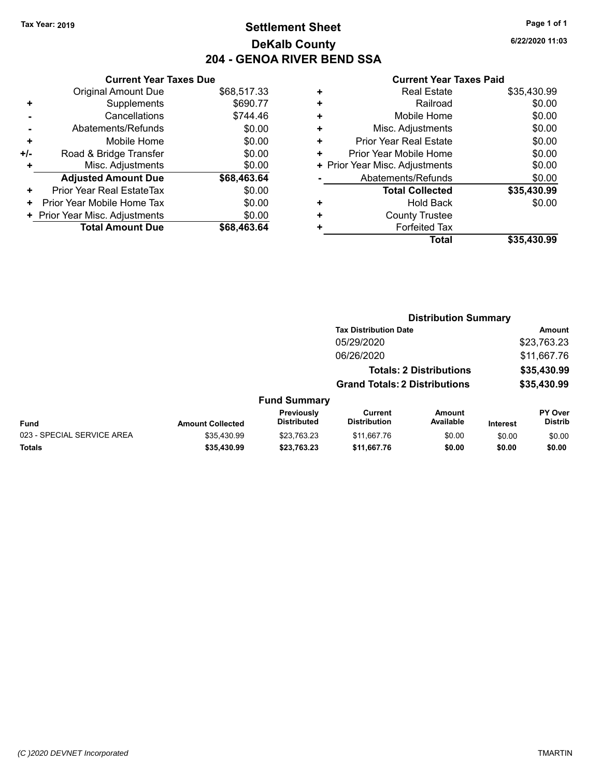## **Settlement Sheet Tax Year: 2019 Page 1 of 1 DeKalb County 204 - GENOA RIVER BEND SSA**

**6/22/2020 11:03**

| <b>Current Year Taxes Due</b>  |     |             |
|--------------------------------|-----|-------------|
| <b>Original Amount Due</b>     |     | \$68,517.33 |
| Supplements                    | ٠   | \$690.77    |
| Cancellations                  |     | \$744.46    |
| Abatements/Refunds             |     | \$0.00      |
| Mobile Home                    | ٠   | \$0.00      |
| Road & Bridge Transfer         | +/- | \$0.00      |
| Misc. Adjustments              | ٠   | \$0.00      |
| <b>Adjusted Amount Due</b>     |     | \$68,463.64 |
| Prior Year Real EstateTax      | ÷   | \$0.00      |
| Prior Year Mobile Home Tax     | ٠   | \$0.00      |
| + Prior Year Misc. Adjustments |     | \$0.00      |
| <b>Total Amount Due</b>        |     | \$68,463.64 |
|                                |     |             |

|   | <b>Real Estate</b>             | \$35,430.99 |
|---|--------------------------------|-------------|
| ٠ | Railroad                       | \$0.00      |
| ٠ | Mobile Home                    | \$0.00      |
| ٠ | Misc. Adjustments              | \$0.00      |
| ٠ | <b>Prior Year Real Estate</b>  | \$0.00      |
| ٠ | Prior Year Mobile Home         | \$0.00      |
|   | + Prior Year Misc. Adjustments | \$0.00      |
|   | Abatements/Refunds             | \$0.00      |
|   | <b>Total Collected</b>         | \$35,430.99 |
| ٠ | <b>Hold Back</b>               | \$0.00      |
| ٠ | <b>County Trustee</b>          |             |
| ٠ | <b>Forfeited Tax</b>           |             |
|   | Total                          | \$35,430.99 |
|   |                                |             |

|                            |                         |                                  |                                       | <b>Distribution Summary</b>    |                 |                           |
|----------------------------|-------------------------|----------------------------------|---------------------------------------|--------------------------------|-----------------|---------------------------|
|                            |                         |                                  | <b>Tax Distribution Date</b>          |                                |                 | Amount                    |
|                            |                         |                                  | 05/29/2020                            |                                |                 | \$23,763.23               |
|                            |                         |                                  | 06/26/2020                            |                                |                 | \$11,667.76               |
|                            |                         |                                  |                                       | <b>Totals: 2 Distributions</b> |                 | \$35,430.99               |
|                            |                         |                                  | <b>Grand Totals: 2 Distributions</b>  |                                |                 | \$35,430.99               |
|                            |                         | <b>Fund Summary</b>              |                                       |                                |                 |                           |
| <b>Fund</b>                | <b>Amount Collected</b> | Previously<br><b>Distributed</b> | <b>Current</b><br><b>Distribution</b> | <b>Amount</b><br>Available     | <b>Interest</b> | PY Over<br><b>Distrib</b> |
| 023 - SPECIAL SERVICE AREA | \$35.430.99             | \$23.763.23                      | \$11,667.76                           | \$0.00                         | \$0.00          | \$0.00                    |
| <b>Totals</b>              | \$35,430.99             | \$23,763.23                      | \$11,667.76                           | \$0.00                         | \$0.00          | \$0.00                    |
|                            |                         |                                  |                                       |                                |                 |                           |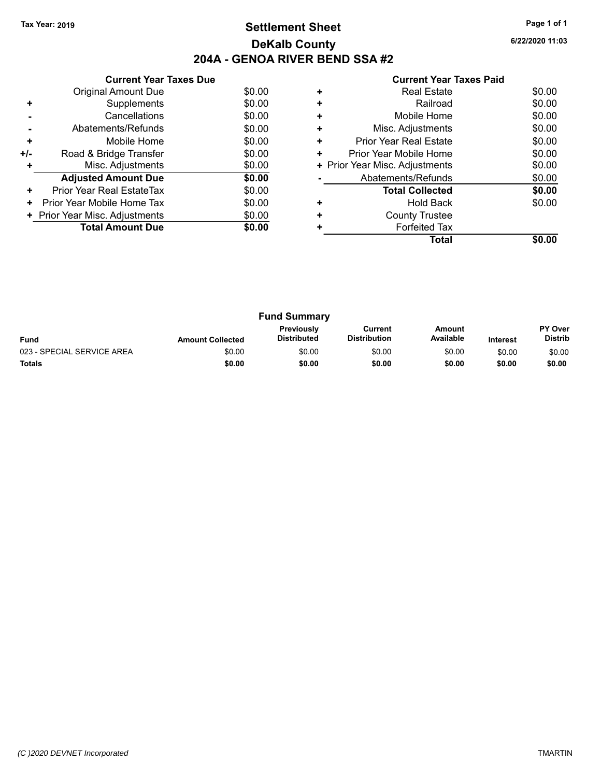## **Settlement Sheet Tax Year: 2019 Page 1 of 1 DeKalb County 204A - GENOA RIVER BEND SSA #2**

|  | <b>Current Year Taxes Paid</b> |  |  |  |
|--|--------------------------------|--|--|--|
|--|--------------------------------|--|--|--|

|     | <b>Current Year Taxes Due</b>  |        |
|-----|--------------------------------|--------|
|     | <b>Original Amount Due</b>     | \$0.00 |
| ÷   | Supplements                    | \$0.00 |
|     | Cancellations                  | \$0.00 |
|     | Abatements/Refunds             | \$0.00 |
| ٠   | Mobile Home                    | \$0.00 |
| +/- | Road & Bridge Transfer         | \$0.00 |
|     | Misc. Adjustments              | \$0.00 |
|     | <b>Adjusted Amount Due</b>     | \$0.00 |
| ٠   | Prior Year Real EstateTax      | \$0.00 |
| ٠   | Prior Year Mobile Home Tax     | \$0.00 |
|     | + Prior Year Misc. Adjustments | \$0.00 |
|     | <b>Total Amount Due</b>        | \$0.00 |
|     |                                |        |

|   | <b>Real Estate</b>             | \$0.00 |
|---|--------------------------------|--------|
| ٠ | Railroad                       | \$0.00 |
| ÷ | Mobile Home                    | \$0.00 |
| ٠ | Misc. Adjustments              | \$0.00 |
| ٠ | <b>Prior Year Real Estate</b>  | \$0.00 |
| ٠ | Prior Year Mobile Home         | \$0.00 |
|   | + Prior Year Misc. Adjustments | \$0.00 |
|   | Abatements/Refunds             | \$0.00 |
|   | <b>Total Collected</b>         | \$0.00 |
| ٠ | <b>Hold Back</b>               | \$0.00 |
|   | <b>County Trustee</b>          |        |
|   | <b>Forfeited Tax</b>           |        |
|   | Total                          |        |
|   |                                |        |

|                            |                         | <b>Fund Summary</b>                     |                                |                     |                 |                                  |
|----------------------------|-------------------------|-----------------------------------------|--------------------------------|---------------------|-----------------|----------------------------------|
| <b>Fund</b>                | <b>Amount Collected</b> | <b>Previously</b><br><b>Distributed</b> | Current<br><b>Distribution</b> | Amount<br>Available | <b>Interest</b> | <b>PY Over</b><br><b>Distrib</b> |
| 023 - SPECIAL SERVICE AREA | \$0.00                  | \$0.00                                  | \$0.00                         | \$0.00              | \$0.00          | \$0.00                           |
| <b>Totals</b>              | \$0.00                  | \$0.00                                  | \$0.00                         | \$0.00              | \$0.00          | \$0.00                           |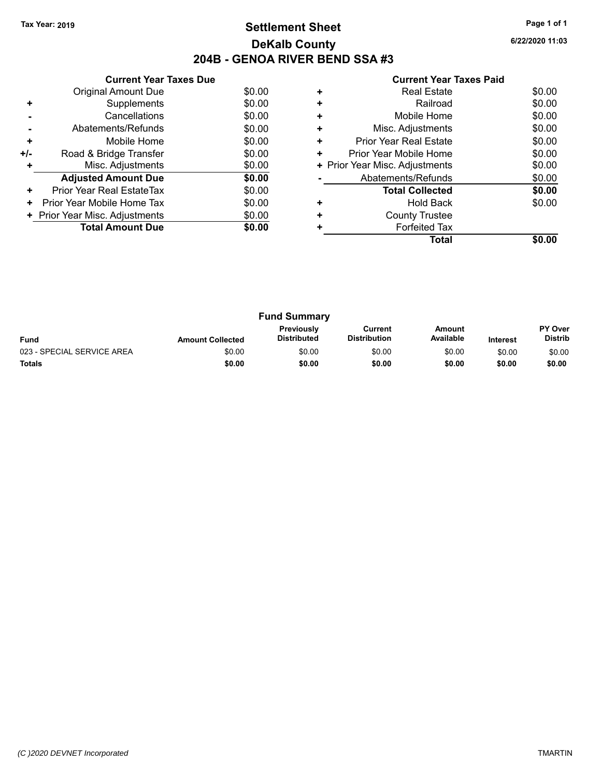## **Settlement Sheet Tax Year: 2019 Page 1 of 1 DeKalb County 204B - GENOA RIVER BEND SSA #3**

**6/22/2020 11:03**

|     | <b>Current Year Taxes Due</b>  |        |
|-----|--------------------------------|--------|
|     | Original Amount Due            | \$0.00 |
| ٠   | Supplements                    | \$0.00 |
|     | Cancellations                  | \$0.00 |
|     | Abatements/Refunds             | \$0.00 |
| ٠   | Mobile Home                    | \$0.00 |
| +/- | Road & Bridge Transfer         | \$0.00 |
| ٠   | Misc. Adjustments              | \$0.00 |
|     | <b>Adjusted Amount Due</b>     | \$0.00 |
| ٠   | Prior Year Real EstateTax      | \$0.00 |
| ٠   | Prior Year Mobile Home Tax     | \$0.00 |
|     | + Prior Year Misc. Adjustments | \$0.00 |
|     | <b>Total Amount Due</b>        | \$0.00 |
|     |                                |        |

|   | Total                          | \$0.00 |
|---|--------------------------------|--------|
|   | <b>Forfeited Tax</b>           |        |
| ÷ | <b>County Trustee</b>          |        |
|   | <b>Hold Back</b>               | \$0.00 |
|   | <b>Total Collected</b>         | \$0.00 |
|   | Abatements/Refunds             | \$0.00 |
|   | + Prior Year Misc. Adjustments | \$0.00 |
| ٠ | Prior Year Mobile Home         | \$0.00 |
| ٠ | <b>Prior Year Real Estate</b>  | \$0.00 |
| ÷ | Misc. Adjustments              | \$0.00 |
| ÷ | Mobile Home                    | \$0.00 |
| ÷ | Railroad                       | \$0.00 |
| ٠ | <b>Real Estate</b>             | \$0.00 |
|   |                                |        |

|                            |                         | <b>Fund Summary</b>                     |                                |                     |                 |                                  |
|----------------------------|-------------------------|-----------------------------------------|--------------------------------|---------------------|-----------------|----------------------------------|
| <b>Fund</b>                | <b>Amount Collected</b> | <b>Previously</b><br><b>Distributed</b> | Current<br><b>Distribution</b> | Amount<br>Available | <b>Interest</b> | <b>PY Over</b><br><b>Distrib</b> |
| 023 - SPECIAL SERVICE AREA | \$0.00                  | \$0.00                                  | \$0.00                         | \$0.00              | \$0.00          | \$0.00                           |
| <b>Totals</b>              | \$0.00                  | \$0.00                                  | \$0.00                         | \$0.00              | \$0.00          | \$0.00                           |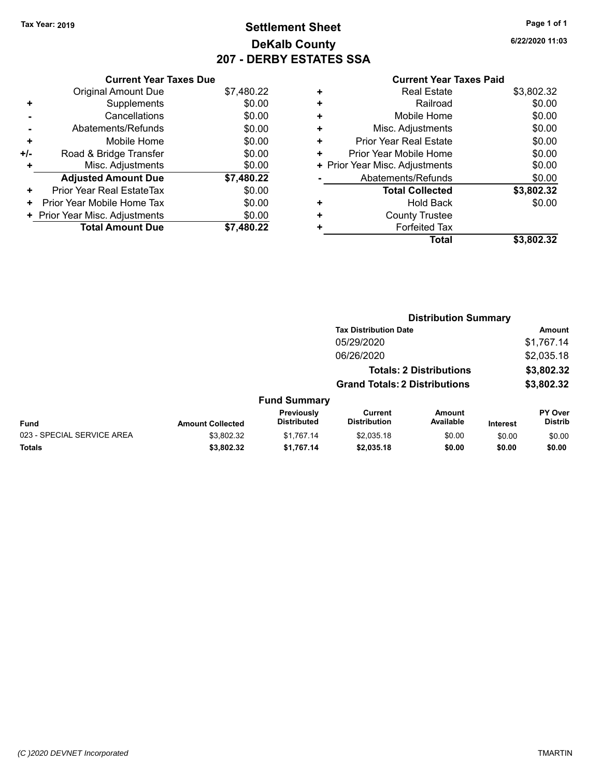## **Settlement Sheet Tax Year: 2019 Page 1 of 1 DeKalb County 207 - DERBY ESTATES SSA**

**6/22/2020 11:03**

|     | <b>Current Year Taxes Due</b>  |            |
|-----|--------------------------------|------------|
|     | <b>Original Amount Due</b>     | \$7,480.22 |
| ٠   | Supplements                    | \$0.00     |
|     | Cancellations                  | \$0.00     |
|     | Abatements/Refunds             | \$0.00     |
| ٠   | Mobile Home                    | \$0.00     |
| +/- | Road & Bridge Transfer         | \$0.00     |
| ٠   | Misc. Adjustments              | \$0.00     |
|     | <b>Adjusted Amount Due</b>     | \$7,480.22 |
| ٠   | Prior Year Real EstateTax      | \$0.00     |
| ٠   | Prior Year Mobile Home Tax     | \$0.00     |
|     | + Prior Year Misc. Adjustments | \$0.00     |
|     | <b>Total Amount Due</b>        | \$7,480.22 |
|     |                                |            |

| ٠ | <b>Real Estate</b>             | \$3,802.32 |
|---|--------------------------------|------------|
| ٠ | Railroad                       | \$0.00     |
| ٠ | Mobile Home                    | \$0.00     |
| ٠ | Misc. Adjustments              | \$0.00     |
| ٠ | <b>Prior Year Real Estate</b>  | \$0.00     |
| ٠ | Prior Year Mobile Home         | \$0.00     |
|   | + Prior Year Misc. Adjustments | \$0.00     |
|   | Abatements/Refunds             | \$0.00     |
|   | <b>Total Collected</b>         | \$3,802.32 |
| ٠ | <b>Hold Back</b>               | \$0.00     |
| ٠ | <b>County Trustee</b>          |            |
| ٠ | <b>Forfeited Tax</b>           |            |
|   | Total                          | \$3,802.32 |
|   |                                |            |

|                            |                         |                                  |                                       | <b>Distribution Summary</b>    |                 |                                  |
|----------------------------|-------------------------|----------------------------------|---------------------------------------|--------------------------------|-----------------|----------------------------------|
|                            |                         |                                  | <b>Tax Distribution Date</b>          |                                |                 | Amount                           |
|                            |                         |                                  | 05/29/2020                            |                                |                 | \$1,767.14                       |
|                            |                         |                                  | 06/26/2020                            |                                |                 | \$2,035.18                       |
|                            |                         |                                  |                                       | <b>Totals: 2 Distributions</b> |                 | \$3,802.32                       |
|                            |                         |                                  | <b>Grand Totals: 2 Distributions</b>  |                                |                 | \$3,802.32                       |
|                            |                         | <b>Fund Summary</b>              |                                       |                                |                 |                                  |
| Fund                       | <b>Amount Collected</b> | Previously<br><b>Distributed</b> | <b>Current</b><br><b>Distribution</b> | Amount<br>Available            | <b>Interest</b> | <b>PY Over</b><br><b>Distrib</b> |
| 023 - SPECIAL SERVICE AREA | \$3.802.32              | \$1.767.14                       | \$2.035.18                            | \$0.00                         | \$0.00          | \$0.00                           |
| <b>Totals</b>              | \$3,802.32              | \$1,767.14                       | \$2,035.18                            | \$0.00                         | \$0.00          | \$0.00                           |
|                            |                         |                                  |                                       |                                |                 |                                  |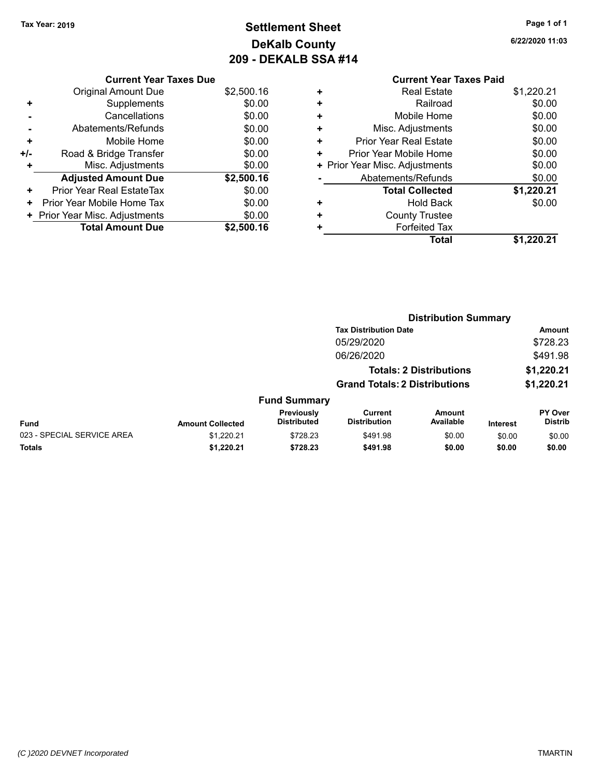## **Settlement Sheet Tax Year: 2019 Page 1 of 1 DeKalb County 209 - DEKALB SSA #14**

**6/22/2020 11:03**

| <b>Current Year Taxes Due</b> |  |  |
|-------------------------------|--|--|

|     | Original Amount Due            | \$2,500.16 |
|-----|--------------------------------|------------|
|     | Supplements                    | \$0.00     |
|     | Cancellations                  | \$0.00     |
|     | Abatements/Refunds             | \$0.00     |
| ÷   | Mobile Home                    | \$0.00     |
| +/- | Road & Bridge Transfer         | \$0.00     |
| ٠   | Misc. Adjustments              | \$0.00     |
|     | <b>Adjusted Amount Due</b>     | \$2,500.16 |
| ÷   | Prior Year Real EstateTax      | \$0.00     |
| ٠   | Prior Year Mobile Home Tax     | \$0.00     |
|     | + Prior Year Misc. Adjustments | \$0.00     |
|     | <b>Total Amount Due</b>        | \$2,500.16 |

### **Current Year Taxes Paid +** Real Estate \$1,220.21 **+** Railroad \$0.00 **+** Mobile Home \$0.00 **+** Misc. Adjustments \$0.00 **+** Prior Year Real Estate \$0.00 **+** Prior Year Mobile Home \$0.00

|           | Total                          | \$1,220.21 |
|-----------|--------------------------------|------------|
| $\div$    | <b>Forfeited Tax</b>           |            |
|           | <b>County Trustee</b>          |            |
| $\ddot{}$ | <b>Hold Back</b>               | \$0.00     |
|           | <b>Total Collected</b>         | \$1,220.21 |
|           | Abatements/Refunds             | \$0.00     |
|           | + Prior Year Misc. Adjustments | \$0.00     |
|           |                                |            |

|                            |                         |                                  |                                       | <b>Distribution Summary</b>    |                 |                                  |
|----------------------------|-------------------------|----------------------------------|---------------------------------------|--------------------------------|-----------------|----------------------------------|
|                            |                         |                                  | <b>Tax Distribution Date</b>          |                                |                 | Amount                           |
|                            |                         |                                  | 05/29/2020                            |                                |                 | \$728.23                         |
|                            |                         |                                  | 06/26/2020                            |                                |                 | \$491.98                         |
|                            |                         |                                  |                                       | <b>Totals: 2 Distributions</b> |                 | \$1,220.21                       |
|                            |                         |                                  | <b>Grand Totals: 2 Distributions</b>  |                                |                 | \$1,220.21                       |
|                            |                         | <b>Fund Summary</b>              |                                       |                                |                 |                                  |
| <b>Fund</b>                | <b>Amount Collected</b> | Previously<br><b>Distributed</b> | <b>Current</b><br><b>Distribution</b> | <b>Amount</b><br>Available     | <b>Interest</b> | <b>PY Over</b><br><b>Distrib</b> |
| 023 - SPECIAL SERVICE AREA | \$1.220.21              | \$728.23                         | \$491.98                              | \$0.00                         | \$0.00          | \$0.00                           |
| <b>Totals</b>              | \$1,220.21              | \$728.23                         | \$491.98                              | \$0.00                         | \$0.00          | \$0.00                           |
|                            |                         |                                  |                                       |                                |                 |                                  |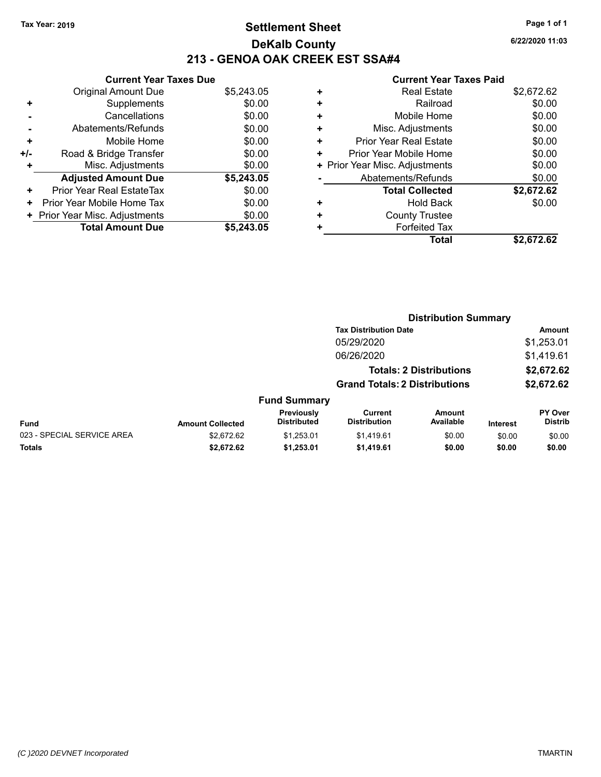## **Settlement Sheet Tax Year: 2019 Page 1 of 1 DeKalb County 213 - GENOA OAK CREEK EST SSA#4**

**Current Year Taxes Due** Original Amount Due \$5,243.05 **+** Supplements \$0.00 **-** Cancellations \$0.00 **-** Abatements/Refunds \$0.00 **+** Mobile Home \$0.00 **+/-** Road & Bridge Transfer **\$0.00 +** Misc. Adjustments \$0.00 **Adjusted Amount Due \$5,243.05 +** Prior Year Real EstateTax \$0.00 **+** Prior Year Mobile Home Tax  $$0.00$ **+** Prior Year Misc. Adjustments \$0.00<br> **1991 Total Amount Due** \$5,243.05 **Total Amount Due** 

### **Current Year Taxes Paid**

| ٠ | <b>Real Estate</b>             | \$2,672.62 |
|---|--------------------------------|------------|
| ÷ | Railroad                       | \$0.00     |
| ٠ | Mobile Home                    | \$0.00     |
| ٠ | Misc. Adjustments              | \$0.00     |
| ٠ | <b>Prior Year Real Estate</b>  | \$0.00     |
| ٠ | Prior Year Mobile Home         | \$0.00     |
|   | + Prior Year Misc. Adjustments | \$0.00     |
|   | Abatements/Refunds             | \$0.00     |
|   | <b>Total Collected</b>         | \$2,672.62 |
| ٠ | Hold Back                      | \$0.00     |
| ٠ | <b>County Trustee</b>          |            |
| ٠ | <b>Forfeited Tax</b>           |            |
|   | <b>Total</b>                   | \$2,672.62 |
|   |                                |            |

|                            |                         |                                  |                                       | <b>Distribution Summary</b>    |                 |                                  |
|----------------------------|-------------------------|----------------------------------|---------------------------------------|--------------------------------|-----------------|----------------------------------|
|                            |                         |                                  | <b>Tax Distribution Date</b>          |                                |                 | Amount                           |
|                            |                         |                                  | 05/29/2020                            |                                |                 | \$1,253.01                       |
|                            |                         |                                  | 06/26/2020                            |                                |                 | \$1,419.61                       |
|                            |                         |                                  |                                       | <b>Totals: 2 Distributions</b> |                 | \$2,672.62                       |
|                            |                         |                                  | <b>Grand Totals: 2 Distributions</b>  |                                |                 | \$2,672.62                       |
|                            |                         | <b>Fund Summary</b>              |                                       |                                |                 |                                  |
| Fund                       | <b>Amount Collected</b> | Previously<br><b>Distributed</b> | <b>Current</b><br><b>Distribution</b> | <b>Amount</b><br>Available     | <b>Interest</b> | <b>PY Over</b><br><b>Distrib</b> |
| 023 - SPECIAL SERVICE AREA | \$2.672.62              | \$1.253.01                       | \$1.419.61                            | \$0.00                         | \$0.00          | \$0.00                           |
| <b>Totals</b>              | \$2,672.62              | \$1,253.01                       | \$1,419.61                            | \$0.00                         | \$0.00          | \$0.00                           |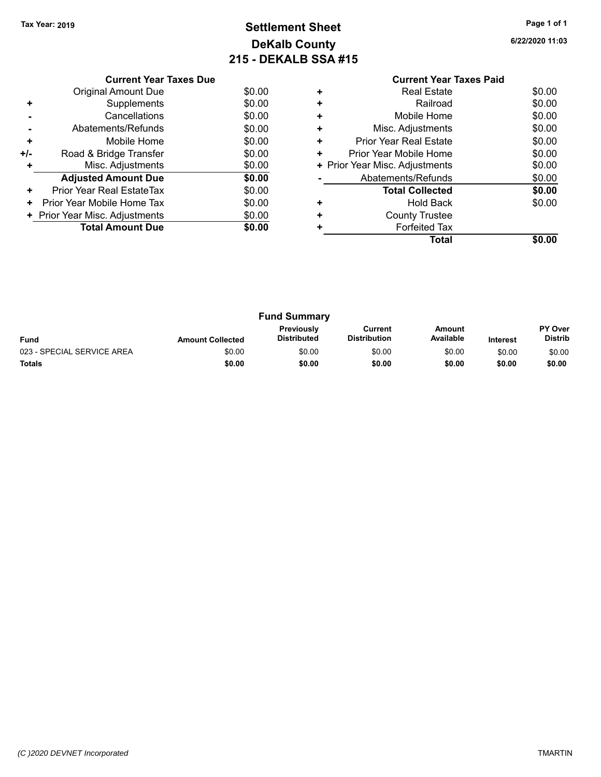## **Settlement Sheet Tax Year: 2019 Page 1 of 1 DeKalb County 215 - DEKALB SSA #15**

**6/22/2020 11:03**

|     | <b>Current Year Taxes Due</b>  |        |  |  |  |
|-----|--------------------------------|--------|--|--|--|
|     | Original Amount Due            | \$0.00 |  |  |  |
| ٠   | Supplements                    | \$0.00 |  |  |  |
|     | Cancellations                  | \$0.00 |  |  |  |
|     | Abatements/Refunds             | \$0.00 |  |  |  |
| ٠   | Mobile Home                    | \$0.00 |  |  |  |
| +/- | Road & Bridge Transfer         | \$0.00 |  |  |  |
| ٠   | Misc. Adjustments              | \$0.00 |  |  |  |
|     | <b>Adjusted Amount Due</b>     | \$0.00 |  |  |  |
| ٠   | Prior Year Real EstateTax      | \$0.00 |  |  |  |
| ٠   | Prior Year Mobile Home Tax     | \$0.00 |  |  |  |
|     | + Prior Year Misc. Adjustments | \$0.00 |  |  |  |
|     | <b>Total Amount Due</b>        | \$0.00 |  |  |  |
|     |                                |        |  |  |  |

| <b>Fund Summary</b>        |                         |                           |                                |                     |                 |                                  |
|----------------------------|-------------------------|---------------------------|--------------------------------|---------------------|-----------------|----------------------------------|
| <b>Fund</b>                | <b>Amount Collected</b> | Previously<br>Distributed | Current<br><b>Distribution</b> | Amount<br>Available | <b>Interest</b> | <b>PY Over</b><br><b>Distrib</b> |
| 023 - SPECIAL SERVICE AREA | \$0.00                  | \$0.00                    | \$0.00                         | \$0.00              | \$0.00          | \$0.00                           |
| <b>Totals</b>              | \$0.00                  | \$0.00                    | \$0.00                         | \$0.00              | \$0.00          | \$0.00                           |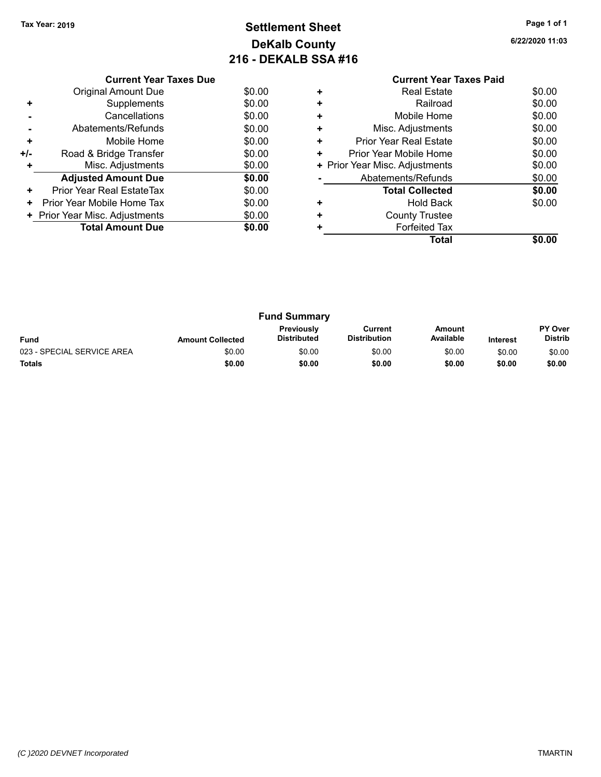## **Settlement Sheet Tax Year: 2019 Page 1 of 1 DeKalb County 216 - DEKALB SSA #16**

**Total \$0.00**

**6/22/2020 11:03**

|     | <b>Current Year Taxes Due</b>  |        |  |  |  |
|-----|--------------------------------|--------|--|--|--|
|     | <b>Original Amount Due</b>     | \$0.00 |  |  |  |
| ٠   | Supplements                    | \$0.00 |  |  |  |
|     | Cancellations                  | \$0.00 |  |  |  |
|     | Abatements/Refunds             | \$0.00 |  |  |  |
| ٠   | Mobile Home                    | \$0.00 |  |  |  |
| +/- | Road & Bridge Transfer         | \$0.00 |  |  |  |
| ٠   | Misc. Adjustments              | \$0.00 |  |  |  |
|     | <b>Adjusted Amount Due</b>     | \$0.00 |  |  |  |
| ٠   | Prior Year Real EstateTax      | \$0.00 |  |  |  |
| ٠   | Prior Year Mobile Home Tax     | \$0.00 |  |  |  |
|     | + Prior Year Misc. Adjustments | \$0.00 |  |  |  |
|     | <b>Total Amount Due</b>        | \$0.00 |  |  |  |
|     |                                |        |  |  |  |

| <b>Fund Summary</b>        |                         |                                  |                                |                     |                 |                           |
|----------------------------|-------------------------|----------------------------------|--------------------------------|---------------------|-----------------|---------------------------|
| <b>Fund</b>                | <b>Amount Collected</b> | <b>Previously</b><br>Distributed | Current<br><b>Distribution</b> | Amount<br>Available | <b>Interest</b> | PY Over<br><b>Distrib</b> |
| 023 - SPECIAL SERVICE AREA | \$0.00                  | \$0.00                           | \$0.00                         | \$0.00              | \$0.00          | \$0.00                    |
| <b>Totals</b>              | \$0.00                  | \$0.00                           | \$0.00                         | \$0.00              | \$0.00          | \$0.00                    |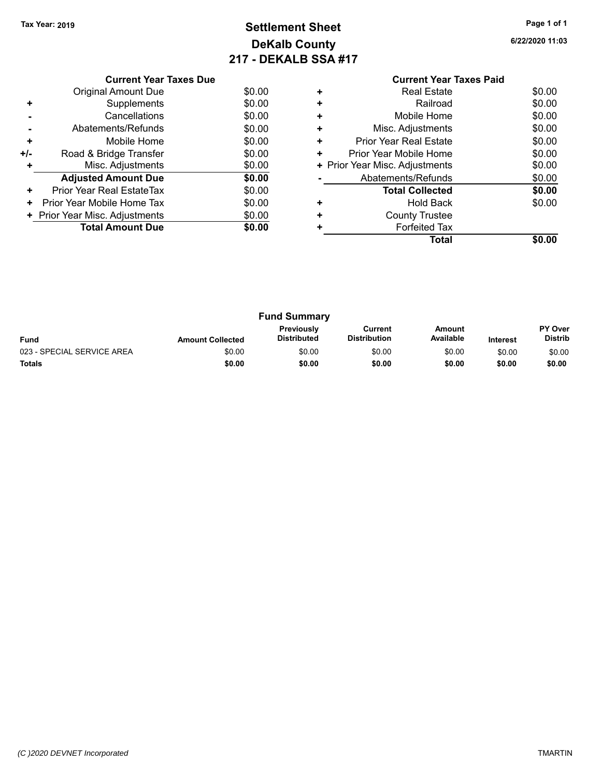## **Settlement Sheet Tax Year: 2019 Page 1 of 1 DeKalb County 217 - DEKALB SSA #17**

**6/22/2020 11:03**

|     | <b>Current Year Taxes Due</b>  |        |
|-----|--------------------------------|--------|
|     | Original Amount Due            | \$0.00 |
|     | Supplements                    | \$0.00 |
|     | Cancellations                  | \$0.00 |
|     | Abatements/Refunds             | \$0.00 |
| ٠   | Mobile Home                    | \$0.00 |
| +/- | Road & Bridge Transfer         | \$0.00 |
| ٠   | Misc. Adjustments              | \$0.00 |
|     | <b>Adjusted Amount Due</b>     | \$0.00 |
| ٠   | Prior Year Real EstateTax      | \$0.00 |
| ٠   | Prior Year Mobile Home Tax     | \$0.00 |
|     | + Prior Year Misc. Adjustments | \$0.00 |
|     | <b>Total Amount Due</b>        | \$0.00 |
|     |                                |        |

| ٠ | <b>Real Estate</b>             | \$0.00 |
|---|--------------------------------|--------|
| ÷ | Railroad                       | \$0.00 |
| ٠ | Mobile Home                    | \$0.00 |
| ٠ | Misc. Adjustments              | \$0.00 |
| ٠ | <b>Prior Year Real Estate</b>  | \$0.00 |
| ٠ | Prior Year Mobile Home         | \$0.00 |
|   | + Prior Year Misc. Adjustments | \$0.00 |
|   | Abatements/Refunds             | \$0.00 |
|   | <b>Total Collected</b>         | \$0.00 |
| ٠ | <b>Hold Back</b>               | \$0.00 |
| ٠ | <b>County Trustee</b>          |        |
| ٠ | <b>Forfeited Tax</b>           |        |
|   | Total                          | \$0.00 |
|   |                                |        |

| <b>Fund Summary</b>        |                         |                                         |                                |                     |                 |                                  |
|----------------------------|-------------------------|-----------------------------------------|--------------------------------|---------------------|-----------------|----------------------------------|
| <b>Fund</b>                | <b>Amount Collected</b> | <b>Previously</b><br><b>Distributed</b> | Current<br><b>Distribution</b> | Amount<br>Available | <b>Interest</b> | <b>PY Over</b><br><b>Distrib</b> |
| 023 - SPECIAL SERVICE AREA | \$0.00                  | \$0.00                                  | \$0.00                         | \$0.00              | \$0.00          | \$0.00                           |
| <b>Totals</b>              | \$0.00                  | \$0.00                                  | \$0.00                         | \$0.00              | \$0.00          | \$0.00                           |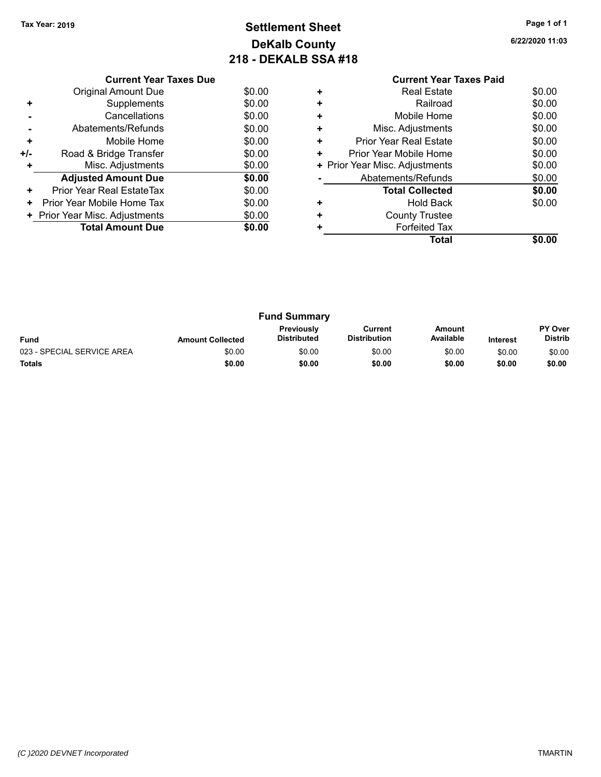## **Settlement Sheet Tax Year: 2019 Page 1 of 1 DeKalb County 218 - DEKALB SSA #18**

|     | <b>Current Year Taxes Due</b>  |        |
|-----|--------------------------------|--------|
|     | Original Amount Due            | \$0.00 |
| ٠   | Supplements                    | \$0.00 |
|     | Cancellations                  | \$0.00 |
|     | Abatements/Refunds             | \$0.00 |
| ٠   | Mobile Home                    | \$0.00 |
| +/- | Road & Bridge Transfer         | \$0.00 |
| ٠   | Misc. Adjustments              | \$0.00 |
|     | <b>Adjusted Amount Due</b>     | \$0.00 |
| ٠   | Prior Year Real EstateTax      | \$0.00 |
| ÷   | Prior Year Mobile Home Tax     | \$0.00 |
|     | + Prior Year Misc. Adjustments | \$0.00 |
|     | <b>Total Amount Due</b>        | \$0.00 |
|     |                                |        |

|   | <b>Current Year Taxes Paid</b> |        |
|---|--------------------------------|--------|
| ٠ | <b>Real Estate</b>             | \$0.00 |
| ÷ | Railroad                       | \$0.00 |
| ÷ | Mobile Home                    | \$0.00 |
| ÷ | Misc. Adjustments              | \$0.00 |
| ÷ | <b>Prior Year Real Estate</b>  | \$0.00 |
| + | Prior Year Mobile Home         | \$0.00 |
|   | + Prior Year Misc. Adjustments | \$0.00 |
|   | Abatements/Refunds             | \$0.00 |
|   | <b>Total Collected</b>         | \$0.00 |
| ٠ | Hold Back                      | \$0.00 |
|   | <b>County Trustee</b>          |        |
| ٠ | <b>Forfeited Tax</b>           |        |
|   | <b>Total</b>                   | \$0.00 |
|   |                                |        |

| <b>Fund Summary</b>        |                         |                                         |                                |                     |                 |                           |
|----------------------------|-------------------------|-----------------------------------------|--------------------------------|---------------------|-----------------|---------------------------|
| <b>Fund</b>                | <b>Amount Collected</b> | <b>Previously</b><br><b>Distributed</b> | Current<br><b>Distribution</b> | Amount<br>Available | <b>Interest</b> | PY Over<br><b>Distrib</b> |
| 023 - SPECIAL SERVICE AREA | \$0.00                  | \$0.00                                  | \$0.00                         | \$0.00              | \$0.00          | \$0.00                    |
| <b>Totals</b>              | \$0.00                  | \$0.00                                  | \$0.00                         | \$0.00              | \$0.00          | \$0.00                    |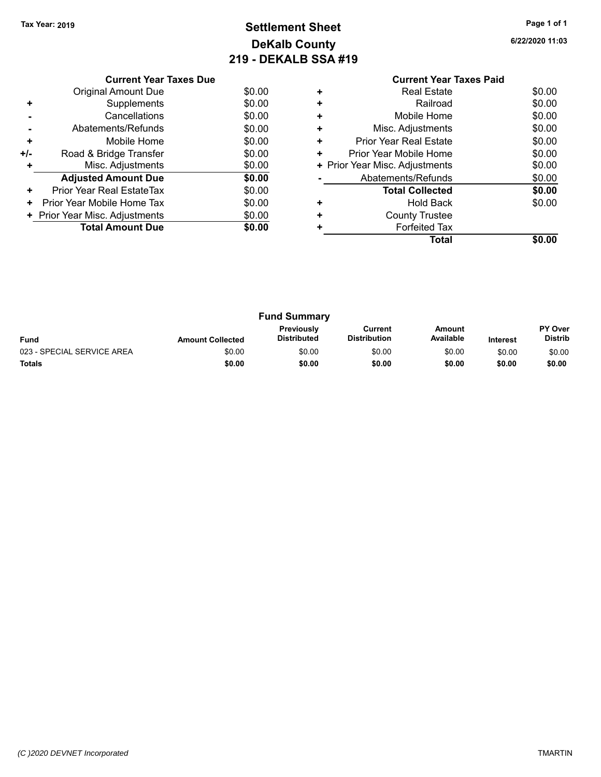## **Settlement Sheet Tax Year: 2019 Page 1 of 1 DeKalb County 219 - DEKALB SSA #19**

| 6/22/2020 11:03 |  |  |
|-----------------|--|--|
|                 |  |  |

|     | <b>Current Year Taxes Due</b>  |        |
|-----|--------------------------------|--------|
|     | <b>Original Amount Due</b>     | \$0.00 |
| ٠   | Supplements                    | \$0.00 |
|     | Cancellations                  | \$0.00 |
|     | Abatements/Refunds             | \$0.00 |
| ٠   | Mobile Home                    | \$0.00 |
| +/- | Road & Bridge Transfer         | \$0.00 |
|     | Misc. Adjustments              | \$0.00 |
|     | <b>Adjusted Amount Due</b>     | \$0.00 |
| ٠   | Prior Year Real EstateTax      | \$0.00 |
| ٠   | Prior Year Mobile Home Tax     | \$0.00 |
|     | + Prior Year Misc. Adjustments | \$0.00 |
|     | <b>Total Amount Due</b>        | \$0.00 |
|     |                                |        |

| <b>Fund Summary</b>        |                         |                                         |                                |                     |                 |                                  |
|----------------------------|-------------------------|-----------------------------------------|--------------------------------|---------------------|-----------------|----------------------------------|
| <b>Fund</b>                | <b>Amount Collected</b> | <b>Previously</b><br><b>Distributed</b> | Current<br><b>Distribution</b> | Amount<br>Available | <b>Interest</b> | <b>PY Over</b><br><b>Distrib</b> |
| 023 - SPECIAL SERVICE AREA | \$0.00                  | \$0.00                                  | \$0.00                         | \$0.00              | \$0.00          | \$0.00                           |
| <b>Totals</b>              | \$0.00                  | \$0.00                                  | \$0.00                         | \$0.00              | \$0.00          | \$0.00                           |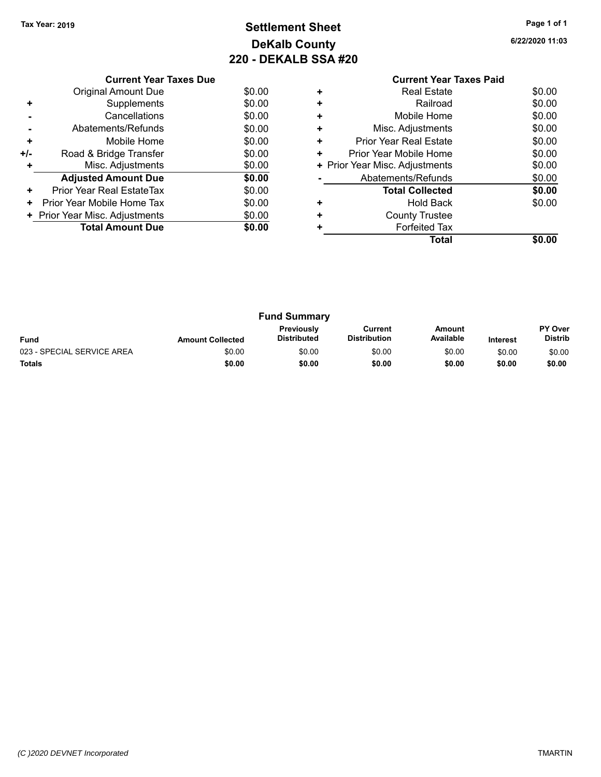## **Settlement Sheet Tax Year: 2019 Page 1 of 1 DeKalb County 220 - DEKALB SSA #20**

**6/22/2020 11:03**

|     | <b>Current Year Taxes Due</b>  |        |
|-----|--------------------------------|--------|
|     | Original Amount Due            | \$0.00 |
| ٠   | Supplements                    | \$0.00 |
|     | Cancellations                  | \$0.00 |
|     | Abatements/Refunds             | \$0.00 |
| ٠   | Mobile Home                    | \$0.00 |
| +/- | Road & Bridge Transfer         | \$0.00 |
| ٠   | Misc. Adjustments              | \$0.00 |
|     | <b>Adjusted Amount Due</b>     | \$0.00 |
| ٠   | Prior Year Real EstateTax      | \$0.00 |
| ٠   | Prior Year Mobile Home Tax     | \$0.00 |
|     | + Prior Year Misc. Adjustments | \$0.00 |
|     | <b>Total Amount Due</b>        | \$0.00 |
|     |                                |        |

| <b>Fund Summary</b>        |                         |                                  |                                |                     |                 |                                  |
|----------------------------|-------------------------|----------------------------------|--------------------------------|---------------------|-----------------|----------------------------------|
| <b>Fund</b>                | <b>Amount Collected</b> | <b>Previously</b><br>Distributed | Current<br><b>Distribution</b> | Amount<br>Available | <b>Interest</b> | <b>PY Over</b><br><b>Distrib</b> |
| 023 - SPECIAL SERVICE AREA | \$0.00                  | \$0.00                           | \$0.00                         | \$0.00              | \$0.00          | \$0.00                           |
| <b>Totals</b>              | \$0.00                  | \$0.00                           | \$0.00                         | \$0.00              | \$0.00          | \$0.00                           |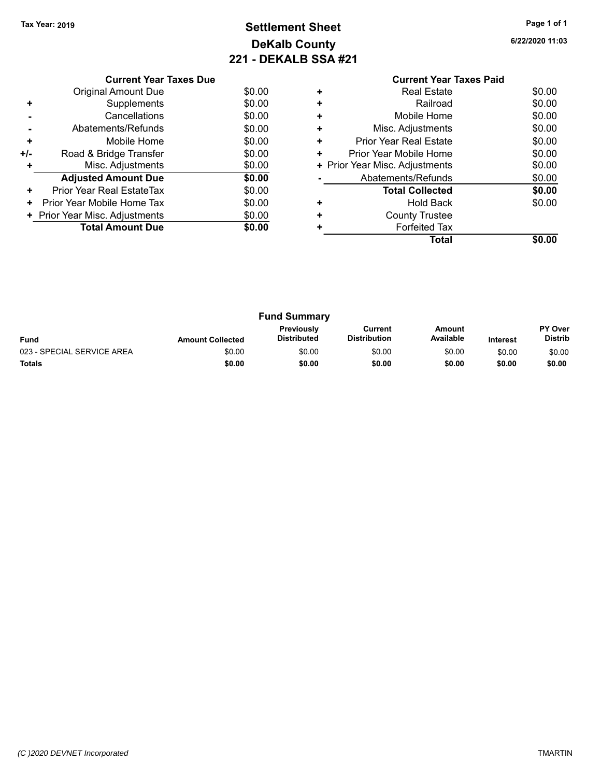## **Settlement Sheet Tax Year: 2019 Page 1 of 1 DeKalb County 221 - DEKALB SSA #21**

**6/22/2020 11:03**

|     | <b>Current Year Taxes Due</b>  |        |
|-----|--------------------------------|--------|
|     | <b>Original Amount Due</b>     | \$0.00 |
| ٠   | Supplements                    | \$0.00 |
|     | Cancellations                  | \$0.00 |
|     | Abatements/Refunds             | \$0.00 |
| ٠   | Mobile Home                    | \$0.00 |
| +/- | Road & Bridge Transfer         | \$0.00 |
|     | Misc. Adjustments              | \$0.00 |
|     | <b>Adjusted Amount Due</b>     | \$0.00 |
| ٠   | Prior Year Real EstateTax      | \$0.00 |
| ٠   | Prior Year Mobile Home Tax     | \$0.00 |
|     | + Prior Year Misc. Adjustments | \$0.00 |
|     | <b>Total Amount Due</b>        | \$0.00 |
|     |                                |        |

| <b>Fund Summary</b>        |                         |                           |                                |                     |                 |                                  |
|----------------------------|-------------------------|---------------------------|--------------------------------|---------------------|-----------------|----------------------------------|
| <b>Fund</b>                | <b>Amount Collected</b> | Previously<br>Distributed | Current<br><b>Distribution</b> | Amount<br>Available | <b>Interest</b> | <b>PY Over</b><br><b>Distrib</b> |
| 023 - SPECIAL SERVICE AREA | \$0.00                  | \$0.00                    | \$0.00                         | \$0.00              | \$0.00          | \$0.00                           |
| <b>Totals</b>              | \$0.00                  | \$0.00                    | \$0.00                         | \$0.00              | \$0.00          | \$0.00                           |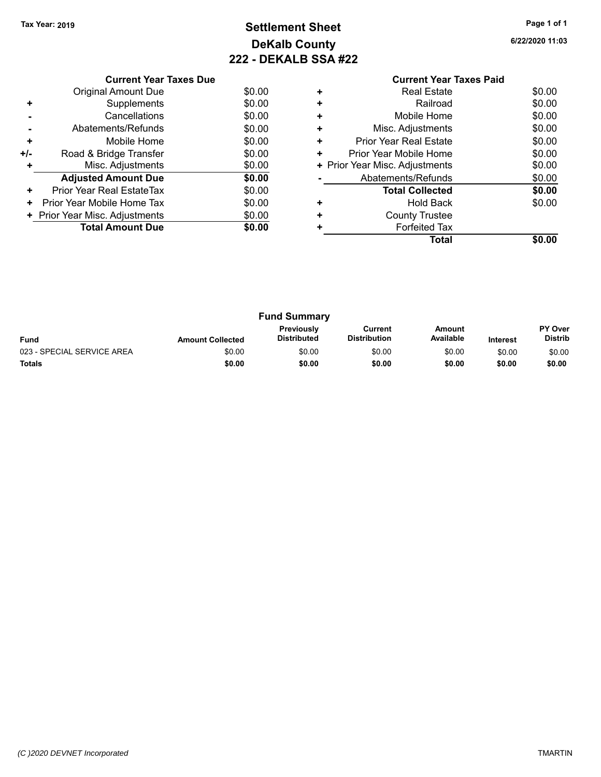## **Settlement Sheet Tax Year: 2019 Page 1 of 1 DeKalb County 222 - DEKALB SSA #22**

**6/22/2020 11:03**

|     | <b>Current Year Taxes Due</b>  |        |  |  |  |
|-----|--------------------------------|--------|--|--|--|
|     | <b>Original Amount Due</b>     | \$0.00 |  |  |  |
| ٠   | Supplements                    | \$0.00 |  |  |  |
|     | Cancellations                  | \$0.00 |  |  |  |
|     | Abatements/Refunds             | \$0.00 |  |  |  |
| ٠   | Mobile Home                    | \$0.00 |  |  |  |
| +/- | Road & Bridge Transfer         | \$0.00 |  |  |  |
| ٠   | Misc. Adjustments              | \$0.00 |  |  |  |
|     | <b>Adjusted Amount Due</b>     | \$0.00 |  |  |  |
| ٠   | Prior Year Real EstateTax      | \$0.00 |  |  |  |
| ٠   | Prior Year Mobile Home Tax     | \$0.00 |  |  |  |
|     | + Prior Year Misc. Adjustments | \$0.00 |  |  |  |
|     | <b>Total Amount Due</b>        | \$0.00 |  |  |  |
|     |                                |        |  |  |  |

| <b>Fund Summary</b>        |                         |                                  |                                |                            |                 |                           |
|----------------------------|-------------------------|----------------------------------|--------------------------------|----------------------------|-----------------|---------------------------|
| <b>Fund</b>                | <b>Amount Collected</b> | <b>Previously</b><br>Distributed | Current<br><b>Distribution</b> | <b>Amount</b><br>Available | <b>Interest</b> | PY Over<br><b>Distrib</b> |
| 023 - SPECIAL SERVICE AREA | \$0.00                  | \$0.00                           | \$0.00                         | \$0.00                     | \$0.00          | \$0.00                    |
| <b>Totals</b>              | \$0.00                  | \$0.00                           | \$0.00                         | \$0.00                     | \$0.00          | \$0.00                    |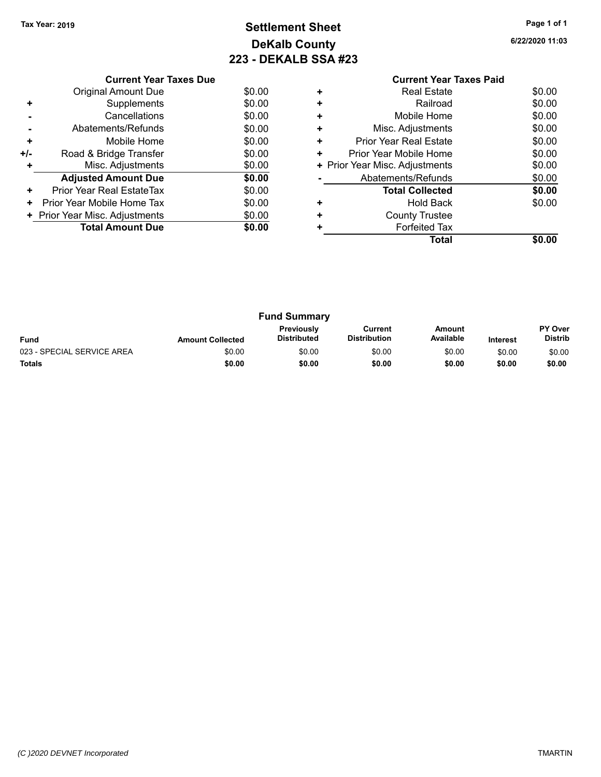## **Settlement Sheet Tax Year: 2019 Page 1 of 1 DeKalb County 223 - DEKALB SSA #23**

**6/22/2020 11:03**

|       | <b>Current Year Taxes Due</b>  |        |  |  |  |
|-------|--------------------------------|--------|--|--|--|
|       | Original Amount Due            | \$0.00 |  |  |  |
| ٠     | Supplements                    | \$0.00 |  |  |  |
|       | Cancellations                  | \$0.00 |  |  |  |
|       | Abatements/Refunds             | \$0.00 |  |  |  |
| ٠     | Mobile Home                    | \$0.00 |  |  |  |
| $+/-$ | Road & Bridge Transfer         | \$0.00 |  |  |  |
| ٠     | Misc. Adjustments              | \$0.00 |  |  |  |
|       | <b>Adjusted Amount Due</b>     | \$0.00 |  |  |  |
| ٠     | Prior Year Real EstateTax      | \$0.00 |  |  |  |
| ٠     | Prior Year Mobile Home Tax     | \$0.00 |  |  |  |
|       | + Prior Year Misc. Adjustments | \$0.00 |  |  |  |
|       | <b>Total Amount Due</b>        | \$0.00 |  |  |  |
|       |                                |        |  |  |  |

| <b>Fund Summary</b>        |                         |                                         |                                |                     |                 |                           |
|----------------------------|-------------------------|-----------------------------------------|--------------------------------|---------------------|-----------------|---------------------------|
| <b>Fund</b>                | <b>Amount Collected</b> | <b>Previously</b><br><b>Distributed</b> | Current<br><b>Distribution</b> | Amount<br>Available | <b>Interest</b> | PY Over<br><b>Distrib</b> |
| 023 - SPECIAL SERVICE AREA | \$0.00                  | \$0.00                                  | \$0.00                         | \$0.00              | \$0.00          | \$0.00                    |
| <b>Totals</b>              | \$0.00                  | \$0.00                                  | \$0.00                         | \$0.00              | \$0.00          | \$0.00                    |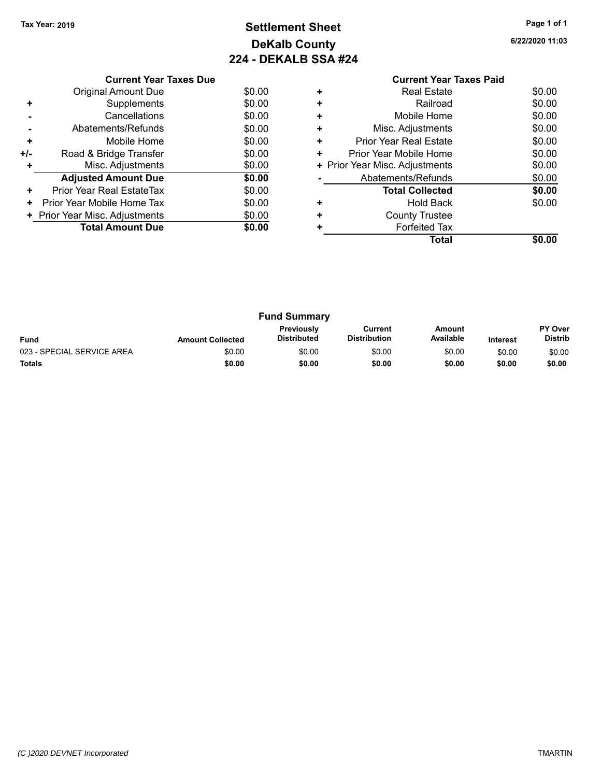## **Settlement Sheet Tax Year: 2019 Page 1 of 1 DeKalb County 224 - DEKALB SSA #24**

**6/22/2020 11:03**

|     | <b>Current Year Taxes Due</b>  |        |  |  |  |
|-----|--------------------------------|--------|--|--|--|
|     | Original Amount Due            | \$0.00 |  |  |  |
|     | Supplements                    | \$0.00 |  |  |  |
|     | Cancellations                  | \$0.00 |  |  |  |
|     | Abatements/Refunds             | \$0.00 |  |  |  |
| ٠   | Mobile Home                    | \$0.00 |  |  |  |
| +/- | Road & Bridge Transfer         | \$0.00 |  |  |  |
|     | Misc. Adjustments              | \$0.00 |  |  |  |
|     | <b>Adjusted Amount Due</b>     | \$0.00 |  |  |  |
| ٠   | Prior Year Real EstateTax      | \$0.00 |  |  |  |
| ٠   | Prior Year Mobile Home Tax     | \$0.00 |  |  |  |
|     | + Prior Year Misc. Adjustments | \$0.00 |  |  |  |
|     | <b>Total Amount Due</b>        | \$0.00 |  |  |  |
|     |                                |        |  |  |  |

| <b>Fund Summary</b>        |                         |                                         |                                |                     |                 |                           |
|----------------------------|-------------------------|-----------------------------------------|--------------------------------|---------------------|-----------------|---------------------------|
| <b>Fund</b>                | <b>Amount Collected</b> | <b>Previously</b><br><b>Distributed</b> | Current<br><b>Distribution</b> | Amount<br>Available | <b>Interest</b> | PY Over<br><b>Distrib</b> |
| 023 - SPECIAL SERVICE AREA | \$0.00                  | \$0.00                                  | \$0.00                         | \$0.00              | \$0.00          | \$0.00                    |
| <b>Totals</b>              | \$0.00                  | \$0.00                                  | \$0.00                         | \$0.00              | \$0.00          | \$0.00                    |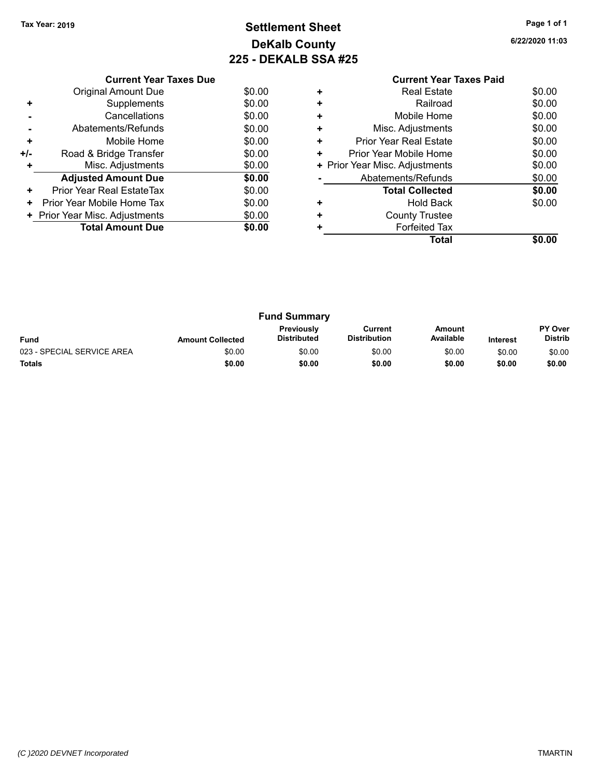## **Settlement Sheet Tax Year: 2019 Page 1 of 1 DeKalb County 225 - DEKALB SSA #25**

|     | <b>Current Year Taxes Due</b>  |        |  |  |  |
|-----|--------------------------------|--------|--|--|--|
|     | Original Amount Due            | \$0.00 |  |  |  |
| ٠   | Supplements                    | \$0.00 |  |  |  |
|     | Cancellations                  | \$0.00 |  |  |  |
|     | Abatements/Refunds             | \$0.00 |  |  |  |
| ٠   | Mobile Home                    | \$0.00 |  |  |  |
| +/- | Road & Bridge Transfer         | \$0.00 |  |  |  |
| ٠   | Misc. Adjustments              | \$0.00 |  |  |  |
|     | <b>Adjusted Amount Due</b>     | \$0.00 |  |  |  |
| ٠   | Prior Year Real EstateTax      | \$0.00 |  |  |  |
| ٠   | Prior Year Mobile Home Tax     | \$0.00 |  |  |  |
|     | + Prior Year Misc. Adjustments | \$0.00 |  |  |  |
|     | <b>Total Amount Due</b>        | \$0.00 |  |  |  |
|     |                                |        |  |  |  |

|   | <b>Current Year Taxes Paid</b> |        |
|---|--------------------------------|--------|
|   | Real Estate                    | \$0.00 |
|   | Railroad                       | \$0.00 |
|   | Mobile Home                    | \$0.00 |
| ٠ | Misc. Adjustments              | \$0.00 |
|   | <b>Prior Year Real Estate</b>  | \$0.00 |
| ٠ | Prior Year Mobile Home         | \$0.00 |
|   | + Prior Year Misc. Adjustments | \$0.00 |
|   | Abatements/Refunds             | \$0.00 |
|   | <b>Total Collected</b>         | \$0.00 |
|   | Hold Back                      | \$0.00 |
|   | <b>County Trustee</b>          |        |
|   | <b>Forfeited Tax</b>           |        |
|   | Total                          |        |

| <b>Fund Summary</b>        |                         |                                  |                                |                     |                 |                           |
|----------------------------|-------------------------|----------------------------------|--------------------------------|---------------------|-----------------|---------------------------|
| <b>Fund</b>                | <b>Amount Collected</b> | Previously<br><b>Distributed</b> | Current<br><b>Distribution</b> | Amount<br>Available | <b>Interest</b> | PY Over<br><b>Distrib</b> |
| 023 - SPECIAL SERVICE AREA | \$0.00                  | \$0.00                           | \$0.00                         | \$0.00              | \$0.00          | \$0.00                    |
| <b>Totals</b>              | \$0.00                  | \$0.00                           | \$0.00                         | \$0.00              | \$0.00          | \$0.00                    |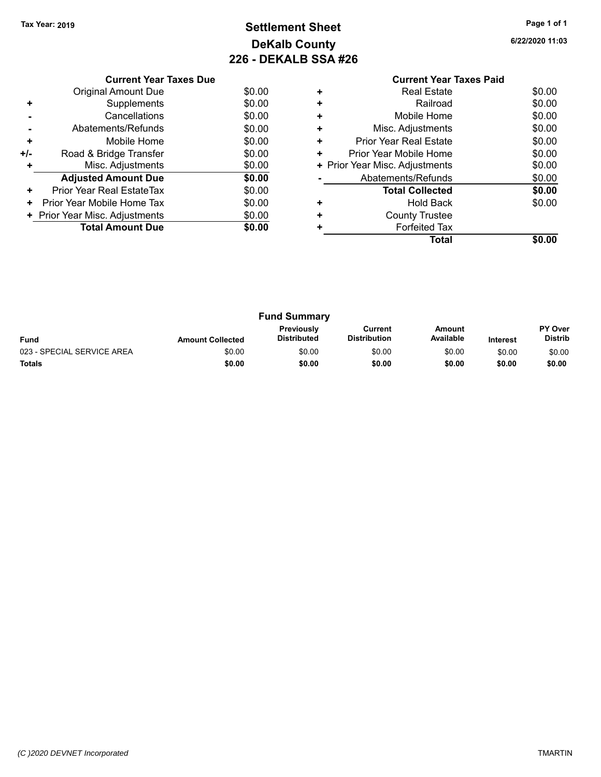## **Settlement Sheet Tax Year: 2019 Page 1 of 1 DeKalb County 226 - DEKALB SSA #26**

**6/22/2020 11:03**

|     | <b>Current Year Taxes Due</b>  |        |  |  |  |
|-----|--------------------------------|--------|--|--|--|
|     | Original Amount Due            | \$0.00 |  |  |  |
| ٠   | Supplements                    | \$0.00 |  |  |  |
|     | Cancellations                  | \$0.00 |  |  |  |
|     | Abatements/Refunds             | \$0.00 |  |  |  |
| ٠   | Mobile Home                    | \$0.00 |  |  |  |
| +/- | Road & Bridge Transfer         | \$0.00 |  |  |  |
| ٠   | Misc. Adjustments              | \$0.00 |  |  |  |
|     | <b>Adjusted Amount Due</b>     | \$0.00 |  |  |  |
| ٠   | Prior Year Real EstateTax      | \$0.00 |  |  |  |
| ٠   | Prior Year Mobile Home Tax     | \$0.00 |  |  |  |
|     | + Prior Year Misc. Adjustments | \$0.00 |  |  |  |
|     | <b>Total Amount Due</b>        | \$0.00 |  |  |  |
|     |                                |        |  |  |  |

| <b>Fund Summary</b>        |                         |                                         |                                |                     |                 |                                  |
|----------------------------|-------------------------|-----------------------------------------|--------------------------------|---------------------|-----------------|----------------------------------|
| <b>Fund</b>                | <b>Amount Collected</b> | <b>Previously</b><br><b>Distributed</b> | Current<br><b>Distribution</b> | Amount<br>Available | <b>Interest</b> | <b>PY Over</b><br><b>Distrib</b> |
| 023 - SPECIAL SERVICE AREA | \$0.00                  | \$0.00                                  | \$0.00                         | \$0.00              | \$0.00          | \$0.00                           |
| <b>Totals</b>              | \$0.00                  | \$0.00                                  | \$0.00                         | \$0.00              | \$0.00          | \$0.00                           |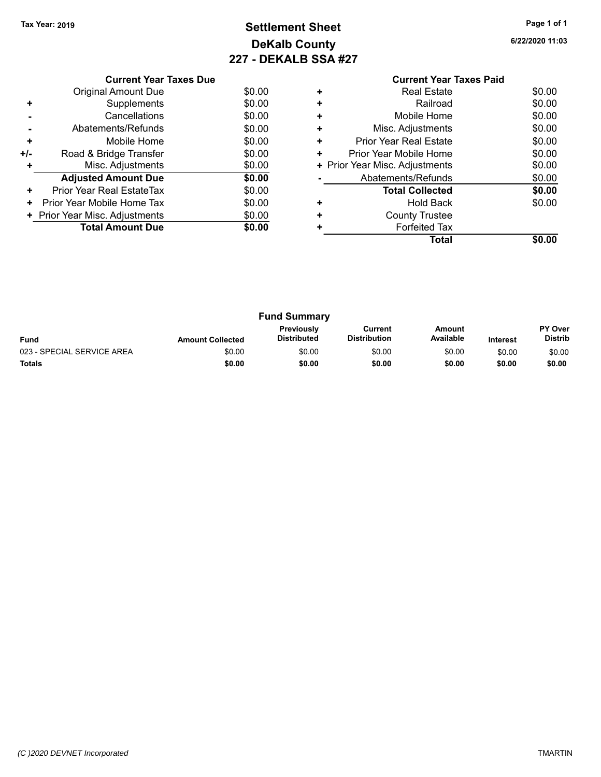## **Settlement Sheet Tax Year: 2019 Page 1 of 1 DeKalb County 227 - DEKALB SSA #27**

|     | <b>Current Year Taxes Due</b>  |        |
|-----|--------------------------------|--------|
|     | Original Amount Due            | \$0.00 |
| ٠   | Supplements                    | \$0.00 |
|     | Cancellations                  | \$0.00 |
|     | Abatements/Refunds             | \$0.00 |
| ٠   | Mobile Home                    | \$0.00 |
| +/- | Road & Bridge Transfer         | \$0.00 |
|     | Misc. Adjustments              | \$0.00 |
|     | <b>Adjusted Amount Due</b>     | \$0.00 |
| ٠   | Prior Year Real EstateTax      | \$0.00 |
| ٠   | Prior Year Mobile Home Tax     | \$0.00 |
|     | + Prior Year Misc. Adjustments | \$0.00 |
|     | <b>Total Amount Due</b>        | \$0.00 |
|     |                                |        |

|   | <b>Current Year Taxes Paid</b> |        |
|---|--------------------------------|--------|
|   | <b>Real Estate</b>             | \$0.00 |
| ٠ | Railroad                       | \$0.00 |
|   | Mobile Home                    | \$0.00 |
| ٠ | Misc. Adjustments              | \$0.00 |
| ٠ | <b>Prior Year Real Estate</b>  | \$0.00 |
|   | Prior Year Mobile Home         | \$0.00 |
| ٠ | Prior Year Misc. Adjustments   | \$0.00 |
|   | Abatements/Refunds             | \$0.00 |
|   | <b>Total Collected</b>         | \$0.00 |
|   | <b>Hold Back</b>               | \$0.00 |
|   | <b>County Trustee</b>          |        |
|   | <b>Forfeited Tax</b>           |        |
|   | Total                          |        |
|   |                                |        |

| <b>Fund Summary</b>        |                         |                                  |                                |                     |                 |                           |
|----------------------------|-------------------------|----------------------------------|--------------------------------|---------------------|-----------------|---------------------------|
| <b>Fund</b>                | <b>Amount Collected</b> | <b>Previously</b><br>Distributed | Current<br><b>Distribution</b> | Amount<br>Available | <b>Interest</b> | <b>PY Over</b><br>Distrib |
| 023 - SPECIAL SERVICE AREA | \$0.00                  | \$0.00                           | \$0.00                         | \$0.00              | \$0.00          | \$0.00                    |
| <b>Totals</b>              | \$0.00                  | \$0.00                           | \$0.00                         | \$0.00              | \$0.00          | \$0.00                    |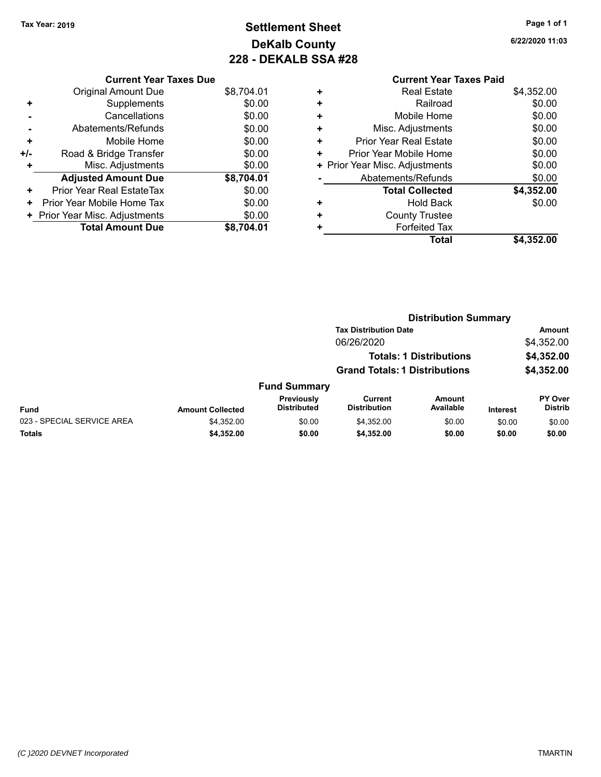## **Settlement Sheet Tax Year: 2019 Page 1 of 1 DeKalb County 228 - DEKALB SSA #28**

|     | <b>Current Year Taxes Due</b>  |            |
|-----|--------------------------------|------------|
|     | <b>Original Amount Due</b>     | \$8,704.01 |
| ٠   | Supplements                    | \$0.00     |
|     | Cancellations                  | \$0.00     |
|     | Abatements/Refunds             | \$0.00     |
| ٠   | Mobile Home                    | \$0.00     |
| +/- | Road & Bridge Transfer         | \$0.00     |
| ٠   | Misc. Adjustments              | \$0.00     |
|     | <b>Adjusted Amount Due</b>     | \$8,704.01 |
| ٠   | Prior Year Real EstateTax      | \$0.00     |
| ٠   | Prior Year Mobile Home Tax     | \$0.00     |
|     | + Prior Year Misc. Adjustments | \$0.00     |
|     | <b>Total Amount Due</b>        | \$8,704.01 |

| <b>Current Year Taxes Paid</b>     |            |
|------------------------------------|------------|
| <b>Real Estate</b><br>٠            | \$4,352.00 |
| Railroad<br>٠                      | \$0.00     |
| Mobile Home<br>٠                   | \$0.00     |
| Misc. Adjustments<br>٠             | \$0.00     |
| <b>Prior Year Real Estate</b><br>٠ | \$0.00     |
| Prior Year Mobile Home<br>÷        | \$0.00     |
| + Prior Year Misc. Adjustments     | \$0.00     |
| Abatements/Refunds                 | \$0.00     |
| <b>Total Collected</b>             | \$4,352.00 |
| Hold Back<br>٠                     | \$0.00     |
| <b>County Trustee</b>              |            |
| <b>Forfeited Tax</b><br>٠          |            |
| Total                              | \$4,352.00 |
|                                    |            |

|                            | <b>Distribution Summary</b> |                                  |                                       |                                |                 |                                  |
|----------------------------|-----------------------------|----------------------------------|---------------------------------------|--------------------------------|-----------------|----------------------------------|
|                            |                             |                                  | <b>Tax Distribution Date</b>          |                                |                 | Amount                           |
|                            |                             |                                  | 06/26/2020                            |                                |                 | \$4,352.00                       |
|                            |                             |                                  |                                       | <b>Totals: 1 Distributions</b> |                 | \$4,352.00                       |
|                            |                             |                                  | <b>Grand Totals: 1 Distributions</b>  |                                |                 | \$4,352.00                       |
|                            |                             | <b>Fund Summary</b>              |                                       |                                |                 |                                  |
| <b>Fund</b>                | <b>Amount Collected</b>     | Previously<br><b>Distributed</b> | <b>Current</b><br><b>Distribution</b> | <b>Amount</b><br>Available     | <b>Interest</b> | <b>PY Over</b><br><b>Distrib</b> |
| 023 - SPECIAL SERVICE AREA | \$4,352.00                  | \$0.00                           | \$4,352.00                            | \$0.00                         | \$0.00          | \$0.00                           |
| Totals                     | \$4,352.00                  | \$0.00                           | \$4,352.00                            | \$0.00                         | \$0.00          | \$0.00                           |
|                            |                             |                                  |                                       |                                |                 |                                  |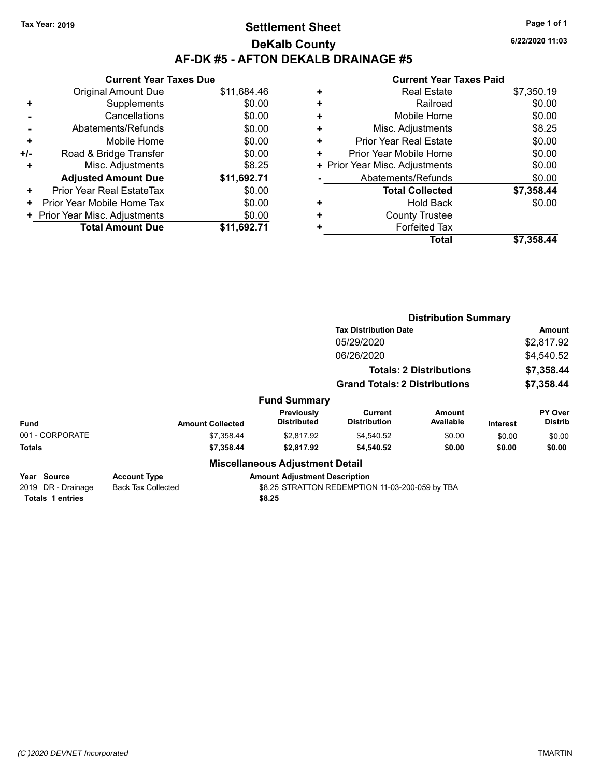## **Settlement Sheet Tax Year: 2019 Page 1 of 1 DeKalb County AF-DK #5 - AFTON DEKALB DRAINAGE #5**

|     | <b>Current Year Taxes Due</b>  |             |  |  |  |  |
|-----|--------------------------------|-------------|--|--|--|--|
|     | <b>Original Amount Due</b>     | \$11,684.46 |  |  |  |  |
| ٠   | Supplements                    | \$0.00      |  |  |  |  |
|     | Cancellations                  | \$0.00      |  |  |  |  |
|     | Abatements/Refunds             | \$0.00      |  |  |  |  |
| ٠   | Mobile Home                    | \$0.00      |  |  |  |  |
| +/- | Road & Bridge Transfer         | \$0.00      |  |  |  |  |
| ٠   | Misc. Adjustments              | \$8.25      |  |  |  |  |
|     | <b>Adjusted Amount Due</b>     | \$11,692.71 |  |  |  |  |
| ٠   | Prior Year Real EstateTax      | \$0.00      |  |  |  |  |
|     | Prior Year Mobile Home Tax     | \$0.00      |  |  |  |  |
|     | + Prior Year Misc. Adjustments | \$0.00      |  |  |  |  |
|     | <b>Total Amount Due</b>        | \$11,692.71 |  |  |  |  |

### **Current Year Taxes Paid**

| ٠ | <b>Real Estate</b>             | \$7,350.19 |
|---|--------------------------------|------------|
| ٠ | Railroad                       | \$0.00     |
| ٠ | Mobile Home                    | \$0.00     |
| ٠ | Misc. Adjustments              | \$8.25     |
| ٠ | <b>Prior Year Real Estate</b>  | \$0.00     |
| ٠ | Prior Year Mobile Home         | \$0.00     |
|   | + Prior Year Misc. Adjustments | \$0.00     |
|   | Abatements/Refunds             | \$0.00     |
|   | <b>Total Collected</b>         | \$7,358.44 |
| ٠ | Hold Back                      | \$0.00     |
| ٠ | <b>County Trustee</b>          |            |
| ٠ | <b>Forfeited Tax</b>           |            |
|   | Total                          | \$7.358.44 |
|   |                                |            |

|                                   |                                                  |                                        | <b>Distribution Summary</b>                     |                                |          |                           |  |
|-----------------------------------|--------------------------------------------------|----------------------------------------|-------------------------------------------------|--------------------------------|----------|---------------------------|--|
|                                   |                                                  |                                        | <b>Tax Distribution Date</b>                    |                                |          | <b>Amount</b>             |  |
|                                   |                                                  |                                        | 05/29/2020                                      |                                |          | \$2,817.92                |  |
|                                   |                                                  |                                        | 06/26/2020                                      |                                |          | \$4,540.52                |  |
|                                   |                                                  |                                        |                                                 | <b>Totals: 2 Distributions</b> |          | \$7,358.44                |  |
|                                   |                                                  |                                        | <b>Grand Totals: 2 Distributions</b>            |                                |          | \$7,358.44                |  |
|                                   |                                                  | <b>Fund Summary</b>                    |                                                 |                                |          |                           |  |
| <b>Fund</b>                       | <b>Amount Collected</b>                          | Previously<br><b>Distributed</b>       | Current<br><b>Distribution</b>                  | Amount<br>Available            | Interest | PY Over<br><b>Distrib</b> |  |
| 001 - CORPORATE                   | \$7,358.44                                       | \$2,817.92                             | \$4,540.52                                      | \$0.00                         | \$0.00   | \$0.00                    |  |
| <b>Totals</b>                     | \$7,358.44                                       | \$2,817.92                             | \$4,540.52                                      | \$0.00                         | \$0.00   | \$0.00                    |  |
|                                   |                                                  | <b>Miscellaneous Adjustment Detail</b> |                                                 |                                |          |                           |  |
| Year Source<br>2019 DR - Drainage | <b>Account Type</b><br><b>Back Tax Collected</b> | <b>Amount Adiustment Description</b>   | \$8.25 STRATTON REDEMPTION 11-03-200-059 by TBA |                                |          |                           |  |
| <b>Totals 1 entries</b>           |                                                  | \$8.25                                 |                                                 |                                |          |                           |  |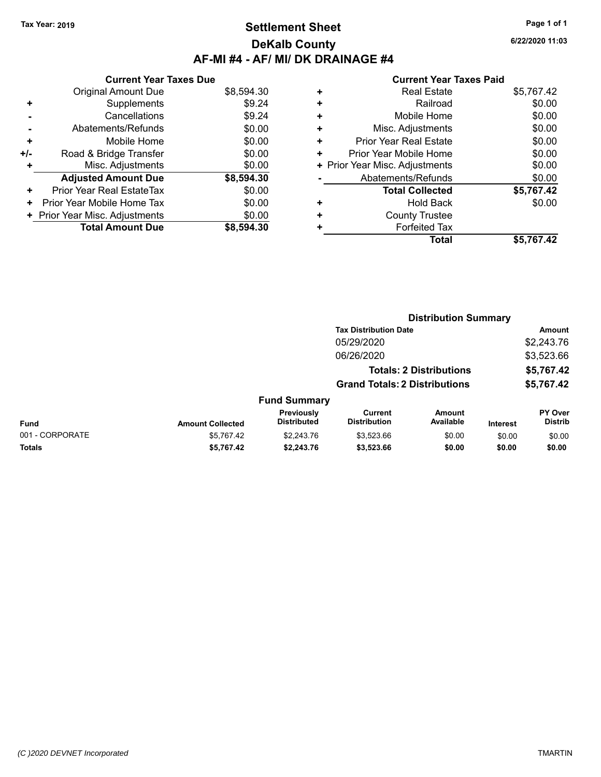## **Settlement Sheet Tax Year: 2019 Page 1 of 1 DeKalb County AF-MI #4 - AF/ MI/ DK DRAINAGE #4**

**6/22/2020 11:03**

|     | <b>Current Year Taxes Due</b>    |            |
|-----|----------------------------------|------------|
|     | <b>Original Amount Due</b>       | \$8,594.30 |
| ٠   | Supplements                      | \$9.24     |
|     | Cancellations                    | \$9.24     |
|     | Abatements/Refunds               | \$0.00     |
| ٠   | Mobile Home                      | \$0.00     |
| +/- | Road & Bridge Transfer           | \$0.00     |
|     | Misc. Adjustments                | \$0.00     |
|     | <b>Adjusted Amount Due</b>       | \$8,594.30 |
| ٠   | <b>Prior Year Real EstateTax</b> | \$0.00     |
| ٠   | Prior Year Mobile Home Tax       | \$0.00     |
|     | + Prior Year Misc. Adjustments   | \$0.00     |
|     | <b>Total Amount Due</b>          | \$8,594.30 |

|   | <b>Real Estate</b>             | \$5,767.42 |
|---|--------------------------------|------------|
| ٠ | Railroad                       | \$0.00     |
| ٠ | Mobile Home                    | \$0.00     |
| ٠ | Misc. Adjustments              | \$0.00     |
| ٠ | <b>Prior Year Real Estate</b>  | \$0.00     |
| ÷ | Prior Year Mobile Home         | \$0.00     |
|   | + Prior Year Misc. Adjustments | \$0.00     |
|   | Abatements/Refunds             | \$0.00     |
|   | <b>Total Collected</b>         | \$5,767.42 |
| ٠ | <b>Hold Back</b>               | \$0.00     |
| ٠ | <b>County Trustee</b>          |            |
| ٠ | <b>Forfeited Tax</b>           |            |
|   | Total                          | \$5,767.42 |

|                 |                         |                                  |                                       | <b>Distribution Summary</b>    |                 |                           |
|-----------------|-------------------------|----------------------------------|---------------------------------------|--------------------------------|-----------------|---------------------------|
|                 |                         |                                  | <b>Tax Distribution Date</b>          |                                |                 | Amount                    |
|                 |                         |                                  | 05/29/2020                            |                                |                 | \$2,243.76                |
|                 |                         |                                  | 06/26/2020                            |                                |                 | \$3,523.66                |
|                 |                         |                                  |                                       | <b>Totals: 2 Distributions</b> |                 | \$5,767.42                |
|                 |                         |                                  | <b>Grand Totals: 2 Distributions</b>  |                                |                 | \$5,767.42                |
|                 |                         | <b>Fund Summary</b>              |                                       |                                |                 |                           |
| <b>Fund</b>     | <b>Amount Collected</b> | Previously<br><b>Distributed</b> | <b>Current</b><br><b>Distribution</b> | Amount<br>Available            | <b>Interest</b> | PY Over<br><b>Distrib</b> |
| 001 - CORPORATE | \$5.767.42              | \$2,243.76                       | \$3,523.66                            | \$0.00                         | \$0.00          | \$0.00                    |
| <b>Totals</b>   | \$5,767.42              | \$2,243.76                       | \$3,523.66                            | \$0.00                         | \$0.00          | \$0.00                    |
|                 |                         |                                  |                                       |                                |                 |                           |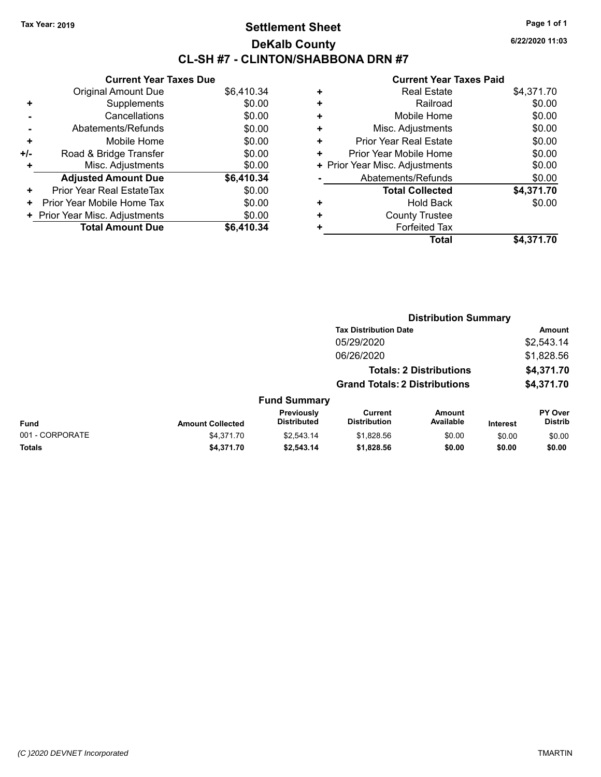## **Settlement Sheet Tax Year: 2019 Page 1 of 1 DeKalb County CL-SH #7 - CLINTON/SHABBONA DRN #7**

**6/22/2020 11:03**

|     | <b>Current Year Taxes Due</b>  |            |  |  |  |  |  |
|-----|--------------------------------|------------|--|--|--|--|--|
|     | <b>Original Amount Due</b>     | \$6,410.34 |  |  |  |  |  |
| ٠   | Supplements                    | \$0.00     |  |  |  |  |  |
|     | Cancellations                  | \$0.00     |  |  |  |  |  |
|     | Abatements/Refunds             | \$0.00     |  |  |  |  |  |
| ٠   | Mobile Home                    | \$0.00     |  |  |  |  |  |
| +/- | Road & Bridge Transfer         | \$0.00     |  |  |  |  |  |
|     | Misc. Adjustments              | \$0.00     |  |  |  |  |  |
|     | <b>Adjusted Amount Due</b>     | \$6,410.34 |  |  |  |  |  |
| ٠   | Prior Year Real EstateTax      | \$0.00     |  |  |  |  |  |
| ٠   | Prior Year Mobile Home Tax     | \$0.00     |  |  |  |  |  |
|     | + Prior Year Misc. Adjustments | \$0.00     |  |  |  |  |  |
|     | <b>Total Amount Due</b>        | \$6,410,34 |  |  |  |  |  |

| ٠ | <b>Real Estate</b>             | \$4,371.70 |
|---|--------------------------------|------------|
| ٠ | Railroad                       | \$0.00     |
| ٠ | Mobile Home                    | \$0.00     |
| ٠ | Misc. Adjustments              | \$0.00     |
| ٠ | <b>Prior Year Real Estate</b>  | \$0.00     |
| ٠ | Prior Year Mobile Home         | \$0.00     |
|   | + Prior Year Misc. Adjustments | \$0.00     |
|   | Abatements/Refunds             | \$0.00     |
|   | <b>Total Collected</b>         | \$4,371.70 |
| ٠ | Hold Back                      | \$0.00     |
| ÷ | <b>County Trustee</b>          |            |
| ٠ | <b>Forfeited Tax</b>           |            |
|   | Total                          | \$4,371.70 |
|   |                                |            |

|                 |                         |                                  |                                       | <b>Distribution Summary</b>    |          |                           |
|-----------------|-------------------------|----------------------------------|---------------------------------------|--------------------------------|----------|---------------------------|
|                 |                         |                                  | <b>Tax Distribution Date</b>          |                                |          | Amount                    |
|                 |                         |                                  | 05/29/2020                            |                                |          | \$2,543.14                |
|                 |                         |                                  | 06/26/2020                            |                                |          | \$1,828.56                |
|                 |                         |                                  |                                       | <b>Totals: 2 Distributions</b> |          | \$4,371.70                |
|                 |                         |                                  | <b>Grand Totals: 2 Distributions</b>  |                                |          | \$4,371.70                |
|                 |                         | <b>Fund Summary</b>              |                                       |                                |          |                           |
| <b>Fund</b>     | <b>Amount Collected</b> | Previously<br><b>Distributed</b> | <b>Current</b><br><b>Distribution</b> | Amount<br>Available            | Interest | PY Over<br><b>Distrib</b> |
| 001 - CORPORATE | \$4,371.70              | \$2,543.14                       | \$1,828.56                            | \$0.00                         | \$0.00   | \$0.00                    |
| <b>Totals</b>   | \$4,371.70              | \$2,543.14                       | \$1,828.56                            | \$0.00                         | \$0.00   | \$0.00                    |
|                 |                         |                                  |                                       |                                |          |                           |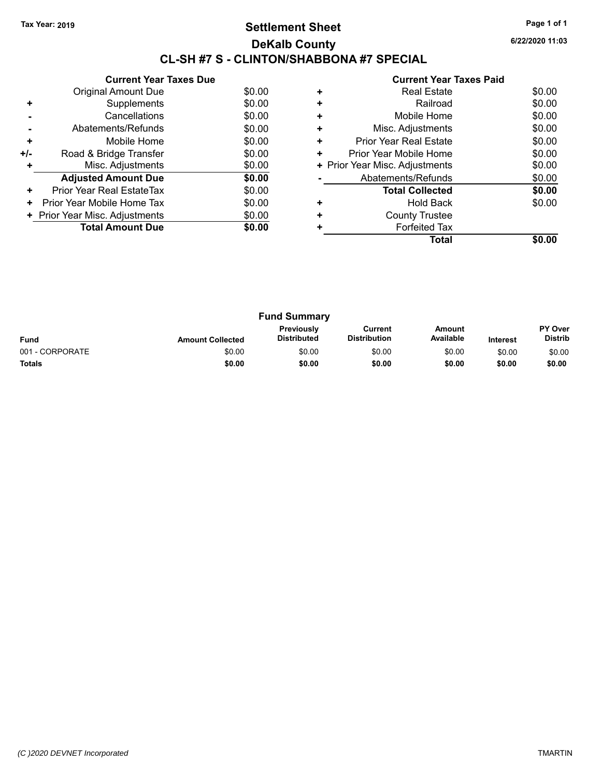## **Settlement Sheet Tax Year: 2019 Page 1 of 1 DeKalb County CL-SH #7 S - CLINTON/SHABBONA #7 SPECIAL**

**6/22/2020 11:03**

|       | <b>Current Year Taxes Due</b>  |        |  |  |  |  |
|-------|--------------------------------|--------|--|--|--|--|
|       | <b>Original Amount Due</b>     | \$0.00 |  |  |  |  |
| ٠     | Supplements                    | \$0.00 |  |  |  |  |
|       | Cancellations                  | \$0.00 |  |  |  |  |
|       | Abatements/Refunds             | \$0.00 |  |  |  |  |
| ÷     | Mobile Home                    | \$0.00 |  |  |  |  |
| $+/-$ | Road & Bridge Transfer         | \$0.00 |  |  |  |  |
|       | Misc. Adjustments              | \$0.00 |  |  |  |  |
|       | <b>Adjusted Amount Due</b>     | \$0.00 |  |  |  |  |
| ÷     | Prior Year Real EstateTax      | \$0.00 |  |  |  |  |
| ٠     | Prior Year Mobile Home Tax     | \$0.00 |  |  |  |  |
|       | + Prior Year Misc. Adjustments | \$0.00 |  |  |  |  |
|       | <b>Total Amount Due</b>        | \$0.00 |  |  |  |  |
|       |                                |        |  |  |  |  |

|   | <b>Real Estate</b>             | \$0.00 |
|---|--------------------------------|--------|
| ٠ | Railroad                       | \$0.00 |
| ÷ | Mobile Home                    | \$0.00 |
| ٠ | Misc. Adjustments              | \$0.00 |
| ٠ | <b>Prior Year Real Estate</b>  | \$0.00 |
| ٠ | Prior Year Mobile Home         | \$0.00 |
|   | + Prior Year Misc. Adjustments | \$0.00 |
|   | Abatements/Refunds             | \$0.00 |
|   | <b>Total Collected</b>         | \$0.00 |
|   | <b>Hold Back</b>               | \$0.00 |
|   | <b>County Trustee</b>          |        |
|   | <b>Forfeited Tax</b>           |        |
|   | Total                          |        |

| <b>Fund Summary</b> |                         |                                         |                                |                     |                 |                           |
|---------------------|-------------------------|-----------------------------------------|--------------------------------|---------------------|-----------------|---------------------------|
| <b>Fund</b>         | <b>Amount Collected</b> | <b>Previously</b><br><b>Distributed</b> | Current<br><b>Distribution</b> | Amount<br>Available | <b>Interest</b> | PY Over<br><b>Distrib</b> |
| 001 - CORPORATE     | \$0.00                  | \$0.00                                  | \$0.00                         | \$0.00              | \$0.00          | \$0.00                    |
| <b>Totals</b>       | \$0.00                  | \$0.00                                  | \$0.00                         | \$0.00              | \$0.00          | \$0.00                    |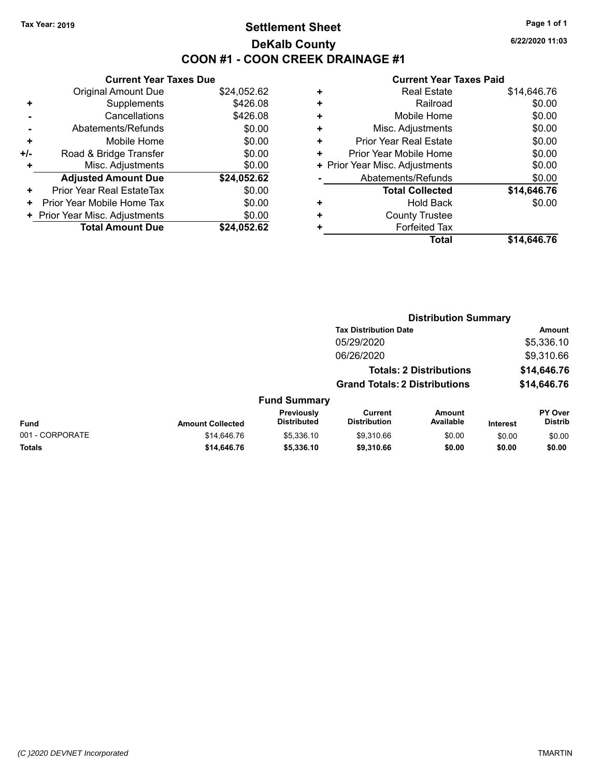## **Settlement Sheet Tax Year: 2019 Page 1 of 1 DeKalb County COON #1 - COON CREEK DRAINAGE #1**

**6/22/2020 11:03**

| <b>Current Year Taxes Due</b>  |             |  |  |  |  |
|--------------------------------|-------------|--|--|--|--|
| <b>Original Amount Due</b>     | \$24,052.62 |  |  |  |  |
| Supplements                    | \$426.08    |  |  |  |  |
| \$426.08<br>Cancellations      |             |  |  |  |  |
| Abatements/Refunds             | \$0.00      |  |  |  |  |
| Mobile Home                    | \$0.00      |  |  |  |  |
| Road & Bridge Transfer         | \$0.00      |  |  |  |  |
| Misc. Adjustments              | \$0.00      |  |  |  |  |
| <b>Adjusted Amount Due</b>     | \$24,052.62 |  |  |  |  |
| Prior Year Real EstateTax      | \$0.00      |  |  |  |  |
| Prior Year Mobile Home Tax     | \$0.00      |  |  |  |  |
|                                |             |  |  |  |  |
| + Prior Year Misc. Adjustments | \$0.00      |  |  |  |  |
|                                |             |  |  |  |  |

| \$14,646.76 | Total                          |  |  |  |
|-------------|--------------------------------|--|--|--|
|             | <b>Forfeited Tax</b>           |  |  |  |
|             | <b>County Trustee</b>          |  |  |  |
| \$0.00      | <b>Hold Back</b>               |  |  |  |
| \$14,646.76 | <b>Total Collected</b>         |  |  |  |
| \$0.00      | Abatements/Refunds             |  |  |  |
| \$0.00      | + Prior Year Misc. Adjustments |  |  |  |
| \$0.00      | Prior Year Mobile Home         |  |  |  |
| \$0.00      | <b>Prior Year Real Estate</b>  |  |  |  |
| \$0.00      | Misc. Adjustments              |  |  |  |
| \$0.00      | Mobile Home                    |  |  |  |
| \$0.00      | Railroad                       |  |  |  |
| \$14,646.76 | <b>Real Estate</b>             |  |  |  |
|             |                                |  |  |  |

|                 |                         |                                  | <b>Distribution Summary</b>           |                                |                 |                           |
|-----------------|-------------------------|----------------------------------|---------------------------------------|--------------------------------|-----------------|---------------------------|
|                 |                         |                                  | <b>Tax Distribution Date</b>          |                                |                 | <b>Amount</b>             |
|                 |                         |                                  | 05/29/2020                            |                                |                 | \$5,336.10                |
|                 |                         |                                  | 06/26/2020                            |                                |                 | \$9,310.66                |
|                 |                         |                                  |                                       | <b>Totals: 2 Distributions</b> |                 | \$14,646.76               |
|                 |                         |                                  | <b>Grand Totals: 2 Distributions</b>  |                                |                 | \$14,646.76               |
|                 |                         | <b>Fund Summary</b>              |                                       |                                |                 |                           |
| <b>Fund</b>     | <b>Amount Collected</b> | Previously<br><b>Distributed</b> | <b>Current</b><br><b>Distribution</b> | <b>Amount</b><br>Available     | <b>Interest</b> | PY Over<br><b>Distrib</b> |
| 001 - CORPORATE | \$14,646.76             | \$5.336.10                       | \$9.310.66                            | \$0.00                         | \$0.00          | \$0.00                    |
| <b>Totals</b>   | \$14,646.76             | \$5,336.10                       | \$9,310.66                            | \$0.00                         | \$0.00          | \$0.00                    |
|                 |                         |                                  |                                       |                                |                 |                           |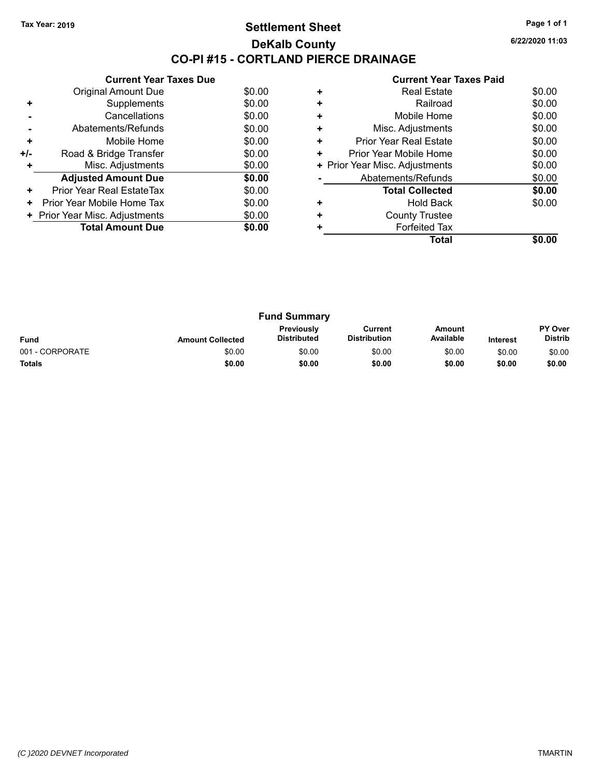## **Settlement Sheet Tax Year: 2019 Page 1 of 1 DeKalb County CO-PI #15 - CORTLAND PIERCE DRAINAGE**

**6/22/2020 11:03**

|     | <b>Current Year Taxes Due</b>  |        |  |  |  |  |  |
|-----|--------------------------------|--------|--|--|--|--|--|
|     | <b>Original Amount Due</b>     | \$0.00 |  |  |  |  |  |
| ÷   | Supplements                    | \$0.00 |  |  |  |  |  |
|     | Cancellations                  | \$0.00 |  |  |  |  |  |
|     | Abatements/Refunds             | \$0.00 |  |  |  |  |  |
| ٠   | Mobile Home                    | \$0.00 |  |  |  |  |  |
| +/- | Road & Bridge Transfer         | \$0.00 |  |  |  |  |  |
|     | Misc. Adjustments              | \$0.00 |  |  |  |  |  |
|     | <b>Adjusted Amount Due</b>     | \$0.00 |  |  |  |  |  |
| ÷   | Prior Year Real EstateTax      | \$0.00 |  |  |  |  |  |
| ٠   | Prior Year Mobile Home Tax     | \$0.00 |  |  |  |  |  |
|     | + Prior Year Misc. Adjustments | \$0.00 |  |  |  |  |  |
|     | <b>Total Amount Due</b>        | \$0.00 |  |  |  |  |  |
|     |                                |        |  |  |  |  |  |

|   | <b>Real Estate</b>             | \$0.00 |
|---|--------------------------------|--------|
| ٠ | Railroad                       | \$0.00 |
| ÷ | Mobile Home                    | \$0.00 |
| ٠ | Misc. Adjustments              | \$0.00 |
| ٠ | <b>Prior Year Real Estate</b>  | \$0.00 |
| ٠ | Prior Year Mobile Home         | \$0.00 |
|   | + Prior Year Misc. Adjustments | \$0.00 |
|   | Abatements/Refunds             | \$0.00 |
|   | <b>Total Collected</b>         | \$0.00 |
|   | <b>Hold Back</b>               | \$0.00 |
|   | <b>County Trustee</b>          |        |
|   | <b>Forfeited Tax</b>           |        |
|   | Total                          |        |

| <b>Fund Summary</b> |                         |                                  |                                |                     |                 |                           |
|---------------------|-------------------------|----------------------------------|--------------------------------|---------------------|-----------------|---------------------------|
| <b>Fund</b>         | <b>Amount Collected</b> | Previously<br><b>Distributed</b> | Current<br><b>Distribution</b> | Amount<br>Available | <b>Interest</b> | PY Over<br><b>Distrib</b> |
| 001 - CORPORATE     | \$0.00                  | \$0.00                           | \$0.00                         | \$0.00              | \$0.00          | \$0.00                    |
| <b>Totals</b>       | \$0.00                  | \$0.00                           | \$0.00                         | \$0.00              | \$0.00          | \$0.00                    |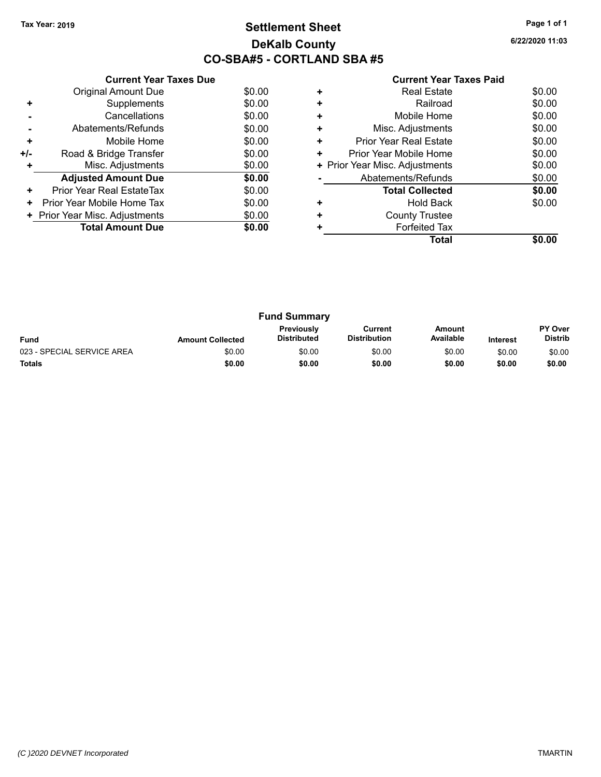## **Settlement Sheet Tax Year: 2019 Page 1 of 1 DeKalb County CO-SBA#5 - CORTLAND SBA #5**

**6/22/2020 11:03**

|     | <b>Current Year Taxes Due</b>  |        |  |  |
|-----|--------------------------------|--------|--|--|
|     | <b>Original Amount Due</b>     | \$0.00 |  |  |
|     | Supplements                    | \$0.00 |  |  |
|     | Cancellations                  | \$0.00 |  |  |
|     | Abatements/Refunds             | \$0.00 |  |  |
| ٠   | Mobile Home                    | \$0.00 |  |  |
| +/- | Road & Bridge Transfer         | \$0.00 |  |  |
|     | Misc. Adjustments              | \$0.00 |  |  |
|     | <b>Adjusted Amount Due</b>     | \$0.00 |  |  |
| ٠   | Prior Year Real EstateTax      | \$0.00 |  |  |
| ÷   | Prior Year Mobile Home Tax     | \$0.00 |  |  |
|     | + Prior Year Misc. Adjustments | \$0.00 |  |  |
|     | <b>Total Amount Due</b>        | \$0.00 |  |  |
|     |                                |        |  |  |

|   | <b>Real Estate</b>             | \$0.00 |  |  |  |  |
|---|--------------------------------|--------|--|--|--|--|
| ÷ | Railroad                       | \$0.00 |  |  |  |  |
|   | Mobile Home                    | \$0.00 |  |  |  |  |
| ٠ | Misc. Adjustments              | \$0.00 |  |  |  |  |
| ٠ | <b>Prior Year Real Estate</b>  | \$0.00 |  |  |  |  |
| ٠ | Prior Year Mobile Home         |        |  |  |  |  |
|   | + Prior Year Misc. Adjustments | \$0.00 |  |  |  |  |
|   | Abatements/Refunds             | \$0.00 |  |  |  |  |
|   | <b>Total Collected</b>         | \$0.00 |  |  |  |  |
|   | <b>Hold Back</b>               | \$0.00 |  |  |  |  |
|   | <b>County Trustee</b>          |        |  |  |  |  |
|   | <b>Forfeited Tax</b>           |        |  |  |  |  |
|   | Total                          |        |  |  |  |  |

| <b>Fund Summary</b>        |                         |                                         |                                |                     |                 |                           |  |  |  |
|----------------------------|-------------------------|-----------------------------------------|--------------------------------|---------------------|-----------------|---------------------------|--|--|--|
| <b>Fund</b>                | <b>Amount Collected</b> | <b>Previously</b><br><b>Distributed</b> | Current<br><b>Distribution</b> | Amount<br>Available | <b>Interest</b> | PY Over<br><b>Distrib</b> |  |  |  |
| 023 - SPECIAL SERVICE AREA | \$0.00                  | \$0.00                                  | \$0.00                         | \$0.00              | \$0.00          | \$0.00                    |  |  |  |
| <b>Totals</b>              | \$0.00                  | \$0.00                                  | \$0.00                         | \$0.00              | \$0.00          | \$0.00                    |  |  |  |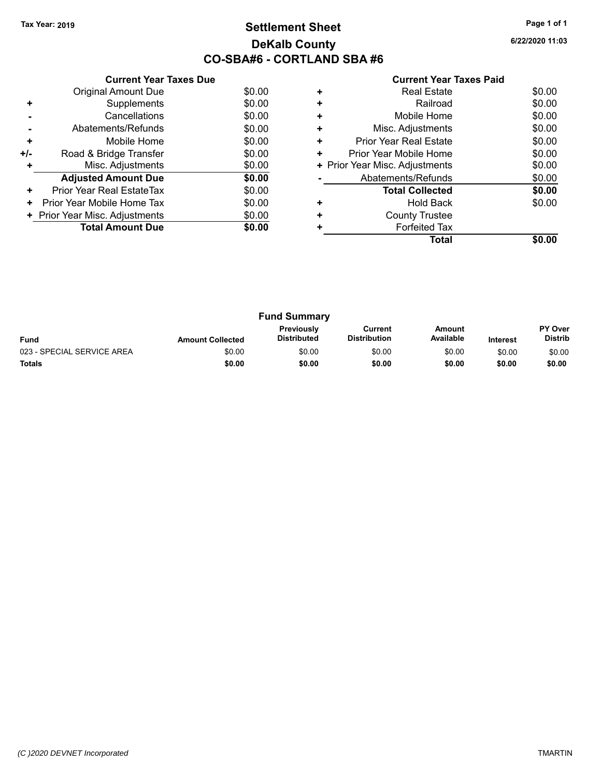# **Settlement Sheet Tax Year: 2019 Page 1 of 1 DeKalb County CO-SBA#6 - CORTLAND SBA #6**

**6/22/2020 11:03**

|     | <b>Current Year Taxes Due</b>  |        |
|-----|--------------------------------|--------|
|     | <b>Original Amount Due</b>     | \$0.00 |
| ٠   | Supplements                    | \$0.00 |
|     | Cancellations                  | \$0.00 |
|     | Abatements/Refunds             | \$0.00 |
| ٠   | Mobile Home                    | \$0.00 |
| +/- | Road & Bridge Transfer         | \$0.00 |
|     | Misc. Adjustments              | \$0.00 |
|     | <b>Adjusted Amount Due</b>     | \$0.00 |
| ٠   | Prior Year Real EstateTax      | \$0.00 |
| ÷   | Prior Year Mobile Home Tax     | \$0.00 |
|     | + Prior Year Misc. Adjustments | \$0.00 |
|     | <b>Total Amount Due</b>        | \$0.00 |
|     |                                |        |

|   | <b>Real Estate</b>             | \$0.00 |
|---|--------------------------------|--------|
| ٠ | Railroad                       | \$0.00 |
| ÷ | Mobile Home                    | \$0.00 |
| ٠ | Misc. Adjustments              | \$0.00 |
| ٠ | <b>Prior Year Real Estate</b>  | \$0.00 |
| ٠ | Prior Year Mobile Home         | \$0.00 |
|   | + Prior Year Misc. Adjustments | \$0.00 |
|   | Abatements/Refunds             | \$0.00 |
|   | <b>Total Collected</b>         | \$0.00 |
|   | <b>Hold Back</b>               | \$0.00 |
|   | <b>County Trustee</b>          |        |
|   | <b>Forfeited Tax</b>           |        |
|   | Total                          |        |

| <b>Fund Summary</b>        |                         |                                  |                                |                            |                 |                                  |
|----------------------------|-------------------------|----------------------------------|--------------------------------|----------------------------|-----------------|----------------------------------|
| <b>Fund</b>                | <b>Amount Collected</b> | Previously<br><b>Distributed</b> | Current<br><b>Distribution</b> | <b>Amount</b><br>Available | <b>Interest</b> | <b>PY Over</b><br><b>Distrib</b> |
| 023 - SPECIAL SERVICE AREA | \$0.00                  | \$0.00                           | \$0.00                         | \$0.00                     | \$0.00          | \$0.00                           |
| <b>Totals</b>              | \$0.00                  | \$0.00                           | \$0.00                         | \$0.00                     | \$0.00          | \$0.00                           |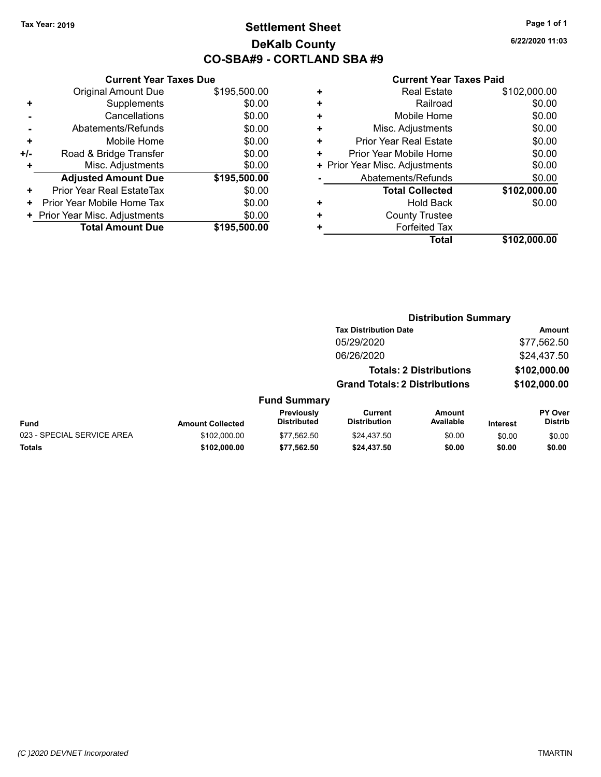# **Settlement Sheet Tax Year: 2019 Page 1 of 1 DeKalb County CO-SBA#9 - CORTLAND SBA #9**

**6/22/2020 11:03**

|     | <b>Current Year Taxes Due</b>  |              |  |  |
|-----|--------------------------------|--------------|--|--|
|     | <b>Original Amount Due</b>     | \$195,500.00 |  |  |
| ٠   | Supplements                    | \$0.00       |  |  |
|     | Cancellations                  | \$0.00       |  |  |
|     | Abatements/Refunds             | \$0.00       |  |  |
| ÷   | Mobile Home                    | \$0.00       |  |  |
| +/- | Road & Bridge Transfer         | \$0.00       |  |  |
|     | Misc. Adjustments              | \$0.00       |  |  |
|     | <b>Adjusted Amount Due</b>     | \$195,500.00 |  |  |
| ٠   | Prior Year Real EstateTax      | \$0.00       |  |  |
| ٠   | Prior Year Mobile Home Tax     | \$0.00       |  |  |
|     | + Prior Year Misc. Adjustments | \$0.00       |  |  |
|     | <b>Total Amount Due</b>        | \$195,500.00 |  |  |
|     |                                |              |  |  |

| <b>Real Estate</b>             | \$102,000.00 |
|--------------------------------|--------------|
| Railroad                       | \$0.00       |
| Mobile Home                    | \$0.00       |
| Misc. Adjustments              | \$0.00       |
| <b>Prior Year Real Estate</b>  | \$0.00       |
| Prior Year Mobile Home         | \$0.00       |
| + Prior Year Misc. Adjustments | \$0.00       |
| Abatements/Refunds             | \$0.00       |
| <b>Total Collected</b>         | \$102,000.00 |
| Hold Back                      | \$0.00       |
| <b>County Trustee</b>          |              |
| <b>Forfeited Tax</b>           |              |
| Total                          | \$102,000.00 |
|                                |              |

|                            |                         |                                  |                                       | <b>Distribution Summary</b>    |                 |                           |
|----------------------------|-------------------------|----------------------------------|---------------------------------------|--------------------------------|-----------------|---------------------------|
|                            |                         |                                  | <b>Tax Distribution Date</b>          |                                |                 | <b>Amount</b>             |
|                            |                         |                                  | 05/29/2020                            |                                |                 | \$77,562.50               |
|                            |                         |                                  | 06/26/2020                            |                                |                 | \$24,437.50               |
|                            |                         |                                  |                                       | <b>Totals: 2 Distributions</b> |                 | \$102,000.00              |
|                            |                         |                                  | <b>Grand Totals: 2 Distributions</b>  |                                |                 | \$102,000.00              |
|                            |                         | <b>Fund Summary</b>              |                                       |                                |                 |                           |
| <b>Fund</b>                | <b>Amount Collected</b> | Previously<br><b>Distributed</b> | <b>Current</b><br><b>Distribution</b> | Amount<br>Available            | <b>Interest</b> | PY Over<br><b>Distrib</b> |
| 023 - SPECIAL SERVICE AREA | \$102,000.00            | \$77.562.50                      | \$24,437.50                           | \$0.00                         | \$0.00          | \$0.00                    |
| <b>Totals</b>              | \$102,000.00            | \$77,562.50                      | \$24,437.50                           | \$0.00                         | \$0.00          | \$0.00                    |
|                            |                         |                                  |                                       |                                |                 |                           |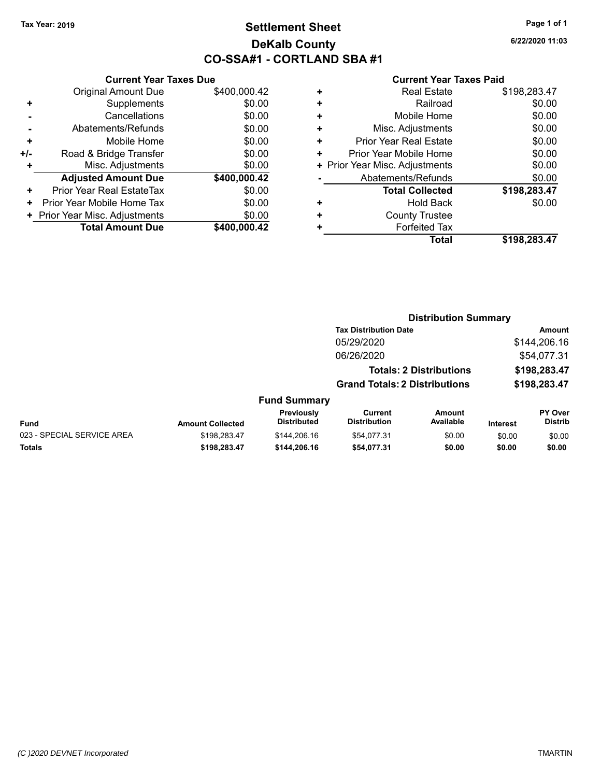# **Settlement Sheet Tax Year: 2019 Page 1 of 1 DeKalb County CO-SSA#1 - CORTLAND SBA #1**

**6/22/2020 11:03**

|     | <b>Current Year Taxes Due</b> |              |
|-----|-------------------------------|--------------|
|     | <b>Original Amount Due</b>    | \$400,000.42 |
| ٠   | Supplements                   | \$0.00       |
|     | Cancellations                 | \$0.00       |
|     | Abatements/Refunds            | \$0.00       |
| ٠   | Mobile Home                   | \$0.00       |
| +/- | Road & Bridge Transfer        | \$0.00       |
| ٠   | Misc. Adjustments             | \$0.00       |
|     | <b>Adjusted Amount Due</b>    | \$400,000.42 |
| ÷   | Prior Year Real EstateTax     | \$0.00       |
| ٠   | Prior Year Mobile Home Tax    | \$0.00       |
|     | Prior Year Misc. Adjustments  | \$0.00       |
|     | <b>Total Amount Due</b>       | \$400,000.42 |
|     |                               |              |

| ٠ | <b>Real Estate</b>             | \$198,283.47 |
|---|--------------------------------|--------------|
| ٠ | Railroad                       | \$0.00       |
| ٠ | Mobile Home                    | \$0.00       |
| ٠ | Misc. Adjustments              | \$0.00       |
| ٠ | <b>Prior Year Real Estate</b>  | \$0.00       |
| ٠ | Prior Year Mobile Home         | \$0.00       |
|   | + Prior Year Misc. Adjustments | \$0.00       |
|   | Abatements/Refunds             | \$0.00       |
|   | <b>Total Collected</b>         | \$198,283.47 |
| ٠ | <b>Hold Back</b>               | \$0.00       |
| ٠ | <b>County Trustee</b>          |              |
| ٠ | <b>Forfeited Tax</b>           |              |
|   | Total                          | \$198,283.47 |

|                            |                         |                                  |                                       | <b>Distribution Summary</b>    |                 |                                  |
|----------------------------|-------------------------|----------------------------------|---------------------------------------|--------------------------------|-----------------|----------------------------------|
|                            |                         |                                  | <b>Tax Distribution Date</b>          |                                |                 | <b>Amount</b>                    |
|                            |                         |                                  | 05/29/2020                            |                                |                 | \$144,206.16                     |
|                            |                         |                                  | 06/26/2020                            |                                |                 | \$54,077.31                      |
|                            |                         |                                  |                                       | <b>Totals: 2 Distributions</b> |                 | \$198,283.47                     |
|                            |                         |                                  | <b>Grand Totals: 2 Distributions</b>  |                                |                 | \$198,283.47                     |
|                            |                         | <b>Fund Summary</b>              |                                       |                                |                 |                                  |
| <b>Fund</b>                | <b>Amount Collected</b> | Previously<br><b>Distributed</b> | <b>Current</b><br><b>Distribution</b> | Amount<br>Available            | <b>Interest</b> | <b>PY Over</b><br><b>Distrib</b> |
| 023 - SPECIAL SERVICE AREA | \$198,283.47            | \$144,206.16                     | \$54.077.31                           | \$0.00                         | \$0.00          | \$0.00                           |
| <b>Totals</b>              | \$198,283.47            | \$144.206.16                     | \$54,077.31                           | \$0.00                         | \$0.00          | \$0.00                           |
|                            |                         |                                  |                                       |                                |                 |                                  |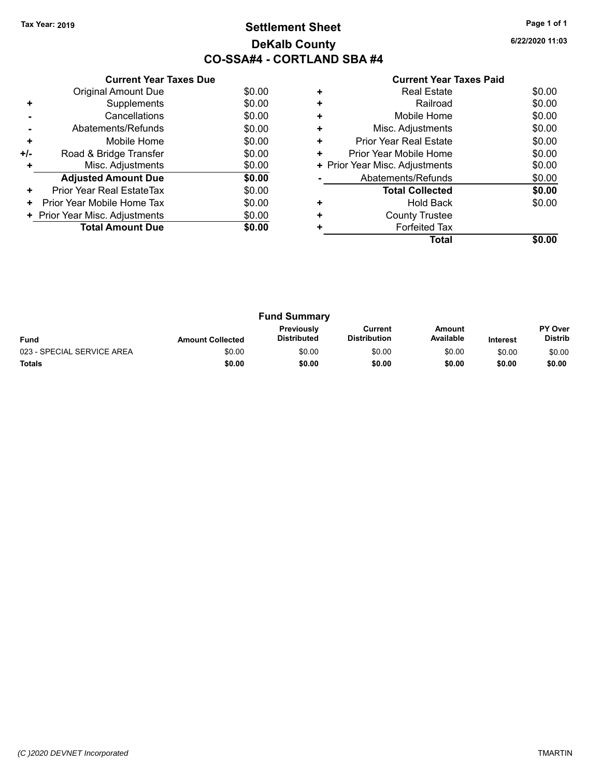# **Settlement Sheet Tax Year: 2019 Page 1 of 1 DeKalb County CO-SSA#4 - CORTLAND SBA #4**

**6/22/2020 11:03**

|     | <b>Current Year Taxes Due</b>  |        |
|-----|--------------------------------|--------|
|     | Original Amount Due            | \$0.00 |
| ٠   | Supplements                    | \$0.00 |
|     | Cancellations                  | \$0.00 |
|     | Abatements/Refunds             | \$0.00 |
| ٠   | Mobile Home                    | \$0.00 |
| +/- | Road & Bridge Transfer         | \$0.00 |
|     | Misc. Adjustments              | \$0.00 |
|     | <b>Adjusted Amount Due</b>     | \$0.00 |
| ٠   | Prior Year Real EstateTax      | \$0.00 |
| ÷   | Prior Year Mobile Home Tax     | \$0.00 |
|     | + Prior Year Misc. Adjustments | \$0.00 |
|     | <b>Total Amount Due</b>        | \$0.00 |
|     |                                |        |

|   | <b>Real Estate</b>             | \$0.00 |
|---|--------------------------------|--------|
|   | Railroad                       | \$0.00 |
| ÷ | Mobile Home                    | \$0.00 |
| ٠ | Misc. Adjustments              | \$0.00 |
| ٠ | <b>Prior Year Real Estate</b>  | \$0.00 |
| ٠ | Prior Year Mobile Home         | \$0.00 |
|   | + Prior Year Misc. Adjustments | \$0.00 |
|   | Abatements/Refunds             | \$0.00 |
|   | <b>Total Collected</b>         | \$0.00 |
|   | <b>Hold Back</b>               | \$0.00 |
|   | <b>County Trustee</b>          |        |
|   | <b>Forfeited Tax</b>           |        |
|   | Total                          |        |

| <b>Fund Summary</b>        |                         |                                         |                                |                     |                 |                                  |
|----------------------------|-------------------------|-----------------------------------------|--------------------------------|---------------------|-----------------|----------------------------------|
| <b>Fund</b>                | <b>Amount Collected</b> | <b>Previously</b><br><b>Distributed</b> | Current<br><b>Distribution</b> | Amount<br>Available | <b>Interest</b> | <b>PY Over</b><br><b>Distrib</b> |
| 023 - SPECIAL SERVICE AREA | \$0.00                  | \$0.00                                  | \$0.00                         | \$0.00              | \$0.00          | \$0.00                           |
| <b>Totals</b>              | \$0.00                  | \$0.00                                  | \$0.00                         | \$0.00              | \$0.00          | \$0.00                           |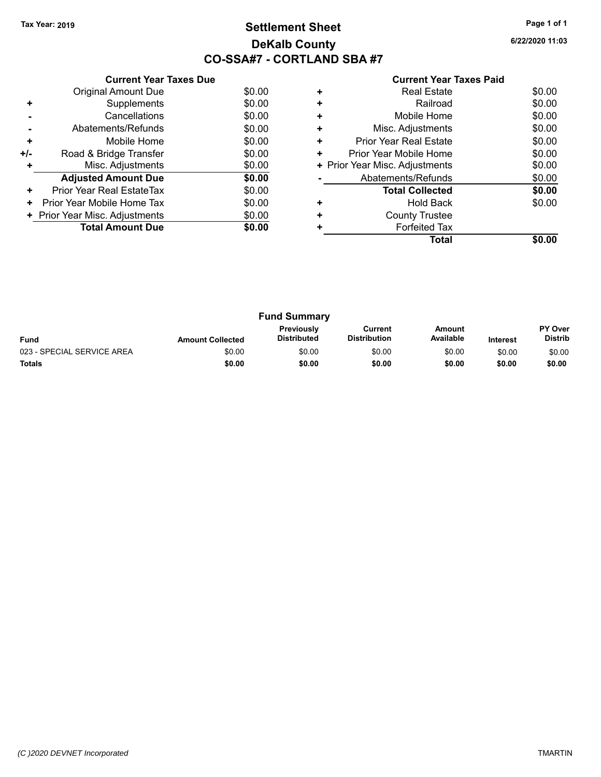# **Settlement Sheet Tax Year: 2019 Page 1 of 1 DeKalb County CO-SSA#7 - CORTLAND SBA #7**

**6/22/2020 11:03**

|     | <b>Current Year Taxes Due</b>  |        |
|-----|--------------------------------|--------|
|     | <b>Original Amount Due</b>     | \$0.00 |
| ٠   | Supplements                    | \$0.00 |
|     | Cancellations                  | \$0.00 |
|     | Abatements/Refunds             | \$0.00 |
| ٠   | Mobile Home                    | \$0.00 |
| +/- | Road & Bridge Transfer         | \$0.00 |
|     | Misc. Adjustments              | \$0.00 |
|     | <b>Adjusted Amount Due</b>     | \$0.00 |
| ٠   | Prior Year Real EstateTax      | \$0.00 |
| ٠   | Prior Year Mobile Home Tax     | \$0.00 |
|     | + Prior Year Misc. Adjustments | \$0.00 |
|     | <b>Total Amount Due</b>        | \$0.00 |
|     |                                |        |

|   | <b>Real Estate</b>             | \$0.00 |
|---|--------------------------------|--------|
| ٠ | Railroad                       | \$0.00 |
| ÷ | Mobile Home                    | \$0.00 |
| ٠ | Misc. Adjustments              | \$0.00 |
| ٠ | <b>Prior Year Real Estate</b>  | \$0.00 |
| ٠ | Prior Year Mobile Home         | \$0.00 |
|   | + Prior Year Misc. Adjustments | \$0.00 |
|   | Abatements/Refunds             | \$0.00 |
|   | <b>Total Collected</b>         | \$0.00 |
|   | <b>Hold Back</b>               | \$0.00 |
|   | <b>County Trustee</b>          |        |
|   | <b>Forfeited Tax</b>           |        |
|   | Total                          |        |

| <b>Fund Summary</b>        |                         |                                  |                                |                     |                 |                                  |
|----------------------------|-------------------------|----------------------------------|--------------------------------|---------------------|-----------------|----------------------------------|
| <b>Fund</b>                | <b>Amount Collected</b> | <b>Previously</b><br>Distributed | Current<br><b>Distribution</b> | Amount<br>Available | <b>Interest</b> | <b>PY Over</b><br><b>Distrib</b> |
| 023 - SPECIAL SERVICE AREA | \$0.00                  | \$0.00                           | \$0.00                         | \$0.00              | \$0.00          | \$0.00                           |
| <b>Totals</b>              | \$0.00                  | \$0.00                           | \$0.00                         | \$0.00              | \$0.00          | \$0.00                           |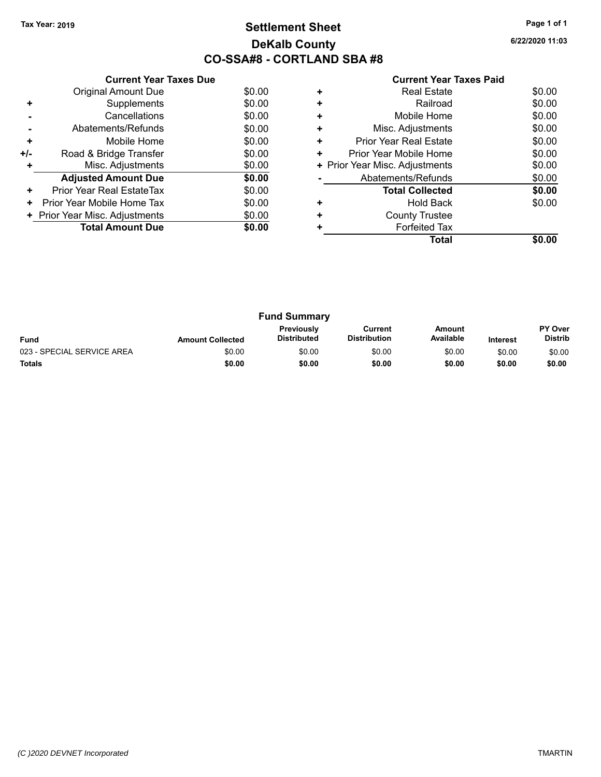# **Settlement Sheet Tax Year: 2019 Page 1 of 1 DeKalb County CO-SSA#8 - CORTLAND SBA #8**

**6/22/2020 11:03**

| <b>Current Year Taxes Paid</b> |  |  |  |
|--------------------------------|--|--|--|
|--------------------------------|--|--|--|

|     | <b>Current Year Taxes Due</b>  |        |
|-----|--------------------------------|--------|
|     | Original Amount Due            | \$0.00 |
| ٠   | Supplements                    | \$0.00 |
|     | Cancellations                  | \$0.00 |
|     | Abatements/Refunds             | \$0.00 |
| ٠   | Mobile Home                    | \$0.00 |
| +/- | Road & Bridge Transfer         | \$0.00 |
|     | Misc. Adjustments              | \$0.00 |
|     | <b>Adjusted Amount Due</b>     | \$0.00 |
| ٠   | Prior Year Real EstateTax      | \$0.00 |
| ٠   | Prior Year Mobile Home Tax     | \$0.00 |
|     | + Prior Year Misc. Adjustments | \$0.00 |
|     | <b>Total Amount Due</b>        | \$0.00 |
|     |                                |        |

|   | Total                          |        |
|---|--------------------------------|--------|
|   | <b>Forfeited Tax</b>           |        |
| ÷ | <b>County Trustee</b>          |        |
|   | <b>Hold Back</b>               | \$0.00 |
|   | <b>Total Collected</b>         | \$0.00 |
|   | Abatements/Refunds             | \$0.00 |
|   | + Prior Year Misc. Adjustments | \$0.00 |
| ٠ | Prior Year Mobile Home         | \$0.00 |
| ٠ | <b>Prior Year Real Estate</b>  | \$0.00 |
| ٠ | Misc. Adjustments              | \$0.00 |
| ÷ | Mobile Home                    | \$0.00 |
| ٠ | Railroad                       | \$0.00 |
|   | <b>Real Estate</b>             | \$0.00 |
|   |                                |        |

| <b>Fund Summary</b>        |                         |                                         |                                |                     |                 |                                  |
|----------------------------|-------------------------|-----------------------------------------|--------------------------------|---------------------|-----------------|----------------------------------|
| <b>Fund</b>                | <b>Amount Collected</b> | <b>Previously</b><br><b>Distributed</b> | Current<br><b>Distribution</b> | Amount<br>Available | <b>Interest</b> | <b>PY Over</b><br><b>Distrib</b> |
| 023 - SPECIAL SERVICE AREA | \$0.00                  | \$0.00                                  | \$0.00                         | \$0.00              | \$0.00          | \$0.00                           |
| <b>Totals</b>              | \$0.00                  | \$0.00                                  | \$0.00                         | \$0.00              | \$0.00          | \$0.00                           |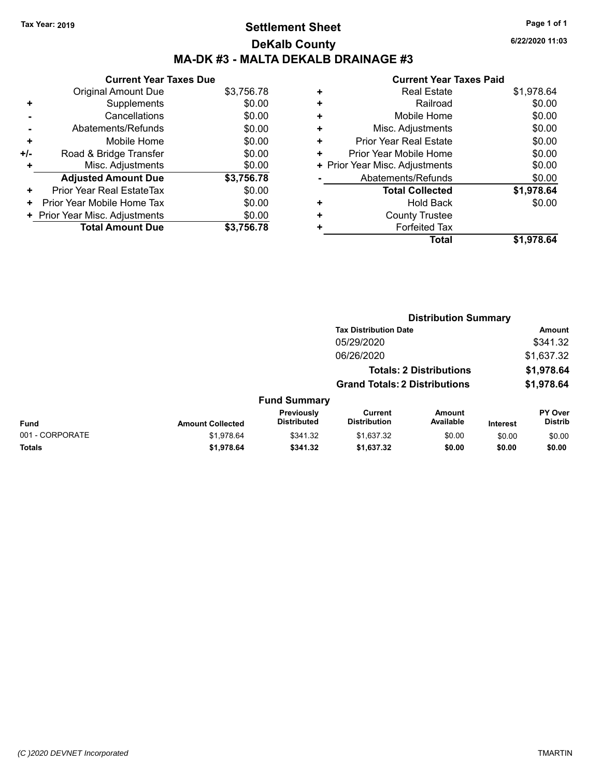# **Settlement Sheet Tax Year: 2019 Page 1 of 1 DeKalb County MA-DK #3 - MALTA DEKALB DRAINAGE #3**

**6/22/2020 11:03**

|     | <b>Current Year Taxes Due</b>  |            |
|-----|--------------------------------|------------|
|     | <b>Original Amount Due</b>     | \$3,756.78 |
| ٠   | Supplements                    | \$0.00     |
|     | Cancellations                  | \$0.00     |
|     | Abatements/Refunds             | \$0.00     |
| ٠   | Mobile Home                    | \$0.00     |
| +/- | Road & Bridge Transfer         | \$0.00     |
| ٠   | Misc. Adjustments              | \$0.00     |
|     | <b>Adjusted Amount Due</b>     | \$3,756.78 |
| ÷   | Prior Year Real EstateTax      | \$0.00     |
| ٠   | Prior Year Mobile Home Tax     | \$0.00     |
|     | + Prior Year Misc. Adjustments | \$0.00     |
|     | <b>Total Amount Due</b>        | \$3,756.78 |
|     |                                |            |

|   | Total                          | \$1,978.64 |
|---|--------------------------------|------------|
| ٠ | <b>Forfeited Tax</b>           |            |
| ٠ | <b>County Trustee</b>          |            |
| ٠ | <b>Hold Back</b>               | \$0.00     |
|   | <b>Total Collected</b>         | \$1,978.64 |
|   | Abatements/Refunds             | \$0.00     |
|   | + Prior Year Misc. Adjustments | \$0.00     |
| ٠ | Prior Year Mobile Home         | \$0.00     |
| ٠ | Prior Year Real Estate         | \$0.00     |
| ٠ | Misc. Adjustments              | \$0.00     |
| ٠ | Mobile Home                    | \$0.00     |
| ٠ | Railroad                       | \$0.00     |
| ٠ | <b>Real Estate</b>             | \$1,978.64 |
|   |                                |            |

|                 |                         |                                  |                                      | <b>Distribution Summary</b>    |                 |                                  |
|-----------------|-------------------------|----------------------------------|--------------------------------------|--------------------------------|-----------------|----------------------------------|
|                 |                         |                                  | <b>Tax Distribution Date</b>         |                                |                 | Amount                           |
|                 |                         |                                  | 05/29/2020                           |                                |                 | \$341.32                         |
|                 |                         |                                  | 06/26/2020                           |                                |                 | \$1,637.32                       |
|                 |                         |                                  |                                      | <b>Totals: 2 Distributions</b> |                 | \$1,978.64                       |
|                 |                         |                                  | <b>Grand Totals: 2 Distributions</b> |                                |                 | \$1,978.64                       |
|                 |                         | <b>Fund Summary</b>              |                                      |                                |                 |                                  |
| <b>Fund</b>     | <b>Amount Collected</b> | Previously<br><b>Distributed</b> | Current<br><b>Distribution</b>       | Amount<br>Available            | <b>Interest</b> | <b>PY Over</b><br><b>Distrib</b> |
| 001 - CORPORATE | \$1,978.64              | \$341.32                         | \$1,637.32                           | \$0.00                         | \$0.00          | \$0.00                           |
| <b>Totals</b>   | \$1,978.64              | \$341.32                         | \$1,637.32                           | \$0.00                         | \$0.00          | \$0.00                           |
|                 |                         |                                  |                                      |                                |                 |                                  |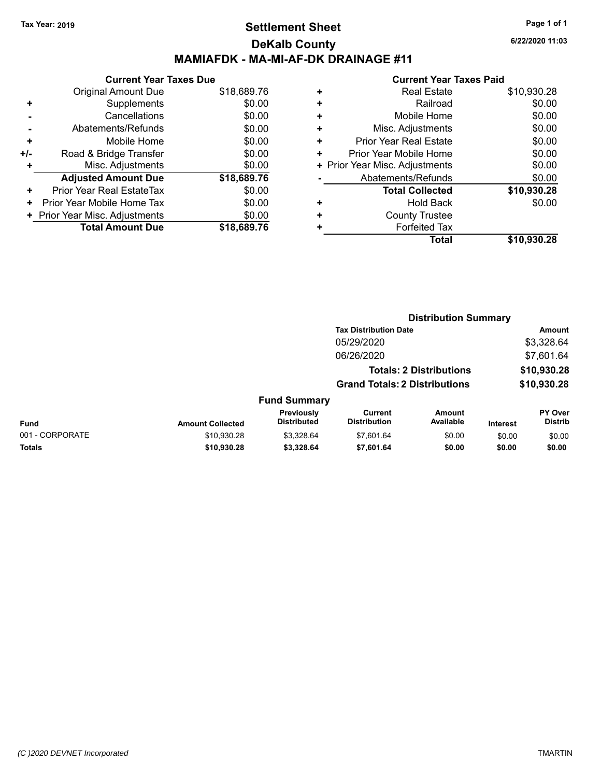## **Settlement Sheet Tax Year: 2019 Page 1 of 1 DeKalb County MAMIAFDK - MA-MI-AF-DK DRAINAGE #11**

**Current Year Taxes Due** Original Amount Due \$18,689.76 **+** Supplements \$0.00 **-** Cancellations \$0.00 **-** Abatements/Refunds \$0.00 **+** Mobile Home \$0.00 **+/-** Road & Bridge Transfer **\$0.00 +** Misc. Adjustments \$0.00 **Adjusted Amount Due \$18,689.76 +** Prior Year Real EstateTax \$0.00 **+** Prior Year Mobile Home Tax  $$0.00$ **+ Prior Year Misc. Adjustments**  $$0.00$ **Total Amount Due \$18,689.76**

#### **Current Year Taxes Paid**

| <b>Real Estate</b>             | \$10,930.28 |
|--------------------------------|-------------|
| Railroad                       | \$0.00      |
| Mobile Home                    | \$0.00      |
| Misc. Adjustments              | \$0.00      |
| <b>Prior Year Real Estate</b>  | \$0.00      |
| Prior Year Mobile Home         | \$0.00      |
| + Prior Year Misc. Adjustments | \$0.00      |
| Abatements/Refunds             | \$0.00      |
| <b>Total Collected</b>         | \$10,930.28 |
| <b>Hold Back</b>               | \$0.00      |
| <b>County Trustee</b>          |             |
| <b>Forfeited Tax</b>           |             |
| Total                          | \$10,930.28 |
|                                |             |

**Distribution Summary**

|                 |                         |                                  | <b>Tax Distribution Date</b>          |                                |                 | Amount                    |
|-----------------|-------------------------|----------------------------------|---------------------------------------|--------------------------------|-----------------|---------------------------|
|                 |                         |                                  | 05/29/2020                            |                                |                 | \$3,328.64                |
|                 |                         |                                  | 06/26/2020                            |                                |                 | \$7,601.64                |
|                 |                         |                                  |                                       | <b>Totals: 2 Distributions</b> |                 | \$10,930.28               |
|                 |                         |                                  | <b>Grand Totals: 2 Distributions</b>  |                                |                 | \$10,930.28               |
|                 |                         | <b>Fund Summary</b>              |                                       |                                |                 |                           |
| <b>Fund</b>     | <b>Amount Collected</b> | Previously<br><b>Distributed</b> | <b>Current</b><br><b>Distribution</b> | Amount<br>Available            | <b>Interest</b> | PY Over<br><b>Distrib</b> |
| 001 - CORPORATE | \$10,930.28             | \$3,328.64                       | \$7,601.64                            | \$0.00                         | \$0.00          | \$0.00                    |
| <b>Totals</b>   | \$10.930.28             | \$3,328.64                       | \$7,601.64                            | \$0.00                         | \$0.00          | \$0.00                    |

**6/22/2020 11:03**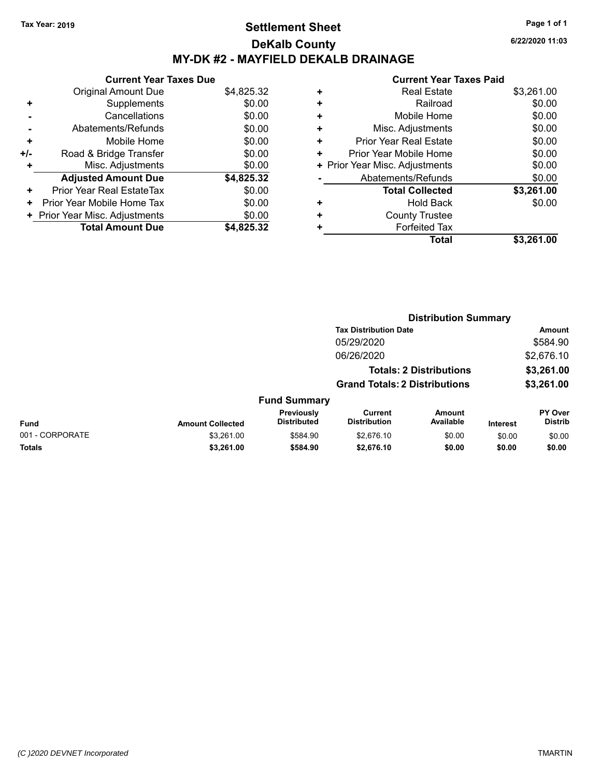# **Settlement Sheet Tax Year: 2019 Page 1 of 1 DeKalb County MY-DK #2 - MAYFIELD DEKALB DRAINAGE**

**6/22/2020 11:03**

|     | <b>Current Year Taxes Due</b>    |            |
|-----|----------------------------------|------------|
|     | <b>Original Amount Due</b>       | \$4,825.32 |
| ٠   | Supplements                      | \$0.00     |
|     | Cancellations                    | \$0.00     |
|     | Abatements/Refunds               | \$0.00     |
| ٠   | Mobile Home                      | \$0.00     |
| +/- | Road & Bridge Transfer           | \$0.00     |
|     | Misc. Adjustments                | \$0.00     |
|     | <b>Adjusted Amount Due</b>       | \$4,825.32 |
| ÷   | <b>Prior Year Real EstateTax</b> | \$0.00     |
| ÷   | Prior Year Mobile Home Tax       | \$0.00     |
|     | + Prior Year Misc. Adjustments   | \$0.00     |
|     | <b>Total Amount Due</b>          | \$4.825.32 |

|   | <b>Real Estate</b>             | \$3,261.00 |
|---|--------------------------------|------------|
| ٠ | Railroad                       | \$0.00     |
| ٠ | Mobile Home                    | \$0.00     |
| ٠ | Misc. Adjustments              | \$0.00     |
| ٠ | <b>Prior Year Real Estate</b>  | \$0.00     |
| ٠ | Prior Year Mobile Home         | \$0.00     |
|   | + Prior Year Misc. Adjustments | \$0.00     |
|   | Abatements/Refunds             | \$0.00     |
|   | <b>Total Collected</b>         | \$3,261.00 |
| ٠ | Hold Back                      | \$0.00     |
| + | <b>County Trustee</b>          |            |
| ٠ | <b>Forfeited Tax</b>           |            |
|   | Total                          | \$3,261.00 |
|   |                                |            |

|                 |                         |                                  |                                       | <b>Distribution Summary</b>    |                 |                           |
|-----------------|-------------------------|----------------------------------|---------------------------------------|--------------------------------|-----------------|---------------------------|
|                 |                         |                                  | <b>Tax Distribution Date</b>          |                                |                 | <b>Amount</b>             |
|                 |                         |                                  | 05/29/2020                            |                                |                 | \$584.90                  |
|                 |                         |                                  | 06/26/2020                            |                                |                 | \$2,676.10                |
|                 |                         |                                  |                                       | <b>Totals: 2 Distributions</b> |                 | \$3,261.00                |
|                 |                         |                                  | <b>Grand Totals: 2 Distributions</b>  |                                |                 | \$3,261.00                |
|                 |                         | <b>Fund Summary</b>              |                                       |                                |                 |                           |
| Fund            | <b>Amount Collected</b> | Previously<br><b>Distributed</b> | <b>Current</b><br><b>Distribution</b> | Amount<br>Available            | <b>Interest</b> | PY Over<br><b>Distrib</b> |
| 001 - CORPORATE | \$3.261.00              | \$584.90                         | \$2,676.10                            | \$0.00                         | \$0.00          | \$0.00                    |
| <b>Totals</b>   | \$3,261.00              | \$584.90                         | \$2,676.10                            | \$0.00                         | \$0.00          | \$0.00                    |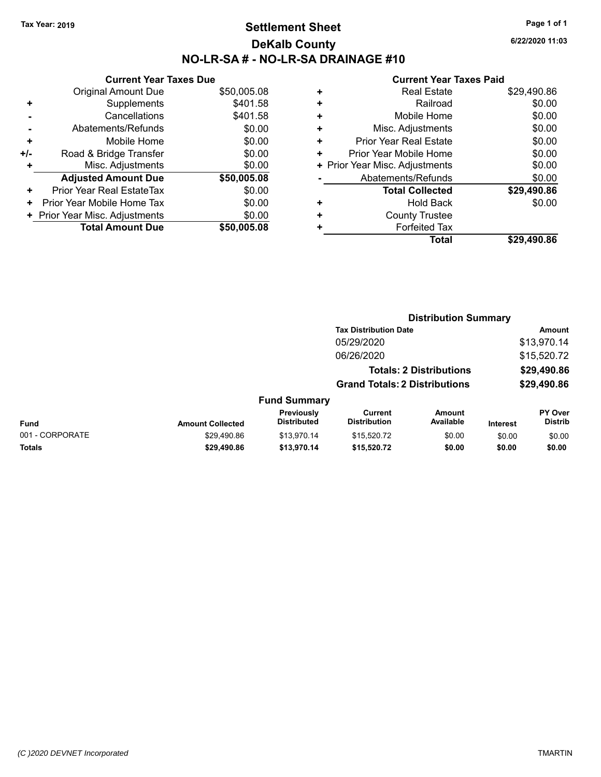### **Settlement Sheet Tax Year: 2019 Page 1 of 1 DeKalb County NO-LR-SA # - NO-LR-SA DRAINAGE #10**

**6/22/2020 11:03**

| \$50,005.08<br>\$401.58<br>\$401.58 | <b>Original Amount Due</b><br>Supplements<br>Cancellations | ٠   |
|-------------------------------------|------------------------------------------------------------|-----|
|                                     |                                                            |     |
|                                     |                                                            |     |
|                                     |                                                            |     |
| \$0.00                              | Abatements/Refunds                                         |     |
| \$0.00                              | Mobile Home                                                | ٠   |
| \$0.00                              | Road & Bridge Transfer                                     | +/- |
| \$0.00                              | Misc. Adjustments                                          | ٠   |
| \$50,005.08                         | <b>Adjusted Amount Due</b>                                 |     |
| \$0.00                              | Prior Year Real EstateTax                                  | ٠   |
| \$0.00                              | Prior Year Mobile Home Tax                                 | ٠   |
| \$0.00                              | + Prior Year Misc. Adjustments                             |     |
|                                     |                                                            |     |
|                                     |                                                            |     |

|   | <b>Real Estate</b>             | \$29,490.86 |
|---|--------------------------------|-------------|
| ٠ | Railroad                       | \$0.00      |
| ÷ | Mobile Home                    | \$0.00      |
| ÷ | Misc. Adjustments              | \$0.00      |
| ٠ | Prior Year Real Estate         | \$0.00      |
| + | Prior Year Mobile Home         | \$0.00      |
|   | + Prior Year Misc. Adjustments | \$0.00      |
|   | Abatements/Refunds             | \$0.00      |
|   | <b>Total Collected</b>         | \$29,490.86 |
| ٠ | Hold Back                      | \$0.00      |
| ٠ | <b>County Trustee</b>          |             |
| ٠ | <b>Forfeited Tax</b>           |             |
|   | <b>Total</b>                   | \$29,490.86 |
|   |                                |             |

|                 |                         |                                  |                                      | <b>Distribution Summary</b>    |                 |                           |
|-----------------|-------------------------|----------------------------------|--------------------------------------|--------------------------------|-----------------|---------------------------|
|                 |                         |                                  | <b>Tax Distribution Date</b>         |                                |                 | Amount                    |
|                 |                         |                                  | 05/29/2020                           |                                |                 | \$13,970.14               |
|                 |                         |                                  | 06/26/2020                           |                                |                 | \$15,520.72               |
|                 |                         |                                  |                                      | <b>Totals: 2 Distributions</b> |                 | \$29,490.86               |
|                 |                         |                                  | <b>Grand Totals: 2 Distributions</b> |                                |                 | \$29,490.86               |
|                 |                         | <b>Fund Summary</b>              |                                      |                                |                 |                           |
| <b>Fund</b>     | <b>Amount Collected</b> | Previously<br><b>Distributed</b> | Current<br><b>Distribution</b>       | <b>Amount</b><br>Available     | <b>Interest</b> | PY Over<br><b>Distrib</b> |
| 001 - CORPORATE | \$29,490.86             | \$13.970.14                      | \$15,520.72                          | \$0.00                         | \$0.00          | \$0.00                    |
| Totals          | \$29,490.86             | \$13,970.14                      | \$15,520.72                          | \$0.00                         | \$0.00          | \$0.00                    |
|                 |                         |                                  |                                      |                                |                 |                           |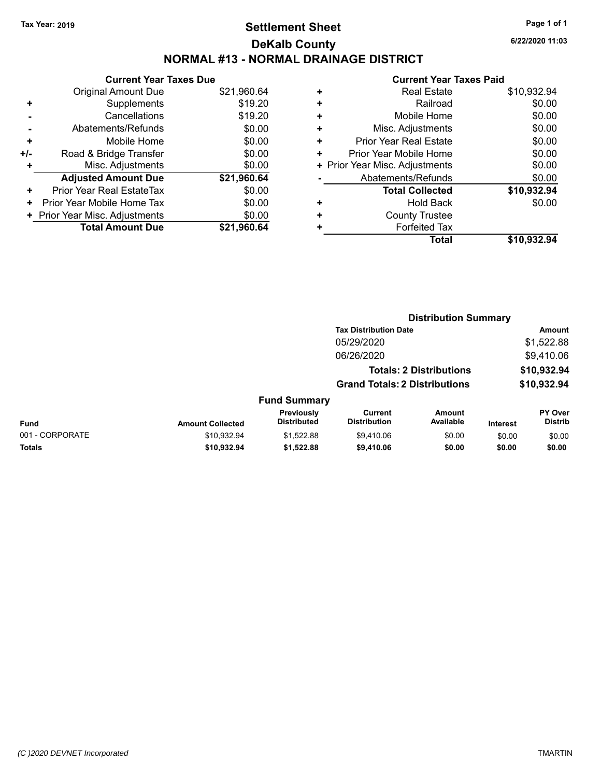# **Settlement Sheet Tax Year: 2019 Page 1 of 1 DeKalb County NORMAL #13 - NORMAL DRAINAGE DISTRICT**

**6/22/2020 11:03**

|     | <b>Current Year Taxes Due</b>  |             |
|-----|--------------------------------|-------------|
|     | <b>Original Amount Due</b>     | \$21,960.64 |
| ٠   | Supplements                    | \$19.20     |
|     | Cancellations                  | \$19.20     |
|     | Abatements/Refunds             | \$0.00      |
| ÷   | Mobile Home                    | \$0.00      |
| +/- | Road & Bridge Transfer         | \$0.00      |
| ٠   | Misc. Adjustments              | \$0.00      |
|     | <b>Adjusted Amount Due</b>     | \$21,960.64 |
| ٠   | Prior Year Real EstateTax      | \$0.00      |
| ٠   | Prior Year Mobile Home Tax     | \$0.00      |
|     | + Prior Year Misc. Adjustments | \$0.00      |
|     | <b>Total Amount Due</b>        | \$21,960.64 |
|     |                                |             |

|   | <b>Total</b>                   | \$10,932.94 |
|---|--------------------------------|-------------|
| ÷ | <b>Forfeited Tax</b>           |             |
| ٠ | <b>County Trustee</b>          |             |
| ٠ | <b>Hold Back</b>               | \$0.00      |
|   | <b>Total Collected</b>         | \$10,932.94 |
|   | Abatements/Refunds             | \$0.00      |
|   | + Prior Year Misc. Adjustments | \$0.00      |
| ٠ | Prior Year Mobile Home         | \$0.00      |
| ÷ | <b>Prior Year Real Estate</b>  | \$0.00      |
| ÷ | Misc. Adjustments              | \$0.00      |
| ÷ | Mobile Home                    | \$0.00      |
| ٠ | Railroad                       | \$0.00      |
| ٠ | <b>Real Estate</b>             | \$10,932.94 |
|   |                                |             |

|                 |                         |                                  |                                       | <b>Distribution Summary</b>    |                 |                           |
|-----------------|-------------------------|----------------------------------|---------------------------------------|--------------------------------|-----------------|---------------------------|
|                 |                         |                                  | <b>Tax Distribution Date</b>          |                                |                 | <b>Amount</b>             |
|                 |                         |                                  | 05/29/2020                            |                                |                 | \$1,522.88                |
|                 |                         |                                  | 06/26/2020                            |                                |                 | \$9,410.06                |
|                 |                         |                                  |                                       | <b>Totals: 2 Distributions</b> |                 | \$10,932.94               |
|                 |                         |                                  | <b>Grand Totals: 2 Distributions</b>  |                                |                 | \$10,932.94               |
|                 |                         | <b>Fund Summary</b>              |                                       |                                |                 |                           |
| Fund            | <b>Amount Collected</b> | Previously<br><b>Distributed</b> | <b>Current</b><br><b>Distribution</b> | <b>Amount</b><br>Available     | <b>Interest</b> | PY Over<br><b>Distrib</b> |
| 001 - CORPORATE | \$10.932.94             | \$1.522.88                       | \$9,410.06                            | \$0.00                         | \$0.00          | \$0.00                    |
| <b>Totals</b>   | \$10,932.94             | \$1,522.88                       | \$9,410.06                            | \$0.00                         | \$0.00          | \$0.00                    |
|                 |                         |                                  |                                       |                                |                 |                           |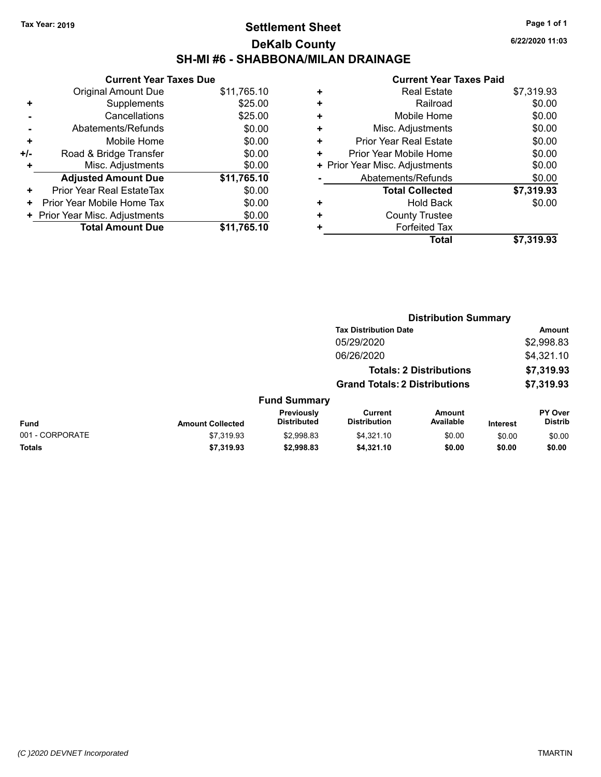# **Settlement Sheet Tax Year: 2019 Page 1 of 1 DeKalb County SH-MI #6 - SHABBONA/MILAN DRAINAGE**

**6/22/2020 11:03**

|     | <b>Current Year Taxes Due</b>  |             |
|-----|--------------------------------|-------------|
|     | <b>Original Amount Due</b>     | \$11,765.10 |
| ٠   | Supplements                    | \$25.00     |
|     | Cancellations                  | \$25.00     |
|     | Abatements/Refunds             | \$0.00      |
| ٠   | Mobile Home                    | \$0.00      |
| +/- | Road & Bridge Transfer         | \$0.00      |
| ٠   | Misc. Adjustments              | \$0.00      |
|     | <b>Adjusted Amount Due</b>     | \$11,765.10 |
| ٠   | Prior Year Real EstateTax      | \$0.00      |
| ٠   | Prior Year Mobile Home Tax     | \$0.00      |
|     | + Prior Year Misc. Adjustments | \$0.00      |
|     | <b>Total Amount Due</b>        | \$11.765.10 |

|   | <b>Real Estate</b>             | \$7,319.93 |
|---|--------------------------------|------------|
| ٠ | Railroad                       | \$0.00     |
| ÷ | Mobile Home                    | \$0.00     |
| ÷ | Misc. Adjustments              | \$0.00     |
| ٠ | Prior Year Real Estate         | \$0.00     |
| ٠ | Prior Year Mobile Home         | \$0.00     |
|   | + Prior Year Misc. Adjustments | \$0.00     |
|   | Abatements/Refunds             | \$0.00     |
|   | <b>Total Collected</b>         | \$7,319.93 |
| ٠ | <b>Hold Back</b>               | \$0.00     |
|   | <b>County Trustee</b>          |            |
| ٠ | <b>Forfeited Tax</b>           |            |
|   | <b>Total</b>                   | \$7,319.93 |
|   |                                |            |

|                 |                         |                                  | <b>Distribution Summary</b>          |                                |                 |                           |
|-----------------|-------------------------|----------------------------------|--------------------------------------|--------------------------------|-----------------|---------------------------|
|                 |                         |                                  | <b>Tax Distribution Date</b>         |                                |                 | Amount                    |
|                 |                         |                                  | 05/29/2020                           |                                |                 | \$2,998.83                |
|                 |                         |                                  | 06/26/2020                           |                                |                 | \$4,321.10                |
|                 |                         |                                  |                                      | <b>Totals: 2 Distributions</b> |                 | \$7,319.93                |
|                 |                         |                                  | <b>Grand Totals: 2 Distributions</b> |                                |                 | \$7,319.93                |
|                 |                         | <b>Fund Summary</b>              |                                      |                                |                 |                           |
| <b>Fund</b>     | <b>Amount Collected</b> | Previously<br><b>Distributed</b> | Current<br><b>Distribution</b>       | <b>Amount</b><br>Available     | <b>Interest</b> | PY Over<br><b>Distrib</b> |
| 001 - CORPORATE | \$7,319.93              | \$2,998.83                       | \$4,321.10                           | \$0.00                         | \$0.00          | \$0.00                    |
| <b>Totals</b>   | \$7,319.93              | \$2,998.83                       | \$4,321.10                           | \$0.00                         | \$0.00          | \$0.00                    |
|                 |                         |                                  |                                      |                                |                 |                           |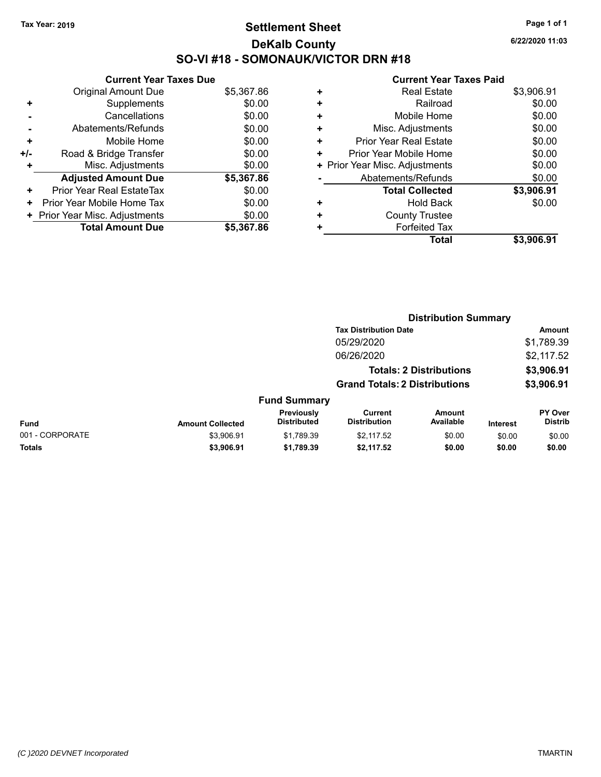# **Settlement Sheet Tax Year: 2019 Page 1 of 1 DeKalb County SO-VI #18 - SOMONAUK/VICTOR DRN #18**

**6/22/2020 11:03**

|     | <b>Current Year Taxes Due</b>  |            |
|-----|--------------------------------|------------|
|     | <b>Original Amount Due</b>     | \$5,367.86 |
| ٠   | Supplements                    | \$0.00     |
|     | Cancellations                  | \$0.00     |
|     | Abatements/Refunds             | \$0.00     |
| ٠   | Mobile Home                    | \$0.00     |
| +/- | Road & Bridge Transfer         | \$0.00     |
|     | Misc. Adjustments              | \$0.00     |
|     | <b>Adjusted Amount Due</b>     | \$5,367.86 |
| ÷   | Prior Year Real EstateTax      | \$0.00     |
| ٠   | Prior Year Mobile Home Tax     | \$0.00     |
|     | + Prior Year Misc. Adjustments | \$0.00     |
|     | <b>Total Amount Due</b>        | \$5,367.86 |

|   | <b>Real Estate</b>             | \$3,906.91 |
|---|--------------------------------|------------|
| ٠ | Railroad                       | \$0.00     |
| ٠ | Mobile Home                    | \$0.00     |
| ٠ | Misc. Adjustments              | \$0.00     |
| ٠ | <b>Prior Year Real Estate</b>  | \$0.00     |
| ٠ | Prior Year Mobile Home         | \$0.00     |
|   | + Prior Year Misc. Adjustments | \$0.00     |
|   | Abatements/Refunds             | \$0.00     |
|   | <b>Total Collected</b>         | \$3,906.91 |
| ٠ | <b>Hold Back</b>               | \$0.00     |
| ٠ | <b>County Trustee</b>          |            |
| ٠ | <b>Forfeited Tax</b>           |            |
|   | Total                          | \$3,906.91 |
|   |                                |            |

|                 |                         |                                  |                                       | <b>Distribution Summary</b>    |                 |                           |
|-----------------|-------------------------|----------------------------------|---------------------------------------|--------------------------------|-----------------|---------------------------|
|                 |                         |                                  | <b>Tax Distribution Date</b>          |                                |                 | Amount                    |
|                 |                         |                                  | 05/29/2020                            |                                |                 | \$1,789.39                |
|                 |                         |                                  | 06/26/2020                            |                                |                 | \$2,117.52                |
|                 |                         |                                  |                                       | <b>Totals: 2 Distributions</b> |                 | \$3,906.91                |
|                 |                         |                                  | <b>Grand Totals: 2 Distributions</b>  |                                |                 | \$3,906.91                |
|                 |                         | <b>Fund Summary</b>              |                                       |                                |                 |                           |
| <b>Fund</b>     | <b>Amount Collected</b> | Previously<br><b>Distributed</b> | <b>Current</b><br><b>Distribution</b> | <b>Amount</b><br>Available     | <b>Interest</b> | PY Over<br><b>Distrib</b> |
| 001 - CORPORATE | \$3.906.91              | \$1,789.39                       | \$2.117.52                            | \$0.00                         | \$0.00          | \$0.00                    |
| <b>Totals</b>   | \$3,906.91              | \$1,789.39                       | \$2,117.52                            | \$0.00                         | \$0.00          | \$0.00                    |
|                 |                         |                                  |                                       |                                |                 |                           |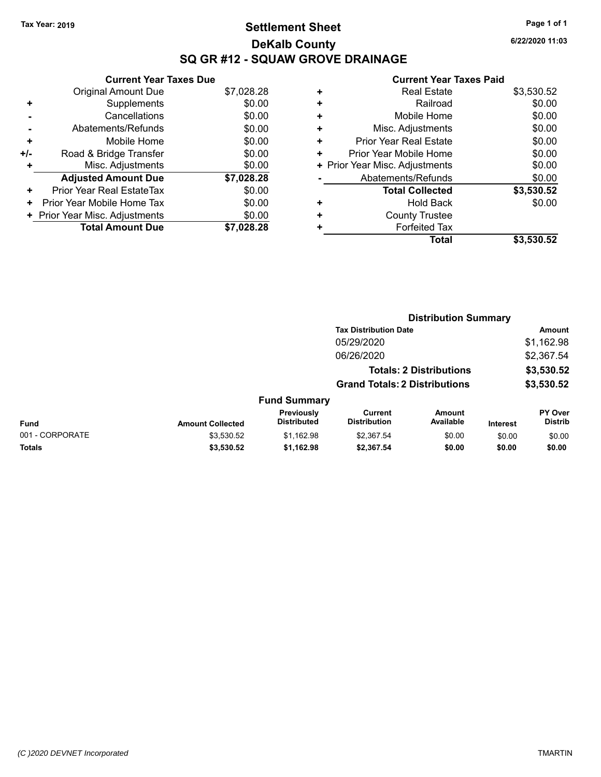# **Settlement Sheet Tax Year: 2019 Page 1 of 1 DeKalb County SQ GR #12 - SQUAW GROVE DRAINAGE**

**6/22/2020 11:03**

|     | <b>Current Year Taxes Due</b>  |            |
|-----|--------------------------------|------------|
|     | <b>Original Amount Due</b>     | \$7,028.28 |
| ٠   | Supplements                    | \$0.00     |
|     | Cancellations                  | \$0.00     |
|     | Abatements/Refunds             | \$0.00     |
| ٠   | Mobile Home                    | \$0.00     |
| +/- | Road & Bridge Transfer         | \$0.00     |
|     | Misc. Adjustments              | \$0.00     |
|     | <b>Adjusted Amount Due</b>     | \$7,028.28 |
| ٠   | Prior Year Real EstateTax      | \$0.00     |
| ٠   | Prior Year Mobile Home Tax     | \$0.00     |
|     | + Prior Year Misc. Adjustments | \$0.00     |
|     | <b>Total Amount Due</b>        | \$7,028.28 |
|     |                                |            |

| ٠ | <b>Real Estate</b>             | \$3,530.52 |
|---|--------------------------------|------------|
| ٠ | Railroad                       | \$0.00     |
| ٠ | Mobile Home                    | \$0.00     |
| ٠ | Misc. Adjustments              | \$0.00     |
| ٠ | Prior Year Real Estate         | \$0.00     |
| ٠ | Prior Year Mobile Home         | \$0.00     |
|   | + Prior Year Misc. Adjustments | \$0.00     |
|   | Abatements/Refunds             | \$0.00     |
|   | <b>Total Collected</b>         | \$3,530.52 |
| ٠ | <b>Hold Back</b>               | \$0.00     |
| ٠ | <b>County Trustee</b>          |            |
| ٠ | <b>Forfeited Tax</b>           |            |
|   | Total                          | \$3,530.52 |
|   |                                |            |

|                 |                         |                                  | <b>Distribution Summary</b>           |                                |                 |                                  |
|-----------------|-------------------------|----------------------------------|---------------------------------------|--------------------------------|-----------------|----------------------------------|
|                 |                         |                                  | <b>Tax Distribution Date</b>          |                                |                 | Amount                           |
|                 |                         |                                  | 05/29/2020                            |                                |                 | \$1,162.98                       |
|                 |                         |                                  | 06/26/2020                            |                                |                 | \$2,367.54                       |
|                 |                         |                                  |                                       | <b>Totals: 2 Distributions</b> |                 | \$3,530.52                       |
|                 |                         |                                  | <b>Grand Totals: 2 Distributions</b>  |                                |                 | \$3,530.52                       |
|                 |                         | <b>Fund Summary</b>              |                                       |                                |                 |                                  |
| <b>Fund</b>     | <b>Amount Collected</b> | Previously<br><b>Distributed</b> | <b>Current</b><br><b>Distribution</b> | <b>Amount</b><br>Available     | <b>Interest</b> | <b>PY Over</b><br><b>Distrib</b> |
| 001 - CORPORATE | \$3,530.52              | \$1,162.98                       | \$2.367.54                            | \$0.00                         | \$0.00          | \$0.00                           |
| <b>Totals</b>   | \$3,530.52              | \$1,162.98                       | \$2,367.54                            | \$0.00                         | \$0.00          | \$0.00                           |
|                 |                         |                                  |                                       |                                |                 |                                  |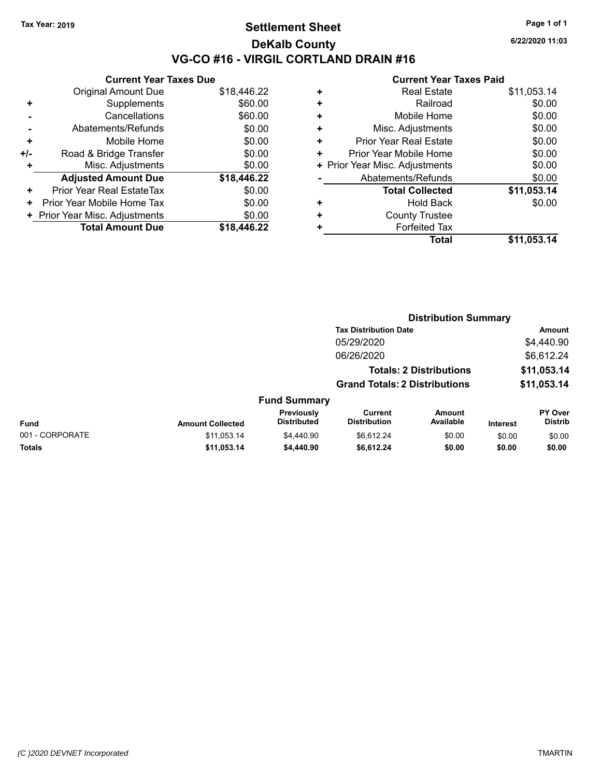### **Settlement Sheet Tax Year: 2019 Page 1 of 1 DeKalb County VG-CO #16 - VIRGIL CORTLAND DRAIN #16**

**6/22/2020 11:03**

|     | <b>Current Year Taxes Due</b>  |             |
|-----|--------------------------------|-------------|
|     | <b>Original Amount Due</b>     | \$18,446.22 |
| ٠   | Supplements                    | \$60.00     |
|     | Cancellations                  | \$60.00     |
|     | Abatements/Refunds             | \$0.00      |
| ٠   | Mobile Home                    | \$0.00      |
| +/- | Road & Bridge Transfer         | \$0.00      |
| ٠   | Misc. Adjustments              | \$0.00      |
|     | <b>Adjusted Amount Due</b>     | \$18,446.22 |
| ٠   | Prior Year Real EstateTax      | \$0.00      |
| ٠   | Prior Year Mobile Home Tax     | \$0.00      |
|     | + Prior Year Misc. Adjustments | \$0.00      |
|     | <b>Total Amount Due</b>        | \$18,446.22 |

|   | <b>Real Estate</b>             | \$11,053.14 |
|---|--------------------------------|-------------|
| ÷ | Railroad                       | \$0.00      |
| ÷ | Mobile Home                    | \$0.00      |
| ٠ | Misc. Adjustments              | \$0.00      |
| ٠ | Prior Year Real Estate         | \$0.00      |
| ٠ | Prior Year Mobile Home         | \$0.00      |
|   | + Prior Year Misc. Adjustments | \$0.00      |
|   | Abatements/Refunds             | \$0.00      |
|   | <b>Total Collected</b>         | \$11,053.14 |
| ٠ | Hold Back                      | \$0.00      |
| ٠ | <b>County Trustee</b>          |             |
| ٠ | <b>Forfeited Tax</b>           |             |
|   | Total                          | \$11,053.14 |
|   |                                |             |

|                 |                         |                                  | <b>Distribution Summary</b>           |                                |                 |                           |
|-----------------|-------------------------|----------------------------------|---------------------------------------|--------------------------------|-----------------|---------------------------|
|                 |                         |                                  | <b>Tax Distribution Date</b>          |                                |                 | <b>Amount</b>             |
|                 |                         |                                  | 05/29/2020                            |                                |                 | \$4,440.90                |
|                 |                         |                                  | 06/26/2020                            |                                |                 | \$6,612.24                |
|                 |                         |                                  |                                       | <b>Totals: 2 Distributions</b> |                 | \$11,053.14               |
|                 |                         |                                  | <b>Grand Totals: 2 Distributions</b>  |                                |                 | \$11,053.14               |
|                 |                         | <b>Fund Summary</b>              |                                       |                                |                 |                           |
| <b>Fund</b>     | <b>Amount Collected</b> | Previously<br><b>Distributed</b> | <b>Current</b><br><b>Distribution</b> | Amount<br>Available            | <b>Interest</b> | PY Over<br><b>Distrib</b> |
| 001 - CORPORATE | \$11,053.14             | \$4,440.90                       | \$6.612.24                            | \$0.00                         | \$0.00          | \$0.00                    |
| <b>Totals</b>   | \$11,053.14             | \$4,440.90                       | \$6,612.24                            | \$0.00                         | \$0.00          | \$0.00                    |
|                 |                         |                                  |                                       |                                |                 |                           |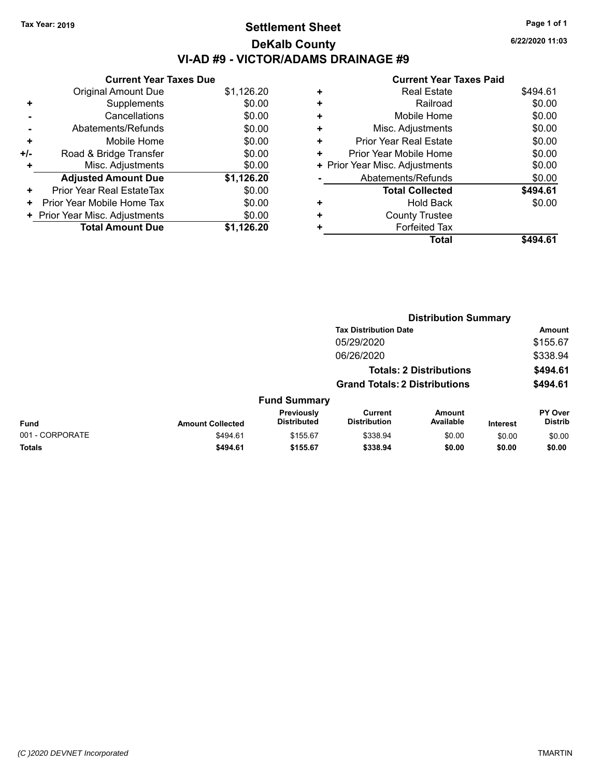# **Settlement Sheet Tax Year: 2019 Page 1 of 1 DeKalb County VI-AD #9 - VICTOR/ADAMS DRAINAGE #9**

**6/22/2020 11:03**

|     | <b>Current Year Taxes Due</b>  |            |
|-----|--------------------------------|------------|
|     | <b>Original Amount Due</b>     | \$1,126.20 |
| ٠   | Supplements                    | \$0.00     |
|     | Cancellations                  | \$0.00     |
|     | Abatements/Refunds             | \$0.00     |
| ٠   | Mobile Home                    | \$0.00     |
| +/- | Road & Bridge Transfer         | \$0.00     |
|     | Misc. Adjustments              | \$0.00     |
|     | <b>Adjusted Amount Due</b>     | \$1,126.20 |
| ٠   | Prior Year Real EstateTax      | \$0.00     |
| ٠   | Prior Year Mobile Home Tax     | \$0.00     |
|     | + Prior Year Misc. Adjustments | \$0.00     |
|     | <b>Total Amount Due</b>        | \$1.126.20 |
|     |                                |            |

| ٠ | <b>Real Estate</b>             | \$494.61 |
|---|--------------------------------|----------|
| ٠ | Railroad                       | \$0.00   |
| ٠ | Mobile Home                    | \$0.00   |
| ٠ | Misc. Adjustments              | \$0.00   |
| ٠ | <b>Prior Year Real Estate</b>  | \$0.00   |
| ٠ | Prior Year Mobile Home         | \$0.00   |
|   | + Prior Year Misc. Adjustments | \$0.00   |
|   | Abatements/Refunds             | \$0.00   |
|   | <b>Total Collected</b>         | \$494.61 |
| ٠ | <b>Hold Back</b>               | \$0.00   |
|   | <b>County Trustee</b>          |          |
| ٠ | <b>Forfeited Tax</b>           |          |
|   | Total                          | \$494.61 |
|   |                                |          |

|                                      |                         | <b>Distribution Summary</b>      |                                       |                            |                 |                           |
|--------------------------------------|-------------------------|----------------------------------|---------------------------------------|----------------------------|-----------------|---------------------------|
| <b>Tax Distribution Date</b>         |                         |                                  |                                       |                            | <b>Amount</b>   |                           |
|                                      |                         |                                  | 05/29/2020                            |                            |                 | \$155.67                  |
|                                      |                         |                                  | 06/26/2020                            |                            |                 | \$338.94                  |
| <b>Totals: 2 Distributions</b>       |                         |                                  |                                       | \$494.61                   |                 |                           |
| <b>Grand Totals: 2 Distributions</b> |                         |                                  | \$494.61                              |                            |                 |                           |
|                                      |                         | <b>Fund Summary</b>              |                                       |                            |                 |                           |
| <b>Fund</b>                          | <b>Amount Collected</b> | Previously<br><b>Distributed</b> | <b>Current</b><br><b>Distribution</b> | <b>Amount</b><br>Available | <b>Interest</b> | PY Over<br><b>Distrib</b> |
| 001 - CORPORATE                      | \$494.61                | \$155.67                         | \$338.94                              | \$0.00                     | \$0.00          | \$0.00                    |
| <b>Totals</b>                        | \$494.61                | \$155.67                         | \$338.94                              | \$0.00                     | \$0.00          | \$0.00                    |
|                                      |                         |                                  |                                       |                            |                 |                           |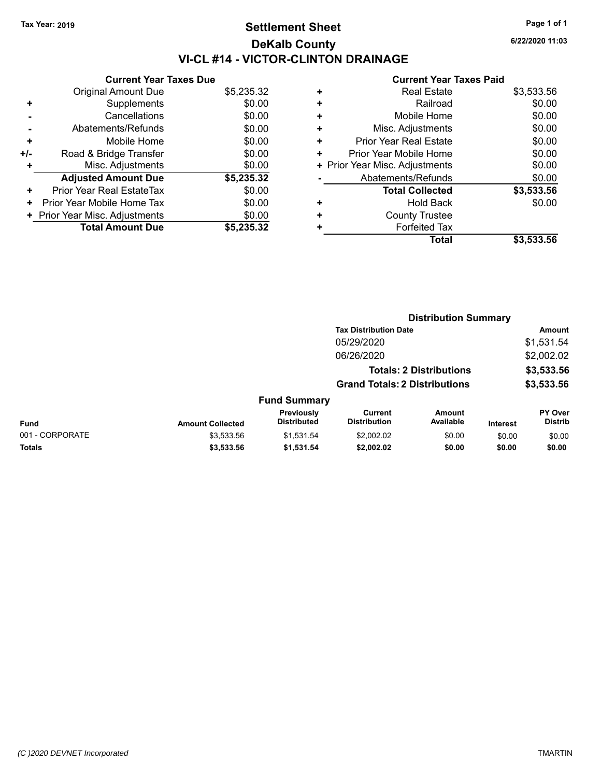# **Settlement Sheet Tax Year: 2019 Page 1 of 1 DeKalb County VI-CL #14 - VICTOR-CLINTON DRAINAGE**

**6/22/2020 11:03**

|     | <b>Current Year Taxes Due</b>  |            |
|-----|--------------------------------|------------|
|     | Original Amount Due            | \$5,235.32 |
| ٠   | Supplements                    | \$0.00     |
|     | Cancellations                  | \$0.00     |
|     | Abatements/Refunds             | \$0.00     |
| ٠   | Mobile Home                    | \$0.00     |
| +/- | Road & Bridge Transfer         | \$0.00     |
|     | Misc. Adjustments              | \$0.00     |
|     | <b>Adjusted Amount Due</b>     | \$5,235.32 |
| ٠   | Prior Year Real EstateTax      | \$0.00     |
| ٠   | Prior Year Mobile Home Tax     | \$0.00     |
|     | + Prior Year Misc. Adjustments | \$0.00     |
|     | <b>Total Amount Due</b>        | \$5,235,32 |

|   | <b>Real Estate</b>             | \$3,533.56 |
|---|--------------------------------|------------|
| ٠ | Railroad                       | \$0.00     |
| ÷ | Mobile Home                    | \$0.00     |
| ٠ | Misc. Adjustments              | \$0.00     |
| ٠ | Prior Year Real Estate         | \$0.00     |
| ٠ | Prior Year Mobile Home         | \$0.00     |
|   | + Prior Year Misc. Adjustments | \$0.00     |
|   | Abatements/Refunds             | \$0.00     |
|   | <b>Total Collected</b>         | \$3,533.56 |
| ٠ | <b>Hold Back</b>               | \$0.00     |
| ٠ | <b>County Trustee</b>          |            |
| ٠ | <b>Forfeited Tax</b>           |            |
|   | Total                          | \$3,533.56 |
|   |                                |            |

|                              |                         | <b>Distribution Summary</b>      |                                       |                            |                 |                           |
|------------------------------|-------------------------|----------------------------------|---------------------------------------|----------------------------|-----------------|---------------------------|
| <b>Tax Distribution Date</b> |                         |                                  |                                       | Amount                     |                 |                           |
|                              |                         |                                  | 05/29/2020                            |                            |                 | \$1,531.54                |
|                              |                         |                                  | 06/26/2020                            |                            |                 | \$2,002.02                |
|                              |                         | <b>Totals: 2 Distributions</b>   |                                       |                            | \$3,533.56      |                           |
|                              |                         |                                  | <b>Grand Totals: 2 Distributions</b>  |                            |                 | \$3,533.56                |
|                              |                         | <b>Fund Summary</b>              |                                       |                            |                 |                           |
| <b>Fund</b>                  | <b>Amount Collected</b> | Previously<br><b>Distributed</b> | <b>Current</b><br><b>Distribution</b> | <b>Amount</b><br>Available | <b>Interest</b> | PY Over<br><b>Distrib</b> |
| 001 - CORPORATE              | \$3,533.56              | \$1,531.54                       | \$2,002.02                            | \$0.00                     | \$0.00          | \$0.00                    |
| <b>Totals</b>                | \$3,533.56              | \$1,531.54                       | \$2,002.02                            | \$0.00                     | \$0.00          | \$0.00                    |
|                              |                         |                                  |                                       |                            |                 |                           |